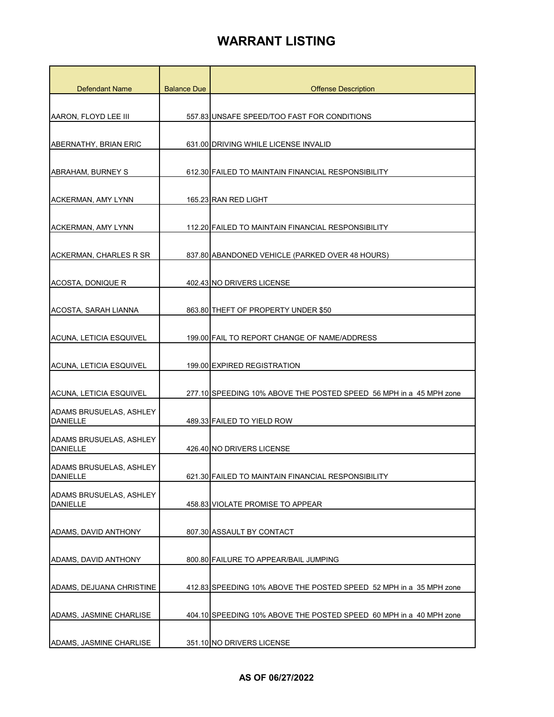| <b>Defendant Name</b>                      | <b>Balance Due</b> | <b>Offense Description</b>                                         |
|--------------------------------------------|--------------------|--------------------------------------------------------------------|
|                                            |                    |                                                                    |
| AARON, FLOYD LEE III                       |                    | 557.83 UNSAFE SPEED/TOO FAST FOR CONDITIONS                        |
| <b>ABERNATHY, BRIAN ERIC</b>               |                    | 631.00 DRIVING WHILE LICENSE INVALID                               |
| ABRAHAM, BURNEY S                          |                    | 612.30 FAILED TO MAINTAIN FINANCIAL RESPONSIBILITY                 |
| ACKERMAN, AMY LYNN                         |                    | 165.23 RAN RED LIGHT                                               |
| ACKERMAN, AMY LYNN                         |                    | 112.20 FAILED TO MAINTAIN FINANCIAL RESPONSIBILITY                 |
| <b>ACKERMAN, CHARLES R SR</b>              |                    | 837.80 ABANDONED VEHICLE (PARKED OVER 48 HOURS)                    |
| ACOSTA, DONIQUE R                          |                    | 402.43 NO DRIVERS LICENSE                                          |
| ACOSTA, SARAH LIANNA                       |                    | 863.80 THEFT OF PROPERTY UNDER \$50                                |
| ACUNA, LETICIA ESQUIVEL                    |                    | 199.00 FAIL TO REPORT CHANGE OF NAME/ADDRESS                       |
| ACUNA, LETICIA ESQUIVEL                    |                    | 199.00 EXPIRED REGISTRATION                                        |
| ACUNA, LETICIA ESQUIVEL                    |                    | 277.10 SPEEDING 10% ABOVE THE POSTED SPEED 56 MPH in a 45 MPH zone |
| ADAMS BRUSUELAS, ASHLEY<br><b>DANIELLE</b> |                    | 489.33 FAILED TO YIELD ROW                                         |
| ADAMS BRUSUELAS, ASHLEY<br><b>DANIELLE</b> |                    | 426.40 NO DRIVERS LICENSE                                          |
| ADAMS BRUSUELAS, ASHLEY<br><b>DANIELLE</b> |                    | 621.30 FAILED TO MAINTAIN FINANCIAL RESPONSIBILITY                 |
| ADAMS BRUSUELAS, ASHLEY<br><b>DANIELLE</b> |                    | 458.83 VIOLATE PROMISE TO APPEAR                                   |
| ADAMS, DAVID ANTHONY                       |                    | 807.30 ASSAULT BY CONTACT                                          |
| ADAMS, DAVID ANTHONY                       |                    | 800.80 FAILURE TO APPEAR/BAIL JUMPING                              |
| ADAMS, DEJUANA CHRISTINE                   |                    | 412.83 SPEEDING 10% ABOVE THE POSTED SPEED 52 MPH in a 35 MPH zone |
| ADAMS, JASMINE CHARLISE                    |                    | 404.10 SPEEDING 10% ABOVE THE POSTED SPEED 60 MPH in a 40 MPH zone |
| ADAMS, JASMINE CHARLISE                    |                    | 351.10 NO DRIVERS LICENSE                                          |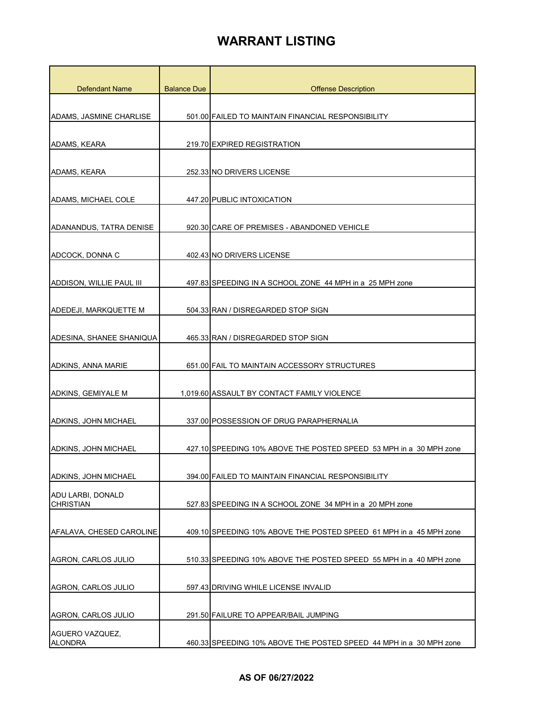| <b>Defendant Name</b>                 | <b>Balance Due</b> | <b>Offense Description</b>                                         |
|---------------------------------------|--------------------|--------------------------------------------------------------------|
|                                       |                    |                                                                    |
| ADAMS, JASMINE CHARLISE               |                    | 501.00 FAILED TO MAINTAIN FINANCIAL RESPONSIBILITY                 |
| ADAMS, KEARA                          |                    | 219.70 EXPIRED REGISTRATION                                        |
| ADAMS, KEARA                          |                    | 252.33 NO DRIVERS LICENSE                                          |
|                                       |                    |                                                                    |
| ADAMS, MICHAEL COLE                   |                    | 447.20 PUBLIC INTOXICATION                                         |
| ADANANDUS, TATRA DENISE               |                    | 920.30 CARE OF PREMISES - ABANDONED VEHICLE                        |
| ADCOCK, DONNA C                       |                    | 402.43 NO DRIVERS LICENSE                                          |
| ADDISON, WILLIE PAUL III              |                    | 497.83 SPEEDING IN A SCHOOL ZONE 44 MPH in a 25 MPH zone           |
| ADEDEJI, MARKQUETTE M                 |                    | 504.33 RAN / DISREGARDED STOP SIGN                                 |
| ADESINA, SHANEE SHANIQUA              |                    | 465.33 RAN / DISREGARDED STOP SIGN                                 |
| ADKINS, ANNA MARIE                    |                    | 651.00 FAIL TO MAINTAIN ACCESSORY STRUCTURES                       |
|                                       |                    |                                                                    |
| ADKINS, GEMIYALE M                    |                    | 1,019.60 ASSAULT BY CONTACT FAMILY VIOLENCE                        |
| ADKINS, JOHN MICHAEL                  |                    | 337.00 POSSESSION OF DRUG PARAPHERNALIA                            |
| <b>ADKINS, JOHN MICHAEL</b>           |                    | 427.10 SPEEDING 10% ABOVE THE POSTED SPEED 53 MPH in a 30 MPH zone |
| ADKINS, JOHN MICHAEL                  |                    | 394.00 FAILED TO MAINTAIN FINANCIAL RESPONSIBILITY                 |
| ADU LARBI, DONALD<br><b>CHRISTIAN</b> |                    | 527.83 SPEEDING IN A SCHOOL ZONE 34 MPH in a 20 MPH zone           |
| AFALAVA, CHESED CAROLINE              |                    | 409.10 SPEEDING 10% ABOVE THE POSTED SPEED 61 MPH in a 45 MPH zone |
| AGRON, CARLOS JULIO                   |                    | 510.33 SPEEDING 10% ABOVE THE POSTED SPEED 55 MPH in a 40 MPH zone |
| AGRON, CARLOS JULIO                   |                    | 597.43 DRIVING WHILE LICENSE INVALID                               |
| AGRON, CARLOS JULIO                   |                    | 291.50 FAILURE TO APPEAR/BAIL JUMPING                              |
| AGUERO VAZQUEZ,<br><b>ALONDRA</b>     |                    | 460.33 SPEEDING 10% ABOVE THE POSTED SPEED 44 MPH in a 30 MPH zone |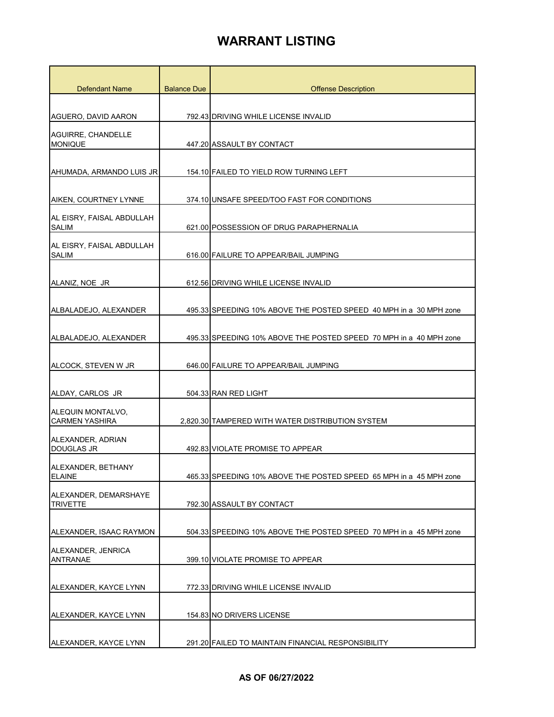| Defendant Name                             | <b>Balance Due</b> | <b>Offense Description</b>                                         |
|--------------------------------------------|--------------------|--------------------------------------------------------------------|
|                                            |                    |                                                                    |
| AGUERO, DAVID AARON                        |                    | 792.43 DRIVING WHILE LICENSE INVALID                               |
| AGUIRRE, CHANDELLE                         |                    |                                                                    |
| <b>MONIQUE</b>                             |                    | 447.20 ASSAULT BY CONTACT                                          |
| AHUMADA, ARMANDO LUIS JR                   |                    | 154.10 FAILED TO YIELD ROW TURNING LEFT                            |
| AIKEN, COURTNEY LYNNE                      |                    | 374.10 UNSAFE SPEED/TOO FAST FOR CONDITIONS                        |
| AL EISRY, FAISAL ABDULLAH<br><b>SALIM</b>  |                    | 621.00 POSSESSION OF DRUG PARAPHERNALIA                            |
| AL EISRY, FAISAL ABDULLAH<br><b>SALIM</b>  |                    | 616.00 FAILURE TO APPEAR/BAIL JUMPING                              |
| ALANIZ, NOE JR                             |                    | 612.56 DRIVING WHILE LICENSE INVALID                               |
| ALBALADEJO, ALEXANDER                      |                    | 495.33 SPEEDING 10% ABOVE THE POSTED SPEED 40 MPH in a 30 MPH zone |
| ALBALADEJO, ALEXANDER                      |                    | 495.33 SPEEDING 10% ABOVE THE POSTED SPEED 70 MPH in a 40 MPH zone |
| ALCOCK, STEVEN W JR                        |                    | 646.00 FAILURE TO APPEAR/BAIL JUMPING                              |
| ALDAY, CARLOS JR                           |                    | 504.33 RAN RED LIGHT                                               |
| ALEQUIN MONTALVO,<br><b>CARMEN YASHIRA</b> |                    | 2,820.30 TAMPERED WITH WATER DISTRIBUTION SYSTEM                   |
| ALEXANDER, ADRIAN<br><b>DOUGLAS JR</b>     |                    | 492.83 VIOLATE PROMISE TO APPEAR                                   |
| ALEXANDER, BETHANY<br><b>ELAINE</b>        |                    | 465.33 SPEEDING 10% ABOVE THE POSTED SPEED 65 MPH in a 45 MPH zone |
| ALEXANDER, DEMARSHAYE<br><b>TRIVETTE</b>   |                    | 792.30 ASSAULT BY CONTACT                                          |
| ALEXANDER, ISAAC RAYMON                    |                    | 504.33 SPEEDING 10% ABOVE THE POSTED SPEED 70 MPH in a 45 MPH zone |
| ALEXANDER, JENRICA                         |                    |                                                                    |
| <b>ANTRANAE</b>                            |                    | 399.10 VIOLATE PROMISE TO APPEAR                                   |
| ALEXANDER, KAYCE LYNN                      |                    | 772.33 DRIVING WHILE LICENSE INVALID                               |
| ALEXANDER, KAYCE LYNN                      |                    | 154.83 NO DRIVERS LICENSE                                          |
| ALEXANDER, KAYCE LYNN                      |                    | 291.20 FAILED TO MAINTAIN FINANCIAL RESPONSIBILITY                 |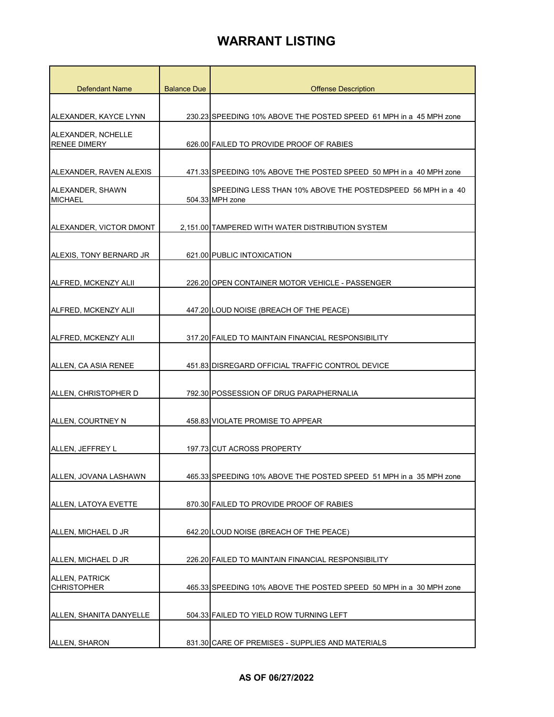| <b>Defendant Name</b>                       | <b>Balance Due</b> | <b>Offense Description</b>                                                     |
|---------------------------------------------|--------------------|--------------------------------------------------------------------------------|
|                                             |                    |                                                                                |
| ALEXANDER, KAYCE LYNN                       |                    | 230.23 SPEEDING 10% ABOVE THE POSTED SPEED 61 MPH in a 45 MPH zone             |
| ALEXANDER, NCHELLE<br><b>RENEE DIMERY</b>   |                    | 626.00 FAILED TO PROVIDE PROOF OF RABIES                                       |
|                                             |                    |                                                                                |
| ALEXANDER, RAVEN ALEXIS                     |                    | 471.33 SPEEDING 10% ABOVE THE POSTED SPEED 50 MPH in a 40 MPH zone             |
| ALEXANDER, SHAWN<br><b>MICHAEL</b>          |                    | SPEEDING LESS THAN 10% ABOVE THE POSTEDSPEED 56 MPH in a 40<br>504.33 MPH zone |
| ALEXANDER, VICTOR DMONT                     |                    | 2,151.00 TAMPERED WITH WATER DISTRIBUTION SYSTEM                               |
| ALEXIS, TONY BERNARD JR                     |                    | 621.00 PUBLIC INTOXICATION                                                     |
| ALFRED, MCKENZY ALII                        |                    | 226.2010PEN CONTAINER MOTOR VEHICLE - PASSENGER                                |
| ALFRED, MCKENZY ALII                        |                    | 447.20 LOUD NOISE (BREACH OF THE PEACE)                                        |
| ALFRED, MCKENZY ALII                        |                    | 317.20 FAILED TO MAINTAIN FINANCIAL RESPONSIBILITY                             |
| ALLEN, CA ASIA RENEE                        |                    | 451.83 DISREGARD OFFICIAL TRAFFIC CONTROL DEVICE                               |
| ALLEN, CHRISTOPHER D                        |                    | 792.30 POSSESSION OF DRUG PARAPHERNALIA                                        |
| ALLEN, COURTNEY N                           |                    | 458.83 VIOLATE PROMISE TO APPEAR                                               |
| ALLEN. JEFFREY L                            |                    | 197.73 CUT ACROSS PROPERTY                                                     |
| ALLEN, JOVANA LASHAWN                       |                    | 465.33 SPEEDING 10% ABOVE THE POSTED SPEED 51 MPH in a 35 MPH zone             |
| ALLEN, LATOYA EVETTE                        |                    | 870.30 FAILED TO PROVIDE PROOF OF RABIES                                       |
| ALLEN, MICHAEL D JR                         |                    | 642.20 LOUD NOISE (BREACH OF THE PEACE)                                        |
| ALLEN, MICHAEL D JR                         |                    | 226.20 FAILED TO MAINTAIN FINANCIAL RESPONSIBILITY                             |
| <b>ALLEN, PATRICK</b><br><b>CHRISTOPHER</b> |                    | 465.33 SPEEDING 10% ABOVE THE POSTED SPEED 50 MPH in a 30 MPH zone             |
| ALLEN, SHANITA DANYELLE                     |                    | 504.33 FAILED TO YIELD ROW TURNING LEFT                                        |
| ALLEN, SHARON                               |                    | 831.30 CARE OF PREMISES - SUPPLIES AND MATERIALS                               |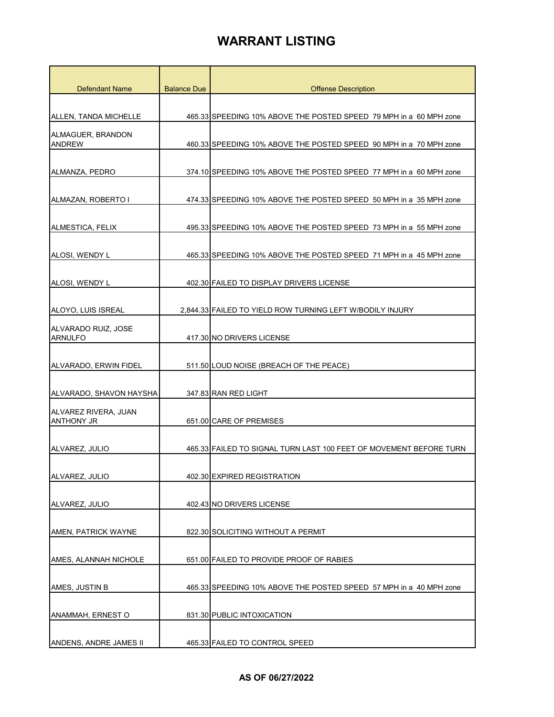| Defendant Name                            | <b>Balance Due</b> | <b>Offense Description</b>                                         |
|-------------------------------------------|--------------------|--------------------------------------------------------------------|
|                                           |                    |                                                                    |
| ALLEN, TANDA MICHELLE                     |                    | 465.33 SPEEDING 10% ABOVE THE POSTED SPEED 79 MPH in a 60 MPH zone |
| ALMAGUER, BRANDON<br><b>ANDREW</b>        |                    | 460.33 SPEEDING 10% ABOVE THE POSTED SPEED 90 MPH in a 70 MPH zone |
|                                           |                    |                                                                    |
| ALMANZA, PEDRO                            |                    | 374.10 SPEEDING 10% ABOVE THE POSTED SPEED 77 MPH in a 60 MPH zone |
| ALMAZAN, ROBERTO I                        |                    | 474.33 SPEEDING 10% ABOVE THE POSTED SPEED 50 MPH in a 35 MPH zone |
| ALMESTICA, FELIX                          |                    | 495.33 SPEEDING 10% ABOVE THE POSTED SPEED 73 MPH in a 55 MPH zone |
| ALOSI, WENDY L                            |                    | 465.33 SPEEDING 10% ABOVE THE POSTED SPEED 71 MPH in a 45 MPH zone |
| ALOSI, WENDY L                            |                    | 402.30 FAILED TO DISPLAY DRIVERS LICENSE                           |
| ALOYO, LUIS ISREAL                        |                    | 2,844.33 FAILED TO YIELD ROW TURNING LEFT W/BODILY INJURY          |
| ALVARADO RUIZ, JOSE<br><b>ARNULFO</b>     |                    | 417.30 NO DRIVERS LICENSE                                          |
| ALVARADO, ERWIN FIDEL                     |                    | 511.50 LOUD NOISE (BREACH OF THE PEACE)                            |
| ALVARADO, SHAVON HAYSHA                   |                    | 347.83 RAN RED LIGHT                                               |
| ALVAREZ RIVERA, JUAN<br><b>ANTHONY JR</b> |                    | 651.00 CARE OF PREMISES                                            |
| ALVAREZ, JULIO                            |                    | 465.33 FAILED TO SIGNAL TURN LAST 100 FEET OF MOVEMENT BEFORE TURN |
| ALVAREZ, JULIO                            |                    | 402.30 EXPIRED REGISTRATION                                        |
| ALVAREZ, JULIO                            |                    | 402.43 NO DRIVERS LICENSE                                          |
| AMEN. PATRICK WAYNE                       |                    | 822.30 SOLICITING WITHOUT A PERMIT                                 |
| AMES, ALANNAH NICHOLE                     |                    | 651.00 FAILED TO PROVIDE PROOF OF RABIES                           |
| AMES, JUSTIN B                            |                    | 465.33 SPEEDING 10% ABOVE THE POSTED SPEED 57 MPH in a 40 MPH zone |
| ANAMMAH, ERNEST O                         |                    | 831.30 PUBLIC INTOXICATION                                         |
| ANDENS, ANDRE JAMES II                    |                    | 465.33 FAILED TO CONTROL SPEED                                     |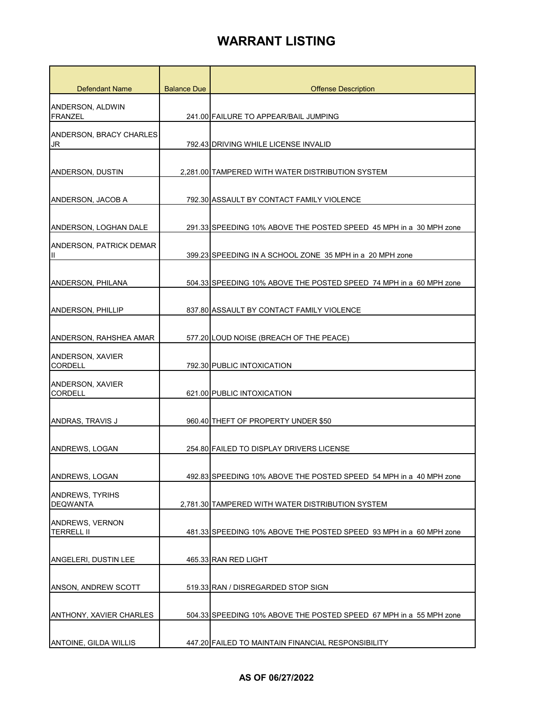| Defendant Name                            | <b>Balance Due</b> | <b>Offense Description</b>                                         |
|-------------------------------------------|--------------------|--------------------------------------------------------------------|
| ANDERSON, ALDWIN<br><b>FRANZEL</b>        |                    | 241.00 FAILURE TO APPEAR/BAIL JUMPING                              |
| <b>ANDERSON, BRACY CHARLES</b><br>JR      |                    | 792.43 DRIVING WHILE LICENSE INVALID                               |
| <b>ANDERSON, DUSTIN</b>                   |                    | 2.281.00 TAMPERED WITH WATER DISTRIBUTION SYSTEM                   |
| ANDERSON, JACOB A                         |                    | 792.30 ASSAULT BY CONTACT FAMILY VIOLENCE                          |
| ANDERSON, LOGHAN DALE                     |                    | 291.33 SPEEDING 10% ABOVE THE POSTED SPEED 45 MPH in a 30 MPH zone |
| ANDERSON, PATRICK DEMAR<br>Ш              |                    | 399.23 SPEEDING IN A SCHOOL ZONE 35 MPH in a 20 MPH zone           |
| ANDERSON, PHILANA                         |                    | 504.33 SPEEDING 10% ABOVE THE POSTED SPEED 74 MPH in a 60 MPH zone |
| <b>ANDERSON, PHILLIP</b>                  |                    | 837.80 ASSAULT BY CONTACT FAMILY VIOLENCE                          |
| ANDERSON, RAHSHEA AMAR                    |                    | 577.20 LOUD NOISE (BREACH OF THE PEACE)                            |
| ANDERSON, XAVIER<br><b>CORDELL</b>        |                    | 792.30 PUBLIC INTOXICATION                                         |
| ANDERSON, XAVIER<br><b>CORDELL</b>        |                    | 621.00 PUBLIC INTOXICATION                                         |
| ANDRAS, TRAVIS J                          |                    | 960.40 THEFT OF PROPERTY UNDER \$50                                |
| ANDREWS, LOGAN                            |                    | 254.80 FAILED TO DISPLAY DRIVERS LICENSE                           |
| ANDREWS, LOGAN                            |                    | 492.83 SPEEDING 10% ABOVE THE POSTED SPEED 54 MPH in a 40 MPH zone |
| <b>ANDREWS, TYRIHS</b><br><b>DEQWANTA</b> |                    | 2,781.30 TAMPERED WITH WATER DISTRIBUTION SYSTEM                   |
| ANDREWS, VERNON<br><b>TERRELL II</b>      |                    | 481.33 SPEEDING 10% ABOVE THE POSTED SPEED 93 MPH in a 60 MPH zone |
| ANGELERI, DUSTIN LEE                      |                    | 465.33 RAN RED LIGHT                                               |
| ANSON, ANDREW SCOTT                       |                    | 519.33 RAN / DISREGARDED STOP SIGN                                 |
| <b>ANTHONY, XAVIER CHARLES</b>            |                    | 504.33 SPEEDING 10% ABOVE THE POSTED SPEED 67 MPH in a 55 MPH zone |
| ANTOINE, GILDA WILLIS                     |                    | 447.20 FAILED TO MAINTAIN FINANCIAL RESPONSIBILITY                 |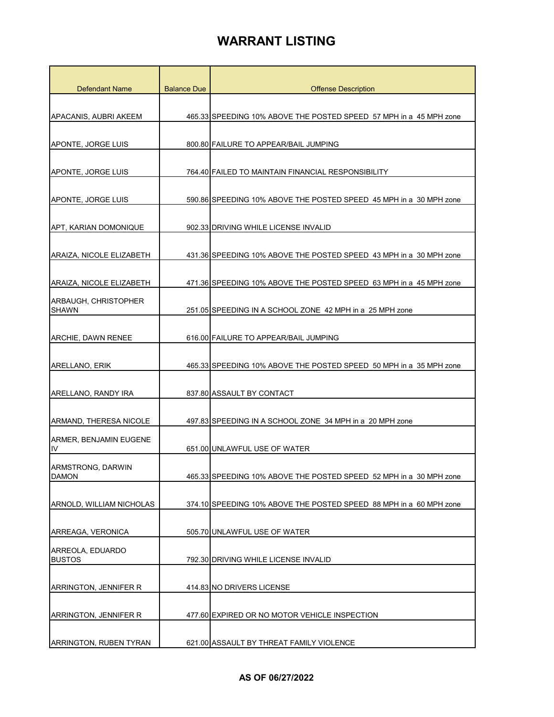| <b>Defendant Name</b>                       | <b>Balance Due</b> | <b>Offense Description</b>                                         |
|---------------------------------------------|--------------------|--------------------------------------------------------------------|
|                                             |                    |                                                                    |
| APACANIS, AUBRI AKEEM                       |                    | 465.33 SPEEDING 10% ABOVE THE POSTED SPEED 57 MPH in a 45 MPH zone |
|                                             |                    |                                                                    |
| APONTE, JORGE LUIS                          |                    | 800.80 FAILURE TO APPEAR/BAIL JUMPING                              |
|                                             |                    |                                                                    |
| APONTE, JORGE LUIS                          |                    | 764.40 FAILED TO MAINTAIN FINANCIAL RESPONSIBILITY                 |
| APONTE, JORGE LUIS                          |                    | 590.86 SPEEDING 10% ABOVE THE POSTED SPEED 45 MPH in a 30 MPH zone |
| APT, KARIAN DOMONIQUE                       |                    | 902.33 DRIVING WHILE LICENSE INVALID                               |
| ARAIZA. NICOLE ELIZABETH                    |                    | 431.36 SPEEDING 10% ABOVE THE POSTED SPEED 43 MPH in a 30 MPH zone |
| ARAIZA, NICOLE ELIZABETH                    |                    | 471.36 SPEEDING 10% ABOVE THE POSTED SPEED 63 MPH in a 45 MPH zone |
| <b>ARBAUGH, CHRISTOPHER</b><br><b>SHAWN</b> |                    | 251.05 SPEEDING IN A SCHOOL ZONE 42 MPH in a 25 MPH zone           |
| ARCHIE, DAWN RENEE                          |                    | 616.00 FAILURE TO APPEAR/BAIL JUMPING                              |
| ARELLANO, ERIK                              |                    | 465.33 SPEEDING 10% ABOVE THE POSTED SPEED 50 MPH in a 35 MPH zone |
|                                             |                    |                                                                    |
| ARELLANO, RANDY IRA                         |                    | 837.80 ASSAULT BY CONTACT                                          |
| ARMAND, THERESA NICOLE                      |                    | 497.83 SPEEDING IN A SCHOOL ZONE 34 MPH in a 20 MPH zone           |
| ARMER, BENJAMIN EUGENE<br>IV                |                    | 651.00 UNLAWFUL USE OF WATER                                       |
| ARMSTRONG, DARWIN<br><b>DAMON</b>           |                    | 465.33 SPEEDING 10% ABOVE THE POSTED SPEED 52 MPH in a 30 MPH zone |
| ARNOLD, WILLIAM NICHOLAS                    |                    | 374.10 SPEEDING 10% ABOVE THE POSTED SPEED 88 MPH in a 60 MPH zone |
| ARREAGA, VERONICA                           |                    | 505.70 UNLAWFUL USE OF WATER                                       |
| ARREOLA, EDUARDO<br><b>BUSTOS</b>           |                    | 792.30 DRIVING WHILE LICENSE INVALID                               |
| ARRINGTON, JENNIFER R                       |                    | 414.83 NO DRIVERS LICENSE                                          |
| ARRINGTON, JENNIFER R                       |                    | 477.60 EXPIRED OR NO MOTOR VEHICLE INSPECTION                      |
| ARRINGTON, RUBEN TYRAN                      |                    | 621.00 ASSAULT BY THREAT FAMILY VIOLENCE                           |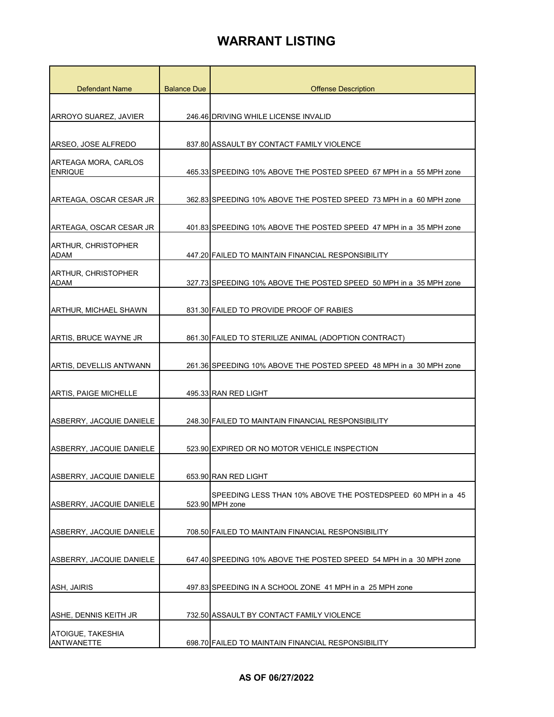| <b>Defendant Name</b>                  | <b>Balance Due</b> | <b>Offense Description</b>                                                     |
|----------------------------------------|--------------------|--------------------------------------------------------------------------------|
|                                        |                    |                                                                                |
| ARROYO SUAREZ, JAVIER                  |                    | 246.46 DRIVING WHILE LICENSE INVALID                                           |
|                                        |                    |                                                                                |
| ARSEO, JOSE ALFREDO                    |                    | 837.80 ASSAULT BY CONTACT FAMILY VIOLENCE                                      |
| ARTEAGA MORA, CARLOS<br><b>ENRIQUE</b> |                    | 465.33 SPEEDING 10% ABOVE THE POSTED SPEED 67 MPH in a 55 MPH zone             |
|                                        |                    |                                                                                |
| ARTEAGA, OSCAR CESAR JR                |                    | 362.83 SPEEDING 10% ABOVE THE POSTED SPEED 73 MPH in a 60 MPH zone             |
| ARTEAGA, OSCAR CESAR JR                |                    | 401.83 SPEEDING 10% ABOVE THE POSTED SPEED 47 MPH in a 35 MPH zone             |
| ARTHUR, CHRISTOPHER                    |                    |                                                                                |
| ADAM                                   |                    | 447.20 FAILED TO MAINTAIN FINANCIAL RESPONSIBILITY                             |
| <b>ARTHUR, CHRISTOPHER</b><br>ADAM     |                    | 327.73 SPEEDING 10% ABOVE THE POSTED SPEED 50 MPH in a 35 MPH zone             |
|                                        |                    |                                                                                |
| ARTHUR, MICHAEL SHAWN                  |                    | 831.30 FAILED TO PROVIDE PROOF OF RABIES                                       |
| ARTIS, BRUCE WAYNE JR                  |                    | 861.30 FAILED TO STERILIZE ANIMAL (ADOPTION CONTRACT)                          |
| ARTIS, DEVELLIS ANTWANN                |                    | 261.36 SPEEDING 10% ABOVE THE POSTED SPEED 48 MPH in a 30 MPH zone             |
|                                        |                    |                                                                                |
| ARTIS, PAIGE MICHELLE                  |                    | 495.33 RAN RED LIGHT                                                           |
| ASBERRY, JACQUIE DANIELE               |                    | 248.30 FAILED TO MAINTAIN FINANCIAL RESPONSIBILITY                             |
| ASBERRY, JACQUIE DANIELE               |                    | 523.90 EXPIRED OR NO MOTOR VEHICLE INSPECTION                                  |
|                                        |                    |                                                                                |
| ASBERRY, JACQUIE DANIELE               |                    | 653.90 RAN RED LIGHT                                                           |
| ASBERRY, JACQUIE DANIELE               |                    | SPEEDING LESS THAN 10% ABOVE THE POSTEDSPEED 60 MPH in a 45<br>523.90 MPH zone |
|                                        |                    |                                                                                |
| ASBERRY, JACQUIE DANIELE               |                    | 708.50 FAILED TO MAINTAIN FINANCIAL RESPONSIBILITY                             |
| ASBERRY, JACQUIE DANIELE               |                    | 647.40 SPEEDING 10% ABOVE THE POSTED SPEED 54 MPH in a 30 MPH zone             |
|                                        |                    |                                                                                |
| <b>ASH, JAIRIS</b>                     |                    | 497.83 SPEEDING IN A SCHOOL ZONE 41 MPH in a 25 MPH zone                       |
| ASHE, DENNIS KEITH JR                  |                    | 732.50 ASSAULT BY CONTACT FAMILY VIOLENCE                                      |
| <b>ATOIGUE, TAKESHIA</b>               |                    |                                                                                |
| <b>ANTWANETTE</b>                      |                    | 698.70 FAILED TO MAINTAIN FINANCIAL RESPONSIBILITY                             |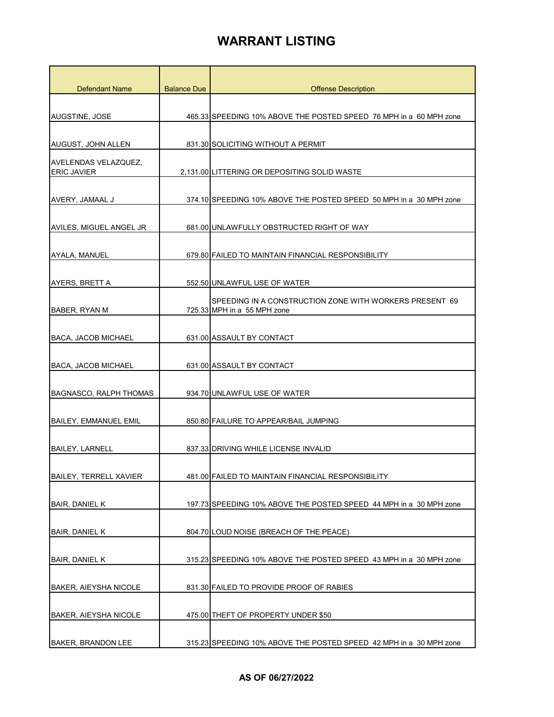| <b>Defendant Name</b>                      | <b>Balance Due</b> | <b>Offense Description</b>                                                             |
|--------------------------------------------|--------------------|----------------------------------------------------------------------------------------|
|                                            |                    |                                                                                        |
| AUGSTINE, JOSE                             |                    | 465.33 SPEEDING 10% ABOVE THE POSTED SPEED 76 MPH in a 60 MPH zone                     |
|                                            |                    |                                                                                        |
| AUGUST, JOHN ALLEN                         |                    | 831.30 SOLICITING WITHOUT A PERMIT                                                     |
| AVELENDAS VELAZQUEZ,<br><b>ERIC JAVIER</b> |                    | 2,131.00 LITTERING OR DEPOSITING SOLID WASTE                                           |
|                                            |                    |                                                                                        |
| AVERY, JAMAAL J                            |                    | 374.10 SPEEDING 10% ABOVE THE POSTED SPEED 50 MPH in a 30 MPH zone                     |
| AVILES, MIGUEL ANGEL JR                    |                    | 681.00 UNLAWFULLY OBSTRUCTED RIGHT OF WAY                                              |
|                                            |                    |                                                                                        |
| <b>AYALA, MANUEL</b>                       |                    | 679.80 FAILED TO MAINTAIN FINANCIAL RESPONSIBILITY                                     |
|                                            |                    |                                                                                        |
| AYERS, BRETT A                             |                    | 552.50 UNLAWFUL USE OF WATER                                                           |
| BABER, RYAN M                              |                    | SPEEDING IN A CONSTRUCTION ZONE WITH WORKERS PRESENT 69<br>725.33 MPH in a 55 MPH zone |
|                                            |                    |                                                                                        |
| BACA, JACOB MICHAEL                        |                    | 631.00 ASSAULT BY CONTACT                                                              |
|                                            |                    |                                                                                        |
| BACA, JACOB MICHAEL                        |                    | 631.00 ASSAULT BY CONTACT                                                              |
| BAGNASCO, RALPH THOMAS                     |                    | 934.70 UNLAWFUL USE OF WATER                                                           |
|                                            |                    |                                                                                        |
| <b>BAILEY, EMMANUEL EMIL</b>               |                    | 850.80 FAILURE TO APPEAR/BAIL JUMPING                                                  |
| <b>BAILEY, LARNELL</b>                     |                    | 837.33 DRIVING WHILE LICENSE INVALID                                                   |
|                                            |                    |                                                                                        |
| <b>BAILEY, TERRELL XAVIER</b>              |                    | 481.00 FAILED TO MAINTAIN FINANCIAL RESPONSIBILITY                                     |
| <b>BAIR, DANIEL K</b>                      |                    | 197.73 SPEEDING 10% ABOVE THE POSTED SPEED 44 MPH in a 30 MPH zone                     |
|                                            |                    |                                                                                        |
| <b>BAIR, DANIEL K</b>                      |                    | 804.70 LOUD NOISE (BREACH OF THE PEACE)                                                |
| <b>BAIR, DANIEL K</b>                      |                    | 315.23 SPEEDING 10% ABOVE THE POSTED SPEED 43 MPH in a 30 MPH zone                     |
|                                            |                    |                                                                                        |
| <b>BAKER, AIEYSHA NICOLE</b>               |                    | 831.30 FAILED TO PROVIDE PROOF OF RABIES                                               |
|                                            |                    |                                                                                        |
| <b>BAKER, AIEYSHA NICOLE</b>               |                    | 475.00 THEFT OF PROPERTY UNDER \$50                                                    |
| <b>BAKER, BRANDON LEE</b>                  |                    | 315.23 SPEEDING 10% ABOVE THE POSTED SPEED 42 MPH in a 30 MPH zone                     |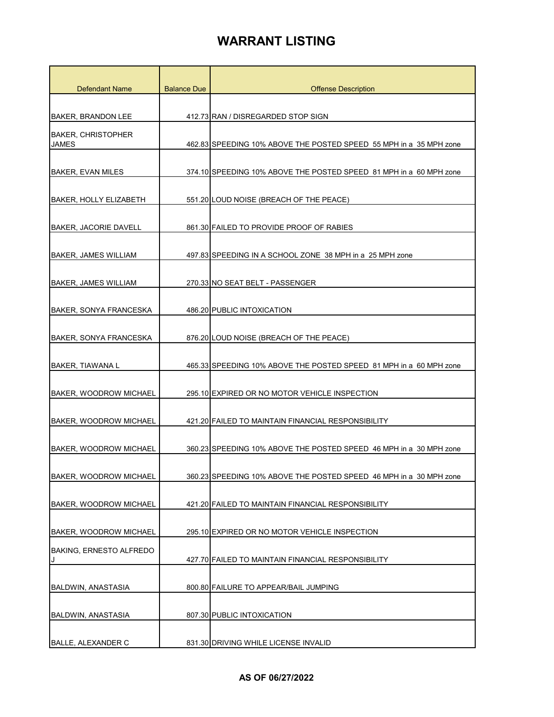| Defendant Name                | <b>Balance Due</b> | <b>Offense Description</b>                                         |
|-------------------------------|--------------------|--------------------------------------------------------------------|
|                               |                    |                                                                    |
| BAKER, BRANDON LEE            |                    | 412.73 RAN / DISREGARDED STOP SIGN                                 |
| <b>BAKER, CHRISTOPHER</b>     |                    |                                                                    |
| <b>JAMES</b>                  |                    | 462.83 SPEEDING 10% ABOVE THE POSTED SPEED 55 MPH in a 35 MPH zone |
| <b>BAKER, EVAN MILES</b>      |                    | 374.10 SPEEDING 10% ABOVE THE POSTED SPEED 81 MPH in a 60 MPH zone |
| <b>BAKER, HOLLY ELIZABETH</b> |                    | 551.20 LOUD NOISE (BREACH OF THE PEACE)                            |
| <b>BAKER, JACORIE DAVELL</b>  |                    | 861.30 FAILED TO PROVIDE PROOF OF RABIES                           |
| <b>BAKER, JAMES WILLIAM</b>   |                    | 497.83 SPEEDING IN A SCHOOL ZONE 38 MPH in a 25 MPH zone           |
|                               |                    |                                                                    |
| BAKER, JAMES WILLIAM          |                    | 270.33 NO SEAT BELT - PASSENGER                                    |
| BAKER, SONYA FRANCESKA        |                    | 486.20 PUBLIC INTOXICATION                                         |
|                               |                    |                                                                    |
| BAKER, SONYA FRANCESKA        |                    | 876.20 LOUD NOISE (BREACH OF THE PEACE)                            |
| <b>BAKER, TIAWANA L</b>       |                    | 465.33 SPEEDING 10% ABOVE THE POSTED SPEED 81 MPH in a 60 MPH zone |
| <b>BAKER, WOODROW MICHAEL</b> |                    | 295.10 EXPIRED OR NO MOTOR VEHICLE INSPECTION                      |
| <b>BAKER, WOODROW MICHAEL</b> |                    | 421.20 FAILED TO MAINTAIN FINANCIAL RESPONSIBILITY                 |
| <b>BAKER, WOODROW MICHAEL</b> |                    | 360.23 SPEEDING 10% ABOVE THE POSTED SPEED 46 MPH in a 30 MPH zone |
| BAKER, WOODROW MICHAEL        |                    | 360.23 SPEEDING 10% ABOVE THE POSTED SPEED 46 MPH in a 30 MPH zone |
| <b>BAKER, WOODROW MICHAEL</b> |                    | 421.20 FAILED TO MAINTAIN FINANCIAL RESPONSIBILITY                 |
| BAKER, WOODROW MICHAEL        |                    | 295.10 EXPIRED OR NO MOTOR VEHICLE INSPECTION                      |
| BAKING, ERNESTO ALFREDO       |                    |                                                                    |
|                               |                    | 427.70 FAILED TO MAINTAIN FINANCIAL RESPONSIBILITY                 |
| <b>BALDWIN, ANASTASIA</b>     |                    | 800.80 FAILURE TO APPEAR/BAIL JUMPING                              |
| BALDWIN, ANASTASIA            |                    | 807.30 PUBLIC INTOXICATION                                         |
|                               |                    |                                                                    |
| <b>BALLE, ALEXANDER C</b>     |                    | 831.30 DRIVING WHILE LICENSE INVALID                               |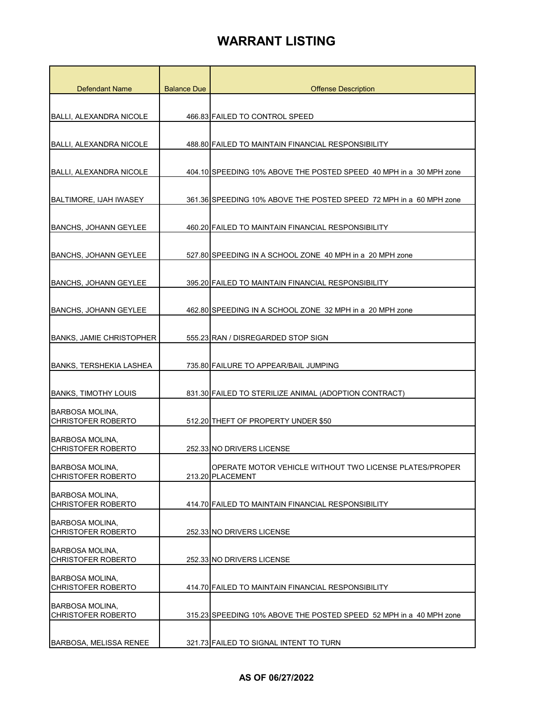| <b>Defendant Name</b>                 | <b>Balance Due</b> | <b>Offense Description</b>                                         |
|---------------------------------------|--------------------|--------------------------------------------------------------------|
|                                       |                    |                                                                    |
| <b>BALLI, ALEXANDRA NICOLE</b>        |                    | 466.83 FAILED TO CONTROL SPEED                                     |
|                                       |                    |                                                                    |
| BALLI, ALEXANDRA NICOLE               |                    | 488.80 FAILED TO MAINTAIN FINANCIAL RESPONSIBILITY                 |
|                                       |                    |                                                                    |
| BALLI. ALEXANDRA NICOLE               |                    | 404.10 SPEEDING 10% ABOVE THE POSTED SPEED 40 MPH in a 30 MPH zone |
|                                       |                    |                                                                    |
| BALTIMORE, IJAH IWASEY                |                    | 361.36 SPEEDING 10% ABOVE THE POSTED SPEED 72 MPH in a 60 MPH zone |
|                                       |                    |                                                                    |
| <b>BANCHS, JOHANN GEYLEE</b>          |                    | 460.20 FAILED TO MAINTAIN FINANCIAL RESPONSIBILITY                 |
|                                       |                    |                                                                    |
| <b>BANCHS, JOHANN GEYLEE</b>          |                    | 527.80 SPEEDING IN A SCHOOL ZONE 40 MPH in a 20 MPH zone           |
|                                       |                    |                                                                    |
| <b>BANCHS, JOHANN GEYLEE</b>          |                    | 395.20 FAILED TO MAINTAIN FINANCIAL RESPONSIBILITY                 |
|                                       |                    |                                                                    |
| <b>BANCHS, JOHANN GEYLEE</b>          |                    | 462.80 SPEEDING IN A SCHOOL ZONE 32 MPH in a 20 MPH zone           |
|                                       |                    |                                                                    |
| <b>BANKS, JAMIE CHRISTOPHER</b>       |                    | 555.23 RAN / DISREGARDED STOP SIGN                                 |
| BANKS, TERSHEKIA LASHEA               |                    | 735.80 FAILURE TO APPEAR/BAIL JUMPING                              |
|                                       |                    |                                                                    |
| <b>BANKS, TIMOTHY LOUIS</b>           |                    | 831.30 FAILED TO STERILIZE ANIMAL (ADOPTION CONTRACT)              |
|                                       |                    |                                                                    |
| BARBOSA MOLINA,<br>CHRISTOFER ROBERTO |                    | 512.20 THEFT OF PROPERTY UNDER \$50                                |
| <b>BARBOSA MOLINA.</b>                |                    |                                                                    |
| <b>CHRISTOFER ROBERTO</b>             |                    | 252.33 NO DRIVERS LICENSE                                          |
| <b>BARBOSA MOLINA,</b>                |                    | OPERATE MOTOR VEHICLE WITHOUT TWO LICENSE PLATES/PROPER            |
| CHRISTOFER ROBERTO                    |                    | 213.20 PLACEMENT                                                   |
| <b>BARBOSA MOLINA,</b>                |                    |                                                                    |
| <b>CHRISTOFER ROBERTO</b>             |                    | 414.70 FAILED TO MAINTAIN FINANCIAL RESPONSIBILITY                 |
| <b>BARBOSA MOLINA,</b>                |                    |                                                                    |
| CHRISTOFER ROBERTO                    |                    | 252.33 NO DRIVERS LICENSE                                          |
| BARBOSA MOLINA.                       |                    |                                                                    |
| <b>CHRISTOFER ROBERTO</b>             |                    | 252.33 NO DRIVERS LICENSE                                          |
| <b>BARBOSA MOLINA,</b>                |                    |                                                                    |
| <b>CHRISTOFER ROBERTO</b>             |                    | 414.70 FAILED TO MAINTAIN FINANCIAL RESPONSIBILITY                 |
| <b>BARBOSA MOLINA,</b>                |                    |                                                                    |
| <b>CHRISTOFER ROBERTO</b>             |                    | 315.23 SPEEDING 10% ABOVE THE POSTED SPEED 52 MPH in a 40 MPH zone |
| <b>BARBOSA, MELISSA RENEE</b>         |                    | 321.73 FAILED TO SIGNAL INTENT TO TURN                             |
|                                       |                    |                                                                    |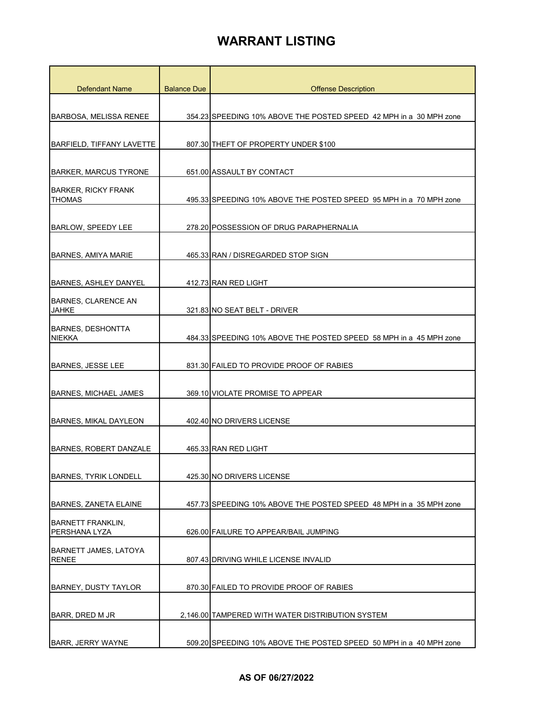| <b>Defendant Name</b>                        | <b>Balance Due</b> | <b>Offense Description</b>                                         |
|----------------------------------------------|--------------------|--------------------------------------------------------------------|
|                                              |                    |                                                                    |
| <b>BARBOSA, MELISSA RENEE</b>                |                    | 354.23 SPEEDING 10% ABOVE THE POSTED SPEED 42 MPH in a 30 MPH zone |
|                                              |                    |                                                                    |
| <b>BARFIELD, TIFFANY LAVETTE</b>             |                    | 807.30 THEFT OF PROPERTY UNDER \$100                               |
| <b>BARKER, MARCUS TYRONE</b>                 |                    | 651.00 ASSAULT BY CONTACT                                          |
| <b>BARKER, RICKY FRANK</b><br><b>THOMAS</b>  |                    | 495.33 SPEEDING 10% ABOVE THE POSTED SPEED 95 MPH in a 70 MPH zone |
| <b>BARLOW, SPEEDY LEE</b>                    |                    | 278.20 POSSESSION OF DRUG PARAPHERNALIA                            |
| <b>BARNES, AMIYA MARIE</b>                   |                    | 465.33 RAN / DISREGARDED STOP SIGN                                 |
| <b>BARNES, ASHLEY DANYEL</b>                 |                    | 412.73 RAN RED LIGHT                                               |
| <b>BARNES, CLARENCE AN</b><br><b>JAHKE</b>   |                    | 321.83 NO SEAT BELT - DRIVER                                       |
| <b>BARNES, DESHONTTA</b><br><b>NIEKKA</b>    |                    | 484.33 SPEEDING 10% ABOVE THE POSTED SPEED 58 MPH in a 45 MPH zone |
| <b>BARNES, JESSE LEE</b>                     |                    | 831.30 FAILED TO PROVIDE PROOF OF RABIES                           |
| <b>BARNES, MICHAEL JAMES</b>                 |                    | 369.10 VIOLATE PROMISE TO APPEAR                                   |
| <b>BARNES, MIKAL DAYLEON</b>                 |                    | 402.40 NO DRIVERS LICENSE                                          |
| BARNES, ROBERT DANZALE                       |                    | 465.33 RAN RED LIGHT                                               |
| <b>BARNES, TYRIK LONDELL</b>                 |                    | 425.30 NO DRIVERS LICENSE                                          |
| <b>BARNES, ZANETA ELAINE</b>                 |                    | 457.73 SPEEDING 10% ABOVE THE POSTED SPEED 48 MPH in a 35 MPH zone |
| <b>BARNETT FRANKLIN,</b><br>PERSHANA LYZA    |                    | 626.00 FAILURE TO APPEAR/BAIL JUMPING                              |
| <b>BARNETT JAMES, LATOYA</b><br><b>RENEE</b> |                    | 807.43 DRIVING WHILE LICENSE INVALID                               |
| <b>BARNEY, DUSTY TAYLOR</b>                  |                    | 870.30 FAILED TO PROVIDE PROOF OF RABIES                           |
| BARR, DRED M JR                              |                    | 2,146.00 TAMPERED WITH WATER DISTRIBUTION SYSTEM                   |
| BARR, JERRY WAYNE                            |                    | 509.20 SPEEDING 10% ABOVE THE POSTED SPEED 50 MPH in a 40 MPH zone |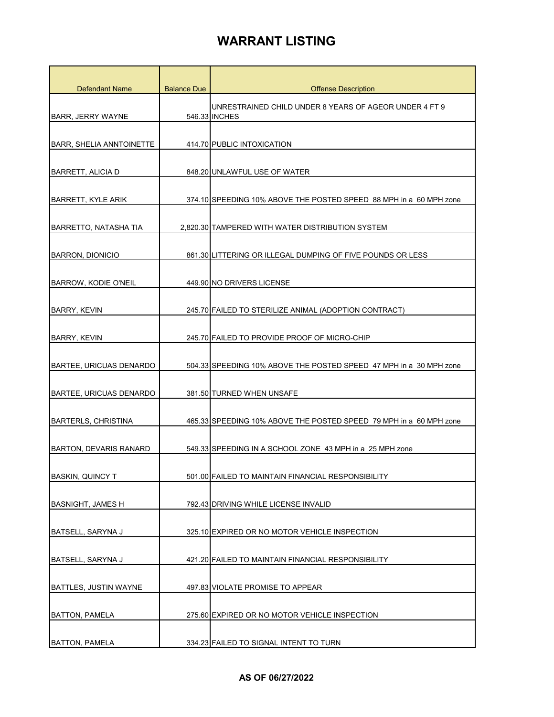| <b>Defendant Name</b>           | <b>Balance Due</b> | <b>Offense Description</b>                                              |
|---------------------------------|--------------------|-------------------------------------------------------------------------|
| <b>BARR, JERRY WAYNE</b>        |                    | UNRESTRAINED CHILD UNDER 8 YEARS OF AGEOR UNDER 4 FT 9<br>546.33 INCHES |
| <b>BARR, SHELIA ANNTOINETTE</b> |                    | 414.70 PUBLIC INTOXICATION                                              |
| <b>BARRETT, ALICIA D</b>        |                    | 848.20 UNLAWFUL USE OF WATER                                            |
| BARRETT, KYLE ARIK              |                    | 374.10 SPEEDING 10% ABOVE THE POSTED SPEED 88 MPH in a 60 MPH zone      |
| BARRETTO, NATASHA TIA           |                    | 2,820.30 TAMPERED WITH WATER DISTRIBUTION SYSTEM                        |
| <b>BARRON, DIONICIO</b>         |                    | 861.30 LITTERING OR ILLEGAL DUMPING OF FIVE POUNDS OR LESS              |
| <b>BARROW, KODIE O'NEIL</b>     |                    | 449.90 NO DRIVERS LICENSE                                               |
| <b>BARRY, KEVIN</b>             |                    | 245.70 FAILED TO STERILIZE ANIMAL (ADOPTION CONTRACT)                   |
| <b>BARRY, KEVIN</b>             |                    | 245.70 FAILED TO PROVIDE PROOF OF MICRO-CHIP                            |
| BARTEE, URICUAS DENARDO         |                    | 504.33 SPEEDING 10% ABOVE THE POSTED SPEED 47 MPH in a 30 MPH zone      |
| BARTEE, URICUAS DENARDO         |                    | 381.50 TURNED WHEN UNSAFE                                               |
| <b>BARTERLS, CHRISTINA</b>      |                    | 465.33 SPEEDING 10% ABOVE THE POSTED SPEED 79 MPH in a 60 MPH zone      |
| <b>BARTON, DEVARIS RANARD</b>   |                    | 549.33 SPEEDING IN A SCHOOL ZONE 43 MPH in a 25 MPH zone                |
| BASKIN, QUINCY T                |                    | 501.00 FAILED TO MAINTAIN FINANCIAL RESPONSIBILITY                      |
| <b>BASNIGHT, JAMES H</b>        |                    | 792.43 DRIVING WHILE LICENSE INVALID                                    |
| BATSELL, SARYNA J               |                    | 325.10 EXPIRED OR NO MOTOR VEHICLE INSPECTION                           |
| BATSELL, SARYNA J               |                    | 421.20 FAILED TO MAINTAIN FINANCIAL RESPONSIBILITY                      |
| <b>BATTLES, JUSTIN WAYNE</b>    |                    | 497.83 VIOLATE PROMISE TO APPEAR                                        |
| <b>BATTON, PAMELA</b>           |                    | 275.60 EXPIRED OR NO MOTOR VEHICLE INSPECTION                           |
| <b>BATTON, PAMELA</b>           |                    | 334.23 FAILED TO SIGNAL INTENT TO TURN                                  |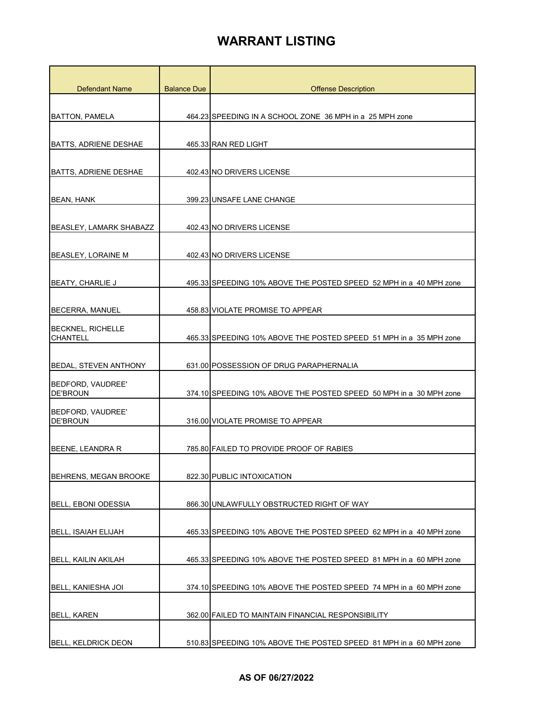| <b>Defendant Name</b>                       | <b>Balance Due</b> | <b>Offense Description</b>                                         |
|---------------------------------------------|--------------------|--------------------------------------------------------------------|
|                                             |                    |                                                                    |
| <b>BATTON, PAMELA</b>                       |                    | 464.23 SPEEDING IN A SCHOOL ZONE 36 MPH in a 25 MPH zone           |
|                                             |                    |                                                                    |
| <b>BATTS, ADRIENE DESHAE</b>                |                    | 465.33 RAN RED LIGHT                                               |
| <b>BATTS, ADRIENE DESHAE</b>                |                    | 402.43 NO DRIVERS LICENSE                                          |
|                                             |                    |                                                                    |
| <b>BEAN, HANK</b>                           |                    | 399.23 UNSAFE LANE CHANGE                                          |
|                                             |                    |                                                                    |
| BEASLEY, LAMARK SHABAZZ                     |                    | 402.43 NO DRIVERS LICENSE                                          |
| BEASLEY, LORAINE M                          |                    | 402.43 NO DRIVERS LICENSE                                          |
|                                             |                    |                                                                    |
| BEATY, CHARLIE J                            |                    | 495.33 SPEEDING 10% ABOVE THE POSTED SPEED 52 MPH in a 40 MPH zone |
| BECERRA, MANUEL                             |                    | 458.83 VIOLATE PROMISE TO APPEAR                                   |
|                                             |                    |                                                                    |
| <b>BECKNEL, RICHELLE</b><br><b>CHANTELL</b> |                    | 465.33 SPEEDING 10% ABOVE THE POSTED SPEED 51 MPH in a 35 MPH zone |
|                                             |                    |                                                                    |
| BEDAL, STEVEN ANTHONY                       |                    | 631.00 POSSESSION OF DRUG PARAPHERNALIA                            |
| BEDFORD, VAUDREE'<br><b>DE'BROUN</b>        |                    | 374.10 SPEEDING 10% ABOVE THE POSTED SPEED 50 MPH in a 30 MPH zone |
| <b>BEDFORD, VAUDREE'</b>                    |                    |                                                                    |
| <b>DE'BROUN</b>                             |                    | 316.00 VIOLATE PROMISE TO APPEAR                                   |
|                                             |                    |                                                                    |
| <b>BEENE, LEANDRA R</b>                     |                    | 785.80 FAILED TO PROVIDE PROOF OF RABIES                           |
| BEHRENS, MEGAN BROOKE                       |                    | 822.30 PUBLIC INTOXICATION                                         |
|                                             |                    |                                                                    |
| BELL, EBONI ODESSIA                         |                    | 866.30 UNLAWFULLY OBSTRUCTED RIGHT OF WAY                          |
| BELL, ISAIAH ELIJAH                         |                    | 465.33 SPEEDING 10% ABOVE THE POSTED SPEED 62 MPH in a 40 MPH zone |
|                                             |                    |                                                                    |
| <b>BELL, KAILIN AKILAH</b>                  |                    | 465.33 SPEEDING 10% ABOVE THE POSTED SPEED 81 MPH in a 60 MPH zone |
|                                             |                    |                                                                    |
| BELL, KANIESHA JOI                          |                    | 374.10 SPEEDING 10% ABOVE THE POSTED SPEED 74 MPH in a 60 MPH zone |
| <b>BELL, KAREN</b>                          |                    | 362.00 FAILED TO MAINTAIN FINANCIAL RESPONSIBILITY                 |
|                                             |                    |                                                                    |
| <b>BELL, KELDRICK DEON</b>                  |                    | 510.83 SPEEDING 10% ABOVE THE POSTED SPEED 81 MPH in a 60 MPH zone |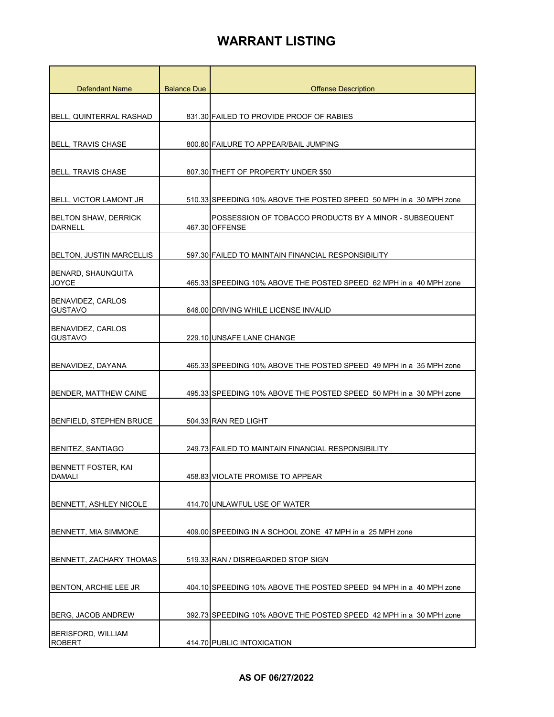| <b>Defendant Name</b>                         | <b>Balance Due</b> | <b>Offense Description</b>                                               |
|-----------------------------------------------|--------------------|--------------------------------------------------------------------------|
|                                               |                    |                                                                          |
| BELL, QUINTERRAL RASHAD                       |                    | 831.30 FAILED TO PROVIDE PROOF OF RABIES                                 |
|                                               |                    |                                                                          |
| <b>BELL, TRAVIS CHASE</b>                     |                    | 800.80 FAILURE TO APPEAR/BAIL JUMPING                                    |
| BELL, TRAVIS CHASE                            |                    | 807.30 THEFT OF PROPERTY UNDER \$50                                      |
| <b>BELL, VICTOR LAMONT JR</b>                 |                    | 510.33 SPEEDING 10% ABOVE THE POSTED SPEED 50 MPH in a 30 MPH zone       |
| <b>BELTON SHAW, DERRICK</b><br><b>DARNELL</b> |                    | POSSESSION OF TOBACCO PRODUCTS BY A MINOR - SUBSEQUENT<br>467.30 OFFENSE |
| <b>BELTON, JUSTIN MARCELLIS</b>               |                    | 597.30 FAILED TO MAINTAIN FINANCIAL RESPONSIBILITY                       |
| BENARD, SHAUNQUITA<br><b>JOYCE</b>            |                    | 465.33 SPEEDING 10% ABOVE THE POSTED SPEED 62 MPH in a 40 MPH zone       |
| <b>BENAVIDEZ, CARLOS</b><br><b>GUSTAVO</b>    |                    | 646.00 DRIVING WHILE LICENSE INVALID                                     |
| BENAVIDEZ, CARLOS<br><b>GUSTAVO</b>           |                    | 229.10 UNSAFE LANE CHANGE                                                |
| BENAVIDEZ, DAYANA                             |                    | 465.33 SPEEDING 10% ABOVE THE POSTED SPEED 49 MPH in a 35 MPH zone       |
| <b>BENDER, MATTHEW CAINE</b>                  |                    | 495.33 SPEEDING 10% ABOVE THE POSTED SPEED 50 MPH in a 30 MPH zone       |
| <b>BENFIELD, STEPHEN BRUCE</b>                |                    | 504.33 RAN RED LIGHT                                                     |
| <b>BENITEZ, SANTIAGO</b>                      |                    | 249.73 FAILED TO MAINTAIN FINANCIAL RESPONSIBILITY                       |
| <b>BENNETT FOSTER, KAI</b><br><b>DAMALI</b>   |                    | 458.83 VIOLATE PROMISE TO APPEAR                                         |
| <b>BENNETT, ASHLEY NICOLE</b>                 |                    | 414.70 UNLAWFUL USE OF WATER                                             |
| BENNETT, MIA SIMMONE                          |                    | 409.00 SPEEDING IN A SCHOOL ZONE 47 MPH in a 25 MPH zone                 |
| BENNETT, ZACHARY THOMAS                       |                    | 519.33 RAN / DISREGARDED STOP SIGN                                       |
| BENTON, ARCHIE LEE JR                         |                    | 404.10 SPEEDING 10% ABOVE THE POSTED SPEED 94 MPH in a 40 MPH zone       |
| BERG, JACOB ANDREW                            |                    | 392.73 SPEEDING 10% ABOVE THE POSTED SPEED 42 MPH in a 30 MPH zone       |
| <b>BERISFORD, WILLIAM</b><br><b>ROBERT</b>    |                    | 414.70 PUBLIC INTOXICATION                                               |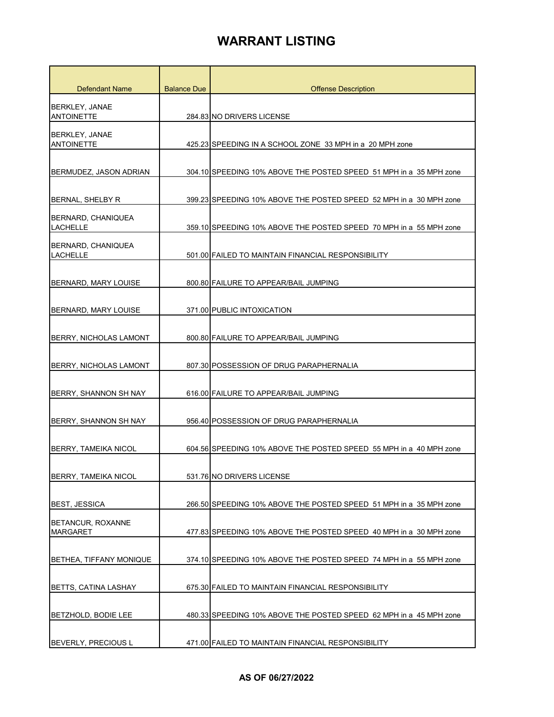| <b>Defendant Name</b>                       | <b>Balance Due</b> | <b>Offense Description</b>                                         |
|---------------------------------------------|--------------------|--------------------------------------------------------------------|
| BERKLEY, JANAE<br><b>ANTOINETTE</b>         |                    | 284.83 NO DRIVERS LICENSE                                          |
| <b>BERKLEY, JANAE</b>                       |                    |                                                                    |
| <b>ANTOINETTE</b>                           |                    | 425.23 SPEEDING IN A SCHOOL ZONE 33 MPH in a 20 MPH zone           |
| BERMUDEZ, JASON ADRIAN                      |                    | 304.10 SPEEDING 10% ABOVE THE POSTED SPEED 51 MPH in a 35 MPH zone |
| BERNAL, SHELBY R                            |                    | 399.23 SPEEDING 10% ABOVE THE POSTED SPEED 52 MPH in a 30 MPH zone |
| BERNARD, CHANIQUEA<br><b>LACHELLE</b>       |                    | 359.10 SPEEDING 10% ABOVE THE POSTED SPEED 70 MPH in a 55 MPH zone |
| BERNARD, CHANIQUEA<br><b>LACHELLE</b>       |                    | 501.00 FAILED TO MAINTAIN FINANCIAL RESPONSIBILITY                 |
| BERNARD, MARY LOUISE                        |                    | 800.80 FAILURE TO APPEAR/BAIL JUMPING                              |
| BERNARD, MARY LOUISE                        |                    | 371.00 PUBLIC INTOXICATION                                         |
| BERRY, NICHOLAS LAMONT                      |                    | 800.80 FAILURE TO APPEAR/BAIL JUMPING                              |
| <b>BERRY, NICHOLAS LAMONT</b>               |                    | 807.30 POSSESSION OF DRUG PARAPHERNALIA                            |
| BERRY, SHANNON SH NAY                       |                    | 616.00 FAILURE TO APPEAR/BAIL JUMPING                              |
| BERRY, SHANNON SH NAY                       |                    | 956.40 POSSESSION OF DRUG PARAPHERNALIA                            |
| <b>BERRY, TAMEIKA NICOL</b>                 |                    | 604.56 SPEEDING 10% ABOVE THE POSTED SPEED 55 MPH in a 40 MPH zone |
| <b>BERRY, TAMEIKA NICOL</b>                 |                    | 531.76 NO DRIVERS LICENSE                                          |
| <b>BEST, JESSICA</b>                        |                    | 266,50 SPEEDING 10% ABOVE THE POSTED SPEED 51 MPH in a 35 MPH zone |
| <b>BETANCUR, ROXANNE</b><br><b>MARGARET</b> |                    | 477.83 SPEEDING 10% ABOVE THE POSTED SPEED 40 MPH in a 30 MPH zone |
| BETHEA, TIFFANY MONIQUE                     |                    | 374.10 SPEEDING 10% ABOVE THE POSTED SPEED 74 MPH in a 55 MPH zone |
| <b>BETTS, CATINA LASHAY</b>                 |                    | 675.30 FAILED TO MAINTAIN FINANCIAL RESPONSIBILITY                 |
| BETZHOLD, BODIE LEE                         |                    | 480.33 SPEEDING 10% ABOVE THE POSTED SPEED 62 MPH in a 45 MPH zone |
| BEVERLY, PRECIOUS L                         |                    | 471.00 FAILED TO MAINTAIN FINANCIAL RESPONSIBILITY                 |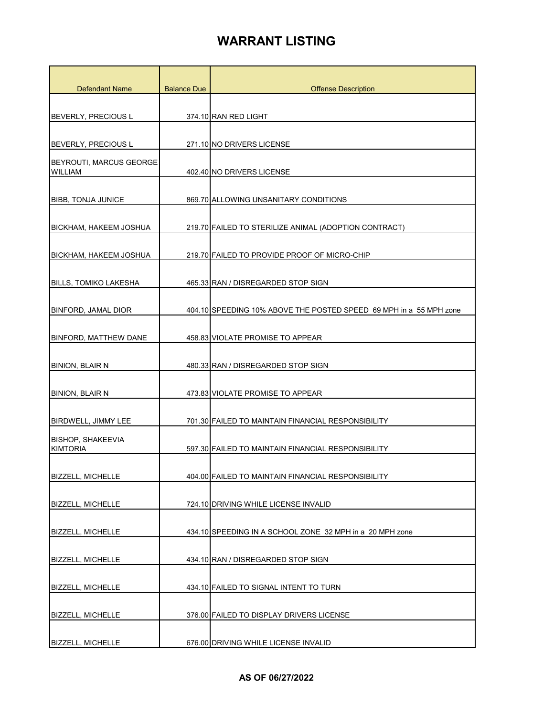| <b>Defendant Name</b>                       | <b>Balance Due</b> | <b>Offense Description</b>                                         |
|---------------------------------------------|--------------------|--------------------------------------------------------------------|
|                                             |                    |                                                                    |
| BEVERLY, PRECIOUS L                         |                    | 374.10 RAN RED LIGHT                                               |
|                                             |                    |                                                                    |
| BEVERLY, PRECIOUS L                         |                    | 271.10 NO DRIVERS LICENSE                                          |
| BEYROUTI, MARCUS GEORGE<br><b>WILLIAM</b>   |                    | 402.40 NO DRIVERS LICENSE                                          |
| <b>BIBB, TONJA JUNICE</b>                   |                    | 869.70 ALLOWING UNSANITARY CONDITIONS                              |
| BICKHAM, HAKEEM JOSHUA                      |                    | 219.70 FAILED TO STERILIZE ANIMAL (ADOPTION CONTRACT)              |
| <b>BICKHAM, HAKEEM JOSHUA</b>               |                    | 219.70 FAILED TO PROVIDE PROOF OF MICRO-CHIP                       |
| <b>BILLS, TOMIKO LAKESHA</b>                |                    | 465.33 RAN / DISREGARDED STOP SIGN                                 |
| <b>BINFORD, JAMAL DIOR</b>                  |                    | 404.10 SPEEDING 10% ABOVE THE POSTED SPEED 69 MPH in a 55 MPH zone |
| <b>BINFORD, MATTHEW DANE</b>                |                    | 458.83 VIOLATE PROMISE TO APPEAR                                   |
| <b>BINION, BLAIR N</b>                      |                    | 480.33 RAN / DISREGARDED STOP SIGN                                 |
| <b>BINION, BLAIR N</b>                      |                    | 473.83 VIOLATE PROMISE TO APPEAR                                   |
| <b>BIRDWELL, JIMMY LEE</b>                  |                    | 701.30 FAILED TO MAINTAIN FINANCIAL RESPONSIBILITY                 |
| <b>BISHOP, SHAKEEVIA</b><br><b>KIMTORIA</b> |                    | 597.30 FAILED TO MAINTAIN FINANCIAL RESPONSIBILITY                 |
| <b>BIZZELL, MICHELLE</b>                    |                    | 404.00 FAILED TO MAINTAIN FINANCIAL RESPONSIBILITY                 |
| <b>BIZZELL, MICHELLE</b>                    |                    | 724.10 DRIVING WHILE LICENSE INVALID                               |
| <b>BIZZELL, MICHELLE</b>                    |                    | 434.10 SPEEDING IN A SCHOOL ZONE 32 MPH in a 20 MPH zone           |
| <b>BIZZELL, MICHELLE</b>                    |                    | 434.10 RAN / DISREGARDED STOP SIGN                                 |
| <b>BIZZELL, MICHELLE</b>                    |                    | 434.10 FAILED TO SIGNAL INTENT TO TURN                             |
| <b>BIZZELL, MICHELLE</b>                    |                    | 376.00 FAILED TO DISPLAY DRIVERS LICENSE                           |
| <b>BIZZELL, MICHELLE</b>                    |                    | 676.00 DRIVING WHILE LICENSE INVALID                               |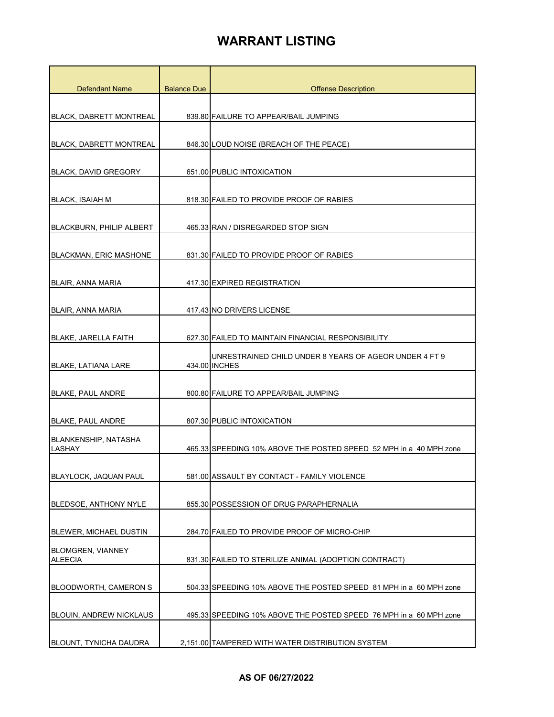| <b>Defendant Name</b>                 | <b>Balance Due</b> | <b>Offense Description</b>                                              |
|---------------------------------------|--------------------|-------------------------------------------------------------------------|
|                                       |                    |                                                                         |
| <b>BLACK, DABRETT MONTREAL</b>        |                    | 839.80 FAILURE TO APPEAR/BAIL JUMPING                                   |
|                                       |                    |                                                                         |
| <b>BLACK, DABRETT MONTREAL</b>        |                    | 846.30 LOUD NOISE (BREACH OF THE PEACE)                                 |
| <b>BLACK, DAVID GREGORY</b>           |                    | 651.00 PUBLIC INTOXICATION                                              |
|                                       |                    |                                                                         |
| <b>BLACK, ISAIAH M</b>                |                    | 818.30 FAILED TO PROVIDE PROOF OF RABIES                                |
| <b>BLACKBURN, PHILIP ALBERT</b>       |                    | 465.33 RAN / DISREGARDED STOP SIGN                                      |
|                                       |                    |                                                                         |
| <b>BLACKMAN, ERIC MASHONE</b>         |                    | 831.30 FAILED TO PROVIDE PROOF OF RABIES                                |
|                                       |                    |                                                                         |
| BLAIR, ANNA MARIA                     |                    | 417.30 EXPIRED REGISTRATION                                             |
| <b>BLAIR, ANNA MARIA</b>              |                    | 417.43 NO DRIVERS LICENSE                                               |
|                                       |                    |                                                                         |
| <b>BLAKE, JARELLA FAITH</b>           |                    | 627.30 FAILED TO MAINTAIN FINANCIAL RESPONSIBILITY                      |
| <b>BLAKE, LATIANA LARE</b>            |                    | UNRESTRAINED CHILD UNDER 8 YEARS OF AGEOR UNDER 4 FT 9<br>434.00 INCHES |
| <b>BLAKE, PAUL ANDRE</b>              |                    | 800.80 FAILURE TO APPEAR/BAIL JUMPING                                   |
|                                       |                    |                                                                         |
| <b>BLAKE, PAUL ANDRE</b>              |                    | 807.30 PUBLIC INTOXICATION                                              |
| <b>BLANKENSHIP, NATASHA</b><br>LASHAY |                    | 465.33 SPEEDING 10% ABOVE THE POSTED SPEED 52 MPH in a 40 MPH zone      |
|                                       |                    |                                                                         |
| BLAYLOCK, JAQUAN PAUL                 |                    | 581.00 ASSAULT BY CONTACT - FAMILY VIOLENCE                             |
|                                       |                    |                                                                         |
| <b>BLEDSOE, ANTHONY NYLE</b>          |                    | 855.30 POSSESSION OF DRUG PARAPHERNALIA                                 |
| <b>BLEWER, MICHAEL DUSTIN</b>         |                    | 284.70 FAILED TO PROVIDE PROOF OF MICRO-CHIP                            |
| <b>BLOMGREN, VIANNEY</b>              |                    |                                                                         |
| <b>ALEECIA</b>                        |                    | 831.30 FAILED TO STERILIZE ANIMAL (ADOPTION CONTRACT)                   |
| <b>BLOODWORTH, CAMERON S</b>          |                    | 504.33 SPEEDING 10% ABOVE THE POSTED SPEED 81 MPH in a 60 MPH zone      |
|                                       |                    |                                                                         |
| <b>BLOUIN, ANDREW NICKLAUS</b>        |                    | 495.33 SPEEDING 10% ABOVE THE POSTED SPEED 76 MPH in a 60 MPH zone      |
|                                       |                    |                                                                         |
| <b>BLOUNT, TYNICHA DAUDRA</b>         |                    | 2,151.00 TAMPERED WITH WATER DISTRIBUTION SYSTEM                        |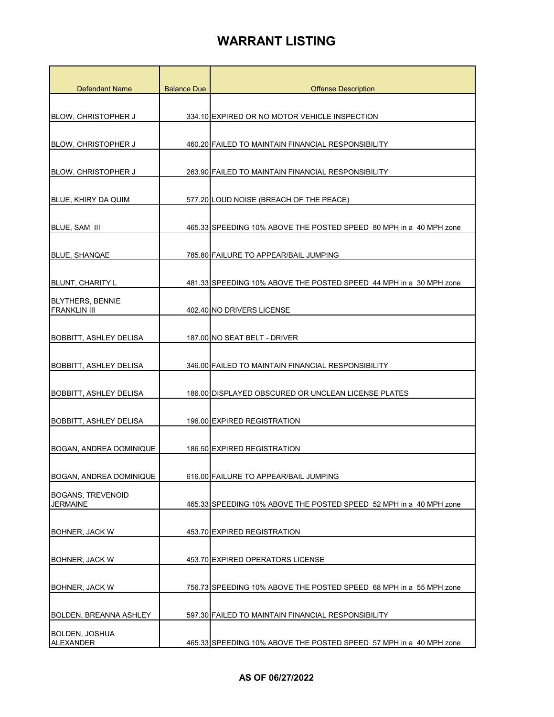| <b>Defendant Name</b>                          | <b>Balance Due</b> | <b>Offense Description</b>                                         |
|------------------------------------------------|--------------------|--------------------------------------------------------------------|
|                                                |                    |                                                                    |
| <b>BLOW, CHRISTOPHER J</b>                     |                    | 334.10 EXPIRED OR NO MOTOR VEHICLE INSPECTION                      |
| BLOW, CHRISTOPHER J                            |                    | 460.20 FAILED TO MAINTAIN FINANCIAL RESPONSIBILITY                 |
|                                                |                    |                                                                    |
| <b>BLOW, CHRISTOPHER J</b>                     |                    | 263.90 FAILED TO MAINTAIN FINANCIAL RESPONSIBILITY                 |
| <b>BLUE, KHIRY DA QUIM</b>                     |                    | 577.20 LOUD NOISE (BREACH OF THE PEACE)                            |
| BLUE, SAM III                                  |                    | 465.33 SPEEDING 10% ABOVE THE POSTED SPEED 80 MPH in a 40 MPH zone |
| <b>BLUE, SHANQAE</b>                           |                    | 785.80 FAILURE TO APPEAR/BAIL JUMPING                              |
| <b>BLUNT, CHARITY L</b>                        |                    | 481.33 SPEEDING 10% ABOVE THE POSTED SPEED 44 MPH in a 30 MPH zone |
| <b>BLYTHERS, BENNIE</b><br><b>FRANKLIN III</b> |                    | 402.40 NO DRIVERS LICENSE                                          |
| <b>BOBBITT, ASHLEY DELISA</b>                  |                    | 187.00 NO SEAT BELT - DRIVER                                       |
| <b>BOBBITT, ASHLEY DELISA</b>                  |                    | 346.00 FAILED TO MAINTAIN FINANCIAL RESPONSIBILITY                 |
| BOBBITT, ASHLEY DELISA                         |                    | 186.00 DISPLAYED OBSCURED OR UNCLEAN LICENSE PLATES                |
| BOBBITT, ASHLEY DELISA                         |                    | 196.00 EXPIRED REGISTRATION                                        |
| <b>BOGAN, ANDREA DOMINIQUE</b>                 |                    | 186.50 EXPIRED REGISTRATION                                        |
| BOGAN, ANDREA DOMINIQUE                        |                    | 616.00 FAILURE TO APPEAR/BAIL JUMPING                              |
| <b>BOGANS, TREVENOID</b><br><b>JERMAINE</b>    |                    | 465.33 SPEEDING 10% ABOVE THE POSTED SPEED 52 MPH in a 40 MPH zone |
| <b>BOHNER, JACK W</b>                          |                    | 453.70 EXPIRED REGISTRATION                                        |
| <b>BOHNER, JACK W</b>                          |                    | 453.70 EXPIRED OPERATORS LICENSE                                   |
| BOHNER, JACK W                                 |                    | 756.73 SPEEDING 10% ABOVE THE POSTED SPEED 68 MPH in a 55 MPH zone |
| <b>BOLDEN, BREANNA ASHLEY</b>                  |                    | 597.30 FAILED TO MAINTAIN FINANCIAL RESPONSIBILITY                 |
| BOLDEN, JOSHUA<br>ALEXANDER                    |                    | 465.33 SPEEDING 10% ABOVE THE POSTED SPEED 57 MPH in a 40 MPH zone |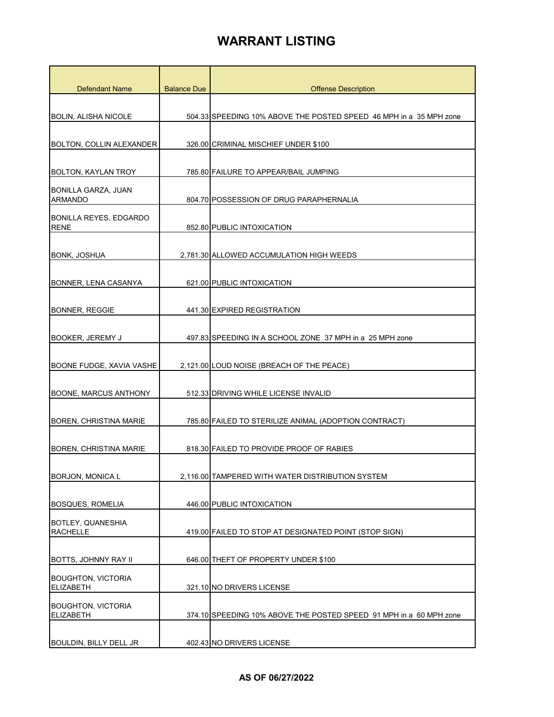| <b>Defendant Name</b>                         | <b>Balance Due</b> | <b>Offense Description</b>                                         |
|-----------------------------------------------|--------------------|--------------------------------------------------------------------|
|                                               |                    |                                                                    |
| BOLIN. ALISHA NICOLE                          |                    | 504.33 SPEEDING 10% ABOVE THE POSTED SPEED 46 MPH in a 35 MPH zone |
|                                               |                    |                                                                    |
| <b>BOLTON, COLLIN ALEXANDER</b>               |                    | 326.00 CRIMINAL MISCHIEF UNDER \$100                               |
|                                               |                    |                                                                    |
| BOLTON, KAYLAN TROY                           |                    | 785.80 FAILURE TO APPEAR/BAIL JUMPING                              |
| <b>BONILLA GARZA, JUAN</b><br><b>ARMANDO</b>  |                    | 804.70 POSSESSION OF DRUG PARAPHERNALIA                            |
| <b>BONILLA REYES, EDGARDO</b><br><b>RENE</b>  |                    | 852.80 PUBLIC INTOXICATION                                         |
| <b>BONK, JOSHUA</b>                           |                    | 2,781.30 ALLOWED ACCUMULATION HIGH WEEDS                           |
| BONNER, LENA CASANYA                          |                    | 621.00 PUBLIC INTOXICATION                                         |
|                                               |                    |                                                                    |
| <b>BONNER, REGGIE</b>                         |                    | 441.30 EXPIRED REGISTRATION                                        |
| <b>BOOKER, JEREMY J</b>                       |                    | 497.83 SPEEDING IN A SCHOOL ZONE 37 MPH in a 25 MPH zone           |
| BOONE FUDGE, XAVIA VASHE                      |                    | 2,121.00 LOUD NOISE (BREACH OF THE PEACE)                          |
| <b>BOONE, MARCUS ANTHONY</b>                  |                    | 512.33 DRIVING WHILE LICENSE INVALID                               |
| <b>BOREN, CHRISTINA MARIE</b>                 |                    | 785.80 FAILED TO STERILIZE ANIMAL (ADOPTION CONTRACT)              |
| <b>BOREN, CHRISTINA MARIE</b>                 |                    | 818.30 FAILED TO PROVIDE PROOF OF RABIES                           |
| <b>BORJON, MONICA L</b>                       |                    | 2,116.00 TAMPERED WITH WATER DISTRIBUTION SYSTEM                   |
| <b>BOSQUES, ROMELIA</b>                       |                    | 446.00 PUBLIC INTOXICATION                                         |
| <b>BOTLEY, QUANESHIA</b><br><b>RACHELLE</b>   |                    | 419.00 FAILED TO STOP AT DESIGNATED POINT (STOP SIGN)              |
|                                               |                    |                                                                    |
| <b>BOTTS, JOHNNY RAY II</b>                   |                    | 646.00 THEFT OF PROPERTY UNDER \$100                               |
| <b>BOUGHTON, VICTORIA</b><br><b>ELIZABETH</b> |                    | 321.10 NO DRIVERS LICENSE                                          |
| <b>BOUGHTON, VICTORIA</b><br><b>ELIZABETH</b> |                    | 374.10 SPEEDING 10% ABOVE THE POSTED SPEED 91 MPH in a 60 MPH zone |
| BOULDIN, BILLY DELL JR                        |                    | 402.43 NO DRIVERS LICENSE                                          |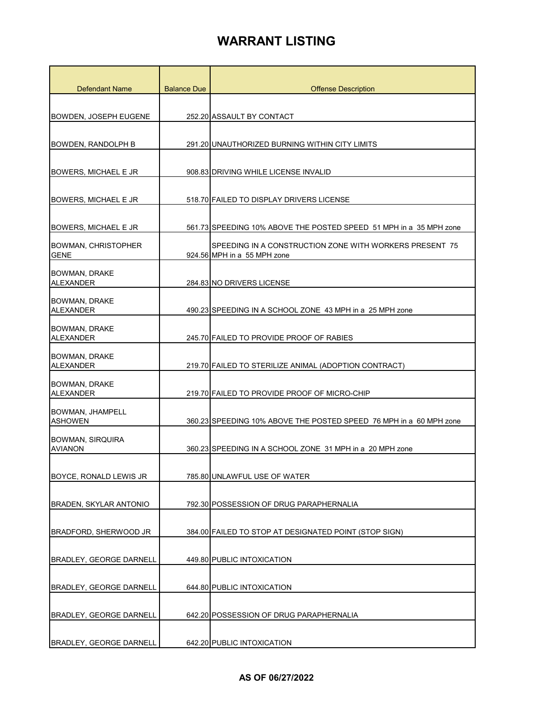| <b>Defendant Name</b>                     | <b>Balance Due</b> | <b>Offense Description</b>                                                             |
|-------------------------------------------|--------------------|----------------------------------------------------------------------------------------|
|                                           |                    |                                                                                        |
| BOWDEN, JOSEPH EUGENE                     |                    | 252.20 ASSAULT BY CONTACT                                                              |
|                                           |                    |                                                                                        |
| <b>BOWDEN, RANDOLPH B</b>                 |                    | 291.20 UNAUTHORIZED BURNING WITHIN CITY LIMITS                                         |
| BOWERS, MICHAEL E JR                      |                    | 908.83 DRIVING WHILE LICENSE INVALID                                                   |
| <b>BOWERS, MICHAEL E JR</b>               |                    | 518.70 FAILED TO DISPLAY DRIVERS LICENSE                                               |
| BOWERS, MICHAEL E JR                      |                    | 561.73 SPEEDING 10% ABOVE THE POSTED SPEED 51 MPH in a 35 MPH zone                     |
| BOWMAN, CHRISTOPHER<br><b>GENE</b>        |                    | SPEEDING IN A CONSTRUCTION ZONE WITH WORKERS PRESENT 75<br>924.56 MPH in a 55 MPH zone |
| <b>BOWMAN, DRAKE</b><br><b>ALEXANDER</b>  |                    | 284.83 NO DRIVERS LICENSE                                                              |
| <b>BOWMAN, DRAKE</b><br><b>ALEXANDER</b>  |                    | 490.23 SPEEDING IN A SCHOOL ZONE 43 MPH in a 25 MPH zone                               |
| <b>BOWMAN, DRAKE</b><br><b>ALEXANDER</b>  |                    | 245.70 FAILED TO PROVIDE PROOF OF RABIES                                               |
| <b>BOWMAN, DRAKE</b><br><b>ALEXANDER</b>  |                    | 219.70 FAILED TO STERILIZE ANIMAL (ADOPTION CONTRACT)                                  |
| <b>BOWMAN, DRAKE</b><br><b>ALEXANDER</b>  |                    | 219.70 FAILED TO PROVIDE PROOF OF MICRO-CHIP                                           |
| BOWMAN, JHAMPELL<br><b>ASHOWEN</b>        |                    | 360.23 SPEEDING 10% ABOVE THE POSTED SPEED 76 MPH in a 60 MPH zone                     |
| <b>BOWMAN, SIRQUIRA</b><br><b>AVIANON</b> |                    | 360.23 SPEEDING IN A SCHOOL ZONE 31 MPH in a 20 MPH zone                               |
| BOYCE, RONALD LEWIS JR                    |                    | 785.80 UNLAWFUL USE OF WATER                                                           |
| <b>BRADEN, SKYLAR ANTONIO</b>             |                    | 792.30 POSSESSION OF DRUG PARAPHERNALIA                                                |
| BRADFORD, SHERWOOD JR                     |                    | 384.00 FAILED TO STOP AT DESIGNATED POINT (STOP SIGN)                                  |
| BRADLEY, GEORGE DARNELL                   |                    | 449.80 PUBLIC INTOXICATION                                                             |
| BRADLEY, GEORGE DARNELL                   |                    | 644.80 PUBLIC INTOXICATION                                                             |
| <b>BRADLEY, GEORGE DARNELL</b>            |                    | 642.20 POSSESSION OF DRUG PARAPHERNALIA                                                |
| <b>BRADLEY, GEORGE DARNELL</b>            |                    | 642.20 PUBLIC INTOXICATION                                                             |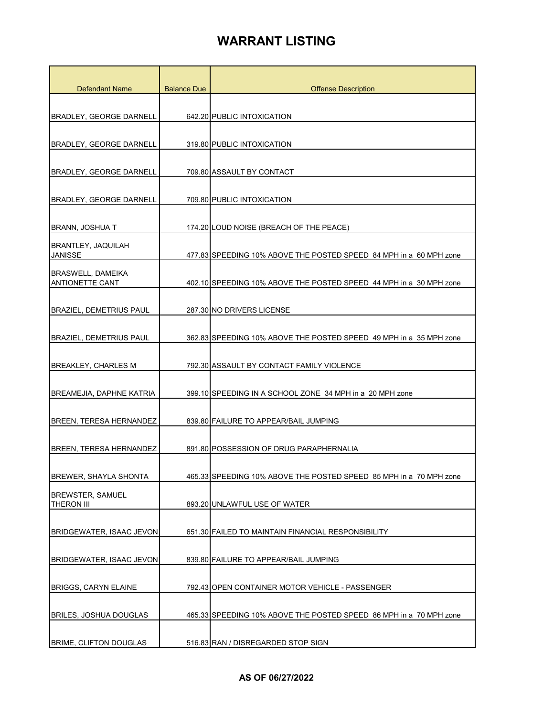| <b>Defendant Name</b>           | <b>Balance Due</b> | <b>Offense Description</b>                                         |
|---------------------------------|--------------------|--------------------------------------------------------------------|
|                                 |                    |                                                                    |
| <b>BRADLEY, GEORGE DARNELL</b>  |                    | 642.20 PUBLIC INTOXICATION                                         |
|                                 |                    |                                                                    |
| <b>BRADLEY, GEORGE DARNELL</b>  |                    | 319.80 PUBLIC INTOXICATION                                         |
|                                 |                    |                                                                    |
| <b>BRADLEY, GEORGE DARNELL</b>  |                    | 709.80 ASSAULT BY CONTACT                                          |
| <b>BRADLEY, GEORGE DARNELL</b>  |                    | 709.80 PUBLIC INTOXICATION                                         |
|                                 |                    |                                                                    |
| <b>BRANN, JOSHUA T</b>          |                    | 174.20 LOUD NOISE (BREACH OF THE PEACE)                            |
| <b>BRANTLEY, JAQUILAH</b>       |                    |                                                                    |
| <b>JANISSE</b>                  |                    | 477.83 SPEEDING 10% ABOVE THE POSTED SPEED 84 MPH in a 60 MPH zone |
| <b>BRASWELL, DAMEIKA</b>        |                    |                                                                    |
| <b>ANTIONETTE CANT</b>          |                    | 402.10 SPEEDING 10% ABOVE THE POSTED SPEED 44 MPH in a 30 MPH zone |
| <b>BRAZIEL, DEMETRIUS PAUL</b>  |                    | 287.30 NO DRIVERS LICENSE                                          |
|                                 |                    |                                                                    |
| <b>BRAZIEL, DEMETRIUS PAUL</b>  |                    | 362.83 SPEEDING 10% ABOVE THE POSTED SPEED 49 MPH in a 35 MPH zone |
|                                 |                    |                                                                    |
| <b>BREAKLEY, CHARLES M</b>      |                    | 792.30 ASSAULT BY CONTACT FAMILY VIOLENCE                          |
|                                 |                    |                                                                    |
| <b>BREAMEJIA, DAPHNE KATRIA</b> |                    | 399.10 SPEEDING IN A SCHOOL ZONE 34 MPH in a 20 MPH zone           |
| <b>BREEN, TERESA HERNANDEZ</b>  |                    | 839.80 FAILURE TO APPEAR/BAIL JUMPING                              |
|                                 |                    |                                                                    |
| BREEN, TERESA HERNANDEZ         |                    | 891.80 POSSESSION OF DRUG PARAPHERNALIA                            |
|                                 |                    |                                                                    |
| <b>BREWER, SHAYLA SHONTA</b>    |                    | 465.33 SPEEDING 10% ABOVE THE POSTED SPEED 85 MPH in a 70 MPH zone |
| <b>BREWSTER, SAMUEL</b>         |                    |                                                                    |
| <b>THERON III</b>               |                    | 893.20 UNLAWFUL USE OF WATER                                       |
| <b>BRIDGEWATER, ISAAC JEVON</b> |                    | 651.30 FAILED TO MAINTAIN FINANCIAL RESPONSIBILITY                 |
|                                 |                    |                                                                    |
| <b>BRIDGEWATER, ISAAC JEVON</b> |                    | 839.80 FAILURE TO APPEAR/BAIL JUMPING                              |
|                                 |                    |                                                                    |
| <b>BRIGGS, CARYN ELAINE</b>     |                    | 792.43 OPEN CONTAINER MOTOR VEHICLE - PASSENGER                    |
|                                 |                    |                                                                    |
| <b>BRILES, JOSHUA DOUGLAS</b>   |                    | 465.33 SPEEDING 10% ABOVE THE POSTED SPEED 86 MPH in a 70 MPH zone |
| BRIME, CLIFTON DOUGLAS          |                    | 516.83 RAN / DISREGARDED STOP SIGN                                 |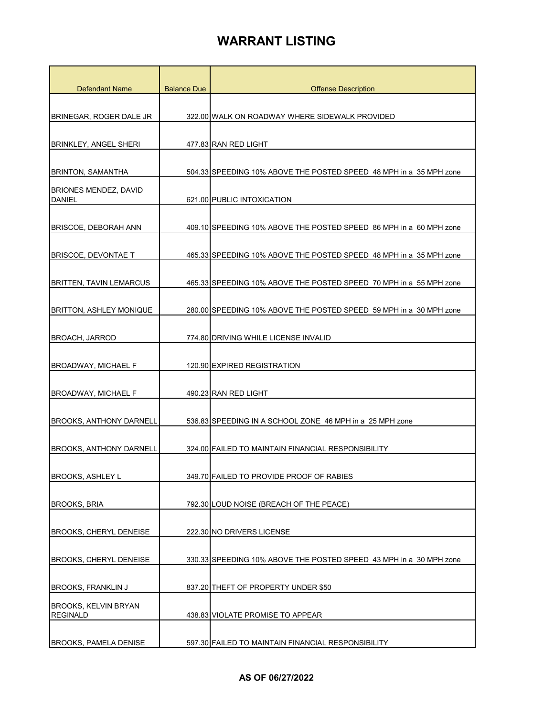| <b>Defendant Name</b>                          | <b>Balance Due</b> | <b>Offense Description</b>                                         |
|------------------------------------------------|--------------------|--------------------------------------------------------------------|
|                                                |                    |                                                                    |
| BRINEGAR, ROGER DALE JR                        |                    | 322.00 WALK ON ROADWAY WHERE SIDEWALK PROVIDED                     |
|                                                |                    |                                                                    |
| <b>BRINKLEY, ANGEL SHERI</b>                   |                    | 477.83 RAN RED LIGHT                                               |
|                                                |                    |                                                                    |
| <b>BRINTON, SAMANTHA</b>                       |                    | 504.33 SPEEDING 10% ABOVE THE POSTED SPEED 48 MPH in a 35 MPH zone |
| <b>BRIONES MENDEZ, DAVID</b><br><b>DANIEL</b>  |                    | 621.00 PUBLIC INTOXICATION                                         |
| <b>BRISCOE, DEBORAH ANN</b>                    |                    | 409.10 SPEEDING 10% ABOVE THE POSTED SPEED 86 MPH in a 60 MPH zone |
|                                                |                    |                                                                    |
| <b>BRISCOE, DEVONTAE T</b>                     |                    | 465.33 SPEEDING 10% ABOVE THE POSTED SPEED 48 MPH in a 35 MPH zone |
|                                                |                    |                                                                    |
| <b>BRITTEN, TAVIN LEMARCUS</b>                 |                    | 465.33 SPEEDING 10% ABOVE THE POSTED SPEED 70 MPH in a 55 MPH zone |
| <b>BRITTON, ASHLEY MONIQUE</b>                 |                    | 280.00 SPEEDING 10% ABOVE THE POSTED SPEED 59 MPH in a 30 MPH zone |
|                                                |                    |                                                                    |
| <b>BROACH, JARROD</b>                          |                    | 774.80 DRIVING WHILE LICENSE INVALID                               |
| <b>BROADWAY, MICHAEL F</b>                     |                    | 120.90 EXPIRED REGISTRATION                                        |
| <b>BROADWAY, MICHAEL F</b>                     |                    | 490.23 RAN RED LIGHT                                               |
| <b>BROOKS, ANTHONY DARNELL</b>                 |                    | 536.83 SPEEDING IN A SCHOOL ZONE 46 MPH in a 25 MPH zone           |
| BROOKS, ANTHONY DARNELL                        |                    | 324.00 FAILED TO MAINTAIN FINANCIAL RESPONSIBILITY                 |
|                                                |                    |                                                                    |
| <b>BROOKS, ASHLEY L</b>                        |                    | 349.70 FAILED TO PROVIDE PROOF OF RABIES                           |
| <b>BROOKS, BRIA</b>                            |                    | 792.30 LOUD NOISE (BREACH OF THE PEACE)                            |
|                                                |                    |                                                                    |
| <b>BROOKS, CHERYL DENEISE</b>                  |                    | 222.30 NO DRIVERS LICENSE                                          |
| <b>BROOKS, CHERYL DENEISE</b>                  |                    | 330.33 SPEEDING 10% ABOVE THE POSTED SPEED 43 MPH in a 30 MPH zone |
| <b>BROOKS, FRANKLIN J</b>                      |                    | 837.20 THEFT OF PROPERTY UNDER \$50                                |
|                                                |                    |                                                                    |
| <b>BROOKS, KELVIN BRYAN</b><br><b>REGINALD</b> |                    | 438.83 VIOLATE PROMISE TO APPEAR                                   |
|                                                |                    |                                                                    |
| <b>BROOKS, PAMELA DENISE</b>                   |                    | 597.30 FAILED TO MAINTAIN FINANCIAL RESPONSIBILITY                 |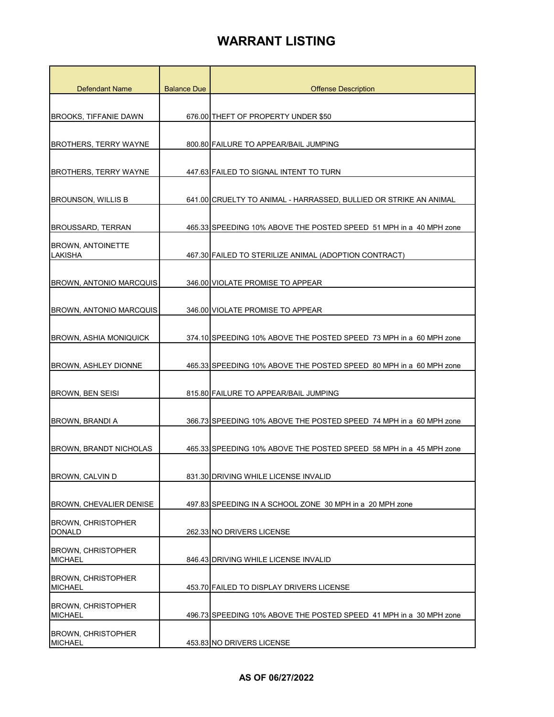| <b>Defendant Name</b>                       | <b>Balance Due</b> | <b>Offense Description</b>                                         |
|---------------------------------------------|--------------------|--------------------------------------------------------------------|
|                                             |                    |                                                                    |
| <b>BROOKS, TIFFANIE DAWN</b>                |                    | 676.00 THEFT OF PROPERTY UNDER \$50                                |
| <b>BROTHERS, TERRY WAYNE</b>                |                    | 800.80 FAILURE TO APPEAR/BAIL JUMPING                              |
|                                             |                    |                                                                    |
| <b>BROTHERS, TERRY WAYNE</b>                |                    | 447.63 FAILED TO SIGNAL INTENT TO TURN                             |
| <b>BROUNSON, WILLIS B</b>                   |                    | 641.00 CRUELTY TO ANIMAL - HARRASSED, BULLIED OR STRIKE AN ANIMAL  |
| BROUSSARD, TERRAN                           |                    | 465.33 SPEEDING 10% ABOVE THE POSTED SPEED 51 MPH in a 40 MPH zone |
| <b>BROWN, ANTOINETTE</b><br><b>LAKISHA</b>  |                    | 467.30 FAILED TO STERILIZE ANIMAL (ADOPTION CONTRACT)              |
| <b>BROWN, ANTONIO MARCQUIS</b>              |                    | 346.00 VIOLATE PROMISE TO APPEAR                                   |
| <b>BROWN, ANTONIO MARCQUIS</b>              |                    | 346.00 VIOLATE PROMISE TO APPEAR                                   |
| BROWN, ASHIA MONIQUICK                      |                    | 374.10 SPEEDING 10% ABOVE THE POSTED SPEED 73 MPH in a 60 MPH zone |
| <b>BROWN, ASHLEY DIONNE</b>                 |                    | 465.33 SPEEDING 10% ABOVE THE POSTED SPEED 80 MPH in a 60 MPH zone |
| <b>BROWN, BEN SEISI</b>                     |                    | 815.80 FAILURE TO APPEAR/BAIL JUMPING                              |
| BROWN, BRANDI A                             |                    | 366.73 SPEEDING 10% ABOVE THE POSTED SPEED 74 MPH in a 60 MPH zone |
| BROWN, BRANDT NICHOLAS                      |                    | 465.33 SPEEDING 10% ABOVE THE POSTED SPEED 58 MPH in a 45 MPH zone |
| BROWN, CALVIN D                             |                    | 831.30 DRIVING WHILE LICENSE INVALID                               |
| <b>BROWN, CHEVALIER DENISE</b>              |                    | 497.83 SPEEDING IN A SCHOOL ZONE 30 MPH in a 20 MPH zone           |
| <b>BROWN, CHRISTOPHER</b><br><b>DONALD</b>  |                    | 262.33 NO DRIVERS LICENSE                                          |
| <b>BROWN, CHRISTOPHER</b><br><b>MICHAEL</b> |                    | 846.43 DRIVING WHILE LICENSE INVALID                               |
| <b>BROWN, CHRISTOPHER</b><br><b>MICHAEL</b> |                    | 453.70 FAILED TO DISPLAY DRIVERS LICENSE                           |
| <b>BROWN, CHRISTOPHER</b><br><b>MICHAEL</b> |                    | 496.73 SPEEDING 10% ABOVE THE POSTED SPEED 41 MPH in a 30 MPH zone |
| <b>BROWN, CHRISTOPHER</b><br><b>MICHAEL</b> |                    | 453.83 NO DRIVERS LICENSE                                          |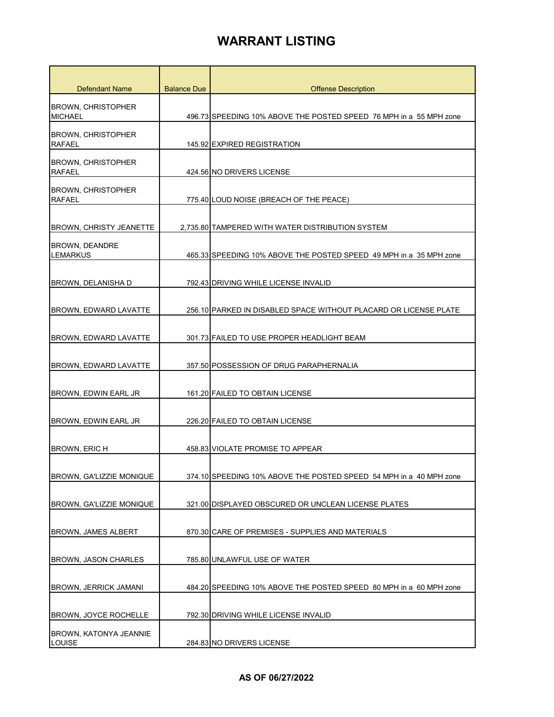| Defendant Name                              | <b>Balance Due</b> | <b>Offense Description</b>                                           |
|---------------------------------------------|--------------------|----------------------------------------------------------------------|
| <b>BROWN, CHRISTOPHER</b><br><b>MICHAEL</b> |                    | 496.73 SPEEDING 10% ABOVE THE POSTED SPEED 76 MPH in a 55 MPH zone   |
| <b>BROWN, CHRISTOPHER</b><br><b>RAFAEL</b>  |                    | 145.92 EXPIRED REGISTRATION                                          |
| <b>BROWN, CHRISTOPHER</b><br><b>RAFAEL</b>  |                    | 424.56 NO DRIVERS LICENSE                                            |
| <b>BROWN, CHRISTOPHER</b><br><b>RAFAEL</b>  |                    | 775.40 LOUD NOISE (BREACH OF THE PEACE)                              |
| <b>BROWN, CHRISTY JEANETTE</b>              |                    | 2.735.80 TAMPERED WITH WATER DISTRIBUTION SYSTEM                     |
| <b>BROWN, DEANDRE</b><br><b>LEMARKUS</b>    |                    | 465.33 SPEEDING 10% ABOVE THE POSTED SPEED 49 MPH in a 35 MPH zone   |
| BROWN, DELANISHA D                          |                    | 792.43 DRIVING WHILE LICENSE INVALID                                 |
| <b>BROWN, EDWARD LAVATTE</b>                |                    | 256.10 PARKED IN DISABLED SPACE WITHOUT PLACARD OR LICENSE PLATE     |
| BROWN, EDWARD LAVATTE                       |                    | 301.73 FAILED TO USE PROPER HEADLIGHT BEAM                           |
| BROWN, EDWARD LAVATTE                       |                    | 357.50 POSSESSION OF DRUG PARAPHERNALIA                              |
| BROWN, EDWIN EARL JR                        |                    | 161.20 FAILED TO OBTAIN LICENSE                                      |
| BROWN, EDWIN EARL JR                        |                    | 226.20 FAILED TO OBTAIN LICENSE                                      |
| <b>BROWN, ERIC H</b>                        |                    | 458.83 VIOLATE PROMISE TO APPEAR                                     |
| BROWN, GA'LIZZIE MONIQUE                    |                    | 374.10 SPEEDING 10% ABOVE THE POSTED SPEED  54 MPH in a  40 MPH zone |
| <b>BROWN, GA'LIZZIE MONIQUE</b>             |                    | 321.00 DISPLAYED OBSCURED OR UNCLEAN LICENSE PLATES                  |
| <b>BROWN, JAMES ALBERT</b>                  |                    | 870.30 CARE OF PREMISES - SUPPLIES AND MATERIALS                     |
| <b>BROWN, JASON CHARLES</b>                 |                    | 785.80 UNLAWFUL USE OF WATER                                         |
| <b>BROWN, JERRICK JAMANI</b>                |                    | 484.20 SPEEDING 10% ABOVE THE POSTED SPEED 80 MPH in a 60 MPH zone   |
| <b>BROWN, JOYCE ROCHELLE</b>                |                    | 792.30 DRIVING WHILE LICENSE INVALID                                 |
| BROWN, KATONYA JEANNIE<br>LOUISE            |                    | 284.83 NO DRIVERS LICENSE                                            |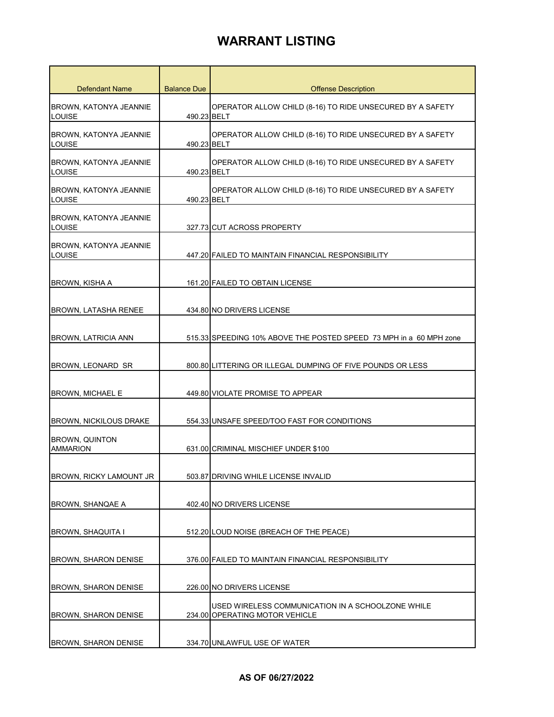| <b>Defendant Name</b>                          | <b>Balance Due</b> | <b>Offense Description</b>                                         |
|------------------------------------------------|--------------------|--------------------------------------------------------------------|
| BROWN, KATONYA JEANNIE<br>LOUISE               | 490.23 BELT        | OPERATOR ALLOW CHILD (8-16) TO RIDE UNSECURED BY A SAFETY          |
| <b>BROWN, KATONYA JEANNIE</b>                  |                    | OPERATOR ALLOW CHILD (8-16) TO RIDE UNSECURED BY A SAFETY          |
| LOUISE                                         | 490.23 BELT        |                                                                    |
| <b>BROWN, KATONYA JEANNIE</b><br><b>LOUISE</b> | 490.23 BELT        | OPERATOR ALLOW CHILD (8-16) TO RIDE UNSECURED BY A SAFETY          |
| <b>BROWN, KATONYA JEANNIE</b><br><b>LOUISE</b> | 490.23 BELT        | OPERATOR ALLOW CHILD (8-16) TO RIDE UNSECURED BY A SAFETY          |
| BROWN, KATONYA JEANNIE<br>LOUISE               |                    | 327.73 CUT ACROSS PROPERTY                                         |
| BROWN, KATONYA JEANNIE                         |                    |                                                                    |
| <b>LOUISE</b>                                  |                    | 447.20 FAILED TO MAINTAIN FINANCIAL RESPONSIBILITY                 |
| BROWN, KISHA A                                 |                    | 161.20 FAILED TO OBTAIN LICENSE                                    |
|                                                |                    |                                                                    |
| <b>BROWN, LATASHA RENEE</b>                    |                    | 434.80 NO DRIVERS LICENSE                                          |
|                                                |                    |                                                                    |
| <b>BROWN, LATRICIA ANN</b>                     |                    | 515.33 SPEEDING 10% ABOVE THE POSTED SPEED 73 MPH in a 60 MPH zone |
| BROWN, LEONARD SR                              |                    | 800.80 LITTERING OR ILLEGAL DUMPING OF FIVE POUNDS OR LESS         |
| <b>BROWN, MICHAEL E</b>                        |                    | 449.80 VIOLATE PROMISE TO APPEAR                                   |
| <b>BROWN, NICKILOUS DRAKE</b>                  |                    | 554.33 UNSAFE SPEED/TOO FAST FOR CONDITIONS                        |
| <b>BROWN, QUINTON</b>                          |                    |                                                                    |
| <b>AMMARION</b>                                |                    | 631.00 CRIMINAL MISCHIEF UNDER \$100                               |
| BROWN, RICKY LAMOUNT JR                        |                    | 503.87 DRIVING WHILE LICENSE INVALID                               |
|                                                |                    |                                                                    |
| <b>BROWN, SHANQAE A</b>                        |                    | 402.40 NO DRIVERS LICENSE                                          |
|                                                |                    |                                                                    |
| BROWN, SHAQUITA I                              |                    | 512.20 LOUD NOISE (BREACH OF THE PEACE)                            |
| <b>BROWN, SHARON DENISE</b>                    |                    | 376.00 FAILED TO MAINTAIN FINANCIAL RESPONSIBILITY                 |
| <b>BROWN, SHARON DENISE</b>                    |                    | 226.00 NO DRIVERS LICENSE                                          |
|                                                |                    | USED WIRELESS COMMUNICATION IN A SCHOOLZONE WHILE                  |
| <b>BROWN, SHARON DENISE</b>                    |                    | 234.00 OPERATING MOTOR VEHICLE                                     |
|                                                |                    |                                                                    |
| <b>BROWN, SHARON DENISE</b>                    |                    | 334.70 UNLAWFUL USE OF WATER                                       |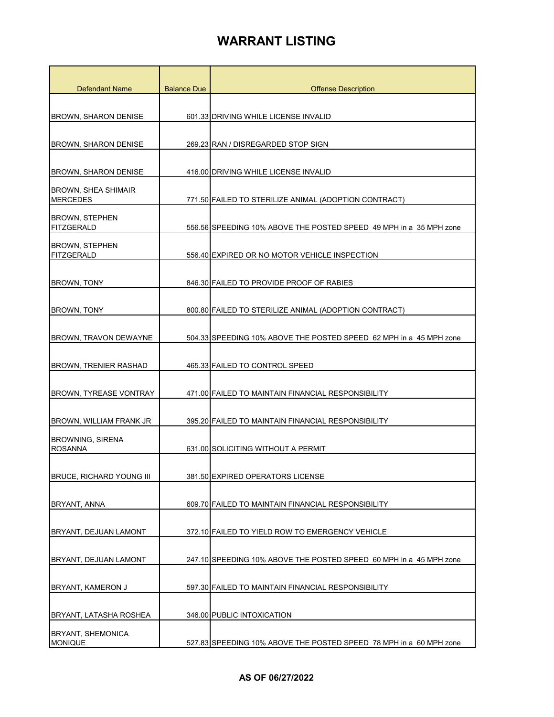| <b>Defendant Name</b>                         | <b>Balance Due</b> | <b>Offense Description</b>                                         |
|-----------------------------------------------|--------------------|--------------------------------------------------------------------|
|                                               |                    |                                                                    |
| <b>BROWN, SHARON DENISE</b>                   |                    | 601.33 DRIVING WHILE LICENSE INVALID                               |
| <b>BROWN, SHARON DENISE</b>                   |                    | 269.23 RAN / DISREGARDED STOP SIGN                                 |
|                                               |                    |                                                                    |
| <b>BROWN, SHARON DENISE</b>                   |                    | 416.00 DRIVING WHILE LICENSE INVALID                               |
| <b>BROWN, SHEA SHIMAIR</b><br><b>MERCEDES</b> |                    | 771.50 FAILED TO STERILIZE ANIMAL (ADOPTION CONTRACT)              |
| <b>BROWN, STEPHEN</b><br><b>FITZGERALD</b>    |                    | 556.56 SPEEDING 10% ABOVE THE POSTED SPEED 49 MPH in a 35 MPH zone |
| <b>BROWN, STEPHEN</b><br><b>FITZGERALD</b>    |                    | 556.40 EXPIRED OR NO MOTOR VEHICLE INSPECTION                      |
| <b>BROWN, TONY</b>                            |                    | 846.30 FAILED TO PROVIDE PROOF OF RABIES                           |
| <b>BROWN, TONY</b>                            |                    | 800.80 FAILED TO STERILIZE ANIMAL (ADOPTION CONTRACT)              |
| <b>BROWN, TRAVON DEWAYNE</b>                  |                    | 504.33 SPEEDING 10% ABOVE THE POSTED SPEED 62 MPH in a 45 MPH zone |
| <b>BROWN, TRENIER RASHAD</b>                  |                    | 465.33 FAILED TO CONTROL SPEED                                     |
| <b>BROWN, TYREASE VONTRAY</b>                 |                    | 471.00 FAILED TO MAINTAIN FINANCIAL RESPONSIBILITY                 |
| <b>BROWN, WILLIAM FRANK JR</b>                |                    | 395.20 FAILED TO MAINTAIN FINANCIAL RESPONSIBILITY                 |
| <b>BROWNING, SIRENA</b><br><b>ROSANNA</b>     |                    | 631.00 SOLICITING WITHOUT A PERMIT                                 |
| BRUCE, RICHARD YOUNG III                      |                    | 381.50 EXPIRED OPERATORS LICENSE                                   |
| BRYANT, ANNA                                  |                    | 609.70 FAILED TO MAINTAIN FINANCIAL RESPONSIBILITY                 |
| BRYANT, DEJUAN LAMONT                         |                    | 372.10 FAILED TO YIELD ROW TO EMERGENCY VEHICLE                    |
| BRYANT, DEJUAN LAMONT                         |                    | 247.10 SPEEDING 10% ABOVE THE POSTED SPEED 60 MPH in a 45 MPH zone |
| BRYANT, KAMERON J                             |                    | 597.30 FAILED TO MAINTAIN FINANCIAL RESPONSIBILITY                 |
| BRYANT, LATASHA ROSHEA                        |                    | 346.00 PUBLIC INTOXICATION                                         |
| <b>BRYANT, SHEMONICA</b><br><b>MONIQUE</b>    |                    | 527.83 SPEEDING 10% ABOVE THE POSTED SPEED 78 MPH in a 60 MPH zone |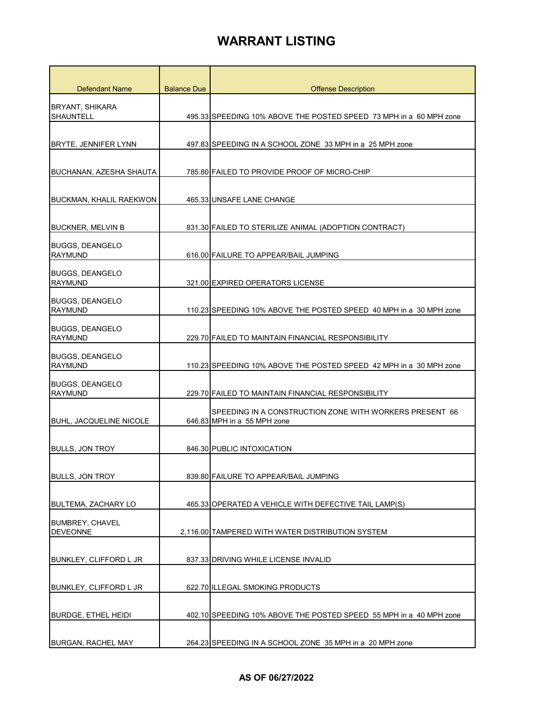| <b>Defendant Name</b>                     | <b>Balance Due</b> | <b>Offense Description</b>                                                             |
|-------------------------------------------|--------------------|----------------------------------------------------------------------------------------|
| <b>BRYANT, SHIKARA</b>                    |                    |                                                                                        |
| <b>SHAUNTELL</b>                          |                    | 495.33 SPEEDING 10% ABOVE THE POSTED SPEED 73 MPH in a 60 MPH zone                     |
|                                           |                    |                                                                                        |
| BRYTE, JENNIFER LYNN                      |                    | 497.83 SPEEDING IN A SCHOOL ZONE 33 MPH in a 25 MPH zone                               |
| <b>BUCHANAN, AZESHA SHAUTA</b>            |                    | 785.80 FAILED TO PROVIDE PROOF OF MICRO-CHIP                                           |
| <b>BUCKMAN, KHALIL RAEKWON</b>            |                    | 465.33 UNSAFE LANE CHANGE                                                              |
| <b>BUCKNER, MELVIN B</b>                  |                    | 831.30 FAILED TO STERILIZE ANIMAL (ADOPTION CONTRACT)                                  |
| <b>BUGGS, DEANGELO</b><br><b>RAYMUND</b>  |                    | 616.00 FAILURE TO APPEAR/BAIL JUMPING                                                  |
| <b>BUGGS, DEANGELO</b><br>RAYMUND         |                    | 321.00 EXPIRED OPERATORS LICENSE                                                       |
| <b>BUGGS, DEANGELO</b><br><b>RAYMUND</b>  |                    | 110.23 SPEEDING 10% ABOVE THE POSTED SPEED 40 MPH in a 30 MPH zone                     |
| <b>BUGGS, DEANGELO</b><br><b>RAYMUND</b>  |                    | 229.70 FAILED TO MAINTAIN FINANCIAL RESPONSIBILITY                                     |
| <b>BUGGS, DEANGELO</b><br><b>RAYMUND</b>  |                    | 110.23 SPEEDING 10% ABOVE THE POSTED SPEED 42 MPH in a 30 MPH zone                     |
| <b>BUGGS, DEANGELO</b><br><b>RAYMUND</b>  |                    | 229.70 FAILED TO MAINTAIN FINANCIAL RESPONSIBILITY                                     |
| BUHL, JACQUELINE NICOLE                   |                    | SPEEDING IN A CONSTRUCTION ZONE WITH WORKERS PRESENT 66<br>646.83 MPH in a 55 MPH zone |
| <b>BULLS, JON TROY</b>                    |                    | 846.30 PUBLIC INTOXICATION                                                             |
| <b>BULLS, JON TROY</b>                    |                    | 839.80 FAILURE TO APPEAR/BAIL JUMPING                                                  |
| <b>BULTEMA, ZACHARY LO</b>                |                    | 465.33 OPERATED A VEHICLE WITH DEFECTIVE TAIL LAMP(S)                                  |
| <b>BUMBREY, CHAVEL</b><br><b>DEVEONNE</b> |                    | 2,116.00 TAMPERED WITH WATER DISTRIBUTION SYSTEM                                       |
| <b>BUNKLEY, CLIFFORD L JR</b>             |                    | 837.33 DRIVING WHILE LICENSE INVALID                                                   |
| <b>BUNKLEY, CLIFFORD L JR</b>             |                    | 622.70 ILLEGAL SMOKING PRODUCTS                                                        |
| <b>BURDGE, ETHEL HEIDI</b>                |                    | 402.10 SPEEDING 10% ABOVE THE POSTED SPEED 55 MPH in a 40 MPH zone                     |
| <b>BURGAN, RACHEL MAY</b>                 |                    | 264.23 SPEEDING IN A SCHOOL ZONE 35 MPH in a 20 MPH zone                               |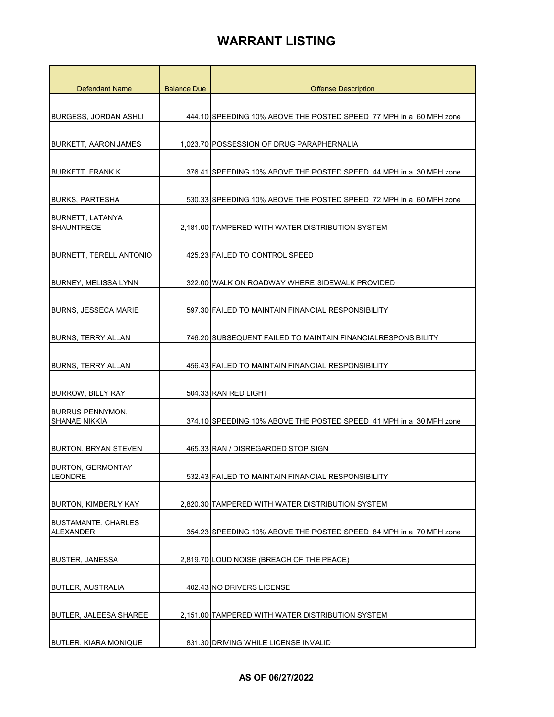| <b>Defendant Name</b>                        | <b>Balance Due</b> | <b>Offense Description</b>                                         |
|----------------------------------------------|--------------------|--------------------------------------------------------------------|
|                                              |                    |                                                                    |
| <b>BURGESS, JORDAN ASHLI</b>                 |                    | 444.10 SPEEDING 10% ABOVE THE POSTED SPEED 77 MPH in a 60 MPH zone |
|                                              |                    |                                                                    |
| <b>BURKETT, AARON JAMES</b>                  |                    | 1,023.70 POSSESSION OF DRUG PARAPHERNALIA                          |
|                                              |                    |                                                                    |
| <b>BURKETT, FRANK K</b>                      |                    | 376.41 SPEEDING 10% ABOVE THE POSTED SPEED 44 MPH in a 30 MPH zone |
| <b>BURKS, PARTESHA</b>                       |                    | 530.33 SPEEDING 10% ABOVE THE POSTED SPEED 72 MPH in a 60 MPH zone |
| <b>BURNETT, LATANYA</b><br><b>SHAUNTRECE</b> |                    | 2,181.00 TAMPERED WITH WATER DISTRIBUTION SYSTEM                   |
|                                              |                    |                                                                    |
| <b>BURNETT, TERELL ANTONIO</b>               |                    | 425.23 FAILED TO CONTROL SPEED                                     |
|                                              |                    |                                                                    |
| BURNEY, MELISSA LYNN                         |                    | 322.00 WALK ON ROADWAY WHERE SIDEWALK PROVIDED                     |
| <b>BURNS, JESSECA MARIE</b>                  |                    | 597.30 FAILED TO MAINTAIN FINANCIAL RESPONSIBILITY                 |
|                                              |                    |                                                                    |
| <b>BURNS, TERRY ALLAN</b>                    |                    | 746.20 SUBSEQUENT FAILED TO MAINTAIN FINANCIALRESPONSIBILITY       |
| <b>BURNS, TERRY ALLAN</b>                    |                    | 456.43 FAILED TO MAINTAIN FINANCIAL RESPONSIBILITY                 |
| <b>BURROW, BILLY RAY</b>                     |                    | 504.33 RAN RED LIGHT                                               |
| <b>BURRUS PENNYMON,</b>                      |                    |                                                                    |
| <b>SHANAE NIKKIA</b>                         |                    | 374.10 SPEEDING 10% ABOVE THE POSTED SPEED 41 MPH in a 30 MPH zone |
| <b>BURTON, BRYAN STEVEN</b>                  |                    | 465.33 RAN / DISREGARDED STOP SIGN                                 |
|                                              |                    |                                                                    |
| <b>BURTON, GERMONTAY</b><br><b>LEONDRE</b>   |                    | 532.43 FAILED TO MAINTAIN FINANCIAL RESPONSIBILITY                 |
| <b>BURTON, KIMBERLY KAY</b>                  |                    | 2,820.30 TAMPERED WITH WATER DISTRIBUTION SYSTEM                   |
| <b>BUSTAMANTE, CHARLES</b>                   |                    |                                                                    |
| ALEXANDER                                    |                    | 354.23 SPEEDING 10% ABOVE THE POSTED SPEED 84 MPH in a 70 MPH zone |
|                                              |                    |                                                                    |
| <b>BUSTER, JANESSA</b>                       |                    | 2,819.70 LOUD NOISE (BREACH OF THE PEACE)                          |
| <b>BUTLER, AUSTRALIA</b>                     |                    | 402.43 NO DRIVERS LICENSE                                          |
|                                              |                    |                                                                    |
| <b>BUTLER, JALEESA SHAREE</b>                |                    | 2,151.00 TAMPERED WITH WATER DISTRIBUTION SYSTEM                   |
| <b>BUTLER, KIARA MONIQUE</b>                 |                    | 831.30 DRIVING WHILE LICENSE INVALID                               |
|                                              |                    |                                                                    |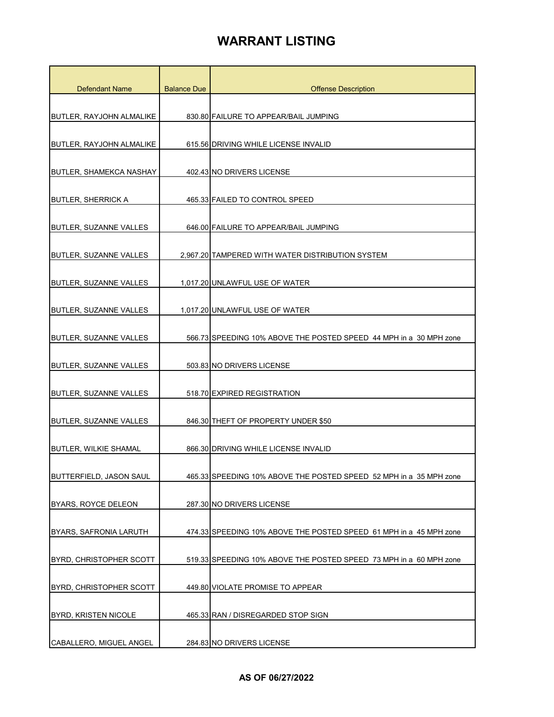| <b>Defendant Name</b>           | <b>Balance Due</b> | <b>Offense Description</b>                                         |
|---------------------------------|--------------------|--------------------------------------------------------------------|
|                                 |                    |                                                                    |
| <b>BUTLER, RAYJOHN ALMALIKE</b> |                    | 830.80 FAILURE TO APPEAR/BAIL JUMPING                              |
| <b>BUTLER, RAYJOHN ALMALIKE</b> |                    | 615.56 DRIVING WHILE LICENSE INVALID                               |
| <b>BUTLER, SHAMEKCA NASHAY</b>  |                    | 402.43 NO DRIVERS LICENSE                                          |
| <b>BUTLER, SHERRICK A</b>       |                    | 465.33 FAILED TO CONTROL SPEED                                     |
| BUTLER, SUZANNE VALLES          |                    | 646.00 FAILURE TO APPEAR/BAIL JUMPING                              |
| <b>BUTLER, SUZANNE VALLES</b>   |                    | 2.967.20 TAMPERED WITH WATER DISTRIBUTION SYSTEM                   |
| BUTLER, SUZANNE VALLES          |                    | 1,017.20 UNLAWFUL USE OF WATER                                     |
| BUTLER, SUZANNE VALLES          |                    | 1,017.20 UNLAWFUL USE OF WATER                                     |
| BUTLER, SUZANNE VALLES          |                    | 566.73 SPEEDING 10% ABOVE THE POSTED SPEED 44 MPH in a 30 MPH zone |
| BUTLER, SUZANNE VALLES          |                    | 503.83 NO DRIVERS LICENSE                                          |
| BUTLER, SUZANNE VALLES          |                    | 518.70 EXPIRED REGISTRATION                                        |
| BUTLER, SUZANNE VALLES          |                    | 846.30 THEFT OF PROPERTY UNDER \$50                                |
| <b>BUTLER, WILKIE SHAMAL</b>    |                    | 866.30 DRIVING WHILE LICENSE INVALID                               |
| <b>BUTTERFIELD, JASON SAUL</b>  |                    | 465.33 SPEEDING 10% ABOVE THE POSTED SPEED 52 MPH in a 35 MPH zone |
| BYARS, ROYCE DELEON             |                    | 287.30 NO DRIVERS LICENSE                                          |
| BYARS, SAFRONIA LARUTH          |                    | 474.33 SPEEDING 10% ABOVE THE POSTED SPEED 61 MPH in a 45 MPH zone |
| <b>BYRD, CHRISTOPHER SCOTT</b>  |                    | 519.33 SPEEDING 10% ABOVE THE POSTED SPEED 73 MPH in a 60 MPH zone |
| <b>BYRD, CHRISTOPHER SCOTT</b>  |                    | 449.80 VIOLATE PROMISE TO APPEAR                                   |
| BYRD, KRISTEN NICOLE            |                    | 465.33 RAN / DISREGARDED STOP SIGN                                 |
| CABALLERO, MIGUEL ANGEL         |                    | 284.83 NO DRIVERS LICENSE                                          |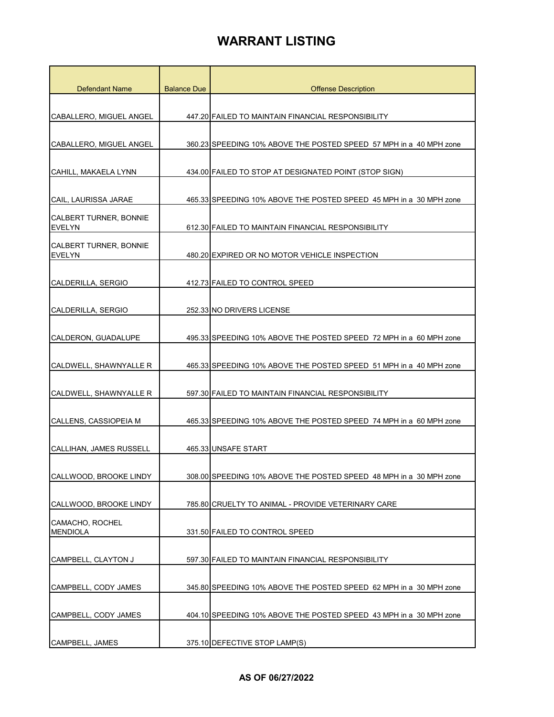| <b>Defendant Name</b>                          | <b>Balance Due</b> | <b>Offense Description</b>                                         |
|------------------------------------------------|--------------------|--------------------------------------------------------------------|
|                                                |                    |                                                                    |
| CABALLERO, MIGUEL ANGEL                        |                    | 447.20 FAILED TO MAINTAIN FINANCIAL RESPONSIBILITY                 |
|                                                |                    |                                                                    |
| CABALLERO, MIGUEL ANGEL                        |                    | 360.23 SPEEDING 10% ABOVE THE POSTED SPEED 57 MPH in a 40 MPH zone |
|                                                |                    |                                                                    |
| CAHILL, MAKAELA LYNN                           |                    | 434.00 FAILED TO STOP AT DESIGNATED POINT (STOP SIGN)              |
|                                                |                    |                                                                    |
| CAIL, LAURISSA JARAE                           |                    | 465.33 SPEEDING 10% ABOVE THE POSTED SPEED 45 MPH in a 30 MPH zone |
| CALBERT TURNER, BONNIE<br><b>EVELYN</b>        |                    | 612.30 FAILED TO MAINTAIN FINANCIAL RESPONSIBILITY                 |
|                                                |                    |                                                                    |
| <b>CALBERT TURNER, BONNIE</b><br><b>EVELYN</b> |                    | 480.20 EXPIRED OR NO MOTOR VEHICLE INSPECTION                      |
|                                                |                    |                                                                    |
| CALDERILLA, SERGIO                             |                    | 412.73 FAILED TO CONTROL SPEED                                     |
|                                                |                    |                                                                    |
| CALDERILLA, SERGIO                             |                    | 252.33 NO DRIVERS LICENSE                                          |
|                                                |                    |                                                                    |
| CALDERON, GUADALUPE                            |                    | 495.33 SPEEDING 10% ABOVE THE POSTED SPEED 72 MPH in a 60 MPH zone |
| CALDWELL, SHAWNYALLE R                         |                    | 465.33 SPEEDING 10% ABOVE THE POSTED SPEED 51 MPH in a 40 MPH zone |
|                                                |                    |                                                                    |
| CALDWELL, SHAWNYALLE R                         |                    | 597.30 FAILED TO MAINTAIN FINANCIAL RESPONSIBILITY                 |
|                                                |                    |                                                                    |
| CALLENS, CASSIOPEIA M                          |                    | 465.33 SPEEDING 10% ABOVE THE POSTED SPEED 74 MPH in a 60 MPH zone |
| <b>CALLIHAN, JAMES RUSSELL</b>                 |                    | 465.33 UNSAFE START                                                |
|                                                |                    |                                                                    |
| CALLWOOD, BROOKE LINDY                         |                    | 308.00 SPEEDING 10% ABOVE THE POSTED SPEED 48 MPH in a 30 MPH zone |
|                                                |                    |                                                                    |
| CALLWOOD, BROOKE LINDY                         |                    | 785.80 CRUELTY TO ANIMAL - PROVIDE VETERINARY CARE                 |
| CAMACHO, ROCHEL                                |                    |                                                                    |
| <b>MENDIOLA</b>                                |                    | 331.50 FAILED TO CONTROL SPEED                                     |
|                                                |                    |                                                                    |
| CAMPBELL, CLAYTON J                            |                    | 597.30 FAILED TO MAINTAIN FINANCIAL RESPONSIBILITY                 |
| CAMPBELL, CODY JAMES                           |                    | 345.80 SPEEDING 10% ABOVE THE POSTED SPEED 62 MPH in a 30 MPH zone |
|                                                |                    |                                                                    |
| CAMPBELL, CODY JAMES                           |                    | 404.10 SPEEDING 10% ABOVE THE POSTED SPEED 43 MPH in a 30 MPH zone |
|                                                |                    |                                                                    |
| CAMPBELL, JAMES                                |                    | 375.10 DEFECTIVE STOP LAMP(S)                                      |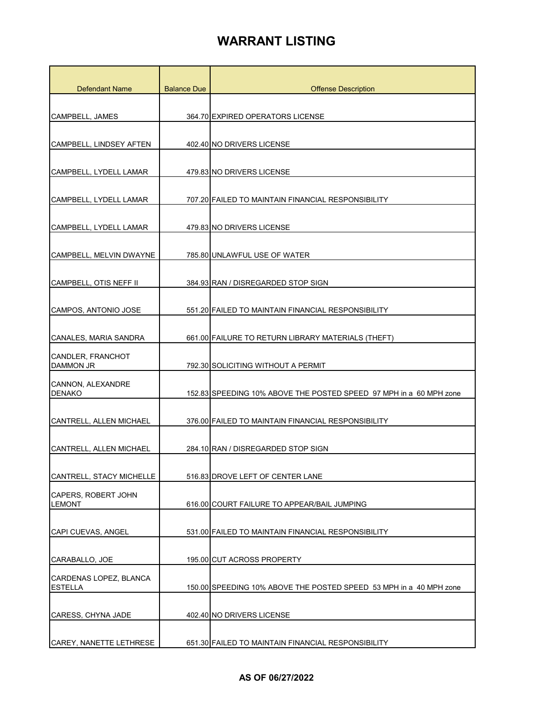| <b>Defendant Name</b>                       | <b>Balance Due</b> | <b>Offense Description</b>                                         |
|---------------------------------------------|--------------------|--------------------------------------------------------------------|
|                                             |                    |                                                                    |
| CAMPBELL, JAMES                             |                    | 364.70 EXPIRED OPERATORS LICENSE                                   |
|                                             |                    |                                                                    |
| CAMPBELL, LINDSEY AFTEN                     |                    | 402.40 NO DRIVERS LICENSE                                          |
|                                             |                    |                                                                    |
| CAMPBELL, LYDELL LAMAR                      |                    | 479.83 NO DRIVERS LICENSE                                          |
|                                             |                    |                                                                    |
| CAMPBELL, LYDELL LAMAR                      |                    | 707.20 FAILED TO MAINTAIN FINANCIAL RESPONSIBILITY                 |
| CAMPBELL, LYDELL LAMAR                      |                    | 479.83 NO DRIVERS LICENSE                                          |
|                                             |                    |                                                                    |
| CAMPBELL, MELVIN DWAYNE                     |                    | 785.80 UNLAWFUL USE OF WATER                                       |
|                                             |                    |                                                                    |
| CAMPBELL, OTIS NEFF II                      |                    | 384.93 RAN / DISREGARDED STOP SIGN                                 |
| CAMPOS, ANTONIO JOSE                        |                    | 551.20 FAILED TO MAINTAIN FINANCIAL RESPONSIBILITY                 |
|                                             |                    |                                                                    |
| CANALES, MARIA SANDRA                       |                    | 661.00 FAILURE TO RETURN LIBRARY MATERIALS (THEFT)                 |
| CANDLER, FRANCHOT                           |                    |                                                                    |
| DAMMON JR                                   |                    | 792.30 SOLICITING WITHOUT A PERMIT                                 |
| CANNON, ALEXANDRE<br><b>DENAKO</b>          |                    | 152.83 SPEEDING 10% ABOVE THE POSTED SPEED 97 MPH in a 60 MPH zone |
|                                             |                    |                                                                    |
| CANTRELL, ALLEN MICHAEL                     |                    | 376.00 FAILED TO MAINTAIN FINANCIAL RESPONSIBILITY                 |
|                                             |                    |                                                                    |
| <b>CANTRELL, ALLEN MICHAEL</b>              |                    | 284.10 RAN / DISREGARDED STOP SIGN                                 |
|                                             |                    |                                                                    |
| CANTRELL, STACY MICHELLE                    |                    | 516.83 DROVE LEFT OF CENTER LANE                                   |
| <b>CAPERS, ROBERT JOHN</b><br><b>LEMONT</b> |                    | 616.00 COURT FAILURE TO APPEAR/BAIL JUMPING                        |
|                                             |                    |                                                                    |
| CAPI CUEVAS, ANGEL                          |                    | 531.00 FAILED TO MAINTAIN FINANCIAL RESPONSIBILITY                 |
|                                             |                    |                                                                    |
| CARABALLO, JOE                              |                    | 195.00 CUT ACROSS PROPERTY                                         |
| CARDENAS LOPEZ, BLANCA<br><b>ESTELLA</b>    |                    | 150.00 SPEEDING 10% ABOVE THE POSTED SPEED 53 MPH in a 40 MPH zone |
|                                             |                    |                                                                    |
| CARESS, CHYNA JADE                          |                    | 402.40 NO DRIVERS LICENSE                                          |
|                                             |                    |                                                                    |
| CAREY, NANETTE LETHRESE                     |                    | 651.30 FAILED TO MAINTAIN FINANCIAL RESPONSIBILITY                 |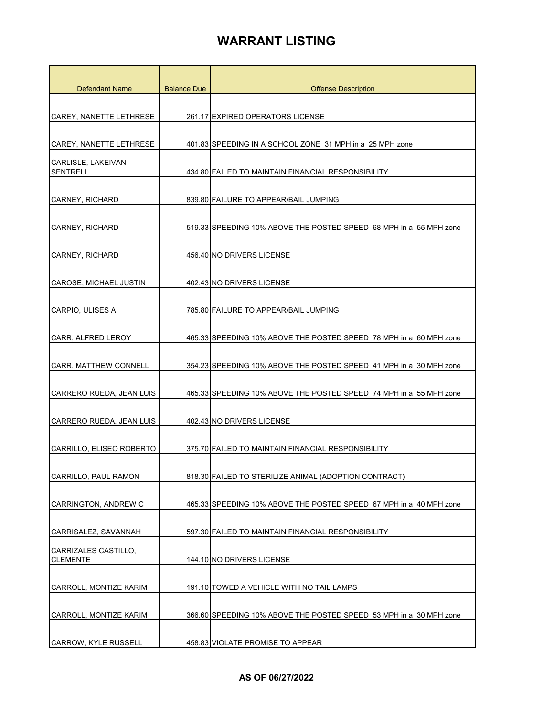| <b>Defendant Name</b>                 | <b>Balance Due</b> | <b>Offense Description</b>                                         |
|---------------------------------------|--------------------|--------------------------------------------------------------------|
|                                       |                    |                                                                    |
| CAREY, NANETTE LETHRESE               |                    | 261.17 EXPIRED OPERATORS LICENSE                                   |
|                                       |                    |                                                                    |
| CAREY, NANETTE LETHRESE               |                    | 401.83 SPEEDING IN A SCHOOL ZONE 31 MPH in a 25 MPH zone           |
| CARLISLE, LAKEIVAN<br><b>SENTRELL</b> |                    | 434.80 FAILED TO MAINTAIN FINANCIAL RESPONSIBILITY                 |
|                                       |                    |                                                                    |
| <b>CARNEY, RICHARD</b>                |                    | 839.80 FAILURE TO APPEAR/BAIL JUMPING                              |
|                                       |                    |                                                                    |
| <b>CARNEY, RICHARD</b>                |                    | 519.33 SPEEDING 10% ABOVE THE POSTED SPEED 68 MPH in a 55 MPH zone |
|                                       |                    |                                                                    |
| <b>CARNEY, RICHARD</b>                |                    | 456.40 NO DRIVERS LICENSE                                          |
|                                       |                    |                                                                    |
| CAROSE, MICHAEL JUSTIN                |                    | 402.43 NO DRIVERS LICENSE                                          |
|                                       |                    |                                                                    |
| CARPIO, ULISES A                      |                    | 785.80 FAILURE TO APPEAR/BAIL JUMPING                              |
|                                       |                    |                                                                    |
| CARR, ALFRED LEROY                    |                    | 465.33 SPEEDING 10% ABOVE THE POSTED SPEED 78 MPH in a 60 MPH zone |
|                                       |                    |                                                                    |
| CARR, MATTHEW CONNELL                 |                    | 354.23 SPEEDING 10% ABOVE THE POSTED SPEED 41 MPH in a 30 MPH zone |
|                                       |                    |                                                                    |
| CARRERO RUEDA, JEAN LUIS              |                    | 465.33 SPEEDING 10% ABOVE THE POSTED SPEED 74 MPH in a 55 MPH zone |
|                                       |                    |                                                                    |
| CARRERO RUEDA, JEAN LUIS              |                    | 402.43 NO DRIVERS LICENSE                                          |
| CARRILLO, ELISEO ROBERTO              |                    | 375.70 FAILED TO MAINTAIN FINANCIAL RESPONSIBILITY                 |
|                                       |                    |                                                                    |
| CARRILLO, PAUL RAMON                  |                    | 818.30 FAILED TO STERILIZE ANIMAL (ADOPTION CONTRACT)              |
|                                       |                    |                                                                    |
| CARRINGTON, ANDREW C                  |                    | 465.33 SPEEDING 10% ABOVE THE POSTED SPEED 67 MPH in a 40 MPH zone |
|                                       |                    |                                                                    |
| CARRISALEZ, SAVANNAH                  |                    | 597.30 FAILED TO MAINTAIN FINANCIAL RESPONSIBILITY                 |
| CARRIZALES CASTILLO,                  |                    |                                                                    |
| <b>CLEMENTE</b>                       |                    | 144.10 NO DRIVERS LICENSE                                          |
|                                       |                    |                                                                    |
| CARROLL, MONTIZE KARIM                |                    | 191.10 TOWED A VEHICLE WITH NO TAIL LAMPS                          |
|                                       |                    |                                                                    |
| CARROLL, MONTIZE KARIM                |                    | 366.60 SPEEDING 10% ABOVE THE POSTED SPEED 53 MPH in a 30 MPH zone |
|                                       |                    |                                                                    |
| CARROW, KYLE RUSSELL                  |                    | 458.83 VIOLATE PROMISE TO APPEAR                                   |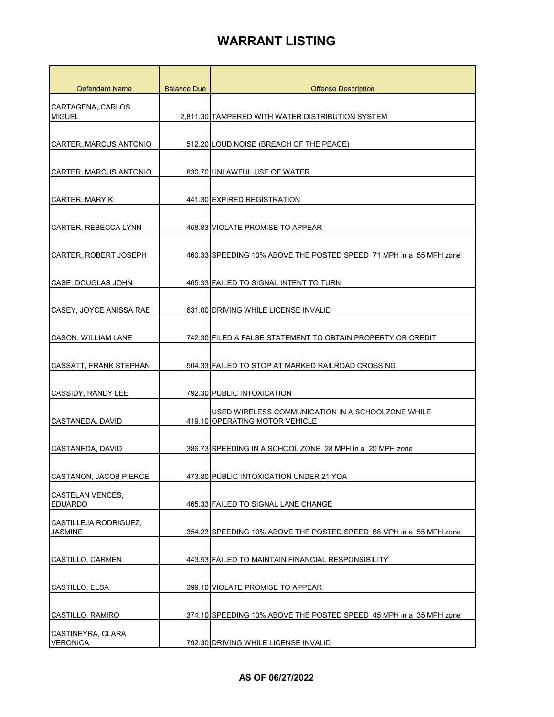| <b>Defendant Name</b>                   | <b>Balance Due</b> | <b>Offense Description</b>                                                          |
|-----------------------------------------|--------------------|-------------------------------------------------------------------------------------|
| CARTAGENA, CARLOS<br><b>MIGUEL</b>      |                    | 2,811.30 TAMPERED WITH WATER DISTRIBUTION SYSTEM                                    |
| CARTER, MARCUS ANTONIO                  |                    | 512.20 LOUD NOISE (BREACH OF THE PEACE)                                             |
| <b>CARTER, MARCUS ANTONIO</b>           |                    | 830.70 UNLAWFUL USE OF WATER                                                        |
| <b>CARTER, MARY K</b>                   |                    | 441.30 EXPIRED REGISTRATION                                                         |
| CARTER, REBECCA LYNN                    |                    | 458.83 VIOLATE PROMISE TO APPEAR                                                    |
| CARTER, ROBERT JOSEPH                   |                    | 460.33 SPEEDING 10% ABOVE THE POSTED SPEED 71 MPH in a 55 MPH zone                  |
| CASE, DOUGLAS JOHN                      |                    | 465.33 FAILED TO SIGNAL INTENT TO TURN                                              |
| CASEY, JOYCE ANISSA RAE                 |                    | 631.00 DRIVING WHILE LICENSE INVALID                                                |
| <b>CASON, WILLIAM LANE</b>              |                    | 742.30 FILED A FALSE STATEMENT TO OBTAIN PROPERTY OR CREDIT                         |
| <b>CASSATT, FRANK STEPHAN</b>           |                    | 504.33 FAILED TO STOP AT MARKED RAILROAD CROSSING                                   |
| CASSIDY, RANDY LEE                      |                    | 792.30 PUBLIC INTOXICATION                                                          |
| CASTANEDA, DAVID                        |                    | USED WIRELESS COMMUNICATION IN A SCHOOLZONE WHILE<br>419.10 OPERATING MOTOR VEHICLE |
| CASTANEDA, DAVID                        |                    | 386.73 SPEEDING IN A SCHOOL ZONE 28 MPH in a 20 MPH zone                            |
| CASTANON, JACOB PIERCE                  |                    | 473.80 PUBLIC INTOXICATION UNDER 21 YOA                                             |
| CASTELAN VENCES,<br><b>EDUARDO</b>      |                    | 465.33 FAILED TO SIGNAL LANE CHANGE                                                 |
| CASTILLEJA RODRIGUEZ,<br><b>JASMINE</b> |                    | 354.23 SPEEDING 10% ABOVE THE POSTED SPEED 68 MPH in a 55 MPH zone                  |
| CASTILLO, CARMEN                        |                    | 443.53 FAILED TO MAINTAIN FINANCIAL RESPONSIBILITY                                  |
| CASTILLO, ELSA                          |                    | 399.10 VIOLATE PROMISE TO APPEAR                                                    |
| CASTILLO, RAMIRO                        |                    | 374.10 SPEEDING 10% ABOVE THE POSTED SPEED 45 MPH in a 35 MPH zone                  |
| CASTINEYRA, CLARA<br><b>VERONICA</b>    |                    | 792.30 DRIVING WHILE LICENSE INVALID                                                |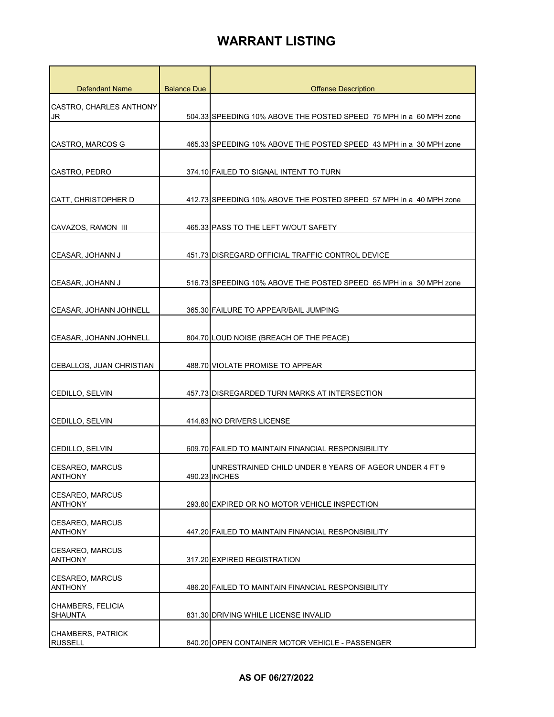| Defendant Name                             | <b>Balance Due</b> | <b>Offense Description</b>                                              |
|--------------------------------------------|--------------------|-------------------------------------------------------------------------|
| CASTRO, CHARLES ANTHONY                    |                    |                                                                         |
| JR                                         |                    | 504.33 SPEEDING 10% ABOVE THE POSTED SPEED 75 MPH in a 60 MPH zone      |
|                                            |                    |                                                                         |
| CASTRO, MARCOS G                           |                    | 465.33 SPEEDING 10% ABOVE THE POSTED SPEED 43 MPH in a 30 MPH zone      |
| CASTRO, PEDRO                              |                    | 374.10 FAILED TO SIGNAL INTENT TO TURN                                  |
| <b>CATT, CHRISTOPHER D</b>                 |                    | 412.73 SPEEDING 10% ABOVE THE POSTED SPEED 57 MPH in a 40 MPH zone      |
| CAVAZOS, RAMON III                         |                    | 465.33 PASS TO THE LEFT W/OUT SAFETY                                    |
| CEASAR, JOHANN J                           |                    | 451.73 DISREGARD OFFICIAL TRAFFIC CONTROL DEVICE                        |
| CEASAR, JOHANN J                           |                    | 516.73 SPEEDING 10% ABOVE THE POSTED SPEED 65 MPH in a 30 MPH zone      |
| CEASAR, JOHANN JOHNELL                     |                    | 365.30 FAILURE TO APPEAR/BAIL JUMPING                                   |
| CEASAR, JOHANN JOHNELL                     |                    | 804.70 LOUD NOISE (BREACH OF THE PEACE)                                 |
| CEBALLOS, JUAN CHRISTIAN                   |                    | 488.70 VIOLATE PROMISE TO APPEAR                                        |
| CEDILLO, SELVIN                            |                    | 457.73 DISREGARDED TURN MARKS AT INTERSECTION                           |
| CEDILLO, SELVIN                            |                    | 414.83 NO DRIVERS LICENSE                                               |
| CEDILLO, SELVIN                            |                    | 609.70 FAILED TO MAINTAIN FINANCIAL RESPONSIBILITY                      |
| CESAREO, MARCUS<br><b>ANTHONY</b>          |                    | UNRESTRAINED CHILD UNDER 8 YEARS OF AGEOR UNDER 4 FT 9<br>490.23 INCHES |
| <b>CESAREO, MARCUS</b><br><b>ANTHONY</b>   |                    | 293.80 EXPIRED OR NO MOTOR VEHICLE INSPECTION                           |
| <b>CESAREO, MARCUS</b><br><b>ANTHONY</b>   |                    | 447.20 FAILED TO MAINTAIN FINANCIAL RESPONSIBILITY                      |
| <b>CESAREO, MARCUS</b><br><b>ANTHONY</b>   |                    | 317.20 EXPIRED REGISTRATION                                             |
| <b>CESAREO, MARCUS</b><br><b>ANTHONY</b>   |                    | 486.20 FAILED TO MAINTAIN FINANCIAL RESPONSIBILITY                      |
| CHAMBERS, FELICIA<br>SHAUNTA               |                    | 831.30 DRIVING WHILE LICENSE INVALID                                    |
| <b>CHAMBERS, PATRICK</b><br><b>RUSSELL</b> |                    | 840.20 OPEN CONTAINER MOTOR VEHICLE - PASSENGER                         |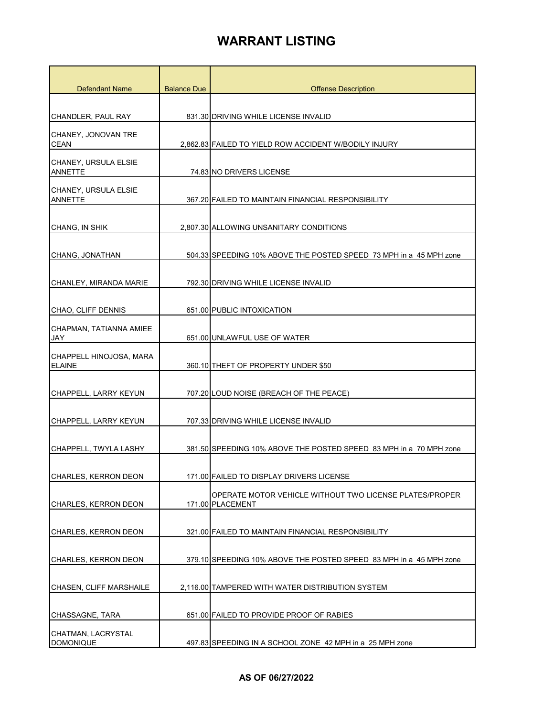| <b>Defendant Name</b>                    | <b>Balance Due</b> | <b>Offense Description</b>                                                  |
|------------------------------------------|--------------------|-----------------------------------------------------------------------------|
|                                          |                    |                                                                             |
| CHANDLER, PAUL RAY                       |                    | 831.30 DRIVING WHILE LICENSE INVALID                                        |
| CHANEY, JONOVAN TRE<br><b>CEAN</b>       |                    | 2,862.83 FAILED TO YIELD ROW ACCIDENT W/BODILY INJURY                       |
| CHANEY, URSULA ELSIE<br><b>ANNETTE</b>   |                    | 74.83 NO DRIVERS LICENSE                                                    |
| CHANEY, URSULA ELSIE<br><b>ANNETTE</b>   |                    | 367.20 FAILED TO MAINTAIN FINANCIAL RESPONSIBILITY                          |
| CHANG, IN SHIK                           |                    | 2,807.30 ALLOWING UNSANITARY CONDITIONS                                     |
| CHANG, JONATHAN                          |                    | 504.33 SPEEDING 10% ABOVE THE POSTED SPEED 73 MPH in a 45 MPH zone          |
| CHANLEY, MIRANDA MARIE                   |                    | 792.30 DRIVING WHILE LICENSE INVALID                                        |
| CHAO, CLIFF DENNIS                       |                    | 651.00 PUBLIC INTOXICATION                                                  |
| CHAPMAN, TATIANNA AMIEE<br>JAY           |                    | 651.00 UNLAWFUL USE OF WATER                                                |
| CHAPPELL HINOJOSA, MARA<br><b>ELAINE</b> |                    | 360.10 THEFT OF PROPERTY UNDER \$50                                         |
| CHAPPELL, LARRY KEYUN                    |                    | 707.20 LOUD NOISE (BREACH OF THE PEACE)                                     |
| <b>CHAPPELL, LARRY KEYUN</b>             |                    | 707.33 DRIVING WHILE LICENSE INVALID                                        |
| ICHAPPELL. TWYLA LASHY                   |                    | 381.50 SPEEDING 10% ABOVE THE POSTED SPEED 83 MPH in a 70 MPH zone          |
| CHARLES, KERRON DEON                     |                    | 171.00 FAILED TO DISPLAY DRIVERS LICENSE                                    |
| CHARLES, KERRON DEON                     |                    | OPERATE MOTOR VEHICLE WITHOUT TWO LICENSE PLATES/PROPER<br>171.00 PLACEMENT |
| <b>CHARLES, KERRON DEON</b>              |                    | 321,00 FAILED TO MAINTAIN FINANCIAL RESPONSIBILITY                          |
| CHARLES, KERRON DEON                     |                    | 379.10 SPEEDING 10% ABOVE THE POSTED SPEED 83 MPH in a 45 MPH zone          |
| CHASEN, CLIFF MARSHAILE                  |                    | 2,116.00 TAMPERED WITH WATER DISTRIBUTION SYSTEM                            |
| CHASSAGNE, TARA                          |                    | 651.00 FAILED TO PROVIDE PROOF OF RABIES                                    |
| CHATMAN, LACRYSTAL<br><b>DOMONIQUE</b>   |                    | 497.83 SPEEDING IN A SCHOOL ZONE 42 MPH in a 25 MPH zone                    |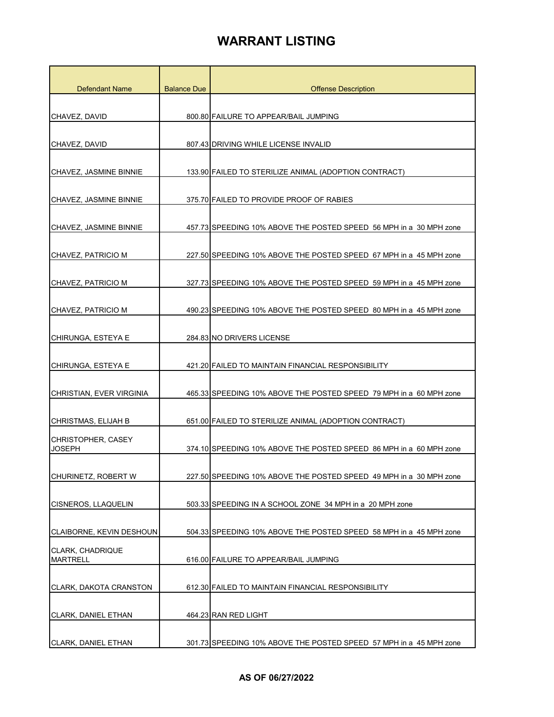| <b>Defendant Name</b>                      | <b>Balance Due</b> | <b>Offense Description</b>                                           |
|--------------------------------------------|--------------------|----------------------------------------------------------------------|
|                                            |                    |                                                                      |
| CHAVEZ, DAVID                              |                    | 800.80 FAILURE TO APPEAR/BAIL JUMPING                                |
| CHAVEZ, DAVID                              |                    | 807.43 DRIVING WHILE LICENSE INVALID                                 |
|                                            |                    |                                                                      |
| CHAVEZ, JASMINE BINNIE                     |                    | 133.90 FAILED TO STERILIZE ANIMAL (ADOPTION CONTRACT)                |
| CHAVEZ, JASMINE BINNIE                     |                    | 375.70 FAILED TO PROVIDE PROOF OF RABIES                             |
| CHAVEZ, JASMINE BINNIE                     |                    | 457.73 SPEEDING 10% ABOVE THE POSTED SPEED 56 MPH in a 30 MPH zone   |
| CHAVEZ, PATRICIO M                         |                    | 227.50 SPEEDING 10% ABOVE THE POSTED SPEED 67 MPH in a 45 MPH zone   |
| CHAVEZ, PATRICIO M                         |                    | 327.73 SPEEDING 10% ABOVE THE POSTED SPEED 59 MPH in a 45 MPH zone   |
| CHAVEZ, PATRICIO M                         |                    | 490.23 SPEEDING 10% ABOVE THE POSTED SPEED 80 MPH in a 45 MPH zone   |
| CHIRUNGA, ESTEYA E                         |                    | 284.83 NO DRIVERS LICENSE                                            |
| CHIRUNGA, ESTEYA E                         |                    | 421.20 FAILED TO MAINTAIN FINANCIAL RESPONSIBILITY                   |
| CHRISTIAN, EVER VIRGINIA                   |                    | 465.33 SPEEDING 10% ABOVE THE POSTED SPEED 79 MPH in a 60 MPH zone   |
| CHRISTMAS, ELIJAH B                        |                    | 651.00 FAILED TO STERILIZE ANIMAL (ADOPTION CONTRACT)                |
| CHRISTOPHER, CASEY<br><b>JOSEPH</b>        |                    | 374.10 SPEEDING 10% ABOVE THE POSTED SPEED 86 MPH in a 60 MPH zone   |
| CHURINETZ, ROBERT W                        |                    | 227.50 SPEEDING 10% ABOVE THE POSTED SPEED  49 MPH in a  30 MPH zone |
| <b>CISNEROS, LLAQUELIN</b>                 |                    | 503.33 SPEEDING IN A SCHOOL ZONE 34 MPH in a 20 MPH zone             |
| CLAIBORNE, KEVIN DESHOUN                   |                    | 504.33 SPEEDING 10% ABOVE THE POSTED SPEED 58 MPH in a 45 MPH zone   |
| <b>CLARK, CHADRIQUE</b><br><b>MARTRELL</b> |                    | 616.00 FAILURE TO APPEAR/BAIL JUMPING                                |
|                                            |                    |                                                                      |
| <b>CLARK, DAKOTA CRANSTON</b>              |                    | 612.30 FAILED TO MAINTAIN FINANCIAL RESPONSIBILITY                   |
| <b>CLARK, DANIEL ETHAN</b>                 |                    | 464.23 RAN RED LIGHT                                                 |
| <b>CLARK, DANIEL ETHAN</b>                 |                    | 301.73 SPEEDING 10% ABOVE THE POSTED SPEED 57 MPH in a 45 MPH zone   |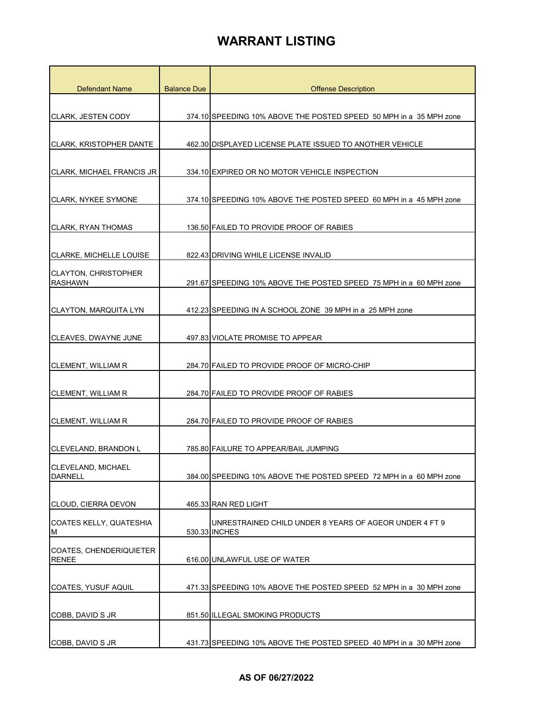| <b>Defendant Name</b>                          | <b>Balance Due</b> | <b>Offense Description</b>                                              |
|------------------------------------------------|--------------------|-------------------------------------------------------------------------|
|                                                |                    |                                                                         |
| <b>CLARK, JESTEN CODY</b>                      |                    | 374.10 SPEEDING 10% ABOVE THE POSTED SPEED 50 MPH in a 35 MPH zone      |
|                                                |                    |                                                                         |
| <b>CLARK, KRISTOPHER DANTE</b>                 |                    | 462.30 DISPLAYED LICENSE PLATE ISSUED TO ANOTHER VEHICLE                |
|                                                |                    |                                                                         |
| CLARK, MICHAEL FRANCIS JR                      |                    | 334.10 EXPIRED OR NO MOTOR VEHICLE INSPECTION                           |
| <b>CLARK, NYKEE SYMONE</b>                     |                    | 374.10 SPEEDING 10% ABOVE THE POSTED SPEED 60 MPH in a 45 MPH zone      |
|                                                |                    |                                                                         |
| <b>CLARK, RYAN THOMAS</b>                      |                    | 136.50 FAILED TO PROVIDE PROOF OF RABIES                                |
| <b>CLARKE, MICHELLE LOUISE</b>                 |                    |                                                                         |
|                                                |                    | 822.43 DRIVING WHILE LICENSE INVALID                                    |
| <b>CLAYTON, CHRISTOPHER</b><br><b>RASHAWN</b>  |                    | 291.67 SPEEDING 10% ABOVE THE POSTED SPEED 75 MPH in a 60 MPH zone      |
|                                                |                    |                                                                         |
| CLAYTON, MARQUITA LYN                          |                    | 412.23 SPEEDING IN A SCHOOL ZONE 39 MPH in a 25 MPH zone                |
|                                                |                    |                                                                         |
| CLEAVES, DWAYNE JUNE                           |                    | 497.83 VIOLATE PROMISE TO APPEAR                                        |
| <b>CLEMENT, WILLIAM R</b>                      |                    | 284.70 FAILED TO PROVIDE PROOF OF MICRO-CHIP                            |
| <b>CLEMENT, WILLIAM R</b>                      |                    | 284.70 FAILED TO PROVIDE PROOF OF RABIES                                |
|                                                |                    |                                                                         |
| CLEMENT, WILLIAM R                             |                    | 284.70 FAILED TO PROVIDE PROOF OF RABIES                                |
|                                                |                    |                                                                         |
| CLEVELAND, BRANDON L                           |                    | 785.80 FAILURE TO APPEAR/BAIL JUMPING                                   |
| CLEVELAND, MICHAEL<br><b>DARNELL</b>           |                    | 384.00 SPEEDING 10% ABOVE THE POSTED SPEED 72 MPH in a  60 MPH zone     |
|                                                |                    |                                                                         |
| CLOUD, CIERRA DEVON                            |                    | 465.33 RAN RED LIGHT                                                    |
| COATES KELLY, QUATESHIA<br>M                   |                    | UNRESTRAINED CHILD UNDER 8 YEARS OF AGEOR UNDER 4 FT 9<br>530.33 INCHES |
|                                                |                    |                                                                         |
| <b>COATES, CHENDERIQUIETER</b><br><b>RENEE</b> |                    | 616.00 UNLAWFUL USE OF WATER                                            |
|                                                |                    |                                                                         |
| <b>COATES, YUSUF AQUIL</b>                     |                    | 471.33 SPEEDING 10% ABOVE THE POSTED SPEED 52 MPH in a 30 MPH zone      |
| COBB, DAVID S JR                               |                    | 851.50 ILLEGAL SMOKING PRODUCTS                                         |
|                                                |                    |                                                                         |
| COBB, DAVID S JR                               |                    | 431.73 SPEEDING 10% ABOVE THE POSTED SPEED 40 MPH in a 30 MPH zone      |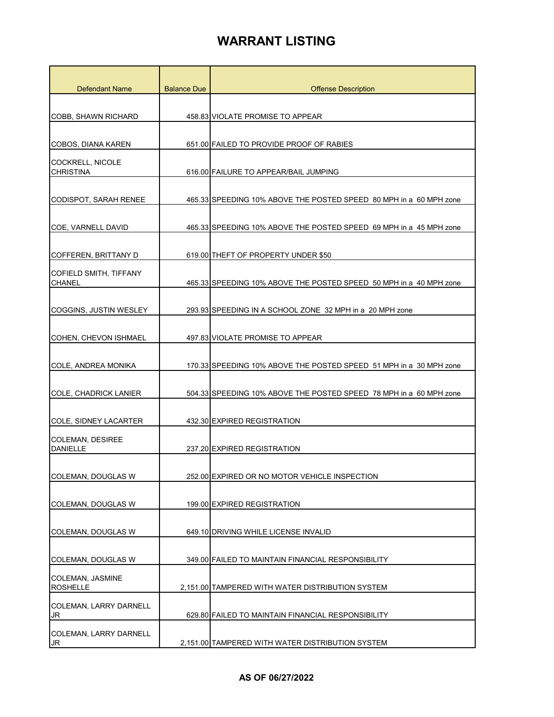| Defendant Name                           | <b>Balance Due</b> | <b>Offense Description</b>                                         |
|------------------------------------------|--------------------|--------------------------------------------------------------------|
|                                          |                    |                                                                    |
| COBB, SHAWN RICHARD                      |                    | 458.83 VIOLATE PROMISE TO APPEAR                                   |
|                                          |                    |                                                                    |
| COBOS, DIANA KAREN                       |                    | 651.00 FAILED TO PROVIDE PROOF OF RABIES                           |
| COCKRELL, NICOLE<br><b>CHRISTINA</b>     |                    | 616.00 FAILURE TO APPEAR/BAIL JUMPING                              |
| <b>CODISPOT, SARAH RENEE</b>             |                    | 465.33 SPEEDING 10% ABOVE THE POSTED SPEED 80 MPH in a 60 MPH zone |
| COE, VARNELL DAVID                       |                    | 465.33 SPEEDING 10% ABOVE THE POSTED SPEED 69 MPH in a 45 MPH zone |
| COFFEREN, BRITTANY D                     |                    | 619.00 THEFT OF PROPERTY UNDER \$50                                |
| COFIELD SMITH, TIFFANY<br><b>CHANEL</b>  |                    | 465.33 SPEEDING 10% ABOVE THE POSTED SPEED 50 MPH in a 40 MPH zone |
| COGGINS, JUSTIN WESLEY                   |                    | 293.93 SPEEDING IN A SCHOOL ZONE 32 MPH in a 20 MPH zone           |
| COHEN, CHEVON ISHMAEL                    |                    | 497.83 VIOLATE PROMISE TO APPEAR                                   |
| COLE, ANDREA MONIKA                      |                    | 170.33 SPEEDING 10% ABOVE THE POSTED SPEED 51 MPH in a 30 MPH zone |
| <b>COLE, CHADRICK LANIER</b>             |                    | 504.33 SPEEDING 10% ABOVE THE POSTED SPEED 78 MPH in a 60 MPH zone |
| COLE, SIDNEY LACARTER                    |                    | 432.30 EXPIRED REGISTRATION                                        |
| COLEMAN, DESIREE<br><b>DANIELLE</b>      |                    | 237.20 EXPIRED REGISTRATION                                        |
| COLEMAN, DOUGLAS W                       |                    | 252.00 EXPIRED OR NO MOTOR VEHICLE INSPECTION                      |
| COLEMAN, DOUGLAS W                       |                    | 199.00 EXPIRED REGISTRATION                                        |
| COLEMAN, DOUGLAS W                       |                    | 649.10 DRIVING WHILE LICENSE INVALID                               |
| COLEMAN, DOUGLAS W                       |                    | 349.00 FAILED TO MAINTAIN FINANCIAL RESPONSIBILITY                 |
| COLEMAN, JASMINE<br><b>ROSHELLE</b>      |                    | 2,151.00 TAMPERED WITH WATER DISTRIBUTION SYSTEM                   |
| COLEMAN, LARRY DARNELL<br><b>JR</b>      |                    | 629.80 FAILED TO MAINTAIN FINANCIAL RESPONSIBILITY                 |
| COLEMAN, LARRY DARNELL<br>J <sub>R</sub> |                    | 2,151.00 TAMPERED WITH WATER DISTRIBUTION SYSTEM                   |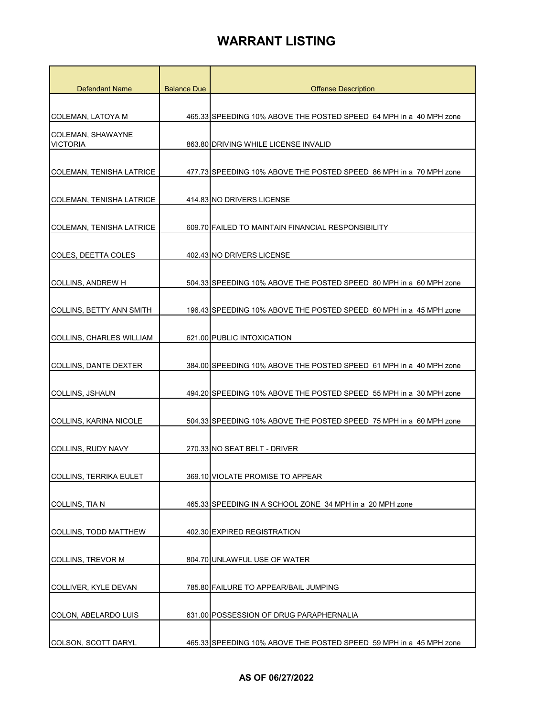| Defendant Name                  | <b>Balance Due</b> | <b>Offense Description</b>                                         |
|---------------------------------|--------------------|--------------------------------------------------------------------|
|                                 |                    |                                                                    |
| COLEMAN, LATOYA M               |                    | 465.33 SPEEDING 10% ABOVE THE POSTED SPEED 64 MPH in a 40 MPH zone |
| COLEMAN, SHAWAYNE               |                    |                                                                    |
| <b>VICTORIA</b>                 |                    | 863.80 DRIVING WHILE LICENSE INVALID                               |
|                                 |                    |                                                                    |
| COLEMAN, TENISHA LATRICE        |                    | 477.73 SPEEDING 10% ABOVE THE POSTED SPEED 86 MPH in a 70 MPH zone |
| <b>COLEMAN, TENISHA LATRICE</b> |                    | 414.83 NO DRIVERS LICENSE                                          |
|                                 |                    |                                                                    |
| <b>COLEMAN, TENISHA LATRICE</b> |                    | 609.70 FAILED TO MAINTAIN FINANCIAL RESPONSIBILITY                 |
|                                 |                    |                                                                    |
| COLES, DEETTA COLES             |                    | 402.43 NO DRIVERS LICENSE                                          |
| COLLINS, ANDREW H               |                    | 504.33 SPEEDING 10% ABOVE THE POSTED SPEED 80 MPH in a 60 MPH zone |
|                                 |                    |                                                                    |
| COLLINS, BETTY ANN SMITH        |                    | 196.43 SPEEDING 10% ABOVE THE POSTED SPEED 60 MPH in a 45 MPH zone |
|                                 |                    |                                                                    |
| COLLINS, CHARLES WILLIAM        |                    | 621.00 PUBLIC INTOXICATION                                         |
|                                 |                    |                                                                    |
| COLLINS, DANTE DEXTER           |                    | 384.00 SPEEDING 10% ABOVE THE POSTED SPEED 61 MPH in a 40 MPH zone |
| <b>COLLINS, JSHAUN</b>          |                    | 494.20 SPEEDING 10% ABOVE THE POSTED SPEED 55 MPH in a 30 MPH zone |
|                                 |                    |                                                                    |
| <b>COLLINS, KARINA NICOLE</b>   |                    | 504.33 SPEEDING 10% ABOVE THE POSTED SPEED 75 MPH in a 60 MPH zone |
|                                 |                    |                                                                    |
| <b>COLLINS, RUDY NAVY</b>       |                    | 270.33 NO SEAT BELT - DRIVER                                       |
| <b>COLLINS, TERRIKA EULET</b>   |                    | 369.10 VIOLATE PROMISE TO APPEAR                                   |
|                                 |                    |                                                                    |
| COLLINS, TIA N                  |                    | 465.33 SPEEDING IN A SCHOOL ZONE 34 MPH in a 20 MPH zone           |
|                                 |                    |                                                                    |
| <b>COLLINS, TODD MATTHEW</b>    |                    | 402.30 EXPIRED REGISTRATION                                        |
|                                 |                    |                                                                    |
| COLLINS, TREVOR M               |                    | 804.70 UNLAWFUL USE OF WATER                                       |
| COLLIVER, KYLE DEVAN            |                    | 785.80 FAILURE TO APPEAR/BAIL JUMPING                              |
|                                 |                    |                                                                    |
| COLON, ABELARDO LUIS            |                    | 631.00 POSSESSION OF DRUG PARAPHERNALIA                            |
|                                 |                    |                                                                    |
| COLSON, SCOTT DARYL             |                    | 465.33 SPEEDING 10% ABOVE THE POSTED SPEED 59 MPH in a 45 MPH zone |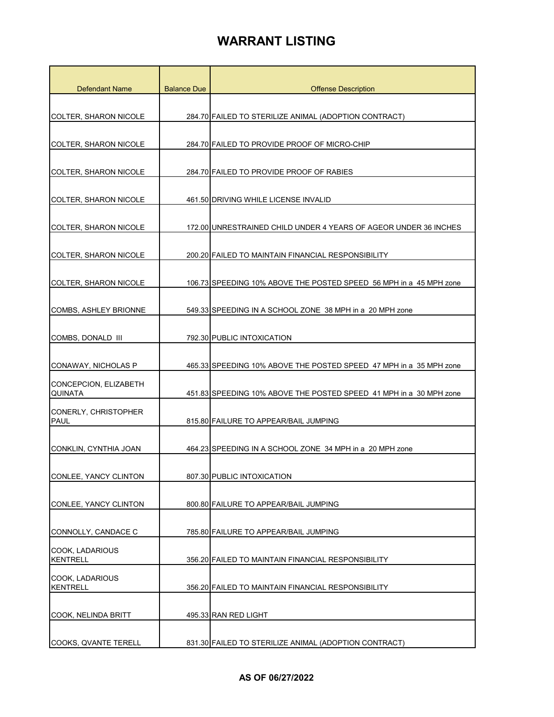| <b>Defendant Name</b>                     | <b>Balance Due</b> | <b>Offense Description</b>                                         |
|-------------------------------------------|--------------------|--------------------------------------------------------------------|
|                                           |                    |                                                                    |
| <b>COLTER, SHARON NICOLE</b>              |                    | 284.70 FAILED TO STERILIZE ANIMAL (ADOPTION CONTRACT)              |
|                                           |                    |                                                                    |
| <b>COLTER, SHARON NICOLE</b>              |                    | 284.70 FAILED TO PROVIDE PROOF OF MICRO-CHIP                       |
| COLTER, SHARON NICOLE                     |                    | 284.70 FAILED TO PROVIDE PROOF OF RABIES                           |
| COLTER, SHARON NICOLE                     |                    | 461.50 DRIVING WHILE LICENSE INVALID                               |
| COLTER, SHARON NICOLE                     |                    | 172.00 UNRESTRAINED CHILD UNDER 4 YEARS OF AGEOR UNDER 36 INCHES   |
| <b>COLTER, SHARON NICOLE</b>              |                    | 200.20 FAILED TO MAINTAIN FINANCIAL RESPONSIBILITY                 |
| COLTER, SHARON NICOLE                     |                    | 106.73 SPEEDING 10% ABOVE THE POSTED SPEED 56 MPH in a 45 MPH zone |
| <b>COMBS, ASHLEY BRIONNE</b>              |                    | 549.33 SPEEDING IN A SCHOOL ZONE 38 MPH in a 20 MPH zone           |
| COMBS, DONALD III                         |                    | 792.30 PUBLIC INTOXICATION                                         |
| CONAWAY, NICHOLAS P                       |                    | 465.33 SPEEDING 10% ABOVE THE POSTED SPEED 47 MPH in a 35 MPH zone |
| CONCEPCION, ELIZABETH<br><b>QUINATA</b>   |                    | 451.83 SPEEDING 10% ABOVE THE POSTED SPEED 41 MPH in a 30 MPH zone |
| CONERLY, CHRISTOPHER<br><b>PAUL</b>       |                    | 815.80 FAILURE TO APPEAR/BAIL JUMPING                              |
| CONKLIN, CYNTHIA JOAN                     |                    | 464.23 SPEEDING IN A SCHOOL ZONE 34 MPH in a 20 MPH zone           |
| CONLEE, YANCY CLINTON                     |                    | 807.30 PUBLIC INTOXICATION                                         |
| CONLEE, YANCY CLINTON                     |                    | 800.80 FAILURE TO APPEAR/BAIL JUMPING                              |
| CONNOLLY, CANDACE C                       |                    | 785.80 FAILURE TO APPEAR/BAIL JUMPING                              |
| <b>COOK, LADARIOUS</b><br><b>KENTRELL</b> |                    | 356.20 FAILED TO MAINTAIN FINANCIAL RESPONSIBILITY                 |
| COOK, LADARIOUS<br><b>KENTRELL</b>        |                    | 356.20 FAILED TO MAINTAIN FINANCIAL RESPONSIBILITY                 |
| COOK, NELINDA BRITT                       |                    | 495.33 RAN RED LIGHT                                               |
| COOKS, QVANTE TERELL                      |                    | 831.30 FAILED TO STERILIZE ANIMAL (ADOPTION CONTRACT)              |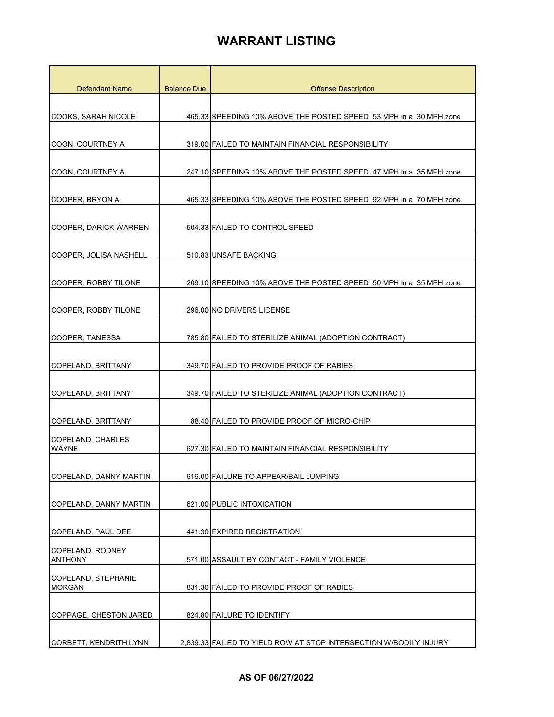| <b>Defendant Name</b>                | <b>Balance Due</b> | <b>Offense Description</b>                                         |
|--------------------------------------|--------------------|--------------------------------------------------------------------|
|                                      |                    |                                                                    |
| <b>COOKS. SARAH NICOLE</b>           |                    | 465.33 SPEEDING 10% ABOVE THE POSTED SPEED 53 MPH in a 30 MPH zone |
|                                      |                    |                                                                    |
| COON, COURTNEY A                     |                    | 319.00 FAILED TO MAINTAIN FINANCIAL RESPONSIBILITY                 |
|                                      |                    |                                                                    |
| COON, COURTNEY A                     |                    | 247.10 SPEEDING 10% ABOVE THE POSTED SPEED 47 MPH in a 35 MPH zone |
| COOPER, BRYON A                      |                    | 465.33 SPEEDING 10% ABOVE THE POSTED SPEED 92 MPH in a 70 MPH zone |
| COOPER, DARICK WARREN                |                    | 504.33 FAILED TO CONTROL SPEED                                     |
|                                      |                    |                                                                    |
| COOPER, JOLISA NASHELL               |                    | 510.83 UNSAFE BACKING                                              |
|                                      |                    |                                                                    |
| COOPER, ROBBY TILONE                 |                    | 209.10 SPEEDING 10% ABOVE THE POSTED SPEED 50 MPH in a 35 MPH zone |
| COOPER, ROBBY TILONE                 |                    | 296.00 NO DRIVERS LICENSE                                          |
|                                      |                    |                                                                    |
| <b>COOPER, TANESSA</b>               |                    | 785.80 FAILED TO STERILIZE ANIMAL (ADOPTION CONTRACT)              |
|                                      |                    |                                                                    |
| COPELAND, BRITTANY                   |                    | 349.70 FAILED TO PROVIDE PROOF OF RABIES                           |
| COPELAND, BRITTANY                   |                    | 349.70 FAILED TO STERILIZE ANIMAL (ADOPTION CONTRACT)              |
|                                      |                    |                                                                    |
| COPELAND, BRITTANY                   |                    | 88.40 FAILED TO PROVIDE PROOF OF MICRO-CHIP                        |
| <b>COPELAND, CHARLES</b>             |                    |                                                                    |
| <b>WAYNE</b>                         |                    | 627.30 FAILED TO MAINTAIN FINANCIAL RESPONSIBILITY                 |
| COPELAND, DANNY MARTIN               |                    | 616.00 FAILURE TO APPEAR/BAIL JUMPING                              |
|                                      |                    |                                                                    |
| COPELAND, DANNY MARTIN               |                    | 621.00 PUBLIC INTOXICATION                                         |
|                                      |                    |                                                                    |
| COPELAND, PAUL DEE                   |                    | 441.30 EXPIRED REGISTRATION                                        |
| COPELAND, RODNEY                     |                    |                                                                    |
| <b>ANTHONY</b>                       |                    | 571.00 ASSAULT BY CONTACT - FAMILY VIOLENCE                        |
| COPELAND, STEPHANIE<br><b>MORGAN</b> |                    | 831.30 FAILED TO PROVIDE PROOF OF RABIES                           |
|                                      |                    |                                                                    |
| COPPAGE, CHESTON JARED               |                    | 824.80 FAILURE TO IDENTIFY                                         |
|                                      |                    |                                                                    |
| CORBETT, KENDRITH LYNN               |                    | 2,839.33 FAILED TO YIELD ROW AT STOP INTERSECTION W/BODILY INJURY  |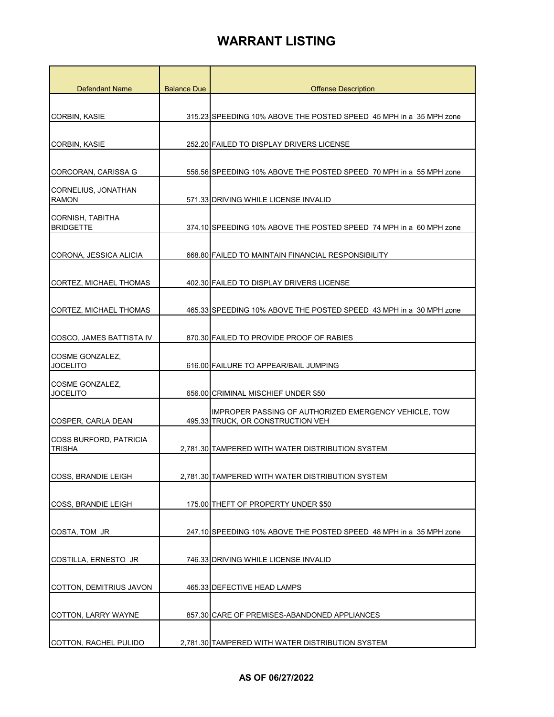| <b>Defendant Name</b>                   | <b>Balance Due</b> | <b>Offense Description</b>                                                                 |
|-----------------------------------------|--------------------|--------------------------------------------------------------------------------------------|
|                                         |                    |                                                                                            |
| <b>CORBIN, KASIE</b>                    |                    | 315.23 SPEEDING 10% ABOVE THE POSTED SPEED 45 MPH in a 35 MPH zone                         |
|                                         |                    |                                                                                            |
| <b>CORBIN, KASIE</b>                    |                    | 252.20 FAILED TO DISPLAY DRIVERS LICENSE                                                   |
|                                         |                    |                                                                                            |
| CORCORAN, CARISSA G                     |                    | 556.56 SPEEDING 10% ABOVE THE POSTED SPEED 70 MPH in a 55 MPH zone                         |
| CORNELIUS, JONATHAN<br><b>RAMON</b>     |                    | 571.33 DRIVING WHILE LICENSE INVALID                                                       |
| CORNISH, TABITHA<br><b>BRIDGETTE</b>    |                    | 374.10 SPEEDING 10% ABOVE THE POSTED SPEED 74 MPH in a 60 MPH zone                         |
| CORONA, JESSICA ALICIA                  |                    | 668.80 FAILED TO MAINTAIN FINANCIAL RESPONSIBILITY                                         |
| CORTEZ, MICHAEL THOMAS                  |                    | 402.30 FAILED TO DISPLAY DRIVERS LICENSE                                                   |
| <b>CORTEZ, MICHAEL THOMAS</b>           |                    | 465.33 SPEEDING 10% ABOVE THE POSTED SPEED 43 MPH in a 30 MPH zone                         |
| COSCO, JAMES BATTISTA IV                |                    | 870.30 FAILED TO PROVIDE PROOF OF RABIES                                                   |
| COSME GONZALEZ,<br><b>JOCELITO</b>      |                    | 616.00 FAILURE TO APPEAR/BAIL JUMPING                                                      |
| COSME GONZALEZ,<br><b>JOCELITO</b>      |                    | 656.00 CRIMINAL MISCHIEF UNDER \$50                                                        |
| COSPER, CARLA DEAN                      |                    | IMPROPER PASSING OF AUTHORIZED EMERGENCY VEHICLE, TOW<br>495.33 TRUCK, OR CONSTRUCTION VEH |
| COSS BURFORD, PATRICIA<br><b>TRISHA</b> |                    | 2,781.30 TAMPERED WITH WATER DISTRIBUTION SYSTEM                                           |
| COSS, BRANDIE LEIGH                     |                    | 2,781.30 TAMPERED WITH WATER DISTRIBUTION SYSTEM                                           |
| COSS, BRANDIE LEIGH                     |                    | 175.00 THEFT OF PROPERTY UNDER \$50                                                        |
| COSTA, TOM JR                           |                    | 247.10 SPEEDING 10% ABOVE THE POSTED SPEED 48 MPH in a 35 MPH zone                         |
| COSTILLA, ERNESTO JR                    |                    | 746.33 DRIVING WHILE LICENSE INVALID                                                       |
| COTTON, DEMITRIUS JAVON                 |                    | 465.33 DEFECTIVE HEAD LAMPS                                                                |
| COTTON, LARRY WAYNE                     |                    | 857.30 CARE OF PREMISES-ABANDONED APPLIANCES                                               |
| COTTON, RACHEL PULIDO                   |                    | 2,781.30 TAMPERED WITH WATER DISTRIBUTION SYSTEM                                           |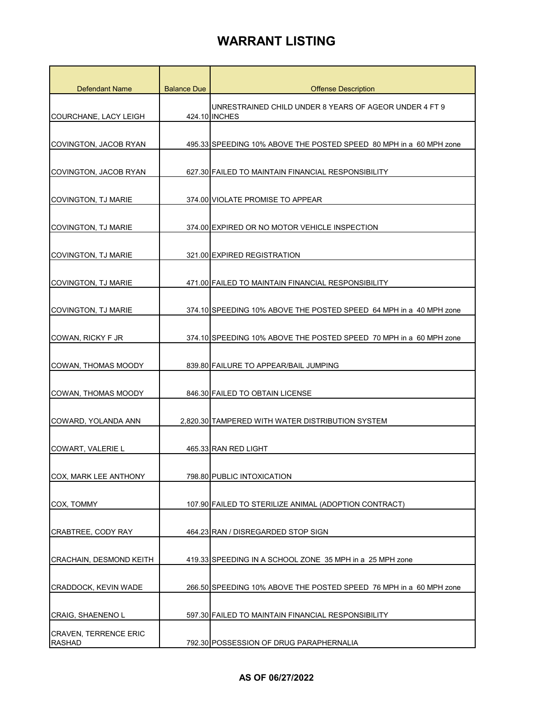| <b>Defendant Name</b>                         | <b>Balance Due</b> | <b>Offense Description</b>                                                     |
|-----------------------------------------------|--------------------|--------------------------------------------------------------------------------|
| COURCHANE, LACY LEIGH                         |                    | UNRESTRAINED CHILD UNDER 8 YEARS OF AGEOR UNDER 4 FT 9<br>424.10 <b>INCHES</b> |
| COVINGTON, JACOB RYAN                         |                    | 495.33 SPEEDING 10% ABOVE THE POSTED SPEED 80 MPH in a 60 MPH zone             |
| COVINGTON, JACOB RYAN                         |                    | 627.30 FAILED TO MAINTAIN FINANCIAL RESPONSIBILITY                             |
| COVINGTON, TJ MARIE                           |                    | 374.00 VIOLATE PROMISE TO APPEAR                                               |
| COVINGTON, TJ MARIE                           |                    | 374.00 EXPIRED OR NO MOTOR VEHICLE INSPECTION                                  |
| COVINGTON, TJ MARIE                           |                    | 321.00 EXPIRED REGISTRATION                                                    |
| COVINGTON, TJ MARIE                           |                    | 471.00 FAILED TO MAINTAIN FINANCIAL RESPONSIBILITY                             |
| COVINGTON, TJ MARIE                           |                    | 374.10 SPEEDING 10% ABOVE THE POSTED SPEED 64 MPH in a 40 MPH zone             |
| COWAN, RICKY F JR                             |                    | 374.10 SPEEDING 10% ABOVE THE POSTED SPEED 70 MPH in a 60 MPH zone             |
| <b>COWAN, THOMAS MOODY</b>                    |                    | 839.80 FAILURE TO APPEAR/BAIL JUMPING                                          |
| <b>COWAN, THOMAS MOODY</b>                    |                    | 846.30 FAILED TO OBTAIN LICENSE                                                |
| COWARD, YOLANDA ANN                           |                    | 2,820.30 TAMPERED WITH WATER DISTRIBUTION SYSTEM                               |
| COWART, VALERIE L                             |                    | 465.33 RAN RED LIGHT                                                           |
| COX, MARK LEE ANTHONY                         |                    | 798.80 PUBLIC INTOXICATION                                                     |
| COX, TOMMY                                    |                    | 107.90 FAILED TO STERILIZE ANIMAL (ADOPTION CONTRACT)                          |
| CRABTREE, CODY RAY                            |                    | 464.23 RAN / DISREGARDED STOP SIGN                                             |
| <b>CRACHAIN, DESMOND KEITH</b>                |                    | 419.33 SPEEDING IN A SCHOOL ZONE 35 MPH in a 25 MPH zone                       |
| CRADDOCK, KEVIN WADE                          |                    | 266.50 SPEEDING 10% ABOVE THE POSTED SPEED 76 MPH in a 60 MPH zone             |
| CRAIG, SHAENENO L                             |                    | 597.30 FAILED TO MAINTAIN FINANCIAL RESPONSIBILITY                             |
| <b>CRAVEN, TERRENCE ERIC</b><br><b>RASHAD</b> |                    | 792.30 POSSESSION OF DRUG PARAPHERNALIA                                        |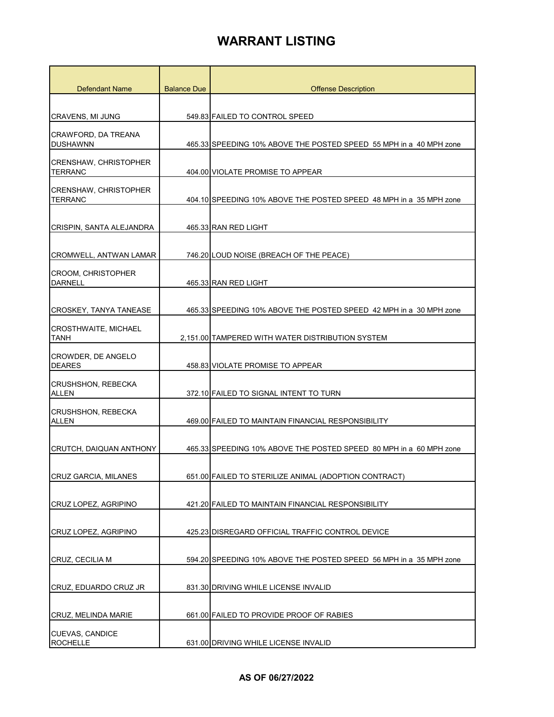| <b>Defendant Name</b>                          | <b>Balance Due</b> | <b>Offense Description</b>                                         |
|------------------------------------------------|--------------------|--------------------------------------------------------------------|
|                                                |                    |                                                                    |
| CRAVENS, MI JUNG                               |                    | 549.83 FAILED TO CONTROL SPEED                                     |
| CRAWFORD, DA TREANA<br><b>DUSHAWNN</b>         |                    | 465.33 SPEEDING 10% ABOVE THE POSTED SPEED 55 MPH in a 40 MPH zone |
| <b>CRENSHAW, CHRISTOPHER</b><br><b>TERRANC</b> |                    | 404.00 VIOLATE PROMISE TO APPEAR                                   |
| <b>CRENSHAW, CHRISTOPHER</b><br><b>TERRANC</b> |                    | 404.10 SPEEDING 10% ABOVE THE POSTED SPEED 48 MPH in a 35 MPH zone |
| CRISPIN, SANTA ALEJANDRA                       |                    | 465.33 RAN RED LIGHT                                               |
| CROMWELL, ANTWAN LAMAR                         |                    | 746.20 LOUD NOISE (BREACH OF THE PEACE)                            |
| <b>CROOM, CHRISTOPHER</b><br><b>DARNELL</b>    |                    | 465.33 RAN RED LIGHT                                               |
| <b>CROSKEY, TANYA TANEASE</b>                  |                    | 465.33 SPEEDING 10% ABOVE THE POSTED SPEED 42 MPH in a 30 MPH zone |
| <b>CROSTHWAITE, MICHAEL</b><br>TANH            |                    | 2,151.00 TAMPERED WITH WATER DISTRIBUTION SYSTEM                   |
| CROWDER, DE ANGELO<br><b>DEARES</b>            |                    | 458.83 VIOLATE PROMISE TO APPEAR                                   |
| <b>CRUSHSHON, REBECKA</b><br><b>ALLEN</b>      |                    | 372.10 FAILED TO SIGNAL INTENT TO TURN                             |
| <b>CRUSHSHON, REBECKA</b><br>ALLEN             |                    | 469.00 FAILED TO MAINTAIN FINANCIAL RESPONSIBILITY                 |
| CRUTCH, DAIQUAN ANTHONY                        |                    | 465.33 SPEEDING 10% ABOVE THE POSTED SPEED 80 MPH in a 60 MPH zone |
| CRUZ GARCIA, MILANES                           |                    | 651.00 FAILED TO STERILIZE ANIMAL (ADOPTION CONTRACT)              |
| CRUZ LOPEZ, AGRIPINO                           |                    | 421.20 FAILED TO MAINTAIN FINANCIAL RESPONSIBILITY                 |
| CRUZ LOPEZ, AGRIPINO                           |                    | 425.23 DISREGARD OFFICIAL TRAFFIC CONTROL DEVICE                   |
| CRUZ, CECILIA M                                |                    | 594.20 SPEEDING 10% ABOVE THE POSTED SPEED 56 MPH in a 35 MPH zone |
| CRUZ, EDUARDO CRUZ JR                          |                    | 831.30 DRIVING WHILE LICENSE INVALID                               |
| CRUZ, MELINDA MARIE                            |                    | 661.00 FAILED TO PROVIDE PROOF OF RABIES                           |
| <b>CUEVAS, CANDICE</b><br><b>ROCHELLE</b>      |                    | 631.00 DRIVING WHILE LICENSE INVALID                               |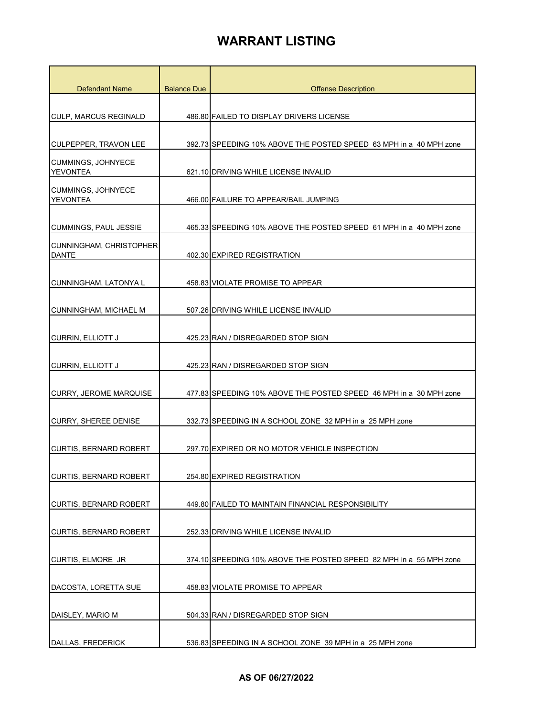| <b>Defendant Name</b>                        | <b>Balance Due</b> | <b>Offense Description</b>                                         |
|----------------------------------------------|--------------------|--------------------------------------------------------------------|
|                                              |                    |                                                                    |
| <b>CULP, MARCUS REGINALD</b>                 |                    | 486.80 FAILED TO DISPLAY DRIVERS LICENSE                           |
|                                              |                    |                                                                    |
| <b>CULPEPPER, TRAVON LEE</b>                 |                    | 392.73 SPEEDING 10% ABOVE THE POSTED SPEED 63 MPH in a 40 MPH zone |
| <b>CUMMINGS, JOHNYECE</b><br><b>YEVONTEA</b> |                    | 621.10 DRIVING WHILE LICENSE INVALID                               |
| CUMMINGS, JOHNYECE<br><b>YEVONTEA</b>        |                    | 466.00 FAILURE TO APPEAR/BAIL JUMPING                              |
| CUMMINGS, PAUL JESSIE                        |                    | 465.33 SPEEDING 10% ABOVE THE POSTED SPEED 61 MPH in a 40 MPH zone |
| CUNNINGHAM, CHRISTOPHER<br><b>DANTE</b>      |                    | 402.30 EXPIRED REGISTRATION                                        |
| CUNNINGHAM, LATONYA L                        |                    | 458.83 VIOLATE PROMISE TO APPEAR                                   |
| <b>CUNNINGHAM, MICHAEL M</b>                 |                    | 507.26 DRIVING WHILE LICENSE INVALID                               |
| <b>CURRIN, ELLIOTT J</b>                     |                    | 425.23 RAN / DISREGARDED STOP SIGN                                 |
| <b>CURRIN, ELLIOTT J</b>                     |                    | 425.23 RAN / DISREGARDED STOP SIGN                                 |
| <b>CURRY, JEROME MARQUISE</b>                |                    | 477.83 SPEEDING 10% ABOVE THE POSTED SPEED 46 MPH in a 30 MPH zone |
| <b>CURRY, SHEREE DENISE</b>                  |                    | 332.73 SPEEDING IN A SCHOOL ZONE 32 MPH in a 25 MPH zone           |
| <b>CURTIS, BERNARD ROBERT</b>                |                    | 297.70 EXPIRED OR NO MOTOR VEHICLE INSPECTION                      |
| <b>CURTIS, BERNARD ROBERT</b>                |                    | 254.80 EXPIRED REGISTRATION                                        |
| <b>CURTIS, BERNARD ROBERT</b>                |                    | 449.80 FAILED TO MAINTAIN FINANCIAL RESPONSIBILITY                 |
| <b>CURTIS, BERNARD ROBERT</b>                |                    | 252.33 DRIVING WHILE LICENSE INVALID                               |
| CURTIS, ELMORE JR                            |                    | 374.10 SPEEDING 10% ABOVE THE POSTED SPEED 82 MPH in a 55 MPH zone |
| DACOSTA, LORETTA SUE                         |                    | 458.83 VIOLATE PROMISE TO APPEAR                                   |
| DAISLEY, MARIO M                             |                    | 504.33 RAN / DISREGARDED STOP SIGN                                 |
| DALLAS, FREDERICK                            |                    | 536.83 SPEEDING IN A SCHOOL ZONE 39 MPH in a 25 MPH zone           |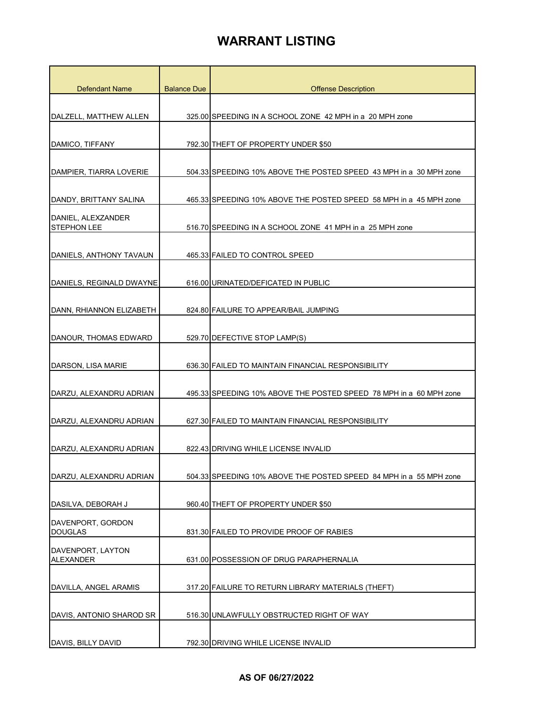| <b>Defendant Name</b>               | <b>Balance Due</b> | <b>Offense Description</b>                                         |
|-------------------------------------|--------------------|--------------------------------------------------------------------|
|                                     |                    |                                                                    |
| DALZELL, MATTHEW ALLEN              |                    | 325.00 SPEEDING IN A SCHOOL ZONE 42 MPH in a 20 MPH zone           |
|                                     |                    |                                                                    |
| DAMICO, TIFFANY                     |                    | 792.30 THEFT OF PROPERTY UNDER \$50                                |
|                                     |                    |                                                                    |
| DAMPIER, TIARRA LOVERIE             |                    | 504.33 SPEEDING 10% ABOVE THE POSTED SPEED 43 MPH in a 30 MPH zone |
| DANDY, BRITTANY SALINA              |                    | 465.33 SPEEDING 10% ABOVE THE POSTED SPEED 58 MPH in a 45 MPH zone |
| DANIEL, ALEXZANDER                  |                    |                                                                    |
| <b>STEPHON LEE</b>                  |                    | 516.70 SPEEDING IN A SCHOOL ZONE 41 MPH in a 25 MPH zone           |
|                                     |                    |                                                                    |
| DANIELS, ANTHONY TAVAUN             |                    | 465.33 FAILED TO CONTROL SPEED                                     |
| DANIELS, REGINALD DWAYNE            |                    | 616.00 URINATED/DEFICATED IN PUBLIC                                |
|                                     |                    |                                                                    |
| DANN, RHIANNON ELIZABETH            |                    | 824.80 FAILURE TO APPEAR/BAIL JUMPING                              |
|                                     |                    |                                                                    |
| DANOUR, THOMAS EDWARD               |                    | 529.70 DEFECTIVE STOP LAMP(S)                                      |
| DARSON, LISA MARIE                  |                    | 636.30 FAILED TO MAINTAIN FINANCIAL RESPONSIBILITY                 |
| DARZU, ALEXANDRU ADRIAN             |                    | 495.33 SPEEDING 10% ABOVE THE POSTED SPEED 78 MPH in a 60 MPH zone |
| DARZU, ALEXANDRU ADRIAN             |                    | 627.30 FAILED TO MAINTAIN FINANCIAL RESPONSIBILITY                 |
|                                     |                    |                                                                    |
| DARZU, ALEXANDRU ADRIAN             |                    | 822.43 DRIVING WHILE LICENSE INVALID                               |
|                                     |                    |                                                                    |
| DARZU, ALEXANDRU ADRIAN             |                    | 504.33 SPEEDING 10% ABOVE THE POSTED SPEED 84 MPH in a 55 MPH zone |
| DASILVA, DEBORAH J                  |                    | 960.40 THEFT OF PROPERTY UNDER \$50                                |
| DAVENPORT, GORDON<br><b>DOUGLAS</b> |                    | 831.30 FAILED TO PROVIDE PROOF OF RABIES                           |
|                                     |                    |                                                                    |
| DAVENPORT, LAYTON<br>ALEXANDER      |                    | 631.00 POSSESSION OF DRUG PARAPHERNALIA                            |
| DAVILLA, ANGEL ARAMIS               |                    | 317.20 FAILURE TO RETURN LIBRARY MATERIALS (THEFT)                 |
|                                     |                    |                                                                    |
| DAVIS, ANTONIO SHAROD SR            |                    | 516.30 UNLAWFULLY OBSTRUCTED RIGHT OF WAY                          |
|                                     |                    |                                                                    |
| DAVIS, BILLY DAVID                  |                    | 792.30 DRIVING WHILE LICENSE INVALID                               |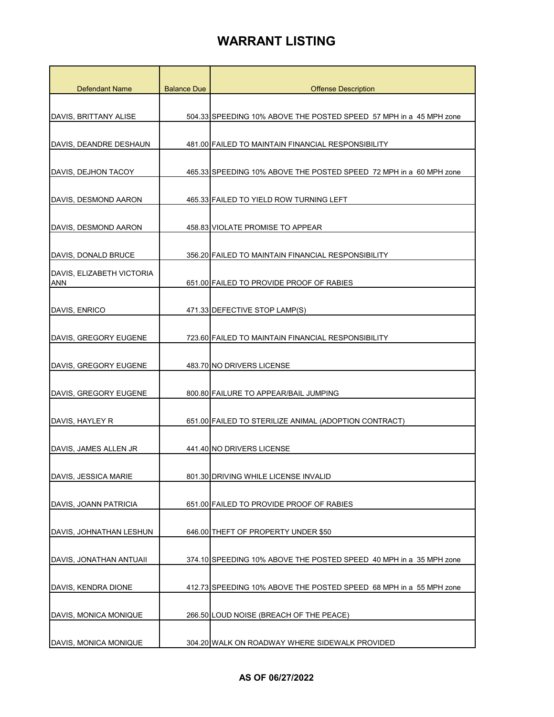| <b>Defendant Name</b>            | <b>Balance Due</b> | <b>Offense Description</b>                                         |
|----------------------------------|--------------------|--------------------------------------------------------------------|
|                                  |                    |                                                                    |
| DAVIS, BRITTANY ALISE            |                    | 504.33 SPEEDING 10% ABOVE THE POSTED SPEED 57 MPH in a 45 MPH zone |
| DAVIS, DEANDRE DESHAUN           |                    | 481.00 FAILED TO MAINTAIN FINANCIAL RESPONSIBILITY                 |
| DAVIS, DEJHON TACOY              |                    | 465.33 SPEEDING 10% ABOVE THE POSTED SPEED 72 MPH in a 60 MPH zone |
| DAVIS, DESMOND AARON             |                    | 465.33 FAILED TO YIELD ROW TURNING LEFT                            |
| DAVIS, DESMOND AARON             |                    | 458.83 VIOLATE PROMISE TO APPEAR                                   |
| DAVIS, DONALD BRUCE              |                    | 356.20 FAILED TO MAINTAIN FINANCIAL RESPONSIBILITY                 |
| DAVIS, ELIZABETH VICTORIA<br>ANN |                    | 651.00 FAILED TO PROVIDE PROOF OF RABIES                           |
| DAVIS, ENRICO                    |                    | 471.33 DEFECTIVE STOP LAMP(S)                                      |
| DAVIS, GREGORY EUGENE            |                    | 723.60 FAILED TO MAINTAIN FINANCIAL RESPONSIBILITY                 |
| DAVIS, GREGORY EUGENE            |                    | 483.70 NO DRIVERS LICENSE                                          |
| DAVIS, GREGORY EUGENE            |                    | 800.80 FAILURE TO APPEAR/BAIL JUMPING                              |
| DAVIS, HAYLEY R                  |                    | 651.00 FAILED TO STERILIZE ANIMAL (ADOPTION CONTRACT)              |
| DAVIS, JAMES ALLEN JR            |                    | 441.40 NO DRIVERS LICENSE                                          |
| DAVIS, JESSICA MARIE             |                    | 801.30 DRIVING WHILE LICENSE INVALID                               |
| DAVIS, JOANN PATRICIA            |                    | 651.00 FAILED TO PROVIDE PROOF OF RABIES                           |
| DAVIS, JOHNATHAN LESHUN          |                    | 646.00 THEFT OF PROPERTY UNDER \$50                                |
| DAVIS, JONATHAN ANTUAII          |                    | 374.10 SPEEDING 10% ABOVE THE POSTED SPEED 40 MPH in a 35 MPH zone |
| DAVIS, KENDRA DIONE              |                    | 412.73 SPEEDING 10% ABOVE THE POSTED SPEED 68 MPH in a 55 MPH zone |
| DAVIS, MONICA MONIQUE            |                    | 266.50 LOUD NOISE (BREACH OF THE PEACE)                            |
| DAVIS, MONICA MONIQUE            |                    | 304.20 WALK ON ROADWAY WHERE SIDEWALK PROVIDED                     |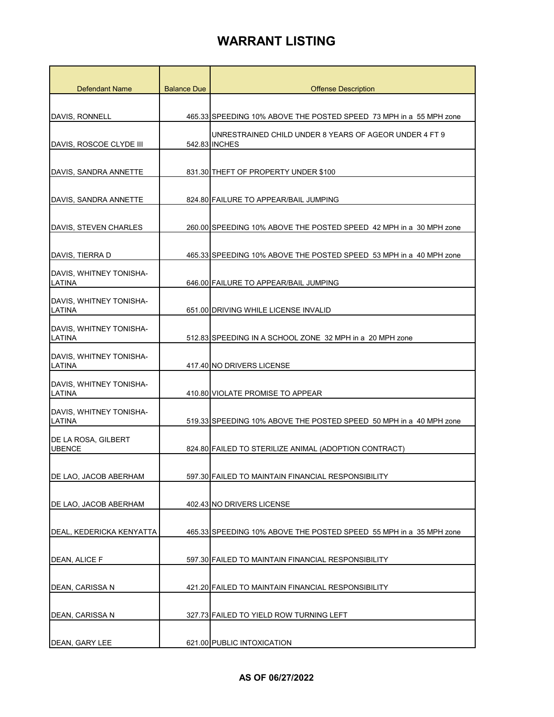| <b>Defendant Name</b>                | <b>Balance Due</b> | <b>Offense Description</b>                                              |
|--------------------------------------|--------------------|-------------------------------------------------------------------------|
|                                      |                    |                                                                         |
| DAVIS, RONNELL                       |                    | 465.33 SPEEDING 10% ABOVE THE POSTED SPEED 73 MPH in a 55 MPH zone      |
| DAVIS, ROSCOE CLYDE III              |                    | UNRESTRAINED CHILD UNDER 8 YEARS OF AGEOR UNDER 4 FT 9<br>542.83 INCHES |
|                                      |                    |                                                                         |
| DAVIS, SANDRA ANNETTE                |                    | 831.30 THEFT OF PROPERTY UNDER \$100                                    |
| DAVIS, SANDRA ANNETTE                |                    | 824.80 FAILURE TO APPEAR/BAIL JUMPING                                   |
| DAVIS, STEVEN CHARLES                |                    | 260.00 SPEEDING 10% ABOVE THE POSTED SPEED 42 MPH in a 30 MPH zone      |
| DAVIS, TIERRA D                      |                    | 465.33 SPEEDING 10% ABOVE THE POSTED SPEED 53 MPH in a 40 MPH zone      |
| DAVIS, WHITNEY TONISHA-<br>LATINA    |                    | 646.00 FAILURE TO APPEAR/BAIL JUMPING                                   |
| DAVIS, WHITNEY TONISHA-<br>LATINA    |                    | 651.00 DRIVING WHILE LICENSE INVALID                                    |
| DAVIS, WHITNEY TONISHA-<br>LATINA    |                    | 512.83 SPEEDING IN A SCHOOL ZONE 32 MPH in a 20 MPH zone                |
| DAVIS, WHITNEY TONISHA-<br>LATINA    |                    | 417.40 NO DRIVERS LICENSE                                               |
| DAVIS, WHITNEY TONISHA-<br>LATINA    |                    | 410.80 VIOLATE PROMISE TO APPEAR                                        |
| DAVIS, WHITNEY TONISHA-<br>LATINA    |                    | 519.33 SPEEDING 10% ABOVE THE POSTED SPEED 50 MPH in a 40 MPH zone      |
| DE LA ROSA, GILBERT<br><b>UBENCE</b> |                    | 824.80 FAILED TO STERILIZE ANIMAL (ADOPTION CONTRACT)                   |
| DE LAO, JACOB ABERHAM                |                    | 597.30 FAILED TO MAINTAIN FINANCIAL RESPONSIBILITY                      |
| DE LAO, JACOB ABERHAM                |                    | 402.43 NO DRIVERS LICENSE                                               |
| DEAL, KEDERICKA KENYATTA             |                    | 465.33 SPEEDING 10% ABOVE THE POSTED SPEED 55 MPH in a 35 MPH zone      |
| DEAN, ALICE F                        |                    | 597.30 FAILED TO MAINTAIN FINANCIAL RESPONSIBILITY                      |
| DEAN, CARISSA N                      |                    | 421.20 FAILED TO MAINTAIN FINANCIAL RESPONSIBILITY                      |
| DEAN, CARISSA N                      |                    | 327.73 FAILED TO YIELD ROW TURNING LEFT                                 |
| DEAN, GARY LEE                       |                    | 621.00 PUBLIC INTOXICATION                                              |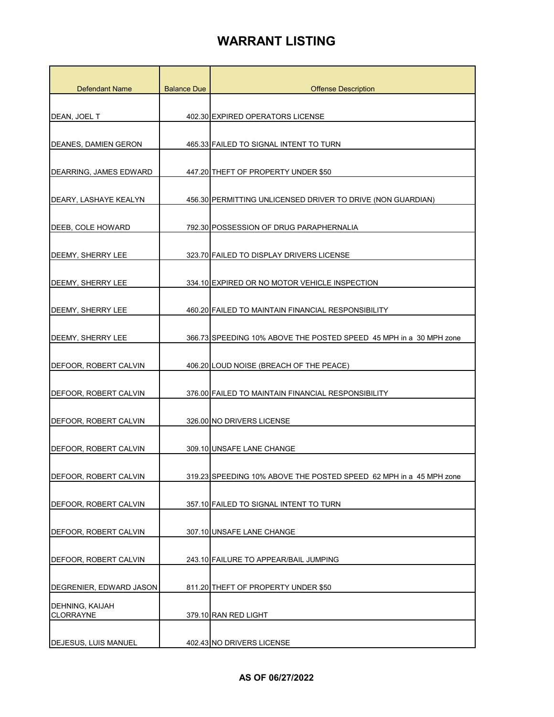| <b>Defendant Name</b>                      | <b>Balance Due</b> | <b>Offense Description</b>                                         |
|--------------------------------------------|--------------------|--------------------------------------------------------------------|
|                                            |                    |                                                                    |
| DEAN, JOEL T                               |                    | 402.30 EXPIRED OPERATORS LICENSE                                   |
| DEANES, DAMIEN GERON                       |                    | 465.33 FAILED TO SIGNAL INTENT TO TURN                             |
|                                            |                    |                                                                    |
| DEARRING, JAMES EDWARD                     |                    | 447.20 THEFT OF PROPERTY UNDER \$50                                |
| DEARY, LASHAYE KEALYN                      |                    | 456.30 PERMITTING UNLICENSED DRIVER TO DRIVE (NON GUARDIAN)        |
| DEEB, COLE HOWARD                          |                    | 792.30 POSSESSION OF DRUG PARAPHERNALIA                            |
| <b>DEEMY, SHERRY LEE</b>                   |                    | 323.70 FAILED TO DISPLAY DRIVERS LICENSE                           |
| DEEMY, SHERRY LEE                          |                    | 334.10 EXPIRED OR NO MOTOR VEHICLE INSPECTION                      |
| DEEMY, SHERRY LEE                          |                    | 460.20 FAILED TO MAINTAIN FINANCIAL RESPONSIBILITY                 |
| DEEMY, SHERRY LEE                          |                    | 366.73 SPEEDING 10% ABOVE THE POSTED SPEED 45 MPH in a 30 MPH zone |
| DEFOOR, ROBERT CALVIN                      |                    | 406.20 LOUD NOISE (BREACH OF THE PEACE)                            |
| DEFOOR, ROBERT CALVIN                      |                    | 376.00 FAILED TO MAINTAIN FINANCIAL RESPONSIBILITY                 |
| DEFOOR, ROBERT CALVIN                      |                    | 326.00 NO DRIVERS LICENSE                                          |
| DEFOOR, ROBERT CALVIN                      |                    | 309.10 UNSAFE LANE CHANGE                                          |
| DEFOOR, ROBERT CALVIN                      |                    | 319.23 SPEEDING 10% ABOVE THE POSTED SPEED 62 MPH in a 45 MPH zone |
| DEFOOR, ROBERT CALVIN                      |                    | 357.10 FAILED TO SIGNAL INTENT TO TURN                             |
| DEFOOR, ROBERT CALVIN                      |                    | 307.10 UNSAFE LANE CHANGE                                          |
| DEFOOR, ROBERT CALVIN                      |                    | 243.10 FAILURE TO APPEAR/BAIL JUMPING                              |
| DEGRENIER, EDWARD JASON                    |                    | 811.20 THEFT OF PROPERTY UNDER \$50                                |
| <b>DEHNING, KAIJAH</b><br><b>CLORRAYNE</b> |                    | 379.10 RAN RED LIGHT                                               |
| DEJESUS, LUIS MANUEL                       |                    | 402.43 NO DRIVERS LICENSE                                          |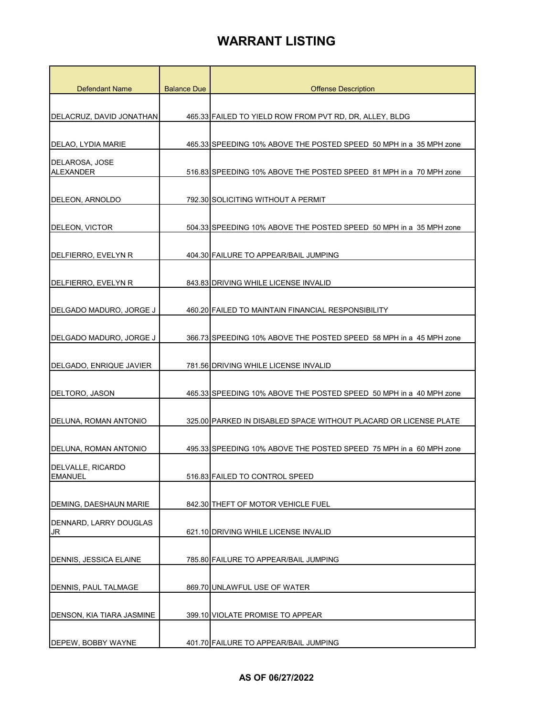| <b>Defendant Name</b>               | <b>Balance Due</b> | <b>Offense Description</b>                                         |
|-------------------------------------|--------------------|--------------------------------------------------------------------|
|                                     |                    |                                                                    |
| DELACRUZ, DAVID JONATHAN            |                    | 465.33 FAILED TO YIELD ROW FROM PVT RD, DR, ALLEY, BLDG            |
|                                     |                    |                                                                    |
| DELAO, LYDIA MARIE                  |                    | 465.33 SPEEDING 10% ABOVE THE POSTED SPEED 50 MPH in a 35 MPH zone |
| DELAROSA, JOSE                      |                    |                                                                    |
| <b>ALEXANDER</b>                    |                    | 516.83 SPEEDING 10% ABOVE THE POSTED SPEED 81 MPH in a 70 MPH zone |
| DELEON, ARNOLDO                     |                    | 792.30 SOLICITING WITHOUT A PERMIT                                 |
| DELEON, VICTOR                      |                    | 504.33 SPEEDING 10% ABOVE THE POSTED SPEED 50 MPH in a 35 MPH zone |
| DELFIERRO, EVELYN R                 |                    | 404.30 FAILURE TO APPEAR/BAIL JUMPING                              |
| DELFIERRO, EVELYN R                 |                    | 843.83 DRIVING WHILE LICENSE INVALID                               |
| DELGADO MADURO, JORGE J             |                    | 460.20 FAILED TO MAINTAIN FINANCIAL RESPONSIBILITY                 |
| DELGADO MADURO, JORGE J             |                    | 366.73 SPEEDING 10% ABOVE THE POSTED SPEED 58 MPH in a 45 MPH zone |
|                                     |                    |                                                                    |
| DELGADO, ENRIQUE JAVIER             |                    | 781.56 DRIVING WHILE LICENSE INVALID                               |
| DELTORO, JASON                      |                    | 465.33 SPEEDING 10% ABOVE THE POSTED SPEED 50 MPH in a 40 MPH zone |
| DELUNA, ROMAN ANTONIO               |                    | 325.00 PARKED IN DISABLED SPACE WITHOUT PLACARD OR LICENSE PLATE   |
| DELUNA, ROMAN ANTONIO               |                    | 495.33 SPEEDING 10% ABOVE THE POSTED SPEED 75 MPH in a 60 MPH zone |
| DELVALLE, RICARDO<br><b>EMANUEL</b> |                    | 516.83 FAILED TO CONTROL SPEED                                     |
| DEMING, DAESHAUN MARIE              |                    | 842.30 THEFT OF MOTOR VEHICLE FUEL                                 |
| DENNARD, LARRY DOUGLAS<br>JR        |                    | 621.10 DRIVING WHILE LICENSE INVALID                               |
|                                     |                    |                                                                    |
| DENNIS, JESSICA ELAINE              |                    | 785.80 FAILURE TO APPEAR/BAIL JUMPING                              |
| DENNIS, PAUL TALMAGE                |                    | 869.70 UNLAWFUL USE OF WATER                                       |
| DENSON, KIA TIARA JASMINE           |                    | 399.10 VIOLATE PROMISE TO APPEAR                                   |
| DEPEW, BOBBY WAYNE                  |                    | 401.70 FAILURE TO APPEAR/BAIL JUMPING                              |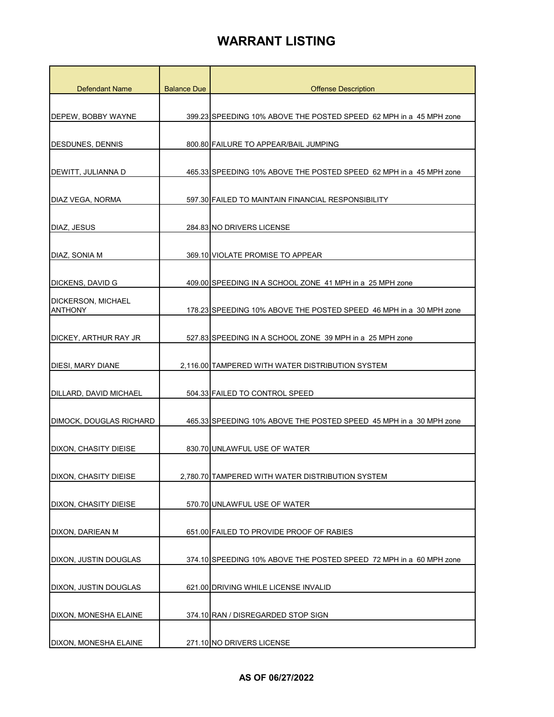| <b>Defendant Name</b>                       | <b>Balance Due</b> | <b>Offense Description</b>                                         |
|---------------------------------------------|--------------------|--------------------------------------------------------------------|
|                                             |                    |                                                                    |
| DEPEW, BOBBY WAYNE                          |                    | 399.23 SPEEDING 10% ABOVE THE POSTED SPEED 62 MPH in a 45 MPH zone |
| DESDUNES, DENNIS                            |                    | 800.80 FAILURE TO APPEAR/BAIL JUMPING                              |
| DEWITT, JULIANNA D                          |                    | 465.33 SPEEDING 10% ABOVE THE POSTED SPEED 62 MPH in a 45 MPH zone |
|                                             |                    |                                                                    |
| DIAZ VEGA, NORMA                            |                    | 597.30 FAILED TO MAINTAIN FINANCIAL RESPONSIBILITY                 |
| DIAZ, JESUS                                 |                    | 284.83 NO DRIVERS LICENSE                                          |
| DIAZ, SONIA M                               |                    | 369.10 VIOLATE PROMISE TO APPEAR                                   |
| DICKENS, DAVID G                            |                    | 409.00 SPEEDING IN A SCHOOL ZONE 41 MPH in a 25 MPH zone           |
| <b>DICKERSON, MICHAEL</b><br><b>ANTHONY</b> |                    | 178.23 SPEEDING 10% ABOVE THE POSTED SPEED 46 MPH in a 30 MPH zone |
| DICKEY, ARTHUR RAY JR                       |                    | 527.83 SPEEDING IN A SCHOOL ZONE 39 MPH in a 25 MPH zone           |
| <b>DIESI, MARY DIANE</b>                    |                    | 2,116.00 TAMPERED WITH WATER DISTRIBUTION SYSTEM                   |
| DILLARD, DAVID MICHAEL                      |                    | 504.33 FAILED TO CONTROL SPEED                                     |
| DIMOCK, DOUGLAS RICHARD                     |                    | 465.33 SPEEDING 10% ABOVE THE POSTED SPEED 45 MPH in a 30 MPH zone |
| DIXON, CHASITY DIEISE                       |                    | 830.70 UNLAWFUL USE OF WATER                                       |
| DIXON, CHASITY DIEISE                       |                    | 2,780.70 TAMPERED WITH WATER DISTRIBUTION SYSTEM                   |
| DIXON, CHASITY DIEISE                       |                    | 570.70 UNLAWFUL USE OF WATER                                       |
| DIXON, DARIEAN M                            |                    | 651.00 FAILED TO PROVIDE PROOF OF RABIES                           |
| DIXON, JUSTIN DOUGLAS                       |                    | 374.10 SPEEDING 10% ABOVE THE POSTED SPEED 72 MPH in a 60 MPH zone |
| DIXON, JUSTIN DOUGLAS                       |                    | 621.00 DRIVING WHILE LICENSE INVALID                               |
| DIXON, MONESHA ELAINE                       |                    | 374.10 RAN / DISREGARDED STOP SIGN                                 |
| DIXON, MONESHA ELAINE                       |                    | 271.10 NO DRIVERS LICENSE                                          |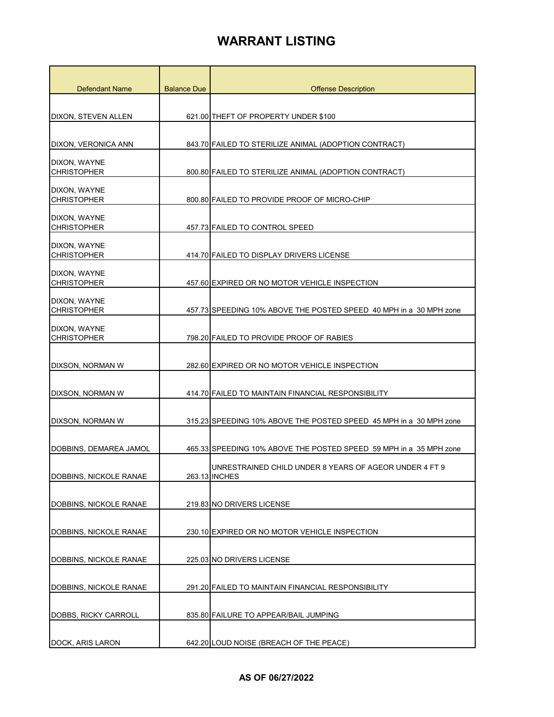| Defendant Name                     | <b>Balance Due</b> | <b>Offense Description</b>                                         |
|------------------------------------|--------------------|--------------------------------------------------------------------|
|                                    |                    |                                                                    |
| DIXON, STEVEN ALLEN                |                    | 621.00 THEFT OF PROPERTY UNDER \$100                               |
|                                    |                    |                                                                    |
| DIXON, VERONICA ANN                |                    | 843.70 FAILED TO STERILIZE ANIMAL (ADOPTION CONTRACT)              |
| DIXON, WAYNE<br><b>CHRISTOPHER</b> |                    | 800.80 FAILED TO STERILIZE ANIMAL (ADOPTION CONTRACT)              |
|                                    |                    |                                                                    |
| DIXON, WAYNE<br><b>CHRISTOPHER</b> |                    | 800.80 FAILED TO PROVIDE PROOF OF MICRO-CHIP                       |
| DIXON, WAYNE                       |                    |                                                                    |
| <b>CHRISTOPHER</b>                 |                    | 457.73 FAILED TO CONTROL SPEED                                     |
| DIXON, WAYNE<br><b>CHRISTOPHER</b> |                    | 414.70 FAILED TO DISPLAY DRIVERS LICENSE                           |
| DIXON, WAYNE                       |                    |                                                                    |
| <b>CHRISTOPHER</b>                 |                    | 457.60 EXPIRED OR NO MOTOR VEHICLE INSPECTION                      |
| DIXON, WAYNE<br><b>CHRISTOPHER</b> |                    | 457.73 SPEEDING 10% ABOVE THE POSTED SPEED 40 MPH in a 30 MPH zone |
|                                    |                    |                                                                    |
| DIXON, WAYNE<br><b>CHRISTOPHER</b> |                    | 798.20 FAILED TO PROVIDE PROOF OF RABIES                           |
|                                    |                    |                                                                    |
| DIXSON, NORMAN W                   |                    | 282.60 EXPIRED OR NO MOTOR VEHICLE INSPECTION                      |
| DIXSON, NORMAN W                   |                    | 414.70 FAILED TO MAINTAIN FINANCIAL RESPONSIBILITY                 |
|                                    |                    |                                                                    |
| DIXSON, NORMAN W                   |                    | 315.23 SPEEDING 10% ABOVE THE POSTED SPEED 45 MPH in a 30 MPH zone |
| DOBBINS, DEMAREA JAMOL             |                    | 465.33 SPEEDING 10% ABOVE THE POSTED SPEED 59 MPH in a 35 MPH zone |
|                                    |                    | UNRESTRAINED CHILD UNDER 8 YEARS OF AGEOR UNDER 4 FT 9             |
| DOBBINS, NICKOLE RANAE             |                    | 263.13 INCHES                                                      |
| DOBBINS, NICKOLE RANAE             |                    | 219.83 NO DRIVERS LICENSE                                          |
|                                    |                    |                                                                    |
| DOBBINS, NICKOLE RANAE             |                    | 230.10 EXPIRED OR NO MOTOR VEHICLE INSPECTION                      |
|                                    |                    |                                                                    |
| DOBBINS, NICKOLE RANAE             |                    | 225.03 NO DRIVERS LICENSE                                          |
| DOBBINS, NICKOLE RANAE             |                    | 291.20 FAILED TO MAINTAIN FINANCIAL RESPONSIBILITY                 |
|                                    |                    |                                                                    |
| <b>DOBBS, RICKY CARROLL</b>        |                    | 835.80 FAILURE TO APPEAR/BAIL JUMPING                              |
|                                    |                    |                                                                    |
| DOCK, ARIS LARON                   |                    | 642.20 LOUD NOISE (BREACH OF THE PEACE)                            |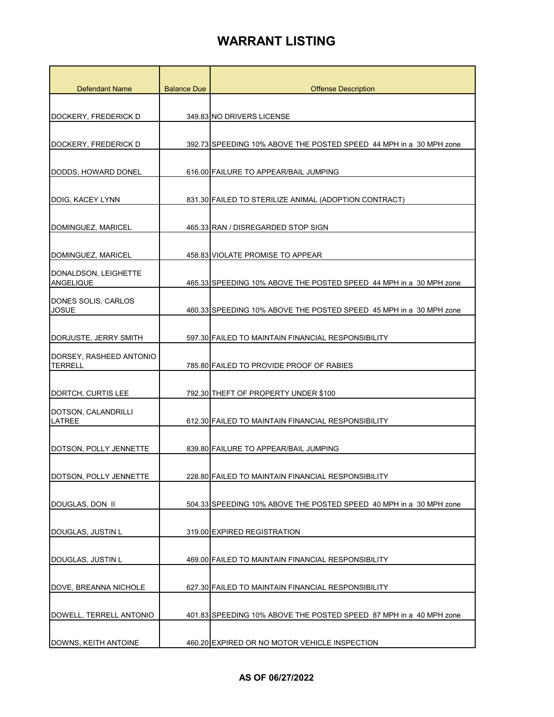| <b>Defendant Name</b>                     | <b>Balance Due</b> | <b>Offense Description</b>                                         |
|-------------------------------------------|--------------------|--------------------------------------------------------------------|
|                                           |                    |                                                                    |
| DOCKERY, FREDERICK D                      |                    | 349.83 NO DRIVERS LICENSE                                          |
| DOCKERY, FREDERICK D                      |                    | 392.73 SPEEDING 10% ABOVE THE POSTED SPEED 44 MPH in a 30 MPH zone |
|                                           |                    |                                                                    |
| DODDS, HOWARD DONEL                       |                    | 616.00 FAILURE TO APPEAR/BAIL JUMPING                              |
| DOIG, KACEY LYNN                          |                    | 831.30 FAILED TO STERILIZE ANIMAL (ADOPTION CONTRACT)              |
| DOMINGUEZ, MARICEL                        |                    | 465.33 RAN / DISREGARDED STOP SIGN                                 |
| DOMINGUEZ, MARICEL                        |                    | 458.83 VIOLATE PROMISE TO APPEAR                                   |
| DONALDSON, LEIGHETTE<br><b>ANGELIQUE</b>  |                    | 465.33 SPEEDING 10% ABOVE THE POSTED SPEED 44 MPH in a 30 MPH zone |
| DONES SOLIS, CARLOS<br><b>JOSUE</b>       |                    | 460.33 SPEEDING 10% ABOVE THE POSTED SPEED 45 MPH in a 30 MPH zone |
| DORJUSTE, JERRY SMITH                     |                    | 597.30 FAILED TO MAINTAIN FINANCIAL RESPONSIBILITY                 |
| DORSEY, RASHEED ANTONIO<br><b>TERRELL</b> |                    | 785.80 FAILED TO PROVIDE PROOF OF RABIES                           |
| DORTCH, CURTIS LEE                        |                    | 792.30 THEFT OF PROPERTY UNDER \$100                               |
| DOTSON, CALANDRILLI<br>LATREE             |                    | 612.30 FAILED TO MAINTAIN FINANCIAL RESPONSIBILITY                 |
| DOTSON, POLLY JENNETTE                    |                    | 839.80 FAILURE TO APPEAR/BAIL JUMPING                              |
| DOTSON, POLLY JENNETTE                    |                    | 228.80 FAILED TO MAINTAIN FINANCIAL RESPONSIBILITY                 |
| DOUGLAS, DON II                           |                    | 504.33 SPEEDING 10% ABOVE THE POSTED SPEED 40 MPH in a 30 MPH zone |
| DOUGLAS, JUSTIN L                         |                    | 319.00 EXPIRED REGISTRATION                                        |
| DOUGLAS, JUSTIN L                         |                    | 469.00 FAILED TO MAINTAIN FINANCIAL RESPONSIBILITY                 |
| DOVE, BREANNA NICHOLE                     |                    | 627.30 FAILED TO MAINTAIN FINANCIAL RESPONSIBILITY                 |
| DOWELL, TERRELL ANTONIO                   |                    | 401.83 SPEEDING 10% ABOVE THE POSTED SPEED 87 MPH in a 40 MPH zone |
| DOWNS, KEITH ANTOINE                      |                    | 460.20 EXPIRED OR NO MOTOR VEHICLE INSPECTION                      |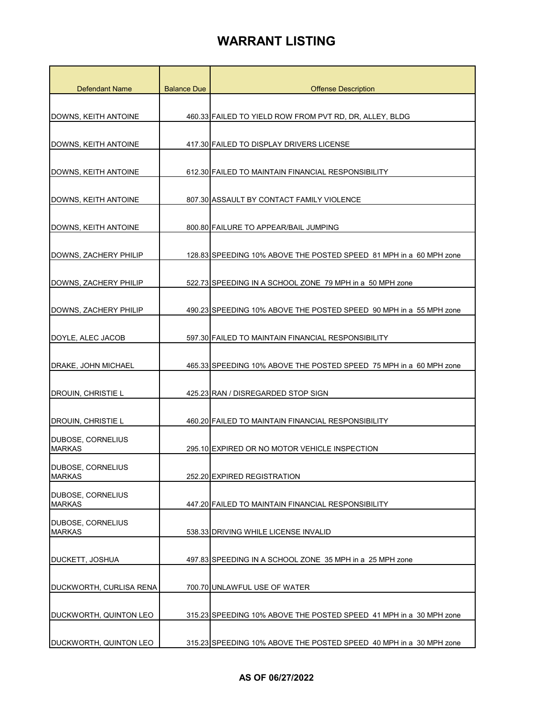| <b>Defendant Name</b>                     | <b>Balance Due</b> | <b>Offense Description</b>                                         |
|-------------------------------------------|--------------------|--------------------------------------------------------------------|
|                                           |                    |                                                                    |
| DOWNS, KEITH ANTOINE                      |                    | 460.33 FAILED TO YIELD ROW FROM PVT RD, DR, ALLEY, BLDG            |
| DOWNS, KEITH ANTOINE                      |                    | 417.30 FAILED TO DISPLAY DRIVERS LICENSE                           |
|                                           |                    |                                                                    |
| DOWNS, KEITH ANTOINE                      |                    | 612.30 FAILED TO MAINTAIN FINANCIAL RESPONSIBILITY                 |
| DOWNS, KEITH ANTOINE                      |                    | 807.30 ASSAULT BY CONTACT FAMILY VIOLENCE                          |
| DOWNS, KEITH ANTOINE                      |                    | 800.80 FAILURE TO APPEAR/BAIL JUMPING                              |
| DOWNS, ZACHERY PHILIP                     |                    | 128.83 SPEEDING 10% ABOVE THE POSTED SPEED 81 MPH in a 60 MPH zone |
| DOWNS, ZACHERY PHILIP                     |                    | 522.73 SPEEDING IN A SCHOOL ZONE 79 MPH in a 50 MPH zone           |
| DOWNS, ZACHERY PHILIP                     |                    | 490.23 SPEEDING 10% ABOVE THE POSTED SPEED 90 MPH in a 55 MPH zone |
| DOYLE, ALEC JACOB                         |                    | 597.30 FAILED TO MAINTAIN FINANCIAL RESPONSIBILITY                 |
| DRAKE, JOHN MICHAEL                       |                    | 465.33 SPEEDING 10% ABOVE THE POSTED SPEED 75 MPH in a 60 MPH zone |
| DROUIN, CHRISTIE L                        |                    | 425.23 RAN / DISREGARDED STOP SIGN                                 |
| DROUIN, CHRISTIE L                        |                    | 460.20 FAILED TO MAINTAIN FINANCIAL RESPONSIBILITY                 |
| DUBOSE, CORNELIUS<br><b>MARKAS</b>        |                    | 295.10 EXPIRED OR NO MOTOR VEHICLE INSPECTION                      |
| DUBOSE, CORNELIUS<br><b>MARKAS</b>        |                    | 252.20 EXPIRED REGISTRATION                                        |
| DUBOSE, CORNELIUS<br><b>MARKAS</b>        |                    | 447.20 FAILED TO MAINTAIN FINANCIAL RESPONSIBILITY                 |
| <b>DUBOSE, CORNELIUS</b><br><b>MARKAS</b> |                    | 538.33 DRIVING WHILE LICENSE INVALID                               |
| DUCKETT, JOSHUA                           |                    | 497.83 SPEEDING IN A SCHOOL ZONE 35 MPH in a 25 MPH zone           |
| DUCKWORTH, CURLISA RENA                   |                    | 700.70 UNLAWFUL USE OF WATER                                       |
| DUCKWORTH, QUINTON LEO                    |                    | 315.23 SPEEDING 10% ABOVE THE POSTED SPEED 41 MPH in a 30 MPH zone |
| DUCKWORTH, QUINTON LEO                    |                    | 315.23 SPEEDING 10% ABOVE THE POSTED SPEED 40 MPH in a 30 MPH zone |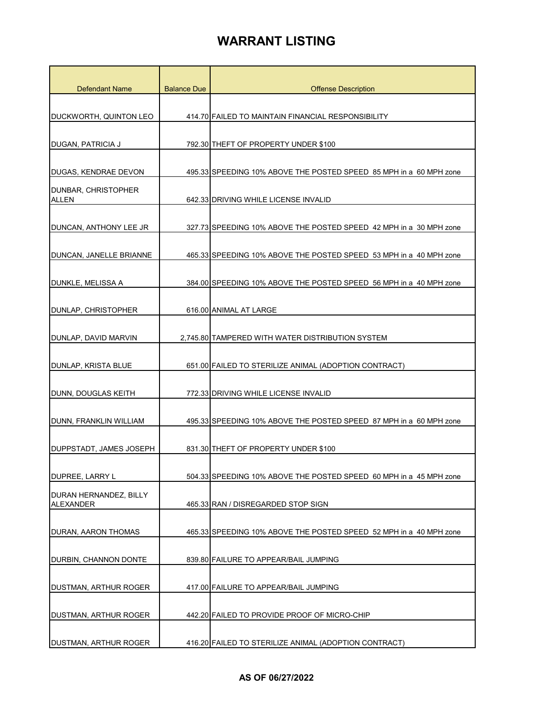| <b>Defendant Name</b>                      | <b>Balance Due</b> | <b>Offense Description</b>                                         |
|--------------------------------------------|--------------------|--------------------------------------------------------------------|
|                                            |                    |                                                                    |
| DUCKWORTH, QUINTON LEO                     |                    | 414.70 FAILED TO MAINTAIN FINANCIAL RESPONSIBILITY                 |
| DUGAN, PATRICIA J                          |                    | 792.30 THEFT OF PROPERTY UNDER \$100                               |
|                                            |                    |                                                                    |
| DUGAS, KENDRAE DEVON                       |                    | 495.33 SPEEDING 10% ABOVE THE POSTED SPEED 85 MPH in a 60 MPH zone |
| DUNBAR, CHRISTOPHER<br><b>ALLEN</b>        |                    | 642.33 DRIVING WHILE LICENSE INVALID                               |
| DUNCAN, ANTHONY LEE JR                     |                    | 327.73 SPEEDING 10% ABOVE THE POSTED SPEED 42 MPH in a 30 MPH zone |
| DUNCAN, JANELLE BRIANNE                    |                    | 465.33 SPEEDING 10% ABOVE THE POSTED SPEED 53 MPH in a 40 MPH zone |
| DUNKLE, MELISSA A                          |                    | 384.00 SPEEDING 10% ABOVE THE POSTED SPEED 56 MPH in a 40 MPH zone |
| DUNLAP, CHRISTOPHER                        |                    | 616.00 ANIMAL AT LARGE                                             |
| DUNLAP, DAVID MARVIN                       |                    | 2,745.80 TAMPERED WITH WATER DISTRIBUTION SYSTEM                   |
| DUNLAP, KRISTA BLUE                        |                    | 651.00 FAILED TO STERILIZE ANIMAL (ADOPTION CONTRACT)              |
| DUNN, DOUGLAS KEITH                        |                    | 772.33 DRIVING WHILE LICENSE INVALID                               |
| DUNN, FRANKLIN WILLIAM                     |                    | 495.33 SPEEDING 10% ABOVE THE POSTED SPEED 87 MPH in a 60 MPH zone |
| DUPPSTADT, JAMES JOSEPH                    |                    | 831.30 THEFT OF PROPERTY UNDER \$100                               |
| DUPREE, LARRY L                            |                    | 504.33 SPEEDING 10% ABOVE THE POSTED SPEED 60 MPH in a 45 MPH zone |
| DURAN HERNANDEZ, BILLY<br><b>ALEXANDER</b> |                    | 465.33 RAN / DISREGARDED STOP SIGN                                 |
| DURAN, AARON THOMAS                        |                    | 465.33 SPEEDING 10% ABOVE THE POSTED SPEED 52 MPH in a 40 MPH zone |
| DURBIN, CHANNON DONTE                      |                    | 839.80 FAILURE TO APPEAR/BAIL JUMPING                              |
| <b>DUSTMAN, ARTHUR ROGER</b>               |                    | 417.00 FAILURE TO APPEAR/BAIL JUMPING                              |
| DUSTMAN, ARTHUR ROGER                      |                    | 442.20 FAILED TO PROVIDE PROOF OF MICRO-CHIP                       |
| DUSTMAN, ARTHUR ROGER                      |                    | 416.20 FAILED TO STERILIZE ANIMAL (ADOPTION CONTRACT)              |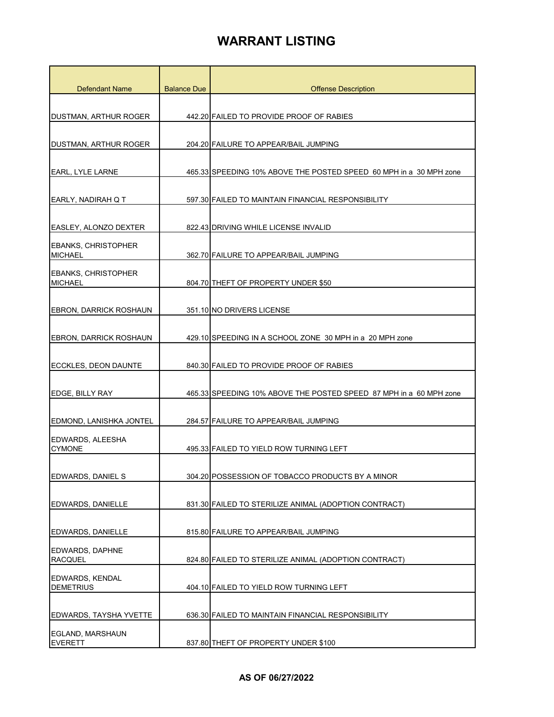| <b>Defendant Name</b>                     | <b>Balance Due</b> | <b>Offense Description</b>                                         |
|-------------------------------------------|--------------------|--------------------------------------------------------------------|
|                                           |                    |                                                                    |
| <b>DUSTMAN, ARTHUR ROGER</b>              |                    | 442.20 FAILED TO PROVIDE PROOF OF RABIES                           |
|                                           |                    |                                                                    |
| <b>DUSTMAN, ARTHUR ROGER</b>              |                    | 204.20 FAILURE TO APPEAR/BAIL JUMPING                              |
|                                           |                    |                                                                    |
| <b>EARL, LYLE LARNE</b>                   |                    | 465.33 SPEEDING 10% ABOVE THE POSTED SPEED 60 MPH in a 30 MPH zone |
| EARLY, NADIRAH Q T                        |                    | 597.30 FAILED TO MAINTAIN FINANCIAL RESPONSIBILITY                 |
|                                           |                    |                                                                    |
| <b>EASLEY, ALONZO DEXTER</b>              |                    | 822.43 DRIVING WHILE LICENSE INVALID                               |
| <b>EBANKS, CHRISTOPHER</b>                |                    |                                                                    |
| <b>MICHAEL</b>                            |                    | 362.70 FAILURE TO APPEAR/BAIL JUMPING                              |
| <b>EBANKS, CHRISTOPHER</b>                |                    |                                                                    |
| <b>MICHAEL</b>                            |                    | 804.70 THEFT OF PROPERTY UNDER \$50                                |
| <b>EBRON, DARRICK ROSHAUN</b>             |                    | 351.10 NO DRIVERS LICENSE                                          |
|                                           |                    |                                                                    |
| <b>EBRON, DARRICK ROSHAUN</b>             |                    | 429.10 SPEEDING IN A SCHOOL ZONE 30 MPH in a 20 MPH zone           |
|                                           |                    |                                                                    |
| ECCKLES, DEON DAUNTE                      |                    | 840.30 FAILED TO PROVIDE PROOF OF RABIES                           |
|                                           |                    |                                                                    |
| <b>EDGE, BILLY RAY</b>                    |                    | 465.33 SPEEDING 10% ABOVE THE POSTED SPEED 87 MPH in a 60 MPH zone |
| EDMOND, LANISHKA JONTEL                   |                    | 284.57 FAILURE TO APPEAR/BAIL JUMPING                              |
| EDWARDS, ALEESHA                          |                    |                                                                    |
| <b>CYMONE</b>                             |                    | 495.33 FAILED TO YIELD ROW TURNING LEFT                            |
|                                           |                    |                                                                    |
| EDWARDS, DANIEL S                         |                    | 304.20 POSSESSION OF TOBACCO PRODUCTS BY A MINOR                   |
| <b>EDWARDS, DANIELLE</b>                  |                    | 831.30 FAILED TO STERILIZE ANIMAL (ADOPTION CONTRACT)              |
|                                           |                    |                                                                    |
| <b>EDWARDS, DANIELLE</b>                  |                    | 815.80 FAILURE TO APPEAR/BAIL JUMPING                              |
| <b>EDWARDS, DAPHNE</b>                    |                    |                                                                    |
| <b>RACQUEL</b>                            |                    | 824.80 FAILED TO STERILIZE ANIMAL (ADOPTION CONTRACT)              |
| <b>EDWARDS, KENDAL</b>                    |                    |                                                                    |
| <b>DEMETRIUS</b>                          |                    | 404.10 FAILED TO YIELD ROW TURNING LEFT                            |
| <b>EDWARDS, TAYSHA YVETTE</b>             |                    | 636.30 FAILED TO MAINTAIN FINANCIAL RESPONSIBILITY                 |
|                                           |                    |                                                                    |
| <b>EGLAND, MARSHAUN</b><br><b>EVERETT</b> |                    | 837.80 THEFT OF PROPERTY UNDER \$100                               |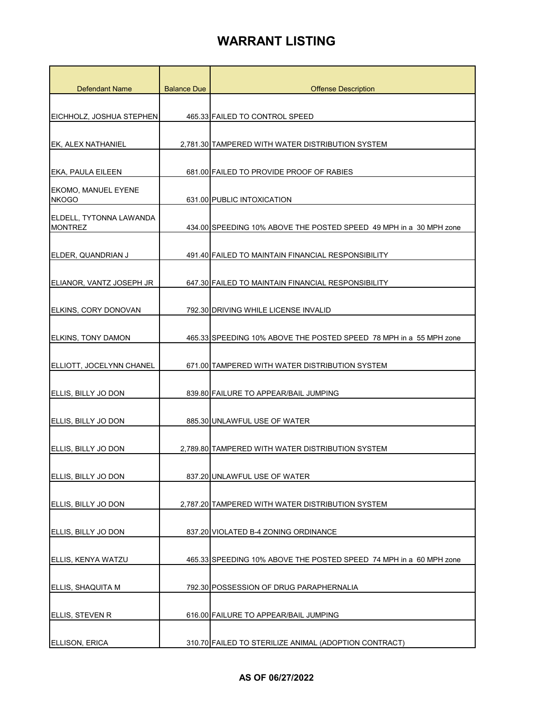| <b>Defendant Name</b>                      | <b>Balance Due</b> | <b>Offense Description</b>                                         |
|--------------------------------------------|--------------------|--------------------------------------------------------------------|
|                                            |                    |                                                                    |
| EICHHOLZ, JOSHUA STEPHEN                   |                    | 465.33 FAILED TO CONTROL SPEED                                     |
| EK, ALEX NATHANIEL                         |                    | 2.781.30 TAMPERED WITH WATER DISTRIBUTION SYSTEM                   |
|                                            |                    |                                                                    |
| <b>EKA, PAULA EILEEN</b>                   |                    | 681.00 FAILED TO PROVIDE PROOF OF RABIES                           |
| <b>EKOMO, MANUEL EYENE</b><br><b>NKOGO</b> |                    | 631.00 PUBLIC INTOXICATION                                         |
| ELDELL, TYTONNA LAWANDA<br><b>MONTREZ</b>  |                    | 434.00 SPEEDING 10% ABOVE THE POSTED SPEED 49 MPH in a 30 MPH zone |
| ELDER, QUANDRIAN J                         |                    | 491.40 FAILED TO MAINTAIN FINANCIAL RESPONSIBILITY                 |
| ELIANOR, VANTZ JOSEPH JR                   |                    | 647.30 FAILED TO MAINTAIN FINANCIAL RESPONSIBILITY                 |
| ELKINS, CORY DONOVAN                       |                    | 792.30 DRIVING WHILE LICENSE INVALID                               |
| <b>ELKINS, TONY DAMON</b>                  |                    | 465.33 SPEEDING 10% ABOVE THE POSTED SPEED 78 MPH in a 55 MPH zone |
| ELLIOTT, JOCELYNN CHANEL                   |                    | 671.00 TAMPERED WITH WATER DISTRIBUTION SYSTEM                     |
| ELLIS, BILLY JO DON                        |                    | 839.80 FAILURE TO APPEAR/BAIL JUMPING                              |
| ELLIS, BILLY JO DON                        |                    | 885.30 UNLAWFUL USE OF WATER                                       |
| ELLIS, BILLY JO DON                        |                    | 2.789.80 TAMPERED WITH WATER DISTRIBUTION SYSTEM                   |
| ELLIS, BILLY JO DON                        |                    | 837.20 UNLAWFUL USE OF WATER                                       |
| ELLIS, BILLY JO DON                        |                    | 2,787.20 TAMPERED WITH WATER DISTRIBUTION SYSTEM                   |
| ELLIS, BILLY JO DON                        |                    | 837.20 VIOLATED B-4 ZONING ORDINANCE                               |
| ELLIS, KENYA WATZU                         |                    | 465.33 SPEEDING 10% ABOVE THE POSTED SPEED 74 MPH in a 60 MPH zone |
| ELLIS, SHAQUITA M                          |                    | 792.30 POSSESSION OF DRUG PARAPHERNALIA                            |
| ELLIS, STEVEN R                            |                    | 616.00 FAILURE TO APPEAR/BAIL JUMPING                              |
| <b>ELLISON, ERICA</b>                      |                    | 310.70 FAILED TO STERILIZE ANIMAL (ADOPTION CONTRACT)              |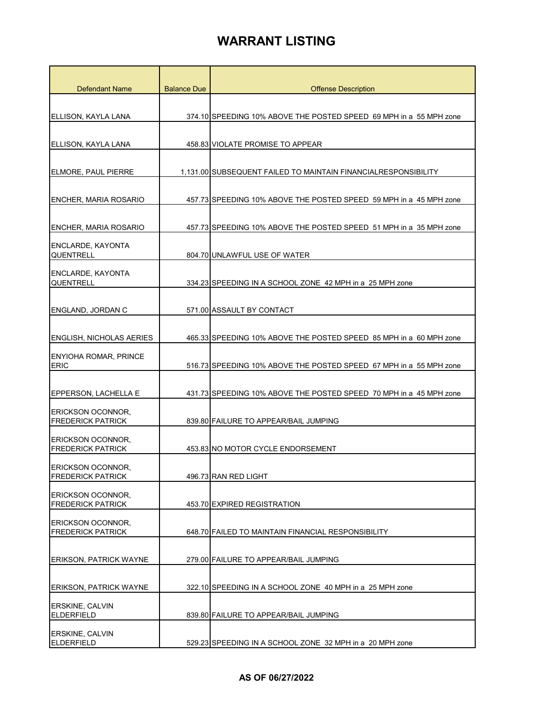| Defendant Name                                       | <b>Balance Due</b> | <b>Offense Description</b>                                         |
|------------------------------------------------------|--------------------|--------------------------------------------------------------------|
|                                                      |                    |                                                                    |
| ELLISON, KAYLA LANA                                  |                    | 374.10 SPEEDING 10% ABOVE THE POSTED SPEED 69 MPH in a 55 MPH zone |
|                                                      |                    |                                                                    |
| ELLISON, KAYLA LANA                                  |                    | 458.83 VIOLATE PROMISE TO APPEAR                                   |
|                                                      |                    |                                                                    |
| ELMORE, PAUL PIERRE                                  |                    | 1.131.00 SUBSEQUENT FAILED TO MAINTAIN FINANCIALRESPONSIBILITY     |
| <b>ENCHER, MARIA ROSARIO</b>                         |                    | 457.73 SPEEDING 10% ABOVE THE POSTED SPEED 59 MPH in a 45 MPH zone |
| <b>ENCHER, MARIA ROSARIO</b>                         |                    | 457.73 SPEEDING 10% ABOVE THE POSTED SPEED 51 MPH in a 35 MPH zone |
| ENCLARDE, KAYONTA                                    |                    |                                                                    |
| QUENTRELL                                            |                    | 804.70 UNLAWFUL USE OF WATER                                       |
| ENCLARDE, KAYONTA<br>QUENTRELL                       |                    | 334.23 SPEEDING IN A SCHOOL ZONE 42 MPH in a 25 MPH zone           |
|                                                      |                    |                                                                    |
| <b>ENGLAND, JORDAN C</b>                             |                    | 571.00 ASSAULT BY CONTACT                                          |
|                                                      |                    |                                                                    |
| ENGLISH, NICHOLAS AERIES                             |                    | 465.33 SPEEDING 10% ABOVE THE POSTED SPEED 85 MPH in a 60 MPH zone |
| <b>ENYIOHA ROMAR, PRINCE</b><br><b>ERIC</b>          |                    | 516.73 SPEEDING 10% ABOVE THE POSTED SPEED 67 MPH in a 55 MPH zone |
|                                                      |                    |                                                                    |
| EPPERSON, LACHELLA E                                 |                    | 431.73 SPEEDING 10% ABOVE THE POSTED SPEED 70 MPH in a 45 MPH zone |
| <b>ERICKSON OCONNOR,</b><br><b>FREDERICK PATRICK</b> |                    | 839.80 FAILURE TO APPEAR/BAIL JUMPING                              |
| <b>ERICKSON OCONNOR,</b>                             |                    |                                                                    |
| <b>FREDERICK PATRICK</b>                             |                    | 453.83 NO MOTOR CYCLE ENDORSEMENT                                  |
| ERICKSON OCONNOR,<br><b>FREDERICK PATRICK</b>        |                    | 496.73 RAN RED LIGHT                                               |
| <b>ERICKSON OCONNOR,</b><br><b>FREDERICK PATRICK</b> |                    | 453.70 EXPIRED REGISTRATION                                        |
| <b>ERICKSON OCONNOR.</b>                             |                    |                                                                    |
| <b>FREDERICK PATRICK</b>                             |                    | 648.70 FAILED TO MAINTAIN FINANCIAL RESPONSIBILITY                 |
|                                                      |                    |                                                                    |
| <b>ERIKSON, PATRICK WAYNE</b>                        |                    | 279.00 FAILURE TO APPEAR/BAIL JUMPING                              |
| <b>ERIKSON, PATRICK WAYNE</b>                        |                    | 322.10 SPEEDING IN A SCHOOL ZONE 40 MPH in a 25 MPH zone           |
| <b>ERSKINE, CALVIN</b><br><b>ELDERFIELD</b>          |                    | 839.80 FAILURE TO APPEAR/BAIL JUMPING                              |
| ERSKINE, CALVIN<br><b>ELDERFIELD</b>                 |                    | 529.23 SPEEDING IN A SCHOOL ZONE 32 MPH in a 20 MPH zone           |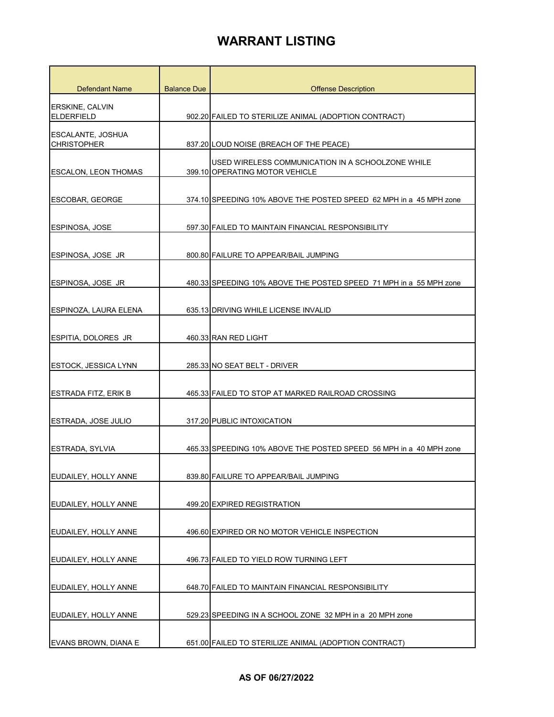| Defendant Name                                 | <b>Balance Due</b> | <b>Offense Description</b>                                                          |
|------------------------------------------------|--------------------|-------------------------------------------------------------------------------------|
| <b>ERSKINE, CALVIN</b><br><b>ELDERFIELD</b>    |                    | 902.20 FAILED TO STERILIZE ANIMAL (ADOPTION CONTRACT)                               |
| <b>ESCALANTE, JOSHUA</b><br><b>CHRISTOPHER</b> |                    | 837.20 LOUD NOISE (BREACH OF THE PEACE)                                             |
| <b>ESCALON, LEON THOMAS</b>                    |                    | USED WIRELESS COMMUNICATION IN A SCHOOLZONE WHILE<br>399.10 OPERATING MOTOR VEHICLE |
| <b>ESCOBAR, GEORGE</b>                         |                    | 374.10 SPEEDING 10% ABOVE THE POSTED SPEED 62 MPH in a 45 MPH zone                  |
| <b>ESPINOSA, JOSE</b>                          |                    | 597.30 FAILED TO MAINTAIN FINANCIAL RESPONSIBILITY                                  |
| ESPINOSA, JOSE JR                              |                    | 800.80 FAILURE TO APPEAR/BAIL JUMPING                                               |
| ESPINOSA, JOSE JR                              |                    | 480.33 SPEEDING 10% ABOVE THE POSTED SPEED 71 MPH in a 55 MPH zone                  |
| <b>ESPINOZA, LAURA ELENA</b>                   |                    | 635.13 DRIVING WHILE LICENSE INVALID                                                |
| ESPITIA, DOLORES JR                            |                    | 460.33 RAN RED LIGHT                                                                |
| <b>ESTOCK, JESSICA LYNN</b>                    |                    | 285.33 NO SEAT BELT - DRIVER                                                        |
| <b>ESTRADA FITZ, ERIK B</b>                    |                    | 465.33 FAILED TO STOP AT MARKED RAILROAD CROSSING                                   |
| <b>ESTRADA, JOSE JULIO</b>                     |                    | 317.20 PUBLIC INTOXICATION                                                          |
| <b>ESTRADA, SYLVIA</b>                         |                    | 465.33 SPEEDING 10% ABOVE THE POSTED SPEED 56 MPH in a 40 MPH zone                  |
| EUDAILEY, HOLLY ANNE                           |                    | 839.80 FAILURE TO APPEAR/BAIL JUMPING                                               |
| EUDAILEY, HOLLY ANNE                           |                    | 499.20 EXPIRED REGISTRATION                                                         |
| EUDAILEY, HOLLY ANNE                           |                    | 496.60 EXPIRED OR NO MOTOR VEHICLE INSPECTION                                       |
| EUDAILEY, HOLLY ANNE                           |                    | 496.73 FAILED TO YIELD ROW TURNING LEFT                                             |
| EUDAILEY, HOLLY ANNE                           |                    | 648.70 FAILED TO MAINTAIN FINANCIAL RESPONSIBILITY                                  |
| EUDAILEY, HOLLY ANNE                           |                    | 529.23 SPEEDING IN A SCHOOL ZONE 32 MPH in a 20 MPH zone                            |
| EVANS BROWN, DIANA E                           |                    | 651.00 FAILED TO STERILIZE ANIMAL (ADOPTION CONTRACT)                               |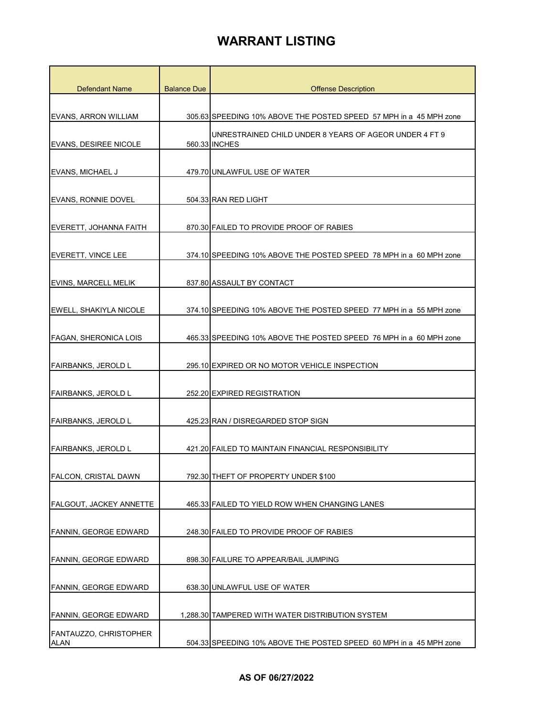| <b>Defendant Name</b>                        | <b>Balance Due</b> | <b>Offense Description</b>                                              |
|----------------------------------------------|--------------------|-------------------------------------------------------------------------|
|                                              |                    |                                                                         |
| EVANS, ARRON WILLIAM                         |                    | 305.63 SPEEDING 10% ABOVE THE POSTED SPEED 57 MPH in a 45 MPH zone      |
| EVANS, DESIREE NICOLE                        |                    | UNRESTRAINED CHILD UNDER 8 YEARS OF AGEOR UNDER 4 FT 9<br>560.33 INCHES |
|                                              |                    |                                                                         |
| <b>EVANS, MICHAEL J</b>                      |                    | 479.70 UNLAWFUL USE OF WATER                                            |
| EVANS, RONNIE DOVEL                          |                    | 504.33 RAN RED LIGHT                                                    |
| EVERETT, JOHANNA FAITH                       |                    | 870.30 FAILED TO PROVIDE PROOF OF RABIES                                |
| EVERETT, VINCE LEE                           |                    | 374.10 SPEEDING 10% ABOVE THE POSTED SPEED 78 MPH in a 60 MPH zone      |
| EVINS, MARCELL MELIK                         |                    | 837.80 ASSAULT BY CONTACT                                               |
| EWELL, SHAKIYLA NICOLE                       |                    | 374.10 SPEEDING 10% ABOVE THE POSTED SPEED 77 MPH in a 55 MPH zone      |
| FAGAN, SHERONICA LOIS                        |                    | 465.33 SPEEDING 10% ABOVE THE POSTED SPEED 76 MPH in a 60 MPH zone      |
| FAIRBANKS, JEROLD L                          |                    | 295.10 EXPIRED OR NO MOTOR VEHICLE INSPECTION                           |
| FAIRBANKS, JEROLD L                          |                    | 252.20 EXPIRED REGISTRATION                                             |
| FAIRBANKS, JEROLD L                          |                    | 425.23 RAN / DISREGARDED STOP SIGN                                      |
| <b>FAIRBANKS, JEROLD L</b>                   |                    | 421.20 FAILED TO MAINTAIN FINANCIAL RESPONSIBILITY                      |
| FALCON, CRISTAL DAWN                         |                    | 792.30 THEFT OF PROPERTY UNDER \$100                                    |
| FALGOUT, JACKEY ANNETTE                      |                    | 465.33 FAILED TO YIELD ROW WHEN CHANGING LANES                          |
| <b>FANNIN, GEORGE EDWARD</b>                 |                    | 248.30 FAILED TO PROVIDE PROOF OF RABIES                                |
| FANNIN, GEORGE EDWARD                        |                    | 898.30 FAILURE TO APPEAR/BAIL JUMPING                                   |
| FANNIN, GEORGE EDWARD                        |                    | 638.30 UNLAWFUL USE OF WATER                                            |
| <b>FANNIN, GEORGE EDWARD</b>                 |                    | 1,288.30 TAMPERED WITH WATER DISTRIBUTION SYSTEM                        |
| <b>FANTAUZZO, CHRISTOPHER</b><br><b>ALAN</b> |                    | 504.33 SPEEDING 10% ABOVE THE POSTED SPEED 60 MPH in a 45 MPH zone      |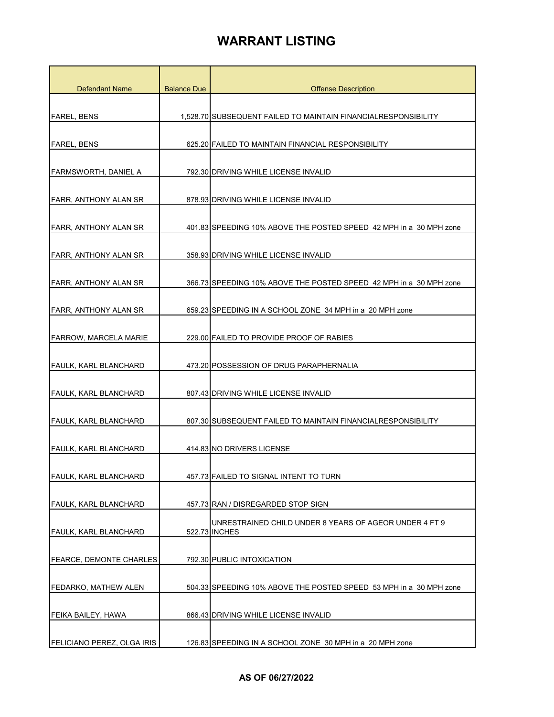| <b>Defendant Name</b>        | <b>Balance Due</b> | <b>Offense Description</b>                                              |
|------------------------------|--------------------|-------------------------------------------------------------------------|
|                              |                    |                                                                         |
| <b>FAREL, BENS</b>           |                    | 1,528.70 SUBSEQUENT FAILED TO MAINTAIN FINANCIALRESPONSIBILITY          |
| <b>FAREL, BENS</b>           |                    | 625.20 FAILED TO MAINTAIN FINANCIAL RESPONSIBILITY                      |
|                              |                    |                                                                         |
| FARMSWORTH, DANIEL A         |                    | 792.30 DRIVING WHILE LICENSE INVALID                                    |
| FARR, ANTHONY ALAN SR        |                    | 878.93 DRIVING WHILE LICENSE INVALID                                    |
| FARR, ANTHONY ALAN SR        |                    | 401.83 SPEEDING 10% ABOVE THE POSTED SPEED 42 MPH in a 30 MPH zone      |
| <b>FARR, ANTHONY ALAN SR</b> |                    | 358.93 DRIVING WHILE LICENSE INVALID                                    |
| FARR, ANTHONY ALAN SR        |                    | 366.73 SPEEDING 10% ABOVE THE POSTED SPEED 42 MPH in a 30 MPH zone      |
| <b>FARR, ANTHONY ALAN SR</b> |                    | 659.23 SPEEDING IN A SCHOOL ZONE 34 MPH in a 20 MPH zone                |
| FARROW, MARCELA MARIE        |                    | 229.00 FAILED TO PROVIDE PROOF OF RABIES                                |
| FAULK, KARL BLANCHARD        |                    | 473.20 POSSESSION OF DRUG PARAPHERNALIA                                 |
| FAULK, KARL BLANCHARD        |                    | 807.43 DRIVING WHILE LICENSE INVALID                                    |
| FAULK, KARL BLANCHARD        |                    | 807.30 SUBSEQUENT FAILED TO MAINTAIN FINANCIALRESPONSIBILITY            |
| FAULK, KARL BLANCHARD        |                    | 414.83 NO DRIVERS LICENSE                                               |
| <b>FAULK, KARL BLANCHARD</b> |                    | 457.73 FAILED TO SIGNAL INTENT TO TURN                                  |
| FAULK, KARL BLANCHARD        |                    | 457.73 RAN / DISREGARDED STOP SIGN                                      |
| <b>FAULK, KARL BLANCHARD</b> |                    | UNRESTRAINED CHILD UNDER 8 YEARS OF AGEOR UNDER 4 FT 9<br>522.73 INCHES |
| FEARCE, DEMONTE CHARLES      |                    | 792.30 PUBLIC INTOXICATION                                              |
| FEDARKO, MATHEW ALEN         |                    | 504.33 SPEEDING 10% ABOVE THE POSTED SPEED 53 MPH in a 30 MPH zone      |
| FEIKA BAILEY, HAWA           |                    | 866.43 DRIVING WHILE LICENSE INVALID                                    |
| FELICIANO PEREZ, OLGA IRIS   |                    | 126.83 SPEEDING IN A SCHOOL ZONE 30 MPH in a 20 MPH zone                |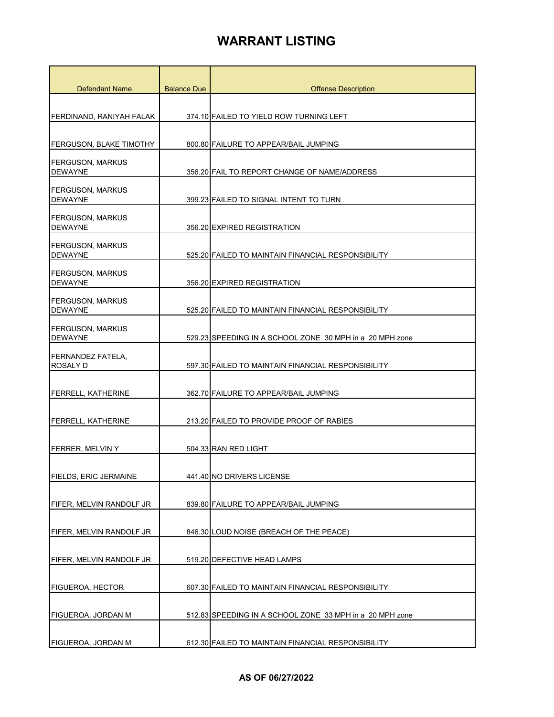| <b>Defendant Name</b>                     | <b>Balance Due</b> | <b>Offense Description</b>                               |
|-------------------------------------------|--------------------|----------------------------------------------------------|
|                                           |                    |                                                          |
| FERDINAND, RANIYAH FALAK                  |                    | 374.10 FAILED TO YIELD ROW TURNING LEFT                  |
|                                           |                    |                                                          |
| <b>FERGUSON, BLAKE TIMOTHY</b>            |                    | 800.80 FAILURE TO APPEAR/BAIL JUMPING                    |
| <b>FERGUSON, MARKUS</b><br><b>DEWAYNE</b> |                    | 356.20 FAIL TO REPORT CHANGE OF NAME/ADDRESS             |
| FERGUSON, MARKUS<br><b>DEWAYNE</b>        |                    | 399.23 FAILED TO SIGNAL INTENT TO TURN                   |
| <b>FERGUSON, MARKUS</b><br><b>DEWAYNE</b> |                    | 356.20 EXPIRED REGISTRATION                              |
| FERGUSON, MARKUS<br><b>DEWAYNE</b>        |                    | 525.20 FAILED TO MAINTAIN FINANCIAL RESPONSIBILITY       |
| FERGUSON, MARKUS<br><b>DEWAYNE</b>        |                    | 356.20 EXPIRED REGISTRATION                              |
| <b>FERGUSON, MARKUS</b><br><b>DEWAYNE</b> |                    | 525.20 FAILED TO MAINTAIN FINANCIAL RESPONSIBILITY       |
| <b>FERGUSON, MARKUS</b><br><b>DEWAYNE</b> |                    | 529.23 SPEEDING IN A SCHOOL ZONE 30 MPH in a 20 MPH zone |
| FERNANDEZ FATELA,<br>ROSALY D             |                    | 597.30 FAILED TO MAINTAIN FINANCIAL RESPONSIBILITY       |
| <b>FERRELL, KATHERINE</b>                 |                    | 362.70 FAILURE TO APPEAR/BAIL JUMPING                    |
| <b>FERRELL, KATHERINE</b>                 |                    | 213.20 FAILED TO PROVIDE PROOF OF RABIES                 |
| <b>FERRER, MELVIN Y</b>                   |                    | 504.33 RAN RED LIGHT                                     |
| FIELDS, ERIC JERMAINE                     |                    | 441.40 NO DRIVERS LICENSE                                |
| FIFER, MELVIN RANDOLF JR                  |                    | 839.80 FAILURE TO APPEAR/BAIL JUMPING                    |
| FIFER, MELVIN RANDOLF JR                  |                    | 846.30 LOUD NOISE (BREACH OF THE PEACE)                  |
| FIFER, MELVIN RANDOLF JR                  |                    | 519.20 DEFECTIVE HEAD LAMPS                              |
| FIGUEROA, HECTOR                          |                    | 607.30 FAILED TO MAINTAIN FINANCIAL RESPONSIBILITY       |
| FIGUEROA, JORDAN M                        |                    | 512.83 SPEEDING IN A SCHOOL ZONE 33 MPH in a 20 MPH zone |
| FIGUEROA, JORDAN M                        |                    | 612.30 FAILED TO MAINTAIN FINANCIAL RESPONSIBILITY       |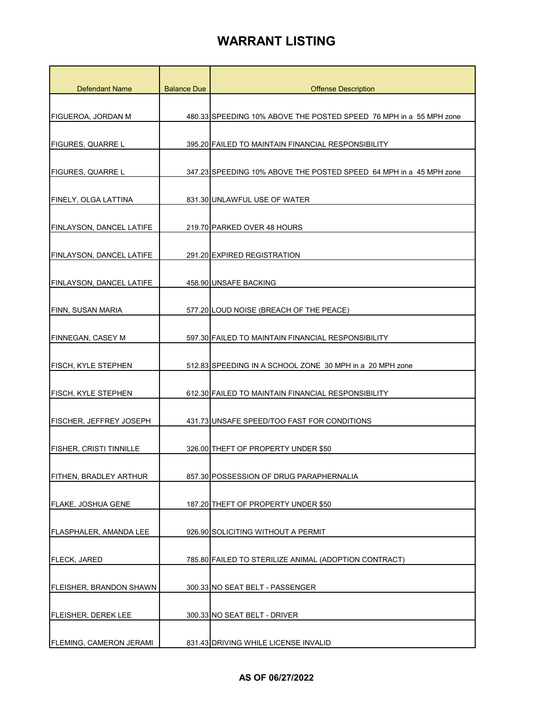| <b>Defendant Name</b>           | <b>Balance Due</b> | <b>Offense Description</b>                                         |
|---------------------------------|--------------------|--------------------------------------------------------------------|
|                                 |                    |                                                                    |
| FIGUEROA, JORDAN M              |                    | 480.33 SPEEDING 10% ABOVE THE POSTED SPEED 76 MPH in a 55 MPH zone |
| FIGURES, QUARRE L               |                    | 395.20 FAILED TO MAINTAIN FINANCIAL RESPONSIBILITY                 |
|                                 |                    |                                                                    |
| <b>FIGURES, QUARRE L</b>        |                    | 347.23 SPEEDING 10% ABOVE THE POSTED SPEED 64 MPH in a 45 MPH zone |
| FINELY, OLGA LATTINA            |                    | 831.30 UNLAWFUL USE OF WATER                                       |
| <b>FINLAYSON, DANCEL LATIFE</b> |                    | 219.70 PARKED OVER 48 HOURS                                        |
| FINLAYSON, DANCEL LATIFE        |                    | 291.20 EXPIRED REGISTRATION                                        |
| FINLAYSON, DANCEL LATIFE        |                    | 458.90 UNSAFE BACKING                                              |
| FINN, SUSAN MARIA               |                    | 577.20 LOUD NOISE (BREACH OF THE PEACE)                            |
| <b>FINNEGAN, CASEY M</b>        |                    | 597.30 FAILED TO MAINTAIN FINANCIAL RESPONSIBILITY                 |
| FISCH, KYLE STEPHEN             |                    | 512.83 SPEEDING IN A SCHOOL ZONE 30 MPH in a 20 MPH zone           |
| FISCH, KYLE STEPHEN             |                    | 612.30 FAILED TO MAINTAIN FINANCIAL RESPONSIBILITY                 |
| <b>FISCHER, JEFFREY JOSEPH</b>  |                    | 431.73 UNSAFE SPEED/TOO FAST FOR CONDITIONS                        |
| FISHER, CRISTI TINNILLE         |                    | 326.00 THEFT OF PROPERTY UNDER \$50                                |
| FITHEN, BRADLEY ARTHUR          |                    | 857.30 POSSESSION OF DRUG PARAPHERNALIA                            |
| <b>FLAKE, JOSHUA GENE</b>       |                    | 187.20 THEFT OF PROPERTY UNDER \$50                                |
| FLASPHALER, AMANDA LEE          |                    | 926.90 SOLICITING WITHOUT A PERMIT                                 |
| <b>FLECK, JARED</b>             |                    | 785.80 FAILED TO STERILIZE ANIMAL (ADOPTION CONTRACT)              |
| FLEISHER, BRANDON SHAWN         |                    | 300.33 NO SEAT BELT - PASSENGER                                    |
| <b>FLEISHER, DEREK LEE</b>      |                    | 300.33 NO SEAT BELT - DRIVER                                       |
| FLEMING, CAMERON JERAMI         |                    | 831.43 DRIVING WHILE LICENSE INVALID                               |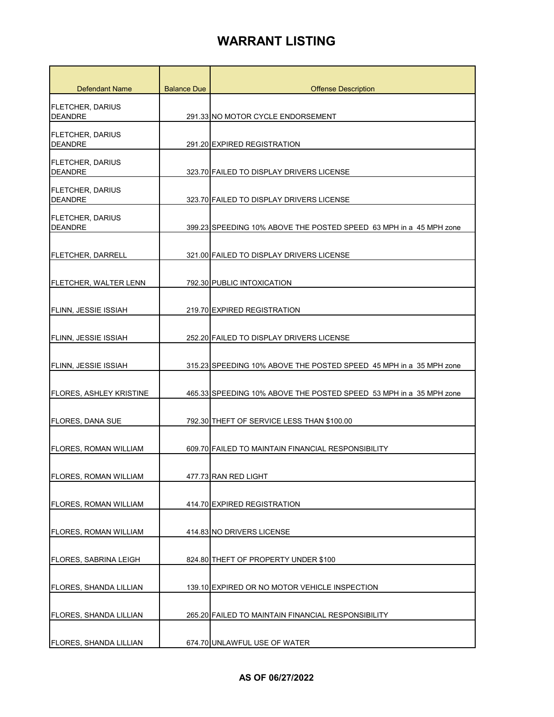| <b>Defendant Name</b>                     | <b>Balance Due</b> | <b>Offense Description</b>                                         |
|-------------------------------------------|--------------------|--------------------------------------------------------------------|
| <b>FLETCHER, DARIUS</b><br><b>DEANDRE</b> |                    | 291.33 NO MOTOR CYCLE ENDORSEMENT                                  |
| <b>FLETCHER, DARIUS</b><br><b>DEANDRE</b> |                    | 291.20 EXPIRED REGISTRATION                                        |
| <b>FLETCHER, DARIUS</b><br><b>DEANDRE</b> |                    | 323.70 FAILED TO DISPLAY DRIVERS LICENSE                           |
| FLETCHER, DARIUS<br><b>DEANDRE</b>        |                    | 323.70 FAILED TO DISPLAY DRIVERS LICENSE                           |
| <b>FLETCHER, DARIUS</b><br><b>DEANDRE</b> |                    | 399.23 SPEEDING 10% ABOVE THE POSTED SPEED 63 MPH in a 45 MPH zone |
| <b>FLETCHER, DARRELL</b>                  |                    | 321.00 FAILED TO DISPLAY DRIVERS LICENSE                           |
| <b>FLETCHER, WALTER LENN</b>              |                    | 792.30 PUBLIC INTOXICATION                                         |
| FLINN, JESSIE ISSIAH                      |                    | 219.70 EXPIRED REGISTRATION                                        |
| FLINN, JESSIE ISSIAH                      |                    | 252.20 FAILED TO DISPLAY DRIVERS LICENSE                           |
| FLINN, JESSIE ISSIAH                      |                    | 315.23 SPEEDING 10% ABOVE THE POSTED SPEED 45 MPH in a 35 MPH zone |
| <b>FLORES, ASHLEY KRISTINE</b>            |                    | 465.33 SPEEDING 10% ABOVE THE POSTED SPEED 53 MPH in a 35 MPH zone |
| <b>FLORES, DANA SUE</b>                   |                    | 792.30 THEFT OF SERVICE LESS THAN \$100.00                         |
| <b>FLORES, ROMAN WILLIAM</b>              |                    | 609.70 FAILED TO MAINTAIN FINANCIAL RESPONSIBILITY                 |
| FLORES, ROMAN WILLIAM                     |                    | 477.73 RAN RED LIGHT                                               |
| FLORES, ROMAN WILLIAM                     |                    | 414.70 EXPIRED REGISTRATION                                        |
| <b>FLORES, ROMAN WILLIAM</b>              |                    | 414.83 NO DRIVERS LICENSE                                          |
| FLORES, SABRINA LEIGH                     |                    | 824.80 THEFT OF PROPERTY UNDER \$100                               |
| FLORES, SHANDA LILLIAN                    |                    | 139.10 EXPIRED OR NO MOTOR VEHICLE INSPECTION                      |
| <b>FLORES, SHANDA LILLIAN</b>             |                    | 265.20 FAILED TO MAINTAIN FINANCIAL RESPONSIBILITY                 |
| FLORES, SHANDA LILLIAN                    |                    | 674.70 UNLAWFUL USE OF WATER                                       |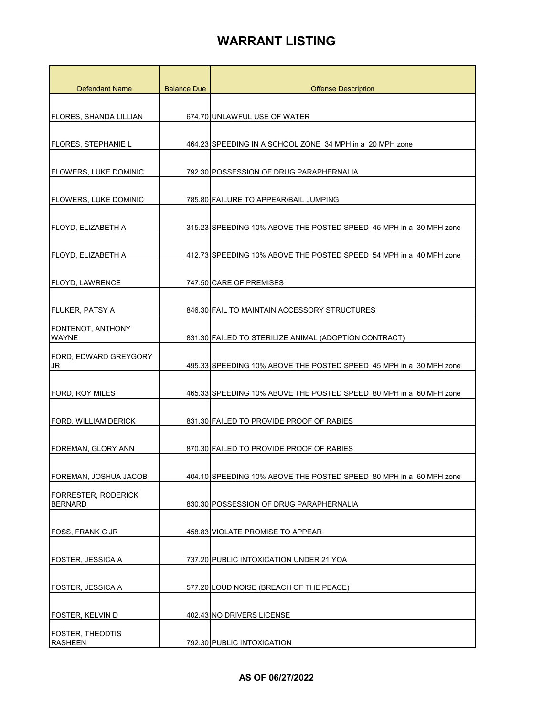| <b>Defendant Name</b>                        | <b>Balance Due</b> | <b>Offense Description</b>                                         |
|----------------------------------------------|--------------------|--------------------------------------------------------------------|
|                                              |                    |                                                                    |
| <b>FLORES, SHANDA LILLIAN</b>                |                    | 674.70 UNLAWFUL USE OF WATER                                       |
| FLORES, STEPHANIE L                          |                    | 464.23 SPEEDING IN A SCHOOL ZONE 34 MPH in a 20 MPH zone           |
|                                              |                    |                                                                    |
| <b>FLOWERS, LUKE DOMINIC</b>                 |                    | 792.30 POSSESSION OF DRUG PARAPHERNALIA                            |
| FLOWERS, LUKE DOMINIC                        |                    | 785.80 FAILURE TO APPEAR/BAIL JUMPING                              |
| FLOYD, ELIZABETH A                           |                    | 315.23 SPEEDING 10% ABOVE THE POSTED SPEED 45 MPH in a 30 MPH zone |
| <b>FLOYD, ELIZABETH A</b>                    |                    | 412.73 SPEEDING 10% ABOVE THE POSTED SPEED 54 MPH in a 40 MPH zone |
| FLOYD, LAWRENCE                              |                    | 747.50 CARE OF PREMISES                                            |
| <b>FLUKER, PATSY A</b>                       |                    | 846.30 FAIL TO MAINTAIN ACCESSORY STRUCTURES                       |
| <b>FONTENOT, ANTHONY</b><br><b>WAYNE</b>     |                    | 831.30 FAILED TO STERILIZE ANIMAL (ADOPTION CONTRACT)              |
| FORD, EDWARD GREYGORY<br>JR                  |                    | 495.33 SPEEDING 10% ABOVE THE POSTED SPEED 45 MPH in a 30 MPH zone |
| <b>FORD, ROY MILES</b>                       |                    | 465.33 SPEEDING 10% ABOVE THE POSTED SPEED 80 MPH in a 60 MPH zone |
| FORD, WILLIAM DERICK                         |                    | 831.30 FAILED TO PROVIDE PROOF OF RABIES                           |
| <b>FOREMAN, GLORY ANN</b>                    |                    | 870.30 FAILED TO PROVIDE PROOF OF RABIES                           |
| FOREMAN, JOSHUA JACOB                        |                    | 404.10 SPEEDING 10% ABOVE THE POSTED SPEED 80 MPH in a 60 MPH zone |
| <b>FORRESTER, RODERICK</b><br><b>BERNARD</b> |                    | 830.30 POSSESSION OF DRUG PARAPHERNALIA                            |
| <b>FOSS, FRANK C JR</b>                      |                    | 458.83 VIOLATE PROMISE TO APPEAR                                   |
| FOSTER, JESSICA A                            |                    | 737.20 PUBLIC INTOXICATION UNDER 21 YOA                            |
| FOSTER, JESSICA A                            |                    | 577.20 LOUD NOISE (BREACH OF THE PEACE)                            |
| FOSTER, KELVIN D                             |                    | 402.43 NO DRIVERS LICENSE                                          |
| <b>FOSTER, THEODTIS</b><br><b>RASHEEN</b>    |                    | 792.30 PUBLIC INTOXICATION                                         |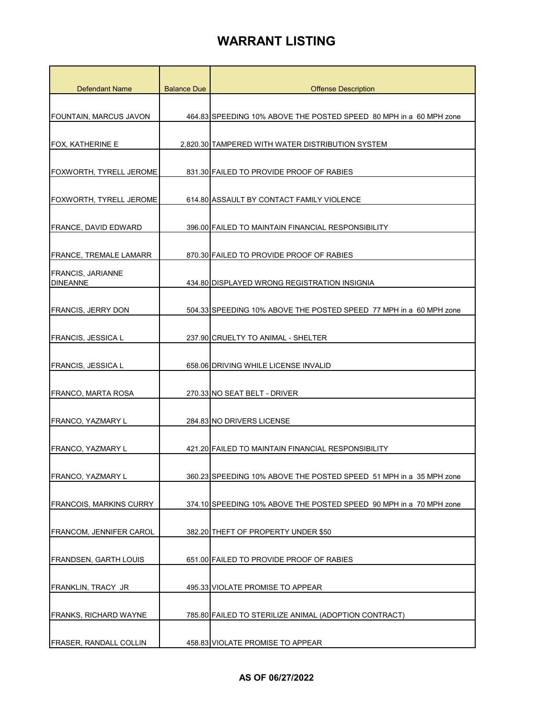| <b>Defendant Name</b>         | <b>Balance Due</b> | <b>Offense Description</b>                                         |
|-------------------------------|--------------------|--------------------------------------------------------------------|
|                               |                    |                                                                    |
| FOUNTAIN, MARCUS JAVON        |                    | 464.83 SPEEDING 10% ABOVE THE POSTED SPEED 80 MPH in a 60 MPH zone |
|                               |                    |                                                                    |
| FOX, KATHERINE E              |                    | 2,820.30 TAMPERED WITH WATER DISTRIBUTION SYSTEM                   |
|                               |                    |                                                                    |
| FOXWORTH, TYRELL JEROME       |                    | 831.30 FAILED TO PROVIDE PROOF OF RABIES                           |
| FOXWORTH, TYRELL JEROME       |                    | 614.80 ASSAULT BY CONTACT FAMILY VIOLENCE                          |
|                               |                    |                                                                    |
| FRANCE, DAVID EDWARD          |                    | 396.00 FAILED TO MAINTAIN FINANCIAL RESPONSIBILITY                 |
|                               |                    |                                                                    |
| <b>FRANCE, TREMALE LAMARR</b> |                    | 870.30 FAILED TO PROVIDE PROOF OF RABIES                           |
| <b>FRANCIS, JARIANNE</b>      |                    |                                                                    |
| <b>DINEANNE</b>               |                    | 434.80 DISPLAYED WRONG REGISTRATION INSIGNIA                       |
| FRANCIS, JERRY DON            |                    | 504.33 SPEEDING 10% ABOVE THE POSTED SPEED 77 MPH in a 60 MPH zone |
|                               |                    |                                                                    |
| FRANCIS, JESSICA L            |                    | 237.90 CRUELTY TO ANIMAL - SHELTER                                 |
|                               |                    |                                                                    |
| FRANCIS, JESSICA L            |                    | 658.06 DRIVING WHILE LICENSE INVALID                               |
|                               |                    |                                                                    |
| FRANCO, MARTA ROSA            |                    | 270.33 NO SEAT BELT - DRIVER                                       |
| FRANCO, YAZMARY L             |                    | 284.83 NO DRIVERS LICENSE                                          |
|                               |                    |                                                                    |
| FRANCO, YAZMARY L             |                    | 421.20 FAILED TO MAINTAIN FINANCIAL RESPONSIBILITY                 |
|                               |                    |                                                                    |
| FRANCO, YAZMARY L             |                    | 360.23 SPEEDING 10% ABOVE THE POSTED SPEED 51 MPH in a 35 MPH zone |
|                               |                    |                                                                    |
| FRANCOIS, MARKINS CURRY       |                    | 374.10 SPEEDING 10% ABOVE THE POSTED SPEED 90 MPH in a 70 MPH zone |
| FRANCOM, JENNIFER CAROL       |                    | 382.20 THEFT OF PROPERTY UNDER \$50                                |
|                               |                    |                                                                    |
| <b>FRANDSEN, GARTH LOUIS</b>  |                    | 651.00 FAILED TO PROVIDE PROOF OF RABIES                           |
|                               |                    |                                                                    |
| FRANKLIN, TRACY JR            |                    | 495.33 VIOLATE PROMISE TO APPEAR                                   |
|                               |                    |                                                                    |
| FRANKS, RICHARD WAYNE         |                    | 785.80 FAILED TO STERILIZE ANIMAL (ADOPTION CONTRACT)              |
| FRASER, RANDALL COLLIN        |                    | 458.83 VIOLATE PROMISE TO APPEAR                                   |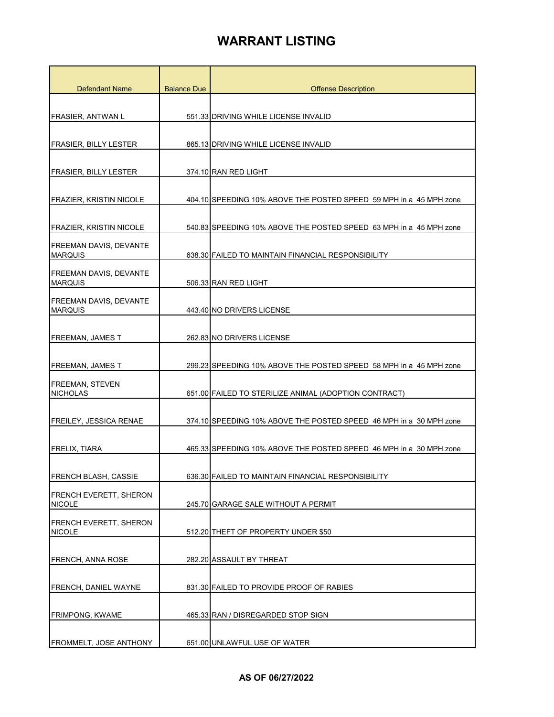| <b>Defendant Name</b>                           | <b>Balance Due</b> | <b>Offense Description</b>                                         |
|-------------------------------------------------|--------------------|--------------------------------------------------------------------|
|                                                 |                    |                                                                    |
| <b>FRASIER, ANTWAN L</b>                        |                    | 551.33 DRIVING WHILE LICENSE INVALID                               |
|                                                 |                    |                                                                    |
| <b>FRASIER, BILLY LESTER</b>                    |                    | 865.13 DRIVING WHILE LICENSE INVALID                               |
| <b>FRASIER, BILLY LESTER</b>                    |                    | 374.10 RAN RED LIGHT                                               |
| FRAZIER, KRISTIN NICOLE                         |                    | 404.10 SPEEDING 10% ABOVE THE POSTED SPEED 59 MPH in a 45 MPH zone |
| FRAZIER, KRISTIN NICOLE                         |                    | 540.83 SPEEDING 10% ABOVE THE POSTED SPEED 63 MPH in a 45 MPH zone |
| <b>FREEMAN DAVIS, DEVANTE</b><br><b>MARQUIS</b> |                    | 638.30 FAILED TO MAINTAIN FINANCIAL RESPONSIBILITY                 |
| <b>FREEMAN DAVIS, DEVANTE</b><br><b>MARQUIS</b> |                    | 506.33 RAN RED LIGHT                                               |
| <b>FREEMAN DAVIS, DEVANTE</b><br><b>MARQUIS</b> |                    | 443.40 NO DRIVERS LICENSE                                          |
| FREEMAN, JAMES T                                |                    | 262.83 NO DRIVERS LICENSE                                          |
| <b>FREEMAN, JAMES T</b>                         |                    | 299.23 SPEEDING 10% ABOVE THE POSTED SPEED 58 MPH in a 45 MPH zone |
| <b>FREEMAN, STEVEN</b><br><b>NICHOLAS</b>       |                    | 651.00 FAILED TO STERILIZE ANIMAL (ADOPTION CONTRACT)              |
| FREILEY. JESSICA RENAE                          |                    | 374.10 SPEEDING 10% ABOVE THE POSTED SPEED 46 MPH in a 30 MPH zone |
| <b>FRELIX, TIARA</b>                            |                    | 465.33 SPEEDING 10% ABOVE THE POSTED SPEED 46 MPH in a 30 MPH zone |
| FRENCH BLASH, CASSIE                            |                    | 636.30 FAILED TO MAINTAIN FINANCIAL RESPONSIBILITY                 |
| <b>FRENCH EVERETT, SHERON</b><br><b>NICOLE</b>  |                    | 245.70 GARAGE SALE WITHOUT A PERMIT                                |
| <b>FRENCH EVERETT, SHERON</b><br><b>NICOLE</b>  |                    | 512.20 THEFT OF PROPERTY UNDER \$50                                |
| <b>FRENCH, ANNA ROSE</b>                        |                    | 282.20 ASSAULT BY THREAT                                           |
| FRENCH, DANIEL WAYNE                            |                    | 831.30 FAILED TO PROVIDE PROOF OF RABIES                           |
| <b>FRIMPONG, KWAME</b>                          |                    | 465.33 RAN / DISREGARDED STOP SIGN                                 |
| FROMMELT, JOSE ANTHONY                          |                    | 651.00 UNLAWFUL USE OF WATER                                       |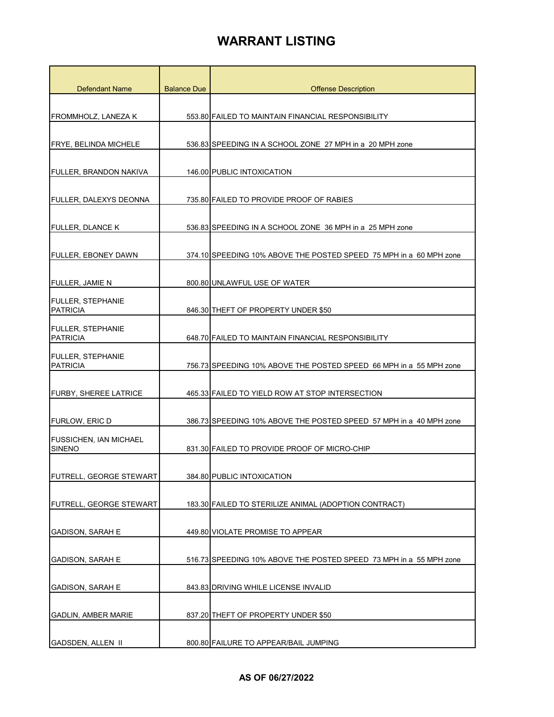| <b>Defendant Name</b>                          | <b>Balance Due</b> | <b>Offense Description</b>                                         |
|------------------------------------------------|--------------------|--------------------------------------------------------------------|
|                                                |                    |                                                                    |
| FROMMHOLZ, LANEZA K                            |                    | 553.80 FAILED TO MAINTAIN FINANCIAL RESPONSIBILITY                 |
| <b>FRYE, BELINDA MICHELE</b>                   |                    | 536.83 SPEEDING IN A SCHOOL ZONE 27 MPH in a 20 MPH zone           |
| FULLER, BRANDON NAKIVA                         |                    | 146.00 PUBLIC INTOXICATION                                         |
| FULLER, DALEXYS DEONNA                         |                    | 735,80 FAILED TO PROVIDE PROOF OF RABIES                           |
| <b>FULLER, DLANCE K</b>                        |                    | 536.83 SPEEDING IN A SCHOOL ZONE 36 MPH in a 25 MPH zone           |
| FULLER, EBONEY DAWN                            |                    | 374.10 SPEEDING 10% ABOVE THE POSTED SPEED 75 MPH in a 60 MPH zone |
| FULLER, JAMIE N                                |                    | 800.80 UNLAWFUL USE OF WATER                                       |
| <b>FULLER, STEPHANIE</b><br><b>PATRICIA</b>    |                    | 846.30 THEFT OF PROPERTY UNDER \$50                                |
| <b>FULLER, STEPHANIE</b><br><b>PATRICIA</b>    |                    | 648.70 FAILED TO MAINTAIN FINANCIAL RESPONSIBILITY                 |
| <b>FULLER, STEPHANIE</b><br><b>PATRICIA</b>    |                    | 756.73 SPEEDING 10% ABOVE THE POSTED SPEED 66 MPH in a 55 MPH zone |
| <b>FURBY, SHEREE LATRICE</b>                   |                    | 465.33 FAILED TO YIELD ROW AT STOP INTERSECTION                    |
| <b>FURLOW, ERIC D</b>                          |                    | 386.73 SPEEDING 10% ABOVE THE POSTED SPEED 57 MPH in a 40 MPH zone |
| <b>FUSSICHEN, IAN MICHAEL</b><br><b>SINENO</b> |                    | 831.30 FAILED TO PROVIDE PROOF OF MICRO-CHIP                       |
| FUTRELL, GEORGE STEWART                        |                    | 384.80 PUBLIC INTOXICATION                                         |
| <b>FUTRELL, GEORGE STEWART</b>                 |                    | 183.30 FAILED TO STERILIZE ANIMAL (ADOPTION CONTRACT)              |
| <b>GADISON, SARAH E</b>                        |                    | 449,80 VIOLATE PROMISE TO APPEAR                                   |
| <b>GADISON, SARAH E</b>                        |                    | 516.73 SPEEDING 10% ABOVE THE POSTED SPEED 73 MPH in a 55 MPH zone |
| <b>GADISON, SARAH E</b>                        |                    | 843.83 DRIVING WHILE LICENSE INVALID                               |
| <b>GADLIN, AMBER MARIE</b>                     |                    | 837.20 THEFT OF PROPERTY UNDER \$50                                |
| <b>GADSDEN, ALLEN II</b>                       |                    | 800.80 FAILURE TO APPEAR/BAIL JUMPING                              |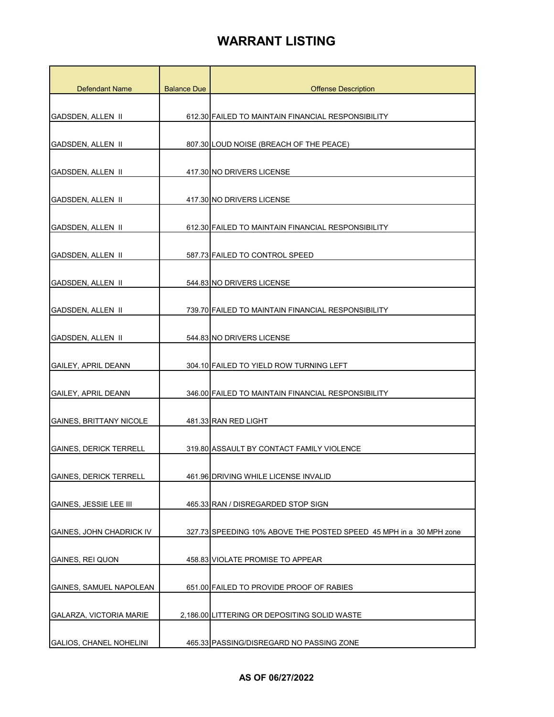| <b>Defendant Name</b>          | <b>Balance Due</b> | <b>Offense Description</b>                                         |
|--------------------------------|--------------------|--------------------------------------------------------------------|
|                                |                    |                                                                    |
| GADSDEN, ALLEN II              |                    | 612.30 FAILED TO MAINTAIN FINANCIAL RESPONSIBILITY                 |
| <b>GADSDEN, ALLEN II</b>       |                    | 807.30 LOUD NOISE (BREACH OF THE PEACE)                            |
|                                |                    |                                                                    |
| <b>GADSDEN, ALLEN II</b>       |                    | 417.30 NO DRIVERS LICENSE                                          |
| <b>GADSDEN, ALLEN II</b>       |                    | 417.30 NO DRIVERS LICENSE                                          |
| GADSDEN, ALLEN II              |                    | 612.30 FAILED TO MAINTAIN FINANCIAL RESPONSIBILITY                 |
| <b>GADSDEN, ALLEN II</b>       |                    | 587.73 FAILED TO CONTROL SPEED                                     |
| <b>GADSDEN, ALLEN II</b>       |                    | 544.83 NO DRIVERS LICENSE                                          |
| GADSDEN, ALLEN II              |                    | 739.70 FAILED TO MAINTAIN FINANCIAL RESPONSIBILITY                 |
| <b>GADSDEN, ALLEN II</b>       |                    | 544.83 NO DRIVERS LICENSE                                          |
| <b>GAILEY, APRIL DEANN</b>     |                    | 304.10 FAILED TO YIELD ROW TURNING LEFT                            |
| <b>GAILEY, APRIL DEANN</b>     |                    | 346.00 FAILED TO MAINTAIN FINANCIAL RESPONSIBILITY                 |
| <b>GAINES, BRITTANY NICOLE</b> |                    | 481.33 RAN RED LIGHT                                               |
| <b>GAINES, DERICK TERRELL</b>  |                    | 319.80 ASSAULT BY CONTACT FAMILY VIOLENCE                          |
| <b>GAINES, DERICK TERRELL</b>  |                    | 461.96 DRIVING WHILE LICENSE INVALID                               |
| GAINES, JESSIE LEE III         |                    | 465.33 RAN / DISREGARDED STOP SIGN                                 |
| GAINES, JOHN CHADRICK IV       |                    | 327.73 SPEEDING 10% ABOVE THE POSTED SPEED 45 MPH in a 30 MPH zone |
| <b>GAINES, REI QUON</b>        |                    | 458.83 VIOLATE PROMISE TO APPEAR                                   |
| <b>GAINES, SAMUEL NAPOLEAN</b> |                    | 651.00 FAILED TO PROVIDE PROOF OF RABIES                           |
| GALARZA, VICTORIA MARIE        |                    | 2,186.00 LITTERING OR DEPOSITING SOLID WASTE                       |
| GALIOS, CHANEL NOHELINI        |                    | 465.33 PASSING/DISREGARD NO PASSING ZONE                           |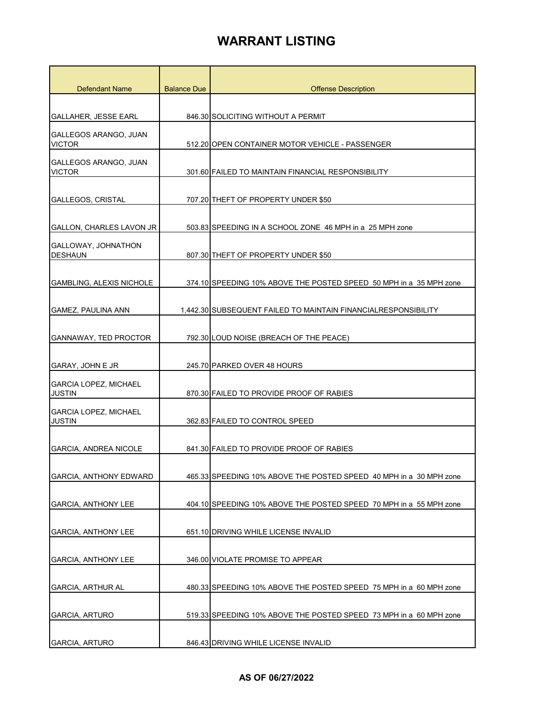| <b>Defendant Name</b>                         | <b>Balance Due</b> | <b>Offense Description</b>                                         |
|-----------------------------------------------|--------------------|--------------------------------------------------------------------|
|                                               |                    |                                                                    |
| <b>GALLAHER, JESSE EARL</b>                   |                    | 846.30 SOLICITING WITHOUT A PERMIT                                 |
| GALLEGOS ARANGO, JUAN                         |                    |                                                                    |
| <b>VICTOR</b>                                 |                    | 512.20 OPEN CONTAINER MOTOR VEHICLE - PASSENGER                    |
| GALLEGOS ARANGO, JUAN                         |                    |                                                                    |
| <b>VICTOR</b>                                 |                    | 301.60 FAILED TO MAINTAIN FINANCIAL RESPONSIBILITY                 |
| <b>GALLEGOS, CRISTAL</b>                      |                    | 707.20 THEFT OF PROPERTY UNDER \$50                                |
|                                               |                    |                                                                    |
| GALLON, CHARLES LAVON JR                      |                    | 503.83 SPEEDING IN A SCHOOL ZONE 46 MPH in a 25 MPH zone           |
| GALLOWAY, JOHNATHON                           |                    |                                                                    |
| <b>DESHAUN</b>                                |                    | 807.30 THEFT OF PROPERTY UNDER \$50                                |
| <b>GAMBLING, ALEXIS NICHOLE</b>               |                    | 374.10 SPEEDING 10% ABOVE THE POSTED SPEED 50 MPH in a 35 MPH zone |
|                                               |                    |                                                                    |
| <b>GAMEZ, PAULINA ANN</b>                     |                    | 1,442.30 SUBSEQUENT FAILED TO MAINTAIN FINANCIALRESPONSIBILITY     |
|                                               |                    |                                                                    |
| GANNAWAY, TED PROCTOR                         |                    | 792.30 LOUD NOISE (BREACH OF THE PEACE)                            |
|                                               |                    |                                                                    |
| GARAY, JOHN E JR                              |                    | 245.70 PARKED OVER 48 HOURS                                        |
| <b>GARCIA LOPEZ, MICHAEL</b><br><b>JUSTIN</b> |                    | 870.30 FAILED TO PROVIDE PROOF OF RABIES                           |
| <b>GARCIA LOPEZ, MICHAEL</b>                  |                    |                                                                    |
| <b>JUSTIN</b>                                 |                    | 362.83 FAILED TO CONTROL SPEED                                     |
|                                               |                    |                                                                    |
| GARCIA, ANDREA NICOLE                         |                    | 841.30 FAILED TO PROVIDE PROOF OF RABIES                           |
| <b>GARCIA, ANTHONY EDWARD</b>                 |                    | 465.33 SPEEDING 10% ABOVE THE POSTED SPEED 40 MPH in a 30 MPH zone |
|                                               |                    |                                                                    |
| <b>GARCIA, ANTHONY LEE</b>                    |                    | 404.10 SPEEDING 10% ABOVE THE POSTED SPEED 70 MPH in a 55 MPH zone |
|                                               |                    |                                                                    |
| <b>GARCIA, ANTHONY LEE</b>                    |                    | 651.10 DRIVING WHILE LICENSE INVALID                               |
|                                               |                    |                                                                    |
| <b>GARCIA, ANTHONY LEE</b>                    |                    | 346.00 VIOLATE PROMISE TO APPEAR                                   |
| <b>GARCIA, ARTHUR AL</b>                      |                    | 480.33 SPEEDING 10% ABOVE THE POSTED SPEED 75 MPH in a 60 MPH zone |
|                                               |                    |                                                                    |
| <b>GARCIA, ARTURO</b>                         |                    | 519.33 SPEEDING 10% ABOVE THE POSTED SPEED 73 MPH in a 60 MPH zone |
|                                               |                    |                                                                    |
| <b>GARCIA, ARTURO</b>                         |                    | 846.43 DRIVING WHILE LICENSE INVALID                               |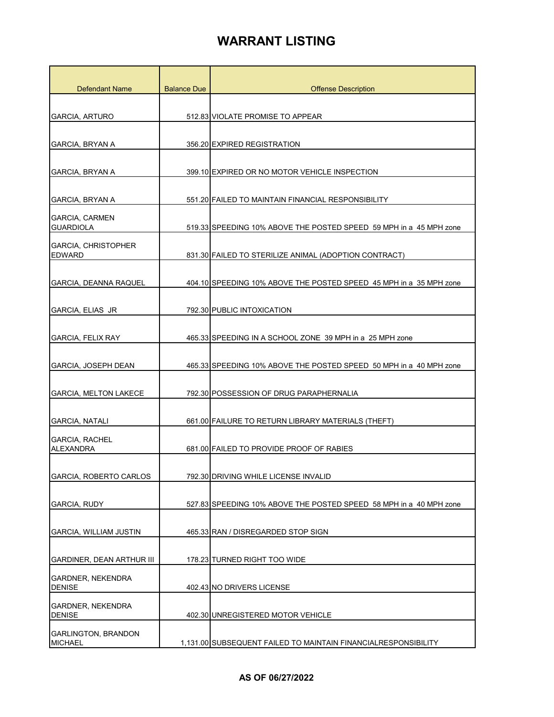| Defendant Name                               | <b>Balance Due</b> | <b>Offense Description</b>                                         |
|----------------------------------------------|--------------------|--------------------------------------------------------------------|
|                                              |                    |                                                                    |
| <b>GARCIA, ARTURO</b>                        |                    | 512.83 VIOLATE PROMISE TO APPEAR                                   |
| GARCIA, BRYAN A                              |                    | 356.20 EXPIRED REGISTRATION                                        |
|                                              |                    |                                                                    |
| GARCIA, BRYAN A                              |                    | 399.10 EXPIRED OR NO MOTOR VEHICLE INSPECTION                      |
| <b>GARCIA, BRYAN A</b>                       |                    | 551.20 FAILED TO MAINTAIN FINANCIAL RESPONSIBILITY                 |
| <b>GARCIA, CARMEN</b><br><b>GUARDIOLA</b>    |                    | 519.33 SPEEDING 10% ABOVE THE POSTED SPEED 59 MPH in a 45 MPH zone |
| GARCIA, CHRISTOPHER<br><b>EDWARD</b>         |                    | 831.30 FAILED TO STERILIZE ANIMAL (ADOPTION CONTRACT)              |
| <b>GARCIA, DEANNA RAQUEL</b>                 |                    | 404.10 SPEEDING 10% ABOVE THE POSTED SPEED 45 MPH in a 35 MPH zone |
| GARCIA, ELIAS JR                             |                    | 792.30 PUBLIC INTOXICATION                                         |
| GARCIA, FELIX RAY                            |                    | 465.33 SPEEDING IN A SCHOOL ZONE 39 MPH in a 25 MPH zone           |
| GARCIA, JOSEPH DEAN                          |                    | 465.33 SPEEDING 10% ABOVE THE POSTED SPEED 50 MPH in a 40 MPH zone |
| <b>GARCIA, MELTON LAKECE</b>                 |                    | 792.30 POSSESSION OF DRUG PARAPHERNALIA                            |
| <b>GARCIA, NATALI</b>                        |                    | 661.00 FAILURE TO RETURN LIBRARY MATERIALS (THEFT)                 |
| <b>GARCIA, RACHEL</b><br><b>ALEXANDRA</b>    |                    | 681.00 FAILED TO PROVIDE PROOF OF RABIES                           |
| GARCIA, ROBERTO CARLOS                       |                    | 792.30 DRIVING WHILE LICENSE INVALID                               |
| <b>GARCIA, RUDY</b>                          |                    | 527.83 SPEEDING 10% ABOVE THE POSTED SPEED 58 MPH in a 40 MPH zone |
| GARCIA, WILLIAM JUSTIN                       |                    | 465.33 RAN / DISREGARDED STOP SIGN                                 |
| <b>GARDINER, DEAN ARTHUR III</b>             |                    | 178.23 TURNED RIGHT TOO WIDE                                       |
| GARDNER, NEKENDRA<br><b>DENISE</b>           |                    | 402.43 NO DRIVERS LICENSE                                          |
| <b>GARDNER, NEKENDRA</b><br><b>DENISE</b>    |                    | 402.30 UNREGISTERED MOTOR VEHICLE                                  |
| <b>GARLINGTON, BRANDON</b><br><b>MICHAEL</b> |                    | 1,131.00 SUBSEQUENT FAILED TO MAINTAIN FINANCIALRESPONSIBILITY     |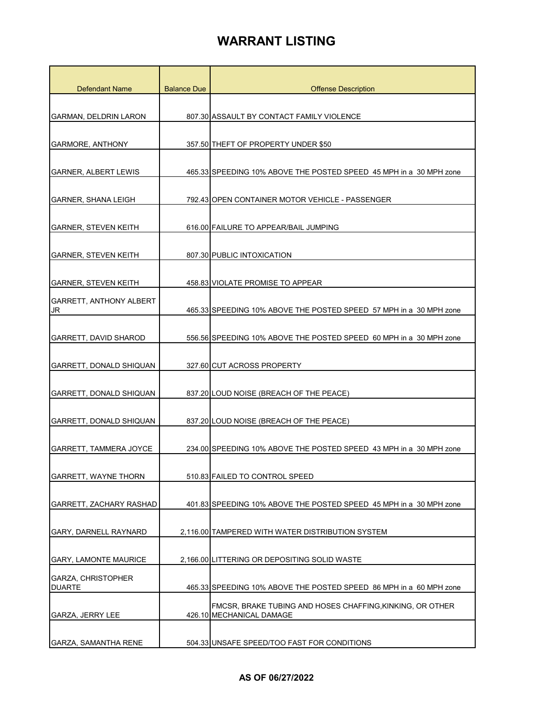| Defendant Name                              | <b>Balance Due</b> | <b>Offense Description</b>                                         |
|---------------------------------------------|--------------------|--------------------------------------------------------------------|
|                                             |                    |                                                                    |
| GARMAN, DELDRIN LARON                       |                    | 807.30 ASSAULT BY CONTACT FAMILY VIOLENCE                          |
| <b>GARMORE, ANTHONY</b>                     |                    | 357.50 THEFT OF PROPERTY UNDER \$50                                |
|                                             |                    |                                                                    |
| <b>GARNER, ALBERT LEWIS</b>                 |                    | 465.33 SPEEDING 10% ABOVE THE POSTED SPEED 45 MPH in a 30 MPH zone |
|                                             |                    |                                                                    |
| <b>GARNER, SHANA LEIGH</b>                  |                    | 792.43 OPEN CONTAINER MOTOR VEHICLE - PASSENGER                    |
| <b>GARNER, STEVEN KEITH</b>                 |                    | 616.00 FAILURE TO APPEAR/BAIL JUMPING                              |
|                                             |                    |                                                                    |
| <b>GARNER, STEVEN KEITH</b>                 |                    | 807.30 PUBLIC INTOXICATION                                         |
|                                             |                    |                                                                    |
| <b>GARNER, STEVEN KEITH</b>                 |                    | 458.83 VIOLATE PROMISE TO APPEAR                                   |
| <b>GARRETT, ANTHONY ALBERT</b><br><b>JR</b> |                    | 465.33 SPEEDING 10% ABOVE THE POSTED SPEED 57 MPH in a 30 MPH zone |
|                                             |                    |                                                                    |
| GARRETT, DAVID SHAROD                       |                    | 556.56 SPEEDING 10% ABOVE THE POSTED SPEED 60 MPH in a 30 MPH zone |
|                                             |                    |                                                                    |
| <b>GARRETT, DONALD SHIQUAN</b>              |                    | 327.60 CUT ACROSS PROPERTY                                         |
| GARRETT, DONALD SHIQUAN                     |                    | 837.20 LOUD NOISE (BREACH OF THE PEACE)                            |
|                                             |                    |                                                                    |
| <b>GARRETT, DONALD SHIQUAN</b>              |                    | 837.20 LOUD NOISE (BREACH OF THE PEACE)                            |
|                                             |                    |                                                                    |
| <b>GARRETT, TAMMERA JOYCE</b>               |                    | 234.00 SPEEDING 10% ABOVE THE POSTED SPEED 43 MPH in a 30 MPH zone |
| GARRETT, WAYNE THORN                        |                    | 510.83 FAILED TO CONTROL SPEED                                     |
|                                             |                    |                                                                    |
| <b>GARRETT, ZACHARY RASHAD</b>              |                    | 401.83 SPEEDING 10% ABOVE THE POSTED SPEED 45 MPH in a 30 MPH zone |
|                                             |                    |                                                                    |
| GARY, DARNELL RAYNARD                       |                    | 2,116.00 TAMPERED WITH WATER DISTRIBUTION SYSTEM                   |
| <b>GARY, LAMONTE MAURICE</b>                |                    | 2,166.00 LITTERING OR DEPOSITING SOLID WASTE                       |
|                                             |                    |                                                                    |
| GARZA, CHRISTOPHER<br><b>DUARTE</b>         |                    | 465.33 SPEEDING 10% ABOVE THE POSTED SPEED 86 MPH in a 60 MPH zone |
|                                             |                    | FMCSR, BRAKE TUBING AND HOSES CHAFFING, KINKING, OR OTHER          |
| GARZA, JERRY LEE                            |                    | 426.10 MECHANICAL DAMAGE                                           |
| GARZA, SAMANTHA RENE                        |                    | 504.33 UNSAFE SPEED/TOO FAST FOR CONDITIONS                        |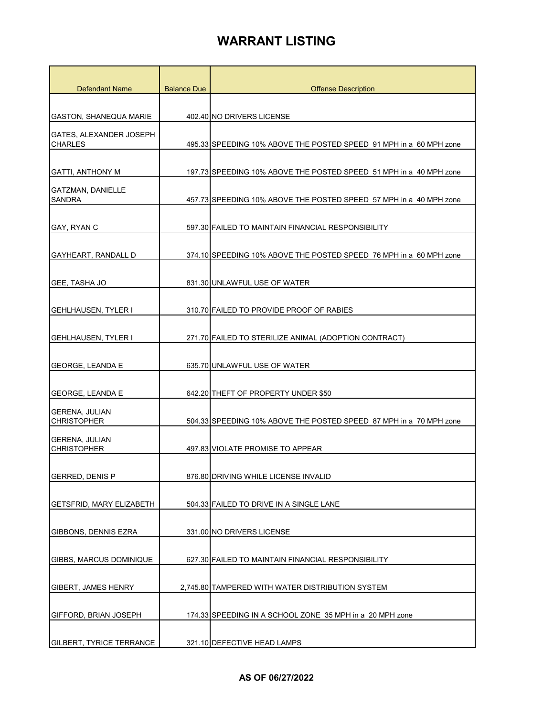| <b>Defendant Name</b>           | <b>Balance Due</b> | <b>Offense Description</b>                                         |
|---------------------------------|--------------------|--------------------------------------------------------------------|
|                                 |                    |                                                                    |
| <b>GASTON, SHANEQUA MARIE</b>   |                    | 402.40 NO DRIVERS LICENSE                                          |
| GATES, ALEXANDER JOSEPH         |                    |                                                                    |
| <b>CHARLES</b>                  |                    | 495.33 SPEEDING 10% ABOVE THE POSTED SPEED 91 MPH in a 60 MPH zone |
|                                 |                    |                                                                    |
| <b>GATTI, ANTHONY M</b>         |                    | 197.73 SPEEDING 10% ABOVE THE POSTED SPEED 51 MPH in a 40 MPH zone |
| <b>GATZMAN, DANIELLE</b>        |                    |                                                                    |
| <b>SANDRA</b>                   |                    | 457.73 SPEEDING 10% ABOVE THE POSTED SPEED 57 MPH in a 40 MPH zone |
| GAY, RYAN C                     |                    | 597.30 FAILED TO MAINTAIN FINANCIAL RESPONSIBILITY                 |
|                                 |                    |                                                                    |
| <b>GAYHEART, RANDALL D</b>      |                    | 374.10 SPEEDING 10% ABOVE THE POSTED SPEED 76 MPH in a 60 MPH zone |
|                                 |                    |                                                                    |
| GEE, TASHA JO                   |                    | 831.30 UNLAWFUL USE OF WATER                                       |
|                                 |                    |                                                                    |
| <b>GEHLHAUSEN, TYLER I</b>      |                    | 310.70 FAILED TO PROVIDE PROOF OF RABIES                           |
|                                 |                    |                                                                    |
| <b>GEHLHAUSEN, TYLER I</b>      |                    | 271.70 FAILED TO STERILIZE ANIMAL (ADOPTION CONTRACT)              |
| <b>GEORGE, LEANDA E</b>         |                    | 635.70 UNLAWFUL USE OF WATER                                       |
|                                 |                    |                                                                    |
| <b>GEORGE, LEANDA E</b>         |                    | 642.20 THEFT OF PROPERTY UNDER \$50                                |
| <b>GERENA, JULIAN</b>           |                    |                                                                    |
| <b>CHRISTOPHER</b>              |                    | 504.33 SPEEDING 10% ABOVE THE POSTED SPEED 87 MPH in a 70 MPH zone |
| <b>GERENA, JULIAN</b>           |                    |                                                                    |
| <b>CHRISTOPHER</b>              |                    | 497.83 VIOLATE PROMISE TO APPEAR                                   |
| GERRED, DENIS P                 |                    | 876.80 DRIVING WHILE LICENSE INVALID                               |
|                                 |                    |                                                                    |
| <b>GETSFRID, MARY ELIZABETH</b> |                    | 504.33 FAILED TO DRIVE IN A SINGLE LANE                            |
|                                 |                    |                                                                    |
| <b>GIBBONS, DENNIS EZRA</b>     |                    | 331.00 NO DRIVERS LICENSE                                          |
|                                 |                    |                                                                    |
| <b>GIBBS, MARCUS DOMINIQUE</b>  |                    | 627.30 FAILED TO MAINTAIN FINANCIAL RESPONSIBILITY                 |
|                                 |                    |                                                                    |
| GIBERT, JAMES HENRY             |                    | 2,745.80 TAMPERED WITH WATER DISTRIBUTION SYSTEM                   |
| GIFFORD, BRIAN JOSEPH           |                    | 174.33 SPEEDING IN A SCHOOL ZONE 35 MPH in a 20 MPH zone           |
|                                 |                    |                                                                    |
| GILBERT, TYRICE TERRANCE        |                    | 321.10 DEFECTIVE HEAD LAMPS                                        |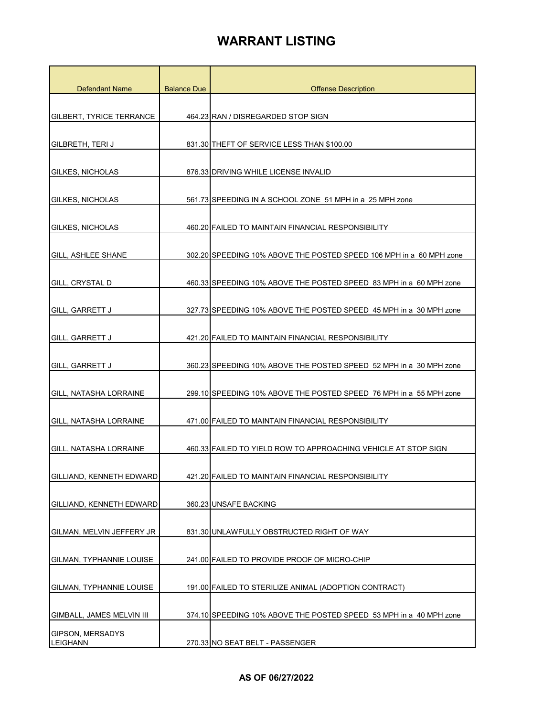| <b>Defendant Name</b>               | <b>Balance Due</b> | <b>Offense Description</b>                                          |
|-------------------------------------|--------------------|---------------------------------------------------------------------|
|                                     |                    |                                                                     |
| <b>GILBERT, TYRICE TERRANCE</b>     |                    | 464.23 RAN / DISREGARDED STOP SIGN                                  |
| <b>GILBRETH, TERI J</b>             |                    | 831.30 THEFT OF SERVICE LESS THAN \$100.00                          |
|                                     |                    |                                                                     |
| GILKES, NICHOLAS                    |                    | 876.33 DRIVING WHILE LICENSE INVALID                                |
| <b>GILKES, NICHOLAS</b>             |                    | 561.73 SPEEDING IN A SCHOOL ZONE 51 MPH in a 25 MPH zone            |
| GILKES, NICHOLAS                    |                    | 460.20 FAILED TO MAINTAIN FINANCIAL RESPONSIBILITY                  |
| GILL, ASHLEE SHANE                  |                    | 302.20 SPEEDING 10% ABOVE THE POSTED SPEED 106 MPH in a 60 MPH zone |
| <b>GILL, CRYSTAL D</b>              |                    | 460.33 SPEEDING 10% ABOVE THE POSTED SPEED 83 MPH in a 60 MPH zone  |
| GILL, GARRETT J                     |                    | 327.73 SPEEDING 10% ABOVE THE POSTED SPEED 45 MPH in a 30 MPH zone  |
| GILL, GARRETT J                     |                    | 421.20 FAILED TO MAINTAIN FINANCIAL RESPONSIBILITY                  |
| GILL, GARRETT J                     |                    | 360.23 SPEEDING 10% ABOVE THE POSTED SPEED 52 MPH in a 30 MPH zone  |
| GILL, NATASHA LORRAINE              |                    | 299.10 SPEEDING 10% ABOVE THE POSTED SPEED 76 MPH in a 55 MPH zone  |
| GILL, NATASHA LORRAINE              |                    | 471.00 FAILED TO MAINTAIN FINANCIAL RESPONSIBILITY                  |
| <b>GILL, NATASHA LORRAINE</b>       |                    | 460.33 FAILED TO YIELD ROW TO APPROACHING VEHICLE AT STOP SIGN      |
| GILLIAND, KENNETH EDWARD            |                    | 421.20 FAILED TO MAINTAIN FINANCIAL RESPONSIBILITY                  |
| GILLIAND, KENNETH EDWARD            |                    | 360.23 UNSAFE BACKING                                               |
| GILMAN, MELVIN JEFFERY JR           |                    | 831.30 UNLAWFULLY OBSTRUCTED RIGHT OF WAY                           |
| GILMAN, TYPHANNIE LOUISE            |                    | 241.00 FAILED TO PROVIDE PROOF OF MICRO-CHIP                        |
| <b>GILMAN, TYPHANNIE LOUISE</b>     |                    | 191.00 FAILED TO STERILIZE ANIMAL (ADOPTION CONTRACT)               |
| GIMBALL, JAMES MELVIN III           |                    | 374.10 SPEEDING 10% ABOVE THE POSTED SPEED 53 MPH in a 40 MPH zone  |
| <b>GIPSON, MERSADYS</b><br>LEIGHANN |                    | 270.33 NO SEAT BELT - PASSENGER                                     |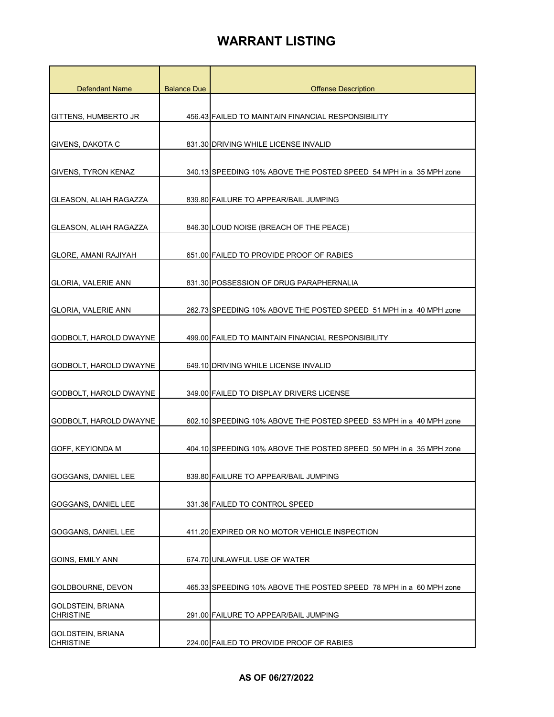| <b>Defendant Name</b>                        | <b>Balance Due</b> | <b>Offense Description</b>                                         |
|----------------------------------------------|--------------------|--------------------------------------------------------------------|
|                                              |                    |                                                                    |
| GITTENS, HUMBERTO JR                         |                    | 456.43 FAILED TO MAINTAIN FINANCIAL RESPONSIBILITY                 |
| <b>GIVENS, DAKOTA C</b>                      |                    | 831.30 DRIVING WHILE LICENSE INVALID                               |
|                                              |                    |                                                                    |
| <b>GIVENS, TYRON KENAZ</b>                   |                    | 340.13 SPEEDING 10% ABOVE THE POSTED SPEED 54 MPH in a 35 MPH zone |
| GLEASON, ALIAH RAGAZZA                       |                    | 839.80 FAILURE TO APPEAR/BAIL JUMPING                              |
| GLEASON, ALIAH RAGAZZA                       |                    | 846.30 LOUD NOISE (BREACH OF THE PEACE)                            |
| <b>GLORE, AMANI RAJIYAH</b>                  |                    | 651.00 FAILED TO PROVIDE PROOF OF RABIES                           |
| <b>GLORIA, VALERIE ANN</b>                   |                    | 831.30 POSSESSION OF DRUG PARAPHERNALIA                            |
| GLORIA, VALERIE ANN                          |                    | 262.73 SPEEDING 10% ABOVE THE POSTED SPEED 51 MPH in a 40 MPH zone |
| GODBOLT, HAROLD DWAYNE                       |                    | 499.00 FAILED TO MAINTAIN FINANCIAL RESPONSIBILITY                 |
| GODBOLT, HAROLD DWAYNE                       |                    | 649.10 DRIVING WHILE LICENSE INVALID                               |
| GODBOLT, HAROLD DWAYNE                       |                    | 349.00 FAILED TO DISPLAY DRIVERS LICENSE                           |
| GODBOLT, HAROLD DWAYNE                       |                    | 602.10 SPEEDING 10% ABOVE THE POSTED SPEED 53 MPH in a 40 MPH zone |
| GOFF, KEYIONDA M                             |                    | 404.10 SPEEDING 10% ABOVE THE POSTED SPEED 50 MPH in a 35 MPH zone |
| GOGGANS, DANIEL LEE                          |                    | 839.80 FAILURE TO APPEAR/BAIL JUMPING                              |
| GOGGANS, DANIEL LEE                          |                    | 331.36 FAILED TO CONTROL SPEED                                     |
| GOGGANS, DANIEL LEE                          |                    | 411.20 EXPIRED OR NO MOTOR VEHICLE INSPECTION                      |
| GOINS, EMILY ANN                             |                    | 674.70 UNLAWFUL USE OF WATER                                       |
| GOLDBOURNE, DEVON                            |                    | 465.33 SPEEDING 10% ABOVE THE POSTED SPEED 78 MPH in a 60 MPH zone |
| <b>GOLDSTEIN, BRIANA</b><br><b>CHRISTINE</b> |                    | 291.00 FAILURE TO APPEAR/BAIL JUMPING                              |
| <b>GOLDSTEIN, BRIANA</b><br><b>CHRISTINE</b> |                    | 224.00 FAILED TO PROVIDE PROOF OF RABIES                           |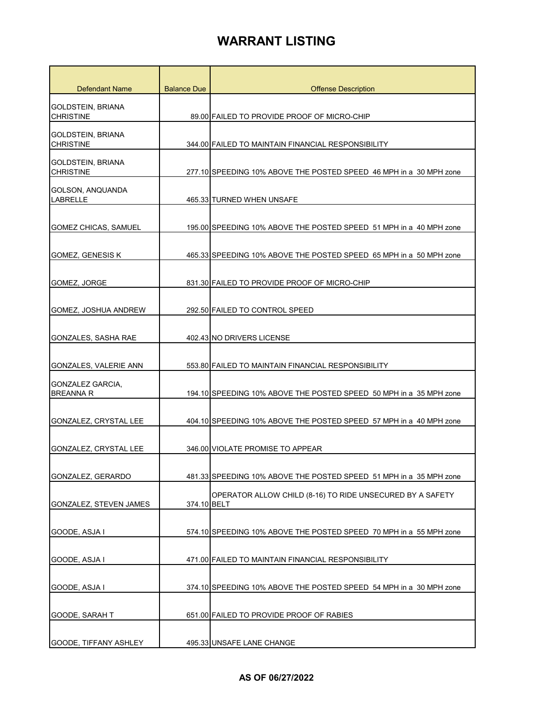| Defendant Name                               | <b>Balance Due</b> | <b>Offense Description</b>                                         |
|----------------------------------------------|--------------------|--------------------------------------------------------------------|
| GOLDSTEIN, BRIANA                            |                    |                                                                    |
| <b>CHRISTINE</b>                             |                    | 89.00 FAILED TO PROVIDE PROOF OF MICRO-CHIP                        |
| <b>GOLDSTEIN, BRIANA</b><br><b>CHRISTINE</b> |                    | 344.00 FAILED TO MAINTAIN FINANCIAL RESPONSIBILITY                 |
| GOLDSTEIN, BRIANA<br><b>CHRISTINE</b>        |                    | 277.10 SPEEDING 10% ABOVE THE POSTED SPEED 46 MPH in a 30 MPH zone |
| <b>GOLSON, ANQUANDA</b><br><b>LABRELLE</b>   |                    | 465.33 TURNED WHEN UNSAFE                                          |
| <b>GOMEZ CHICAS, SAMUEL</b>                  |                    | 195.00 SPEEDING 10% ABOVE THE POSTED SPEED 51 MPH in a 40 MPH zone |
| GOMEZ, GENESIS K                             |                    | 465.33 SPEEDING 10% ABOVE THE POSTED SPEED 65 MPH in a 50 MPH zone |
| GOMEZ, JORGE                                 |                    | 831.30 FAILED TO PROVIDE PROOF OF MICRO-CHIP                       |
| GOMEZ, JOSHUA ANDREW                         |                    | 292.50 FAILED TO CONTROL SPEED                                     |
| GONZALES, SASHA RAE                          |                    | 402.43 NO DRIVERS LICENSE                                          |
| GONZALES, VALERIE ANN                        |                    | 553.80 FAILED TO MAINTAIN FINANCIAL RESPONSIBILITY                 |
| GONZALEZ GARCIA,<br><b>BREANNA R</b>         |                    | 194.10 SPEEDING 10% ABOVE THE POSTED SPEED 50 MPH in a 35 MPH zone |
| GONZALEZ, CRYSTAL LEE                        |                    | 404.10 SPEEDING 10% ABOVE THE POSTED SPEED 57 MPH in a 40 MPH zone |
| <b>GONZALEZ. CRYSTAL LEE</b>                 |                    | 346.00 VIOLATE PROMISE TO APPEAR                                   |
| GONZALEZ, GERARDO                            |                    | 481.33 SPEEDING 10% ABOVE THE POSTED SPEED 51 MPH in a 35 MPH zone |
| GONZALEZ, STEVEN JAMES                       | 374.10 BELT        | OPERATOR ALLOW CHILD (8-16) TO RIDE UNSECURED BY A SAFETY          |
| GOODE, ASJA I                                |                    | 574.10 SPEEDING 10% ABOVE THE POSTED SPEED 70 MPH in a 55 MPH zone |
| GOODE, ASJA I                                |                    | 471.00 FAILED TO MAINTAIN FINANCIAL RESPONSIBILITY                 |
| GOODE, ASJA I                                |                    | 374.10 SPEEDING 10% ABOVE THE POSTED SPEED 54 MPH in a 30 MPH zone |
| GOODE, SARAH T                               |                    | 651.00 FAILED TO PROVIDE PROOF OF RABIES                           |
| GOODE, TIFFANY ASHLEY                        |                    | 495.33 UNSAFE LANE CHANGE                                          |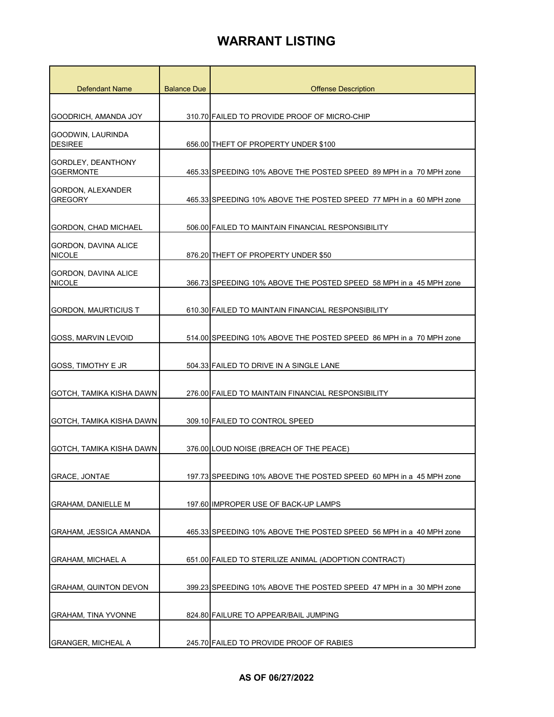| <b>Defendant Name</b>                  | <b>Balance Due</b> | <b>Offense Description</b>                                         |
|----------------------------------------|--------------------|--------------------------------------------------------------------|
|                                        |                    |                                                                    |
| GOODRICH, AMANDA JOY                   |                    | 310.70 FAILED TO PROVIDE PROOF OF MICRO-CHIP                       |
| GOODWIN, LAURINDA                      |                    |                                                                    |
| <b>DESIREE</b>                         |                    | 656.00 THEFT OF PROPERTY UNDER \$100                               |
| GORDLEY, DEANTHONY<br><b>GGERMONTE</b> |                    | 465.33 SPEEDING 10% ABOVE THE POSTED SPEED 89 MPH in a 70 MPH zone |
|                                        |                    |                                                                    |
| GORDON, ALEXANDER<br><b>GREGORY</b>    |                    | 465.33 SPEEDING 10% ABOVE THE POSTED SPEED 77 MPH in a 60 MPH zone |
|                                        |                    |                                                                    |
| GORDON, CHAD MICHAEL                   |                    | 506.00 FAILED TO MAINTAIN FINANCIAL RESPONSIBILITY                 |
| <b>GORDON, DAVINA ALICE</b>            |                    |                                                                    |
| <b>NICOLE</b>                          |                    | 876.20 THEFT OF PROPERTY UNDER \$50                                |
| GORDON, DAVINA ALICE<br><b>NICOLE</b>  |                    | 366.73 SPEEDING 10% ABOVE THE POSTED SPEED 58 MPH in a 45 MPH zone |
|                                        |                    |                                                                    |
| <b>GORDON, MAURTICIUS T</b>            |                    | 610.30 FAILED TO MAINTAIN FINANCIAL RESPONSIBILITY                 |
|                                        |                    |                                                                    |
| GOSS, MARVIN LEVOID                    |                    | 514.00 SPEEDING 10% ABOVE THE POSTED SPEED 86 MPH in a 70 MPH zone |
| GOSS, TIMOTHY E JR                     |                    | 504.33 FAILED TO DRIVE IN A SINGLE LANE                            |
|                                        |                    |                                                                    |
| GOTCH, TAMIKA KISHA DAWN               |                    | 276.00 FAILED TO MAINTAIN FINANCIAL RESPONSIBILITY                 |
|                                        |                    |                                                                    |
| GOTCH, TAMIKA KISHA DAWN               |                    | 309.10 FAILED TO CONTROL SPEED                                     |
| GOTCH, TAMIKA KISHA DAWN               |                    | 376.00 LOUD NOISE (BREACH OF THE PEACE)                            |
|                                        |                    |                                                                    |
| <b>GRACE, JONTAE</b>                   |                    | 197.73 SPEEDING 10% ABOVE THE POSTED SPEED 60 MPH in a 45 MPH zone |
|                                        |                    |                                                                    |
| <b>GRAHAM, DANIELLE M</b>              |                    | 197.60 IMPROPER USE OF BACK-UP LAMPS                               |
| GRAHAM, JESSICA AMANDA                 |                    | 465.33 SPEEDING 10% ABOVE THE POSTED SPEED 56 MPH in a 40 MPH zone |
|                                        |                    |                                                                    |
| <b>GRAHAM, MICHAEL A</b>               |                    | 651.00 FAILED TO STERILIZE ANIMAL (ADOPTION CONTRACT)              |
|                                        |                    |                                                                    |
| <b>GRAHAM, QUINTON DEVON</b>           |                    | 399.23 SPEEDING 10% ABOVE THE POSTED SPEED 47 MPH in a 30 MPH zone |
|                                        |                    |                                                                    |
| <b>GRAHAM, TINA YVONNE</b>             |                    | 824.80 FAILURE TO APPEAR/BAIL JUMPING                              |
| <b>GRANGER, MICHEAL A</b>              |                    | 245.70 FAILED TO PROVIDE PROOF OF RABIES                           |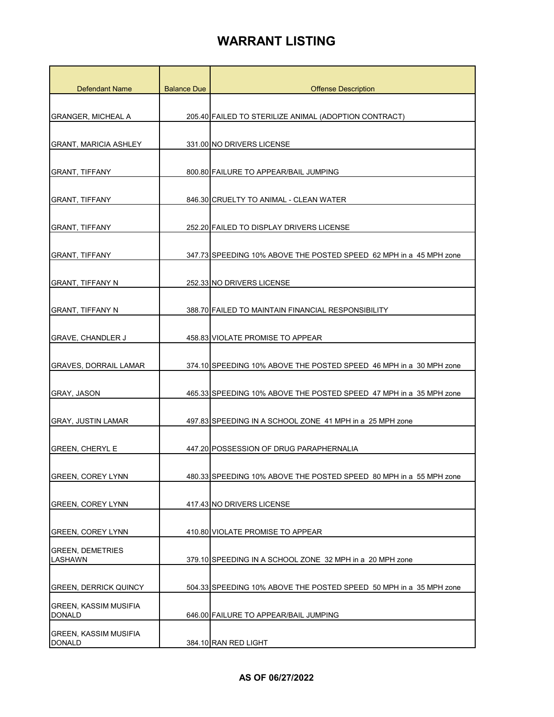| <b>Defendant Name</b>                         | <b>Balance Due</b> | <b>Offense Description</b>                                         |
|-----------------------------------------------|--------------------|--------------------------------------------------------------------|
|                                               |                    |                                                                    |
| <b>GRANGER, MICHEAL A</b>                     |                    | 205.40 FAILED TO STERILIZE ANIMAL (ADOPTION CONTRACT)              |
| <b>GRANT, MARICIA ASHLEY</b>                  |                    | 331.00 NO DRIVERS LICENSE                                          |
|                                               |                    |                                                                    |
| GRANT, TIFFANY                                |                    | 800.80 FAILURE TO APPEAR/BAIL JUMPING                              |
| <b>GRANT, TIFFANY</b>                         |                    | 846.30 CRUELTY TO ANIMAL - CLEAN WATER                             |
| <b>GRANT, TIFFANY</b>                         |                    | 252.20 FAILED TO DISPLAY DRIVERS LICENSE                           |
| <b>GRANT, TIFFANY</b>                         |                    | 347.73 SPEEDING 10% ABOVE THE POSTED SPEED 62 MPH in a 45 MPH zone |
| <b>GRANT, TIFFANY N</b>                       |                    | 252.33 NO DRIVERS LICENSE                                          |
| <b>GRANT, TIFFANY N</b>                       |                    | 388.70 FAILED TO MAINTAIN FINANCIAL RESPONSIBILITY                 |
| <b>GRAVE, CHANDLER J</b>                      |                    | 458.83 VIOLATE PROMISE TO APPEAR                                   |
| <b>GRAVES, DORRAIL LAMAR</b>                  |                    | 374.10 SPEEDING 10% ABOVE THE POSTED SPEED 46 MPH in a 30 MPH zone |
| <b>GRAY, JASON</b>                            |                    | 465.33 SPEEDING 10% ABOVE THE POSTED SPEED 47 MPH in a 35 MPH zone |
| <b>GRAY, JUSTIN LAMAR</b>                     |                    | 497.83 SPEEDING IN A SCHOOL ZONE 41 MPH in a 25 MPH zone           |
| GREEN, CHERYL E                               |                    | 447.20 POSSESSION OF DRUG PARAPHERNALIA                            |
| <b>GREEN, COREY LYNN</b>                      |                    | 480.33 SPEEDING 10% ABOVE THE POSTED SPEED 80 MPH in a 55 MPH zone |
| <b>GREEN, COREY LYNN</b>                      |                    | 417.43 NO DRIVERS LICENSE                                          |
| <b>GREEN, COREY LYNN</b>                      |                    | 410.80 VIOLATE PROMISE TO APPEAR                                   |
| <b>GREEN, DEMETRIES</b><br>LASHAWN            |                    | 379.10 SPEEDING IN A SCHOOL ZONE 32 MPH in a 20 MPH zone           |
|                                               |                    |                                                                    |
| <b>GREEN, DERRICK QUINCY</b>                  |                    | 504.33 SPEEDING 10% ABOVE THE POSTED SPEED 50 MPH in a 35 MPH zone |
| <b>GREEN, KASSIM MUSIFIA</b><br><b>DONALD</b> |                    | 646.00 FAILURE TO APPEAR/BAIL JUMPING                              |
| <b>GREEN, KASSIM MUSIFIA</b><br><b>DONALD</b> |                    | 384.10 RAN RED LIGHT                                               |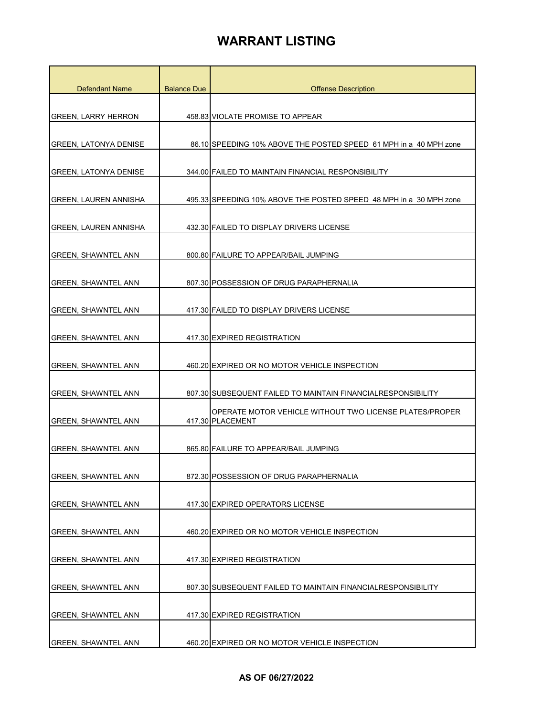| <b>Defendant Name</b>        | <b>Balance Due</b> | <b>Offense Description</b>                                                  |
|------------------------------|--------------------|-----------------------------------------------------------------------------|
|                              |                    |                                                                             |
| <b>GREEN, LARRY HERRON</b>   |                    | 458.83 VIOLATE PROMISE TO APPEAR                                            |
| <b>GREEN, LATONYA DENISE</b> |                    | 86.10 SPEEDING 10% ABOVE THE POSTED SPEED 61 MPH in a 40 MPH zone           |
|                              |                    |                                                                             |
| <b>GREEN, LATONYA DENISE</b> |                    | 344.00 FAILED TO MAINTAIN FINANCIAL RESPONSIBILITY                          |
| <b>GREEN, LAUREN ANNISHA</b> |                    | 495.33 SPEEDING 10% ABOVE THE POSTED SPEED 48 MPH in a 30 MPH zone          |
| <b>GREEN, LAUREN ANNISHA</b> |                    | 432.30 FAILED TO DISPLAY DRIVERS LICENSE                                    |
| <b>GREEN, SHAWNTEL ANN</b>   |                    | 800.80 FAILURE TO APPEAR/BAIL JUMPING                                       |
| <b>GREEN, SHAWNTEL ANN</b>   |                    | 807.30 POSSESSION OF DRUG PARAPHERNALIA                                     |
|                              |                    |                                                                             |
| <b>GREEN, SHAWNTEL ANN</b>   |                    | 417.30 FAILED TO DISPLAY DRIVERS LICENSE                                    |
| <b>GREEN, SHAWNTEL ANN</b>   |                    | 417.30 EXPIRED REGISTRATION                                                 |
| <b>GREEN, SHAWNTEL ANN</b>   |                    | 460.20 EXPIRED OR NO MOTOR VEHICLE INSPECTION                               |
| <b>GREEN, SHAWNTEL ANN</b>   |                    | 807.30 SUBSEQUENT FAILED TO MAINTAIN FINANCIALRESPONSIBILITY                |
| <b>GREEN, SHAWNTEL ANN</b>   |                    | OPERATE MOTOR VEHICLE WITHOUT TWO LICENSE PLATES/PROPER<br>417.30 PLACEMENT |
| <b>GREEN, SHAWNTEL ANN</b>   |                    | 865,80 FAILURE TO APPEAR/BAIL JUMPING                                       |
| <b>GREEN, SHAWNTEL ANN</b>   |                    | 872.30 POSSESSION OF DRUG PARAPHERNALIA                                     |
| <b>GREEN, SHAWNTEL ANN</b>   |                    | 417.30 EXPIRED OPERATORS LICENSE                                            |
|                              |                    |                                                                             |
| <b>GREEN. SHAWNTEL ANN</b>   |                    | 460.20 EXPIRED OR NO MOTOR VEHICLE INSPECTION                               |
| <b>GREEN, SHAWNTEL ANN</b>   |                    | 417.30 EXPIRED REGISTRATION                                                 |
| <b>GREEN, SHAWNTEL ANN</b>   |                    | 807.30 SUBSEQUENT FAILED TO MAINTAIN FINANCIALRESPONSIBILITY                |
| <b>GREEN, SHAWNTEL ANN</b>   |                    | 417.30 EXPIRED REGISTRATION                                                 |
| GREEN, SHAWNTEL ANN          |                    | 460.20 EXPIRED OR NO MOTOR VEHICLE INSPECTION                               |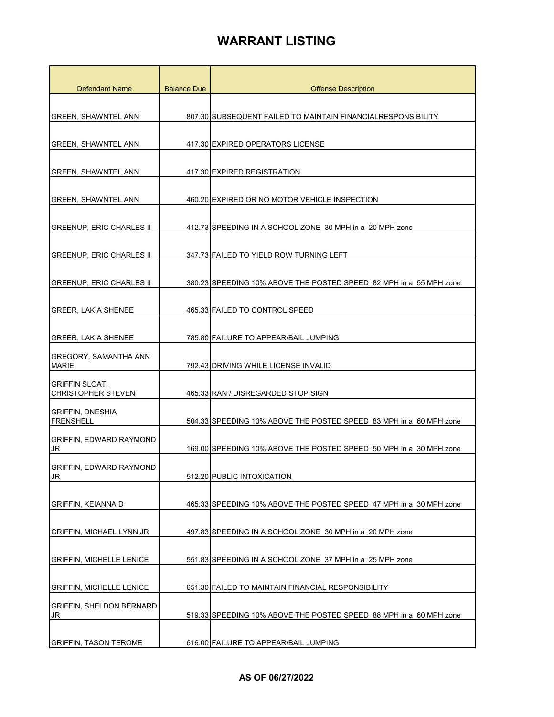| <b>Defendant Name</b>                              | <b>Balance Due</b> | <b>Offense Description</b>                                         |
|----------------------------------------------------|--------------------|--------------------------------------------------------------------|
|                                                    |                    |                                                                    |
| <b>GREEN, SHAWNTEL ANN</b>                         |                    | 807.30 SUBSEQUENT FAILED TO MAINTAIN FINANCIALRESPONSIBILITY       |
|                                                    |                    |                                                                    |
| <b>GREEN, SHAWNTEL ANN</b>                         |                    | 417.30 EXPIRED OPERATORS LICENSE                                   |
| <b>GREEN, SHAWNTEL ANN</b>                         |                    | 417.30 EXPIRED REGISTRATION                                        |
| <b>GREEN, SHAWNTEL ANN</b>                         |                    | 460.20 EXPIRED OR NO MOTOR VEHICLE INSPECTION                      |
| <b>GREENUP, ERIC CHARLES II</b>                    |                    | 412.73 SPEEDING IN A SCHOOL ZONE 30 MPH in a 20 MPH zone           |
| <b>GREENUP, ERIC CHARLES II</b>                    |                    | 347.73 FAILED TO YIELD ROW TURNING LEFT                            |
| <b>GREENUP, ERIC CHARLES II</b>                    |                    | 380.23 SPEEDING 10% ABOVE THE POSTED SPEED 82 MPH in a 55 MPH zone |
| <b>GREER, LAKIA SHENEE</b>                         |                    | 465.33 FAILED TO CONTROL SPEED                                     |
| <b>GREER, LAKIA SHENEE</b>                         |                    | 785.80 FAILURE TO APPEAR/BAIL JUMPING                              |
| <b>GREGORY, SAMANTHA ANN</b><br><b>MARIE</b>       |                    | 792.43 DRIVING WHILE LICENSE INVALID                               |
| <b>GRIFFIN SLOAT,</b><br><b>CHRISTOPHER STEVEN</b> |                    | 465.33 RAN / DISREGARDED STOP SIGN                                 |
| <b>GRIFFIN, DNESHIA</b><br><b>FRENSHELL</b>        |                    | 504.33 SPEEDING 10% ABOVE THE POSTED SPEED 83 MPH in a 60 MPH zone |
| <b>GRIFFIN, EDWARD RAYMOND</b><br>JR               |                    | 169.00 SPEEDING 10% ABOVE THE POSTED SPEED 50 MPH in a 30 MPH zone |
| GRIFFIN, EDWARD RAYMOND<br>JR                      |                    | 512.20 PUBLIC INTOXICATION                                         |
| <b>GRIFFIN, KEIANNA D</b>                          |                    | 465.33 SPEEDING 10% ABOVE THE POSTED SPEED 47 MPH in a 30 MPH zone |
| <b>GRIFFIN, MICHAEL LYNN JR</b>                    |                    | 497.83 SPEEDING IN A SCHOOL ZONE 30 MPH in a 20 MPH zone           |
| <b>GRIFFIN, MICHELLE LENICE</b>                    |                    | 551.83 SPEEDING IN A SCHOOL ZONE 37 MPH in a 25 MPH zone           |
| <b>GRIFFIN, MICHELLE LENICE</b>                    |                    | 651.30 FAILED TO MAINTAIN FINANCIAL RESPONSIBILITY                 |
| <b>GRIFFIN, SHELDON BERNARD</b><br>JR              |                    | 519.33 SPEEDING 10% ABOVE THE POSTED SPEED 88 MPH in a 60 MPH zone |
| <b>GRIFFIN, TASON TEROME</b>                       |                    | 616.00 FAILURE TO APPEAR/BAIL JUMPING                              |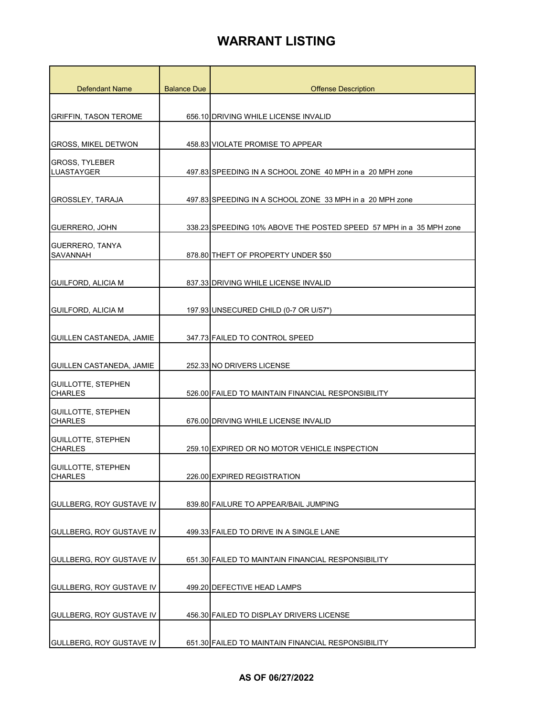| <b>Defendant Name</b>                       | <b>Balance Due</b> | <b>Offense Description</b>                                         |
|---------------------------------------------|--------------------|--------------------------------------------------------------------|
|                                             |                    |                                                                    |
| <b>GRIFFIN, TASON TEROME</b>                |                    | 656.10 DRIVING WHILE LICENSE INVALID                               |
|                                             |                    |                                                                    |
| <b>GROSS, MIKEL DETWON</b>                  |                    | 458.83 VIOLATE PROMISE TO APPEAR                                   |
| <b>GROSS, TYLEBER</b><br><b>LUASTAYGER</b>  |                    | 497.83 SPEEDING IN A SCHOOL ZONE 40 MPH in a 20 MPH zone           |
|                                             |                    |                                                                    |
| <b>GROSSLEY, TARAJA</b>                     |                    | 497.83 SPEEDING IN A SCHOOL ZONE 33 MPH in a 20 MPH zone           |
| GUERRERO, JOHN                              |                    | 338.23 SPEEDING 10% ABOVE THE POSTED SPEED 57 MPH in a 35 MPH zone |
| GUERRERO, TANYA                             |                    |                                                                    |
| <b>SAVANNAH</b>                             |                    | 878.80 THEFT OF PROPERTY UNDER \$50                                |
| <b>GUILFORD, ALICIA M</b>                   |                    | 837.33 DRIVING WHILE LICENSE INVALID                               |
|                                             |                    |                                                                    |
| <b>GUILFORD, ALICIA M</b>                   |                    | 197.93 UNSECURED CHILD (0-7 OR U/57")                              |
| GUILLEN CASTANEDA, JAMIE                    |                    | 347.73 FAILED TO CONTROL SPEED                                     |
|                                             |                    |                                                                    |
| GUILLEN CASTANEDA, JAMIE                    |                    | 252.33 NO DRIVERS LICENSE                                          |
| <b>GUILLOTTE, STEPHEN</b><br><b>CHARLES</b> |                    | 526.00 FAILED TO MAINTAIN FINANCIAL RESPONSIBILITY                 |
| <b>GUILLOTTE, STEPHEN</b>                   |                    |                                                                    |
| <b>CHARLES</b>                              |                    | 676.00 DRIVING WHILE LICENSE INVALID                               |
| <b>GUILLOTTE, STEPHEN</b><br><b>CHARLES</b> |                    | 259.10 EXPIRED OR NO MOTOR VEHICLE INSPECTION                      |
| <b>GUILLOTTE, STEPHEN</b>                   |                    |                                                                    |
| <b>CHARLES</b>                              |                    | 226.00 EXPIRED REGISTRATION                                        |
| GULLBERG, ROY GUSTAVE IV                    |                    | 839.80 FAILURE TO APPEAR/BAIL JUMPING                              |
|                                             |                    |                                                                    |
| GULLBERG, ROY GUSTAVE IV                    |                    | 499.33 FAILED TO DRIVE IN A SINGLE LANE                            |
|                                             |                    |                                                                    |
| <b>GULLBERG, ROY GUSTAVE IV</b>             |                    | 651.30 FAILED TO MAINTAIN FINANCIAL RESPONSIBILITY                 |
| GULLBERG, ROY GUSTAVE IV                    |                    | 499.20 DEFECTIVE HEAD LAMPS                                        |
|                                             |                    |                                                                    |
| GULLBERG, ROY GUSTAVE IV                    |                    | 456.30 FAILED TO DISPLAY DRIVERS LICENSE                           |
| GULLBERG, ROY GUSTAVE IV                    |                    | 651.30 FAILED TO MAINTAIN FINANCIAL RESPONSIBILITY                 |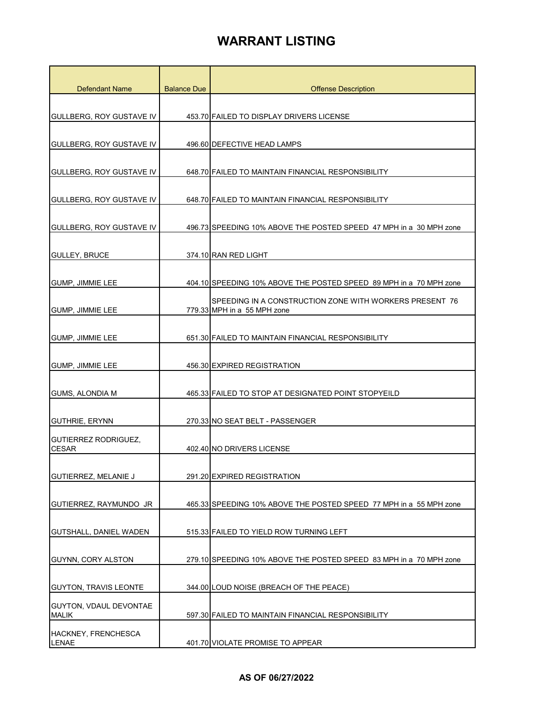| <b>Defendant Name</b>                       | <b>Balance Due</b> | <b>Offense Description</b>                                                             |
|---------------------------------------------|--------------------|----------------------------------------------------------------------------------------|
|                                             |                    |                                                                                        |
| <b>GULLBERG, ROY GUSTAVE IV</b>             |                    | 453.70 FAILED TO DISPLAY DRIVERS LICENSE                                               |
|                                             |                    |                                                                                        |
| GULLBERG, ROY GUSTAVE IV                    |                    | 496.60 DEFECTIVE HEAD LAMPS                                                            |
| GULLBERG, ROY GUSTAVE IV                    |                    | 648.70 FAILED TO MAINTAIN FINANCIAL RESPONSIBILITY                                     |
| GULLBERG, ROY GUSTAVE IV                    |                    | 648.70 FAILED TO MAINTAIN FINANCIAL RESPONSIBILITY                                     |
| GULLBERG, ROY GUSTAVE IV                    |                    | 496.73 SPEEDING 10% ABOVE THE POSTED SPEED 47 MPH in a 30 MPH zone                     |
| <b>GULLEY, BRUCE</b>                        |                    | 374.10 RAN RED LIGHT                                                                   |
| GUMP, JIMMIE LEE                            |                    | 404.10 SPEEDING 10% ABOVE THE POSTED SPEED 89 MPH in a 70 MPH zone                     |
| <b>GUMP, JIMMIE LEE</b>                     |                    | SPEEDING IN A CONSTRUCTION ZONE WITH WORKERS PRESENT 76<br>779.33 MPH in a 55 MPH zone |
| <b>GUMP, JIMMIE LEE</b>                     |                    | 651.30 FAILED TO MAINTAIN FINANCIAL RESPONSIBILITY                                     |
| <b>GUMP, JIMMIE LEE</b>                     |                    | 456.30 EXPIRED REGISTRATION                                                            |
| <b>GUMS, ALONDIA M</b>                      |                    | 465.33 FAILED TO STOP AT DESIGNATED POINT STOPYEILD                                    |
| <b>GUTHRIE, ERYNN</b>                       |                    | 270.33 NO SEAT BELT - PASSENGER                                                        |
| <b>GUTIERREZ RODRIGUEZ,</b><br><b>CESAR</b> |                    | 402.40 NO DRIVERS LICENSE                                                              |
| <b>GUTIERREZ, MELANIE J</b>                 |                    | 291.20 EXPIRED REGISTRATION                                                            |
| GUTIERREZ, RAYMUNDO JR                      |                    | 465.33 SPEEDING 10% ABOVE THE POSTED SPEED 77 MPH in a 55 MPH zone                     |
| <b>GUTSHALL, DANIEL WADEN</b>               |                    | 515.33 FAILED TO YIELD ROW TURNING LEFT                                                |
| GUYNN, CORY ALSTON                          |                    | 279.10 SPEEDING 10% ABOVE THE POSTED SPEED 83 MPH in a 70 MPH zone                     |
| GUYTON, TRAVIS LEONTE                       |                    | 344.00 LOUD NOISE (BREACH OF THE PEACE)                                                |
| GUYTON, VDAUL DEVONTAE<br><b>MALIK</b>      |                    | 597.30 FAILED TO MAINTAIN FINANCIAL RESPONSIBILITY                                     |
| HACKNEY, FRENCHESCA<br><b>LENAE</b>         |                    | 401.70 VIOLATE PROMISE TO APPEAR                                                       |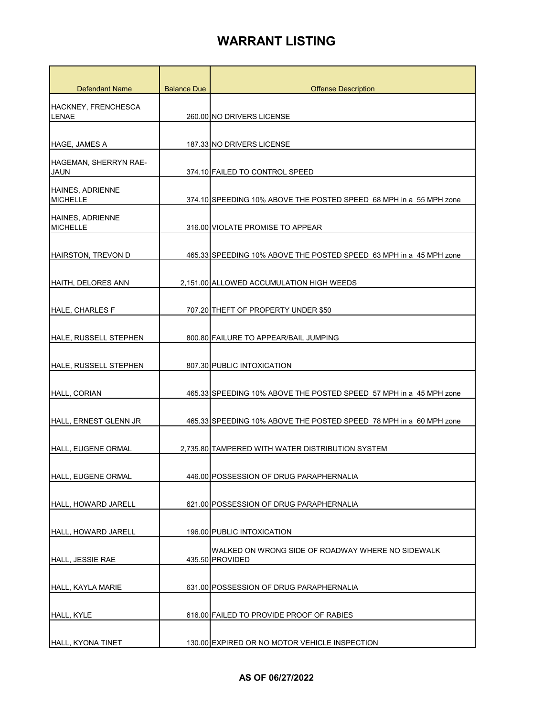| Defendant Name                      | <b>Balance Due</b> | <b>Offense Description</b>                                           |
|-------------------------------------|--------------------|----------------------------------------------------------------------|
| <b>HACKNEY, FRENCHESCA</b><br>LENAE |                    | 260.00 NO DRIVERS LICENSE                                            |
|                                     |                    |                                                                      |
| <b>HAGE, JAMES A</b>                |                    | 187.33 NO DRIVERS LICENSE                                            |
| HAGEMAN, SHERRYN RAE-<br>JAUN       |                    | 374.10 FAILED TO CONTROL SPEED                                       |
| HAINES, ADRIENNE<br><b>MICHELLE</b> |                    | 374.10 SPEEDING 10% ABOVE THE POSTED SPEED 68 MPH in a 55 MPH zone   |
| HAINES, ADRIENNE<br><b>MICHELLE</b> |                    | 316.00 VIOLATE PROMISE TO APPEAR                                     |
| HAIRSTON, TREVON D                  |                    | 465.33 SPEEDING 10% ABOVE THE POSTED SPEED 63 MPH in a 45 MPH zone   |
| HAITH, DELORES ANN                  |                    | 2,151.00 ALLOWED ACCUMULATION HIGH WEEDS                             |
| HALE, CHARLES F                     |                    | 707.20 THEFT OF PROPERTY UNDER \$50                                  |
| HALE, RUSSELL STEPHEN               |                    | 800.80 FAILURE TO APPEAR/BAIL JUMPING                                |
| HALE, RUSSELL STEPHEN               |                    | 807.30 PUBLIC INTOXICATION                                           |
| HALL, CORIAN                        |                    | 465.33 SPEEDING 10% ABOVE THE POSTED SPEED 57 MPH in a 45 MPH zone   |
| HALL, ERNEST GLENN JR               |                    | 465.33 SPEEDING 10% ABOVE THE POSTED SPEED 78 MPH in a 60 MPH zone   |
| HALL, EUGENE ORMAL                  |                    | 2.735.80 TAMPERED WITH WATER DISTRIBUTION SYSTEM                     |
| HALL, EUGENE ORMAL                  |                    | 446.00 POSSESSION OF DRUG PARAPHERNALIA                              |
| <b>HALL, HOWARD JARELL</b>          |                    | 621.00 POSSESSION OF DRUG PARAPHERNALIA                              |
| <b>HALL, HOWARD JARELL</b>          |                    | 196.00 PUBLIC INTOXICATION                                           |
| HALL, JESSIE RAE                    |                    | WALKED ON WRONG SIDE OF ROADWAY WHERE NO SIDEWALK<br>435.50 PROVIDED |
| HALL, KAYLA MARIE                   |                    | 631.00 POSSESSION OF DRUG PARAPHERNALIA                              |
| HALL, KYLE                          |                    | 616.00 FAILED TO PROVIDE PROOF OF RABIES                             |
| HALL, KYONA TINET                   |                    | 130.00 EXPIRED OR NO MOTOR VEHICLE INSPECTION                        |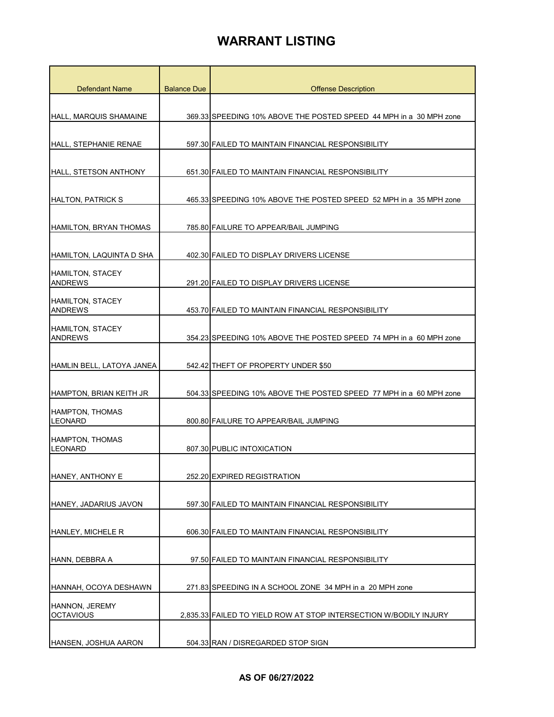| <b>Defendant Name</b>                     | <b>Balance Due</b> | <b>Offense Description</b>                                         |
|-------------------------------------------|--------------------|--------------------------------------------------------------------|
|                                           |                    |                                                                    |
| <b>HALL, MARQUIS SHAMAINE</b>             |                    | 369.33 SPEEDING 10% ABOVE THE POSTED SPEED 44 MPH in a 30 MPH zone |
| HALL, STEPHANIE RENAE                     |                    | 597.30 FAILED TO MAINTAIN FINANCIAL RESPONSIBILITY                 |
| HALL, STETSON ANTHONY                     |                    | 651.30 FAILED TO MAINTAIN FINANCIAL RESPONSIBILITY                 |
|                                           |                    |                                                                    |
| HALTON, PATRICK S                         |                    | 465.33 SPEEDING 10% ABOVE THE POSTED SPEED 52 MPH in a 35 MPH zone |
| HAMILTON, BRYAN THOMAS                    |                    | 785.80 FAILURE TO APPEAR/BAIL JUMPING                              |
| HAMILTON, LAQUINTA D SHA                  |                    | 402.30 FAILED TO DISPLAY DRIVERS LICENSE                           |
| HAMILTON, STACEY<br><b>ANDREWS</b>        |                    | 291.20 FAILED TO DISPLAY DRIVERS LICENSE                           |
| <b>HAMILTON, STACEY</b><br><b>ANDREWS</b> |                    | 453.70 FAILED TO MAINTAIN FINANCIAL RESPONSIBILITY                 |
| <b>HAMILTON, STACEY</b><br><b>ANDREWS</b> |                    | 354.23 SPEEDING 10% ABOVE THE POSTED SPEED 74 MPH in a 60 MPH zone |
|                                           |                    |                                                                    |
| HAMLIN BELL, LATOYA JANEA                 |                    | 542.42 THEFT OF PROPERTY UNDER \$50                                |
| HAMPTON, BRIAN KEITH JR                   |                    | 504.33 SPEEDING 10% ABOVE THE POSTED SPEED 77 MPH in a 60 MPH zone |
| <b>HAMPTON, THOMAS</b><br>LEONARD         |                    | 800.80 FAILURE TO APPEAR/BAIL JUMPING                              |
| HAMPTON, THOMAS<br><b>LEONARD</b>         |                    | 807.30 PUBLIC INTOXICATION                                         |
| HANEY, ANTHONY E                          |                    | 252.20 EXPIRED REGISTRATION                                        |
|                                           |                    |                                                                    |
| HANEY, JADARIUS JAVON                     |                    | 597.30 FAILED TO MAINTAIN FINANCIAL RESPONSIBILITY                 |
| HANLEY, MICHELE R                         |                    | 606.30 FAILED TO MAINTAIN FINANCIAL RESPONSIBILITY                 |
| HANN, DEBBRA A                            |                    | 97.50 FAILED TO MAINTAIN FINANCIAL RESPONSIBILITY                  |
| HANNAH, OCOYA DESHAWN                     |                    | 271.83 SPEEDING IN A SCHOOL ZONE 34 MPH in a 20 MPH zone           |
| HANNON, JEREMY<br><b>OCTAVIOUS</b>        |                    | 2,835.33 FAILED TO YIELD ROW AT STOP INTERSECTION W/BODILY INJURY  |
| HANSEN, JOSHUA AARON                      |                    | 504.33 RAN / DISREGARDED STOP SIGN                                 |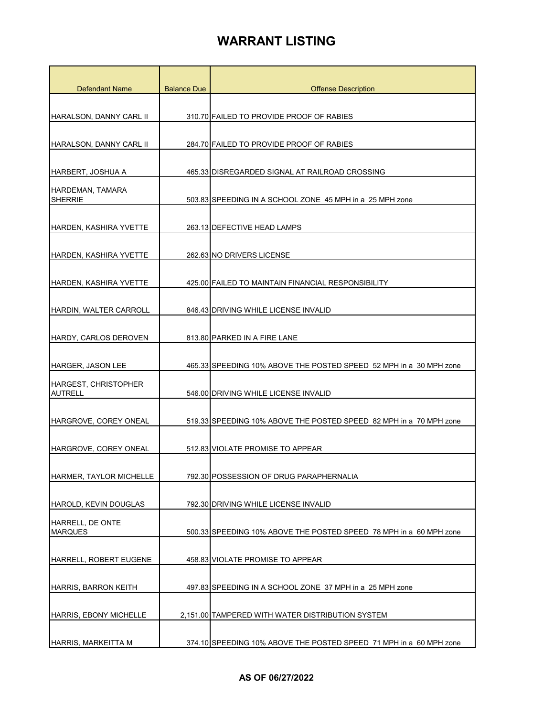| <b>Defendant Name</b>                  | <b>Balance Due</b> | <b>Offense Description</b>                                         |
|----------------------------------------|--------------------|--------------------------------------------------------------------|
|                                        |                    |                                                                    |
| HARALSON, DANNY CARL II                |                    | 310.70 FAILED TO PROVIDE PROOF OF RABIES                           |
|                                        |                    |                                                                    |
| HARALSON, DANNY CARL II                |                    | 284.70 FAILED TO PROVIDE PROOF OF RABIES                           |
|                                        |                    |                                                                    |
| <b>HARBERT, JOSHUA A</b>               |                    | 465.33 DISREGARDED SIGNAL AT RAILROAD CROSSING                     |
| HARDEMAN, TAMARA<br>SHERRIE            |                    | 503.83 SPEEDING IN A SCHOOL ZONE 45 MPH in a 25 MPH zone           |
| HARDEN, KASHIRA YVETTE                 |                    | 263.13 DEFECTIVE HEAD LAMPS                                        |
|                                        |                    |                                                                    |
| HARDEN, KASHIRA YVETTE                 |                    | 262.63 NO DRIVERS LICENSE                                          |
|                                        |                    |                                                                    |
| HARDEN, KASHIRA YVETTE                 |                    | 425.00 FAILED TO MAINTAIN FINANCIAL RESPONSIBILITY                 |
| HARDIN, WALTER CARROLL                 |                    | 846.43 DRIVING WHILE LICENSE INVALID                               |
|                                        |                    |                                                                    |
| HARDY, CARLOS DEROVEN                  |                    | 813.80 PARKED IN A FIRE LANE                                       |
| HARGER, JASON LEE                      |                    | 465.33 SPEEDING 10% ABOVE THE POSTED SPEED 52 MPH in a 30 MPH zone |
| HARGEST, CHRISTOPHER<br><b>AUTRELL</b> |                    | 546.00 DRIVING WHILE LICENSE INVALID                               |
|                                        |                    |                                                                    |
| HARGROVE, COREY ONEAL                  |                    | 519.33 SPEEDING 10% ABOVE THE POSTED SPEED 82 MPH in a 70 MPH zone |
| <b>HARGROVE, COREY ONEAL</b>           |                    | 512.83 VIOLATE PROMISE TO APPEAR                                   |
|                                        |                    |                                                                    |
| <b>HARMER, TAYLOR MICHELLE</b>         |                    | 792.30 POSSESSION OF DRUG PARAPHERNALIA                            |
| HAROLD, KEVIN DOUGLAS                  |                    | 792.30 DRIVING WHILE LICENSE INVALID                               |
| HARRELL, DE ONTE                       |                    |                                                                    |
| <b>MARQUES</b>                         |                    | 500.33 SPEEDING 10% ABOVE THE POSTED SPEED 78 MPH in a 60 MPH zone |
| HARRELL, ROBERT EUGENE                 |                    | 458.83 VIOLATE PROMISE TO APPEAR                                   |
|                                        |                    |                                                                    |
| <b>HARRIS, BARRON KEITH</b>            |                    | 497.83 SPEEDING IN A SCHOOL ZONE 37 MPH in a 25 MPH zone           |
| <b>HARRIS, EBONY MICHELLE</b>          |                    | 2,151.00 TAMPERED WITH WATER DISTRIBUTION SYSTEM                   |
|                                        |                    |                                                                    |
| HARRIS, MARKEITTA M                    |                    | 374.10 SPEEDING 10% ABOVE THE POSTED SPEED 71 MPH in a 60 MPH zone |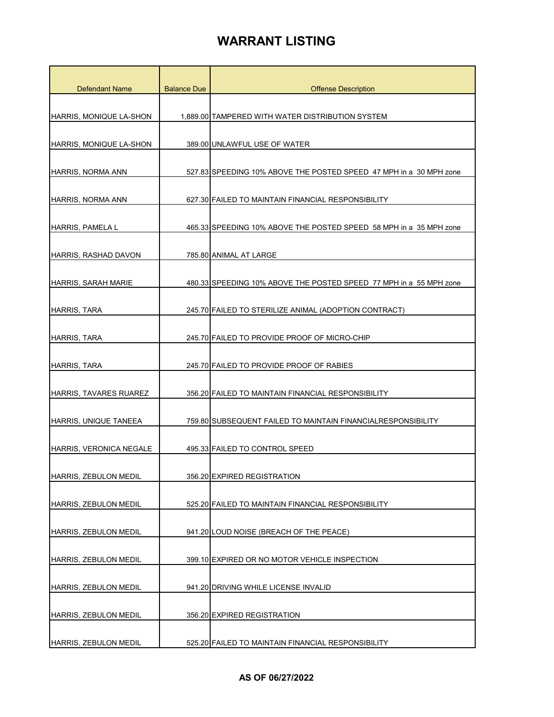| <b>Defendant Name</b>          | <b>Balance Due</b> | <b>Offense Description</b>                                         |
|--------------------------------|--------------------|--------------------------------------------------------------------|
|                                |                    |                                                                    |
| HARRIS, MONIQUE LA-SHON        |                    | 1.889.00 TAMPERED WITH WATER DISTRIBUTION SYSTEM                   |
|                                |                    |                                                                    |
| <b>HARRIS, MONIQUE LA-SHON</b> |                    | 389.00 UNLAWFUL USE OF WATER                                       |
|                                |                    |                                                                    |
| HARRIS, NORMA ANN              |                    | 527.83 SPEEDING 10% ABOVE THE POSTED SPEED 47 MPH in a 30 MPH zone |
| HARRIS, NORMA ANN              |                    | 627.30 FAILED TO MAINTAIN FINANCIAL RESPONSIBILITY                 |
|                                |                    |                                                                    |
| HARRIS, PAMELA L               |                    | 465.33 SPEEDING 10% ABOVE THE POSTED SPEED 58 MPH in a 35 MPH zone |
|                                |                    |                                                                    |
| HARRIS, RASHAD DAVON           |                    | 785.80 ANIMAL AT LARGE                                             |
|                                |                    |                                                                    |
| HARRIS, SARAH MARIE            |                    | 480.33 SPEEDING 10% ABOVE THE POSTED SPEED 77 MPH in a 55 MPH zone |
| <b>HARRIS, TARA</b>            |                    | 245.70 FAILED TO STERILIZE ANIMAL (ADOPTION CONTRACT)              |
|                                |                    |                                                                    |
| HARRIS, TARA                   |                    | 245.70 FAILED TO PROVIDE PROOF OF MICRO-CHIP                       |
|                                |                    |                                                                    |
| HARRIS, TARA                   |                    | 245.70 FAILED TO PROVIDE PROOF OF RABIES                           |
|                                |                    |                                                                    |
| <b>HARRIS, TAVARES RUAREZ</b>  |                    | 356.20 FAILED TO MAINTAIN FINANCIAL RESPONSIBILITY                 |
| <b>HARRIS, UNIQUE TANEEA</b>   |                    | 759.80 SUBSEQUENT FAILED TO MAINTAIN FINANCIALRESPONSIBILITY       |
|                                |                    |                                                                    |
| <b>HARRIS, VERONICA NEGALE</b> |                    | 495.33 FAILED TO CONTROL SPEED                                     |
|                                |                    |                                                                    |
| HARRIS, ZEBULON MEDIL          |                    | 356.20 EXPIRED REGISTRATION                                        |
| HARRIS, ZEBULON MEDIL          |                    | 525.20 FAILED TO MAINTAIN FINANCIAL RESPONSIBILITY                 |
|                                |                    |                                                                    |
| HARRIS, ZEBULON MEDIL          |                    | 941.20 LOUD NOISE (BREACH OF THE PEACE)                            |
|                                |                    |                                                                    |
| <b>HARRIS, ZEBULON MEDIL</b>   |                    | 399.10 EXPIRED OR NO MOTOR VEHICLE INSPECTION                      |
|                                |                    |                                                                    |
| HARRIS, ZEBULON MEDIL          |                    | 941.20 DRIVING WHILE LICENSE INVALID                               |
| HARRIS, ZEBULON MEDIL          |                    | 356.20 EXPIRED REGISTRATION                                        |
|                                |                    |                                                                    |
| HARRIS, ZEBULON MEDIL          |                    | 525.20 FAILED TO MAINTAIN FINANCIAL RESPONSIBILITY                 |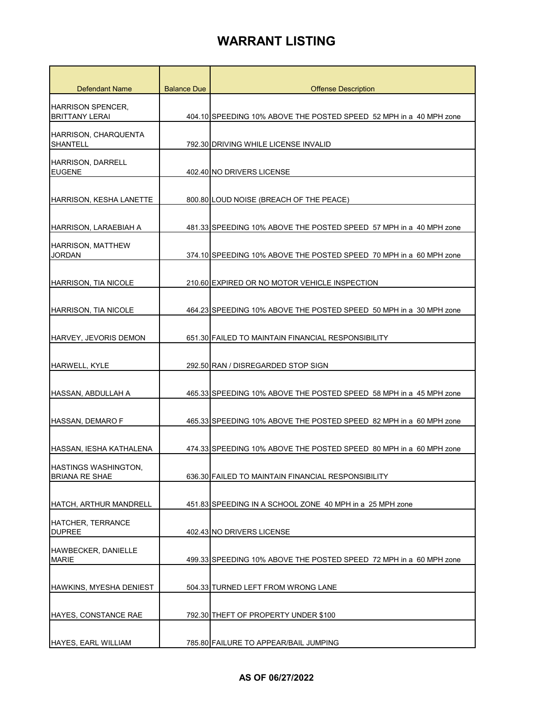| Defendant Name                                    | <b>Balance Due</b> | <b>Offense Description</b>                                         |
|---------------------------------------------------|--------------------|--------------------------------------------------------------------|
| <b>HARRISON SPENCER,</b><br><b>BRITTANY LERAI</b> |                    | 404.10 SPEEDING 10% ABOVE THE POSTED SPEED 52 MPH in a 40 MPH zone |
| HARRISON, CHARQUENTA<br>SHANTELL                  |                    | 792.30 DRIVING WHILE LICENSE INVALID                               |
| <b>HARRISON, DARRELL</b><br><b>EUGENE</b>         |                    | 402.40 NO DRIVERS LICENSE                                          |
| HARRISON, KESHA LANETTE                           |                    | 800.80 LOUD NOISE (BREACH OF THE PEACE)                            |
| HARRISON, LARAEBIAH A                             |                    | 481.33 SPEEDING 10% ABOVE THE POSTED SPEED 57 MPH in a 40 MPH zone |
| <b>HARRISON, MATTHEW</b><br><b>JORDAN</b>         |                    | 374.10 SPEEDING 10% ABOVE THE POSTED SPEED 70 MPH in a 60 MPH zone |
| <b>HARRISON, TIA NICOLE</b>                       |                    | 210.60 EXPIRED OR NO MOTOR VEHICLE INSPECTION                      |
| <b>HARRISON, TIA NICOLE</b>                       |                    | 464.23 SPEEDING 10% ABOVE THE POSTED SPEED 50 MPH in a 30 MPH zone |
| <b>HARVEY, JEVORIS DEMON</b>                      |                    | 651.30 FAILED TO MAINTAIN FINANCIAL RESPONSIBILITY                 |
| <b>HARWELL, KYLE</b>                              |                    | 292.50 RAN / DISREGARDED STOP SIGN                                 |
| HASSAN, ABDULLAH A                                |                    | 465.33 SPEEDING 10% ABOVE THE POSTED SPEED 58 MPH in a 45 MPH zone |
| HASSAN, DEMARO F                                  |                    | 465.33 SPEEDING 10% ABOVE THE POSTED SPEED 82 MPH in a 60 MPH zone |
| HASSAN, IESHA KATHALENA                           |                    | 474.33 SPEEDING 10% ABOVE THE POSTED SPEED 80 MPH in a 60 MPH zone |
| HASTINGS WASHINGTON,<br><b>BRIANA RE SHAE</b>     |                    | 636.30 FAILED TO MAINTAIN FINANCIAL RESPONSIBILITY                 |
| <b>HATCH, ARTHUR MANDRELL</b>                     |                    | 451.83 SPEEDING IN A SCHOOL ZONE 40 MPH in a 25 MPH zone           |
| <b>HATCHER, TERRANCE</b><br><b>DUPREE</b>         |                    | 402.43 NO DRIVERS LICENSE                                          |
| HAWBECKER, DANIELLE<br><b>MARIE</b>               |                    | 499.33 SPEEDING 10% ABOVE THE POSTED SPEED 72 MPH in a 60 MPH zone |
| HAWKINS, MYESHA DENIEST                           |                    | 504.33 TURNED LEFT FROM WRONG LANE                                 |
| HAYES, CONSTANCE RAE                              |                    | 792.30 THEFT OF PROPERTY UNDER \$100                               |
| HAYES, EARL WILLIAM                               |                    | 785.80 FAILURE TO APPEAR/BAIL JUMPING                              |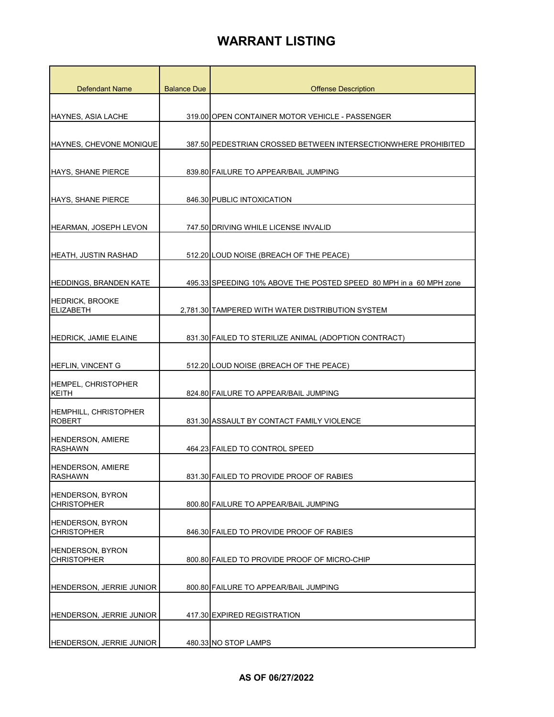| <b>Defendant Name</b>                         | <b>Balance Due</b> | <b>Offense Description</b>                                         |
|-----------------------------------------------|--------------------|--------------------------------------------------------------------|
|                                               |                    |                                                                    |
| HAYNES, ASIA LACHE                            |                    | 319.00 OPEN CONTAINER MOTOR VEHICLE - PASSENGER                    |
|                                               |                    |                                                                    |
| HAYNES, CHEVONE MONIQUE                       |                    | 387.50 PEDESTRIAN CROSSED BETWEEN INTERSECTIONWHERE PROHIBITED     |
| <b>HAYS, SHANE PIERCE</b>                     |                    | 839.80 FAILURE TO APPEAR/BAIL JUMPING                              |
| <b>HAYS, SHANE PIERCE</b>                     |                    | 846.30 PUBLIC INTOXICATION                                         |
| <b>HEARMAN, JOSEPH LEVON</b>                  |                    | 747.50 DRIVING WHILE LICENSE INVALID                               |
| <b>HEATH, JUSTIN RASHAD</b>                   |                    | 512.20 LOUD NOISE (BREACH OF THE PEACE)                            |
| <b>HEDDINGS, BRANDEN KATE</b>                 |                    | 495.33 SPEEDING 10% ABOVE THE POSTED SPEED 80 MPH in a 60 MPH zone |
| <b>HEDRICK, BROOKE</b><br><b>ELIZABETH</b>    |                    | 2,781.30 TAMPERED WITH WATER DISTRIBUTION SYSTEM                   |
| <b>HEDRICK, JAMIE ELAINE</b>                  |                    | 831.30 FAILED TO STERILIZE ANIMAL (ADOPTION CONTRACT)              |
| <b>HEFLIN, VINCENT G</b>                      |                    | 512.20 LOUD NOISE (BREACH OF THE PEACE)                            |
| <b>HEMPEL, CHRISTOPHER</b><br>KEITH           |                    | 824.80 FAILURE TO APPEAR/BAIL JUMPING                              |
| HEMPHILL, CHRISTOPHER<br><b>ROBERT</b>        |                    | 831.30 ASSAULT BY CONTACT FAMILY VIOLENCE                          |
| HENDERSON, AMIERE<br><b>RASHAWN</b>           |                    | 464.23 FAILED TO CONTROL SPEED                                     |
| HENDERSON, AMIERE<br><b>RASHAWN</b>           |                    | 831.30 FAILED TO PROVIDE PROOF OF RABIES                           |
| <b>HENDERSON, BYRON</b><br><b>CHRISTOPHER</b> |                    | 800.80 FAILURE TO APPEAR/BAIL JUMPING                              |
| <b>HENDERSON, BYRON</b><br><b>CHRISTOPHER</b> |                    | 846.30 FAILED TO PROVIDE PROOF OF RABIES                           |
| HENDERSON, BYRON<br><b>CHRISTOPHER</b>        |                    | 800.80 FAILED TO PROVIDE PROOF OF MICRO-CHIP                       |
| HENDERSON, JERRIE JUNIOR                      |                    | 800.80 FAILURE TO APPEAR/BAIL JUMPING                              |
| HENDERSON, JERRIE JUNIOR                      |                    | 417.30 EXPIRED REGISTRATION                                        |
| HENDERSON, JERRIE JUNIOR                      |                    | 480.33 NO STOP LAMPS                                               |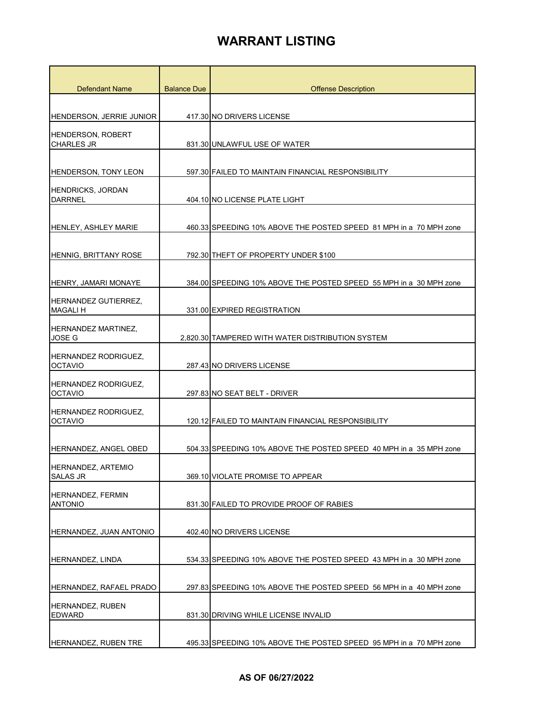| <b>Defendant Name</b>                       | <b>Balance Due</b> | <b>Offense Description</b>                                         |
|---------------------------------------------|--------------------|--------------------------------------------------------------------|
|                                             |                    |                                                                    |
| HENDERSON, JERRIE JUNIOR                    |                    | 417.30 NO DRIVERS LICENSE                                          |
| HENDERSON, ROBERT                           |                    |                                                                    |
| <b>CHARLES JR</b>                           |                    | 831.30 UNLAWFUL USE OF WATER                                       |
| <b>HENDERSON, TONY LEON</b>                 |                    | 597.30 FAILED TO MAINTAIN FINANCIAL RESPONSIBILITY                 |
| HENDRICKS, JORDAN<br><b>DARRNEL</b>         |                    | 404.10 NO LICENSE PLATE LIGHT                                      |
| <b>HENLEY, ASHLEY MARIE</b>                 |                    | 460.33 SPEEDING 10% ABOVE THE POSTED SPEED 81 MPH in a 70 MPH zone |
| HENNIG, BRITTANY ROSE                       |                    | 792.30 THEFT OF PROPERTY UNDER \$100                               |
| HENRY, JAMARI MONAYE                        |                    | 384.00 SPEEDING 10% ABOVE THE POSTED SPEED 55 MPH in a 30 MPH zone |
| HERNANDEZ GUTIERREZ,<br><b>MAGALIH</b>      |                    | 331.00 EXPIRED REGISTRATION                                        |
| <b>HERNANDEZ MARTINEZ.</b><br><b>JOSE G</b> |                    | 2,820.30 TAMPERED WITH WATER DISTRIBUTION SYSTEM                   |
| HERNANDEZ RODRIGUEZ,<br><b>OCTAVIO</b>      |                    | 287.43 NO DRIVERS LICENSE                                          |
| HERNANDEZ RODRIGUEZ,<br><b>OCTAVIO</b>      |                    | 297.83 NO SEAT BELT - DRIVER                                       |
| HERNANDEZ RODRIGUEZ,<br>OCTAVIO             |                    | 120.12 FAILED TO MAINTAIN FINANCIAL RESPONSIBILITY                 |
| HERNANDEZ, ANGEL OBED                       |                    | 504.33 SPEEDING 10% ABOVE THE POSTED SPEED 40 MPH in a 35 MPH zone |
| HERNANDEZ, ARTEMIO<br><b>SALAS JR</b>       |                    | 369.10 VIOLATE PROMISE TO APPEAR                                   |
| HERNANDEZ, FERMIN<br><b>ANTONIO</b>         |                    | 831.30 FAILED TO PROVIDE PROOF OF RABIES                           |
| HERNANDEZ, JUAN ANTONIO                     |                    | 402.40 NO DRIVERS LICENSE                                          |
| HERNANDEZ, LINDA                            |                    | 534.33 SPEEDING 10% ABOVE THE POSTED SPEED 43 MPH in a 30 MPH zone |
| HERNANDEZ, RAFAEL PRADO                     |                    | 297.83 SPEEDING 10% ABOVE THE POSTED SPEED 56 MPH in a 40 MPH zone |
| HERNANDEZ, RUBEN<br><b>EDWARD</b>           |                    | 831.30 DRIVING WHILE LICENSE INVALID                               |
| HERNANDEZ, RUBEN TRE                        |                    | 495.33 SPEEDING 10% ABOVE THE POSTED SPEED 95 MPH in a 70 MPH zone |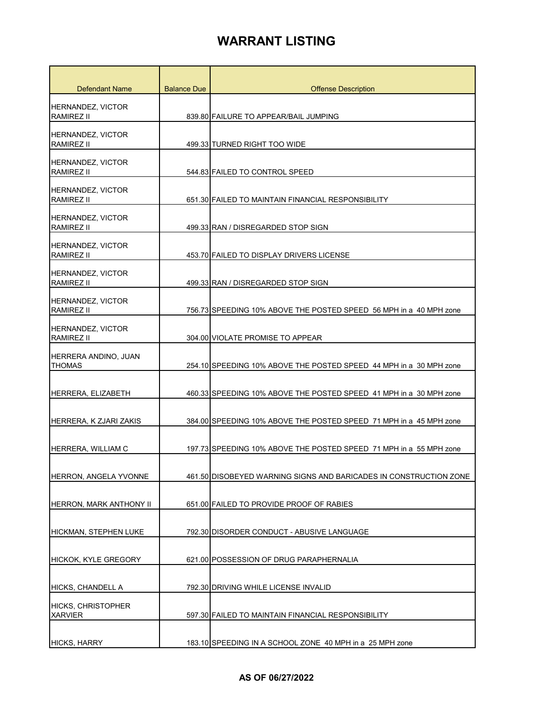| Defendant Name                              | <b>Balance Due</b> | <b>Offense Description</b>                                         |
|---------------------------------------------|--------------------|--------------------------------------------------------------------|
| HERNANDEZ, VICTOR<br><b>RAMIREZ II</b>      |                    | 839.80 FAILURE TO APPEAR/BAIL JUMPING                              |
| HERNANDEZ, VICTOR<br><b>RAMIREZ II</b>      |                    | 499.33 TURNED RIGHT TOO WIDE                                       |
| HERNANDEZ, VICTOR<br><b>RAMIREZ II</b>      |                    | 544.83 FAILED TO CONTROL SPEED                                     |
| HERNANDEZ, VICTOR<br><b>RAMIREZ II</b>      |                    | 651.30 FAILED TO MAINTAIN FINANCIAL RESPONSIBILITY                 |
| HERNANDEZ, VICTOR<br><b>RAMIREZ II</b>      |                    | 499.33 RAN / DISREGARDED STOP SIGN                                 |
| HERNANDEZ, VICTOR<br><b>RAMIREZ II</b>      |                    | 453.70 FAILED TO DISPLAY DRIVERS LICENSE                           |
| HERNANDEZ, VICTOR<br><b>RAMIREZ II</b>      |                    | 499.33 RAN / DISREGARDED STOP SIGN                                 |
| HERNANDEZ, VICTOR<br><b>RAMIREZ II</b>      |                    | 756.73 SPEEDING 10% ABOVE THE POSTED SPEED 56 MPH in a 40 MPH zone |
| HERNANDEZ, VICTOR<br><b>RAMIREZ II</b>      |                    | 304.00 VIOLATE PROMISE TO APPEAR                                   |
| HERRERA ANDINO, JUAN<br><b>THOMAS</b>       |                    | 254.10 SPEEDING 10% ABOVE THE POSTED SPEED 44 MPH in a 30 MPH zone |
| HERRERA, ELIZABETH                          |                    | 460.33 SPEEDING 10% ABOVE THE POSTED SPEED 41 MPH in a 30 MPH zone |
| HERRERA, K ZJARI ZAKIS                      |                    | 384.00 SPEEDING 10% ABOVE THE POSTED SPEED 71 MPH in a 45 MPH zone |
| HERRERA, WILLIAM C                          |                    | 197.73 SPEEDING 10% ABOVE THE POSTED SPEED 71 MPH in a 55 MPH zone |
| HERRON, ANGELA YVONNE                       |                    | 461.50 DISOBEYED WARNING SIGNS AND BARICADES IN CONSTRUCTION ZONE  |
| <b>HERRON, MARK ANTHONY II</b>              |                    | 651.00 FAILED TO PROVIDE PROOF OF RABIES                           |
| HICKMAN, STEPHEN LUKE                       |                    | 792.30 DISORDER CONDUCT - ABUSIVE LANGUAGE                         |
| HICKOK, KYLE GREGORY                        |                    | 621.00 POSSESSION OF DRUG PARAPHERNALIA                            |
| <b>HICKS, CHANDELL A</b>                    |                    | 792.30 DRIVING WHILE LICENSE INVALID                               |
| <b>HICKS, CHRISTOPHER</b><br><b>XARVIER</b> |                    | 597.30 FAILED TO MAINTAIN FINANCIAL RESPONSIBILITY                 |
| <b>HICKS, HARRY</b>                         |                    | 183.10 SPEEDING IN A SCHOOL ZONE 40 MPH in a 25 MPH zone           |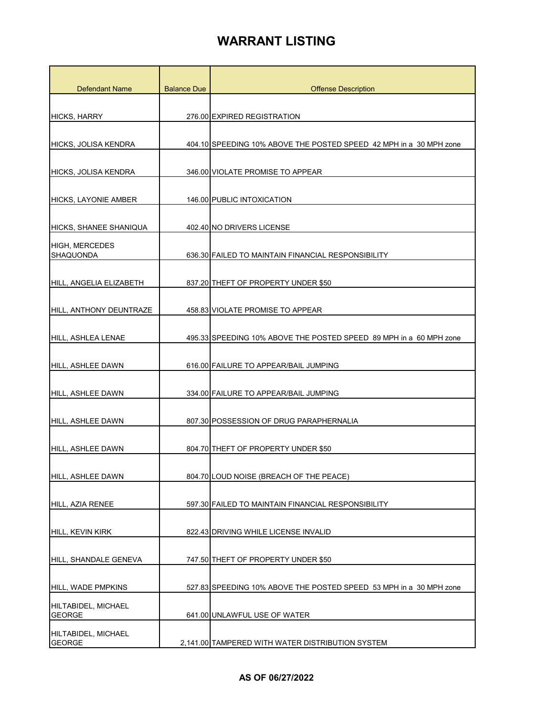| <b>Defendant Name</b>                     | <b>Balance Due</b> | <b>Offense Description</b>                                         |
|-------------------------------------------|--------------------|--------------------------------------------------------------------|
|                                           |                    |                                                                    |
| <b>HICKS, HARRY</b>                       |                    | 276.00 EXPIRED REGISTRATION                                        |
| HICKS, JOLISA KENDRA                      |                    | 404.10 SPEEDING 10% ABOVE THE POSTED SPEED 42 MPH in a 30 MPH zone |
| HICKS, JOLISA KENDRA                      |                    | 346.00 VIOLATE PROMISE TO APPEAR                                   |
| <b>HICKS, LAYONIE AMBER</b>               |                    | 146.00 PUBLIC INTOXICATION                                         |
| <b>HICKS, SHANEE SHANIQUA</b>             |                    | 402.40 NO DRIVERS LICENSE                                          |
| <b>HIGH, MERCEDES</b><br><b>SHAQUONDA</b> |                    | 636.30 FAILED TO MAINTAIN FINANCIAL RESPONSIBILITY                 |
| HILL, ANGELIA ELIZABETH                   |                    | 837.20 THEFT OF PROPERTY UNDER \$50                                |
| HILL, ANTHONY DEUNTRAZE                   |                    | 458.83 VIOLATE PROMISE TO APPEAR                                   |
| HILL, ASHLEA LENAE                        |                    | 495.33 SPEEDING 10% ABOVE THE POSTED SPEED 89 MPH in a 60 MPH zone |
| HILL, ASHLEE DAWN                         |                    | 616.00 FAILURE TO APPEAR/BAIL JUMPING                              |
| HILL, ASHLEE DAWN                         |                    | 334.00 FAILURE TO APPEAR/BAIL JUMPING                              |
| HILL, ASHLEE DAWN                         |                    | 807.30 POSSESSION OF DRUG PARAPHERNALIA                            |
| HILL, ASHLEE DAWN                         |                    | 804.70 THEFT OF PROPERTY UNDER \$50                                |
| HILL, ASHLEE DAWN                         |                    | 804.70 LOUD NOISE (BREACH OF THE PEACE)                            |
| HILL, AZIA RENEE                          |                    | 597.30 FAILED TO MAINTAIN FINANCIAL RESPONSIBILITY                 |
| HILL, KEVIN KIRK                          |                    | 822.43 DRIVING WHILE LICENSE INVALID                               |
| HILL, SHANDALE GENEVA                     |                    | 747.50 THEFT OF PROPERTY UNDER \$50                                |
| HILL, WADE PMPKINS                        |                    | 527.83 SPEEDING 10% ABOVE THE POSTED SPEED 53 MPH in a 30 MPH zone |
| HILTABIDEL, MICHAEL<br><b>GEORGE</b>      |                    | 641.00 UNLAWFUL USE OF WATER                                       |
| HILTABIDEL, MICHAEL<br><b>GEORGE</b>      |                    | 2,141.00 TAMPERED WITH WATER DISTRIBUTION SYSTEM                   |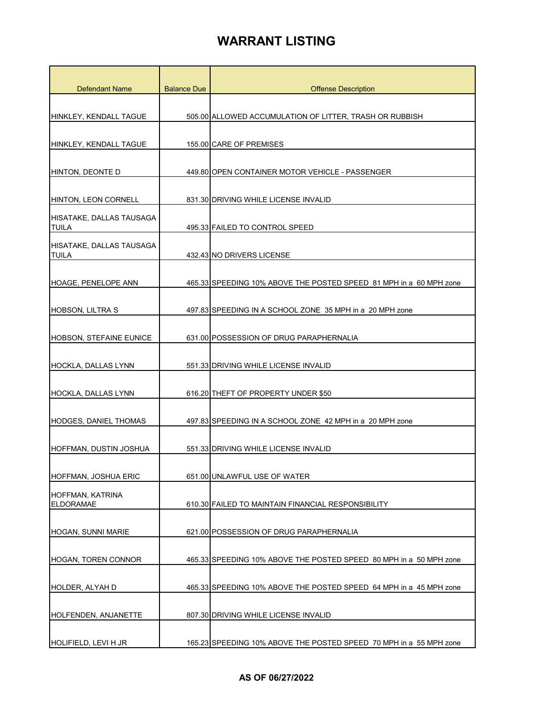| <b>Defendant Name</b>                    | <b>Balance Due</b> | <b>Offense Description</b>                                         |
|------------------------------------------|--------------------|--------------------------------------------------------------------|
|                                          |                    |                                                                    |
| HINKLEY, KENDALL TAGUE                   |                    | 505.00 ALLOWED ACCUMULATION OF LITTER, TRASH OR RUBBISH            |
| <b>HINKLEY, KENDALL TAGUE</b>            |                    | 155.00 CARE OF PREMISES                                            |
|                                          |                    |                                                                    |
| HINTON, DEONTE D                         |                    | 449.80 OPEN CONTAINER MOTOR VEHICLE - PASSENGER                    |
| <b>HINTON, LEON CORNELL</b>              |                    | 831.30 DRIVING WHILE LICENSE INVALID                               |
| HISATAKE, DALLAS TAUSAGA<br>TUILA        |                    | 495.33 FAILED TO CONTROL SPEED                                     |
| HISATAKE. DALLAS TAUSAGA<br><b>TUILA</b> |                    | 432.43 NO DRIVERS LICENSE                                          |
| <b>HOAGE, PENELOPE ANN</b>               |                    | 465.33 SPEEDING 10% ABOVE THE POSTED SPEED 81 MPH in a 60 MPH zone |
| <b>HOBSON, LILTRA S</b>                  |                    | 497.83 SPEEDING IN A SCHOOL ZONE 35 MPH in a 20 MPH zone           |
| HOBSON, STEFAINE EUNICE                  |                    | 631.00 POSSESSION OF DRUG PARAPHERNALIA                            |
| <b>HOCKLA, DALLAS LYNN</b>               |                    | 551.33 DRIVING WHILE LICENSE INVALID                               |
| HOCKLA, DALLAS LYNN                      |                    | 616.20 THEFT OF PROPERTY UNDER \$50                                |
| HODGES, DANIEL THOMAS                    |                    | 497.83 SPEEDING IN A SCHOOL ZONE 42 MPH in a 20 MPH zone           |
| HOFFMAN, DUSTIN JOSHUA                   |                    | 551.33 DRIVING WHILE LICENSE INVALID                               |
| HOFFMAN, JOSHUA ERIC                     |                    | 651.00 UNLAWFUL USE OF WATER                                       |
| HOFFMAN, KATRINA<br><b>ELDORAMAE</b>     |                    | 610.30 FAILED TO MAINTAIN FINANCIAL RESPONSIBILITY                 |
| HOGAN, SUNNI MARIE                       |                    | 621.00 POSSESSION OF DRUG PARAPHERNALIA                            |
| <b>HOGAN, TOREN CONNOR</b>               |                    | 465.33 SPEEDING 10% ABOVE THE POSTED SPEED 80 MPH in a 50 MPH zone |
| HOLDER, ALYAH D                          |                    | 465.33 SPEEDING 10% ABOVE THE POSTED SPEED 64 MPH in a 45 MPH zone |
| <b>HOLFENDEN, ANJANETTE</b>              |                    | 807.30 DRIVING WHILE LICENSE INVALID                               |
| HOLIFIELD, LEVI H JR                     |                    | 165.23 SPEEDING 10% ABOVE THE POSTED SPEED 70 MPH in a 55 MPH zone |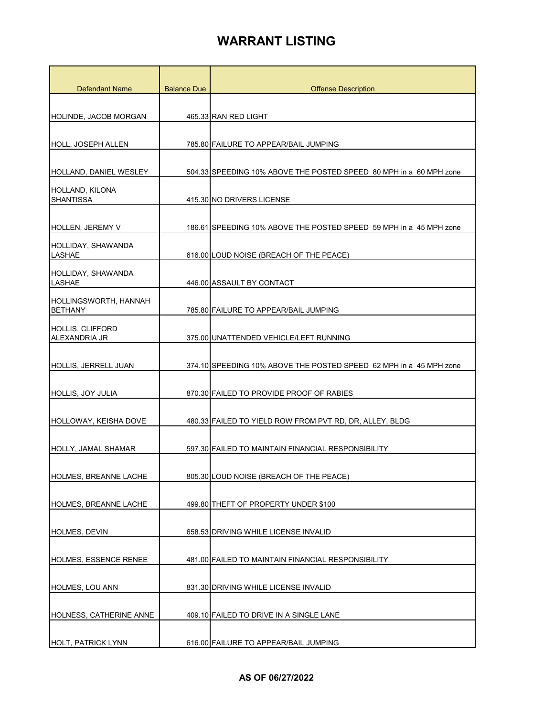| <b>Defendant Name</b>                          | <b>Balance Due</b> | <b>Offense Description</b>                                         |
|------------------------------------------------|--------------------|--------------------------------------------------------------------|
| HOLINDE, JACOB MORGAN                          |                    | 465.33 RAN RED LIGHT                                               |
|                                                |                    |                                                                    |
| HOLL, JOSEPH ALLEN                             |                    | 785.80 FAILURE TO APPEAR/BAIL JUMPING                              |
|                                                |                    |                                                                    |
| HOLLAND, DANIEL WESLEY                         |                    | 504.33 SPEEDING 10% ABOVE THE POSTED SPEED 80 MPH in a 60 MPH zone |
| HOLLAND, KILONA<br><b>SHANTISSA</b>            |                    | 415.30 NO DRIVERS LICENSE                                          |
|                                                |                    |                                                                    |
| <b>HOLLEN, JEREMY V</b>                        |                    | 186.61 SPEEDING 10% ABOVE THE POSTED SPEED 59 MPH in a 45 MPH zone |
| HOLLIDAY, SHAWANDA<br><b>LASHAE</b>            |                    | 616.00 LOUD NOISE (BREACH OF THE PEACE)                            |
| HOLLIDAY, SHAWANDA<br><b>LASHAE</b>            |                    | 446.00 ASSAULT BY CONTACT                                          |
|                                                |                    |                                                                    |
| <b>HOLLINGSWORTH, HANNAH</b><br><b>BETHANY</b> |                    | 785.80 FAILURE TO APPEAR/BAIL JUMPING                              |
| <b>HOLLIS, CLIFFORD</b>                        |                    |                                                                    |
| ALEXANDRIA JR                                  |                    | 375.00 UNATTENDED VEHICLE/LEFT RUNNING                             |
| HOLLIS, JERRELL JUAN                           |                    | 374.10 SPEEDING 10% ABOVE THE POSTED SPEED 62 MPH in a 45 MPH zone |
| <b>HOLLIS, JOY JULIA</b>                       |                    | 870.30 FAILED TO PROVIDE PROOF OF RABIES                           |
| <b>HOLLOWAY, KEISHA DOVE</b>                   |                    | 480.33 FAILED TO YIELD ROW FROM PVT RD, DR, ALLEY, BLDG            |
|                                                |                    |                                                                    |
| HOLLY, JAMAL SHAMAR                            |                    | 597.30 FAILED TO MAINTAIN FINANCIAL RESPONSIBILITY                 |
|                                                |                    |                                                                    |
| HOLMES, BREANNE LACHE                          |                    | 805.30 LOUD NOISE (BREACH OF THE PEACE)                            |
| HOLMES, BREANNE LACHE                          |                    | 499.80 THEFT OF PROPERTY UNDER \$100                               |
|                                                |                    |                                                                    |
| HOLMES, DEVIN                                  |                    | 658.53 DRIVING WHILE LICENSE INVALID                               |
|                                                |                    |                                                                    |
| <b>HOLMES, ESSENCE RENEE</b>                   |                    | 481.00 FAILED TO MAINTAIN FINANCIAL RESPONSIBILITY                 |
| HOLMES, LOU ANN                                |                    | 831.30 DRIVING WHILE LICENSE INVALID                               |
|                                                |                    |                                                                    |
| <b>HOLNESS, CATHERINE ANNE</b>                 |                    | 409.10 FAILED TO DRIVE IN A SINGLE LANE                            |
| HOLT, PATRICK LYNN                             |                    | 616.00 FAILURE TO APPEAR/BAIL JUMPING                              |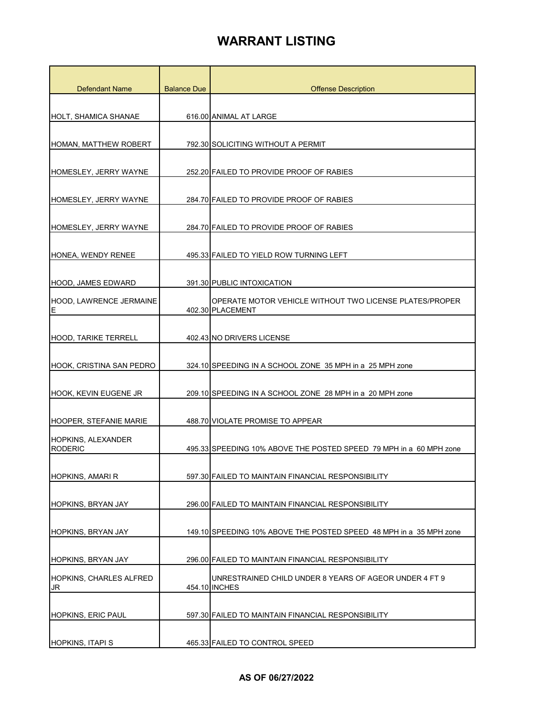| <b>Defendant Name</b>                       | <b>Balance Due</b> | <b>Offense Description</b>                                                  |
|---------------------------------------------|--------------------|-----------------------------------------------------------------------------|
|                                             |                    |                                                                             |
| <b>HOLT, SHAMICA SHANAE</b>                 |                    | 616.00 ANIMAL AT LARGE                                                      |
| HOMAN, MATTHEW ROBERT                       |                    | 792.30 SOLICITING WITHOUT A PERMIT                                          |
|                                             |                    |                                                                             |
| HOMESLEY, JERRY WAYNE                       |                    | 252.20 FAILED TO PROVIDE PROOF OF RABIES                                    |
| HOMESLEY, JERRY WAYNE                       |                    | 284.70 FAILED TO PROVIDE PROOF OF RABIES                                    |
| <b>HOMESLEY, JERRY WAYNE</b>                |                    | 284.70 FAILED TO PROVIDE PROOF OF RABIES                                    |
| HONEA, WENDY RENEE                          |                    | 495.33 FAILED TO YIELD ROW TURNING LEFT                                     |
| HOOD, JAMES EDWARD                          |                    | 391.30 PUBLIC INTOXICATION                                                  |
| HOOD, LAWRENCE JERMAINE<br>E                |                    | OPERATE MOTOR VEHICLE WITHOUT TWO LICENSE PLATES/PROPER<br>402.30 PLACEMENT |
| <b>HOOD, TARIKE TERRELL</b>                 |                    | 402.43 NO DRIVERS LICENSE                                                   |
| HOOK, CRISTINA SAN PEDRO                    |                    | 324.10 SPEEDING IN A SCHOOL ZONE 35 MPH in a 25 MPH zone                    |
| HOOK, KEVIN EUGENE JR                       |                    | 209.10 SPEEDING IN A SCHOOL ZONE 28 MPH in a 20 MPH zone                    |
| <b>HOOPER, STEFANIE MARIE</b>               |                    | 488.70 VIOLATE PROMISE TO APPEAR                                            |
| <b>HOPKINS, ALEXANDER</b><br><b>RODERIC</b> |                    | 495.33 SPEEDING 10% ABOVE THE POSTED SPEED 79 MPH in a 60 MPH zone          |
| HOPKINS, AMARI R                            |                    | 597.30 FAILED TO MAINTAIN FINANCIAL RESPONSIBILITY                          |
| <b>HOPKINS, BRYAN JAY</b>                   |                    | 296.00 FAILED TO MAINTAIN FINANCIAL RESPONSIBILITY                          |
| <b>HOPKINS, BRYAN JAY</b>                   |                    | 149.10 SPEEDING 10% ABOVE THE POSTED SPEED 48 MPH in a 35 MPH zone          |
| HOPKINS, BRYAN JAY                          |                    | 296.00 FAILED TO MAINTAIN FINANCIAL RESPONSIBILITY                          |
| HOPKINS, CHARLES ALFRED<br>JR               |                    | UNRESTRAINED CHILD UNDER 8 YEARS OF AGEOR UNDER 4 FT 9<br>454.10 INCHES     |
| <b>HOPKINS, ERIC PAUL</b>                   |                    | 597.30 FAILED TO MAINTAIN FINANCIAL RESPONSIBILITY                          |
| <b>HOPKINS, ITAPI S</b>                     |                    | 465.33 FAILED TO CONTROL SPEED                                              |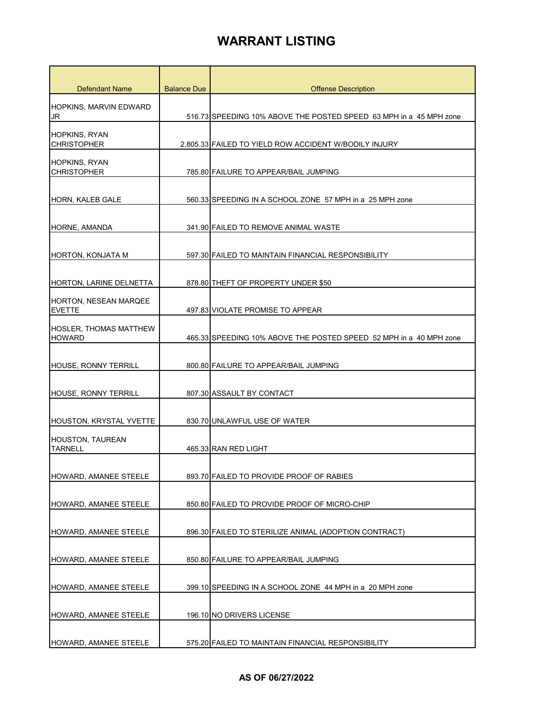| Defendant Name                                 | <b>Balance Due</b> | <b>Offense Description</b>                                         |
|------------------------------------------------|--------------------|--------------------------------------------------------------------|
| HOPKINS, MARVIN EDWARD<br>JR                   |                    | 516.73 SPEEDING 10% ABOVE THE POSTED SPEED 63 MPH in a 45 MPH zone |
| HOPKINS, RYAN<br><b>CHRISTOPHER</b>            |                    | 2,805.33 FAILED TO YIELD ROW ACCIDENT W/BODILY INJURY              |
| <b>HOPKINS, RYAN</b><br><b>CHRISTOPHER</b>     |                    | 785.80 FAILURE TO APPEAR/BAIL JUMPING                              |
| <b>HORN, KALEB GALE</b>                        |                    | 560.33 SPEEDING IN A SCHOOL ZONE 57 MPH in a 25 MPH zone           |
| HORNE, AMANDA                                  |                    | 341.90 FAILED TO REMOVE ANIMAL WASTE                               |
| <b>HORTON, KONJATA M</b>                       |                    | 597.30 FAILED TO MAINTAIN FINANCIAL RESPONSIBILITY                 |
| HORTON, LARINE DELNETTA                        |                    | 878.80 THEFT OF PROPERTY UNDER \$50                                |
| HORTON, NESEAN MARQEE<br><b>EVETTE</b>         |                    | 497.83 VIOLATE PROMISE TO APPEAR                                   |
| <b>HOSLER, THOMAS MATTHEW</b><br><b>HOWARD</b> |                    | 465.33 SPEEDING 10% ABOVE THE POSTED SPEED 52 MPH in a 40 MPH zone |
| HOUSE, RONNY TERRILL                           |                    | 800.80 FAILURE TO APPEAR/BAIL JUMPING                              |
| HOUSE, RONNY TERRILL                           |                    | 807.30 ASSAULT BY CONTACT                                          |
| HOUSTON, KRYSTAL YVETTE                        |                    | 830.70 UNLAWFUL USE OF WATER                                       |
| <b>HOUSTON, TAUREAN</b><br><b>TARNELL</b>      |                    | 465.33 RAN RED LIGHT                                               |
| HOWARD, AMANEE STEELE                          |                    | 893.70 FAILED TO PROVIDE PROOF OF RABIES                           |
| HOWARD, AMANEE STEELE                          |                    | 850.80 FAILED TO PROVIDE PROOF OF MICRO-CHIP                       |
| <b>HOWARD, AMANEE STEELE</b>                   |                    | 896.30 FAILED TO STERILIZE ANIMAL (ADOPTION CONTRACT)              |
| <b>HOWARD, AMANEE STEELE</b>                   |                    | 850.80 FAILURE TO APPEAR/BAIL JUMPING                              |
| HOWARD, AMANEE STEELE                          |                    | 399.10 SPEEDING IN A SCHOOL ZONE 44 MPH in a 20 MPH zone           |
| <b>HOWARD, AMANEE STEELE</b>                   |                    | 196.10 NO DRIVERS LICENSE                                          |
| HOWARD, AMANEE STEELE                          |                    | 575.20 FAILED TO MAINTAIN FINANCIAL RESPONSIBILITY                 |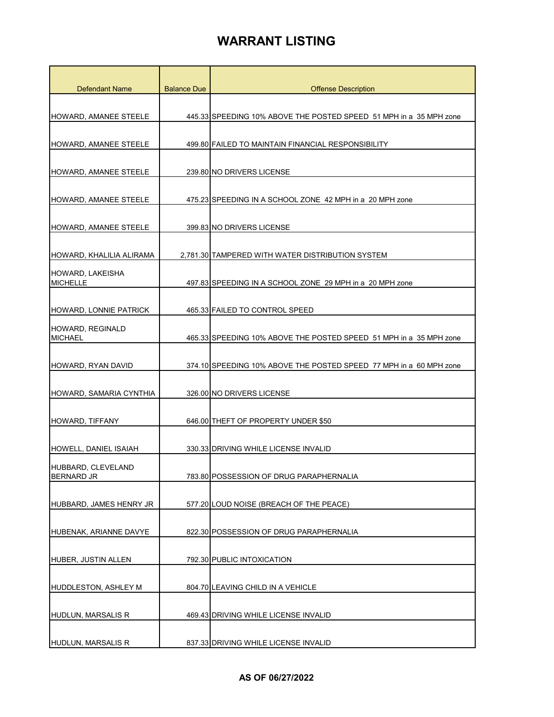| Defendant Name                 | <b>Balance Due</b> | <b>Offense Description</b>                                         |
|--------------------------------|--------------------|--------------------------------------------------------------------|
|                                |                    |                                                                    |
| HOWARD, AMANEE STEELE          |                    | 445.33 SPEEDING 10% ABOVE THE POSTED SPEED 51 MPH in a 35 MPH zone |
|                                |                    |                                                                    |
| HOWARD, AMANEE STEELE          |                    | 499.80 FAILED TO MAINTAIN FINANCIAL RESPONSIBILITY                 |
|                                |                    |                                                                    |
| <b>HOWARD, AMANEE STEELE</b>   |                    | 239.80 NO DRIVERS LICENSE                                          |
| HOWARD, AMANEE STEELE          |                    | 475.23 SPEEDING IN A SCHOOL ZONE 42 MPH in a 20 MPH zone           |
|                                |                    |                                                                    |
| <b>HOWARD, AMANEE STEELE</b>   |                    | 399.83 NO DRIVERS LICENSE                                          |
|                                |                    |                                                                    |
| HOWARD, KHALILIA ALIRAMA       |                    | 2,781.30 TAMPERED WITH WATER DISTRIBUTION SYSTEM                   |
| HOWARD, LAKEISHA               |                    |                                                                    |
| <b>MICHELLE</b>                |                    | 497.83 SPEEDING IN A SCHOOL ZONE 29 MPH in a 20 MPH zone           |
| HOWARD, LONNIE PATRICK         |                    | 465.33 FAILED TO CONTROL SPEED                                     |
| HOWARD, REGINALD               |                    |                                                                    |
| <b>MICHAEL</b>                 |                    | 465.33 SPEEDING 10% ABOVE THE POSTED SPEED 51 MPH in a 35 MPH zone |
|                                |                    |                                                                    |
| HOWARD, RYAN DAVID             |                    | 374.10 SPEEDING 10% ABOVE THE POSTED SPEED 77 MPH in a 60 MPH zone |
| HOWARD, SAMARIA CYNTHIA        |                    | 326.00 NO DRIVERS LICENSE                                          |
|                                |                    |                                                                    |
| HOWARD, TIFFANY                |                    | 646.00 THEFT OF PROPERTY UNDER \$50                                |
|                                |                    |                                                                    |
| HOWELL, DANIEL ISAIAH          |                    | 330.33 DRIVING WHILE LICENSE INVALID                               |
| HUBBARD, CLEVELAND             |                    |                                                                    |
| <b>BERNARD JR</b>              |                    | 783.80 POSSESSION OF DRUG PARAPHERNALIA                            |
| <b>HUBBARD, JAMES HENRY JR</b> |                    | 577.20 LOUD NOISE (BREACH OF THE PEACE)                            |
|                                |                    |                                                                    |
| HUBENAK, ARIANNE DAVYE         |                    | 822.30 POSSESSION OF DRUG PARAPHERNALIA                            |
|                                |                    |                                                                    |
| HUBER, JUSTIN ALLEN            |                    | 792.30 PUBLIC INTOXICATION                                         |
| HUDDLESTON, ASHLEY M           |                    | 804.70 LEAVING CHILD IN A VEHICLE                                  |
|                                |                    |                                                                    |
| HUDLUN, MARSALIS R             |                    | 469.43 DRIVING WHILE LICENSE INVALID                               |
|                                |                    |                                                                    |
| <b>HUDLUN, MARSALIS R</b>      |                    | 837.33 DRIVING WHILE LICENSE INVALID                               |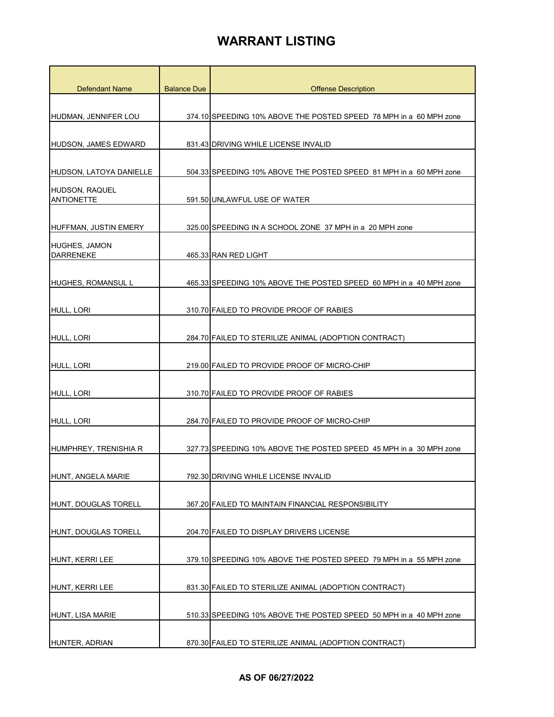| <b>Defendant Name</b>                      | <b>Balance Due</b> | <b>Offense Description</b>                                         |
|--------------------------------------------|--------------------|--------------------------------------------------------------------|
|                                            |                    |                                                                    |
| HUDMAN, JENNIFER LOU                       |                    | 374.10 SPEEDING 10% ABOVE THE POSTED SPEED 78 MPH in a 60 MPH zone |
| <b>HUDSON, JAMES EDWARD</b>                |                    | 831.43 DRIVING WHILE LICENSE INVALID                               |
|                                            |                    |                                                                    |
| HUDSON, LATOYA DANIELLE                    |                    | 504.33 SPEEDING 10% ABOVE THE POSTED SPEED 81 MPH in a 60 MPH zone |
| <b>HUDSON, RAQUEL</b><br><b>ANTIONETTE</b> |                    | 591.50 UNLAWFUL USE OF WATER                                       |
| HUFFMAN, JUSTIN EMERY                      |                    | 325.00 SPEEDING IN A SCHOOL ZONE 37 MPH in a 20 MPH zone           |
| <b>HUGHES, JAMON</b><br><b>DARRENEKE</b>   |                    | 465.33 RAN RED LIGHT                                               |
| HUGHES, ROMANSUL L                         |                    | 465.33 SPEEDING 10% ABOVE THE POSTED SPEED 60 MPH in a 40 MPH zone |
| HULL, LORI                                 |                    | 310.70 FAILED TO PROVIDE PROOF OF RABIES                           |
| HULL, LORI                                 |                    | 284.70 FAILED TO STERILIZE ANIMAL (ADOPTION CONTRACT)              |
| HULL, LORI                                 |                    | 219.00 FAILED TO PROVIDE PROOF OF MICRO-CHIP                       |
| HULL, LORI                                 |                    | 310.70 FAILED TO PROVIDE PROOF OF RABIES                           |
| HULL, LORI                                 |                    | 284.70 FAILED TO PROVIDE PROOF OF MICRO-CHIP                       |
| HUMPHREY, TRENISHIA R                      |                    | 327.73 SPEEDING 10% ABOVE THE POSTED SPEED 45 MPH in a 30 MPH zone |
| HUNT, ANGELA MARIE                         |                    | 792.30 DRIVING WHILE LICENSE INVALID                               |
| HUNT, DOUGLAS TORELL                       |                    | 367.20 FAILED TO MAINTAIN FINANCIAL RESPONSIBILITY                 |
| HUNT, DOUGLAS TORELL                       |                    | 204.70 FAILED TO DISPLAY DRIVERS LICENSE                           |
| HUNT, KERRI LEE                            |                    | 379.10 SPEEDING 10% ABOVE THE POSTED SPEED 79 MPH in a 55 MPH zone |
| HUNT, KERRI LEE                            |                    | 831.30 FAILED TO STERILIZE ANIMAL (ADOPTION CONTRACT)              |
| HUNT, LISA MARIE                           |                    | 510.33 SPEEDING 10% ABOVE THE POSTED SPEED 50 MPH in a 40 MPH zone |
| HUNTER, ADRIAN                             |                    | 870.30 FAILED TO STERILIZE ANIMAL (ADOPTION CONTRACT)              |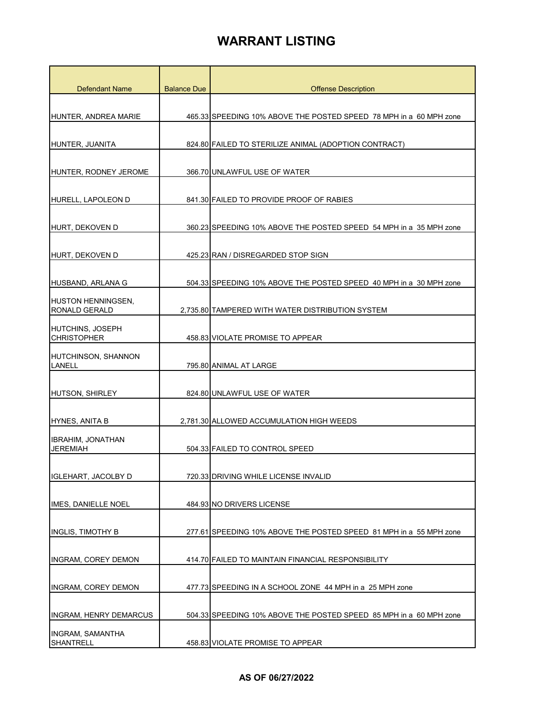| <b>Defendant Name</b>                         | <b>Balance Due</b> | <b>Offense Description</b>                                         |
|-----------------------------------------------|--------------------|--------------------------------------------------------------------|
|                                               |                    |                                                                    |
| HUNTER, ANDREA MARIE                          |                    | 465.33 SPEEDING 10% ABOVE THE POSTED SPEED 78 MPH in a 60 MPH zone |
| HUNTER, JUANITA                               |                    | 824.80 FAILED TO STERILIZE ANIMAL (ADOPTION CONTRACT)              |
|                                               |                    |                                                                    |
| HUNTER, RODNEY JEROME                         |                    | 366.70 UNLAWFUL USE OF WATER                                       |
| HURELL, LAPOLEON D                            |                    | 841.30 FAILED TO PROVIDE PROOF OF RABIES                           |
| HURT, DEKOVEN D                               |                    | 360.23 SPEEDING 10% ABOVE THE POSTED SPEED 54 MPH in a 35 MPH zone |
| HURT, DEKOVEN D                               |                    | 425.23 RAN / DISREGARDED STOP SIGN                                 |
| HUSBAND, ARLANA G                             |                    | 504.33 SPEEDING 10% ABOVE THE POSTED SPEED 40 MPH in a 30 MPH zone |
| HUSTON HENNINGSEN.<br><b>RONALD GERALD</b>    |                    | 2.735.80 TAMPERED WITH WATER DISTRIBUTION SYSTEM                   |
| <b>HUTCHINS, JOSEPH</b><br><b>CHRISTOPHER</b> |                    | 458.83 VIOLATE PROMISE TO APPEAR                                   |
| <b>HUTCHINSON, SHANNON</b><br>LANELL          |                    | 795.80 ANIMAL AT LARGE                                             |
| <b>HUTSON, SHIRLEY</b>                        |                    | 824.80 UNLAWFUL USE OF WATER                                       |
| HYNES, ANITA B                                |                    | 2,781.30 ALLOWED ACCUMULATION HIGH WEEDS                           |
| <b>IBRAHIM, JONATHAN</b><br><b>JEREMIAH</b>   |                    | 504.33 FAILED TO CONTROL SPEED                                     |
| <b>IGLEHART, JACOLBY D</b>                    |                    | 720.33 DRIVING WHILE LICENSE INVALID                               |
| IMES, DANIELLE NOEL                           |                    | 484.93 NO DRIVERS LICENSE                                          |
| <b>INGLIS, TIMOTHY B</b>                      |                    | 277.61 SPEEDING 10% ABOVE THE POSTED SPEED 81 MPH in a 55 MPH zone |
| INGRAM, COREY DEMON                           |                    | 414.70 FAILED TO MAINTAIN FINANCIAL RESPONSIBILITY                 |
| <b>INGRAM, COREY DEMON</b>                    |                    | 477.73 SPEEDING IN A SCHOOL ZONE 44 MPH in a 25 MPH zone           |
| <b>INGRAM, HENRY DEMARCUS</b>                 |                    | 504.33 SPEEDING 10% ABOVE THE POSTED SPEED 85 MPH in a 60 MPH zone |
| <b>INGRAM, SAMANTHA</b><br>SHANTRELL          |                    | 458.83 VIOLATE PROMISE TO APPEAR                                   |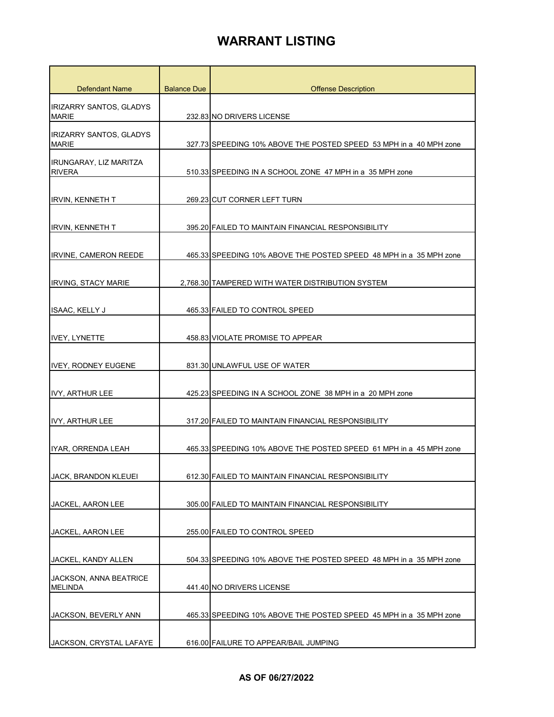| <b>Defendant Name</b>                           | <b>Balance Due</b> | <b>Offense Description</b>                                         |
|-------------------------------------------------|--------------------|--------------------------------------------------------------------|
| IRIZARRY SANTOS, GLADYS<br><b>MARIE</b>         |                    | 232.83 NO DRIVERS LICENSE                                          |
| <b>IRIZARRY SANTOS, GLADYS</b><br><b>MARIE</b>  |                    | 327.73 SPEEDING 10% ABOVE THE POSTED SPEED 53 MPH in a 40 MPH zone |
| IRUNGARAY, LIZ MARITZA<br><b>RIVERA</b>         |                    | 510.33 SPEEDING IN A SCHOOL ZONE 47 MPH in a 35 MPH zone           |
| IRVIN, KENNETH T                                |                    | 269.23 CUT CORNER LEFT TURN                                        |
| IRVIN, KENNETH T                                |                    | 395.20 FAILED TO MAINTAIN FINANCIAL RESPONSIBILITY                 |
| <b>IRVINE, CAMERON REEDE</b>                    |                    | 465.33 SPEEDING 10% ABOVE THE POSTED SPEED 48 MPH in a 35 MPH zone |
| <b>IRVING, STACY MARIE</b>                      |                    | 2,768.30 TAMPERED WITH WATER DISTRIBUTION SYSTEM                   |
| <b>ISAAC, KELLY J</b>                           |                    | 465.33 FAILED TO CONTROL SPEED                                     |
| <b>IVEY, LYNETTE</b>                            |                    | 458.83 VIOLATE PROMISE TO APPEAR                                   |
| <b>IVEY, RODNEY EUGENE</b>                      |                    | 831.30 UNLAWFUL USE OF WATER                                       |
| <b>IVY, ARTHUR LEE</b>                          |                    | 425.23 SPEEDING IN A SCHOOL ZONE 38 MPH in a 20 MPH zone           |
| IVY. ARTHUR LEE                                 |                    | 317.20 FAILED TO MAINTAIN FINANCIAL RESPONSIBILITY                 |
| IYAR, ORRENDA LEAH                              |                    | 465.33 SPEEDING 10% ABOVE THE POSTED SPEED 61 MPH in a 45 MPH zone |
| JACK, BRANDON KLEUEI                            |                    | 612.30 FAILED TO MAINTAIN FINANCIAL RESPONSIBILITY                 |
| JACKEL, AARON LEE                               |                    | 305.00 FAILED TO MAINTAIN FINANCIAL RESPONSIBILITY                 |
| JACKEL, AARON LEE                               |                    | 255.00 FAILED TO CONTROL SPEED                                     |
| JACKEL, KANDY ALLEN                             |                    | 504.33 SPEEDING 10% ABOVE THE POSTED SPEED 48 MPH in a 35 MPH zone |
| <b>JACKSON, ANNA BEATRICE</b><br><b>MELINDA</b> |                    | 441.40 NO DRIVERS LICENSE                                          |
| JACKSON, BEVERLY ANN                            |                    | 465.33 SPEEDING 10% ABOVE THE POSTED SPEED 45 MPH in a 35 MPH zone |
| JACKSON, CRYSTAL LAFAYE                         |                    | 616.00 FAILURE TO APPEAR/BAIL JUMPING                              |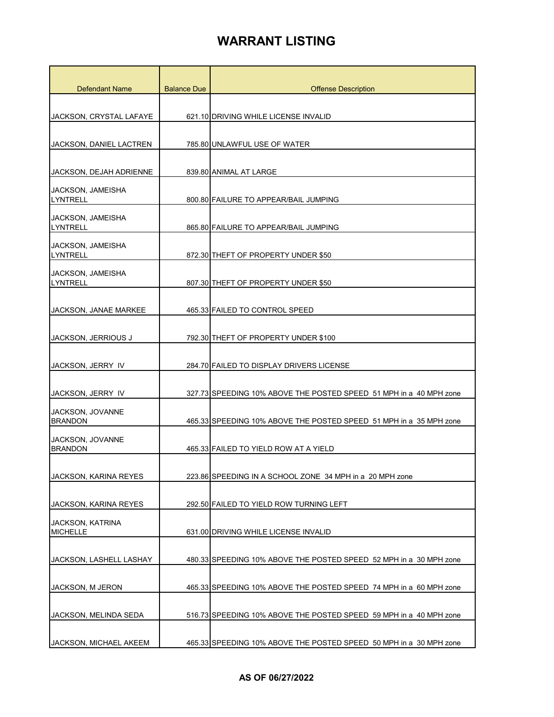| <b>Defendant Name</b>                      | <b>Balance Due</b> | <b>Offense Description</b>                                         |
|--------------------------------------------|--------------------|--------------------------------------------------------------------|
|                                            |                    |                                                                    |
| JACKSON, CRYSTAL LAFAYE                    |                    | 621.10 DRIVING WHILE LICENSE INVALID                               |
|                                            |                    |                                                                    |
| JACKSON, DANIEL LACTREN                    |                    | 785.80 UNLAWFUL USE OF WATER                                       |
| JACKSON, DEJAH ADRIENNE                    |                    | 839.80 ANIMAL AT LARGE                                             |
| JACKSON, JAMEISHA<br><b>LYNTRELL</b>       |                    | 800.80 FAILURE TO APPEAR/BAIL JUMPING                              |
| JACKSON, JAMEISHA<br><b>LYNTRELL</b>       |                    | 865.80 FAILURE TO APPEAR/BAIL JUMPING                              |
| JACKSON, JAMEISHA<br><b>LYNTRELL</b>       |                    | 872.30 THEFT OF PROPERTY UNDER \$50                                |
| JACKSON, JAMEISHA<br><b>LYNTRELL</b>       |                    | 807.30 THEFT OF PROPERTY UNDER \$50                                |
| JACKSON, JANAE MARKEE                      |                    | 465.33 FAILED TO CONTROL SPEED                                     |
| JACKSON, JERRIOUS J                        |                    | 792.30 THEFT OF PROPERTY UNDER \$100                               |
| JACKSON, JERRY IV                          |                    | 284.70 FAILED TO DISPLAY DRIVERS LICENSE                           |
| JACKSON, JERRY IV                          |                    | 327.73 SPEEDING 10% ABOVE THE POSTED SPEED 51 MPH in a 40 MPH zone |
| JACKSON, JOVANNE<br><b>BRANDON</b>         |                    | 465.33 SPEEDING 10% ABOVE THE POSTED SPEED 51 MPH in a 35 MPH zone |
| JACKSON, JOVANNE<br><b>BRANDON</b>         |                    | 465.33 FAILED TO YIELD ROW AT A YIELD                              |
| <b>JACKSON, KARINA REYES</b>               |                    | 223.86 SPEEDING IN A SCHOOL ZONE 34 MPH in a 20 MPH zone           |
| JACKSON, KARINA REYES                      |                    | 292.50 FAILED TO YIELD ROW TURNING LEFT                            |
| <b>JACKSON, KATRINA</b><br><b>MICHELLE</b> |                    | 631.00 DRIVING WHILE LICENSE INVALID                               |
| JACKSON, LASHELL LASHAY                    |                    | 480.33 SPEEDING 10% ABOVE THE POSTED SPEED 52 MPH in a 30 MPH zone |
| JACKSON, M JERON                           |                    | 465.33 SPEEDING 10% ABOVE THE POSTED SPEED 74 MPH in a 60 MPH zone |
| JACKSON, MELINDA SEDA                      |                    | 516.73 SPEEDING 10% ABOVE THE POSTED SPEED 59 MPH in a 40 MPH zone |
| JACKSON, MICHAEL AKEEM                     |                    | 465.33 SPEEDING 10% ABOVE THE POSTED SPEED 50 MPH in a 30 MPH zone |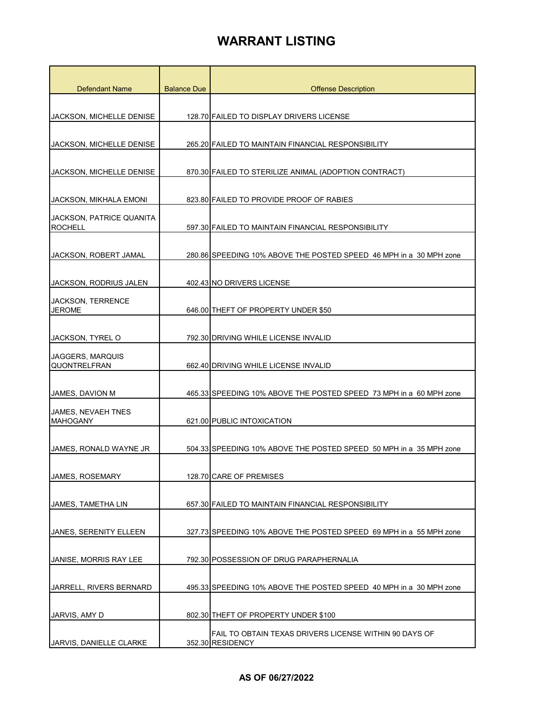| Defendant Name                             | <b>Balance Due</b> | <b>Offense Description</b>                                                 |
|--------------------------------------------|--------------------|----------------------------------------------------------------------------|
|                                            |                    |                                                                            |
| <b>JACKSON, MICHELLE DENISE</b>            |                    | 128.70 FAILED TO DISPLAY DRIVERS LICENSE                                   |
| <b>JACKSON, MICHELLE DENISE</b>            |                    | 265.20 FAILED TO MAINTAIN FINANCIAL RESPONSIBILITY                         |
| JACKSON, MICHELLE DENISE                   |                    | 870.30 FAILED TO STERILIZE ANIMAL (ADOPTION CONTRACT)                      |
|                                            |                    |                                                                            |
| JACKSON, MIKHALA EMONI                     |                    | 823.80 FAILED TO PROVIDE PROOF OF RABIES                                   |
| JACKSON, PATRICE QUANITA<br><b>ROCHELL</b> |                    | 597.30 FAILED TO MAINTAIN FINANCIAL RESPONSIBILITY                         |
| JACKSON, ROBERT JAMAL                      |                    | 280.86 SPEEDING 10% ABOVE THE POSTED SPEED 46 MPH in a 30 MPH zone         |
| JACKSON, RODRIUS JALEN                     |                    | 402.43 NO DRIVERS LICENSE                                                  |
| JACKSON, TERRENCE<br><b>JEROME</b>         |                    | 646.00 THEFT OF PROPERTY UNDER \$50                                        |
|                                            |                    |                                                                            |
| JACKSON, TYREL O                           |                    | 792.30 DRIVING WHILE LICENSE INVALID                                       |
| JAGGERS, MARQUIS<br><b>QUONTRELFRAN</b>    |                    | 662.40 DRIVING WHILE LICENSE INVALID                                       |
| JAMES, DAVION M                            |                    | 465.33 SPEEDING 10% ABOVE THE POSTED SPEED 73 MPH in a 60 MPH zone         |
| JAMES, NEVAEH TNES<br><b>MAHOGANY</b>      |                    | 621.00 PUBLIC INTOXICATION                                                 |
| JAMES, RONALD WAYNE JR                     |                    | 504.33 SPEEDING 10% ABOVE THE POSTED SPEED 50 MPH in a 35 MPH zone         |
| JAMES, ROSEMARY                            |                    | 128.70 CARE OF PREMISES                                                    |
| JAMES, TAMETHA LIN                         |                    | 657.30 FAILED TO MAINTAIN FINANCIAL RESPONSIBILITY                         |
| JANES, SERENITY ELLEEN                     |                    | 327.73 SPEEDING 10% ABOVE THE POSTED SPEED 69 MPH in a 55 MPH zone         |
| JANISE, MORRIS RAY LEE                     |                    | 792.30 POSSESSION OF DRUG PARAPHERNALIA                                    |
| JARRELL, RIVERS BERNARD                    |                    | 495.33 SPEEDING 10% ABOVE THE POSTED SPEED 40 MPH in a 30 MPH zone         |
| JARVIS, AMY D                              |                    | 802.30 THEFT OF PROPERTY UNDER \$100                                       |
| JARVIS, DANIELLE CLARKE                    |                    | FAIL TO OBTAIN TEXAS DRIVERS LICENSE WITHIN 90 DAYS OF<br>352.30 RESIDENCY |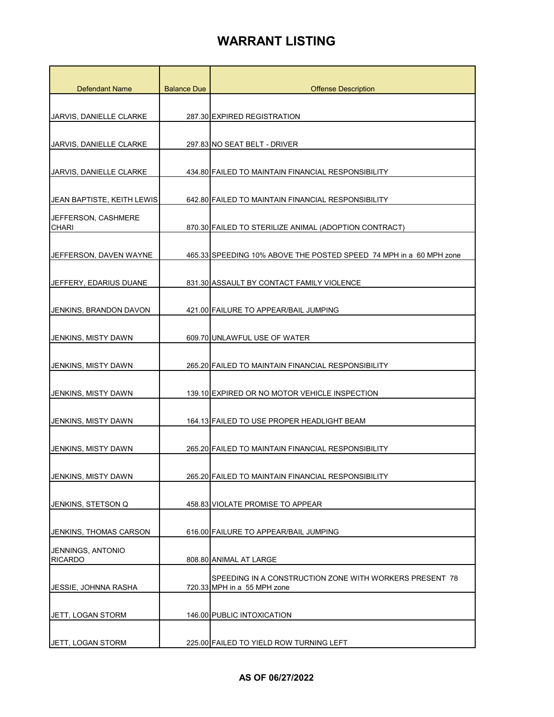| <b>Defendant Name</b>               | <b>Balance Due</b> | <b>Offense Description</b>                                                             |
|-------------------------------------|--------------------|----------------------------------------------------------------------------------------|
|                                     |                    |                                                                                        |
| JARVIS, DANIELLE CLARKE             |                    | 287.30 EXPIRED REGISTRATION                                                            |
|                                     |                    |                                                                                        |
| JARVIS, DANIELLE CLARKE             |                    | 297.83 NO SEAT BELT - DRIVER                                                           |
| JARVIS, DANIELLE CLARKE             |                    | 434.80 FAILED TO MAINTAIN FINANCIAL RESPONSIBILITY                                     |
| JEAN BAPTISTE, KEITH LEWIS          |                    | 642.80 FAILED TO MAINTAIN FINANCIAL RESPONSIBILITY                                     |
| JEFFERSON, CASHMERE<br><b>CHARI</b> |                    | 870.30 FAILED TO STERILIZE ANIMAL (ADOPTION CONTRACT)                                  |
| JEFFERSON, DAVEN WAYNE              |                    | 465.33 SPEEDING 10% ABOVE THE POSTED SPEED 74 MPH in a 60 MPH zone                     |
| JEFFERY, EDARIUS DUANE              |                    | 831.30 ASSAULT BY CONTACT FAMILY VIOLENCE                                              |
| JENKINS, BRANDON DAVON              |                    | 421.00 FAILURE TO APPEAR/BAIL JUMPING                                                  |
| JENKINS, MISTY DAWN                 |                    | 609.70 UNLAWFUL USE OF WATER                                                           |
| JENKINS, MISTY DAWN                 |                    | 265.20 FAILED TO MAINTAIN FINANCIAL RESPONSIBILITY                                     |
| JENKINS, MISTY DAWN                 |                    | 139.10 EXPIRED OR NO MOTOR VEHICLE INSPECTION                                          |
| <b>JENKINS, MISTY DAWN</b>          |                    | 164.13 FAILED TO USE PROPER HEADLIGHT BEAM                                             |
| <b>JENKINS, MISTY DAWN</b>          |                    | 265.20 FAILED TO MAINTAIN FINANCIAL RESPONSIBILITY                                     |
| JENKINS, MISTY DAWN                 |                    | 265.20 FAILED TO MAINTAIN FINANCIAL RESPONSIBILITY                                     |
| JENKINS, STETSON Q                  |                    | 458.83 VIOLATE PROMISE TO APPEAR                                                       |
| JENKINS, THOMAS CARSON              |                    | 616.00 FAILURE TO APPEAR/BAIL JUMPING                                                  |
| JENNINGS, ANTONIO<br><b>RICARDO</b> |                    | 808.80 ANIMAL AT LARGE                                                                 |
| JESSIE, JOHNNA RASHA                |                    | SPEEDING IN A CONSTRUCTION ZONE WITH WORKERS PRESENT 78<br>720.33 MPH in a 55 MPH zone |
| JETT, LOGAN STORM                   |                    | 146.00 PUBLIC INTOXICATION                                                             |
| JETT, LOGAN STORM                   |                    | 225.00 FAILED TO YIELD ROW TURNING LEFT                                                |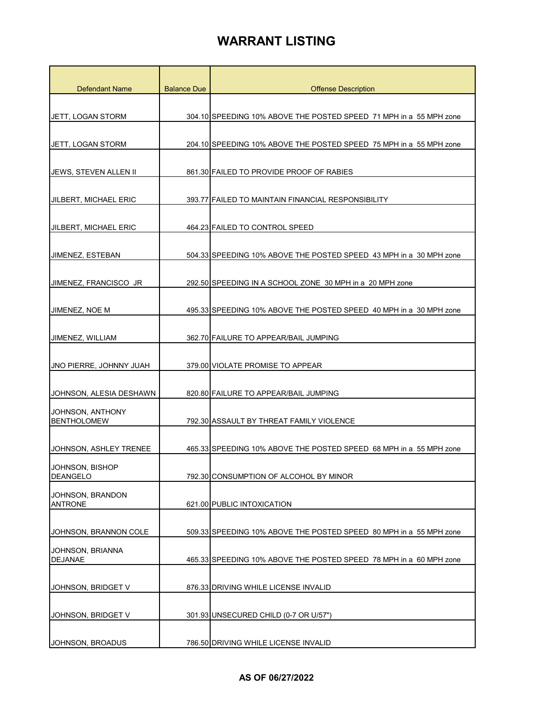| Defendant Name                         | <b>Balance Due</b> | <b>Offense Description</b>                                         |
|----------------------------------------|--------------------|--------------------------------------------------------------------|
|                                        |                    |                                                                    |
| JETT, LOGAN STORM                      |                    | 304.10 SPEEDING 10% ABOVE THE POSTED SPEED 71 MPH in a 55 MPH zone |
|                                        |                    |                                                                    |
| JETT, LOGAN STORM                      |                    | 204.10 SPEEDING 10% ABOVE THE POSTED SPEED 75 MPH in a 55 MPH zone |
| JEWS, STEVEN ALLEN II                  |                    | 861.30 FAILED TO PROVIDE PROOF OF RABIES                           |
| JILBERT, MICHAEL ERIC                  |                    | 393.77 FAILED TO MAINTAIN FINANCIAL RESPONSIBILITY                 |
| JILBERT, MICHAEL ERIC                  |                    | 464.23 FAILED TO CONTROL SPEED                                     |
|                                        |                    |                                                                    |
| <b>JIMENEZ, ESTEBAN</b>                |                    | 504.33 SPEEDING 10% ABOVE THE POSTED SPEED 43 MPH in a 30 MPH zone |
| JIMENEZ, FRANCISCO JR                  |                    | 292.50 SPEEDING IN A SCHOOL ZONE 30 MPH in a 20 MPH zone           |
|                                        |                    |                                                                    |
| JIMENEZ, NOE M                         |                    | 495.33 SPEEDING 10% ABOVE THE POSTED SPEED 40 MPH in a 30 MPH zone |
| JIMENEZ, WILLIAM                       |                    | 362.70 FAILURE TO APPEAR/BAIL JUMPING                              |
| JNO PIERRE, JOHNNY JUAH                |                    | 379.00 VIOLATE PROMISE TO APPEAR                                   |
| JOHNSON, ALESIA DESHAWN                |                    | 820.80 FAILURE TO APPEAR/BAIL JUMPING                              |
| JOHNSON, ANTHONY<br><b>BENTHOLOMEW</b> |                    | 792.30 ASSAULT BY THREAT FAMILY VIOLENCE                           |
| <b>JOHNSON, ASHLEY TRENEE</b>          |                    | 465.33 SPEEDING 10% ABOVE THE POSTED SPEED 68 MPH in a 55 MPH zone |
| JOHNSON, BISHOP<br><b>DEANGELO</b>     |                    | 792.30 CONSUMPTION OF ALCOHOL BY MINOR                             |
| JOHNSON, BRANDON<br><b>ANTRONE</b>     |                    | 621.00 PUBLIC INTOXICATION                                         |
| JOHNSON, BRANNON COLE                  |                    | 509.33 SPEEDING 10% ABOVE THE POSTED SPEED 80 MPH in a 55 MPH zone |
| JOHNSON, BRIANNA                       |                    |                                                                    |
| <b>DEJANAE</b>                         |                    | 465.33 SPEEDING 10% ABOVE THE POSTED SPEED 78 MPH in a 60 MPH zone |
| JOHNSON, BRIDGET V                     |                    | 876.33 DRIVING WHILE LICENSE INVALID                               |
| JOHNSON, BRIDGET V                     |                    | 301.93 UNSECURED CHILD (0-7 OR U/57")                              |
| JOHNSON, BROADUS                       |                    | 786.50 DRIVING WHILE LICENSE INVALID                               |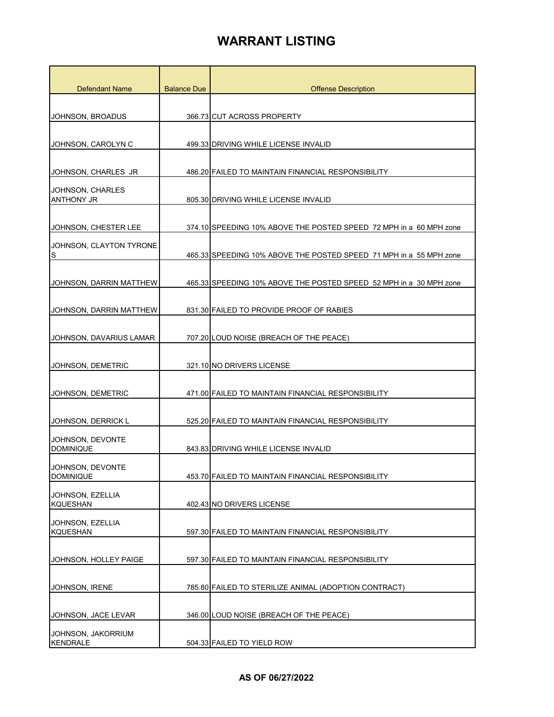| <b>Defendant Name</b>                 | <b>Balance Due</b> | <b>Offense Description</b>                                         |
|---------------------------------------|--------------------|--------------------------------------------------------------------|
|                                       |                    |                                                                    |
| JOHNSON, BROADUS                      |                    | 366.73 CUT ACROSS PROPERTY                                         |
|                                       |                    |                                                                    |
| JOHNSON, CAROLYN C                    |                    | 499.33 DRIVING WHILE LICENSE INVALID                               |
| JOHNSON, CHARLES JR                   |                    | 486.20 FAILED TO MAINTAIN FINANCIAL RESPONSIBILITY                 |
| JOHNSON, CHARLES<br><b>ANTHONY JR</b> |                    | 805.30 DRIVING WHILE LICENSE INVALID                               |
| JOHNSON, CHESTER LEE                  |                    | 374.10 SPEEDING 10% ABOVE THE POSTED SPEED 72 MPH in a 60 MPH zone |
| JOHNSON, CLAYTON TYRONE<br>S          |                    | 465.33 SPEEDING 10% ABOVE THE POSTED SPEED 71 MPH in a 55 MPH zone |
| JOHNSON, DARRIN MATTHEW               |                    | 465.33 SPEEDING 10% ABOVE THE POSTED SPEED 52 MPH in a 30 MPH zone |
| JOHNSON, DARRIN MATTHEW               |                    | 831.30 FAILED TO PROVIDE PROOF OF RABIES                           |
| JOHNSON, DAVARIUS LAMAR               |                    | 707.20 LOUD NOISE (BREACH OF THE PEACE)                            |
| JOHNSON, DEMETRIC                     |                    | 321.10 NO DRIVERS LICENSE                                          |
| JOHNSON, DEMETRIC                     |                    | 471.00 FAILED TO MAINTAIN FINANCIAL RESPONSIBILITY                 |
| JOHNSON, DERRICK L                    |                    | 525.20 FAILED TO MAINTAIN FINANCIAL RESPONSIBILITY                 |
| JOHNSON, DEVONTE<br><b>DOMINIQUE</b>  |                    | 843.83 DRIVING WHILE LICENSE INVALID                               |
| JOHNSON, DEVONTE<br><b>DOMINIQUE</b>  |                    | 453.70 FAILED TO MAINTAIN FINANCIAL RESPONSIBILITY                 |
| JOHNSON, EZELLIA<br><b>KQUESHAN</b>   |                    | 402.43 NO DRIVERS LICENSE                                          |
| JOHNSON, EZELLIA<br><b>KQUESHAN</b>   |                    | 597.30 FAILED TO MAINTAIN FINANCIAL RESPONSIBILITY                 |
| JOHNSON, HOLLEY PAIGE                 |                    | 597.30 FAILED TO MAINTAIN FINANCIAL RESPONSIBILITY                 |
| JOHNSON, IRENE                        |                    | 785.80 FAILED TO STERILIZE ANIMAL (ADOPTION CONTRACT)              |
| JOHNSON, JACE LEVAR                   |                    | 346.00 LOUD NOISE (BREACH OF THE PEACE)                            |
| JOHNSON, JAKORRIUM<br><b>KENDRALE</b> |                    | 504.33 FAILED TO YIELD ROW                                         |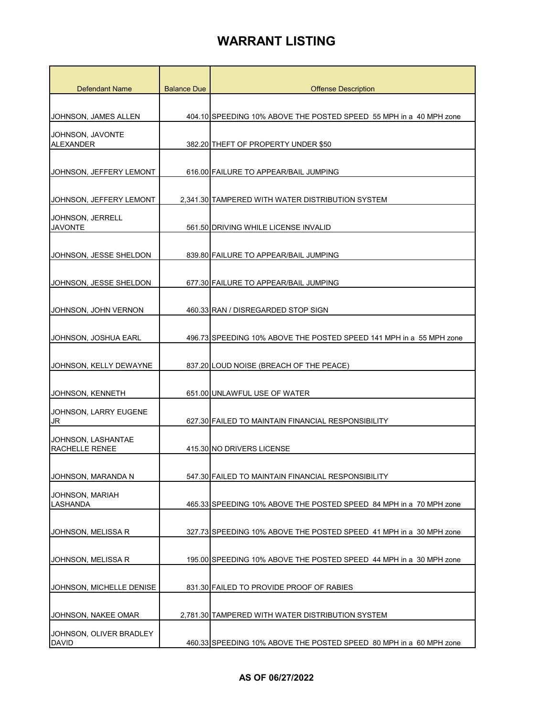| <b>Defendant Name</b>                       | <b>Balance Due</b> | <b>Offense Description</b>                                          |
|---------------------------------------------|--------------------|---------------------------------------------------------------------|
|                                             |                    |                                                                     |
| JOHNSON, JAMES ALLEN                        |                    | 404.10 SPEEDING 10% ABOVE THE POSTED SPEED 55 MPH in a 40 MPH zone  |
| JOHNSON, JAVONTE<br>ALEXANDER               |                    | 382.20 THEFT OF PROPERTY UNDER \$50                                 |
|                                             |                    |                                                                     |
| JOHNSON, JEFFERY LEMONT                     |                    | 616.00 FAILURE TO APPEAR/BAIL JUMPING                               |
| JOHNSON, JEFFERY LEMONT                     |                    | 2,341.30 TAMPERED WITH WATER DISTRIBUTION SYSTEM                    |
| JOHNSON, JERRELL<br><b>JAVONTE</b>          |                    | 561.50 DRIVING WHILE LICENSE INVALID                                |
| JOHNSON, JESSE SHELDON                      |                    | 839.80 FAILURE TO APPEAR/BAIL JUMPING                               |
| JOHNSON, JESSE SHELDON                      |                    | 677.30 FAILURE TO APPEAR/BAIL JUMPING                               |
| JOHNSON, JOHN VERNON                        |                    | 460.33 RAN / DISREGARDED STOP SIGN                                  |
| JOHNSON, JOSHUA EARL                        |                    | 496.73 SPEEDING 10% ABOVE THE POSTED SPEED 141 MPH in a 55 MPH zone |
| JOHNSON, KELLY DEWAYNE                      |                    | 837.20 LOUD NOISE (BREACH OF THE PEACE)                             |
| JOHNSON, KENNETH                            |                    | 651.00 UNLAWFUL USE OF WATER                                        |
| JOHNSON, LARRY EUGENE<br>JR                 |                    | 627.30 FAILED TO MAINTAIN FINANCIAL RESPONSIBILITY                  |
| JOHNSON, LASHANTAE<br><b>RACHELLE RENEE</b> |                    | 415.30 NO DRIVERS LICENSE                                           |
| JOHNSON, MARANDA N                          |                    | 547.30 FAILED TO MAINTAIN FINANCIAL RESPONSIBILITY                  |
| <b>JOHNSON, MARIAH</b><br><b>LASHANDA</b>   |                    | 465.33 SPEEDING 10% ABOVE THE POSTED SPEED 84 MPH in a 70 MPH zone  |
| JOHNSON, MELISSA R                          |                    | 327.73 SPEEDING 10% ABOVE THE POSTED SPEED 41 MPH in a 30 MPH zone  |
| JOHNSON, MELISSA R                          |                    | 195.00 SPEEDING 10% ABOVE THE POSTED SPEED 44 MPH in a 30 MPH zone  |
| JOHNSON, MICHELLE DENISE                    |                    | 831.30 FAILED TO PROVIDE PROOF OF RABIES                            |
| JOHNSON, NAKEE OMAR                         |                    | 2,781.30 TAMPERED WITH WATER DISTRIBUTION SYSTEM                    |
| JOHNSON, OLIVER BRADLEY<br><b>DAVID</b>     |                    | 460.33 SPEEDING 10% ABOVE THE POSTED SPEED 80 MPH in a 60 MPH zone  |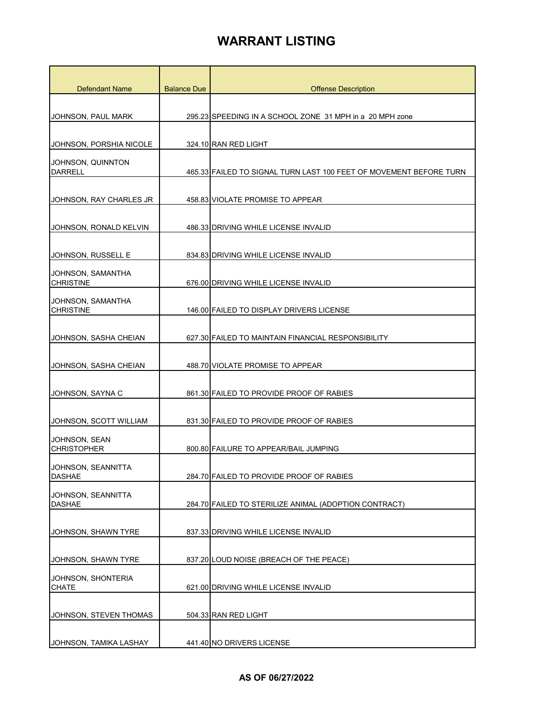| Defendant Name                        | <b>Balance Due</b> | <b>Offense Description</b>                                         |
|---------------------------------------|--------------------|--------------------------------------------------------------------|
|                                       |                    |                                                                    |
| JOHNSON, PAUL MARK                    |                    | 295.23 SPEEDING IN A SCHOOL ZONE 31 MPH in a 20 MPH zone           |
|                                       |                    |                                                                    |
| JOHNSON, PORSHIA NICOLE               |                    | 324.10 RAN RED LIGHT                                               |
| JOHNSON, QUINNTON                     |                    |                                                                    |
| <b>DARRELL</b>                        |                    | 465.33 FAILED TO SIGNAL TURN LAST 100 FEET OF MOVEMENT BEFORE TURN |
| JOHNSON, RAY CHARLES JR               |                    | 458.83 VIOLATE PROMISE TO APPEAR                                   |
| JOHNSON, RONALD KELVIN                |                    | 486.33 DRIVING WHILE LICENSE INVALID                               |
|                                       |                    |                                                                    |
| JOHNSON, RUSSELL E                    |                    | 834.83 DRIVING WHILE LICENSE INVALID                               |
| JOHNSON, SAMANTHA<br><b>CHRISTINE</b> |                    | 676.00 DRIVING WHILE LICENSE INVALID                               |
| JOHNSON, SAMANTHA<br><b>CHRISTINE</b> |                    | 146.00 FAILED TO DISPLAY DRIVERS LICENSE                           |
|                                       |                    |                                                                    |
| JOHNSON, SASHA CHEIAN                 |                    | 627.30 FAILED TO MAINTAIN FINANCIAL RESPONSIBILITY                 |
| JOHNSON, SASHA CHEIAN                 |                    | 488.70 VIOLATE PROMISE TO APPEAR                                   |
| JOHNSON, SAYNA C                      |                    | 861.30 FAILED TO PROVIDE PROOF OF RABIES                           |
| JOHNSON, SCOTT WILLIAM                |                    | 831.30 FAILED TO PROVIDE PROOF OF RABIES                           |
| JOHNSON, SEAN<br><b>CHRISTOPHER</b>   |                    | 800.80 FAILURE TO APPEAR/BAIL JUMPING                              |
| JOHNSON, SEANNITTA                    |                    |                                                                    |
| DASHAE                                |                    | 284.70 FAILED TO PROVIDE PROOF OF RABIES                           |
| JOHNSON, SEANNITTA<br><b>DASHAE</b>   |                    | 284.70 FAILED TO STERILIZE ANIMAL (ADOPTION CONTRACT)              |
| JOHNSON, SHAWN TYRE                   |                    | 837.33 DRIVING WHILE LICENSE INVALID                               |
|                                       |                    |                                                                    |
| JOHNSON, SHAWN TYRE                   |                    | 837.20 LOUD NOISE (BREACH OF THE PEACE)                            |
| JOHNSON, SHONTERIA<br><b>CHATE</b>    |                    | 621.00 DRIVING WHILE LICENSE INVALID                               |
| JOHNSON, STEVEN THOMAS                |                    | 504.33 RAN RED LIGHT                                               |
|                                       |                    |                                                                    |
| JOHNSON, TAMIKA LASHAY                |                    | 441.40 NO DRIVERS LICENSE                                          |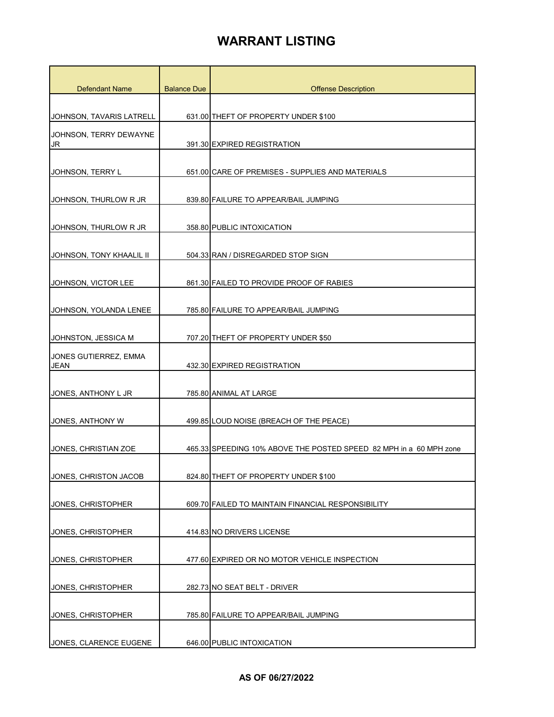| <b>Defendant Name</b>         | <b>Balance Due</b> | <b>Offense Description</b>                                         |
|-------------------------------|--------------------|--------------------------------------------------------------------|
|                               |                    |                                                                    |
| JOHNSON, TAVARIS LATRELL      |                    | 631.00 THEFT OF PROPERTY UNDER \$100                               |
| JOHNSON, TERRY DEWAYNE<br>JR  |                    | 391.30 EXPIRED REGISTRATION                                        |
|                               |                    |                                                                    |
| JOHNSON, TERRY L              |                    | 651.00 CARE OF PREMISES - SUPPLIES AND MATERIALS                   |
| JOHNSON, THURLOW R JR         |                    | 839.80 FAILURE TO APPEAR/BAIL JUMPING                              |
| JOHNSON, THURLOW R JR         |                    | 358.80 PUBLIC INTOXICATION                                         |
| JOHNSON, TONY KHAALIL II      |                    | 504.33 RAN / DISREGARDED STOP SIGN                                 |
| JOHNSON, VICTOR LEE           |                    | 861.30 FAILED TO PROVIDE PROOF OF RABIES                           |
| JOHNSON, YOLANDA LENEE        |                    | 785.80 FAILURE TO APPEAR/BAIL JUMPING                              |
| JOHNSTON, JESSICA M           |                    | 707.20 THEFT OF PROPERTY UNDER \$50                                |
| JONES GUTIERREZ, EMMA<br>JEAN |                    | 432.30 EXPIRED REGISTRATION                                        |
| JONES, ANTHONY L JR           |                    | 785.80 ANIMAL AT LARGE                                             |
| JONES, ANTHONY W              |                    | 499.85 LOUD NOISE (BREACH OF THE PEACE)                            |
| JONES, CHRISTIAN ZOE          |                    | 465.33 SPEEDING 10% ABOVE THE POSTED SPEED 82 MPH in a 60 MPH zone |
| JONES, CHRISTON JACOB         |                    | 824.80 THEFT OF PROPERTY UNDER \$100                               |
| JONES, CHRISTOPHER            |                    | 609.70 FAILED TO MAINTAIN FINANCIAL RESPONSIBILITY                 |
| <b>JONES. CHRISTOPHER</b>     |                    | 414.83 NO DRIVERS LICENSE                                          |
| JONES, CHRISTOPHER            |                    | 477.60 EXPIRED OR NO MOTOR VEHICLE INSPECTION                      |
| JONES, CHRISTOPHER            |                    | 282.73 NO SEAT BELT - DRIVER                                       |
| JONES, CHRISTOPHER            |                    | 785.80 FAILURE TO APPEAR/BAIL JUMPING                              |
| JONES, CLARENCE EUGENE        |                    | 646.00 PUBLIC INTOXICATION                                         |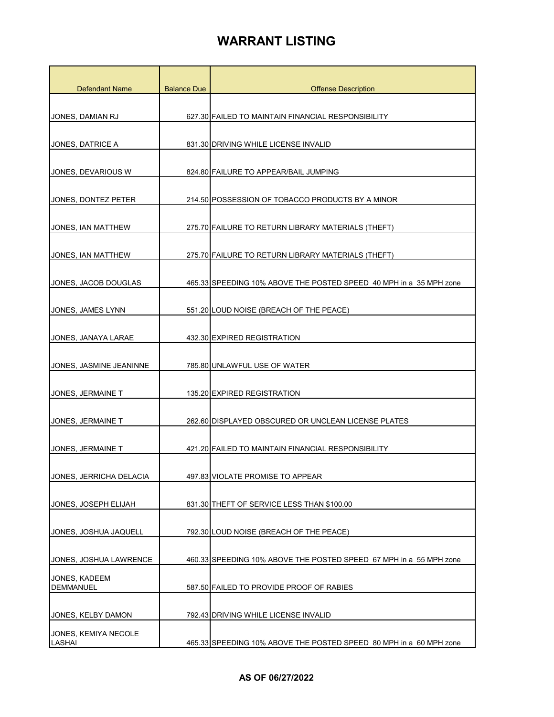| <b>Defendant Name</b>          | <b>Balance Due</b> | <b>Offense Description</b>                                         |
|--------------------------------|--------------------|--------------------------------------------------------------------|
|                                |                    |                                                                    |
| JONES, DAMIAN RJ               |                    | 627.30 FAILED TO MAINTAIN FINANCIAL RESPONSIBILITY                 |
| JONES, DATRICE A               |                    | 831.30 DRIVING WHILE LICENSE INVALID                               |
|                                |                    |                                                                    |
| JONES, DEVARIOUS W             |                    | 824.80 FAILURE TO APPEAR/BAIL JUMPING                              |
| JONES, DONTEZ PETER            |                    | 214.50 POSSESSION OF TOBACCO PRODUCTS BY A MINOR                   |
| JONES, IAN MATTHEW             |                    | 275.70 FAILURE TO RETURN LIBRARY MATERIALS (THEFT)                 |
| JONES, IAN MATTHEW             |                    | 275.70 FAILURE TO RETURN LIBRARY MATERIALS (THEFT)                 |
| JONES, JACOB DOUGLAS           |                    | 465.33 SPEEDING 10% ABOVE THE POSTED SPEED 40 MPH in a 35 MPH zone |
| JONES, JAMES LYNN              |                    | 551.20 LOUD NOISE (BREACH OF THE PEACE)                            |
| JONES, JANAYA LARAE            |                    | 432.30 EXPIRED REGISTRATION                                        |
| JONES, JASMINE JEANINNE        |                    | 785.80 UNLAWFUL USE OF WATER                                       |
| JONES, JERMAINE T              |                    | 135.20 EXPIRED REGISTRATION                                        |
| JONES, JERMAINE T              |                    | 262.60 DISPLAYED OBSCURED OR UNCLEAN LICENSE PLATES                |
| JONES, JERMAINE T              |                    | 421.20 FAILED TO MAINTAIN FINANCIAL RESPONSIBILITY                 |
| JONES, JERRICHA DELACIA        |                    | 497.83 VIOLATE PROMISE TO APPEAR                                   |
| JONES, JOSEPH ELIJAH           |                    | 831.30 THEFT OF SERVICE LESS THAN \$100.00                         |
| JONES, JOSHUA JAQUELL          |                    | 792.30 LOUD NOISE (BREACH OF THE PEACE)                            |
| JONES, JOSHUA LAWRENCE         |                    | 460.33 SPEEDING 10% ABOVE THE POSTED SPEED 67 MPH in a 55 MPH zone |
| JONES, KADEEM<br>DEMMANUEL     |                    | 587.50 FAILED TO PROVIDE PROOF OF RABIES                           |
| JONES, KELBY DAMON             |                    | 792.43 DRIVING WHILE LICENSE INVALID                               |
| JONES, KEMIYA NECOLE<br>LASHAI |                    | 465.33 SPEEDING 10% ABOVE THE POSTED SPEED 80 MPH in a 60 MPH zone |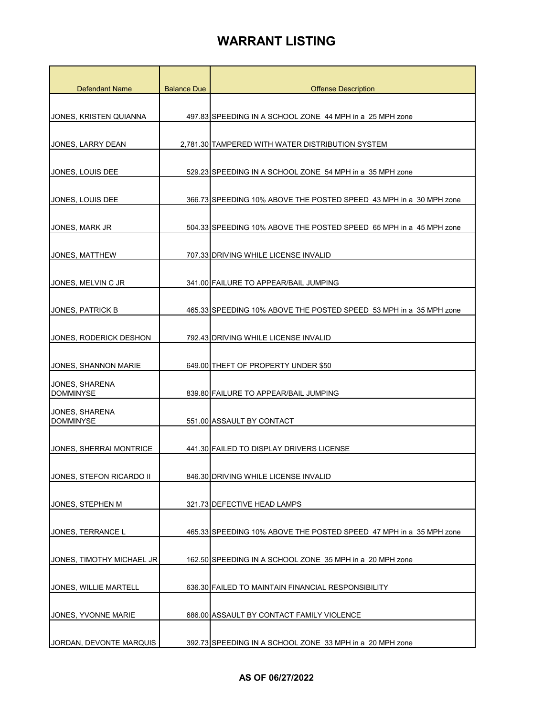| <b>Defendant Name</b>              | <b>Balance Due</b> | <b>Offense Description</b>                                         |
|------------------------------------|--------------------|--------------------------------------------------------------------|
|                                    |                    |                                                                    |
| <b>JONES, KRISTEN QUIANNA</b>      |                    | 497.83 SPEEDING IN A SCHOOL ZONE 44 MPH in a 25 MPH zone           |
|                                    |                    |                                                                    |
| JONES, LARRY DEAN                  |                    | 2.781.30 TAMPERED WITH WATER DISTRIBUTION SYSTEM                   |
| JONES, LOUIS DEE                   |                    | 529.23 SPEEDING IN A SCHOOL ZONE 54 MPH in a 35 MPH zone           |
| JONES, LOUIS DEE                   |                    | 366.73 SPEEDING 10% ABOVE THE POSTED SPEED 43 MPH in a 30 MPH zone |
| JONES, MARK JR                     |                    | 504.33 SPEEDING 10% ABOVE THE POSTED SPEED 65 MPH in a 45 MPH zone |
| JONES, MATTHEW                     |                    | 707.33 DRIVING WHILE LICENSE INVALID                               |
| JONES, MELVIN C JR                 |                    | 341.00 FAILURE TO APPEAR/BAIL JUMPING                              |
| <b>JONES, PATRICK B</b>            |                    | 465.33 SPEEDING 10% ABOVE THE POSTED SPEED 53 MPH in a 35 MPH zone |
| JONES, RODERICK DESHON             |                    | 792.43 DRIVING WHILE LICENSE INVALID                               |
| JONES, SHANNON MARIE               |                    | 649.00 THEFT OF PROPERTY UNDER \$50                                |
| JONES, SHARENA<br><b>DOMMINYSE</b> |                    | 839.80 FAILURE TO APPEAR/BAIL JUMPING                              |
| JONES, SHARENA<br><b>DOMMINYSE</b> |                    | 551.00 ASSAULT BY CONTACT                                          |
| <b>JONES, SHERRAI MONTRICE</b>     |                    | 441.30 FAILED TO DISPLAY DRIVERS LICENSE                           |
| JONES, STEFON RICARDO II           |                    | 846.30 DRIVING WHILE LICENSE INVALID                               |
| JONES, STEPHEN M                   |                    | 321.73 DEFECTIVE HEAD LAMPS                                        |
| JONES, TERRANCE L                  |                    | 465.33 SPEEDING 10% ABOVE THE POSTED SPEED 47 MPH in a 35 MPH zone |
| JONES, TIMOTHY MICHAEL JR          |                    | 162.50 SPEEDING IN A SCHOOL ZONE 35 MPH in a 20 MPH zone           |
| JONES, WILLIE MARTELL              |                    | 636.30 FAILED TO MAINTAIN FINANCIAL RESPONSIBILITY                 |
| JONES, YVONNE MARIE                |                    | 686.00 ASSAULT BY CONTACT FAMILY VIOLENCE                          |
| JORDAN, DEVONTE MARQUIS            |                    | 392.73 SPEEDING IN A SCHOOL ZONE 33 MPH in a 20 MPH zone           |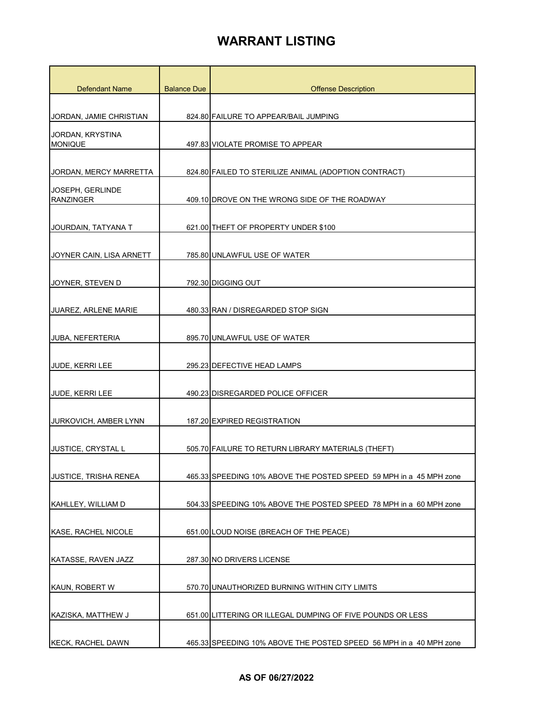| <b>Defendant Name</b>                | <b>Balance Due</b> | <b>Offense Description</b>                                         |
|--------------------------------------|--------------------|--------------------------------------------------------------------|
|                                      |                    |                                                                    |
| JORDAN, JAMIE CHRISTIAN              |                    | 824.80 FAILURE TO APPEAR/BAIL JUMPING                              |
| JORDAN, KRYSTINA                     |                    |                                                                    |
| <b>MONIQUE</b>                       |                    | 497.83 VIOLATE PROMISE TO APPEAR                                   |
|                                      |                    |                                                                    |
| JORDAN, MERCY MARRETTA               |                    | 824.80 FAILED TO STERILIZE ANIMAL (ADOPTION CONTRACT)              |
| JOSEPH, GERLINDE<br><b>RANZINGER</b> |                    | 409.10 DROVE ON THE WRONG SIDE OF THE ROADWAY                      |
|                                      |                    |                                                                    |
| JOURDAIN, TATYANA T                  |                    | 621.00 THEFT OF PROPERTY UNDER \$100                               |
|                                      |                    |                                                                    |
| JOYNER CAIN, LISA ARNETT             |                    | 785.80 UNLAWFUL USE OF WATER                                       |
| JOYNER, STEVEN D                     |                    | 792.30 DIGGING OUT                                                 |
|                                      |                    |                                                                    |
| <b>JUAREZ, ARLENE MARIE</b>          |                    | 480.33 RAN / DISREGARDED STOP SIGN                                 |
|                                      |                    |                                                                    |
| <b>JUBA, NEFERTERIA</b>              |                    | 895.70 UNLAWFUL USE OF WATER                                       |
|                                      |                    |                                                                    |
| JUDE, KERRI LEE                      |                    | 295.23 DEFECTIVE HEAD LAMPS                                        |
| JUDE, KERRI LEE                      |                    | 490.23 DISREGARDED POLICE OFFICER                                  |
|                                      |                    |                                                                    |
| <b>JURKOVICH, AMBER LYNN</b>         |                    | 187.20 EXPIRED REGISTRATION                                        |
|                                      |                    |                                                                    |
| JUSTICE, CRYSTAL L                   |                    | 505.70 FAILURE TO RETURN LIBRARY MATERIALS (THEFT)                 |
| <b>JUSTICE, TRISHA RENEA</b>         |                    |                                                                    |
|                                      |                    | 465.33 SPEEDING 10% ABOVE THE POSTED SPEED 59 MPH in a 45 MPH zone |
| KAHLLEY, WILLIAM D                   |                    | 504.33 SPEEDING 10% ABOVE THE POSTED SPEED 78 MPH in a 60 MPH zone |
|                                      |                    |                                                                    |
| KASE, RACHEL NICOLE                  |                    | 651.00 LOUD NOISE (BREACH OF THE PEACE)                            |
|                                      |                    |                                                                    |
| KATASSE, RAVEN JAZZ                  |                    | 287.30 NO DRIVERS LICENSE                                          |
| KAUN, ROBERT W                       |                    | 570.70 UNAUTHORIZED BURNING WITHIN CITY LIMITS                     |
|                                      |                    |                                                                    |
| KAZISKA, MATTHEW J                   |                    | 651.00 LITTERING OR ILLEGAL DUMPING OF FIVE POUNDS OR LESS         |
|                                      |                    |                                                                    |
| <b>KECK, RACHEL DAWN</b>             |                    | 465.33 SPEEDING 10% ABOVE THE POSTED SPEED 56 MPH in a 40 MPH zone |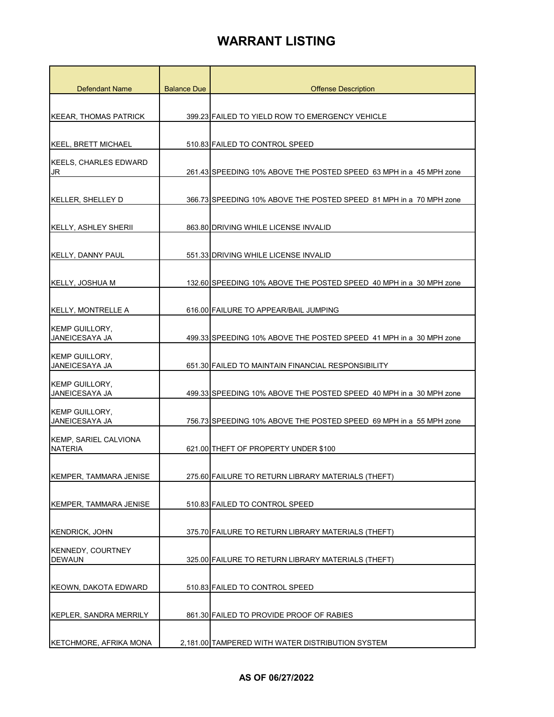| <b>Defendant Name</b>                          | <b>Balance Due</b> | <b>Offense Description</b>                                         |
|------------------------------------------------|--------------------|--------------------------------------------------------------------|
|                                                |                    |                                                                    |
| <b>KEEAR, THOMAS PATRICK</b>                   |                    | 399.23 FAILED TO YIELD ROW TO EMERGENCY VEHICLE                    |
|                                                |                    |                                                                    |
| <b>KEEL, BRETT MICHAEL</b>                     |                    | 510.83 FAILED TO CONTROL SPEED                                     |
| KEELS, CHARLES EDWARD<br>JR                    |                    | 261.43 SPEEDING 10% ABOVE THE POSTED SPEED 63 MPH in a 45 MPH zone |
|                                                |                    |                                                                    |
| <b>KELLER, SHELLEY D</b>                       |                    | 366.73 SPEEDING 10% ABOVE THE POSTED SPEED 81 MPH in a 70 MPH zone |
|                                                |                    |                                                                    |
| <b>KELLY, ASHLEY SHERII</b>                    |                    | 863.80 DRIVING WHILE LICENSE INVALID                               |
| <b>KELLY, DANNY PAUL</b>                       |                    | 551.33 DRIVING WHILE LICENSE INVALID                               |
|                                                |                    |                                                                    |
| KELLY, JOSHUA M                                |                    | 132,60 SPEEDING 10% ABOVE THE POSTED SPEED 40 MPH in a 30 MPH zone |
|                                                |                    |                                                                    |
| <b>KELLY, MONTRELLE A</b>                      |                    | 616.00 FAILURE TO APPEAR/BAIL JUMPING                              |
| <b>KEMP GUILLORY,</b><br><b>JANEICESAYA JA</b> |                    | 499.33 SPEEDING 10% ABOVE THE POSTED SPEED 41 MPH in a 30 MPH zone |
| <b>KEMP GUILLORY,</b>                          |                    |                                                                    |
| <b>JANEICESAYA JA</b>                          |                    | 651.30 FAILED TO MAINTAIN FINANCIAL RESPONSIBILITY                 |
| <b>KEMP GUILLORY,</b><br>JANEICESAYA JA        |                    | 499.33 SPEEDING 10% ABOVE THE POSTED SPEED 40 MPH in a 30 MPH zone |
| <b>KEMP GUILLORY,</b><br>JANEICESAYA JA        |                    | 756.73 SPEEDING 10% ABOVE THE POSTED SPEED 69 MPH in a 55 MPH zone |
| KEMP, SARIEL CALVIONA                          |                    |                                                                    |
| <b>NATERIA</b>                                 |                    | 621.00 THEFT OF PROPERTY UNDER \$100                               |
| <b>KEMPER, TAMMARA JENISE</b>                  |                    | 275.60 FAILURE TO RETURN LIBRARY MATERIALS (THEFT)                 |
|                                                |                    |                                                                    |
| <b>KEMPER, TAMMARA JENISE</b>                  |                    | 510.83 FAILED TO CONTROL SPEED                                     |
| <b>KENDRICK, JOHN</b>                          |                    | 375.70 FAILURE TO RETURN LIBRARY MATERIALS (THEFT)                 |
| <b>KENNEDY, COURTNEY</b>                       |                    |                                                                    |
| <b>DEWAUN</b>                                  |                    | 325.00 FAILURE TO RETURN LIBRARY MATERIALS (THEFT)                 |
| <b>KEOWN, DAKOTA EDWARD</b>                    |                    | 510.83 FAILED TO CONTROL SPEED                                     |
|                                                |                    |                                                                    |
| <b>KEPLER, SANDRA MERRILY</b>                  |                    | 861.30 FAILED TO PROVIDE PROOF OF RABIES                           |
| KETCHMORE, AFRIKA MONA                         |                    | 2,181.00 TAMPERED WITH WATER DISTRIBUTION SYSTEM                   |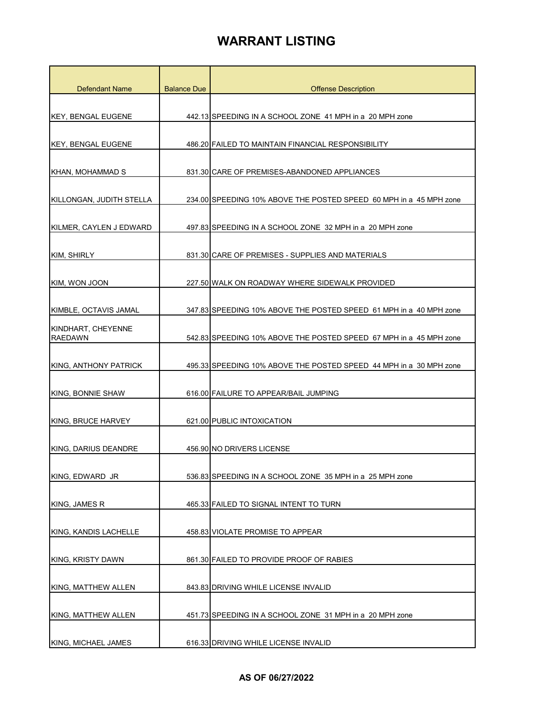| <b>Defendant Name</b>                | <b>Balance Due</b> | <b>Offense Description</b>                                         |
|--------------------------------------|--------------------|--------------------------------------------------------------------|
|                                      |                    |                                                                    |
| <b>KEY, BENGAL EUGENE</b>            |                    | 442.13 SPEEDING IN A SCHOOL ZONE 41 MPH in a 20 MPH zone           |
| <b>KEY, BENGAL EUGENE</b>            |                    | 486.20 FAILED TO MAINTAIN FINANCIAL RESPONSIBILITY                 |
|                                      |                    |                                                                    |
| KHAN, MOHAMMAD S                     |                    | 831.30 CARE OF PREMISES-ABANDONED APPLIANCES                       |
| KILLONGAN, JUDITH STELLA             |                    | 234.00 SPEEDING 10% ABOVE THE POSTED SPEED 60 MPH in a 45 MPH zone |
| KILMER, CAYLEN J EDWARD              |                    | 497.83 SPEEDING IN A SCHOOL ZONE 32 MPH in a 20 MPH zone           |
| KIM, SHIRLY                          |                    | 831.30 CARE OF PREMISES - SUPPLIES AND MATERIALS                   |
| KIM, WON JOON                        |                    | 227.50 WALK ON ROADWAY WHERE SIDEWALK PROVIDED                     |
| KIMBLE, OCTAVIS JAMAL                |                    | 347.83 SPEEDING 10% ABOVE THE POSTED SPEED 61 MPH in a 40 MPH zone |
| KINDHART, CHEYENNE<br><b>RAEDAWN</b> |                    | 542.83 SPEEDING 10% ABOVE THE POSTED SPEED 67 MPH in a 45 MPH zone |
| <b>KING, ANTHONY PATRICK</b>         |                    | 495.33 SPEEDING 10% ABOVE THE POSTED SPEED 44 MPH in a 30 MPH zone |
| KING, BONNIE SHAW                    |                    | 616.00 FAILURE TO APPEAR/BAIL JUMPING                              |
| KING, BRUCE HARVEY                   |                    | 621.00 PUBLIC INTOXICATION                                         |
| KING, DARIUS DEANDRE                 |                    | 456.90 NO DRIVERS LICENSE                                          |
| KING, EDWARD JR                      |                    | 536.83 SPEEDING IN A SCHOOL ZONE 35 MPH in a 25 MPH zone           |
| KING, JAMES R                        |                    | 465.33 FAILED TO SIGNAL INTENT TO TURN                             |
| KING, KANDIS LACHELLE                |                    | 458.83 VIOLATE PROMISE TO APPEAR                                   |
| KING, KRISTY DAWN                    |                    | 861.30 FAILED TO PROVIDE PROOF OF RABIES                           |
| KING, MATTHEW ALLEN                  |                    | 843.83 DRIVING WHILE LICENSE INVALID                               |
| KING, MATTHEW ALLEN                  |                    | 451.73 SPEEDING IN A SCHOOL ZONE 31 MPH in a 20 MPH zone           |
| KING, MICHAEL JAMES                  |                    | 616.33 DRIVING WHILE LICENSE INVALID                               |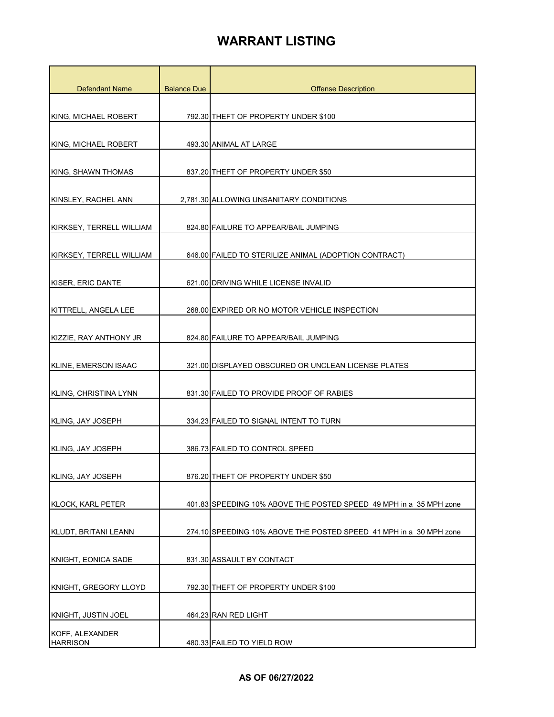| <b>Defendant Name</b>              | <b>Balance Due</b> | <b>Offense Description</b>                                         |
|------------------------------------|--------------------|--------------------------------------------------------------------|
|                                    |                    |                                                                    |
| <b>KING, MICHAEL ROBERT</b>        |                    | 792.30 THEFT OF PROPERTY UNDER \$100                               |
| KING, MICHAEL ROBERT               |                    | 493.30 ANIMAL AT LARGE                                             |
| IKING, SHAWN THOMAS                |                    | 837.20 THEFT OF PROPERTY UNDER \$50                                |
| KINSLEY, RACHEL ANN                |                    | 2,781.30 ALLOWING UNSANITARY CONDITIONS                            |
| KIRKSEY, TERRELL WILLIAM           |                    | 824.80 FAILURE TO APPEAR/BAIL JUMPING                              |
| KIRKSEY, TERRELL WILLIAM           |                    | 646.00 FAILED TO STERILIZE ANIMAL (ADOPTION CONTRACT)              |
| KISER, ERIC DANTE                  |                    | 621.00 DRIVING WHILE LICENSE INVALID                               |
| KITTRELL, ANGELA LEE               |                    | 268.00 EXPIRED OR NO MOTOR VEHICLE INSPECTION                      |
| KIZZIE, RAY ANTHONY JR             |                    | 824.80 FAILURE TO APPEAR/BAIL JUMPING                              |
| KLINE, EMERSON ISAAC               |                    | 321.00 DISPLAYED OBSCURED OR UNCLEAN LICENSE PLATES                |
| KLING, CHRISTINA LYNN              |                    | 831.30 FAILED TO PROVIDE PROOF OF RABIES                           |
| KLING, JAY JOSEPH                  |                    | 334.23 FAILED TO SIGNAL INTENT TO TURN                             |
| KLING. JAY JOSEPH                  |                    | 386.73 FAILED TO CONTROL SPEED                                     |
| KLING, JAY JOSEPH                  |                    | 876.20 THEFT OF PROPERTY UNDER \$50                                |
| <b>KLOCK, KARL PETER</b>           |                    | 401.83 SPEEDING 10% ABOVE THE POSTED SPEED 49 MPH in a 35 MPH zone |
| KLUDT, BRITANI LEANN               |                    | 274.10 SPEEDING 10% ABOVE THE POSTED SPEED 41 MPH in a 30 MPH zone |
| KNIGHT, EONICA SADE                |                    | 831.30 ASSAULT BY CONTACT                                          |
| KNIGHT, GREGORY LLOYD              |                    | 792.30 THEFT OF PROPERTY UNDER \$100                               |
| KNIGHT, JUSTIN JOEL                |                    | 464.23 RAN RED LIGHT                                               |
| KOFF, ALEXANDER<br><b>HARRISON</b> |                    | 480.33 FAILED TO YIELD ROW                                         |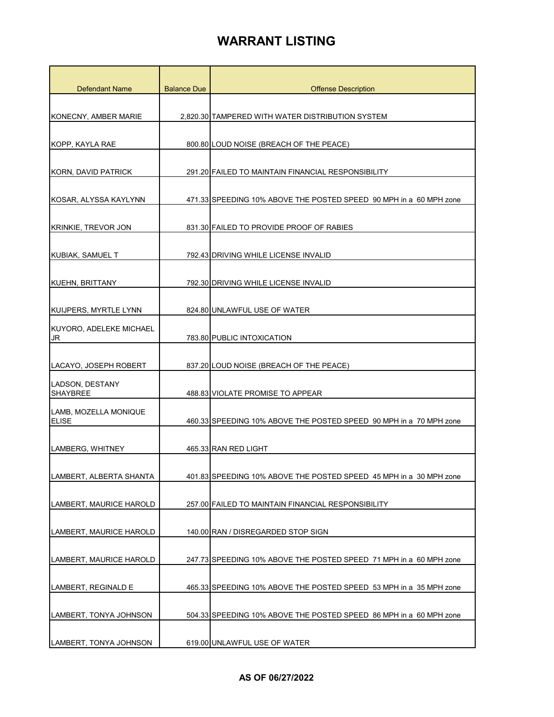| <b>Defendant Name</b>                 | <b>Balance Due</b> | <b>Offense Description</b>                                         |
|---------------------------------------|--------------------|--------------------------------------------------------------------|
|                                       |                    |                                                                    |
| KONECNY, AMBER MARIE                  |                    | 2.820.30 TAMPERED WITH WATER DISTRIBUTION SYSTEM                   |
|                                       |                    |                                                                    |
| KOPP, KAYLA RAE                       |                    | 800.80 LOUD NOISE (BREACH OF THE PEACE)                            |
| KORN, DAVID PATRICK                   |                    | 291.20 FAILED TO MAINTAIN FINANCIAL RESPONSIBILITY                 |
| KOSAR, ALYSSA KAYLYNN                 |                    | 471.33 SPEEDING 10% ABOVE THE POSTED SPEED 90 MPH in a 60 MPH zone |
| KRINKIE, TREVOR JON                   |                    | 831.30 FAILED TO PROVIDE PROOF OF RABIES                           |
| KUBIAK, SAMUEL T                      |                    | 792.43 DRIVING WHILE LICENSE INVALID                               |
| KUEHN, BRITTANY                       |                    | 792.30 DRIVING WHILE LICENSE INVALID                               |
| KUIJPERS, MYRTLE LYNN                 |                    | 824.80 UNLAWFUL USE OF WATER                                       |
| KUYORO, ADELEKE MICHAEL<br>JR         |                    | 783.80 PUBLIC INTOXICATION                                         |
| LACAYO, JOSEPH ROBERT                 |                    | 837.20 LOUD NOISE (BREACH OF THE PEACE)                            |
| LADSON, DESTANY<br><b>SHAYBREE</b>    |                    | 488.83 VIOLATE PROMISE TO APPEAR                                   |
| LAMB, MOZELLA MONIQUE<br><b>ELISE</b> |                    | 460.33 SPEEDING 10% ABOVE THE POSTED SPEED 90 MPH in a 70 MPH zone |
| LAMBERG, WHITNEY                      |                    | 465.33 RAN RED LIGHT                                               |
| LAMBERT, ALBERTA SHANTA               |                    | 401.83 SPEEDING 10% ABOVE THE POSTED SPEED 45 MPH in a 30 MPH zone |
| LAMBERT, MAURICE HAROLD               |                    | 257.00 FAILED TO MAINTAIN FINANCIAL RESPONSIBILITY                 |
| LAMBERT, MAURICE HAROLD               |                    | 140.00 RAN / DISREGARDED STOP SIGN                                 |
| LAMBERT, MAURICE HAROLD               |                    | 247.73 SPEEDING 10% ABOVE THE POSTED SPEED 71 MPH in a 60 MPH zone |
| LAMBERT, REGINALD E                   |                    | 465.33 SPEEDING 10% ABOVE THE POSTED SPEED 53 MPH in a 35 MPH zone |
| LAMBERT, TONYA JOHNSON                |                    | 504.33 SPEEDING 10% ABOVE THE POSTED SPEED 86 MPH in a 60 MPH zone |
| LAMBERT, TONYA JOHNSON                |                    | 619.00 UNLAWFUL USE OF WATER                                       |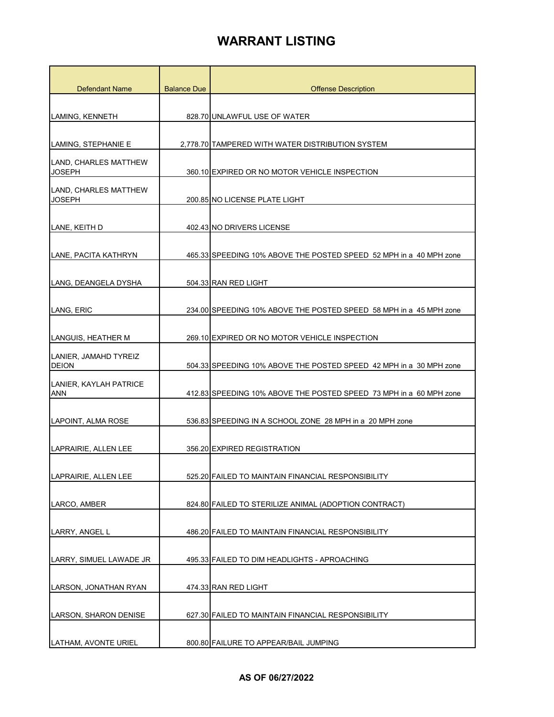| <b>Defendant Name</b>                  | <b>Balance Due</b> | <b>Offense Description</b>                                         |
|----------------------------------------|--------------------|--------------------------------------------------------------------|
|                                        |                    |                                                                    |
| LAMING, KENNETH                        |                    | 828.70 UNLAWFUL USE OF WATER                                       |
|                                        |                    |                                                                    |
| LAMING, STEPHANIE E                    |                    | 2.778.70 TAMPERED WITH WATER DISTRIBUTION SYSTEM                   |
| LAND, CHARLES MATTHEW<br><b>JOSEPH</b> |                    | 360.10 EXPIRED OR NO MOTOR VEHICLE INSPECTION                      |
| LAND, CHARLES MATTHEW<br><b>JOSEPH</b> |                    | 200.85 NO LICENSE PLATE LIGHT                                      |
| LANE, KEITH D                          |                    | 402.43 NO DRIVERS LICENSE                                          |
| LANE, PACITA KATHRYN                   |                    | 465.33 SPEEDING 10% ABOVE THE POSTED SPEED 52 MPH in a 40 MPH zone |
| LANG, DEANGELA DYSHA                   |                    | 504.33 RAN RED LIGHT                                               |
| LANG, ERIC                             |                    | 234.00 SPEEDING 10% ABOVE THE POSTED SPEED 58 MPH in a 45 MPH zone |
| LANGUIS, HEATHER M                     |                    | 269.10 EXPIRED OR NO MOTOR VEHICLE INSPECTION                      |
| LANIER, JAMAHD TYREIZ<br><b>DEION</b>  |                    | 504.33 SPEEDING 10% ABOVE THE POSTED SPEED 42 MPH in a 30 MPH zone |
| LANIER, KAYLAH PATRICE<br>ANN          |                    | 412.83 SPEEDING 10% ABOVE THE POSTED SPEED 73 MPH in a 60 MPH zone |
| LAPOINT, ALMA ROSE                     |                    | 536.83 SPEEDING IN A SCHOOL ZONE 28 MPH in a 20 MPH zone           |
| LAPRAIRIE, ALLEN LEE                   |                    | 356.20 EXPIRED REGISTRATION                                        |
| LAPRAIRIE, ALLEN LEE                   |                    | 525.20 FAILED TO MAINTAIN FINANCIAL RESPONSIBILITY                 |
| LARCO, AMBER                           |                    | 824.80 FAILED TO STERILIZE ANIMAL (ADOPTION CONTRACT)              |
| LARRY, ANGEL L                         |                    | 486.20 FAILED TO MAINTAIN FINANCIAL RESPONSIBILITY                 |
| LARRY, SIMUEL LAWADE JR                |                    | 495.33 FAILED TO DIM HEADLIGHTS - APROACHING                       |
| LARSON, JONATHAN RYAN                  |                    | 474.33 RAN RED LIGHT                                               |
| LARSON, SHARON DENISE                  |                    | 627.30 FAILED TO MAINTAIN FINANCIAL RESPONSIBILITY                 |
| LATHAM, AVONTE URIEL                   |                    | 800.80 FAILURE TO APPEAR/BAIL JUMPING                              |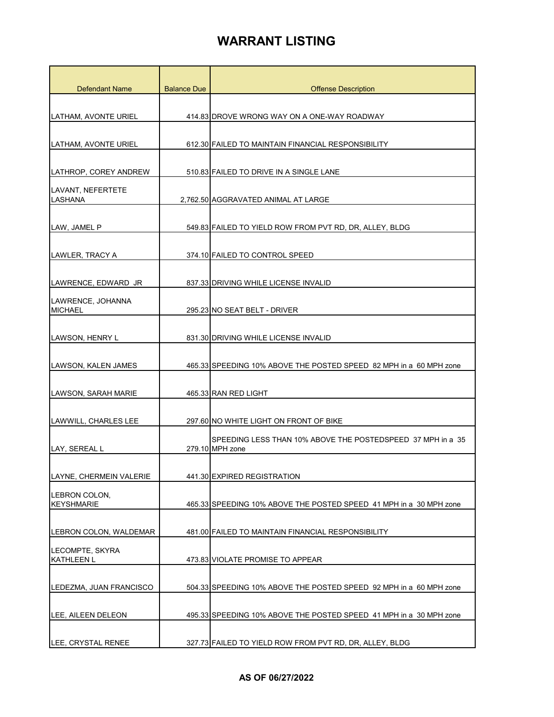| <b>Defendant Name</b>                | <b>Balance Due</b> | <b>Offense Description</b>                                                     |
|--------------------------------------|--------------------|--------------------------------------------------------------------------------|
|                                      |                    |                                                                                |
| LATHAM, AVONTE URIEL                 |                    | 414.83 DROVE WRONG WAY ON A ONE-WAY ROADWAY                                    |
|                                      |                    |                                                                                |
| LATHAM, AVONTE URIEL                 |                    | 612.30 FAILED TO MAINTAIN FINANCIAL RESPONSIBILITY                             |
| LATHROP, COREY ANDREW                |                    | 510.83 FAILED TO DRIVE IN A SINGLE LANE                                        |
| LAVANT, NEFERTETE<br><b>LASHANA</b>  |                    | 2.762.50 AGGRAVATED ANIMAL AT LARGE                                            |
|                                      |                    |                                                                                |
| LAW, JAMEL P                         |                    | 549.83 FAILED TO YIELD ROW FROM PVT RD, DR, ALLEY, BLDG                        |
| <b>LAWLER, TRACY A</b>               |                    | 374.10 FAILED TO CONTROL SPEED                                                 |
| LAWRENCE, EDWARD JR                  |                    | 837.33 DRIVING WHILE LICENSE INVALID                                           |
| LAWRENCE, JOHANNA                    |                    |                                                                                |
| <b>MICHAEL</b>                       |                    | 295.23 NO SEAT BELT - DRIVER                                                   |
|                                      |                    |                                                                                |
| LAWSON, HENRY L                      |                    | 831.30 DRIVING WHILE LICENSE INVALID                                           |
| LAWSON, KALEN JAMES                  |                    | 465.33 SPEEDING 10% ABOVE THE POSTED SPEED 82 MPH in a 60 MPH zone             |
| <b>LAWSON, SARAH MARIE</b>           |                    | 465.33 RAN RED LIGHT                                                           |
| LAWWILL, CHARLES LEE                 |                    | 297.60 NO WHITE LIGHT ON FRONT OF BIKE                                         |
| LAY, SEREAL L                        |                    | SPEEDING LESS THAN 10% ABOVE THE POSTEDSPEED 37 MPH in a 35<br>279.10 MPH zone |
|                                      |                    |                                                                                |
| LAYNE, CHERMEIN VALERIE              |                    | 441.30 EXPIRED REGISTRATION                                                    |
| LEBRON COLON,<br><b>KEYSHMARIE</b>   |                    | 465.33 SPEEDING 10% ABOVE THE POSTED SPEED 41 MPH in a 30 MPH zone             |
|                                      |                    |                                                                                |
| LEBRON COLON, WALDEMAR               |                    | 481.00 FAILED TO MAINTAIN FINANCIAL RESPONSIBILITY                             |
| LECOMPTE, SKYRA<br><b>KATHLEEN L</b> |                    | 473.83 VIOLATE PROMISE TO APPEAR                                               |
|                                      |                    |                                                                                |
| LEDEZMA, JUAN FRANCISCO              |                    | 504.33 SPEEDING 10% ABOVE THE POSTED SPEED 92 MPH in a 60 MPH zone             |
| LEE, AILEEN DELEON                   |                    | 495.33 SPEEDING 10% ABOVE THE POSTED SPEED 41 MPH in a 30 MPH zone             |
| LEE, CRYSTAL RENEE                   |                    | 327.73 FAILED TO YIELD ROW FROM PVT RD, DR, ALLEY, BLDG                        |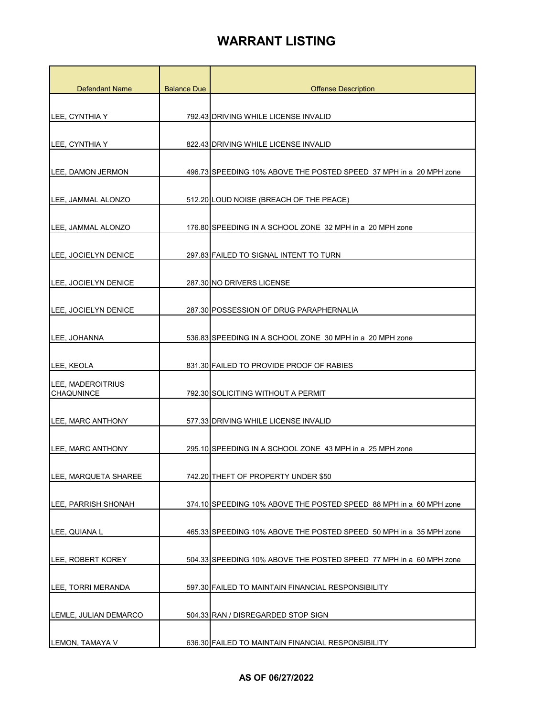| <b>Defendant Name</b>                  | <b>Balance Due</b> | <b>Offense Description</b>                                         |
|----------------------------------------|--------------------|--------------------------------------------------------------------|
|                                        |                    |                                                                    |
| LEE, CYNTHIA Y                         |                    | 792.43 DRIVING WHILE LICENSE INVALID                               |
| LEE, CYNTHIA Y                         |                    | 822.43 DRIVING WHILE LICENSE INVALID                               |
|                                        |                    |                                                                    |
| LEE, DAMON JERMON                      |                    | 496.73 SPEEDING 10% ABOVE THE POSTED SPEED 37 MPH in a 20 MPH zone |
| LEE, JAMMAL ALONZO                     |                    | 512.20 LOUD NOISE (BREACH OF THE PEACE)                            |
| LEE, JAMMAL ALONZO                     |                    | 176.80 SPEEDING IN A SCHOOL ZONE 32 MPH in a 20 MPH zone           |
| LEE, JOCIELYN DENICE                   |                    | 297.83 FAILED TO SIGNAL INTENT TO TURN                             |
| LEE, JOCIELYN DENICE                   |                    | 287.30 NO DRIVERS LICENSE                                          |
| LEE, JOCIELYN DENICE                   |                    | 287.30 POSSESSION OF DRUG PARAPHERNALIA                            |
|                                        |                    |                                                                    |
| LEE, JOHANNA                           |                    | 536.83 SPEEDING IN A SCHOOL ZONE 30 MPH in a 20 MPH zone           |
| LEE, KEOLA                             |                    | 831.30 FAILED TO PROVIDE PROOF OF RABIES                           |
| LEE, MADEROITRIUS<br><b>CHAQUNINCE</b> |                    | 792.30 SOLICITING WITHOUT A PERMIT                                 |
| LEE, MARC ANTHONY                      |                    | 577.33 DRIVING WHILE LICENSE INVALID                               |
| LEE, MARC ANTHONY                      |                    | 295.10 SPEEDING IN A SCHOOL ZONE 43 MPH in a 25 MPH zone           |
| LEE, MARQUETA SHAREE                   |                    | 742.20 THEFT OF PROPERTY UNDER \$50                                |
| LEE, PARRISH SHONAH                    |                    | 374.10 SPEEDING 10% ABOVE THE POSTED SPEED 88 MPH in a 60 MPH zone |
| LEE, QUIANA L                          |                    | 465.33 SPEEDING 10% ABOVE THE POSTED SPEED 50 MPH in a 35 MPH zone |
| LEE, ROBERT KOREY                      |                    | 504.33 SPEEDING 10% ABOVE THE POSTED SPEED 77 MPH in a 60 MPH zone |
| LEE, TORRI MERANDA                     |                    | 597.30 FAILED TO MAINTAIN FINANCIAL RESPONSIBILITY                 |
|                                        |                    |                                                                    |
| LEMLE, JULIAN DEMARCO                  |                    | 504.33 RAN / DISREGARDED STOP SIGN                                 |
| LEMON, TAMAYA V                        |                    | 636.30 FAILED TO MAINTAIN FINANCIAL RESPONSIBILITY                 |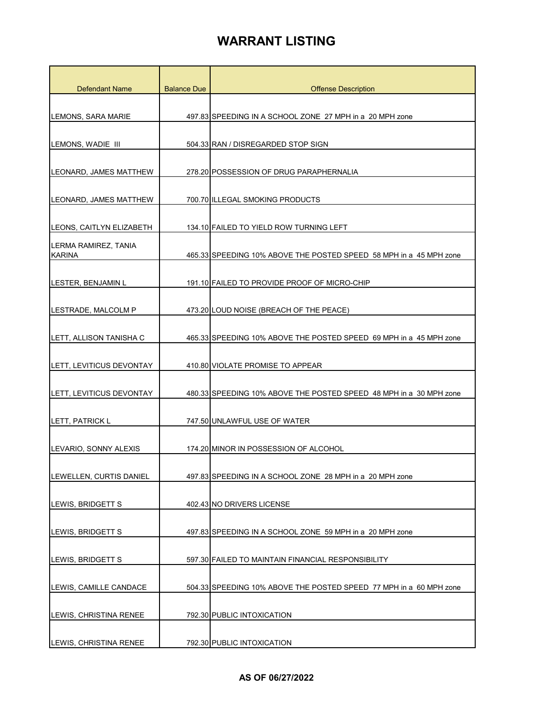| <b>Defendant Name</b>                 | <b>Balance Due</b> | <b>Offense Description</b>                                         |
|---------------------------------------|--------------------|--------------------------------------------------------------------|
|                                       |                    |                                                                    |
| LEMONS, SARA MARIE                    |                    | 497.83 SPEEDING IN A SCHOOL ZONE 27 MPH in a 20 MPH zone           |
|                                       |                    |                                                                    |
| LEMONS, WADIE III                     |                    | 504.33 RAN / DISREGARDED STOP SIGN                                 |
| LEONARD, JAMES MATTHEW                |                    | 278.20 POSSESSION OF DRUG PARAPHERNALIA                            |
| LEONARD, JAMES MATTHEW                |                    | 700.70 ILLEGAL SMOKING PRODUCTS                                    |
| ILEONS, CAITLYN ELIZABETH             |                    | 134.10 FAILED TO YIELD ROW TURNING LEFT                            |
| LERMA RAMIREZ, TANIA<br><b>KARINA</b> |                    | 465.33 SPEEDING 10% ABOVE THE POSTED SPEED 58 MPH in a 45 MPH zone |
| LESTER, BENJAMIN L                    |                    | 191.10 FAILED TO PROVIDE PROOF OF MICRO-CHIP                       |
| LESTRADE, MALCOLM P                   |                    | 473.20 LOUD NOISE (BREACH OF THE PEACE)                            |
| LETT, ALLISON TANISHA C               |                    | 465.33 SPEEDING 10% ABOVE THE POSTED SPEED 69 MPH in a 45 MPH zone |
| LETT, LEVITICUS DEVONTAY              |                    | 410.80 VIOLATE PROMISE TO APPEAR                                   |
| LETT, LEVITICUS DEVONTAY              |                    | 480.33 SPEEDING 10% ABOVE THE POSTED SPEED 48 MPH in a 30 MPH zone |
| LETT, PATRICK L                       |                    | 747.50 UNLAWFUL USE OF WATER                                       |
| LEVARIO, SONNY ALEXIS                 |                    | 174.20 MINOR IN POSSESSION OF ALCOHOL                              |
| LEWELLEN, CURTIS DANIEL               |                    | 497.83 SPEEDING IN A SCHOOL ZONE 28 MPH in a 20 MPH zone           |
| LEWIS, BRIDGETT S                     |                    | 402.43 NO DRIVERS LICENSE                                          |
| LEWIS, BRIDGETT S                     |                    | 497.83 SPEEDING IN A SCHOOL ZONE 59 MPH in a 20 MPH zone           |
| LEWIS, BRIDGETT S                     |                    | 597.30 FAILED TO MAINTAIN FINANCIAL RESPONSIBILITY                 |
| LEWIS, CAMILLE CANDACE                |                    | 504.33 SPEEDING 10% ABOVE THE POSTED SPEED 77 MPH in a 60 MPH zone |
| LEWIS, CHRISTINA RENEE                |                    | 792.30 PUBLIC INTOXICATION                                         |
| LEWIS, CHRISTINA RENEE                |                    | 792.30 PUBLIC INTOXICATION                                         |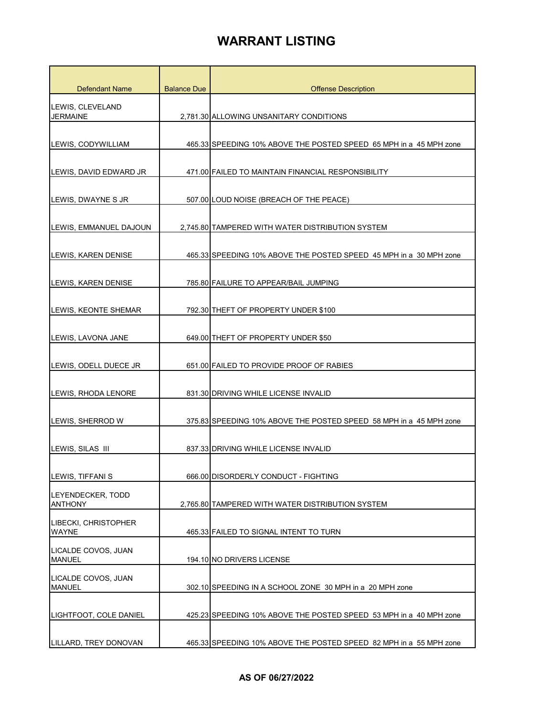| Defendant Name                       | <b>Balance Due</b> | <b>Offense Description</b>                                         |
|--------------------------------------|--------------------|--------------------------------------------------------------------|
| LEWIS, CLEVELAND<br><b>JERMAINE</b>  |                    | 2,781.30 ALLOWING UNSANITARY CONDITIONS                            |
| LEWIS, CODYWILLIAM                   |                    | 465.33 SPEEDING 10% ABOVE THE POSTED SPEED 65 MPH in a 45 MPH zone |
| LEWIS, DAVID EDWARD JR               |                    | 471.00 FAILED TO MAINTAIN FINANCIAL RESPONSIBILITY                 |
| LEWIS, DWAYNE S JR                   |                    | 507.00 LOUD NOISE (BREACH OF THE PEACE)                            |
| LEWIS, EMMANUEL DAJOUN               |                    | 2.745.80 TAMPERED WITH WATER DISTRIBUTION SYSTEM                   |
| LEWIS, KAREN DENISE                  |                    | 465.33 SPEEDING 10% ABOVE THE POSTED SPEED 45 MPH in a 30 MPH zone |
| LEWIS, KAREN DENISE                  |                    | 785.80 FAILURE TO APPEAR/BAIL JUMPING                              |
| LEWIS, KEONTE SHEMAR                 |                    | 792.30 THEFT OF PROPERTY UNDER \$100                               |
| LEWIS, LAVONA JANE                   |                    | 649.00 THEFT OF PROPERTY UNDER \$50                                |
| LEWIS, ODELL DUECE JR                |                    | 651.00 FAILED TO PROVIDE PROOF OF RABIES                           |
| LEWIS, RHODA LENORE                  |                    | 831.30 DRIVING WHILE LICENSE INVALID                               |
| LEWIS, SHERROD W                     |                    | 375.83 SPEEDING 10% ABOVE THE POSTED SPEED 58 MPH in a 45 MPH zone |
| LEWIS, SILAS III                     |                    | 837.33 DRIVING WHILE LICENSE INVALID                               |
| LEWIS, TIFFANI S                     |                    | 666.00 DISORDERLY CONDUCT - FIGHTING                               |
| LEYENDECKER, TODD<br><b>ANTHONY</b>  |                    | 2,765.80 TAMPERED WITH WATER DISTRIBUTION SYSTEM                   |
| LIBECKI, CHRISTOPHER<br><b>WAYNE</b> |                    | 465.33 FAILED TO SIGNAL INTENT TO TURN                             |
| LICALDE COVOS, JUAN<br><b>MANUEL</b> |                    | 194.10 NO DRIVERS LICENSE                                          |
| LICALDE COVOS, JUAN<br><b>MANUEL</b> |                    | 302.10 SPEEDING IN A SCHOOL ZONE 30 MPH in a 20 MPH zone           |
| LIGHTFOOT, COLE DANIEL               |                    | 425.23 SPEEDING 10% ABOVE THE POSTED SPEED 53 MPH in a 40 MPH zone |
| LILLARD, TREY DONOVAN                |                    | 465.33 SPEEDING 10% ABOVE THE POSTED SPEED 82 MPH in a 55 MPH zone |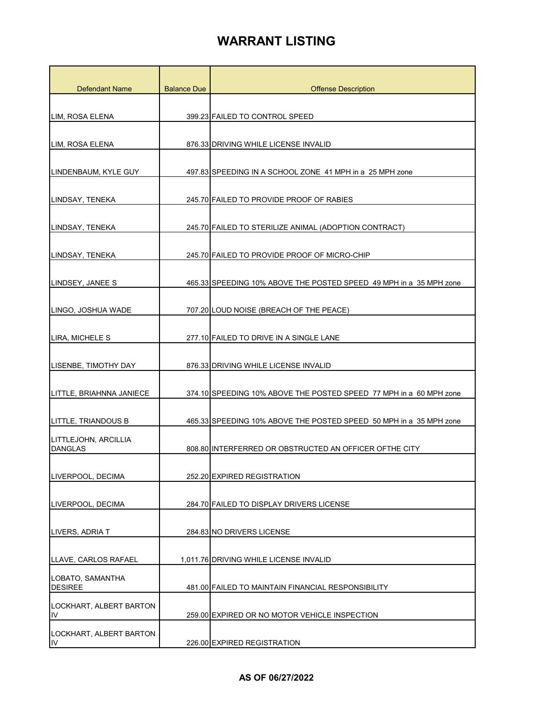| <b>Defendant Name</b>                  | <b>Balance Due</b> | <b>Offense Description</b>                                         |
|----------------------------------------|--------------------|--------------------------------------------------------------------|
|                                        |                    |                                                                    |
| LIM, ROSA ELENA                        |                    | 399.23 FAILED TO CONTROL SPEED                                     |
| LIM, ROSA ELENA                        |                    | 876.33 DRIVING WHILE LICENSE INVALID                               |
|                                        |                    |                                                                    |
| ILINDENBAUM, KYLE GUY                  |                    | 497.83 SPEEDING IN A SCHOOL ZONE 41 MPH in a 25 MPH zone           |
| LINDSAY, TENEKA                        |                    | 245.70 FAILED TO PROVIDE PROOF OF RABIES                           |
| LINDSAY, TENEKA                        |                    | 245.70 FAILED TO STERILIZE ANIMAL (ADOPTION CONTRACT)              |
| LINDSAY, TENEKA                        |                    | 245.70 FAILED TO PROVIDE PROOF OF MICRO-CHIP                       |
| LINDSEY, JANEE S                       |                    | 465.33 SPEEDING 10% ABOVE THE POSTED SPEED 49 MPH in a 35 MPH zone |
| LINGO, JOSHUA WADE                     |                    | 707.20 LOUD NOISE (BREACH OF THE PEACE)                            |
| LIRA, MICHELE S                        |                    | 277.10 FAILED TO DRIVE IN A SINGLE LANE                            |
| LISENBE, TIMOTHY DAY                   |                    | 876.33 DRIVING WHILE LICENSE INVALID                               |
| LITTLE, BRIAHNNA JANIECE               |                    | 374.10 SPEEDING 10% ABOVE THE POSTED SPEED 77 MPH in a 60 MPH zone |
| ILITTLE, TRIANDOUS B                   |                    | 465.33 SPEEDING 10% ABOVE THE POSTED SPEED 50 MPH in a 35 MPH zone |
| LITTLEJOHN, ARCILLIA<br><b>DANGLAS</b> |                    | 808.80 INTERFERRED OR OBSTRUCTED AN OFFICER OFTHE CITY             |
| LIVERPOOL, DECIMA                      |                    | 252.20 EXPIRED REGISTRATION                                        |
| LIVERPOOL, DECIMA                      |                    | 284.70 FAILED TO DISPLAY DRIVERS LICENSE                           |
| LIVERS, ADRIA T                        |                    | 284.83 NO DRIVERS LICENSE                                          |
| LLAVE, CARLOS RAFAEL                   |                    | 1,011.76 DRIVING WHILE LICENSE INVALID                             |
| LOBATO, SAMANTHA<br><b>DESIREE</b>     |                    | 481.00 FAILED TO MAINTAIN FINANCIAL RESPONSIBILITY                 |
| LOCKHART, ALBERT BARTON<br>IV          |                    | 259.00 EXPIRED OR NO MOTOR VEHICLE INSPECTION                      |
| LOCKHART, ALBERT BARTON<br>IV          |                    | 226.00 EXPIRED REGISTRATION                                        |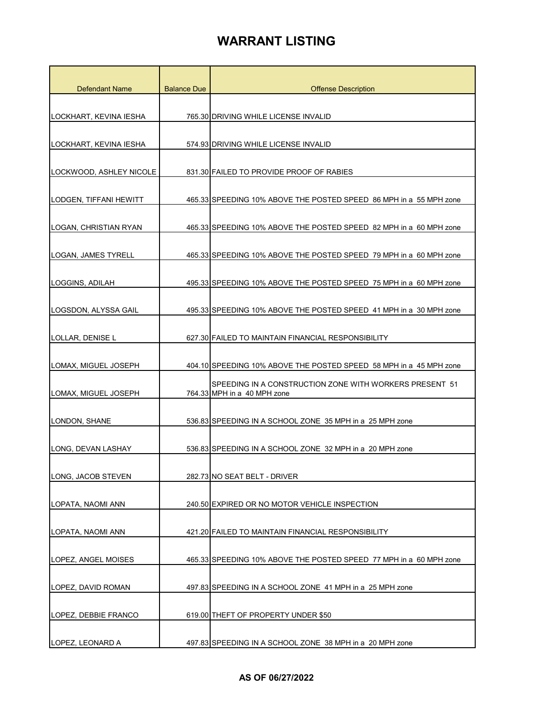| <b>Defendant Name</b>      | <b>Balance Due</b> | <b>Offense Description</b>                                                             |
|----------------------------|--------------------|----------------------------------------------------------------------------------------|
|                            |                    |                                                                                        |
| LOCKHART, KEVINA IESHA     |                    | 765.30 DRIVING WHILE LICENSE INVALID                                                   |
| LOCKHART, KEVINA IESHA     |                    | 574.93 DRIVING WHILE LICENSE INVALID                                                   |
|                            |                    |                                                                                        |
| LOCKWOOD. ASHLEY NICOLE    |                    | 831.30 FAILED TO PROVIDE PROOF OF RABIES                                               |
| LODGEN, TIFFANI HEWITT     |                    | 465.33 SPEEDING 10% ABOVE THE POSTED SPEED 86 MPH in a 55 MPH zone                     |
| LOGAN, CHRISTIAN RYAN      |                    | 465.33 SPEEDING 10% ABOVE THE POSTED SPEED 82 MPH in a 60 MPH zone                     |
| <b>LOGAN, JAMES TYRELL</b> |                    | 465.33 SPEEDING 10% ABOVE THE POSTED SPEED 79 MPH in a 60 MPH zone                     |
| LOGGINS, ADILAH            |                    | 495.33 SPEEDING 10% ABOVE THE POSTED SPEED 75 MPH in a 60 MPH zone                     |
| LOGSDON, ALYSSA GAIL       |                    | 495.33 SPEEDING 10% ABOVE THE POSTED SPEED 41 MPH in a 30 MPH zone                     |
| LOLLAR, DENISE L           |                    | 627.30 FAILED TO MAINTAIN FINANCIAL RESPONSIBILITY                                     |
| LOMAX, MIGUEL JOSEPH       |                    | 404.10 SPEEDING 10% ABOVE THE POSTED SPEED 58 MPH in a 45 MPH zone                     |
| LOMAX, MIGUEL JOSEPH       |                    | SPEEDING IN A CONSTRUCTION ZONE WITH WORKERS PRESENT 51<br>764.33 MPH in a 40 MPH zone |
| LONDON, SHANE              |                    | 536.83 SPEEDING IN A SCHOOL ZONE 35 MPH in a 25 MPH zone                               |
| LONG, DEVAN LASHAY         |                    | 536.83 SPEEDING IN A SCHOOL ZONE 32 MPH in a 20 MPH zone                               |
| LONG, JACOB STEVEN         |                    | 282.73 NO SEAT BELT - DRIVER                                                           |
| LOPATA, NAOMI ANN          |                    | 240.50 EXPIRED OR NO MOTOR VEHICLE INSPECTION                                          |
| LOPATA, NAOMI ANN          |                    | 421.20 FAILED TO MAINTAIN FINANCIAL RESPONSIBILITY                                     |
| LOPEZ, ANGEL MOISES        |                    | 465.33 SPEEDING 10% ABOVE THE POSTED SPEED 77 MPH in a 60 MPH zone                     |
| LOPEZ, DAVID ROMAN         |                    | 497.83 SPEEDING IN A SCHOOL ZONE 41 MPH in a 25 MPH zone                               |
| LOPEZ, DEBBIE FRANCO       |                    | 619.00 THEFT OF PROPERTY UNDER \$50                                                    |
| LOPEZ, LEONARD A           |                    | 497.83 SPEEDING IN A SCHOOL ZONE 38 MPH in a 20 MPH zone                               |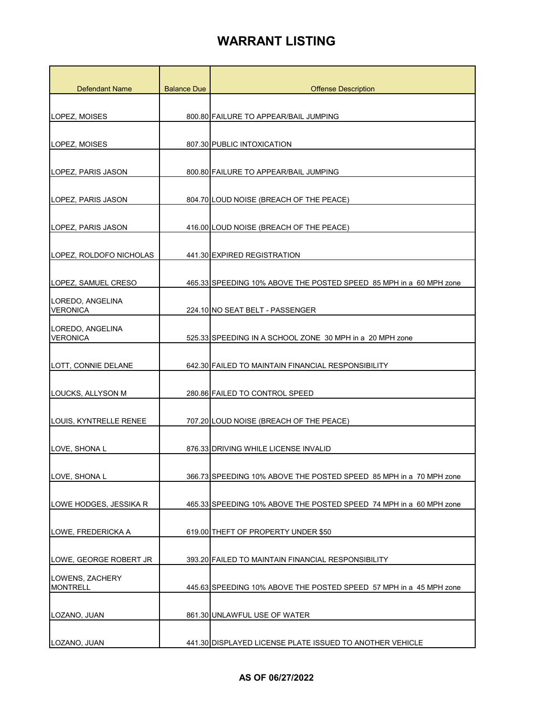| <b>Defendant Name</b>               | <b>Balance Due</b> | <b>Offense Description</b>                                                       |
|-------------------------------------|--------------------|----------------------------------------------------------------------------------|
|                                     |                    |                                                                                  |
| LOPEZ, MOISES                       |                    | 800.80 FAILURE TO APPEAR/BAIL JUMPING                                            |
|                                     |                    |                                                                                  |
| LOPEZ, MOISES                       |                    | 807.30 PUBLIC INTOXICATION                                                       |
| LOPEZ, PARIS JASON                  |                    | 800.80 FAILURE TO APPEAR/BAIL JUMPING                                            |
|                                     |                    |                                                                                  |
| LOPEZ, PARIS JASON                  |                    | 804.70 LOUD NOISE (BREACH OF THE PEACE)                                          |
| LOPEZ, PARIS JASON                  |                    | 416.00 LOUD NOISE (BREACH OF THE PEACE)                                          |
|                                     |                    |                                                                                  |
| LOPEZ, ROLDOFO NICHOLAS             |                    | 441.30 EXPIRED REGISTRATION                                                      |
| LOPEZ, SAMUEL CRESO                 |                    | 465.33 SPEEDING 10% ABOVE THE POSTED SPEED 85 MPH in a 60 MPH zone               |
|                                     |                    |                                                                                  |
| LOREDO, ANGELINA<br><b>VERONICA</b> |                    | 224.10 NO SEAT BELT - PASSENGER                                                  |
| LOREDO, ANGELINA                    |                    |                                                                                  |
| <b>VERONICA</b>                     |                    | 525.33 SPEEDING IN A SCHOOL ZONE 30 MPH in a 20 MPH zone                         |
| LOTT, CONNIE DELANE                 |                    | 642.30 FAILED TO MAINTAIN FINANCIAL RESPONSIBILITY                               |
|                                     |                    |                                                                                  |
| LOUCKS, ALLYSON M                   |                    | 280.86 FAILED TO CONTROL SPEED                                                   |
| LOUIS, KYNTRELLE RENEE              |                    | 707.20 LOUD NOISE (BREACH OF THE PEACE)                                          |
|                                     |                    |                                                                                  |
| LOVE, SHONA L                       |                    | 876.33 DRIVING WHILE LICENSE INVALID                                             |
| LOVE, SHONA L                       |                    | 366.73    SPEEDING    10% ABOVE THE POSTED SPEED     85    MPH in a  70 MPH zone |
|                                     |                    |                                                                                  |
| LOWE HODGES, JESSIKA R              |                    | 465.33 SPEEDING 10% ABOVE THE POSTED SPEED 74 MPH in a 60 MPH zone               |
| LOWE, FREDERICKA A                  |                    | 619.00 THEFT OF PROPERTY UNDER \$50                                              |
|                                     |                    |                                                                                  |
| LOWE, GEORGE ROBERT JR              |                    | 393.20 FAILED TO MAINTAIN FINANCIAL RESPONSIBILITY                               |
| LOWENS, ZACHERY                     |                    |                                                                                  |
| <b>MONTRELL</b>                     |                    | 445.63 SPEEDING 10% ABOVE THE POSTED SPEED 57 MPH in a 45 MPH zone               |
| LOZANO, JUAN                        |                    | 861.30 UNLAWFUL USE OF WATER                                                     |
|                                     |                    |                                                                                  |
| LOZANO, JUAN                        |                    | 441.30 DISPLAYED LICENSE PLATE ISSUED TO ANOTHER VEHICLE                         |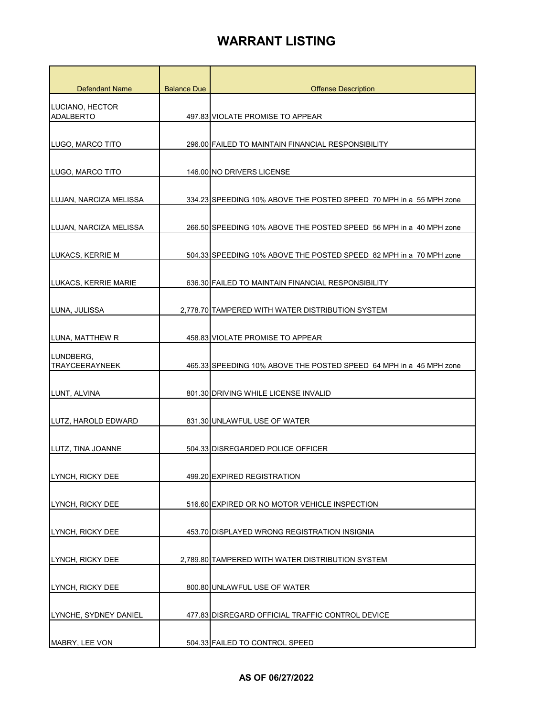| Defendant Name                      | <b>Balance Due</b> | <b>Offense Description</b>                                         |
|-------------------------------------|--------------------|--------------------------------------------------------------------|
| LUCIANO, HECTOR<br><b>ADALBERTO</b> |                    | 497.83 VIOLATE PROMISE TO APPEAR                                   |
| LUGO, MARCO TITO                    |                    | 296.00 FAILED TO MAINTAIN FINANCIAL RESPONSIBILITY                 |
| LUGO, MARCO TITO                    |                    | 146,00 INO DRIVERS LICENSE                                         |
| LUJAN, NARCIZA MELISSA              |                    | 334.23 SPEEDING 10% ABOVE THE POSTED SPEED 70 MPH in a 55 MPH zone |
| LUJAN, NARCIZA MELISSA              |                    | 266.50 SPEEDING 10% ABOVE THE POSTED SPEED 56 MPH in a 40 MPH zone |
| <b>LUKACS, KERRIE M</b>             |                    | 504.33 SPEEDING 10% ABOVE THE POSTED SPEED 82 MPH in a 70 MPH zone |
| LUKACS, KERRIE MARIE                |                    | 636.30 FAILED TO MAINTAIN FINANCIAL RESPONSIBILITY                 |
| LUNA, JULISSA                       |                    | 2,778.70 TAMPERED WITH WATER DISTRIBUTION SYSTEM                   |
| LUNA, MATTHEW R                     |                    | 458.83 VIOLATE PROMISE TO APPEAR                                   |
| LUNDBERG,<br><b>TRAYCEERAYNEEK</b>  |                    | 465.33 SPEEDING 10% ABOVE THE POSTED SPEED 64 MPH in a 45 MPH zone |
| LUNT, ALVINA                        |                    | 801.30 DRIVING WHILE LICENSE INVALID                               |
| LUTZ, HAROLD EDWARD                 |                    | 831.30 UNLAWFUL USE OF WATER                                       |
| LUTZ, TINA JOANNE                   |                    | 504.33 DISREGARDED POLICE OFFICER                                  |
| LYNCH, RICKY DEE                    |                    | 499.20 EXPIRED REGISTRATION                                        |
| LYNCH, RICKY DEE                    |                    | 516.60 EXPIRED OR NO MOTOR VEHICLE INSPECTION                      |
| LYNCH, RICKY DEE                    |                    | 453.70 DISPLAYED WRONG REGISTRATION INSIGNIA                       |
| LYNCH, RICKY DEE                    |                    | 2,789.80 TAMPERED WITH WATER DISTRIBUTION SYSTEM                   |
| LYNCH, RICKY DEE                    |                    | 800.80 UNLAWFUL USE OF WATER                                       |
| LYNCHE, SYDNEY DANIEL               |                    | 477.83 DISREGARD OFFICIAL TRAFFIC CONTROL DEVICE                   |
| MABRY, LEE VON                      |                    | 504.33 FAILED TO CONTROL SPEED                                     |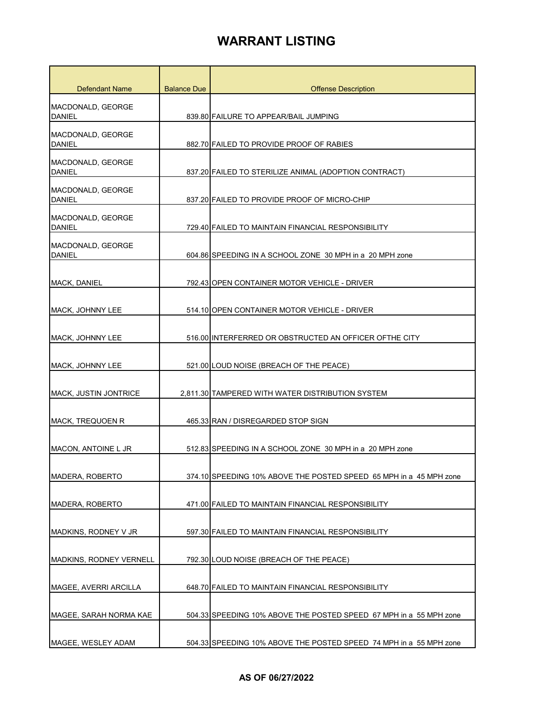| Defendant Name                            | <b>Balance Due</b> | <b>Offense Description</b>                                         |
|-------------------------------------------|--------------------|--------------------------------------------------------------------|
| MACDONALD, GEORGE<br><b>DANIEL</b>        |                    | 839.80 FAILURE TO APPEAR/BAIL JUMPING                              |
| MACDONALD, GEORGE<br><b>DANIEL</b>        |                    | 882.70 FAILED TO PROVIDE PROOF OF RABIES                           |
| MACDONALD, GEORGE<br><b>DANIEL</b>        |                    | 837.20 FAILED TO STERILIZE ANIMAL (ADOPTION CONTRACT)              |
| <b>MACDONALD, GEORGE</b><br><b>DANIEL</b> |                    | 837.20 FAILED TO PROVIDE PROOF OF MICRO-CHIP                       |
| MACDONALD, GEORGE<br><b>DANIEL</b>        |                    | 729.40 FAILED TO MAINTAIN FINANCIAL RESPONSIBILITY                 |
| <b>MACDONALD, GEORGE</b><br><b>DANIEL</b> |                    | 604.86 SPEEDING IN A SCHOOL ZONE 30 MPH in a 20 MPH zone           |
| MACK, DANIEL                              |                    | 792.43 OPEN CONTAINER MOTOR VEHICLE - DRIVER                       |
| <b>MACK, JOHNNY LEE</b>                   |                    | 514.10 OPEN CONTAINER MOTOR VEHICLE - DRIVER                       |
| MACK, JOHNNY LEE                          |                    | 516.00 INTERFERRED OR OBSTRUCTED AN OFFICER OFTHE CITY             |
| MACK, JOHNNY LEE                          |                    | 521.00 LOUD NOISE (BREACH OF THE PEACE)                            |
| <b>MACK, JUSTIN JONTRICE</b>              |                    | 2,811.30 TAMPERED WITH WATER DISTRIBUTION SYSTEM                   |
| <b>MACK, TREQUOEN R</b>                   |                    | 465.33 RAN / DISREGARDED STOP SIGN                                 |
| <b>MACON, ANTOINE L JR</b>                |                    | 512.83 SPEEDING IN A SCHOOL ZONE 30 MPH in a 20 MPH zone           |
| MADERA, ROBERTO                           |                    | 374.10 SPEEDING 10% ABOVE THE POSTED SPEED 65 MPH in a 45 MPH zone |
| MADERA, ROBERTO                           |                    | 471.00 FAILED TO MAINTAIN FINANCIAL RESPONSIBILITY                 |
| MADKINS, RODNEY V JR                      |                    | 597.30 FAILED TO MAINTAIN FINANCIAL RESPONSIBILITY                 |
| MADKINS, RODNEY VERNELL                   |                    | 792.30 LOUD NOISE (BREACH OF THE PEACE)                            |
| <b>MAGEE, AVERRI ARCILLA</b>              |                    | 648.70 FAILED TO MAINTAIN FINANCIAL RESPONSIBILITY                 |
| MAGEE, SARAH NORMA KAE                    |                    | 504.33 SPEEDING 10% ABOVE THE POSTED SPEED 67 MPH in a 55 MPH zone |
| MAGEE, WESLEY ADAM                        |                    | 504.33 SPEEDING 10% ABOVE THE POSTED SPEED 74 MPH in a 55 MPH zone |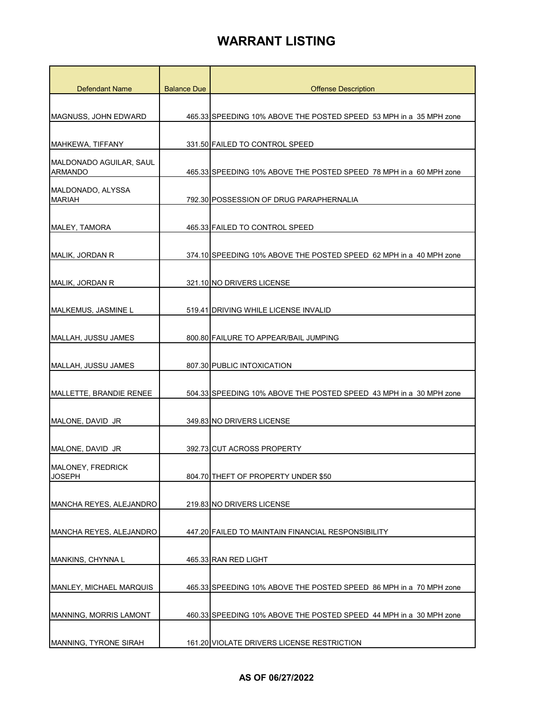| <b>Defendant Name</b>                     | <b>Balance Due</b> | <b>Offense Description</b>                                         |
|-------------------------------------------|--------------------|--------------------------------------------------------------------|
| MAGNUSS, JOHN EDWARD                      |                    | 465.33 SPEEDING 10% ABOVE THE POSTED SPEED 53 MPH in a 35 MPH zone |
| MAHKEWA, TIFFANY                          |                    | 331.50 FAILED TO CONTROL SPEED                                     |
| MALDONADO AGUILAR, SAUL<br><b>ARMANDO</b> |                    | 465.33 SPEEDING 10% ABOVE THE POSTED SPEED 78 MPH in a 60 MPH zone |
| MALDONADO, ALYSSA<br><b>MARIAH</b>        |                    | 792.30 POSSESSION OF DRUG PARAPHERNALIA                            |
| MALEY, TAMORA                             |                    | 465.33 FAILED TO CONTROL SPEED                                     |
| MALIK, JORDAN R                           |                    | 374.10 SPEEDING 10% ABOVE THE POSTED SPEED 62 MPH in a 40 MPH zone |
| MALIK, JORDAN R                           |                    | 321.10 NO DRIVERS LICENSE                                          |
| MALKEMUS, JASMINE L                       |                    | 519.41 DRIVING WHILE LICENSE INVALID                               |
| MALLAH, JUSSU JAMES                       |                    | 800.80 FAILURE TO APPEAR/BAIL JUMPING                              |
| MALLAH, JUSSU JAMES                       |                    | 807.30 PUBLIC INTOXICATION                                         |
| MALLETTE, BRANDIE RENEE                   |                    | 504.33 SPEEDING 10% ABOVE THE POSTED SPEED 43 MPH in a 30 MPH zone |
| MALONE, DAVID JR                          |                    | 349.83 NO DRIVERS LICENSE                                          |
| MALONE, DAVID JR                          |                    | 392.73 CUT ACROSS PROPERTY                                         |
| MALONEY, FREDRICK<br><b>JOSEPH</b>        |                    | 804.70 THEFT OF PROPERTY UNDER \$50                                |
| MANCHA REYES, ALEJANDRO                   |                    | 219.83 NO DRIVERS LICENSE                                          |
| MANCHA REYES, ALEJANDRO                   |                    | 447.20 FAILED TO MAINTAIN FINANCIAL RESPONSIBILITY                 |
| MANKINS, CHYNNA L                         |                    | 465.33 RAN RED LIGHT                                               |
| <b>MANLEY, MICHAEL MARQUIS</b>            |                    | 465.33 SPEEDING 10% ABOVE THE POSTED SPEED 86 MPH in a 70 MPH zone |
| <b>MANNING, MORRIS LAMONT</b>             |                    | 460.33 SPEEDING 10% ABOVE THE POSTED SPEED 44 MPH in a 30 MPH zone |
| MANNING, TYRONE SIRAH                     |                    | 161.20 VIOLATE DRIVERS LICENSE RESTRICTION                         |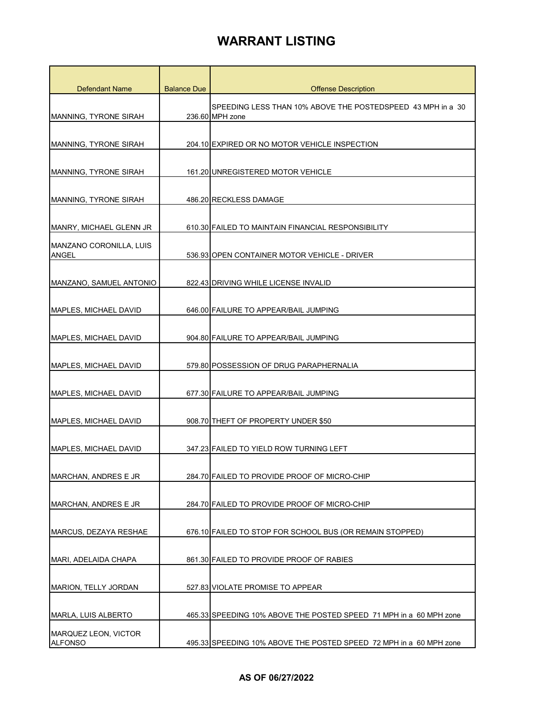| Defendant Name                          | <b>Balance Due</b> | <b>Offense Description</b>                                                     |
|-----------------------------------------|--------------------|--------------------------------------------------------------------------------|
| MANNING, TYRONE SIRAH                   |                    | SPEEDING LESS THAN 10% ABOVE THE POSTEDSPEED 43 MPH in a 30<br>236.60 MPH zone |
|                                         |                    |                                                                                |
| <b>MANNING, TYRONE SIRAH</b>            |                    | 204.10 EXPIRED OR NO MOTOR VEHICLE INSPECTION                                  |
| <b>MANNING, TYRONE SIRAH</b>            |                    | 161.20 UNREGISTERED MOTOR VEHICLE                                              |
|                                         |                    |                                                                                |
| MANNING, TYRONE SIRAH                   |                    | 486.20 RECKLESS DAMAGE                                                         |
| MANRY, MICHAEL GLENN JR                 |                    | 610.30 FAILED TO MAINTAIN FINANCIAL RESPONSIBILITY                             |
| MANZANO CORONILLA, LUIS<br><b>ANGEL</b> |                    | 536.93 OPEN CONTAINER MOTOR VEHICLE - DRIVER                                   |
| MANZANO, SAMUEL ANTONIO                 |                    | 822.43 DRIVING WHILE LICENSE INVALID                                           |
| MAPLES, MICHAEL DAVID                   |                    | 646.00 FAILURE TO APPEAR/BAIL JUMPING                                          |
| MAPLES, MICHAEL DAVID                   |                    | 904.80 FAILURE TO APPEAR/BAIL JUMPING                                          |
| MAPLES, MICHAEL DAVID                   |                    | 579.80 POSSESSION OF DRUG PARAPHERNALIA                                        |
| MAPLES, MICHAEL DAVID                   |                    | 677.30 FAILURE TO APPEAR/BAIL JUMPING                                          |
| MAPLES, MICHAEL DAVID                   |                    | 908.70 THEFT OF PROPERTY UNDER \$50                                            |
| <b>MAPLES, MICHAEL DAVID</b>            |                    | 347.23 FAILED TO YIELD ROW TURNING LEFT                                        |
| MARCHAN, ANDRES E JR                    |                    | 284.70 FAILED TO PROVIDE PROOF OF MICRO-CHIP                                   |
| <b>MARCHAN, ANDRES E JR</b>             |                    | 284.70 FAILED TO PROVIDE PROOF OF MICRO-CHIP                                   |
| MARCUS, DEZAYA RESHAE                   |                    | 676.10 FAILED TO STOP FOR SCHOOL BUS (OR REMAIN STOPPED)                       |
| MARI, ADELAIDA CHAPA                    |                    | 861.30 FAILED TO PROVIDE PROOF OF RABIES                                       |
| MARION, TELLY JORDAN                    |                    | 527.83 VIOLATE PROMISE TO APPEAR                                               |
| MARLA, LUIS ALBERTO                     |                    | 465.33 SPEEDING 10% ABOVE THE POSTED SPEED 71 MPH in a 60 MPH zone             |
| MARQUEZ LEON, VICTOR<br><b>ALFONSO</b>  |                    | 495.33 SPEEDING 10% ABOVE THE POSTED SPEED 72 MPH in a 60 MPH zone             |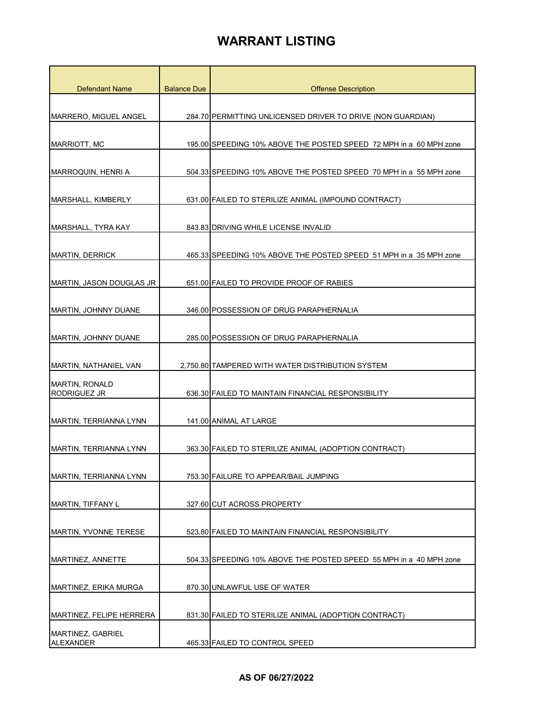| <b>Defendant Name</b>                        | <b>Balance Due</b> | <b>Offense Description</b>                                         |
|----------------------------------------------|--------------------|--------------------------------------------------------------------|
|                                              |                    |                                                                    |
| <b>MARRERO, MIGUEL ANGEL</b>                 |                    | 284.70 PERMITTING UNLICENSED DRIVER TO DRIVE (NON GUARDIAN)        |
|                                              |                    |                                                                    |
| <b>MARRIOTT, MC</b>                          |                    | 195.00 SPEEDING 10% ABOVE THE POSTED SPEED 72 MPH in a 60 MPH zone |
| MARROQUIN, HENRI A                           |                    | 504.33 SPEEDING 10% ABOVE THE POSTED SPEED 70 MPH in a 55 MPH zone |
| MARSHALL, KIMBERLY                           |                    | 631.00 FAILED TO STERILIZE ANIMAL (IMPOUND CONTRACT)               |
|                                              |                    |                                                                    |
| <b>MARSHALL, TYRA KAY</b>                    |                    | 843.83 DRIVING WHILE LICENSE INVALID                               |
|                                              |                    |                                                                    |
| <b>MARTIN, DERRICK</b>                       |                    | 465.33 SPEEDING 10% ABOVE THE POSTED SPEED 51 MPH in a 35 MPH zone |
| <b>MARTIN, JASON DOUGLAS JR</b>              |                    | 651.00 FAILED TO PROVIDE PROOF OF RABIES                           |
|                                              |                    |                                                                    |
| MARTIN, JOHNNY DUANE                         |                    | 346.00 POSSESSION OF DRUG PARAPHERNALIA                            |
| MARTIN, JOHNNY DUANE                         |                    | 285.00 POSSESSION OF DRUG PARAPHERNALIA                            |
|                                              |                    |                                                                    |
| MARTIN, NATHANIEL VAN                        |                    | 2,750.80 TAMPERED WITH WATER DISTRIBUTION SYSTEM                   |
| <b>MARTIN, RONALD</b><br><b>RODRIGUEZ JR</b> |                    | 636.30 FAILED TO MAINTAIN FINANCIAL RESPONSIBILITY                 |
|                                              |                    |                                                                    |
| MARTIN, TERRIANNA LYNN                       |                    | 141.00 ANIMAL AT LARGE                                             |
|                                              |                    |                                                                    |
| MARTIN, TERRIANNA LYNN                       |                    | 363.30 FAILED TO STERILIZE ANIMAL (ADOPTION CONTRACT)              |
| MARTIN, TERRIANNA LYNN                       |                    | 753.30 FAILURE TO APPEAR/BAIL JUMPING                              |
|                                              |                    |                                                                    |
| MARTIN, TIFFANY L                            |                    | 327.60 CUT ACROSS PROPERTY                                         |
| <b>MARTIN, YVONNE TERESE</b>                 |                    | 523.80 FAILED TO MAINTAIN FINANCIAL RESPONSIBILITY                 |
|                                              |                    |                                                                    |
| MARTINEZ, ANNETTE                            |                    | 504.33 SPEEDING 10% ABOVE THE POSTED SPEED 55 MPH in a 40 MPH zone |
|                                              |                    | 870.30 UNLAWFUL USE OF WATER                                       |
| MARTINEZ, ERIKA MURGA                        |                    |                                                                    |
| MARTINEZ, FELIPE HERRERA                     |                    | 831.30 FAILED TO STERILIZE ANIMAL (ADOPTION CONTRACT)              |
| MARTINEZ, GABRIEL                            |                    |                                                                    |
| <b>ALEXANDER</b>                             |                    | 465.33 FAILED TO CONTROL SPEED                                     |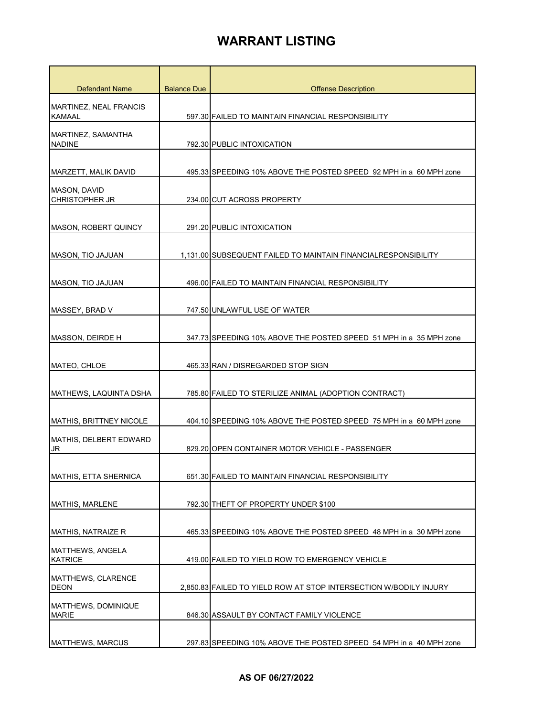| <b>Defendant Name</b>                          | <b>Balance Due</b> | <b>Offense Description</b>                                         |
|------------------------------------------------|--------------------|--------------------------------------------------------------------|
| <b>MARTINEZ, NEAL FRANCIS</b><br><b>KAMAAL</b> |                    | 597.30 FAILED TO MAINTAIN FINANCIAL RESPONSIBILITY                 |
| MARTINEZ, SAMANTHA<br><b>NADINE</b>            |                    | 792.30 PUBLIC INTOXICATION                                         |
| <b>MARZETT, MALIK DAVID</b>                    |                    | 495.33 SPEEDING 10% ABOVE THE POSTED SPEED 92 MPH in a 60 MPH zone |
| <b>MASON, DAVID</b><br><b>CHRISTOPHER JR</b>   |                    | 234.00 CUT ACROSS PROPERTY                                         |
| <b>MASON, ROBERT QUINCY</b>                    |                    | 291.20 PUBLIC INTOXICATION                                         |
| MASON, TIO JAJUAN                              |                    | 1,131.00 SUBSEQUENT FAILED TO MAINTAIN FINANCIALRESPONSIBILITY     |
| MASON, TIO JAJUAN                              |                    | 496.00 FAILED TO MAINTAIN FINANCIAL RESPONSIBILITY                 |
| MASSEY, BRAD V                                 |                    | 747.50 UNLAWFUL USE OF WATER                                       |
| MASSON, DEIRDE H                               |                    | 347.73 SPEEDING 10% ABOVE THE POSTED SPEED 51 MPH in a 35 MPH zone |
| MATEO, CHLOE                                   |                    | 465.33 RAN / DISREGARDED STOP SIGN                                 |
| MATHEWS, LAQUINTA DSHA                         |                    | 785.80 FAILED TO STERILIZE ANIMAL (ADOPTION CONTRACT)              |
| <b>MATHIS, BRITTNEY NICOLE</b>                 |                    | 404.10 SPEEDING 10% ABOVE THE POSTED SPEED 75 MPH in a 60 MPH zone |
| MATHIS, DELBERT EDWARD<br>JR                   |                    | 829.20 OPEN CONTAINER MOTOR VEHICLE - PASSENGER                    |
| <b>MATHIS, ETTA SHERNICA</b>                   |                    | 651.30 FAILED TO MAINTAIN FINANCIAL RESPONSIBILITY                 |
| <b>MATHIS, MARLENE</b>                         |                    | 792.30 THEFT OF PROPERTY UNDER \$100                               |
| MATHIS, NATRAIZE R                             |                    | 465.33 SPEEDING 10% ABOVE THE POSTED SPEED 48 MPH in a 30 MPH zone |
| MATTHEWS, ANGELA<br><b>KATRICE</b>             |                    | 419.00 FAILED TO YIELD ROW TO EMERGENCY VEHICLE                    |
| MATTHEWS, CLARENCE<br><b>DEON</b>              |                    | 2,850.83 FAILED TO YIELD ROW AT STOP INTERSECTION W/BODILY INJURY  |
| MATTHEWS, DOMINIQUE<br><b>MARIE</b>            |                    | 846.30 ASSAULT BY CONTACT FAMILY VIOLENCE                          |
| <b>MATTHEWS, MARCUS</b>                        |                    | 297.83 SPEEDING 10% ABOVE THE POSTED SPEED 54 MPH in a 40 MPH zone |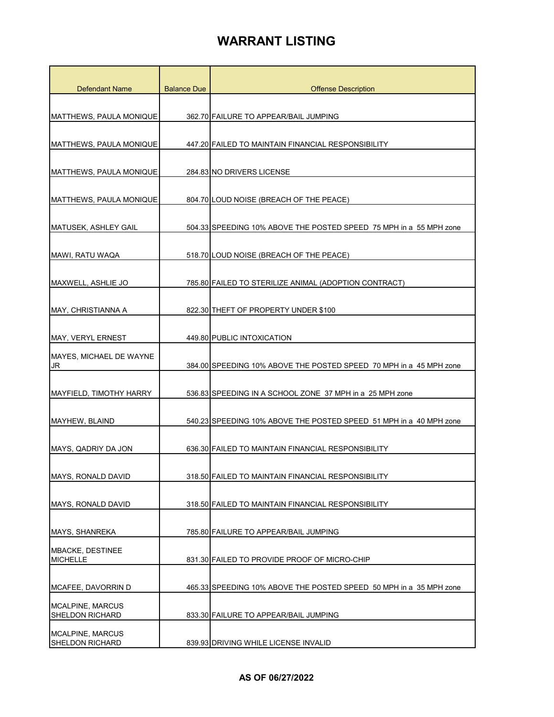| <b>Defendant Name</b>                             | <b>Balance Due</b> | <b>Offense Description</b>                                         |
|---------------------------------------------------|--------------------|--------------------------------------------------------------------|
|                                                   |                    |                                                                    |
| MATTHEWS, PAULA MONIQUE                           |                    | 362.70 FAILURE TO APPEAR/BAIL JUMPING                              |
| MATTHEWS, PAULA MONIQUE                           |                    | 447.20 FAILED TO MAINTAIN FINANCIAL RESPONSIBILITY                 |
| MATTHEWS, PAULA MONIQUE                           |                    | 284.83 NO DRIVERS LICENSE                                          |
|                                                   |                    |                                                                    |
| MATTHEWS, PAULA MONIQUE                           |                    | 804.70 LOUD NOISE (BREACH OF THE PEACE)                            |
| MATUSEK, ASHLEY GAIL                              |                    | 504.33 SPEEDING 10% ABOVE THE POSTED SPEED 75 MPH in a 55 MPH zone |
| MAWI, RATU WAQA                                   |                    | 518.70 LOUD NOISE (BREACH OF THE PEACE)                            |
| MAXWELL, ASHLIE JO                                |                    | 785.80 FAILED TO STERILIZE ANIMAL (ADOPTION CONTRACT)              |
| MAY, CHRISTIANNA A                                |                    | 822.30 THEFT OF PROPERTY UNDER \$100                               |
| MAY, VERYL ERNEST                                 |                    | 449.80 PUBLIC INTOXICATION                                         |
| MAYES, MICHAEL DE WAYNE<br>JR                     |                    | 384.00 SPEEDING 10% ABOVE THE POSTED SPEED 70 MPH in a 45 MPH zone |
|                                                   |                    |                                                                    |
| <b>MAYFIELD, TIMOTHY HARRY</b>                    |                    | 536.83 SPEEDING IN A SCHOOL ZONE 37 MPH in a 25 MPH zone           |
| MAYHEW, BLAIND                                    |                    | 540.23 SPEEDING 10% ABOVE THE POSTED SPEED 51 MPH in a 40 MPH zone |
| IMAYS, QADRIY DA JON                              |                    | 636.30 FAILED TO MAINTAIN FINANCIAL RESPONSIBILITY                 |
| MAYS, RONALD DAVID                                |                    | 318.50 FAILED TO MAINTAIN FINANCIAL RESPONSIBILITY                 |
| <b>MAYS, RONALD DAVID</b>                         |                    | 318.50 FAILED TO MAINTAIN FINANCIAL RESPONSIBILITY                 |
| <b>MAYS, SHANREKA</b>                             |                    | 785.80 FAILURE TO APPEAR/BAIL JUMPING                              |
| <b>MBACKE, DESTINEE</b>                           |                    |                                                                    |
| <b>MICHELLE</b>                                   |                    | 831.30 FAILED TO PROVIDE PROOF OF MICRO-CHIP                       |
| MCAFEE, DAVORRIN D                                |                    | 465.33 SPEEDING 10% ABOVE THE POSTED SPEED 50 MPH in a 35 MPH zone |
| <b>MCALPINE, MARCUS</b><br><b>SHELDON RICHARD</b> |                    | 833.30 FAILURE TO APPEAR/BAIL JUMPING                              |
| <b>MCALPINE, MARCUS</b><br><b>SHELDON RICHARD</b> |                    | 839.93 DRIVING WHILE LICENSE INVALID                               |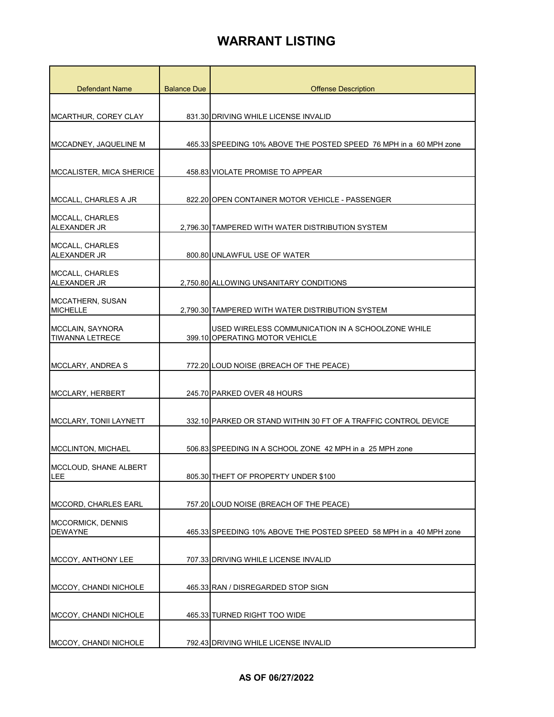| <b>Balance Due</b><br><b>Offense Description</b><br>MCARTHUR, COREY CLAY<br>831.30 DRIVING WHILE LICENSE INVALID<br>MCCADNEY, JAQUELINE M<br>465.33 SPEEDING 10% ABOVE THE POSTED SPEED 76 MPH in a 60 MPH zone<br>MCCALISTER, MICA SHERICE<br>458.83 VIOLATE PROMISE TO APPEAR<br>MCCALL, CHARLES A JR<br>822.20 OPEN CONTAINER MOTOR VEHICLE - PASSENGER | Defendant Name  |
|------------------------------------------------------------------------------------------------------------------------------------------------------------------------------------------------------------------------------------------------------------------------------------------------------------------------------------------------------------|-----------------|
|                                                                                                                                                                                                                                                                                                                                                            |                 |
|                                                                                                                                                                                                                                                                                                                                                            |                 |
|                                                                                                                                                                                                                                                                                                                                                            |                 |
|                                                                                                                                                                                                                                                                                                                                                            |                 |
|                                                                                                                                                                                                                                                                                                                                                            |                 |
|                                                                                                                                                                                                                                                                                                                                                            |                 |
|                                                                                                                                                                                                                                                                                                                                                            |                 |
| ALEXANDER JR<br>2,796.30 TAMPERED WITH WATER DISTRIBUTION SYSTEM                                                                                                                                                                                                                                                                                           | MCCALL, CHARLES |
| MCCALL, CHARLES                                                                                                                                                                                                                                                                                                                                            |                 |
| <b>ALEXANDER JR</b><br>800.80 UNLAWFUL USE OF WATER                                                                                                                                                                                                                                                                                                        |                 |
| MCCALL, CHARLES<br>ALEXANDER JR<br>2,750.80 ALLOWING UNSANITARY CONDITIONS                                                                                                                                                                                                                                                                                 |                 |
| MCCATHERN, SUSAN                                                                                                                                                                                                                                                                                                                                           |                 |
| <b>MICHELLE</b><br>2.790.30 TAMPERED WITH WATER DISTRIBUTION SYSTEM                                                                                                                                                                                                                                                                                        |                 |
| MCCLAIN, SAYNORA<br>USED WIRELESS COMMUNICATION IN A SCHOOLZONE WHILE<br><b>TIWANNA LETRECE</b><br>399.10 OPERATING MOTOR VEHICLE                                                                                                                                                                                                                          |                 |
|                                                                                                                                                                                                                                                                                                                                                            |                 |
| MCCLARY, ANDREA S<br>772.20 LOUD NOISE (BREACH OF THE PEACE)                                                                                                                                                                                                                                                                                               |                 |
| MCCLARY, HERBERT<br>245.70 PARKED OVER 48 HOURS                                                                                                                                                                                                                                                                                                            |                 |
|                                                                                                                                                                                                                                                                                                                                                            |                 |
| <b>MCCLARY, TONII LAYNETT</b><br>332.10 PARKED OR STAND WITHIN 30 FT OF A TRAFFIC CONTROL DEVICE                                                                                                                                                                                                                                                           |                 |
| MCCLINTON, MICHAEL<br>506.83 SPEEDING IN A SCHOOL ZONE 42 MPH in a 25 MPH zone                                                                                                                                                                                                                                                                             |                 |
| MCCLOUD, SHANE ALBERT                                                                                                                                                                                                                                                                                                                                      |                 |
| ILEE<br>805.30 THEFT OF PROPERTY UNDER \$100                                                                                                                                                                                                                                                                                                               |                 |
| <b>MCCORD, CHARLES EARL</b><br>757.20 LOUD NOISE (BREACH OF THE PEACE)                                                                                                                                                                                                                                                                                     |                 |
| MCCORMICK, DENNIS                                                                                                                                                                                                                                                                                                                                          |                 |
| <b>DEWAYNE</b><br>465.33 SPEEDING 10% ABOVE THE POSTED SPEED 58 MPH in a 40 MPH zone                                                                                                                                                                                                                                                                       |                 |
|                                                                                                                                                                                                                                                                                                                                                            |                 |
| MCCOY, ANTHONY LEE<br>707.33 DRIVING WHILE LICENSE INVALID                                                                                                                                                                                                                                                                                                 |                 |
| MCCOY, CHANDI NICHOLE<br>465.33 RAN / DISREGARDED STOP SIGN                                                                                                                                                                                                                                                                                                |                 |
|                                                                                                                                                                                                                                                                                                                                                            |                 |
| MCCOY, CHANDI NICHOLE<br>465.33 TURNED RIGHT TOO WIDE                                                                                                                                                                                                                                                                                                      |                 |
| MCCOY, CHANDI NICHOLE<br>792.43 DRIVING WHILE LICENSE INVALID                                                                                                                                                                                                                                                                                              |                 |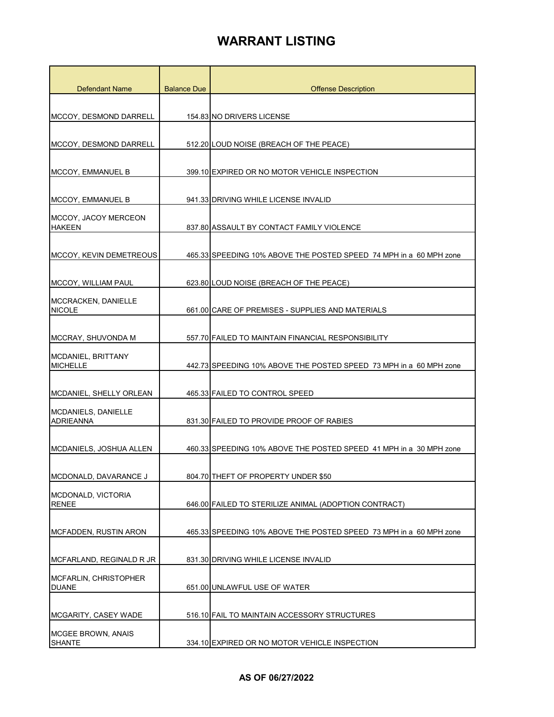| Defendant Name                               | <b>Balance Due</b> | <b>Offense Description</b>                                         |
|----------------------------------------------|--------------------|--------------------------------------------------------------------|
|                                              |                    |                                                                    |
| MCCOY, DESMOND DARRELL                       |                    | 154.83 NO DRIVERS LICENSE                                          |
|                                              |                    |                                                                    |
| MCCOY, DESMOND DARRELL                       |                    | 512.20 LOUD NOISE (BREACH OF THE PEACE)                            |
| <b>MCCOY, EMMANUEL B</b>                     |                    | 399.10 EXPIRED OR NO MOTOR VEHICLE INSPECTION                      |
| MCCOY, EMMANUEL B                            |                    | 941.33 DRIVING WHILE LICENSE INVALID                               |
| MCCOY, JACOY MERCEON<br><b>HAKEEN</b>        |                    | 837.80 ASSAULT BY CONTACT FAMILY VIOLENCE                          |
| MCCOY. KEVIN DEMETREOUS                      |                    | 465.33 SPEEDING 10% ABOVE THE POSTED SPEED 74 MPH in a 60 MPH zone |
| MCCOY, WILLIAM PAUL                          |                    | 623.80 LOUD NOISE (BREACH OF THE PEACE)                            |
| MCCRACKEN, DANIELLE<br><b>NICOLE</b>         |                    | 661.00 CARE OF PREMISES - SUPPLIES AND MATERIALS                   |
| MCCRAY, SHUVONDA M                           |                    | 557.70 FAILED TO MAINTAIN FINANCIAL RESPONSIBILITY                 |
| MCDANIEL, BRITTANY<br><b>MICHELLE</b>        |                    | 442.73 SPEEDING 10% ABOVE THE POSTED SPEED 73 MPH in a 60 MPH zone |
| MCDANIEL, SHELLY ORLEAN                      |                    | 465.33 FAILED TO CONTROL SPEED                                     |
| MCDANIELS, DANIELLE<br><b>ADRIEANNA</b>      |                    | 831.30 FAILED TO PROVIDE PROOF OF RABIES                           |
| MCDANIELS, JOSHUA ALLEN                      |                    | 460.33 SPEEDING 10% ABOVE THE POSTED SPEED 41 MPH in a 30 MPH zone |
| MCDONALD, DAVARANCE J                        |                    | 804.70 THEFT OF PROPERTY UNDER \$50                                |
| MCDONALD, VICTORIA<br><b>RENEE</b>           |                    | 646.00 FAILED TO STERILIZE ANIMAL (ADOPTION CONTRACT)              |
| <b>MCFADDEN, RUSTIN ARON</b>                 |                    | 465.33 SPEEDING 10% ABOVE THE POSTED SPEED 73 MPH in a 60 MPH zone |
| MCFARLAND, REGINALD R JR                     |                    | 831.30 DRIVING WHILE LICENSE INVALID                               |
| <b>MCFARLIN, CHRISTOPHER</b><br><b>DUANE</b> |                    | 651.00 UNLAWFUL USE OF WATER                                       |
| MCGARITY, CASEY WADE                         |                    | 516.10 FAIL TO MAINTAIN ACCESSORY STRUCTURES                       |
| <b>MCGEE BROWN, ANAIS</b><br><b>SHANTE</b>   |                    | 334.10 EXPIRED OR NO MOTOR VEHICLE INSPECTION                      |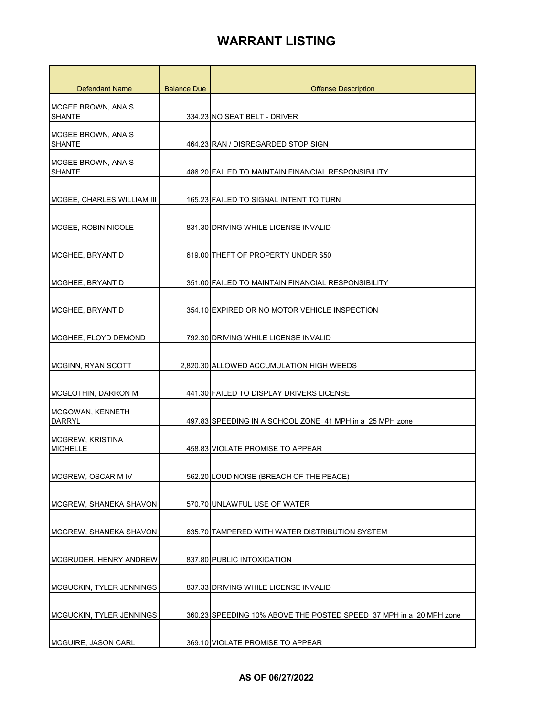| <b>Defendant Name</b>                      | <b>Balance Due</b> | <b>Offense Description</b>                                         |
|--------------------------------------------|--------------------|--------------------------------------------------------------------|
| <b>MCGEE BROWN, ANAIS</b><br><b>SHANTE</b> |                    | 334.23 NO SEAT BELT - DRIVER                                       |
| MCGEE BROWN, ANAIS<br><b>SHANTE</b>        |                    | 464.23 RAN / DISREGARDED STOP SIGN                                 |
| MCGEE BROWN, ANAIS<br><b>SHANTE</b>        |                    | 486.20 FAILED TO MAINTAIN FINANCIAL RESPONSIBILITY                 |
| MCGEE, CHARLES WILLIAM III                 |                    | 165.23 FAILED TO SIGNAL INTENT TO TURN                             |
| <b>MCGEE, ROBIN NICOLE</b>                 |                    | 831.30 DRIVING WHILE LICENSE INVALID                               |
| MCGHEE, BRYANT D                           |                    | 619.00 THEFT OF PROPERTY UNDER \$50                                |
| MCGHEE, BRYANT D                           |                    | 351.00 FAILED TO MAINTAIN FINANCIAL RESPONSIBILITY                 |
| MCGHEE, BRYANT D                           |                    | 354.10 EXPIRED OR NO MOTOR VEHICLE INSPECTION                      |
| MCGHEE, FLOYD DEMOND                       |                    | 792.30 DRIVING WHILE LICENSE INVALID                               |
| MCGINN, RYAN SCOTT                         |                    | 2,820.30 ALLOWED ACCUMULATION HIGH WEEDS                           |
| MCGLOTHIN, DARRON M                        |                    | 441.30 FAILED TO DISPLAY DRIVERS LICENSE                           |
| MCGOWAN, KENNETH<br><b>DARRYL</b>          |                    | 497.83 SPEEDING IN A SCHOOL ZONE 41 MPH in a 25 MPH zone           |
| <b>MCGREW, KRISTINA</b><br><b>MICHELLE</b> |                    | 458.83 VIOLATE PROMISE TO APPEAR                                   |
| MCGREW, OSCAR M IV                         |                    | 562.20 LOUD NOISE (BREACH OF THE PEACE)                            |
| MCGREW, SHANEKA SHAVON                     |                    | 570.70 UNLAWFUL USE OF WATER                                       |
| MCGREW, SHANEKA SHAVON                     |                    | 635.70 TAMPERED WITH WATER DISTRIBUTION SYSTEM                     |
| MCGRUDER, HENRY ANDREW                     |                    | 837.80 PUBLIC INTOXICATION                                         |
| MCGUCKIN, TYLER JENNINGS                   |                    | 837.33 DRIVING WHILE LICENSE INVALID                               |
| MCGUCKIN, TYLER JENNINGS                   |                    | 360.23 SPEEDING 10% ABOVE THE POSTED SPEED 37 MPH in a 20 MPH zone |
| MCGUIRE, JASON CARL                        |                    | 369.10 VIOLATE PROMISE TO APPEAR                                   |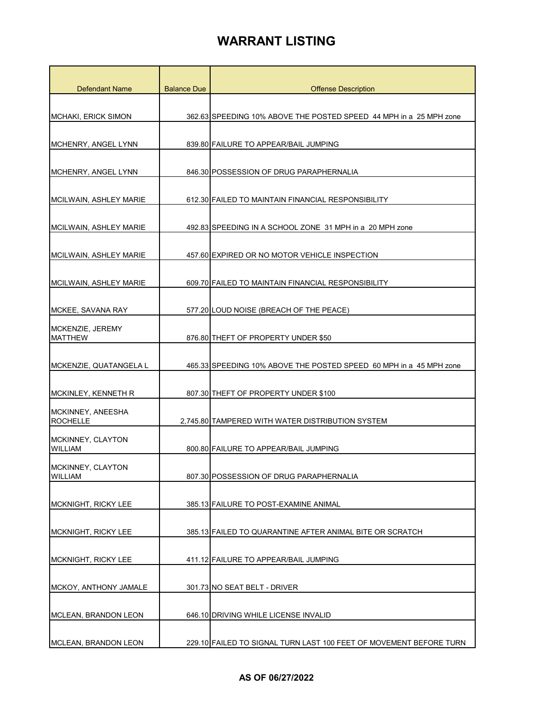| <b>Defendant Name</b>                | <b>Balance Due</b> | <b>Offense Description</b>                                         |
|--------------------------------------|--------------------|--------------------------------------------------------------------|
|                                      |                    |                                                                    |
| <b>MCHAKI, ERICK SIMON</b>           |                    | 362.63 SPEEDING 10% ABOVE THE POSTED SPEED 44 MPH in a 25 MPH zone |
|                                      |                    | 839.80 FAILURE TO APPEAR/BAIL JUMPING                              |
| MCHENRY, ANGEL LYNN                  |                    |                                                                    |
| MCHENRY, ANGEL LYNN                  |                    | 846.30 POSSESSION OF DRUG PARAPHERNALIA                            |
| MCILWAIN, ASHLEY MARIE               |                    | 612.30 FAILED TO MAINTAIN FINANCIAL RESPONSIBILITY                 |
| MCILWAIN, ASHLEY MARIE               |                    | 492.83 SPEEDING IN A SCHOOL ZONE 31 MPH in a 20 MPH zone           |
| MCILWAIN, ASHLEY MARIE               |                    | 457.60 EXPIRED OR NO MOTOR VEHICLE INSPECTION                      |
| MCILWAIN, ASHLEY MARIE               |                    | 609.70 FAILED TO MAINTAIN FINANCIAL RESPONSIBILITY                 |
| MCKEE, SAVANA RAY                    |                    | 577.20 LOUD NOISE (BREACH OF THE PEACE)                            |
| MCKENZIE, JEREMY<br><b>MATTHEW</b>   |                    | 876.80 THEFT OF PROPERTY UNDER \$50                                |
| MCKENZIE, QUATANGELA L               |                    | 465.33 SPEEDING 10% ABOVE THE POSTED SPEED 60 MPH in a 45 MPH zone |
| <b>MCKINLEY, KENNETH R</b>           |                    | 807.30 THEFT OF PROPERTY UNDER \$100                               |
| MCKINNEY, ANEESHA<br><b>ROCHELLE</b> |                    | 2,745.80 TAMPERED WITH WATER DISTRIBUTION SYSTEM                   |
| MCKINNEY, CLAYTON<br><b>WILLIAM</b>  |                    | 800.80 FAILURE TO APPEAR/BAIL JUMPING                              |
| MCKINNEY, CLAYTON<br><b>WILLIAM</b>  |                    | 807.30 POSSESSION OF DRUG PARAPHERNALIA                            |
| <b>MCKNIGHT, RICKY LEE</b>           |                    | 385.13 FAILURE TO POST-EXAMINE ANIMAL                              |
| <b>MCKNIGHT, RICKY LEE</b>           |                    | 385.13 FAILED TO QUARANTINE AFTER ANIMAL BITE OR SCRATCH           |
| <b>MCKNIGHT, RICKY LEE</b>           |                    | 411.12 FAILURE TO APPEAR/BAIL JUMPING                              |
| <b>MCKOY, ANTHONY JAMALE</b>         |                    | 301.73 NO SEAT BELT - DRIVER                                       |
| MCLEAN, BRANDON LEON                 |                    | 646.10 DRIVING WHILE LICENSE INVALID                               |
| MCLEAN, BRANDON LEON                 |                    | 229.10 FAILED TO SIGNAL TURN LAST 100 FEET OF MOVEMENT BEFORE TURN |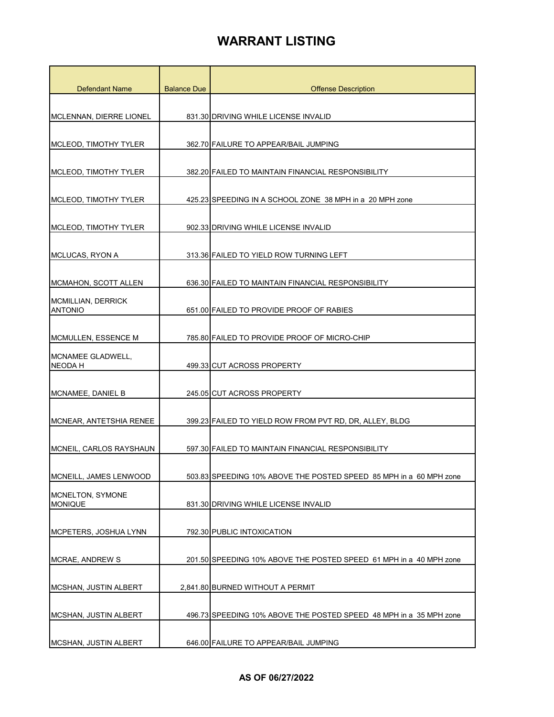| <b>Defendant Name</b>                | <b>Balance Due</b> | <b>Offense Description</b>                                         |
|--------------------------------------|--------------------|--------------------------------------------------------------------|
|                                      |                    |                                                                    |
| MCLENNAN, DIERRE LIONEL              |                    | 831.30 DRIVING WHILE LICENSE INVALID                               |
|                                      |                    |                                                                    |
| MCLEOD, TIMOTHY TYLER                |                    | 362.70 FAILURE TO APPEAR/BAIL JUMPING                              |
| <b>MCLEOD, TIMOTHY TYLER</b>         |                    | 382.20 FAILED TO MAINTAIN FINANCIAL RESPONSIBILITY                 |
| MCLEOD, TIMOTHY TYLER                |                    | 425.23 SPEEDING IN A SCHOOL ZONE 38 MPH in a 20 MPH zone           |
| MCLEOD, TIMOTHY TYLER                |                    | 902.33 DRIVING WHILE LICENSE INVALID                               |
| MCLUCAS, RYON A                      |                    | 313.36 FAILED TO YIELD ROW TURNING LEFT                            |
| MCMAHON, SCOTT ALLEN                 |                    | 636.30 FAILED TO MAINTAIN FINANCIAL RESPONSIBILITY                 |
| MCMILLIAN, DERRICK<br><b>ANTONIO</b> |                    | 651,00 FAILED TO PROVIDE PROOF OF RABIES                           |
| MCMULLEN, ESSENCE M                  |                    | 785.80 FAILED TO PROVIDE PROOF OF MICRO-CHIP                       |
| MCNAMEE GLADWELL,<br><b>NEODAH</b>   |                    | 499.33 CUT ACROSS PROPERTY                                         |
| MCNAMEE, DANIEL B                    |                    | 245.05 CUT ACROSS PROPERTY                                         |
| MCNEAR, ANTETSHIA RENEE              |                    | 399.23 FAILED TO YIELD ROW FROM PVT RD, DR, ALLEY, BLDG            |
| MCNEIL, CARLOS RAYSHAUN              |                    | 597.30 FAILED TO MAINTAIN FINANCIAL RESPONSIBILITY                 |
| MCNEILL, JAMES LENWOOD               |                    | 503.83 SPEEDING 10% ABOVE THE POSTED SPEED 85 MPH in a 60 MPH zone |
| MCNELTON, SYMONE<br><b>MONIQUE</b>   |                    | 831.30 DRIVING WHILE LICENSE INVALID                               |
| MCPETERS, JOSHUA LYNN                |                    | 792.30 PUBLIC INTOXICATION                                         |
| MCRAE, ANDREW S                      |                    | 201.50 SPEEDING 10% ABOVE THE POSTED SPEED 61 MPH in a 40 MPH zone |
| MCSHAN, JUSTIN ALBERT                |                    | 2,841.80 BURNED WITHOUT A PERMIT                                   |
| <b>MCSHAN, JUSTIN ALBERT</b>         |                    | 496.73 SPEEDING 10% ABOVE THE POSTED SPEED 48 MPH in a 35 MPH zone |
| <b>MCSHAN, JUSTIN ALBERT</b>         |                    | 646.00 FAILURE TO APPEAR/BAIL JUMPING                              |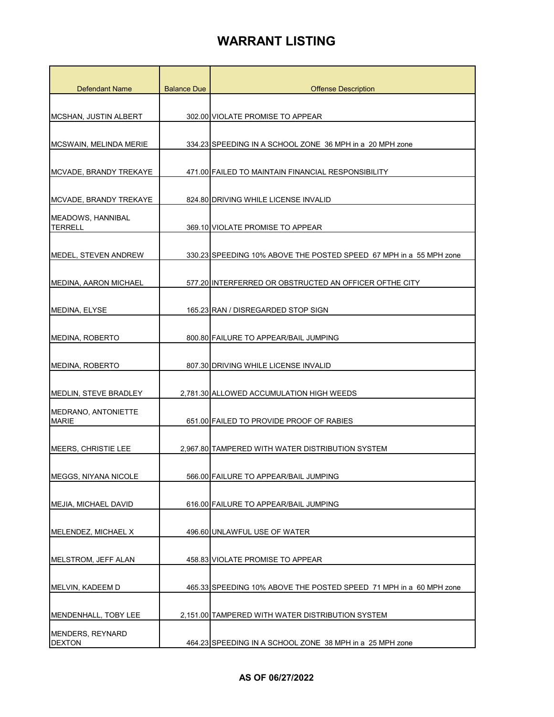| <b>Defendant Name</b>                      | <b>Balance Due</b> | <b>Offense Description</b>                                         |
|--------------------------------------------|--------------------|--------------------------------------------------------------------|
|                                            |                    |                                                                    |
| MCSHAN, JUSTIN ALBERT                      |                    | 302.00 VIOLATE PROMISE TO APPEAR                                   |
| MCSWAIN, MELINDA MERIE                     |                    | 334.23 SPEEDING IN A SCHOOL ZONE 36 MPH in a 20 MPH zone           |
| MCVADE, BRANDY TREKAYE                     |                    | 471.00 FAILED TO MAINTAIN FINANCIAL RESPONSIBILITY                 |
| MCVADE, BRANDY TREKAYE                     |                    | 824.80 DRIVING WHILE LICENSE INVALID                               |
| MEADOWS, HANNIBAL<br><b>TERRELL</b>        |                    | 369.10 VIOLATE PROMISE TO APPEAR                                   |
| MEDEL, STEVEN ANDREW                       |                    | 330.23 SPEEDING 10% ABOVE THE POSTED SPEED 67 MPH in a 55 MPH zone |
| <b>MEDINA, AARON MICHAEL</b>               |                    | 577.20 INTERFERRED OR OBSTRUCTED AN OFFICER OFTHE CITY             |
| MEDINA, ELYSE                              |                    | 165.23 RAN / DISREGARDED STOP SIGN                                 |
| MEDINA, ROBERTO                            |                    | 800.80 FAILURE TO APPEAR/BAIL JUMPING                              |
| <b>MEDINA, ROBERTO</b>                     |                    | 807.30 DRIVING WHILE LICENSE INVALID                               |
| MEDLIN, STEVE BRADLEY                      |                    | 2,781.30 ALLOWED ACCUMULATION HIGH WEEDS                           |
| <b>MEDRANO, ANTONIETTE</b><br><b>MARIE</b> |                    | 651.00 FAILED TO PROVIDE PROOF OF RABIES                           |
| MEERS, CHRISTIE LEE                        |                    | 2.967.80 TAMPERED WITH WATER DISTRIBUTION SYSTEM                   |
| MEGGS, NIYANA NICOLE                       |                    | 566.00 FAILURE TO APPEAR/BAIL JUMPING                              |
| MEJIA, MICHAEL DAVID                       |                    | 616.00 FAILURE TO APPEAR/BAIL JUMPING                              |
| MELENDEZ, MICHAEL X                        |                    | 496.60 UNLAWFUL USE OF WATER                                       |
| MELSTROM, JEFF ALAN                        |                    | 458.83 VIOLATE PROMISE TO APPEAR                                   |
| MELVIN, KADEEM D                           |                    | 465.33 SPEEDING 10% ABOVE THE POSTED SPEED 71 MPH in a 60 MPH zone |
| MENDENHALL, TOBY LEE                       |                    | 2,151.00 TAMPERED WITH WATER DISTRIBUTION SYSTEM                   |
| <b>MENDERS, REYNARD</b><br><b>DEXTON</b>   |                    | 464.23 SPEEDING IN A SCHOOL ZONE 38 MPH in a 25 MPH zone           |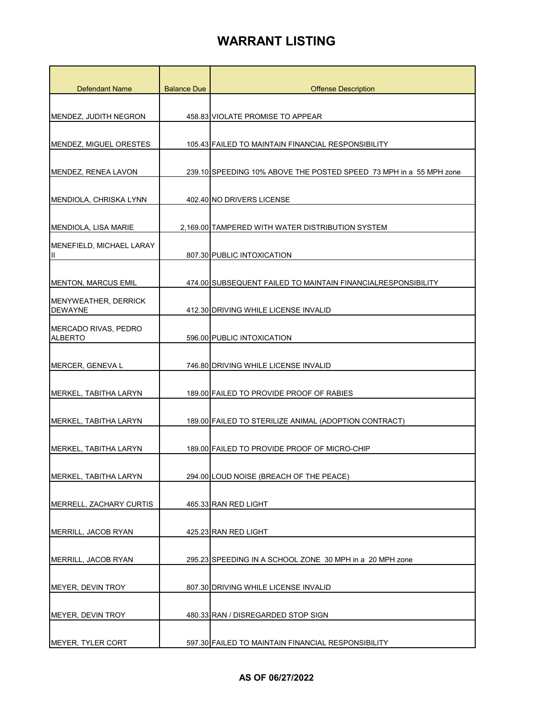| <b>Defendant Name</b>                  | <b>Balance Due</b> | <b>Offense Description</b>                                         |
|----------------------------------------|--------------------|--------------------------------------------------------------------|
|                                        |                    |                                                                    |
| MENDEZ, JUDITH NEGRON                  |                    | 458.83 VIOLATE PROMISE TO APPEAR                                   |
|                                        |                    |                                                                    |
| MENDEZ, MIGUEL ORESTES                 |                    | 105.43 FAILED TO MAINTAIN FINANCIAL RESPONSIBILITY                 |
| MENDEZ, RENEA LAVON                    |                    | 239.10 SPEEDING 10% ABOVE THE POSTED SPEED 73 MPH in a 55 MPH zone |
| MENDIOLA, CHRISKA LYNN                 |                    | 402.40 NO DRIVERS LICENSE                                          |
| MENDIOLA, LISA MARIE                   |                    | 2,169.00 TAMPERED WITH WATER DISTRIBUTION SYSTEM                   |
| MENEFIELD, MICHAEL LARAY<br>Ш          |                    | 807.30 PUBLIC INTOXICATION                                         |
| <b>MENTON, MARCUS EMIL</b>             |                    | 474.00 SUBSEQUENT FAILED TO MAINTAIN FINANCIALRESPONSIBILITY       |
| MENYWEATHER, DERRICK<br><b>DEWAYNE</b> |                    | 412.30 DRIVING WHILE LICENSE INVALID                               |
| MERCADO RIVAS, PEDRO<br><b>ALBERTO</b> |                    | 596.00 PUBLIC INTOXICATION                                         |
|                                        |                    |                                                                    |
| MERCER, GENEVA L                       |                    | 746.80 DRIVING WHILE LICENSE INVALID                               |
| MERKEL, TABITHA LARYN                  |                    | 189.00 FAILED TO PROVIDE PROOF OF RABIES                           |
| <b>MERKEL, TABITHA LARYN</b>           |                    | 189.00 FAILED TO STERILIZE ANIMAL (ADOPTION CONTRACT)              |
| MERKEL, TABITHA LARYN                  |                    | 189.00 FAILED TO PROVIDE PROOF OF MICRO-CHIP                       |
| MERKEL, TABITHA LARYN                  |                    | 294.00 LOUD NOISE (BREACH OF THE PEACE)                            |
| MERRELL, ZACHARY CURTIS                |                    | 465.33 RAN RED LIGHT                                               |
| MERRILL, JACOB RYAN                    |                    | 425.23 RAN RED LIGHT                                               |
|                                        |                    |                                                                    |
| MERRILL, JACOB RYAN                    |                    | 295.23 SPEEDING IN A SCHOOL ZONE 30 MPH in a 20 MPH zone           |
| MEYER, DEVIN TROY                      |                    | 807.30 DRIVING WHILE LICENSE INVALID                               |
| MEYER, DEVIN TROY                      |                    | 480.33 RAN / DISREGARDED STOP SIGN                                 |
| MEYER, TYLER CORT                      |                    | 597.30 FAILED TO MAINTAIN FINANCIAL RESPONSIBILITY                 |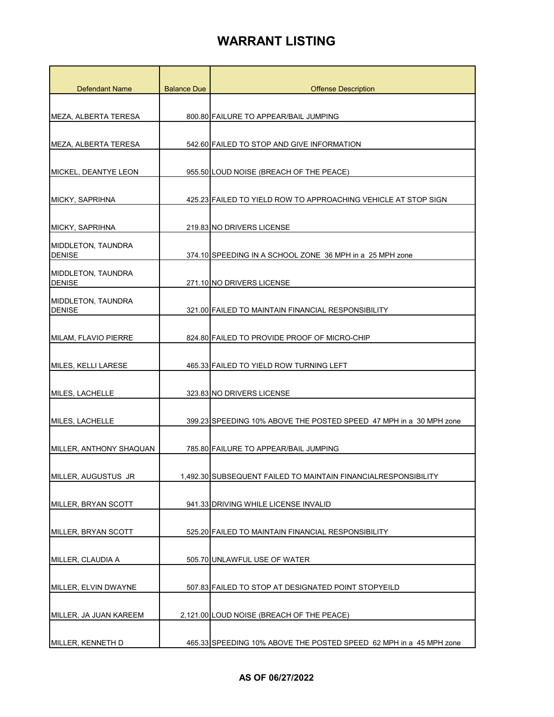| <b>Defendant Name</b>               | <b>Balance Due</b> | <b>Offense Description</b>                                         |
|-------------------------------------|--------------------|--------------------------------------------------------------------|
|                                     |                    |                                                                    |
| MEZA, ALBERTA TERESA                |                    | 800.80 FAILURE TO APPEAR/BAIL JUMPING                              |
|                                     |                    |                                                                    |
| MEZA, ALBERTA TERESA                |                    | 542.60 FAILED TO STOP AND GIVE INFORMATION                         |
| MICKEL. DEANTYE LEON                |                    | 955.50 LOUD NOISE (BREACH OF THE PEACE)                            |
| <b>MICKY, SAPRIHNA</b>              |                    | 425.23 FAILED TO YIELD ROW TO APPROACHING VEHICLE AT STOP SIGN     |
| MICKY, SAPRIHNA                     |                    | 219.83 NO DRIVERS LICENSE                                          |
| MIDDLETON, TAUNDRA<br><b>DENISE</b> |                    | 374.10 SPEEDING IN A SCHOOL ZONE 36 MPH in a 25 MPH zone           |
| MIDDLETON, TAUNDRA<br><b>DENISE</b> |                    | 271.10 NO DRIVERS LICENSE                                          |
| MIDDLETON, TAUNDRA<br><b>DENISE</b> |                    | 321.00 FAILED TO MAINTAIN FINANCIAL RESPONSIBILITY                 |
| MILAM, FLAVIO PIERRE                |                    | 824.80 FAILED TO PROVIDE PROOF OF MICRO-CHIP                       |
| MILES, KELLI LARESE                 |                    | 465.33 FAILED TO YIELD ROW TURNING LEFT                            |
| MILES, LACHELLE                     |                    | 323.83 NO DRIVERS LICENSE                                          |
| <b>MILES, LACHELLE</b>              |                    | 399.23 SPEEDING 10% ABOVE THE POSTED SPEED 47 MPH in a 30 MPH zone |
| MILLER, ANTHONY SHAQUAN             |                    | 785.80 FAILURE TO APPEAR/BAIL JUMPING                              |
| <b>MILLER, AUGUSTUS JR</b>          |                    | 1,492.30 SUBSEQUENT FAILED TO MAINTAIN FINANCIALRESPONSIBILITY     |
| MILLER, BRYAN SCOTT                 |                    | 941.33 DRIVING WHILE LICENSE INVALID                               |
| MILLER, BRYAN SCOTT                 |                    | 525.20 FAILED TO MAINTAIN FINANCIAL RESPONSIBILITY                 |
| MILLER, CLAUDIA A                   |                    | 505.70 UNLAWFUL USE OF WATER                                       |
| MILLER, ELVIN DWAYNE                |                    | 507.83 FAILED TO STOP AT DESIGNATED POINT STOPYEILD                |
| MILLER, JA JUAN KAREEM              |                    | 2,121.00 LOUD NOISE (BREACH OF THE PEACE)                          |
| MILLER, KENNETH D                   |                    | 465.33 SPEEDING 10% ABOVE THE POSTED SPEED 62 MPH in a 45 MPH zone |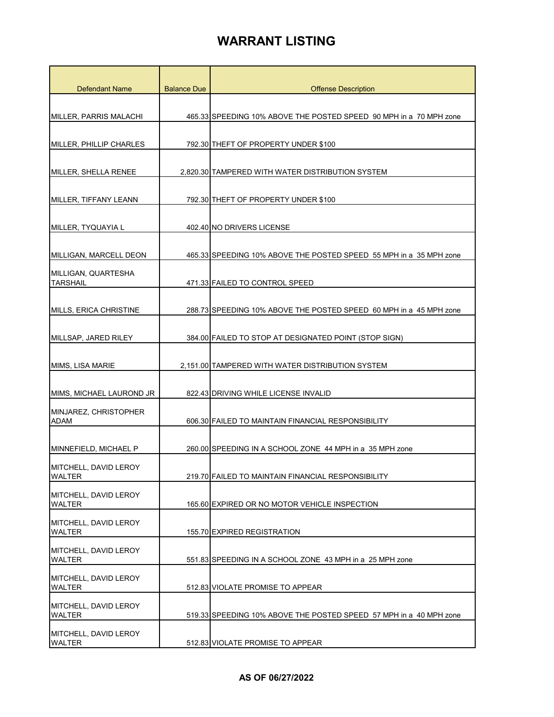| <b>Defendant Name</b>                  | <b>Balance Due</b> | <b>Offense Description</b>                                         |
|----------------------------------------|--------------------|--------------------------------------------------------------------|
|                                        |                    |                                                                    |
| MILLER, PARRIS MALACHI                 |                    | 465.33 SPEEDING 10% ABOVE THE POSTED SPEED 90 MPH in a 70 MPH zone |
|                                        |                    |                                                                    |
| MILLER, PHILLIP CHARLES                |                    | 792.30 THEFT OF PROPERTY UNDER \$100                               |
|                                        |                    |                                                                    |
| MILLER, SHELLA RENEE                   |                    | 2,820.30 TAMPERED WITH WATER DISTRIBUTION SYSTEM                   |
| MILLER, TIFFANY LEANN                  |                    | 792.30 THEFT OF PROPERTY UNDER \$100                               |
|                                        |                    |                                                                    |
| MILLER, TYQUAYIA L                     |                    | 402.40 NO DRIVERS LICENSE                                          |
|                                        |                    |                                                                    |
| MILLIGAN, MARCELL DEON                 |                    | 465.33 SPEEDING 10% ABOVE THE POSTED SPEED 55 MPH in a 35 MPH zone |
| MILLIGAN, QUARTESHA                    |                    |                                                                    |
| <b>TARSHAIL</b>                        |                    | 471.33 FAILED TO CONTROL SPEED                                     |
| MILLS, ERICA CHRISTINE                 |                    | 288.73 SPEEDING 10% ABOVE THE POSTED SPEED 60 MPH in a 45 MPH zone |
|                                        |                    |                                                                    |
| MILLSAP, JARED RILEY                   |                    | 384.00 FAILED TO STOP AT DESIGNATED POINT (STOP SIGN)              |
|                                        |                    |                                                                    |
| MIMS, LISA MARIE                       |                    | 2,151.00 TAMPERED WITH WATER DISTRIBUTION SYSTEM                   |
|                                        |                    |                                                                    |
| MIMS, MICHAEL LAUROND JR               |                    | 822.43 DRIVING WHILE LICENSE INVALID                               |
| MINJAREZ, CHRISTOPHER<br><b>ADAM</b>   |                    | 606.30 FAILED TO MAINTAIN FINANCIAL RESPONSIBILITY                 |
|                                        |                    |                                                                    |
| MINNEFIELD, MICHAEL P                  |                    | 260.00 SPEEDING IN A SCHOOL ZONE 44 MPH in a 35 MPH zone           |
| MITCHELL, DAVID LEROY                  |                    |                                                                    |
| <b>WALTER</b>                          |                    | 219.70 FAILED TO MAINTAIN FINANCIAL RESPONSIBILITY                 |
| MITCHELL, DAVID LEROY                  |                    |                                                                    |
| <b>WALTER</b>                          |                    | 165.60 EXPIRED OR NO MOTOR VEHICLE INSPECTION                      |
| MITCHELL, DAVID LEROY<br><b>WALTER</b> |                    | 155.70 EXPIRED REGISTRATION                                        |
|                                        |                    |                                                                    |
| MITCHELL, DAVID LEROY<br><b>WALTER</b> |                    | 551.83 SPEEDING IN A SCHOOL ZONE 43 MPH in a 25 MPH zone           |
| MITCHELL, DAVID LEROY                  |                    |                                                                    |
| <b>WALTER</b>                          |                    | 512.83 VIOLATE PROMISE TO APPEAR                                   |
| MITCHELL, DAVID LEROY                  |                    |                                                                    |
| <b>WALTER</b>                          |                    | 519.33 SPEEDING 10% ABOVE THE POSTED SPEED 57 MPH in a 40 MPH zone |
| MITCHELL, DAVID LEROY<br><b>WALTER</b> |                    | 512.83 VIOLATE PROMISE TO APPEAR                                   |
|                                        |                    |                                                                    |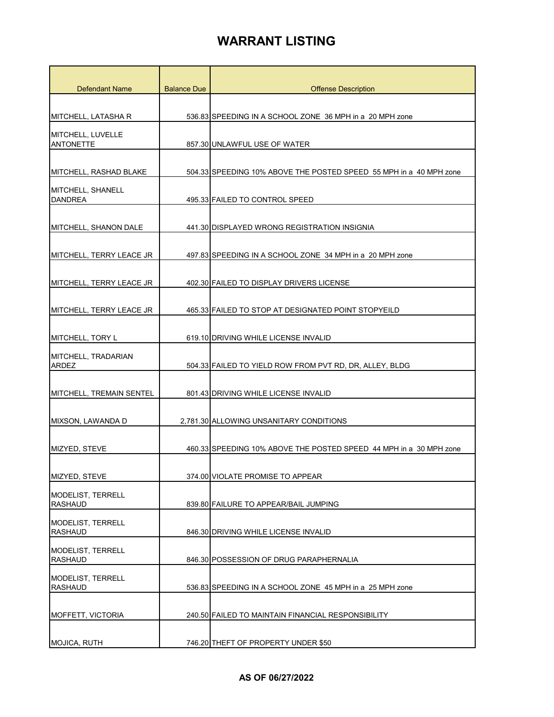| <b>Defendant Name</b>                      | <b>Balance Due</b> | <b>Offense Description</b>                                         |
|--------------------------------------------|--------------------|--------------------------------------------------------------------|
|                                            |                    |                                                                    |
| MITCHELL, LATASHA R                        |                    | 536.83 SPEEDING IN A SCHOOL ZONE 36 MPH in a 20 MPH zone           |
| MITCHELL, LUVELLE                          |                    |                                                                    |
| <b>ANTONETTE</b>                           |                    | 857.30 UNLAWFUL USE OF WATER                                       |
| MITCHELL, RASHAD BLAKE                     |                    | 504.33 SPEEDING 10% ABOVE THE POSTED SPEED 55 MPH in a 40 MPH zone |
| MITCHELL, SHANELL<br><b>DANDREA</b>        |                    | 495.33 FAILED TO CONTROL SPEED                                     |
| MITCHELL, SHANON DALE                      |                    | 441.30 DISPLAYED WRONG REGISTRATION INSIGNIA                       |
| MITCHELL, TERRY LEACE JR                   |                    | 497.83 SPEEDING IN A SCHOOL ZONE 34 MPH in a 20 MPH zone           |
| MITCHELL, TERRY LEACE JR                   |                    | 402.30 FAILED TO DISPLAY DRIVERS LICENSE                           |
| <b>IMITCHELL. TERRY LEACE JR</b>           |                    | 465.33 FAILED TO STOP AT DESIGNATED POINT STOPYEILD                |
| MITCHELL, TORY L                           |                    | 619.10 DRIVING WHILE LICENSE INVALID                               |
| MITCHELL, TRADARIAN<br><b>ARDEZ</b>        |                    | 504.33 FAILED TO YIELD ROW FROM PVT RD, DR, ALLEY, BLDG            |
| MITCHELL, TREMAIN SENTEL                   |                    | 801.43 DRIVING WHILE LICENSE INVALID                               |
| MIXSON, LAWANDA D                          |                    | 2,781.30 ALLOWING UNSANITARY CONDITIONS                            |
| MIZYED, STEVE                              |                    | 460.33 SPEEDING 10% ABOVE THE POSTED SPEED 44 MPH in a 30 MPH zone |
| MIZYED, STEVE                              |                    | 374.00 VIOLATE PROMISE TO APPEAR                                   |
| <b>MODELIST, TERRELL</b><br><b>RASHAUD</b> |                    | 839.80 FAILURE TO APPEAR/BAIL JUMPING                              |
| MODELIST, TERRELL<br><b>RASHAUD</b>        |                    | 846.30 DRIVING WHILE LICENSE INVALID                               |
| <b>MODELIST, TERRELL</b><br><b>RASHAUD</b> |                    | 846.30 POSSESSION OF DRUG PARAPHERNALIA                            |
| <b>MODELIST, TERRELL</b><br><b>RASHAUD</b> |                    | 536.83 SPEEDING IN A SCHOOL ZONE 45 MPH in a 25 MPH zone           |
| <b>MOFFETT, VICTORIA</b>                   |                    | 240.50 FAILED TO MAINTAIN FINANCIAL RESPONSIBILITY                 |
| MOJICA, RUTH                               |                    | 746.20 THEFT OF PROPERTY UNDER \$50                                |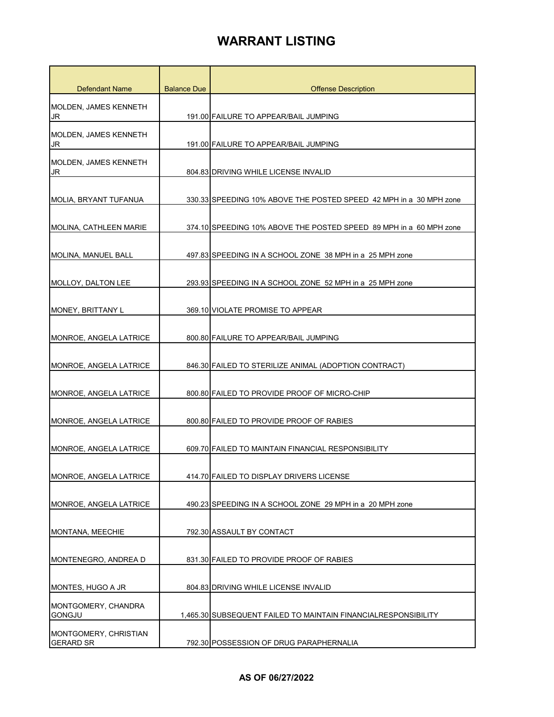| <b>Defendant Name</b>                     | <b>Balance Due</b> | <b>Offense Description</b>                                         |
|-------------------------------------------|--------------------|--------------------------------------------------------------------|
| MOLDEN, JAMES KENNETH<br>JR               |                    | 191.00 FAILURE TO APPEAR/BAIL JUMPING                              |
| <b>MOLDEN, JAMES KENNETH</b><br>JR        |                    | 191.00 FAILURE TO APPEAR/BAIL JUMPING                              |
| <b>MOLDEN, JAMES KENNETH</b><br>JR        |                    | 804.83 DRIVING WHILE LICENSE INVALID                               |
| MOLIA, BRYANT TUFANUA                     |                    | 330.33 SPEEDING 10% ABOVE THE POSTED SPEED 42 MPH in a 30 MPH zone |
| MOLINA, CATHLEEN MARIE                    |                    | 374.10 SPEEDING 10% ABOVE THE POSTED SPEED 89 MPH in a 60 MPH zone |
| MOLINA, MANUEL BALL                       |                    | 497.83 SPEEDING IN A SCHOOL ZONE 38 MPH in a 25 MPH zone           |
| <b>MOLLOY, DALTON LEE</b>                 |                    | 293.93 SPEEDING IN A SCHOOL ZONE 52 MPH in a 25 MPH zone           |
| MONEY, BRITTANY L                         |                    | 369.10 VIOLATE PROMISE TO APPEAR                                   |
| MONROE, ANGELA LATRICE                    |                    | 800.80 FAILURE TO APPEAR/BAIL JUMPING                              |
| <b>MONROE, ANGELA LATRICE</b>             |                    | 846.30 FAILED TO STERILIZE ANIMAL (ADOPTION CONTRACT)              |
| MONROE, ANGELA LATRICE                    |                    | 800.80 FAILED TO PROVIDE PROOF OF MICRO-CHIP                       |
| <b>MONROE, ANGELA LATRICE</b>             |                    | 800.80 FAILED TO PROVIDE PROOF OF RABIES                           |
| <b>MONROE, ANGELA LATRICE</b>             |                    | 609.70 FAILED TO MAINTAIN FINANCIAL RESPONSIBILITY                 |
| MONROE, ANGELA LATRICE                    |                    | 414.70 FAILED TO DISPLAY DRIVERS LICENSE                           |
| <b>MONROE, ANGELA LATRICE</b>             |                    | 490.23 SPEEDING IN A SCHOOL ZONE 29 MPH in a 20 MPH zone           |
| MONTANA, MEECHIE                          |                    | 792.30 ASSAULT BY CONTACT                                          |
| MONTENEGRO, ANDREA D                      |                    | 831.30 FAILED TO PROVIDE PROOF OF RABIES                           |
| MONTES, HUGO A JR                         |                    | 804.83 DRIVING WHILE LICENSE INVALID                               |
| MONTGOMERY, CHANDRA<br>GONGJU             |                    | 1,465.30 SUBSEQUENT FAILED TO MAINTAIN FINANCIALRESPONSIBILITY     |
| MONTGOMERY, CHRISTIAN<br><b>GERARD SR</b> |                    | 792.30 POSSESSION OF DRUG PARAPHERNALIA                            |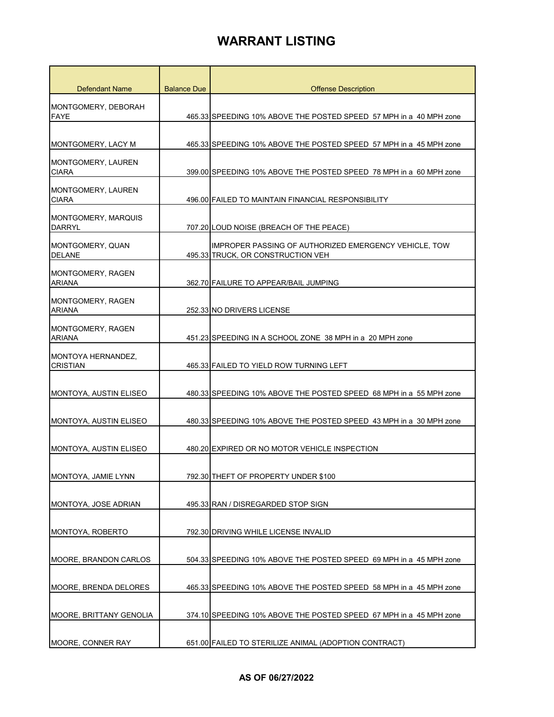| <b>Defendant Name</b>                     | <b>Balance Due</b> | <b>Offense Description</b>                                                                 |
|-------------------------------------------|--------------------|--------------------------------------------------------------------------------------------|
| MONTGOMERY, DEBORAH<br><b>FAYE</b>        |                    | 465.33 SPEEDING 10% ABOVE THE POSTED SPEED 57 MPH in a 40 MPH zone                         |
| MONTGOMERY, LACY M                        |                    | 465.33 SPEEDING 10% ABOVE THE POSTED SPEED 57 MPH in a 45 MPH zone                         |
| MONTGOMERY, LAUREN<br><b>CIARA</b>        |                    | 399.00 SPEEDING 10% ABOVE THE POSTED SPEED 78 MPH in a 60 MPH zone                         |
| MONTGOMERY, LAUREN<br><b>CIARA</b>        |                    | 496.00 FAILED TO MAINTAIN FINANCIAL RESPONSIBILITY                                         |
| MONTGOMERY, MARQUIS<br><b>DARRYL</b>      |                    | 707.20 LOUD NOISE (BREACH OF THE PEACE)                                                    |
| MONTGOMERY, QUAN<br><b>DELANE</b>         |                    | IMPROPER PASSING OF AUTHORIZED EMERGENCY VEHICLE, TOW<br>495.33 TRUCK, OR CONSTRUCTION VEH |
| MONTGOMERY, RAGEN<br>ARIANA               |                    | 362.70 FAILURE TO APPEAR/BAIL JUMPING                                                      |
| <b>MONTGOMERY, RAGEN</b><br><b>ARIANA</b> |                    | 252.33 NO DRIVERS LICENSE                                                                  |
| MONTGOMERY, RAGEN<br><b>ARIANA</b>        |                    | 451.23 SPEEDING IN A SCHOOL ZONE 38 MPH in a 20 MPH zone                                   |
| MONTOYA HERNANDEZ,<br><b>CRISTIAN</b>     |                    | 465.33 FAILED TO YIELD ROW TURNING LEFT                                                    |
| MONTOYA, AUSTIN ELISEO                    |                    | 480.33 SPEEDING 10% ABOVE THE POSTED SPEED 68 MPH in a 55 MPH zone                         |
| MONTOYA, AUSTIN ELISEO                    |                    | 480.33 SPEEDING 10% ABOVE THE POSTED SPEED 43 MPH in a 30 MPH zone                         |
| MONTOYA, AUSTIN ELISEO                    |                    | 480.20 EXPIRED OR NO MOTOR VEHICLE INSPECTION                                              |
| MONTOYA, JAMIE LYNN                       |                    | 792.30 THEFT OF PROPERTY UNDER \$100                                                       |
| MONTOYA, JOSE ADRIAN                      |                    | 495.33 RAN / DISREGARDED STOP SIGN                                                         |
| MONTOYA, ROBERTO                          |                    | 792.30 DRIVING WHILE LICENSE INVALID                                                       |
| <b>MOORE, BRANDON CARLOS</b>              |                    | 504.33 SPEEDING 10% ABOVE THE POSTED SPEED 69 MPH in a 45 MPH zone                         |
| MOORE, BRENDA DELORES                     |                    | 465.33 SPEEDING 10% ABOVE THE POSTED SPEED 58 MPH in a 45 MPH zone                         |
| <b>MOORE, BRITTANY GENOLIA</b>            |                    | 374.10 SPEEDING 10% ABOVE THE POSTED SPEED 67 MPH in a 45 MPH zone                         |
| MOORE, CONNER RAY                         |                    | 651.00 FAILED TO STERILIZE ANIMAL (ADOPTION CONTRACT)                                      |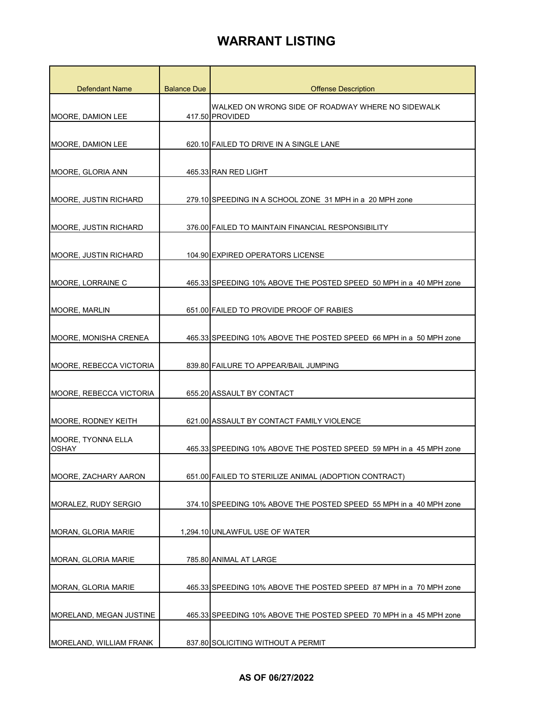| <b>Defendant Name</b>              | <b>Balance Due</b> | <b>Offense Description</b>                                         |
|------------------------------------|--------------------|--------------------------------------------------------------------|
|                                    |                    | WALKED ON WRONG SIDE OF ROADWAY WHERE NO SIDEWALK                  |
| MOORE, DAMION LEE                  |                    | 417.50 PROVIDED                                                    |
| <b>MOORE, DAMION LEE</b>           |                    | 620.10 FAILED TO DRIVE IN A SINGLE LANE                            |
|                                    |                    |                                                                    |
| MOORE, GLORIA ANN                  |                    | 465.33 RAN RED LIGHT                                               |
| <b>MOORE, JUSTIN RICHARD</b>       |                    | 279.10 SPEEDING IN A SCHOOL ZONE 31 MPH in a 20 MPH zone           |
| MOORE, JUSTIN RICHARD              |                    | 376.00 FAILED TO MAINTAIN FINANCIAL RESPONSIBILITY                 |
| <b>MOORE, JUSTIN RICHARD</b>       |                    | 104.90 EXPIRED OPERATORS LICENSE                                   |
| <b>MOORE, LORRAINE C</b>           |                    | 465.33 SPEEDING 10% ABOVE THE POSTED SPEED 50 MPH in a 40 MPH zone |
| <b>MOORE, MARLIN</b>               |                    | 651.00 FAILED TO PROVIDE PROOF OF RABIES                           |
| MOORE, MONISHA CRENEA              |                    | 465.33 SPEEDING 10% ABOVE THE POSTED SPEED 66 MPH in a 50 MPH zone |
| MOORE, REBECCA VICTORIA            |                    | 839.80 FAILURE TO APPEAR/BAIL JUMPING                              |
| MOORE, REBECCA VICTORIA            |                    | 655.20 ASSAULT BY CONTACT                                          |
| <b>MOORE, RODNEY KEITH</b>         |                    | 621.00 ASSAULT BY CONTACT FAMILY VIOLENCE                          |
| MOORE, TYONNA ELLA<br><b>OSHAY</b> |                    | 465.33 SPEEDING 10% ABOVE THE POSTED SPEED 59 MPH in a 45 MPH zone |
| MOORE, ZACHARY AARON               |                    | 651.00 FAILED TO STERILIZE ANIMAL (ADOPTION CONTRACT)              |
| MORALEZ, RUDY SERGIO               |                    | 374.10 SPEEDING 10% ABOVE THE POSTED SPEED 55 MPH in a 40 MPH zone |
| MORAN, GLORIA MARIE                |                    | 1,294.10 UNLAWFUL USE OF WATER                                     |
| <b>MORAN, GLORIA MARIE</b>         |                    | 785.80 ANIMAL AT LARGE                                             |
| MORAN, GLORIA MARIE                |                    | 465.33 SPEEDING 10% ABOVE THE POSTED SPEED 87 MPH in a 70 MPH zone |
| MORELAND, MEGAN JUSTINE            |                    | 465.33 SPEEDING 10% ABOVE THE POSTED SPEED 70 MPH in a 45 MPH zone |
| MORELAND, WILLIAM FRANK            |                    | 837.80 SOLICITING WITHOUT A PERMIT                                 |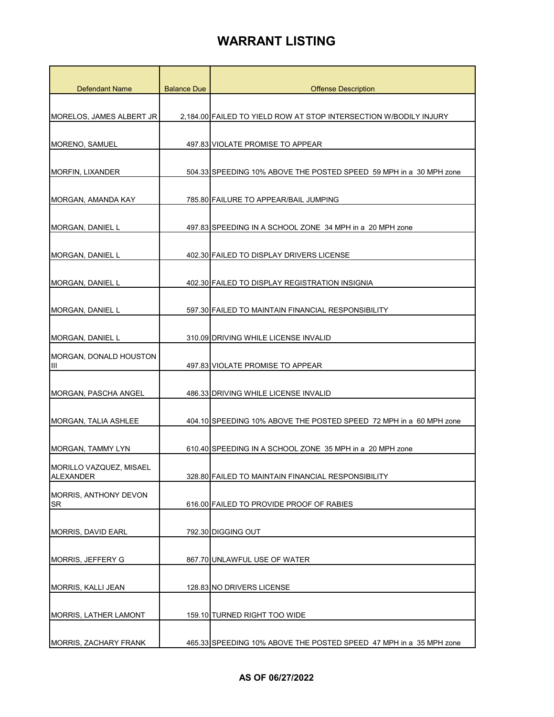| <b>Defendant Name</b>                       | <b>Balance Due</b> | <b>Offense Description</b>                                         |
|---------------------------------------------|--------------------|--------------------------------------------------------------------|
|                                             |                    |                                                                    |
| MORELOS, JAMES ALBERT JR                    |                    | 2,184.00 FAILED TO YIELD ROW AT STOP INTERSECTION W/BODILY INJURY  |
|                                             |                    |                                                                    |
| MORENO, SAMUEL                              |                    | 497.83 VIOLATE PROMISE TO APPEAR                                   |
| MORFIN, LIXANDER                            |                    | 504.33 SPEEDING 10% ABOVE THE POSTED SPEED 59 MPH in a 30 MPH zone |
| MORGAN, AMANDA KAY                          |                    | 785.80 FAILURE TO APPEAR/BAIL JUMPING                              |
|                                             |                    |                                                                    |
| <b>MORGAN, DANIEL L</b>                     |                    | 497.83 SPEEDING IN A SCHOOL ZONE 34 MPH in a 20 MPH zone           |
| MORGAN, DANIEL L                            |                    | 402.30 FAILED TO DISPLAY DRIVERS LICENSE                           |
| MORGAN, DANIEL L                            |                    | 402.30 FAILED TO DISPLAY REGISTRATION INSIGNIA                     |
|                                             |                    |                                                                    |
| <b>MORGAN, DANIEL L</b>                     |                    | 597.30 FAILED TO MAINTAIN FINANCIAL RESPONSIBILITY                 |
| MORGAN, DANIEL L                            |                    | 310.09 DRIVING WHILE LICENSE INVALID                               |
| MORGAN, DONALD HOUSTON                      |                    |                                                                    |
| Ш                                           |                    | 497.83 VIOLATE PROMISE TO APPEAR                                   |
| MORGAN, PASCHA ANGEL                        |                    | 486.33 DRIVING WHILE LICENSE INVALID                               |
| MORGAN, TALIA ASHLEE                        |                    | 404.10 SPEEDING 10% ABOVE THE POSTED SPEED 72 MPH in a 60 MPH zone |
| MORGAN, TAMMY LYN                           |                    | 610.40 SPEEDING IN A SCHOOL ZONE 35 MPH in a 20 MPH zone           |
| MORILLO VAZQUEZ, MISAEL<br><b>ALEXANDER</b> |                    | 328.80 FAILED TO MAINTAIN FINANCIAL RESPONSIBILITY                 |
| <b>MORRIS, ANTHONY DEVON</b><br><b>SR</b>   |                    | 616.00 FAILED TO PROVIDE PROOF OF RABIES                           |
|                                             |                    |                                                                    |
| <b>MORRIS, DAVID EARL</b>                   |                    | 792.30 DIGGING OUT                                                 |
| MORRIS, JEFFERY G                           |                    | 867.70 UNLAWFUL USE OF WATER                                       |
| <b>MORRIS, KALLI JEAN</b>                   |                    | 128.83 NO DRIVERS LICENSE                                          |
|                                             |                    |                                                                    |
| MORRIS, LATHER LAMONT                       |                    | 159.10 TURNED RIGHT TOO WIDE                                       |
| MORRIS, ZACHARY FRANK                       |                    | 465.33 SPEEDING 10% ABOVE THE POSTED SPEED 47 MPH in a 35 MPH zone |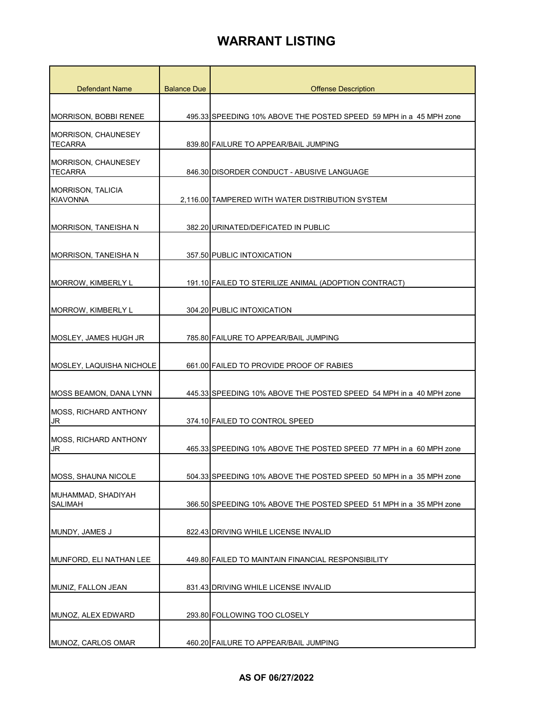| <b>Defendant Name</b>                        | <b>Balance Due</b> | <b>Offense Description</b>                                         |
|----------------------------------------------|--------------------|--------------------------------------------------------------------|
|                                              |                    |                                                                    |
| <b>MORRISON, BOBBI RENEE</b>                 |                    | 495.33 SPEEDING 10% ABOVE THE POSTED SPEED 59 MPH in a 45 MPH zone |
| <b>MORRISON, CHAUNESEY</b><br><b>TECARRA</b> |                    | 839.80 FAILURE TO APPEAR/BAIL JUMPING                              |
| <b>MORRISON, CHAUNESEY</b><br><b>TECARRA</b> |                    | 846.30 DISORDER CONDUCT - ABUSIVE LANGUAGE                         |
| <b>MORRISON, TALICIA</b><br><b>KIAVONNA</b>  |                    | 2,116.00 TAMPERED WITH WATER DISTRIBUTION SYSTEM                   |
| <b>MORRISON, TANEISHA N</b>                  |                    | 382.20 URINATED/DEFICATED IN PUBLIC                                |
| <b>MORRISON, TANEISHA N</b>                  |                    | 357.50 PUBLIC INTOXICATION                                         |
| <b>MORROW, KIMBERLY L</b>                    |                    | 191.10 FAILED TO STERILIZE ANIMAL (ADOPTION CONTRACT)              |
| MORROW, KIMBERLY L                           |                    | 304.20 PUBLIC INTOXICATION                                         |
| MOSLEY, JAMES HUGH JR                        |                    | 785.80 FAILURE TO APPEAR/BAIL JUMPING                              |
| MOSLEY, LAQUISHA NICHOLE                     |                    | 661.00 FAILED TO PROVIDE PROOF OF RABIES                           |
| MOSS BEAMON, DANA LYNN                       |                    | 445.33 SPEEDING 10% ABOVE THE POSTED SPEED 54 MPH in a 40 MPH zone |
| <b>MOSS, RICHARD ANTHONY</b><br>JR           |                    | 374.10 FAILED TO CONTROL SPEED                                     |
| <b>MOSS, RICHARD ANTHONY</b><br>JR           |                    | 465.33 SPEEDING 10% ABOVE THE POSTED SPEED 77 MPH in a 60 MPH zone |
| MOSS, SHAUNA NICOLE                          |                    | 504.33 SPEEDING 10% ABOVE THE POSTED SPEED 50 MPH in a 35 MPH zone |
| MUHAMMAD, SHADIYAH<br><b>SALIMAH</b>         |                    | 366.50 SPEEDING 10% ABOVE THE POSTED SPEED 51 MPH in a 35 MPH zone |
| MUNDY, JAMES J                               |                    | 822.43 DRIVING WHILE LICENSE INVALID                               |
| MUNFORD, ELI NATHAN LEE                      |                    | 449.80 FAILED TO MAINTAIN FINANCIAL RESPONSIBILITY                 |
| MUNIZ, FALLON JEAN                           |                    | 831.43 DRIVING WHILE LICENSE INVALID                               |
| MUNOZ, ALEX EDWARD                           |                    | 293.80 FOLLOWING TOO CLOSELY                                       |
| MUNOZ, CARLOS OMAR                           |                    | 460.20 FAILURE TO APPEAR/BAIL JUMPING                              |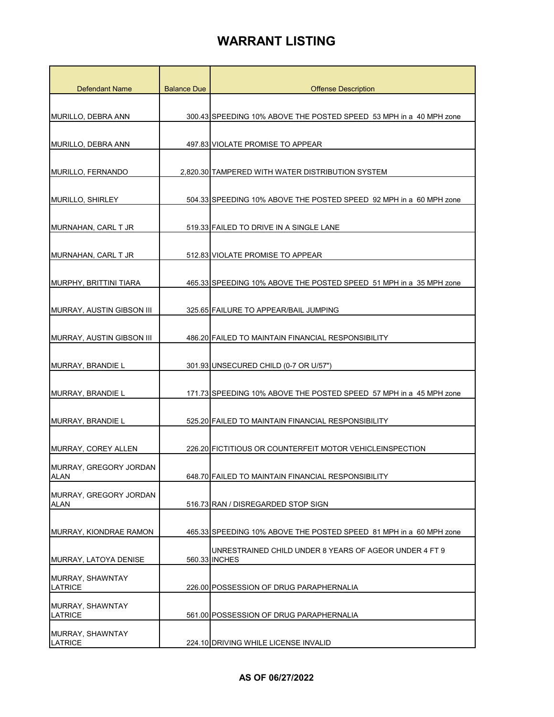| <b>Defendant Name</b>                 | <b>Balance Due</b> | <b>Offense Description</b>                                              |
|---------------------------------------|--------------------|-------------------------------------------------------------------------|
|                                       |                    |                                                                         |
| MURILLO, DEBRA ANN                    |                    | 300.43 SPEEDING 10% ABOVE THE POSTED SPEED 53 MPH in a 40 MPH zone      |
| MURILLO, DEBRA ANN                    |                    | 497.83 VIOLATE PROMISE TO APPEAR                                        |
|                                       |                    |                                                                         |
| MURILLO, FERNANDO                     |                    | 2,820.30 TAMPERED WITH WATER DISTRIBUTION SYSTEM                        |
| <b>MURILLO, SHIRLEY</b>               |                    | 504.33 SPEEDING 10% ABOVE THE POSTED SPEED 92 MPH in a 60 MPH zone      |
| MURNAHAN, CARL T JR                   |                    | 519.33 FAILED TO DRIVE IN A SINGLE LANE                                 |
| MURNAHAN, CARL T JR                   |                    | 512.83 VIOLATE PROMISE TO APPEAR                                        |
| MURPHY, BRITTINI TIARA                |                    | 465.33 SPEEDING 10% ABOVE THE POSTED SPEED 51 MPH in a 35 MPH zone      |
| MURRAY, AUSTIN GIBSON III             |                    | 325.65 FAILURE TO APPEAR/BAIL JUMPING                                   |
| MURRAY, AUSTIN GIBSON III             |                    | 486.20 FAILED TO MAINTAIN FINANCIAL RESPONSIBILITY                      |
| MURRAY, BRANDIE L                     |                    | 301.93 UNSECURED CHILD (0-7 OR U/57")                                   |
| MURRAY, BRANDIE L                     |                    | 171.73 SPEEDING 10% ABOVE THE POSTED SPEED 57 MPH in a 45 MPH zone      |
| MURRAY, BRANDIE L                     |                    | 525.20 FAILED TO MAINTAIN FINANCIAL RESPONSIBILITY                      |
| MURRAY, COREY ALLEN                   |                    | 226.20 FICTITIOUS OR COUNTERFEIT MOTOR VEHICLEINSPECTION                |
| MURRAY, GREGORY JORDAN<br><b>ALAN</b> |                    | 648.70 FAILED TO MAINTAIN FINANCIAL RESPONSIBILITY                      |
| MURRAY, GREGORY JORDAN<br>ALAN        |                    | 516.73 RAN / DISREGARDED STOP SIGN                                      |
| MURRAY, KIONDRAE RAMON                |                    | 465.33 SPEEDING 10% ABOVE THE POSTED SPEED 81 MPH in a 60 MPH zone      |
| MURRAY, LATOYA DENISE                 |                    | UNRESTRAINED CHILD UNDER 8 YEARS OF AGEOR UNDER 4 FT 9<br>560.33 INCHES |
| MURRAY, SHAWNTAY<br><b>LATRICE</b>    |                    | 226.00 POSSESSION OF DRUG PARAPHERNALIA                                 |
| MURRAY, SHAWNTAY<br>LATRICE           |                    | 561.00 POSSESSION OF DRUG PARAPHERNALIA                                 |
| MURRAY, SHAWNTAY<br><b>LATRICE</b>    |                    | 224.10 DRIVING WHILE LICENSE INVALID                                    |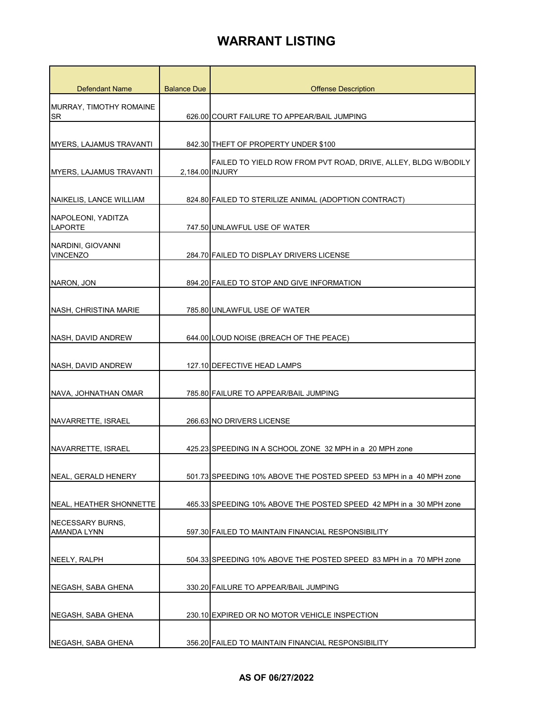| <b>Defendant Name</b>                | <b>Balance Due</b> | <b>Offense Description</b>                                         |
|--------------------------------------|--------------------|--------------------------------------------------------------------|
| MURRAY, TIMOTHY ROMAINE              |                    |                                                                    |
| SR                                   |                    | 626.00 COURT FAILURE TO APPEAR/BAIL JUMPING                        |
| <b>MYERS, LAJAMUS TRAVANTI</b>       |                    | 842.30 THEFT OF PROPERTY UNDER \$100                               |
|                                      |                    |                                                                    |
| <b>MYERS, LAJAMUS TRAVANTI</b>       | 2,184.00 INJURY    | FAILED TO YIELD ROW FROM PVT ROAD, DRIVE, ALLEY, BLDG W/BODILY     |
|                                      |                    |                                                                    |
| NAIKELIS, LANCE WILLIAM              |                    | 824.80 FAILED TO STERILIZE ANIMAL (ADOPTION CONTRACT)              |
|                                      |                    |                                                                    |
| NAPOLEONI, YADITZA<br><b>LAPORTE</b> |                    | 747.50 UNLAWFUL USE OF WATER                                       |
| NARDINI, GIOVANNI                    |                    |                                                                    |
| <b>VINCENZO</b>                      |                    | 284.70 FAILED TO DISPLAY DRIVERS LICENSE                           |
|                                      |                    |                                                                    |
| NARON, JON                           |                    | 894.20 FAILED TO STOP AND GIVE INFORMATION                         |
|                                      |                    |                                                                    |
| <b>NASH, CHRISTINA MARIE</b>         |                    | 785.80 UNLAWFUL USE OF WATER                                       |
|                                      |                    |                                                                    |
| NASH, DAVID ANDREW                   |                    | 644.00 LOUD NOISE (BREACH OF THE PEACE)                            |
|                                      |                    |                                                                    |
| NASH, DAVID ANDREW                   |                    | 127.10 DEFECTIVE HEAD LAMPS                                        |
|                                      |                    |                                                                    |
| NAVA, JOHNATHAN OMAR                 |                    | 785.80 FAILURE TO APPEAR/BAIL JUMPING                              |
|                                      |                    | 266.63 NO DRIVERS LICENSE                                          |
| NAVARRETTE, ISRAEL                   |                    |                                                                    |
| NAVARRETTE, ISRAEL                   |                    | 425.23 SPEEDING IN A SCHOOL ZONE 32 MPH in a 20 MPH zone           |
|                                      |                    |                                                                    |
| NEAL, GERALD HENERY                  |                    | 501.73 SPEEDING 10% ABOVE THE POSTED SPEED 53 MPH in a 40 MPH zone |
|                                      |                    |                                                                    |
| NEAL, HEATHER SHONNETTE              |                    | 465.33 SPEEDING 10% ABOVE THE POSTED SPEED 42 MPH in a 30 MPH zone |
| NECESSARY BURNS,                     |                    |                                                                    |
| <b>AMANDA LYNN</b>                   |                    | 597.30 FAILED TO MAINTAIN FINANCIAL RESPONSIBILITY                 |
|                                      |                    |                                                                    |
| NEELY, RALPH                         |                    | 504.33 SPEEDING 10% ABOVE THE POSTED SPEED 83 MPH in a 70 MPH zone |
|                                      |                    |                                                                    |
| NEGASH, SABA GHENA                   |                    | 330.20 FAILURE TO APPEAR/BAIL JUMPING                              |
|                                      |                    |                                                                    |
| NEGASH, SABA GHENA                   |                    | 230.10 EXPIRED OR NO MOTOR VEHICLE INSPECTION                      |
|                                      |                    |                                                                    |
| NEGASH, SABA GHENA                   |                    | 356.20 FAILED TO MAINTAIN FINANCIAL RESPONSIBILITY                 |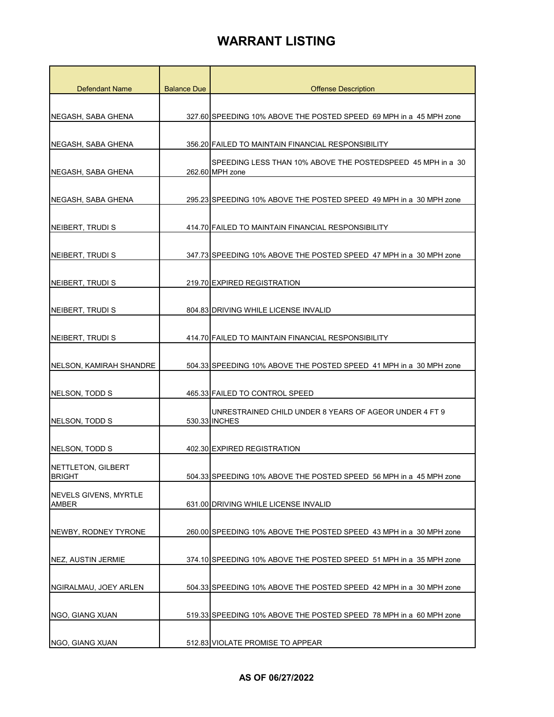| <b>Defendant Name</b>          | <b>Balance Due</b> | <b>Offense Description</b>                                                     |
|--------------------------------|--------------------|--------------------------------------------------------------------------------|
| NEGASH, SABA GHENA             |                    | 327.60 SPEEDING 10% ABOVE THE POSTED SPEED 69 MPH in a 45 MPH zone             |
|                                |                    |                                                                                |
| NEGASH, SABA GHENA             |                    | 356.20 FAILED TO MAINTAIN FINANCIAL RESPONSIBILITY                             |
| NEGASH, SABA GHENA             |                    | SPEEDING LESS THAN 10% ABOVE THE POSTEDSPEED 45 MPH in a 30<br>262.60 MPH zone |
|                                |                    |                                                                                |
| NEGASH, SABA GHENA             |                    | 295.23 SPEEDING 10% ABOVE THE POSTED SPEED 49 MPH in a 30 MPH zone             |
| NEIBERT, TRUDI S               |                    | 414.70 FAILED TO MAINTAIN FINANCIAL RESPONSIBILITY                             |
| NEIBERT, TRUDI S               |                    | 347.73 SPEEDING 10% ABOVE THE POSTED SPEED 47 MPH in a 30 MPH zone             |
| NEIBERT, TRUDI S               |                    | 219.70 EXPIRED REGISTRATION                                                    |
|                                |                    |                                                                                |
| NEIBERT, TRUDI S               |                    | 804.83 DRIVING WHILE LICENSE INVALID                                           |
|                                |                    |                                                                                |
| NEIBERT, TRUDI S               |                    | 414.70 FAILED TO MAINTAIN FINANCIAL RESPONSIBILITY                             |
| <b>NELSON, KAMIRAH SHANDRE</b> |                    | 504.33 SPEEDING 10% ABOVE THE POSTED SPEED 41 MPH in a 30 MPH zone             |
| NELSON, TODD S                 |                    | 465.33 FAILED TO CONTROL SPEED                                                 |
| NELSON, TODD S                 |                    | UNRESTRAINED CHILD UNDER 8 YEARS OF AGEOR UNDER 4 FT 9<br>530.33 INCHES        |
|                                |                    |                                                                                |
| NELSON, TODD S                 |                    | 402.30 EXPIRED REGISTRATION                                                    |
| NETTLETON, GILBERT<br>BRIGHT   |                    | 504.33 SPEEDING 10% ABOVE THE POSTED SPEED 56 MPH in a 45 MPH zone             |
| NEVELS GIVENS, MYRTLE          |                    |                                                                                |
| <b>AMBER</b>                   |                    | 631.00 DRIVING WHILE LICENSE INVALID                                           |
| NEWBY, RODNEY TYRONE           |                    | 260.00 SPEEDING 10% ABOVE THE POSTED SPEED 43 MPH in a 30 MPH zone             |
| <b>NEZ, AUSTIN JERMIE</b>      |                    | 374.10 SPEEDING 10% ABOVE THE POSTED SPEED 51 MPH in a 35 MPH zone             |
|                                |                    |                                                                                |
| NGIRALMAU, JOEY ARLEN          |                    | 504.33 SPEEDING 10% ABOVE THE POSTED SPEED 42 MPH in a 30 MPH zone             |
| NGO, GIANG XUAN                |                    | 519.33 SPEEDING 10% ABOVE THE POSTED SPEED 78 MPH in a 60 MPH zone             |
|                                |                    |                                                                                |
| NGO, GIANG XUAN                |                    | 512.83 VIOLATE PROMISE TO APPEAR                                               |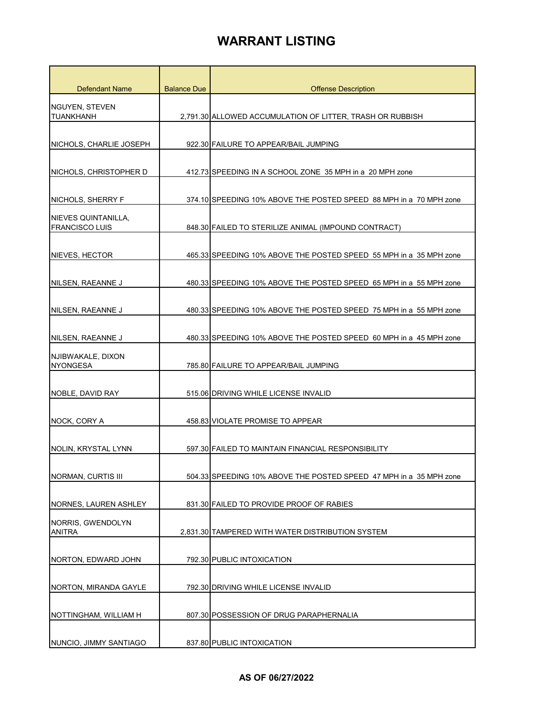| Defendant Name                               | <b>Balance Due</b> | <b>Offense Description</b>                                           |
|----------------------------------------------|--------------------|----------------------------------------------------------------------|
| NGUYEN, STEVEN<br><b>TUANKHANH</b>           |                    | 2,791.30 ALLOWED ACCUMULATION OF LITTER, TRASH OR RUBBISH            |
| NICHOLS, CHARLIE JOSEPH                      |                    | 922.30 FAILURE TO APPEAR/BAIL JUMPING                                |
| NICHOLS, CHRISTOPHER D                       |                    | 412.73 SPEEDING IN A SCHOOL ZONE 35 MPH in a 20 MPH zone             |
| NICHOLS, SHERRY F                            |                    | 374.10 SPEEDING 10% ABOVE THE POSTED SPEED 88 MPH in a 70 MPH zone   |
| NIEVES QUINTANILLA,<br><b>FRANCISCO LUIS</b> |                    | 848.30 FAILED TO STERILIZE ANIMAL (IMPOUND CONTRACT)                 |
| NIEVES, HECTOR                               |                    | 465.33 SPEEDING 10% ABOVE THE POSTED SPEED 55 MPH in a 35 MPH zone   |
| NILSEN, RAEANNE J                            |                    | 480.33 SPEEDING 10% ABOVE THE POSTED SPEED 65 MPH in a 55 MPH zone   |
| NILSEN, RAEANNE J                            |                    | 480.33 SPEEDING 10% ABOVE THE POSTED SPEED 75 MPH in a 55 MPH zone   |
| NILSEN, RAEANNE J                            |                    | 480.33 SPEEDING 10% ABOVE THE POSTED SPEED 60 MPH in a 45 MPH zone   |
| NJIBWAKALE, DIXON<br><b>NYONGESA</b>         |                    | 785.80 FAILURE TO APPEAR/BAIL JUMPING                                |
| NOBLE, DAVID RAY                             |                    | 515.06 DRIVING WHILE LICENSE INVALID                                 |
| NOCK, CORY A                                 |                    | 458.83 VIOLATE PROMISE TO APPEAR                                     |
| NOLIN, KRYSTAL LYNN                          |                    | 597.30 FAILED TO MAINTAIN FINANCIAL RESPONSIBILITY                   |
| NORMAN, CURTIS III                           |                    | 504.33 SPEEDING 10% ABOVE THE POSTED SPEED  47 MPH in a  35 MPH zone |
| NORNES, LAUREN ASHLEY                        |                    | 831.30 FAILED TO PROVIDE PROOF OF RABIES                             |
| NORRIS, GWENDOLYN<br><b>ANITRA</b>           |                    | 2,831.30 TAMPERED WITH WATER DISTRIBUTION SYSTEM                     |
| NORTON, EDWARD JOHN                          |                    | 792.30 PUBLIC INTOXICATION                                           |
| NORTON, MIRANDA GAYLE                        |                    | 792.30 DRIVING WHILE LICENSE INVALID                                 |
| NOTTINGHAM, WILLIAM H                        |                    | 807.30 POSSESSION OF DRUG PARAPHERNALIA                              |
| NUNCIO, JIMMY SANTIAGO                       |                    | 837.80 PUBLIC INTOXICATION                                           |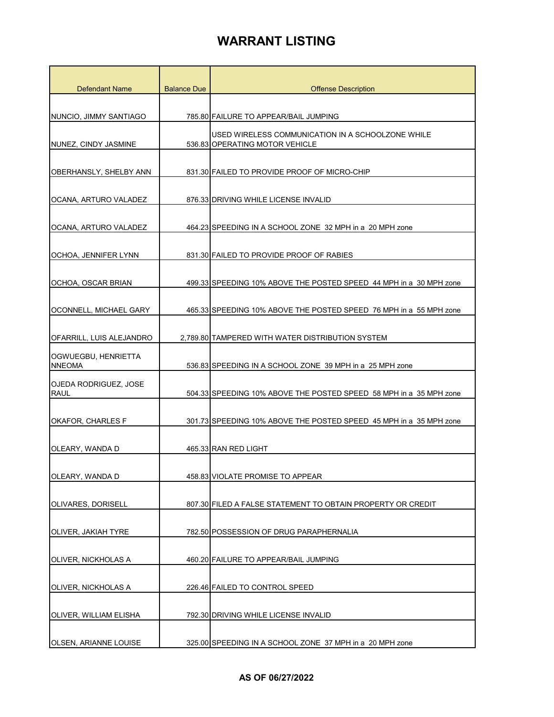| <b>Defendant Name</b>         | <b>Balance Due</b> | <b>Offense Description</b>                                                          |
|-------------------------------|--------------------|-------------------------------------------------------------------------------------|
|                               |                    |                                                                                     |
| NUNCIO, JIMMY SANTIAGO        |                    | 785.80 FAILURE TO APPEAR/BAIL JUMPING                                               |
| NUNEZ, CINDY JASMINE          |                    | USED WIRELESS COMMUNICATION IN A SCHOOLZONE WHILE<br>536.83 OPERATING MOTOR VEHICLE |
|                               |                    |                                                                                     |
| OBERHANSLY, SHELBY ANN        |                    | 831.30 FAILED TO PROVIDE PROOF OF MICRO-CHIP                                        |
| OCANA, ARTURO VALADEZ         |                    | 876.33 DRIVING WHILE LICENSE INVALID                                                |
| OCANA, ARTURO VALADEZ         |                    | 464.23 SPEEDING IN A SCHOOL ZONE 32 MPH in a 20 MPH zone                            |
| OCHOA. JENNIFER LYNN          |                    | 831.30 FAILED TO PROVIDE PROOF OF RABIES                                            |
| OCHOA, OSCAR BRIAN            |                    | 499.33 SPEEDING 10% ABOVE THE POSTED SPEED 44 MPH in a 30 MPH zone                  |
| OCONNELL, MICHAEL GARY        |                    | 465.33 SPEEDING 10% ABOVE THE POSTED SPEED 76 MPH in a 55 MPH zone                  |
| OFARRILL, LUIS ALEJANDRO      |                    | 2.789.80 TAMPERED WITH WATER DISTRIBUTION SYSTEM                                    |
| OGWUEGBU, HENRIETTA           |                    |                                                                                     |
| <b>NNEOMA</b>                 |                    | 536.83 SPEEDING IN A SCHOOL ZONE 39 MPH in a 25 MPH zone                            |
| OJEDA RODRIGUEZ, JOSE<br>RAUL |                    | 504.33 SPEEDING 10% ABOVE THE POSTED SPEED 58 MPH in a 35 MPH zone                  |
| OKAFOR, CHARLES F             |                    | 301.73 SPEEDING 10% ABOVE THE POSTED SPEED 45 MPH in a 35 MPH zone                  |
| OLEARY, WANDA D               |                    | 465.33 RAN RED LIGHT                                                                |
| OLEARY, WANDA D               |                    | 458.83 VIOLATE PROMISE TO APPEAR                                                    |
| OLIVARES, DORISELL            |                    | 807.30 FILED A FALSE STATEMENT TO OBTAIN PROPERTY OR CREDIT                         |
| OLIVER, JAKIAH TYRE           |                    | 782.50 POSSESSION OF DRUG PARAPHERNALIA                                             |
|                               |                    |                                                                                     |
| OLIVER, NICKHOLAS A           |                    | 460.20 FAILURE TO APPEAR/BAIL JUMPING                                               |
| OLIVER, NICKHOLAS A           |                    | 226.46 FAILED TO CONTROL SPEED                                                      |
| OLIVER, WILLIAM ELISHA        |                    | 792.30 DRIVING WHILE LICENSE INVALID                                                |
| OLSEN, ARIANNE LOUISE         |                    | 325.00 SPEEDING IN A SCHOOL ZONE 37 MPH in a 20 MPH zone                            |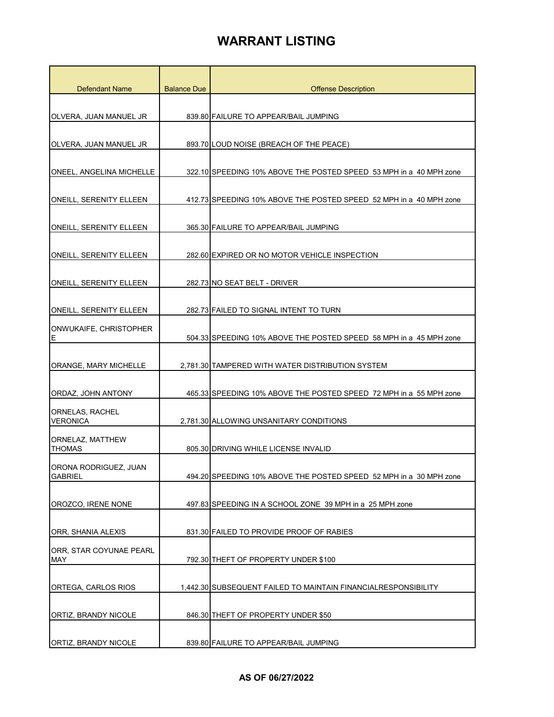| <b>Defendant Name</b>                   | <b>Balance Due</b> | <b>Offense Description</b>                                         |
|-----------------------------------------|--------------------|--------------------------------------------------------------------|
|                                         |                    |                                                                    |
| OLVERA, JUAN MANUEL JR                  |                    | 839.80 FAILURE TO APPEAR/BAIL JUMPING                              |
|                                         |                    |                                                                    |
| OLVERA, JUAN MANUEL JR                  |                    | 893.70 LOUD NOISE (BREACH OF THE PEACE)                            |
| ONEEL, ANGELINA MICHELLE                |                    | 322.10 SPEEDING 10% ABOVE THE POSTED SPEED 53 MPH in a 40 MPH zone |
| <b>ONEILL, SERENITY ELLEEN</b>          |                    | 412.73 SPEEDING 10% ABOVE THE POSTED SPEED 52 MPH in a 40 MPH zone |
| <b>ONEILL, SERENITY ELLEEN</b>          |                    | 365.30 FAILURE TO APPEAR/BAIL JUMPING                              |
| <b>ONEILL, SERENITY ELLEEN</b>          |                    | 282.60 EXPIRED OR NO MOTOR VEHICLE INSPECTION                      |
| <b>ONEILL, SERENITY ELLEEN</b>          |                    | 282.73 NO SEAT BELT - DRIVER                                       |
| <b>ONEILL, SERENITY ELLEEN</b>          |                    | 282.73 FAILED TO SIGNAL INTENT TO TURN                             |
| ONWUKAIFE, CHRISTOPHER<br>Е             |                    | 504.33 SPEEDING 10% ABOVE THE POSTED SPEED 58 MPH in a 45 MPH zone |
| ORANGE, MARY MICHELLE                   |                    | 2,781.30 TAMPERED WITH WATER DISTRIBUTION SYSTEM                   |
| ORDAZ, JOHN ANTONY                      |                    | 465.33 SPEEDING 10% ABOVE THE POSTED SPEED 72 MPH in a 55 MPH zone |
| ORNELAS, RACHEL<br><b>VERONICA</b>      |                    | 2,781.30 ALLOWING UNSANITARY CONDITIONS                            |
| ORNELAZ, MATTHEW<br><b>THOMAS</b>       |                    | 805.30 DRIVING WHILE LICENSE INVALID                               |
| ORONA RODRIGUEZ, JUAN<br><b>GABRIEL</b> |                    | 494.20 SPEEDING 10% ABOVE THE POSTED SPEED 52 MPH in a 30 MPH zone |
| OROZCO, IRENE NONE                      |                    | 497.83 SPEEDING IN A SCHOOL ZONE 39 MPH in a 25 MPH zone           |
| ORR, SHANIA ALEXIS                      |                    | 831.30 FAILED TO PROVIDE PROOF OF RABIES                           |
| ORR, STAR COYUNAE PEARL<br><b>MAY</b>   |                    | 792.30 THEFT OF PROPERTY UNDER \$100                               |
| ORTEGA, CARLOS RIOS                     |                    | 1,442.30 SUBSEQUENT FAILED TO MAINTAIN FINANCIALRESPONSIBILITY     |
| ORTIZ, BRANDY NICOLE                    |                    | 846.30 THEFT OF PROPERTY UNDER \$50                                |
| ORTIZ, BRANDY NICOLE                    |                    | 839.80 FAILURE TO APPEAR/BAIL JUMPING                              |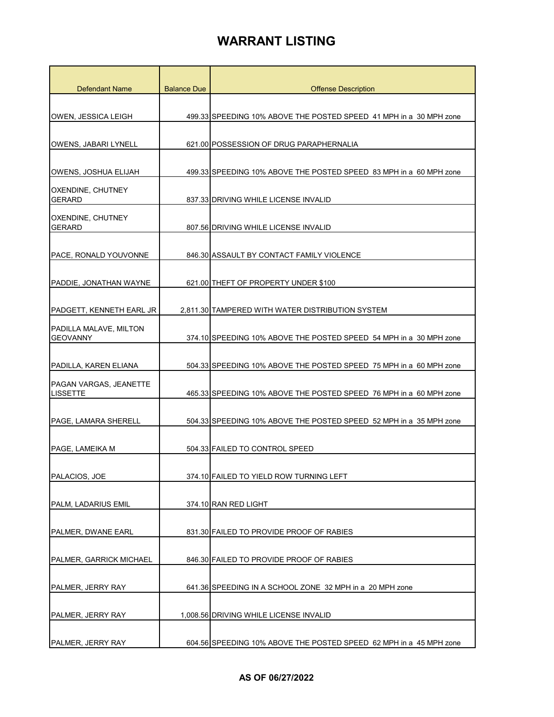| <b>Defendant Name</b>                     | <b>Balance Due</b> | <b>Offense Description</b>                                         |
|-------------------------------------------|--------------------|--------------------------------------------------------------------|
|                                           |                    |                                                                    |
| OWEN, JESSICA LEIGH                       |                    | 499.33 SPEEDING 10% ABOVE THE POSTED SPEED 41 MPH in a 30 MPH zone |
|                                           |                    |                                                                    |
| OWENS, JABARI LYNELL                      |                    | 621.00 POSSESSION OF DRUG PARAPHERNALIA                            |
| OWENS, JOSHUA ELIJAH                      |                    | 499.33 SPEEDING 10% ABOVE THE POSTED SPEED 83 MPH in a 60 MPH zone |
| OXENDINE, CHUTNEY<br><b>GERARD</b>        |                    | 837.33 DRIVING WHILE LICENSE INVALID                               |
| OXENDINE, CHUTNEY<br><b>GERARD</b>        |                    | 807.56 DRIVING WHILE LICENSE INVALID                               |
| PACE, RONALD YOUVONNE                     |                    | 846.30 ASSAULT BY CONTACT FAMILY VIOLENCE                          |
| PADDIE, JONATHAN WAYNE                    |                    | 621.00 THEFT OF PROPERTY UNDER \$100                               |
| PADGETT, KENNETH EARL JR                  |                    | 2.811.30 TAMPERED WITH WATER DISTRIBUTION SYSTEM                   |
| PADILLA MALAVE, MILTON<br><b>GEOVANNY</b> |                    | 374.10 SPEEDING 10% ABOVE THE POSTED SPEED 54 MPH in a 30 MPH zone |
| PADILLA, KAREN ELIANA                     |                    | 504.33 SPEEDING 10% ABOVE THE POSTED SPEED 75 MPH in a 60 MPH zone |
| PAGAN VARGAS, JEANETTE<br><b>LISSETTE</b> |                    | 465.33 SPEEDING 10% ABOVE THE POSTED SPEED 76 MPH in a 60 MPH zone |
| <b>PAGE. LAMARA SHERELL</b>               |                    | 504.33 SPEEDING 10% ABOVE THE POSTED SPEED 52 MPH in a 35 MPH zone |
| PAGE, LAMEIKA M                           |                    | 504.33 FAILED TO CONTROL SPEED                                     |
| PALACIOS, JOE                             |                    | 374.10 FAILED TO YIELD ROW TURNING LEFT                            |
| PALM, LADARIUS EMIL                       |                    | 374.10 RAN RED LIGHT                                               |
| PALMER, DWANE EARL                        |                    | 831.30 FAILED TO PROVIDE PROOF OF RABIES                           |
| PALMER, GARRICK MICHAEL                   |                    | 846.30 FAILED TO PROVIDE PROOF OF RABIES                           |
| PALMER, JERRY RAY                         |                    | 641.36 SPEEDING IN A SCHOOL ZONE 32 MPH in a 20 MPH zone           |
| PALMER, JERRY RAY                         |                    | 1,008.56 DRIVING WHILE LICENSE INVALID                             |
| PALMER, JERRY RAY                         |                    | 604.56 SPEEDING 10% ABOVE THE POSTED SPEED 62 MPH in a 45 MPH zone |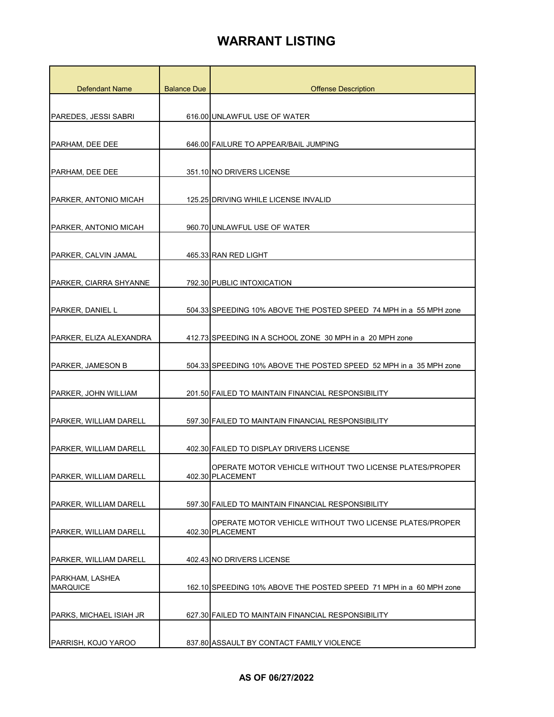| <b>Defendant Name</b>              | <b>Balance Due</b> | <b>Offense Description</b>                                                  |
|------------------------------------|--------------------|-----------------------------------------------------------------------------|
|                                    |                    |                                                                             |
| PAREDES, JESSI SABRI               |                    | 616.00 UNLAWFUL USE OF WATER                                                |
| PARHAM, DEE DEE                    |                    | 646.00 FAILURE TO APPEAR/BAIL JUMPING                                       |
|                                    |                    |                                                                             |
| PARHAM, DEE DEE                    |                    | 351.10 NO DRIVERS LICENSE                                                   |
| PARKER, ANTONIO MICAH              |                    | 125.25 DRIVING WHILE LICENSE INVALID                                        |
| PARKER, ANTONIO MICAH              |                    | 960.70 UNLAWFUL USE OF WATER                                                |
| PARKER, CALVIN JAMAL               |                    | 465.33 RAN RED LIGHT                                                        |
| PARKER, CIARRA SHYANNE             |                    | 792.30 PUBLIC INTOXICATION                                                  |
| PARKER, DANIEL L                   |                    | 504.33 SPEEDING 10% ABOVE THE POSTED SPEED 74 MPH in a 55 MPH zone          |
| PARKER, ELIZA ALEXANDRA            |                    | 412.73 SPEEDING IN A SCHOOL ZONE 30 MPH in a 20 MPH zone                    |
|                                    |                    |                                                                             |
| <b>PARKER, JAMESON B</b>           |                    | 504.33 SPEEDING 10% ABOVE THE POSTED SPEED 52 MPH in a 35 MPH zone          |
| PARKER, JOHN WILLIAM               |                    | 201.50 FAILED TO MAINTAIN FINANCIAL RESPONSIBILITY                          |
| PARKER, WILLIAM DARELL             |                    | 597.30 FAILED TO MAINTAIN FINANCIAL RESPONSIBILITY                          |
| PARKER, WILLIAM DARELL             |                    | 402.30 FAILED TO DISPLAY DRIVERS LICENSE                                    |
| PARKER, WILLIAM DARELL             |                    | OPERATE MOTOR VEHICLE WITHOUT TWO LICENSE PLATES/PROPER<br>402.30 PLACEMENT |
| PARKER, WILLIAM DARELL             |                    | 597.30 FAILED TO MAINTAIN FINANCIAL RESPONSIBILITY                          |
| PARKER, WILLIAM DARELL             |                    | OPERATE MOTOR VEHICLE WITHOUT TWO LICENSE PLATES/PROPER<br>402.30 PLACEMENT |
|                                    |                    |                                                                             |
| PARKER, WILLIAM DARELL             |                    | 402.43 NO DRIVERS LICENSE                                                   |
| PARKHAM, LASHEA<br><b>MARQUICE</b> |                    | 162.10 SPEEDING 10% ABOVE THE POSTED SPEED 71 MPH in a 60 MPH zone          |
| PARKS, MICHAEL ISIAH JR            |                    | 627.30 FAILED TO MAINTAIN FINANCIAL RESPONSIBILITY                          |
| PARRISH, KOJO YAROO                |                    | 837.80 ASSAULT BY CONTACT FAMILY VIOLENCE                                   |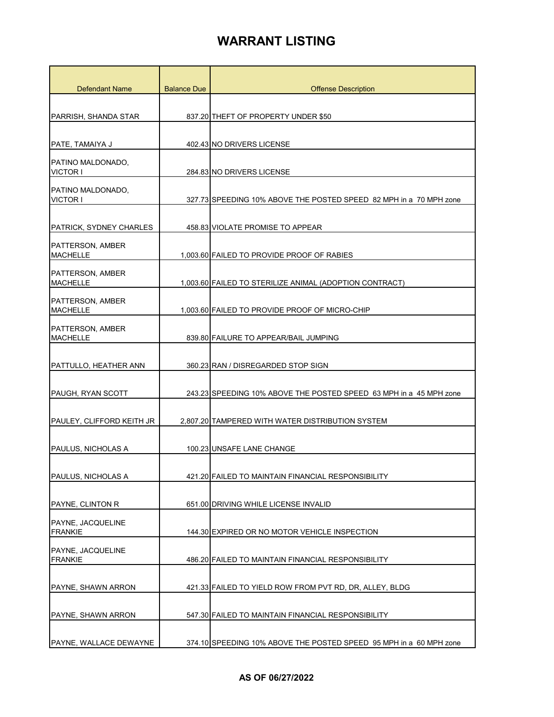| <b>Defendant Name</b>                      | <b>Balance Due</b> | <b>Offense Description</b>                                         |
|--------------------------------------------|--------------------|--------------------------------------------------------------------|
|                                            |                    |                                                                    |
| PARRISH, SHANDA STAR                       |                    | 837.20 THEFT OF PROPERTY UNDER \$50                                |
|                                            |                    |                                                                    |
| PATE, TAMAIYA J                            |                    | 402.43 NO DRIVERS LICENSE                                          |
| PATINO MALDONADO,<br><b>VICTOR I</b>       |                    | 284.83 NO DRIVERS LICENSE                                          |
| PATINO MALDONADO,<br><b>VICTOR I</b>       |                    | 327.73 SPEEDING 10% ABOVE THE POSTED SPEED 82 MPH in a 70 MPH zone |
| PATRICK, SYDNEY CHARLES                    |                    | 458.83 VIOLATE PROMISE TO APPEAR                                   |
| <b>PATTERSON, AMBER</b><br><b>MACHELLE</b> |                    | 1,003.60 FAILED TO PROVIDE PROOF OF RABIES                         |
| PATTERSON, AMBER<br><b>MACHELLE</b>        |                    | 1,003.60 FAILED TO STERILIZE ANIMAL (ADOPTION CONTRACT)            |
| PATTERSON, AMBER<br><b>MACHELLE</b>        |                    | 1,003.60 FAILED TO PROVIDE PROOF OF MICRO-CHIP                     |
| PATTERSON, AMBER<br><b>MACHELLE</b>        |                    | 839.80 FAILURE TO APPEAR/BAIL JUMPING                              |
| PATTULLO, HEATHER ANN                      |                    | 360.23 RAN / DISREGARDED STOP SIGN                                 |
| PAUGH, RYAN SCOTT                          |                    | 243.23 SPEEDING 10% ABOVE THE POSTED SPEED 63 MPH in a 45 MPH zone |
| PAULEY, CLIFFORD KEITH JR                  |                    | 2,807.20 TAMPERED WITH WATER DISTRIBUTION SYSTEM                   |
| PAULUS, NICHOLAS A                         |                    | 100.23 UNSAFE LANE CHANGE                                          |
| PAULUS, NICHOLAS A                         |                    | 421.20 FAILED TO MAINTAIN FINANCIAL RESPONSIBILITY                 |
| PAYNE, CLINTON R                           |                    | 651.00 DRIVING WHILE LICENSE INVALID                               |
| <b>PAYNE, JACQUELINE</b><br><b>FRANKIE</b> |                    | 144.30 EXPIRED OR NO MOTOR VEHICLE INSPECTION                      |
| PAYNE, JACQUELINE<br><b>FRANKIE</b>        |                    | 486.20 FAILED TO MAINTAIN FINANCIAL RESPONSIBILITY                 |
| PAYNE, SHAWN ARRON                         |                    | 421.33 FAILED TO YIELD ROW FROM PVT RD, DR, ALLEY, BLDG            |
| PAYNE, SHAWN ARRON                         |                    | 547.30 FAILED TO MAINTAIN FINANCIAL RESPONSIBILITY                 |
| PAYNE, WALLACE DEWAYNE                     |                    | 374.10 SPEEDING 10% ABOVE THE POSTED SPEED 95 MPH in a 60 MPH zone |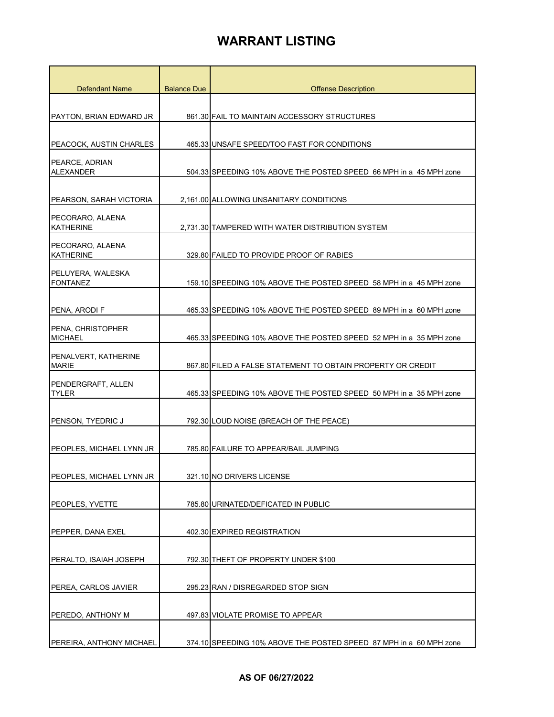| Defendant Name                       | <b>Balance Due</b> | <b>Offense Description</b>                                         |
|--------------------------------------|--------------------|--------------------------------------------------------------------|
|                                      |                    |                                                                    |
| PAYTON, BRIAN EDWARD JR              |                    | 861.30 FAIL TO MAINTAIN ACCESSORY STRUCTURES                       |
|                                      |                    |                                                                    |
| PEACOCK, AUSTIN CHARLES              |                    | 465.33 UNSAFE SPEED/TOO FAST FOR CONDITIONS                        |
| PEARCE, ADRIAN<br><b>ALEXANDER</b>   |                    | 504.33 SPEEDING 10% ABOVE THE POSTED SPEED 66 MPH in a 45 MPH zone |
|                                      |                    |                                                                    |
| PEARSON, SARAH VICTORIA              |                    | 2,161.00 ALLOWING UNSANITARY CONDITIONS                            |
| PECORARO, ALAENA<br><b>KATHERINE</b> |                    | 2.731.30 TAMPERED WITH WATER DISTRIBUTION SYSTEM                   |
| PECORARO, ALAENA                     |                    |                                                                    |
| <b>KATHERINE</b>                     |                    | 329.80 FAILED TO PROVIDE PROOF OF RABIES                           |
| PELUYERA, WALESKA<br><b>FONTANEZ</b> |                    | 159.10 SPEEDING 10% ABOVE THE POSTED SPEED 58 MPH in a 45 MPH zone |
|                                      |                    |                                                                    |
| PENA, ARODI F                        |                    | 465.33 SPEEDING 10% ABOVE THE POSTED SPEED 89 MPH in a 60 MPH zone |
| PENA, CHRISTOPHER<br><b>MICHAEL</b>  |                    | 465.33 SPEEDING 10% ABOVE THE POSTED SPEED 52 MPH in a 35 MPH zone |
| PENALVERT, KATHERINE<br><b>MARIE</b> |                    | 867.80 FILED A FALSE STATEMENT TO OBTAIN PROPERTY OR CREDIT        |
| PENDERGRAFT, ALLEN<br><b>TYLER</b>   |                    | 465.33 SPEEDING 10% ABOVE THE POSTED SPEED 50 MPH in a 35 MPH zone |
| PENSON, TYEDRIC J                    |                    | 792.30 LOUD NOISE (BREACH OF THE PEACE)                            |
| PEOPLES, MICHAEL LYNN JR             |                    | 785.80 FAILURE TO APPEAR/BAIL JUMPING                              |
|                                      |                    |                                                                    |
| PEOPLES, MICHAEL LYNN JR             |                    | 321.10 NO DRIVERS LICENSE                                          |
| PEOPLES, YVETTE                      |                    | 785.80 URINATED/DEFICATED IN PUBLIC                                |
| PEPPER, DANA EXEL                    |                    | 402.30 EXPIRED REGISTRATION                                        |
|                                      |                    |                                                                    |
| PERALTO, ISAIAH JOSEPH               |                    | 792.30 THEFT OF PROPERTY UNDER \$100                               |
| PEREA, CARLOS JAVIER                 |                    | 295.23 RAN / DISREGARDED STOP SIGN                                 |
| PEREDO, ANTHONY M                    |                    | 497.83 VIOLATE PROMISE TO APPEAR                                   |
|                                      |                    |                                                                    |
| PEREIRA, ANTHONY MICHAEL             |                    | 374.10 SPEEDING 10% ABOVE THE POSTED SPEED 87 MPH in a 60 MPH zone |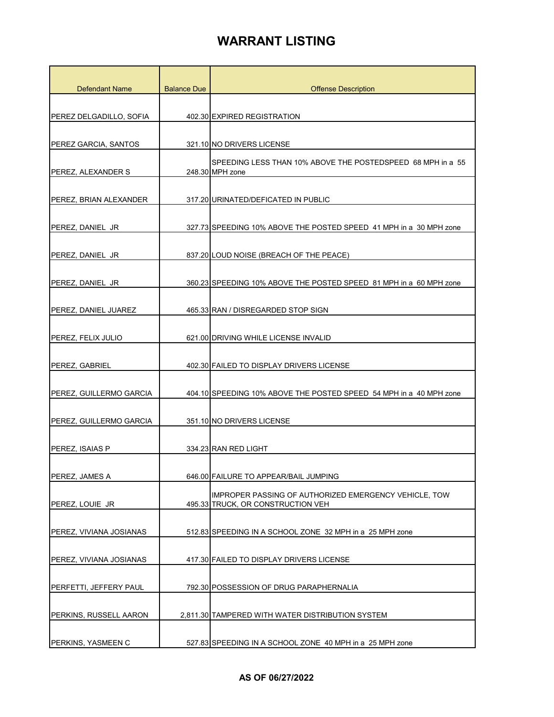| <b>Defendant Name</b>   | <b>Balance Due</b> | <b>Offense Description</b>                                                                 |
|-------------------------|--------------------|--------------------------------------------------------------------------------------------|
|                         |                    |                                                                                            |
| PEREZ DELGADILLO, SOFIA |                    | 402.30 EXPIRED REGISTRATION                                                                |
|                         |                    |                                                                                            |
| PEREZ GARCIA, SANTOS    |                    | 321.10 NO DRIVERS LICENSE                                                                  |
| PEREZ, ALEXANDER S      |                    | SPEEDING LESS THAN 10% ABOVE THE POSTEDSPEED 68 MPH in a 55<br>248.30 MPH zone             |
| PEREZ, BRIAN ALEXANDER  |                    | 317.20 URINATED/DEFICATED IN PUBLIC                                                        |
| PEREZ, DANIEL JR        |                    | 327.73 SPEEDING 10% ABOVE THE POSTED SPEED 41 MPH in a 30 MPH zone                         |
| PEREZ. DANIEL JR        |                    | 837.20 LOUD NOISE (BREACH OF THE PEACE)                                                    |
| PEREZ, DANIEL JR        |                    | 360.23 SPEEDING 10% ABOVE THE POSTED SPEED 81 MPH in a 60 MPH zone                         |
| PEREZ, DANIEL JUAREZ    |                    | 465.33 RAN / DISREGARDED STOP SIGN                                                         |
| PEREZ, FELIX JULIO      |                    | 621.00 DRIVING WHILE LICENSE INVALID                                                       |
| PEREZ, GABRIEL          |                    | 402.30 FAILED TO DISPLAY DRIVERS LICENSE                                                   |
| PEREZ, GUILLERMO GARCIA |                    | 404.10 SPEEDING 10% ABOVE THE POSTED SPEED 54 MPH in a 40 MPH zone                         |
| PEREZ, GUILLERMO GARCIA |                    | 351.10 NO DRIVERS LICENSE                                                                  |
| PEREZ, ISAIAS P         |                    | 334.23 RAN RED LIGHT                                                                       |
| PEREZ, JAMES A          |                    | 646.00 FAILURE TO APPEAR/BAIL JUMPING                                                      |
| PEREZ, LOUIE JR         |                    | IMPROPER PASSING OF AUTHORIZED EMERGENCY VEHICLE, TOW<br>495.33 TRUCK, OR CONSTRUCTION VEH |
| PEREZ, VIVIANA JOSIANAS |                    | 512.83 SPEEDING IN A SCHOOL ZONE 32 MPH in a 25 MPH zone                                   |
| PEREZ, VIVIANA JOSIANAS |                    | 417.30 FAILED TO DISPLAY DRIVERS LICENSE                                                   |
| PERFETTI, JEFFERY PAUL  |                    | 792.30 POSSESSION OF DRUG PARAPHERNALIA                                                    |
| PERKINS, RUSSELL AARON  |                    | 2,811.30 TAMPERED WITH WATER DISTRIBUTION SYSTEM                                           |
| PERKINS, YASMEEN C      |                    | 527.83 SPEEDING IN A SCHOOL ZONE 40 MPH in a 25 MPH zone                                   |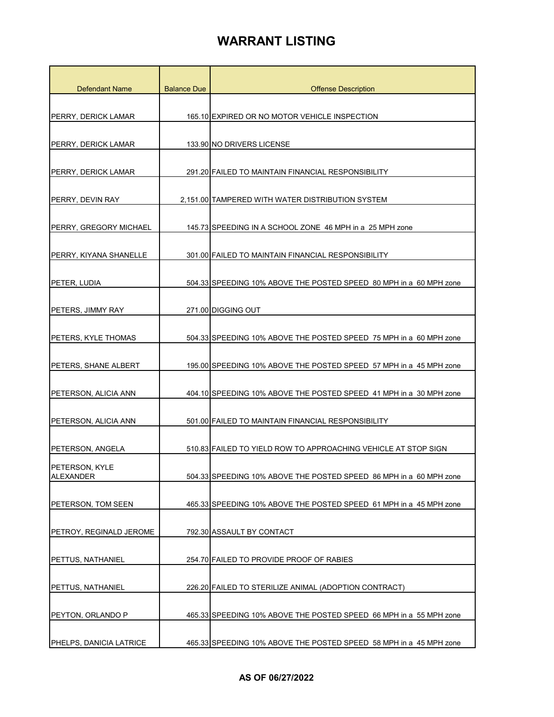| <b>Defendant Name</b>              | <b>Balance Due</b> | <b>Offense Description</b>                                         |
|------------------------------------|--------------------|--------------------------------------------------------------------|
|                                    |                    |                                                                    |
| PERRY, DERICK LAMAR                |                    | 165.10 EXPIRED OR NO MOTOR VEHICLE INSPECTION                      |
|                                    |                    |                                                                    |
| PERRY, DERICK LAMAR                |                    | 133.90 NO DRIVERS LICENSE                                          |
| PERRY, DERICK LAMAR                |                    | 291.20 FAILED TO MAINTAIN FINANCIAL RESPONSIBILITY                 |
|                                    |                    |                                                                    |
| PERRY, DEVIN RAY                   |                    | 2,151.00 TAMPERED WITH WATER DISTRIBUTION SYSTEM                   |
| <b>PERRY, GREGORY MICHAEL</b>      |                    | 145.73 SPEEDING IN A SCHOOL ZONE 46 MPH in a 25 MPH zone           |
| PERRY, KIYANA SHANELLE             |                    | 301.00 FAILED TO MAINTAIN FINANCIAL RESPONSIBILITY                 |
|                                    |                    |                                                                    |
| PETER, LUDIA                       |                    | 504.33 SPEEDING 10% ABOVE THE POSTED SPEED 80 MPH in a 60 MPH zone |
| PETERS, JIMMY RAY                  |                    | 271.00 DIGGING OUT                                                 |
|                                    |                    |                                                                    |
| PETERS, KYLE THOMAS                |                    | 504.33 SPEEDING 10% ABOVE THE POSTED SPEED 75 MPH in a 60 MPH zone |
| PETERS, SHANE ALBERT               |                    | 195.00 SPEEDING 10% ABOVE THE POSTED SPEED 57 MPH in a 45 MPH zone |
| PETERSON, ALICIA ANN               |                    | 404.10 SPEEDING 10% ABOVE THE POSTED SPEED 41 MPH in a 30 MPH zone |
| PETERSON, ALICIA ANN               |                    | 501.00 FAILED TO MAINTAIN FINANCIAL RESPONSIBILITY                 |
|                                    |                    |                                                                    |
| PETERSON, ANGELA                   |                    | 510.83 FAILED TO YIELD ROW TO APPROACHING VEHICLE AT STOP SIGN     |
| PETERSON, KYLE<br><b>ALEXANDER</b> |                    | 504.33 SPEEDING 10% ABOVE THE POSTED SPEED 86 MPH in a 60 MPH zone |
|                                    |                    |                                                                    |
| <b>PETERSON, TOM SEEN</b>          |                    | 465.33 SPEEDING 10% ABOVE THE POSTED SPEED 61 MPH in a 45 MPH zone |
| PETROY, REGINALD JEROME            |                    | 792.30 ASSAULT BY CONTACT                                          |
|                                    |                    |                                                                    |
| PETTUS, NATHANIEL                  |                    | 254.70 FAILED TO PROVIDE PROOF OF RABIES                           |
| PETTUS, NATHANIEL                  |                    | 226.20 FAILED TO STERILIZE ANIMAL (ADOPTION CONTRACT)              |
|                                    |                    |                                                                    |
| PEYTON, ORLANDO P                  |                    | 465.33 SPEEDING 10% ABOVE THE POSTED SPEED 66 MPH in a 55 MPH zone |
| PHELPS, DANICIA LATRICE            |                    | 465.33 SPEEDING 10% ABOVE THE POSTED SPEED 58 MPH in a 45 MPH zone |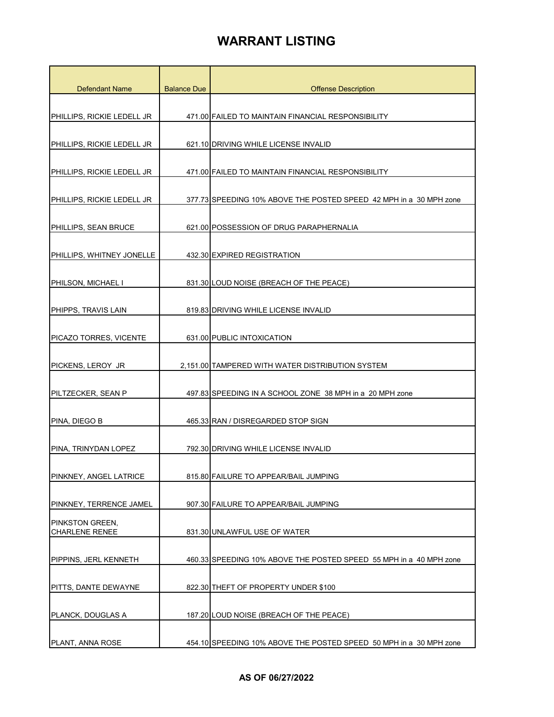| <b>Defendant Name</b>                    | <b>Balance Due</b> | <b>Offense Description</b>                                         |
|------------------------------------------|--------------------|--------------------------------------------------------------------|
|                                          |                    |                                                                    |
| PHILLIPS, RICKIE LEDELL JR               |                    | 471.00 FAILED TO MAINTAIN FINANCIAL RESPONSIBILITY                 |
| PHILLIPS, RICKIE LEDELL JR               |                    | 621.10 DRIVING WHILE LICENSE INVALID                               |
| PHILLIPS, RICKIE LEDELL JR               |                    | 471.00 FAILED TO MAINTAIN FINANCIAL RESPONSIBILITY                 |
|                                          |                    |                                                                    |
| PHILLIPS, RICKIE LEDELL JR               |                    | 377.73 SPEEDING 10% ABOVE THE POSTED SPEED 42 MPH in a 30 MPH zone |
| PHILLIPS, SEAN BRUCE                     |                    | 621.00 POSSESSION OF DRUG PARAPHERNALIA                            |
| PHILLIPS, WHITNEY JONELLE                |                    | 432.30 EXPIRED REGISTRATION                                        |
| PHILSON, MICHAEL I                       |                    | 831.30 LOUD NOISE (BREACH OF THE PEACE)                            |
| PHIPPS, TRAVIS LAIN                      |                    | 819.83 DRIVING WHILE LICENSE INVALID                               |
| PICAZO TORRES, VICENTE                   |                    | 631.00 PUBLIC INTOXICATION                                         |
|                                          |                    |                                                                    |
| PICKENS, LEROY JR                        |                    | 2,151.00 TAMPERED WITH WATER DISTRIBUTION SYSTEM                   |
| PILTZECKER, SEAN P                       |                    | 497.83 SPEEDING IN A SCHOOL ZONE 38 MPH in a 20 MPH zone           |
| PINA, DIEGO B                            |                    | 465.33 RAN / DISREGARDED STOP SIGN                                 |
| PINA, TRINYDAN LOPEZ                     |                    | 792.30 DRIVING WHILE LICENSE INVALID                               |
| PINKNEY, ANGEL LATRICE                   |                    | 815.80 FAILURE TO APPEAR/BAIL JUMPING                              |
| PINKNEY, TERRENCE JAMEL                  |                    | 907.30 FAILURE TO APPEAR/BAIL JUMPING                              |
| PINKSTON GREEN,<br><b>CHARLENE RENEE</b> |                    | 831.30 UNLAWFUL USE OF WATER                                       |
|                                          |                    |                                                                    |
| PIPPINS, JERL KENNETH                    |                    | 460.33 SPEEDING 10% ABOVE THE POSTED SPEED 55 MPH in a 40 MPH zone |
| PITTS, DANTE DEWAYNE                     |                    | 822.30 THEFT OF PROPERTY UNDER \$100                               |
| PLANCK, DOUGLAS A                        |                    | 187.20 LOUD NOISE (BREACH OF THE PEACE)                            |
| PLANT, ANNA ROSE                         |                    | 454.10 SPEEDING 10% ABOVE THE POSTED SPEED 50 MPH in a 30 MPH zone |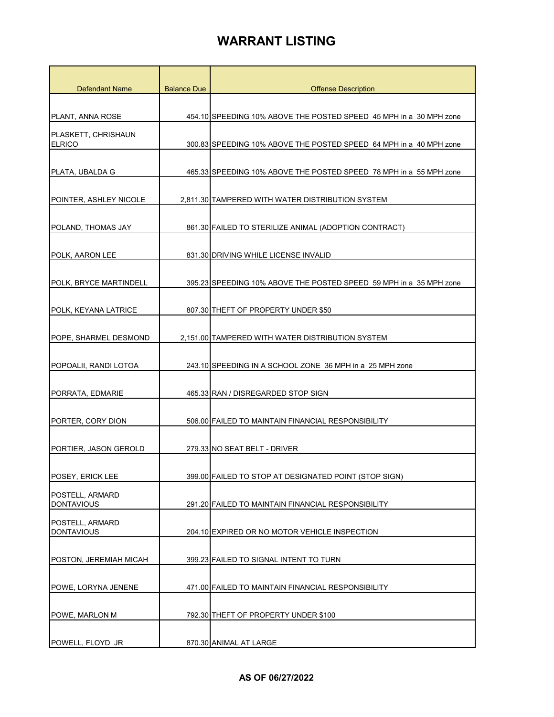| <b>Defendant Name</b>                | <b>Balance Due</b> | <b>Offense Description</b>                                         |
|--------------------------------------|--------------------|--------------------------------------------------------------------|
|                                      |                    |                                                                    |
| PLANT. ANNA ROSE                     |                    | 454.10 SPEEDING 10% ABOVE THE POSTED SPEED 45 MPH in a 30 MPH zone |
| PLASKETT, CHRISHAUN                  |                    |                                                                    |
| <b>ELRICO</b>                        |                    | 300.83 SPEEDING 10% ABOVE THE POSTED SPEED 64 MPH in a 40 MPH zone |
| PLATA, UBALDA G                      |                    | 465.33 SPEEDING 10% ABOVE THE POSTED SPEED 78 MPH in a 55 MPH zone |
|                                      |                    |                                                                    |
| POINTER, ASHLEY NICOLE               |                    | 2,811.30 TAMPERED WITH WATER DISTRIBUTION SYSTEM                   |
| POLAND, THOMAS JAY                   |                    | 861.30 FAILED TO STERILIZE ANIMAL (ADOPTION CONTRACT)              |
| POLK, AARON LEE                      |                    | 831.30 DRIVING WHILE LICENSE INVALID                               |
|                                      |                    |                                                                    |
| POLK, BRYCE MARTINDELL               |                    | 395.23 SPEEDING 10% ABOVE THE POSTED SPEED 59 MPH in a 35 MPH zone |
| POLK, KEYANA LATRICE                 |                    | 807.30 THEFT OF PROPERTY UNDER \$50                                |
|                                      |                    |                                                                    |
| POPE, SHARMEL DESMOND                |                    | 2,151.00 TAMPERED WITH WATER DISTRIBUTION SYSTEM                   |
| POPOALII, RANDI LOTOA                |                    | 243.10 SPEEDING IN A SCHOOL ZONE 36 MPH in a 25 MPH zone           |
|                                      |                    |                                                                    |
| PORRATA, EDMARIE                     |                    | 465.33 RAN / DISREGARDED STOP SIGN                                 |
| PORTER, CORY DION                    |                    | 506.00 FAILED TO MAINTAIN FINANCIAL RESPONSIBILITY                 |
|                                      |                    |                                                                    |
| PORTIER, JASON GEROLD                |                    | 279.33 NO SEAT BELT - DRIVER                                       |
| POSEY, ERICK LEE                     |                    | 399.00 FAILED TO STOP AT DESIGNATED POINT (STOP SIGN)              |
| POSTELL, ARMARD                      |                    |                                                                    |
| <b>DONTAVIOUS</b>                    |                    | 291.20 FAILED TO MAINTAIN FINANCIAL RESPONSIBILITY                 |
| POSTELL, ARMARD<br><b>DONTAVIOUS</b> |                    | 204.10 EXPIRED OR NO MOTOR VEHICLE INSPECTION                      |
|                                      |                    |                                                                    |
| POSTON, JEREMIAH MICAH               |                    | 399.23 FAILED TO SIGNAL INTENT TO TURN                             |
| POWE, LORYNA JENENE                  |                    | 471.00 FAILED TO MAINTAIN FINANCIAL RESPONSIBILITY                 |
|                                      |                    |                                                                    |
| POWE, MARLON M                       |                    | 792.30 THEFT OF PROPERTY UNDER \$100                               |
|                                      |                    |                                                                    |
| POWELL, FLOYD JR                     |                    | 870.30 ANIMAL AT LARGE                                             |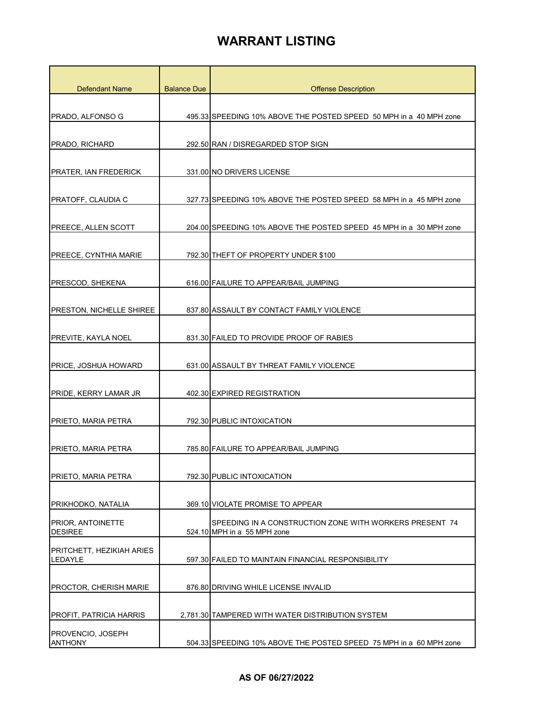| <b>Defendant Name</b>                | <b>Balance Due</b> | <b>Offense Description</b>                                                             |
|--------------------------------------|--------------------|----------------------------------------------------------------------------------------|
|                                      |                    |                                                                                        |
| PRADO, ALFONSO G                     |                    | 495.33 SPEEDING 10% ABOVE THE POSTED SPEED 50 MPH in a 40 MPH zone                     |
|                                      |                    |                                                                                        |
| PRADO, RICHARD                       |                    | 292.50 RAN / DISREGARDED STOP SIGN                                                     |
| <b>PRATER, IAN FREDERICK</b>         |                    | 331.00 NO DRIVERS LICENSE                                                              |
| PRATOFF, CLAUDIA C                   |                    | 327.73 SPEEDING 10% ABOVE THE POSTED SPEED 58 MPH in a 45 MPH zone                     |
| <b>PREECE, ALLEN SCOTT</b>           |                    | 204.00 SPEEDING 10% ABOVE THE POSTED SPEED 45 MPH in a 30 MPH zone                     |
| PREECE, CYNTHIA MARIE                |                    | 792.30 THEFT OF PROPERTY UNDER \$100                                                   |
| PRESCOD, SHEKENA                     |                    | 616.00 FAILURE TO APPEAR/BAIL JUMPING                                                  |
| <b>PRESTON, NICHELLE SHIREE</b>      |                    | 837.80 ASSAULT BY CONTACT FAMILY VIOLENCE                                              |
| PREVITE, KAYLA NOEL                  |                    | 831.30 FAILED TO PROVIDE PROOF OF RABIES                                               |
| PRICE, JOSHUA HOWARD                 |                    | 631.00 ASSAULT BY THREAT FAMILY VIOLENCE                                               |
| PRIDE, KERRY LAMAR JR                |                    | 402.30 EXPIRED REGISTRATION                                                            |
| PRIETO. MARIA PETRA                  |                    | 792.30 PUBLIC INTOXICATION                                                             |
| PRIETO, MARIA PETRA                  |                    | 785.80 FAILURE TO APPEAR/BAIL JUMPING                                                  |
| PRIETO, MARIA PETRA                  |                    | 792.30 PUBLIC INTOXICATION                                                             |
| PRIKHODKO, NATALIA                   |                    | 369.10 VIOLATE PROMISE TO APPEAR                                                       |
| PRIOR, ANTOINETTE<br><b>DESIREE</b>  |                    | SPEEDING IN A CONSTRUCTION ZONE WITH WORKERS PRESENT 74<br>524.10 MPH in a 55 MPH zone |
| PRITCHETT, HEZIKIAH ARIES<br>LEDAYLE |                    | 597.30 FAILED TO MAINTAIN FINANCIAL RESPONSIBILITY                                     |
| PROCTOR, CHERISH MARIE               |                    | 876.80 DRIVING WHILE LICENSE INVALID                                                   |
| <b>PROFIT, PATRICIA HARRIS</b>       |                    | 2,781.30 TAMPERED WITH WATER DISTRIBUTION SYSTEM                                       |
| PROVENCIO, JOSEPH<br><b>ANTHONY</b>  |                    | 504.33 SPEEDING 10% ABOVE THE POSTED SPEED 75 MPH in a 60 MPH zone                     |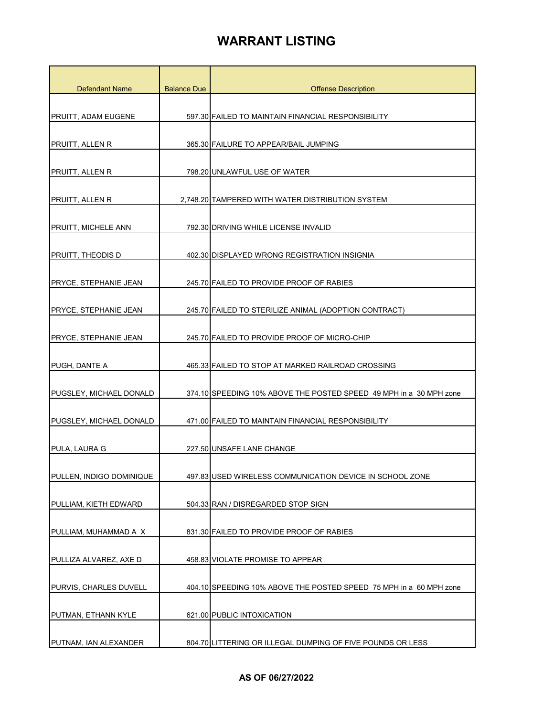| <b>Defendant Name</b>      | <b>Balance Due</b> | <b>Offense Description</b>                                         |
|----------------------------|--------------------|--------------------------------------------------------------------|
|                            |                    |                                                                    |
| PRUITT, ADAM EUGENE        |                    | 597.30 FAILED TO MAINTAIN FINANCIAL RESPONSIBILITY                 |
| PRUITT, ALLEN R            |                    | 365.30 FAILURE TO APPEAR/BAIL JUMPING                              |
|                            |                    |                                                                    |
| <b>PRUITT, ALLEN R</b>     |                    | 798.20 UNLAWFUL USE OF WATER                                       |
| PRUITT, ALLEN R            |                    | 2.748.20 TAMPERED WITH WATER DISTRIBUTION SYSTEM                   |
| <b>PRUITT, MICHELE ANN</b> |                    | 792.30 DRIVING WHILE LICENSE INVALID                               |
| <b>PRUITT, THEODIS D</b>   |                    | 402.30 DISPLAYED WRONG REGISTRATION INSIGNIA                       |
| PRYCE, STEPHANIE JEAN      |                    | 245.70 FAILED TO PROVIDE PROOF OF RABIES                           |
| PRYCE, STEPHANIE JEAN      |                    | 245.70 FAILED TO STERILIZE ANIMAL (ADOPTION CONTRACT)              |
| PRYCE, STEPHANIE JEAN      |                    | 245.70 FAILED TO PROVIDE PROOF OF MICRO-CHIP                       |
| PUGH, DANTE A              |                    | 465.33 FAILED TO STOP AT MARKED RAILROAD CROSSING                  |
| PUGSLEY, MICHAEL DONALD    |                    | 374.10 SPEEDING 10% ABOVE THE POSTED SPEED 49 MPH in a 30 MPH zone |
| PUGSLEY, MICHAEL DONALD    |                    | 471.00 FAILED TO MAINTAIN FINANCIAL RESPONSIBILITY                 |
| PULA, LAURA G              |                    | 227.50 UNSAFE LANE CHANGE                                          |
| PULLEN, INDIGO DOMINIQUE   |                    | 497.83 USED WIRELESS COMMUNICATION DEVICE IN SCHOOL ZONE           |
| PULLIAM, KIETH EDWARD      |                    | 504.33 RAN / DISREGARDED STOP SIGN                                 |
| PULLIAM, MUHAMMAD A X      |                    | 831.30 FAILED TO PROVIDE PROOF OF RABIES                           |
| PULLIZA ALVAREZ, AXE D     |                    | 458.83 VIOLATE PROMISE TO APPEAR                                   |
| PURVIS, CHARLES DUVELL     |                    | 404.10 SPEEDING 10% ABOVE THE POSTED SPEED 75 MPH in a 60 MPH zone |
| PUTMAN, ETHANN KYLE        |                    | 621.00 PUBLIC INTOXICATION                                         |
| PUTNAM, IAN ALEXANDER      |                    | 804.70 LITTERING OR ILLEGAL DUMPING OF FIVE POUNDS OR LESS         |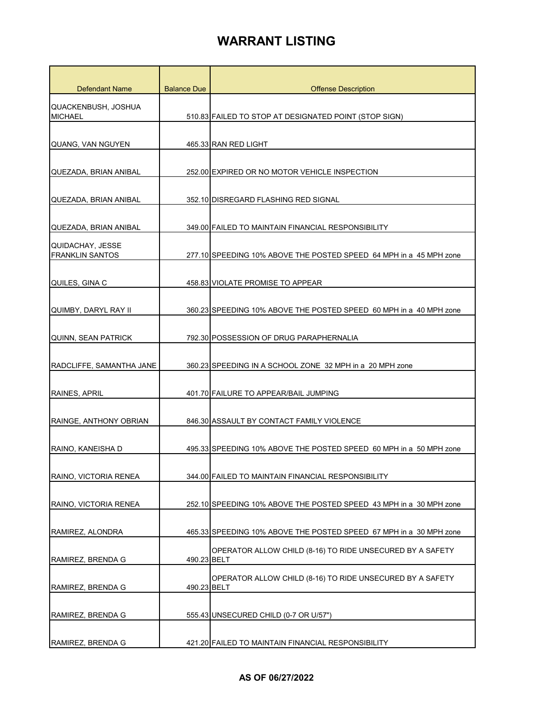| Defendant Name                             | <b>Balance Due</b> | <b>Offense Description</b>                                         |
|--------------------------------------------|--------------------|--------------------------------------------------------------------|
| QUACKENBUSH, JOSHUA<br><b>MICHAEL</b>      |                    | 510.83 FAILED TO STOP AT DESIGNATED POINT (STOP SIGN)              |
| QUANG, VAN NGUYEN                          |                    | 465.33 RAN RED LIGHT                                               |
| QUEZADA, BRIAN ANIBAL                      |                    | 252.00 EXPIRED OR NO MOTOR VEHICLE INSPECTION                      |
| QUEZADA. BRIAN ANIBAL                      |                    | 352.10 DISREGARD FLASHING RED SIGNAL                               |
| QUEZADA, BRIAN ANIBAL                      |                    | 349.00 FAILED TO MAINTAIN FINANCIAL RESPONSIBILITY                 |
| QUIDACHAY, JESSE<br><b>FRANKLIN SANTOS</b> |                    | 277.10 SPEEDING 10% ABOVE THE POSTED SPEED 64 MPH in a 45 MPH zone |
| QUILES, GINA C                             |                    | 458.83 VIOLATE PROMISE TO APPEAR                                   |
| QUIMBY, DARYL RAY II                       |                    | 360.23 SPEEDING 10% ABOVE THE POSTED SPEED 60 MPH in a 40 MPH zone |
| QUINN, SEAN PATRICK                        |                    | 792.30 POSSESSION OF DRUG PARAPHERNALIA                            |
| RADCLIFFE, SAMANTHA JANE                   |                    | 360.23 SPEEDING IN A SCHOOL ZONE 32 MPH in a 20 MPH zone           |
| RAINES, APRIL                              |                    | 401.70 FAILURE TO APPEAR/BAIL JUMPING                              |
| RAINGE, ANTHONY OBRIAN                     |                    | 846.30 ASSAULT BY CONTACT FAMILY VIOLENCE                          |
| RAINO, KANEISHA D                          |                    | 495.33 SPEEDING 10% ABOVE THE POSTED SPEED 60 MPH in a 50 MPH zone |
| RAINO, VICTORIA RENEA                      |                    | 344.00 FAILED TO MAINTAIN FINANCIAL RESPONSIBILITY                 |
| RAINO, VICTORIA RENEA                      |                    | 252.10 SPEEDING 10% ABOVE THE POSTED SPEED 43 MPH in a 30 MPH zone |
| RAMIREZ, ALONDRA                           |                    | 465.33 SPEEDING 10% ABOVE THE POSTED SPEED 67 MPH in a 30 MPH zone |
| RAMIREZ, BRENDA G                          | 490.23 BELT        | OPERATOR ALLOW CHILD (8-16) TO RIDE UNSECURED BY A SAFETY          |
| RAMIREZ, BRENDA G                          | 490.23 BELT        | OPERATOR ALLOW CHILD (8-16) TO RIDE UNSECURED BY A SAFETY          |
| RAMIREZ, BRENDA G                          |                    | 555.43 UNSECURED CHILD (0-7 OR U/57")                              |
| RAMIREZ, BRENDA G                          |                    | 421.20 FAILED TO MAINTAIN FINANCIAL RESPONSIBILITY                 |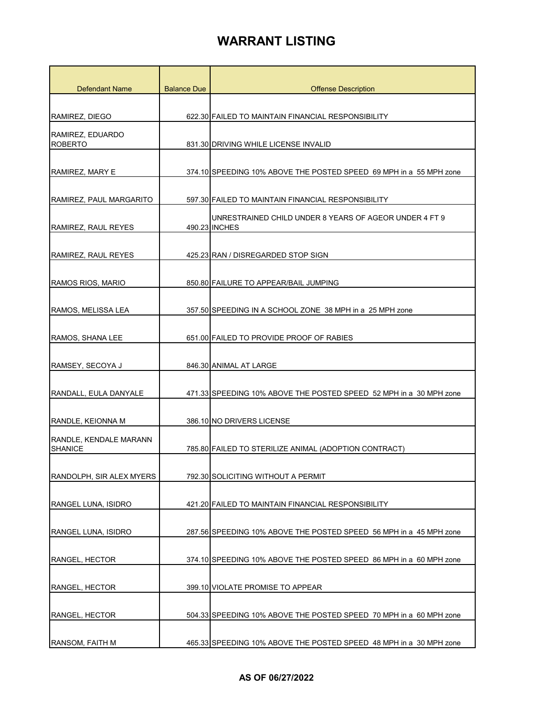| <b>Defendant Name</b>                    | <b>Balance Due</b> | <b>Offense Description</b>                                              |
|------------------------------------------|--------------------|-------------------------------------------------------------------------|
|                                          |                    |                                                                         |
| RAMIREZ, DIEGO                           |                    | 622.30 FAILED TO MAINTAIN FINANCIAL RESPONSIBILITY                      |
| RAMIREZ, EDUARDO                         |                    |                                                                         |
| <b>ROBERTO</b>                           |                    | 831.30 DRIVING WHILE LICENSE INVALID                                    |
| RAMIREZ, MARY E                          |                    | 374.10 SPEEDING 10% ABOVE THE POSTED SPEED 69 MPH in a 55 MPH zone      |
| RAMIREZ, PAUL MARGARITO                  |                    | 597.30 FAILED TO MAINTAIN FINANCIAL RESPONSIBILITY                      |
| RAMIREZ, RAUL REYES                      |                    | UNRESTRAINED CHILD UNDER 8 YEARS OF AGEOR UNDER 4 FT 9<br>490.23 INCHES |
| RAMIREZ, RAUL REYES                      |                    | 425.23 RAN / DISREGARDED STOP SIGN                                      |
| RAMOS RIOS, MARIO                        |                    | 850.80 FAILURE TO APPEAR/BAIL JUMPING                                   |
| RAMOS, MELISSA LEA                       |                    | 357.50 SPEEDING IN A SCHOOL ZONE 38 MPH in a 25 MPH zone                |
| RAMOS, SHANA LEE                         |                    | 651.00 FAILED TO PROVIDE PROOF OF RABIES                                |
|                                          |                    |                                                                         |
| RAMSEY, SECOYA J                         |                    | 846.30 ANIMAL AT LARGE                                                  |
| RANDALL, EULA DANYALE                    |                    | 471.33 SPEEDING 10% ABOVE THE POSTED SPEED 52 MPH in a 30 MPH zone      |
| RANDLE, KEIONNA M                        |                    | 386.10 NO DRIVERS LICENSE                                               |
| RANDLE, KENDALE MARANN<br><b>SHANICE</b> |                    | 785.80 FAILED TO STERILIZE ANIMAL (ADOPTION CONTRACT)                   |
| RANDOLPH, SIR ALEX MYERS                 |                    | 792.30 SOLICITING WITHOUT A PERMIT                                      |
| RANGEL LUNA, ISIDRO                      |                    | 421.20 FAILED TO MAINTAIN FINANCIAL RESPONSIBILITY                      |
| <b>RANGEL LUNA, ISIDRO</b>               |                    | 287.56 SPEEDING 10% ABOVE THE POSTED SPEED 56 MPH in a 45 MPH zone      |
| RANGEL, HECTOR                           |                    | 374.10 SPEEDING 10% ABOVE THE POSTED SPEED 86 MPH in a 60 MPH zone      |
| RANGEL, HECTOR                           |                    | 399.10 VIOLATE PROMISE TO APPEAR                                        |
| RANGEL, HECTOR                           |                    | 504.33 SPEEDING 10% ABOVE THE POSTED SPEED 70 MPH in a 60 MPH zone      |
| RANSOM, FAITH M                          |                    | 465.33 SPEEDING 10% ABOVE THE POSTED SPEED 48 MPH in a 30 MPH zone      |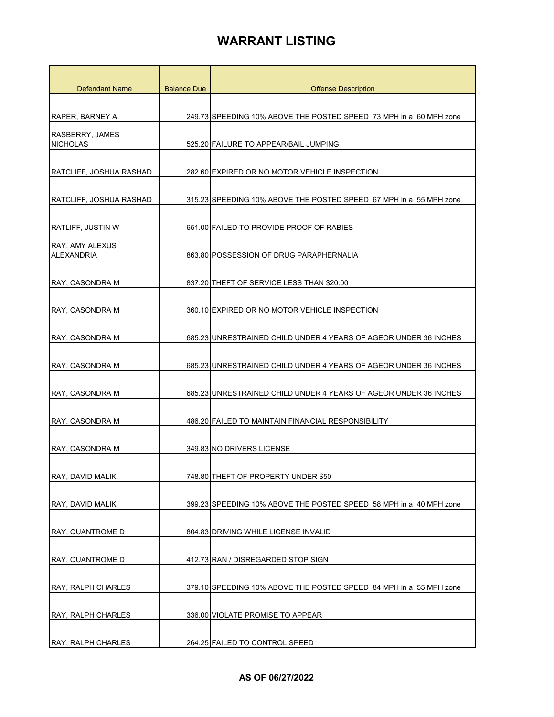| <b>Defendant Name</b>                | <b>Balance Due</b> | <b>Offense Description</b>                                         |
|--------------------------------------|--------------------|--------------------------------------------------------------------|
|                                      |                    |                                                                    |
| RAPER, BARNEY A                      |                    | 249.73 SPEEDING 10% ABOVE THE POSTED SPEED 73 MPH in a 60 MPH zone |
| RASBERRY, JAMES<br><b>NICHOLAS</b>   |                    | 525.20 FAILURE TO APPEAR/BAIL JUMPING                              |
|                                      |                    |                                                                    |
| RATCLIFF, JOSHUA RASHAD              |                    | 282.60 EXPIRED OR NO MOTOR VEHICLE INSPECTION                      |
| RATCLIFF, JOSHUA RASHAD              |                    | 315.23 SPEEDING 10% ABOVE THE POSTED SPEED 67 MPH in a 55 MPH zone |
| RATLIFF, JUSTIN W                    |                    | 651.00 FAILED TO PROVIDE PROOF OF RABIES                           |
| RAY, AMY ALEXUS<br><b>ALEXANDRIA</b> |                    | 863.80 POSSESSION OF DRUG PARAPHERNALIA                            |
| RAY, CASONDRA M                      |                    | 837.20 THEFT OF SERVICE LESS THAN \$20.00                          |
| RAY, CASONDRA M                      |                    | 360.10 EXPIRED OR NO MOTOR VEHICLE INSPECTION                      |
| RAY, CASONDRA M                      |                    | 685.23 UNRESTRAINED CHILD UNDER 4 YEARS OF AGEOR UNDER 36 INCHES   |
| RAY, CASONDRA M                      |                    | 685.23 JUNRESTRAINED CHILD UNDER 4 YEARS OF AGEOR UNDER 36 INCHES  |
| RAY, CASONDRA M                      |                    | 685.23 UNRESTRAINED CHILD UNDER 4 YEARS OF AGEOR UNDER 36 INCHES   |
| RAY, CASONDRA M                      |                    | 486.20 FAILED TO MAINTAIN FINANCIAL RESPONSIBILITY                 |
| RAY, CASONDRA M                      |                    | 349.83 NO DRIVERS LICENSE                                          |
| RAY, DAVID MALIK                     |                    | 748.80 THEFT OF PROPERTY UNDER \$50                                |
| RAY, DAVID MALIK                     |                    | 399.23 SPEEDING 10% ABOVE THE POSTED SPEED 58 MPH in a 40 MPH zone |
| RAY, QUANTROME D                     |                    | 804.83 DRIVING WHILE LICENSE INVALID                               |
| RAY, QUANTROME D                     |                    | 412.73 RAN / DISREGARDED STOP SIGN                                 |
| RAY, RALPH CHARLES                   |                    | 379.10 SPEEDING 10% ABOVE THE POSTED SPEED 84 MPH in a 55 MPH zone |
| RAY, RALPH CHARLES                   |                    | 336.00 VIOLATE PROMISE TO APPEAR                                   |
| RAY, RALPH CHARLES                   |                    | 264.25 FAILED TO CONTROL SPEED                                     |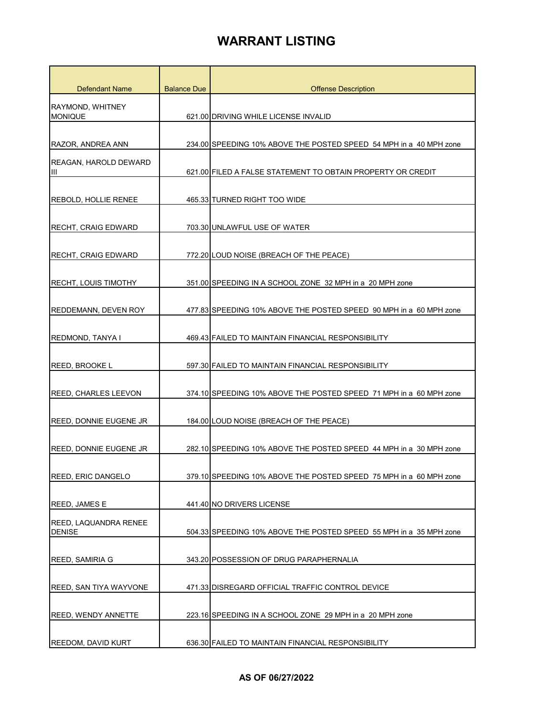| <b>Defendant Name</b>                  | <b>Balance Due</b> | <b>Offense Description</b>                                          |
|----------------------------------------|--------------------|---------------------------------------------------------------------|
| RAYMOND, WHITNEY<br><b>MONIQUE</b>     |                    | 621.00 DRIVING WHILE LICENSE INVALID                                |
| RAZOR, ANDREA ANN                      |                    | 234.00 SPEEDING 10% ABOVE THE POSTED SPEED 54 MPH in a 40 MPH zone  |
| REAGAN, HAROLD DEWARD<br>Ш             |                    | 621.00 FILED A FALSE STATEMENT TO OBTAIN PROPERTY OR CREDIT         |
| <b>REBOLD, HOLLIE RENEE</b>            |                    | 465.33 TURNED RIGHT TOO WIDE                                        |
| <b>RECHT, CRAIG EDWARD</b>             |                    | 703.30 UNLAWFUL USE OF WATER                                        |
| <b>RECHT, CRAIG EDWARD</b>             |                    | 772.20 LOUD NOISE (BREACH OF THE PEACE)                             |
| RECHT, LOUIS TIMOTHY                   |                    | 351.00 SPEEDING IN A SCHOOL ZONE 32 MPH in a 20 MPH zone            |
| <b>REDDEMANN, DEVEN ROY</b>            |                    | 477.83 SPEEDING 10% ABOVE THE POSTED SPEED 90 MPH in a 60 MPH zone  |
| REDMOND, TANYA I                       |                    | 469.43 FAILED TO MAINTAIN FINANCIAL RESPONSIBILITY                  |
| REED, BROOKE L                         |                    | 597.30 FAILED TO MAINTAIN FINANCIAL RESPONSIBILITY                  |
| REED, CHARLES LEEVON                   |                    | 374.10 SPEEDING 10% ABOVE THE POSTED SPEED 71 MPH in a 60 MPH zone  |
| REED, DONNIE EUGENE JR                 |                    | 184.00 LOUD NOISE (BREACH OF THE PEACE)                             |
| <b>REED, DONNIE EUGENE JR</b>          |                    | 282.10 SPEEDING 10% ABOVE THE POSTED SPEED 44 MPH in a 30 MPH zone  |
| <b>REED, ERIC DANGELO</b>              |                    | 379.10 SPEEDING 10% ABOVE THE POSTED SPEED 75 MPH in a  60 MPH zone |
| REED, JAMES E                          |                    | 441.40 NO DRIVERS LICENSE                                           |
| REED, LAQUANDRA RENEE<br><b>DENISE</b> |                    | 504.33 SPEEDING 10% ABOVE THE POSTED SPEED 55 MPH in a 35 MPH zone  |
| <b>REED, SAMIRIA G</b>                 |                    | 343.20 POSSESSION OF DRUG PARAPHERNALIA                             |
| <b>REED, SAN TIYA WAYVONE</b>          |                    | 471.33 DISREGARD OFFICIAL TRAFFIC CONTROL DEVICE                    |
| REED, WENDY ANNETTE                    |                    | 223.16 SPEEDING IN A SCHOOL ZONE 29 MPH in a 20 MPH zone            |
| <b>REEDOM, DAVID KURT</b>              |                    | 636.30 FAILED TO MAINTAIN FINANCIAL RESPONSIBILITY                  |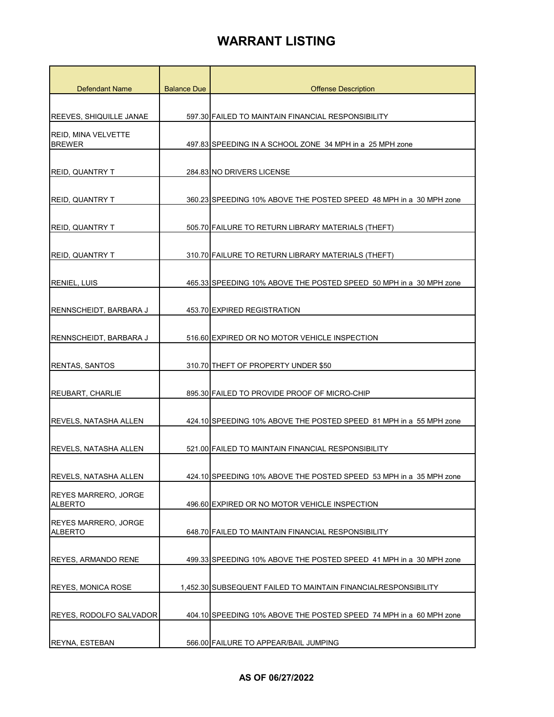| <b>Defendant Name</b>                         | <b>Balance Due</b> | <b>Offense Description</b>                                         |
|-----------------------------------------------|--------------------|--------------------------------------------------------------------|
|                                               |                    |                                                                    |
| <b>REEVES, SHIQUILLE JANAE</b>                |                    | 597.30 FAILED TO MAINTAIN FINANCIAL RESPONSIBILITY                 |
| <b>REID, MINA VELVETTE</b><br><b>BREWER</b>   |                    | 497.83 SPEEDING IN A SCHOOL ZONE 34 MPH in a 25 MPH zone           |
|                                               |                    |                                                                    |
| REID, QUANTRY T                               |                    | 284.83 NO DRIVERS LICENSE                                          |
| <b>REID, QUANTRY T</b>                        |                    | 360.23 SPEEDING 10% ABOVE THE POSTED SPEED 48 MPH in a 30 MPH zone |
| REID, QUANTRY T                               |                    | 505.70 FAILURE TO RETURN LIBRARY MATERIALS (THEFT)                 |
| <b>REID, QUANTRY T</b>                        |                    | 310.70 FAILURE TO RETURN LIBRARY MATERIALS (THEFT)                 |
| <b>RENIEL, LUIS</b>                           |                    | 465.33 SPEEDING 10% ABOVE THE POSTED SPEED 50 MPH in a 30 MPH zone |
| RENNSCHEIDT, BARBARA J                        |                    | 453.70 EXPIRED REGISTRATION                                        |
| RENNSCHEIDT, BARBARA J                        |                    | 516.60 EXPIRED OR NO MOTOR VEHICLE INSPECTION                      |
| <b>RENTAS, SANTOS</b>                         |                    | 310.70 THEFT OF PROPERTY UNDER \$50                                |
| <b>REUBART, CHARLIE</b>                       |                    | 895.30 FAILED TO PROVIDE PROOF OF MICRO-CHIP                       |
| REVELS, NATASHA ALLEN                         |                    | 424.10 SPEEDING 10% ABOVE THE POSTED SPEED 81 MPH in a 55 MPH zone |
| REVELS, NATASHA ALLEN                         |                    | 521.00 FAILED TO MAINTAIN FINANCIAL RESPONSIBILITY                 |
| REVELS, NATASHA ALLEN                         |                    | 424.10 SPEEDING 10% ABOVE THE POSTED SPEED 53 MPH in a 35 MPH zone |
| <b>REYES MARRERO, JORGE</b><br><b>ALBERTO</b> |                    | 496.60 EXPIRED OR NO MOTOR VEHICLE INSPECTION                      |
| <b>REYES MARRERO, JORGE</b><br><b>ALBERTO</b> |                    | 648.70 FAILED TO MAINTAIN FINANCIAL RESPONSIBILITY                 |
| <b>REYES, ARMANDO RENE</b>                    |                    | 499.33 SPEEDING 10% ABOVE THE POSTED SPEED 41 MPH in a 30 MPH zone |
|                                               |                    |                                                                    |
| <b>REYES, MONICA ROSE</b>                     |                    | 1,452.30 SUBSEQUENT FAILED TO MAINTAIN FINANCIALRESPONSIBILITY     |
| REYES, RODOLFO SALVADOR                       |                    | 404.10 SPEEDING 10% ABOVE THE POSTED SPEED 74 MPH in a 60 MPH zone |
| REYNA, ESTEBAN                                |                    | 566.00 FAILURE TO APPEAR/BAIL JUMPING                              |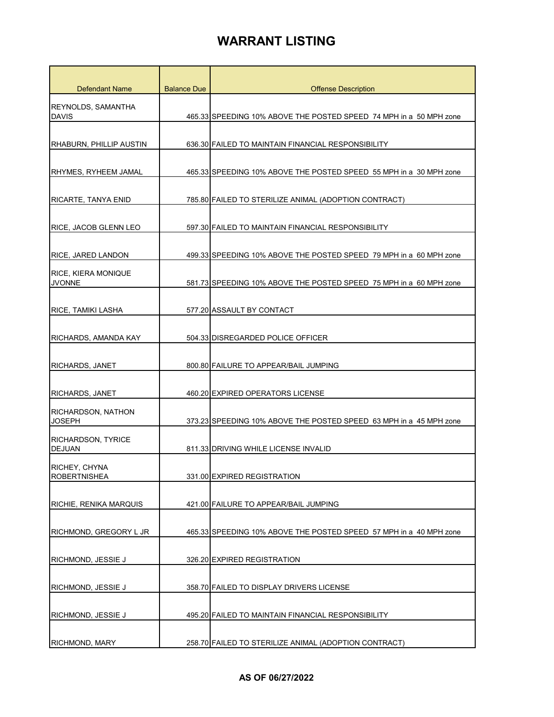| Defendant Name                     | <b>Balance Due</b> | <b>Offense Description</b>                                         |
|------------------------------------|--------------------|--------------------------------------------------------------------|
|                                    |                    |                                                                    |
| REYNOLDS, SAMANTHA<br><b>DAVIS</b> |                    | 465.33 SPEEDING 10% ABOVE THE POSTED SPEED 74 MPH in a 50 MPH zone |
|                                    |                    |                                                                    |
| RHABURN, PHILLIP AUSTIN            |                    | 636.30 FAILED TO MAINTAIN FINANCIAL RESPONSIBILITY                 |
|                                    |                    |                                                                    |
| <b>RHYMES, RYHEEM JAMAL</b>        |                    | 465.33 SPEEDING 10% ABOVE THE POSTED SPEED 55 MPH in a 30 MPH zone |
|                                    |                    |                                                                    |
| <b>RICARTE, TANYA ENID</b>         |                    | 785.80 FAILED TO STERILIZE ANIMAL (ADOPTION CONTRACT)              |
|                                    |                    |                                                                    |
| RICE, JACOB GLENN LEO              |                    | 597.30 FAILED TO MAINTAIN FINANCIAL RESPONSIBILITY                 |
|                                    |                    |                                                                    |
| RICE, JARED LANDON                 |                    | 499.33 SPEEDING 10% ABOVE THE POSTED SPEED 79 MPH in a 60 MPH zone |
| <b>RICE, KIERA MONIQUE</b>         |                    |                                                                    |
| <b>JVONNE</b>                      |                    | 581.73 SPEEDING 10% ABOVE THE POSTED SPEED 75 MPH in a 60 MPH zone |
|                                    |                    |                                                                    |
| RICE, TAMIKI LASHA                 |                    | 577.20 ASSAULT BY CONTACT                                          |
| RICHARDS, AMANDA KAY               |                    | 504.33 DISREGARDED POLICE OFFICER                                  |
|                                    |                    |                                                                    |
| RICHARDS, JANET                    |                    | 800.80 FAILURE TO APPEAR/BAIL JUMPING                              |
|                                    |                    |                                                                    |
| RICHARDS, JANET                    |                    | 460.20 EXPIRED OPERATORS LICENSE                                   |
| RICHARDSON, NATHON                 |                    |                                                                    |
| <b>JOSEPH</b>                      |                    | 373.23 SPEEDING 10% ABOVE THE POSTED SPEED 63 MPH in a 45 MPH zone |
| <b>RICHARDSON, TYRICE</b>          |                    |                                                                    |
| <b>DEJUAN</b>                      |                    | 811.33 DRIVING WHILE LICENSE INVALID                               |
| RICHEY, CHYNA                      |                    |                                                                    |
| ROBERTNISHEA                       |                    | 331.00 EXPIRED REGISTRATION                                        |
|                                    |                    |                                                                    |
| <b>RICHIE, RENIKA MARQUIS</b>      |                    | 421.00 FAILURE TO APPEAR/BAIL JUMPING                              |
| RICHMOND, GREGORY L JR             |                    |                                                                    |
|                                    |                    | 465.33 SPEEDING 10% ABOVE THE POSTED SPEED 57 MPH in a 40 MPH zone |
| RICHMOND, JESSIE J                 |                    | 326.20 EXPIRED REGISTRATION                                        |
|                                    |                    |                                                                    |
| RICHMOND, JESSIE J                 |                    | 358.70 FAILED TO DISPLAY DRIVERS LICENSE                           |
|                                    |                    |                                                                    |
| RICHMOND, JESSIE J                 |                    | 495.20 FAILED TO MAINTAIN FINANCIAL RESPONSIBILITY                 |
|                                    |                    |                                                                    |
| RICHMOND, MARY                     |                    | 258.70 FAILED TO STERILIZE ANIMAL (ADOPTION CONTRACT)              |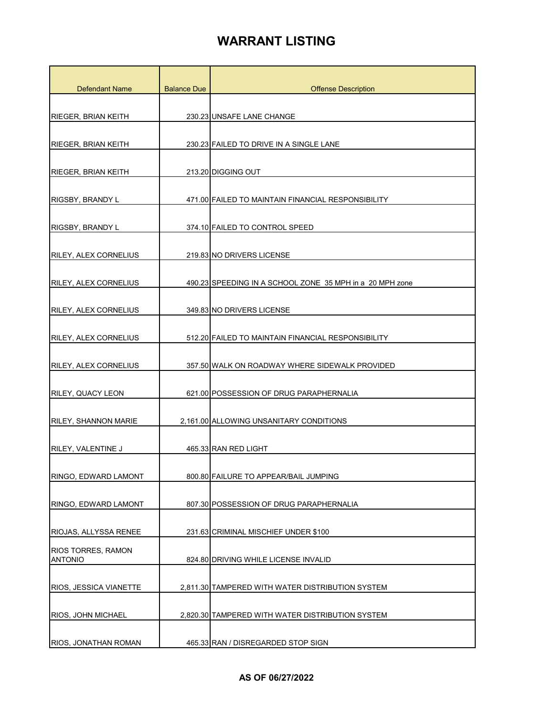| <b>Defendant Name</b>                       | <b>Balance Due</b> | <b>Offense Description</b>                               |
|---------------------------------------------|--------------------|----------------------------------------------------------|
|                                             |                    |                                                          |
| <b>RIEGER, BRIAN KEITH</b>                  |                    | 230.23 UNSAFE LANE CHANGE                                |
|                                             |                    |                                                          |
| <b>RIEGER, BRIAN KEITH</b>                  |                    | 230.23 FAILED TO DRIVE IN A SINGLE LANE                  |
| <b>RIEGER, BRIAN KEITH</b>                  |                    | 213.20 DIGGING OUT                                       |
| RIGSBY, BRANDY L                            |                    | 471.00 FAILED TO MAINTAIN FINANCIAL RESPONSIBILITY       |
| RIGSBY, BRANDY L                            |                    | 374.10 FAILED TO CONTROL SPEED                           |
| <b>RILEY, ALEX CORNELIUS</b>                |                    | 219.83 NO DRIVERS LICENSE                                |
| RILEY, ALEX CORNELIUS                       |                    | 490.23 SPEEDING IN A SCHOOL ZONE 35 MPH in a 20 MPH zone |
| RILEY, ALEX CORNELIUS                       |                    | 349.83 NO DRIVERS LICENSE                                |
| RILEY, ALEX CORNELIUS                       |                    | 512.20 FAILED TO MAINTAIN FINANCIAL RESPONSIBILITY       |
| <b>RILEY, ALEX CORNELIUS</b>                |                    | 357.50 WALK ON ROADWAY WHERE SIDEWALK PROVIDED           |
| <b>RILEY, QUACY LEON</b>                    |                    | 621.00 POSSESSION OF DRUG PARAPHERNALIA                  |
| RILEY, SHANNON MARIE                        |                    | 2,161.00 ALLOWING UNSANITARY CONDITIONS                  |
| RILEY, VALENTINE J                          |                    | 465.33 RAN RED LIGHT                                     |
| RINGO, EDWARD LAMONT                        |                    | 800.80 FAILURE TO APPEAR/BAIL JUMPING                    |
| RINGO, EDWARD LAMONT                        |                    | 807.30 POSSESSION OF DRUG PARAPHERNALIA                  |
| RIOJAS, ALLYSSA RENEE                       |                    | 231.63 CRIMINAL MISCHIEF UNDER \$100                     |
| <b>RIOS TORRES, RAMON</b><br><b>ANTONIO</b> |                    | 824.80 DRIVING WHILE LICENSE INVALID                     |
| RIOS, JESSICA VIANETTE                      |                    | 2,811.30 TAMPERED WITH WATER DISTRIBUTION SYSTEM         |
| <b>RIOS, JOHN MICHAEL</b>                   |                    | 2,820.30 TAMPERED WITH WATER DISTRIBUTION SYSTEM         |
| RIOS, JONATHAN ROMAN                        |                    | 465.33 RAN / DISREGARDED STOP SIGN                       |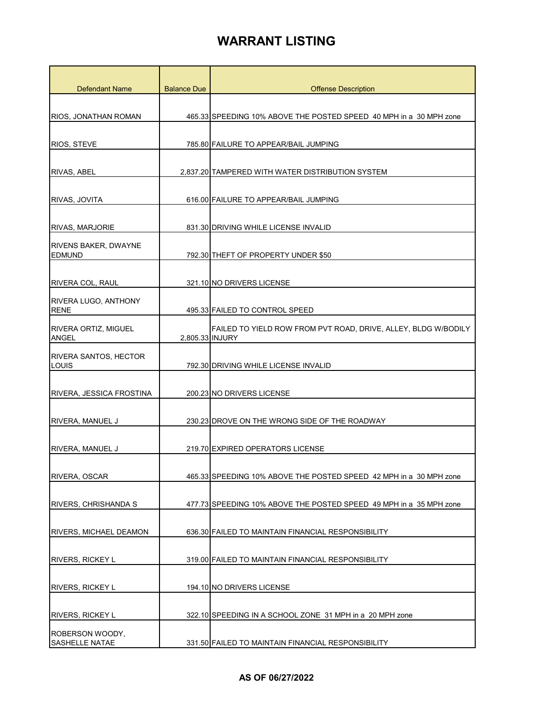| <b>Defendant Name</b>                        | <b>Balance Due</b> | <b>Offense Description</b>                                         |
|----------------------------------------------|--------------------|--------------------------------------------------------------------|
|                                              |                    |                                                                    |
| RIOS, JONATHAN ROMAN                         |                    | 465.33 SPEEDING 10% ABOVE THE POSTED SPEED 40 MPH in a 30 MPH zone |
| RIOS, STEVE                                  |                    | 785.80 FAILURE TO APPEAR/BAIL JUMPING                              |
|                                              |                    |                                                                    |
| RIVAS, ABEL                                  |                    | 2,837.20 TAMPERED WITH WATER DISTRIBUTION SYSTEM                   |
| RIVAS, JOVITA                                |                    | 616.00 FAILURE TO APPEAR/BAIL JUMPING                              |
| <b>RIVAS, MARJORIE</b>                       |                    | 831.30 DRIVING WHILE LICENSE INVALID                               |
| <b>RIVENS BAKER, DWAYNE</b><br><b>EDMUND</b> |                    | 792.30 THEFT OF PROPERTY UNDER \$50                                |
| RIVERA COL, RAUL                             |                    | 321.10 NO DRIVERS LICENSE                                          |
| RIVERA LUGO, ANTHONY                         |                    |                                                                    |
| <b>RENE</b>                                  |                    | 495.33 FAILED TO CONTROL SPEED                                     |
| <b>RIVERA ORTIZ, MIGUEL</b><br>ANGEL         | 2,805.33 INJURY    | FAILED TO YIELD ROW FROM PVT ROAD, DRIVE, ALLEY, BLDG W/BODILY     |
| <b>RIVERA SANTOS, HECTOR</b><br>LOUIS        |                    | 792.30 DRIVING WHILE LICENSE INVALID                               |
|                                              |                    |                                                                    |
| RIVERA, JESSICA FROSTINA                     |                    | 200.23 NO DRIVERS LICENSE                                          |
| RIVERA, MANUEL J                             |                    | 230.23 DROVE ON THE WRONG SIDE OF THE ROADWAY                      |
| <b>RIVERA, MANUEL J</b>                      |                    | 219.70 EXPIRED OPERATORS LICENSE                                   |
| RIVERA, OSCAR                                |                    | 465.33 SPEEDING 10% ABOVE THE POSTED SPEED 42 MPH in a 30 MPH zone |
| <b>RIVERS, CHRISHANDA S</b>                  |                    | 477.73 SPEEDING 10% ABOVE THE POSTED SPEED 49 MPH in a 35 MPH zone |
| <b>RIVERS, MICHAEL DEAMON</b>                |                    | 636.30 FAILED TO MAINTAIN FINANCIAL RESPONSIBILITY                 |
|                                              |                    |                                                                    |
| <b>RIVERS, RICKEY L</b>                      |                    | 319.00 FAILED TO MAINTAIN FINANCIAL RESPONSIBILITY                 |
| <b>RIVERS, RICKEY L</b>                      |                    | 194.10 NO DRIVERS LICENSE                                          |
| <b>RIVERS, RICKEY L</b>                      |                    | 322.10 SPEEDING IN A SCHOOL ZONE 31 MPH in a 20 MPH zone           |
| ROBERSON WOODY,<br>SASHELLE NATAE            |                    | 331.50 FAILED TO MAINTAIN FINANCIAL RESPONSIBILITY                 |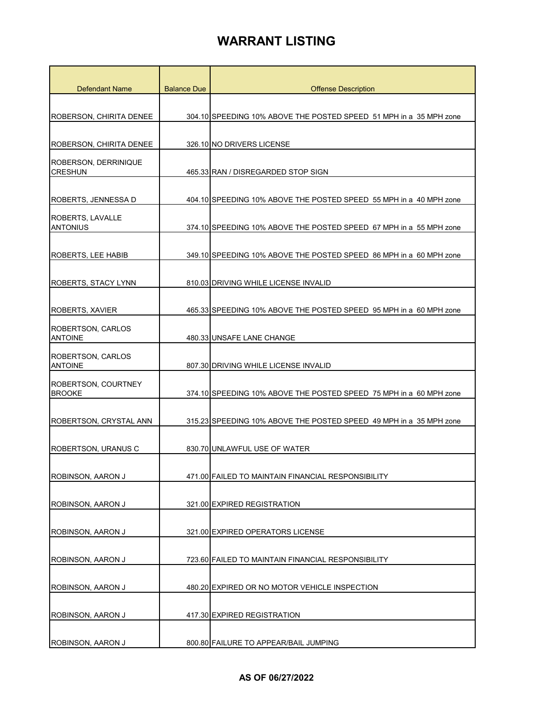| <b>Defendant Name</b>                      | <b>Balance Due</b> | <b>Offense Description</b>                                         |
|--------------------------------------------|--------------------|--------------------------------------------------------------------|
|                                            |                    |                                                                    |
| ROBERSON, CHIRITA DENEE                    |                    | 304.10 SPEEDING 10% ABOVE THE POSTED SPEED 51 MPH in a 35 MPH zone |
| ROBERSON, CHIRITA DENEE                    |                    | 326.10 NO DRIVERS LICENSE                                          |
| ROBERSON, DERRINIQUE<br><b>CRESHUN</b>     |                    | 465.33 RAN / DISREGARDED STOP SIGN                                 |
|                                            |                    |                                                                    |
| ROBERTS, JENNESSA D                        |                    | 404.10 SPEEDING 10% ABOVE THE POSTED SPEED 55 MPH in a 40 MPH zone |
| <b>ROBERTS, LAVALLE</b><br><b>ANTONIUS</b> |                    | 374.10 SPEEDING 10% ABOVE THE POSTED SPEED 67 MPH in a 55 MPH zone |
| <b>ROBERTS, LEE HABIB</b>                  |                    | 349.10 SPEEDING 10% ABOVE THE POSTED SPEED 86 MPH in a 60 MPH zone |
| ROBERTS, STACY LYNN                        |                    | 810.03 DRIVING WHILE LICENSE INVALID                               |
| <b>ROBERTS, XAVIER</b>                     |                    | 465.33 SPEEDING 10% ABOVE THE POSTED SPEED 95 MPH in a 60 MPH zone |
| ROBERTSON, CARLOS<br><b>ANTOINE</b>        |                    | 480.33 UNSAFE LANE CHANGE                                          |
| <b>ROBERTSON, CARLOS</b><br><b>ANTOINE</b> |                    | 807.30 DRIVING WHILE LICENSE INVALID                               |
| ROBERTSON, COURTNEY<br><b>BROOKE</b>       |                    | 374.10 SPEEDING 10% ABOVE THE POSTED SPEED 75 MPH in a 60 MPH zone |
| ROBERTSON, CRYSTAL ANN                     |                    | 315.23 SPEEDING 10% ABOVE THE POSTED SPEED 49 MPH in a 35 MPH zone |
| ROBERTSON, URANUS C                        |                    | 830.70 UNLAWFUL USE OF WATER                                       |
| ROBINSON, AARON J                          |                    | 471.00 FAILED TO MAINTAIN FINANCIAL RESPONSIBILITY                 |
| ROBINSON, AARON J                          |                    | 321.00 EXPIRED REGISTRATION                                        |
| ROBINSON, AARON J                          |                    | 321.00 EXPIRED OPERATORS LICENSE                                   |
| ROBINSON, AARON J                          |                    | 723.60 FAILED TO MAINTAIN FINANCIAL RESPONSIBILITY                 |
| ROBINSON, AARON J                          |                    | 480.20 EXPIRED OR NO MOTOR VEHICLE INSPECTION                      |
| ROBINSON, AARON J                          |                    | 417.30 EXPIRED REGISTRATION                                        |
| ROBINSON, AARON J                          |                    | 800.80 FAILURE TO APPEAR/BAIL JUMPING                              |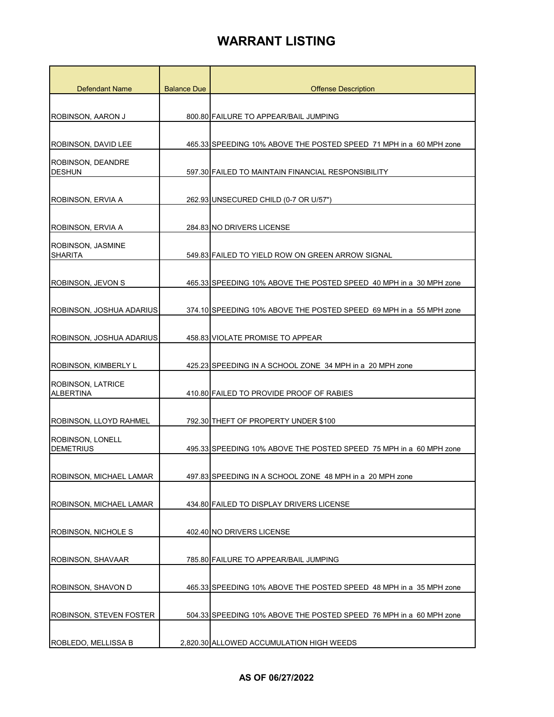| <b>Defendant Name</b>                        | <b>Balance Due</b> | <b>Offense Description</b>                                         |
|----------------------------------------------|--------------------|--------------------------------------------------------------------|
|                                              |                    |                                                                    |
| ROBINSON, AARON J                            |                    | 800.80 FAILURE TO APPEAR/BAIL JUMPING                              |
|                                              |                    |                                                                    |
| ROBINSON, DAVID LEE                          |                    | 465.33 SPEEDING 10% ABOVE THE POSTED SPEED 71 MPH in a 60 MPH zone |
| <b>ROBINSON, DEANDRE</b><br><b>DESHUN</b>    |                    | 597.30 FAILED TO MAINTAIN FINANCIAL RESPONSIBILITY                 |
|                                              |                    |                                                                    |
| ROBINSON, ERVIA A                            |                    | 262.93 UNSECURED CHILD (0-7 OR U/57")                              |
| ROBINSON, ERVIA A                            |                    | 284.83 NO DRIVERS LICENSE                                          |
| <b>ROBINSON, JASMINE</b>                     |                    |                                                                    |
| <b>SHARITA</b>                               |                    | 549.83 FAILED TO YIELD ROW ON GREEN ARROW SIGNAL                   |
| ROBINSON, JEVON S                            |                    | 465.33 SPEEDING 10% ABOVE THE POSTED SPEED 40 MPH in a 30 MPH zone |
|                                              |                    |                                                                    |
| ROBINSON, JOSHUA ADARIUS                     |                    | 374.10 SPEEDING 10% ABOVE THE POSTED SPEED 69 MPH in a 55 MPH zone |
| ROBINSON, JOSHUA ADARIUS                     |                    | 458.83 VIOLATE PROMISE TO APPEAR                                   |
|                                              |                    |                                                                    |
| <b>ROBINSON, KIMBERLY L</b>                  |                    | 425.23 SPEEDING IN A SCHOOL ZONE 34 MPH in a 20 MPH zone           |
| <b>ROBINSON, LATRICE</b><br><b>ALBERTINA</b> |                    | 410.80 FAILED TO PROVIDE PROOF OF RABIES                           |
|                                              |                    |                                                                    |
| ROBINSON, LLOYD RAHMEL                       |                    | 792.30 THEFT OF PROPERTY UNDER \$100                               |
| ROBINSON, LONELL<br><b>DEMETRIUS</b>         |                    | 495.33 SPEEDING 10% ABOVE THE POSTED SPEED 75 MPH in a 60 MPH zone |
|                                              |                    |                                                                    |
| ROBINSON, MICHAEL LAMAR                      |                    | 497.83 SPEEDING IN A SCHOOL ZONE 48 MPH in a 20 MPH zone           |
|                                              |                    |                                                                    |
| ROBINSON, MICHAEL LAMAR                      |                    | 434.80 FAILED TO DISPLAY DRIVERS LICENSE                           |
| ROBINSON, NICHOLE S                          |                    | 402.40 NO DRIVERS LICENSE                                          |
|                                              |                    |                                                                    |
| ROBINSON, SHAVAAR                            |                    | 785.80 FAILURE TO APPEAR/BAIL JUMPING                              |
| ROBINSON, SHAVON D                           |                    | 465.33 SPEEDING 10% ABOVE THE POSTED SPEED 48 MPH in a 35 MPH zone |
|                                              |                    |                                                                    |
| <b>ROBINSON, STEVEN FOSTER</b>               |                    | 504.33 SPEEDING 10% ABOVE THE POSTED SPEED 76 MPH in a 60 MPH zone |
| ROBLEDO, MELLISSA B                          |                    | 2,820.30 ALLOWED ACCUMULATION HIGH WEEDS                           |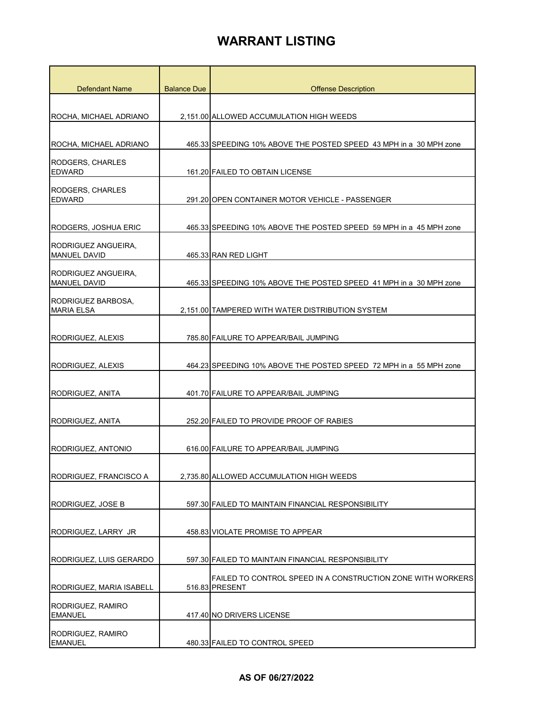| <b>Defendant Name</b>                      | <b>Balance Due</b> | <b>Offense Description</b>                                                    |
|--------------------------------------------|--------------------|-------------------------------------------------------------------------------|
|                                            |                    |                                                                               |
| ROCHA, MICHAEL ADRIANO                     |                    | 2,151.00 ALLOWED ACCUMULATION HIGH WEEDS                                      |
| ROCHA, MICHAEL ADRIANO                     |                    | 465.33 SPEEDING 10% ABOVE THE POSTED SPEED 43 MPH in a 30 MPH zone            |
| <b>RODGERS, CHARLES</b>                    |                    |                                                                               |
| <b>EDWARD</b>                              |                    | 161.20 FAILED TO OBTAIN LICENSE                                               |
| RODGERS, CHARLES<br><b>EDWARD</b>          |                    | 291.20 OPEN CONTAINER MOTOR VEHICLE - PASSENGER                               |
| RODGERS, JOSHUA ERIC                       |                    | 465.33 SPEEDING 10% ABOVE THE POSTED SPEED 59 MPH in a 45 MPH zone            |
| RODRIGUEZ ANGUEIRA.<br><b>MANUEL DAVID</b> |                    | 465.33 RAN RED LIGHT                                                          |
| RODRIGUEZ ANGUEIRA,<br><b>MANUEL DAVID</b> |                    | 465.33 SPEEDING 10% ABOVE THE POSTED SPEED 41 MPH in a 30 MPH zone            |
| RODRIGUEZ BARBOSA.<br><b>MARIA ELSA</b>    |                    | 2,151.00 TAMPERED WITH WATER DISTRIBUTION SYSTEM                              |
| RODRIGUEZ, ALEXIS                          |                    | 785.80 FAILURE TO APPEAR/BAIL JUMPING                                         |
| RODRIGUEZ, ALEXIS                          |                    | 464.23 SPEEDING 10% ABOVE THE POSTED SPEED 72 MPH in a 55 MPH zone            |
| RODRIGUEZ, ANITA                           |                    | 401.70 FAILURE TO APPEAR/BAIL JUMPING                                         |
| RODRIGUEZ, ANITA                           |                    | 252.20 FAILED TO PROVIDE PROOF OF RABIES                                      |
| RODRIGUEZ, ANTONIO                         |                    | 616.00 FAILURE TO APPEAR/BAIL JUMPING                                         |
| RODRIGUEZ, FRANCISCO A                     |                    | 2,735.80 ALLOWED ACCUMULATION HIGH WEEDS                                      |
| <b>RODRIGUEZ, JOSE B</b>                   |                    | 597.30 FAILED TO MAINTAIN FINANCIAL RESPONSIBILITY                            |
| RODRIGUEZ, LARRY JR                        |                    | 458.83 VIOLATE PROMISE TO APPEAR                                              |
| RODRIGUEZ, LUIS GERARDO                    |                    | 597.30 FAILED TO MAINTAIN FINANCIAL RESPONSIBILITY                            |
| RODRIGUEZ, MARIA ISABELL                   |                    | FAILED TO CONTROL SPEED IN A CONSTRUCTION ZONE WITH WORKERS<br>516.83 PRESENT |
| RODRIGUEZ, RAMIRO<br><b>EMANUEL</b>        |                    | 417.40 NO DRIVERS LICENSE                                                     |
| RODRIGUEZ, RAMIRO<br><b>EMANUEL</b>        |                    | 480.33 FAILED TO CONTROL SPEED                                                |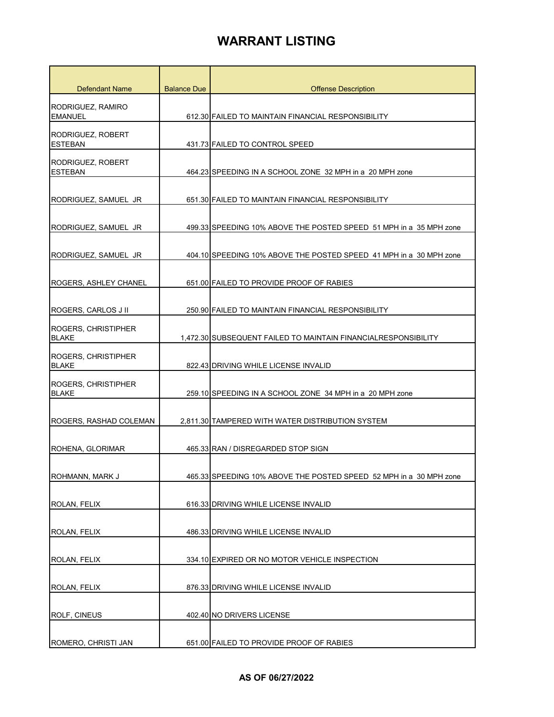| Defendant Name                             | <b>Balance Due</b> | <b>Offense Description</b>                                         |
|--------------------------------------------|--------------------|--------------------------------------------------------------------|
| RODRIGUEZ, RAMIRO<br><b>EMANUEL</b>        |                    | 612.30 FAILED TO MAINTAIN FINANCIAL RESPONSIBILITY                 |
| RODRIGUEZ, ROBERT<br><b>ESTEBAN</b>        |                    | 431.73 FAILED TO CONTROL SPEED                                     |
| RODRIGUEZ, ROBERT<br><b>ESTEBAN</b>        |                    | 464.23 SPEEDING IN A SCHOOL ZONE 32 MPH in a 20 MPH zone           |
| RODRIGUEZ, SAMUEL JR                       |                    | 651.30 FAILED TO MAINTAIN FINANCIAL RESPONSIBILITY                 |
| RODRIGUEZ, SAMUEL JR                       |                    | 499.33 SPEEDING 10% ABOVE THE POSTED SPEED 51 MPH in a 35 MPH zone |
| RODRIGUEZ, SAMUEL JR                       |                    | 404.10 SPEEDING 10% ABOVE THE POSTED SPEED 41 MPH in a 30 MPH zone |
| ROGERS, ASHLEY CHANEL                      |                    | 651.00 FAILED TO PROVIDE PROOF OF RABIES                           |
| ROGERS, CARLOS J II                        |                    | 250.90 FAILED TO MAINTAIN FINANCIAL RESPONSIBILITY                 |
| <b>ROGERS, CHRISTIPHER</b><br><b>BLAKE</b> |                    | 1,472.30 SUBSEQUENT FAILED TO MAINTAIN FINANCIALRESPONSIBILITY     |
| <b>ROGERS, CHRISTIPHER</b><br><b>BLAKE</b> |                    | 822.43 DRIVING WHILE LICENSE INVALID                               |
| <b>ROGERS, CHRISTIPHER</b><br><b>BLAKE</b> |                    | 259.10 SPEEDING IN A SCHOOL ZONE 34 MPH in a 20 MPH zone           |
| ROGERS, RASHAD COLEMAN                     |                    | 2,811.30 TAMPERED WITH WATER DISTRIBUTION SYSTEM                   |
| ROHENA, GLORIMAR                           |                    | 465.33 RAN / DISREGARDED STOP SIGN                                 |
| ROHMANN, MARK J                            |                    | 465.33 SPEEDING 10% ABOVE THE POSTED SPEED 52 MPH in a 30 MPH zone |
| ROLAN, FELIX                               |                    | 616.33 DRIVING WHILE LICENSE INVALID                               |
| ROLAN, FELIX                               |                    | 486.33 DRIVING WHILE LICENSE INVALID                               |
| ROLAN, FELIX                               |                    | 334.10 EXPIRED OR NO MOTOR VEHICLE INSPECTION                      |
| ROLAN, FELIX                               |                    | 876.33 DRIVING WHILE LICENSE INVALID                               |
| ROLF, CINEUS                               |                    | 402.40 NO DRIVERS LICENSE                                          |
| ROMERO, CHRISTI JAN                        |                    | 651.00 FAILED TO PROVIDE PROOF OF RABIES                           |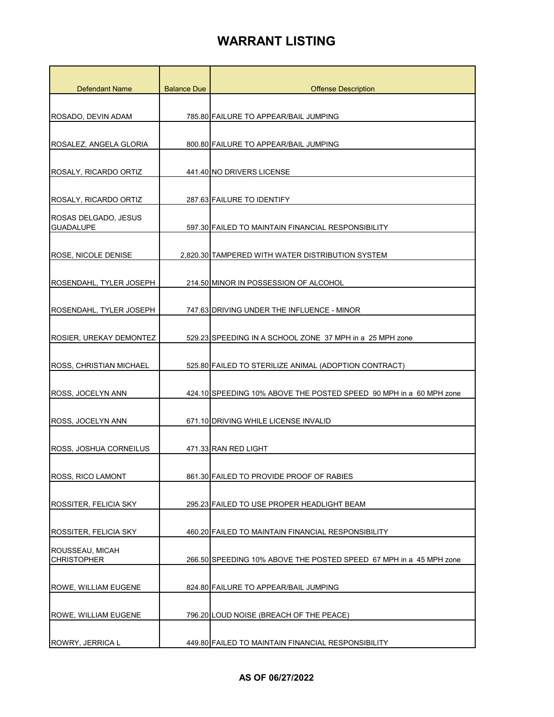| <b>Defendant Name</b>                    | <b>Balance Due</b> | <b>Offense Description</b>                                         |
|------------------------------------------|--------------------|--------------------------------------------------------------------|
|                                          |                    |                                                                    |
| ROSADO, DEVIN ADAM                       |                    | 785.80 FAILURE TO APPEAR/BAIL JUMPING                              |
| ROSALEZ, ANGELA GLORIA                   |                    | 800.80 FAILURE TO APPEAR/BAIL JUMPING                              |
|                                          |                    |                                                                    |
| ROSALY, RICARDO ORTIZ                    |                    | 441.40 NO DRIVERS LICENSE                                          |
| ROSALY, RICARDO ORTIZ                    |                    | 287.63 FAILURE TO IDENTIFY                                         |
| ROSAS DELGADO, JESUS<br><b>GUADALUPE</b> |                    | 597.30 FAILED TO MAINTAIN FINANCIAL RESPONSIBILITY                 |
|                                          |                    |                                                                    |
| <b>ROSE, NICOLE DENISE</b>               |                    | 2.820.30 TAMPERED WITH WATER DISTRIBUTION SYSTEM                   |
| ROSENDAHL, TYLER JOSEPH                  |                    | 214.50 MINOR IN POSSESSION OF ALCOHOL                              |
| ROSENDAHL, TYLER JOSEPH                  |                    | 747.63 DRIVING UNDER THE INFLUENCE - MINOR                         |
|                                          |                    |                                                                    |
| ROSIER, UREKAY DEMONTEZ                  |                    | 529.23 SPEEDING IN A SCHOOL ZONE 37 MPH in a 25 MPH zone           |
| ROSS, CHRISTIAN MICHAEL                  |                    | 525.80 FAILED TO STERILIZE ANIMAL (ADOPTION CONTRACT)              |
| ROSS, JOCELYN ANN                        |                    | 424.10 SPEEDING 10% ABOVE THE POSTED SPEED 90 MPH in a 60 MPH zone |
| ROSS, JOCELYN ANN                        |                    | 671.10 DRIVING WHILE LICENSE INVALID                               |
| ROSS, JOSHUA CORNEILUS                   |                    | 471.33 RAN RED LIGHT                                               |
| ROSS, RICO LAMONT                        |                    | 861.30 FAILED TO PROVIDE PROOF OF RABIES                           |
| <b>ROSSITER, FELICIA SKY</b>             |                    | 295.23 FAILED TO USE PROPER HEADLIGHT BEAM                         |
| <b>ROSSITER, FELICIA SKY</b>             |                    | 460.20 FAILED TO MAINTAIN FINANCIAL RESPONSIBILITY                 |
| ROUSSEAU, MICAH                          |                    |                                                                    |
| <b>CHRISTOPHER</b>                       |                    | 266.50 SPEEDING 10% ABOVE THE POSTED SPEED 67 MPH in a 45 MPH zone |
| ROWE, WILLIAM EUGENE                     |                    | 824.80 FAILURE TO APPEAR/BAIL JUMPING                              |
| ROWE, WILLIAM EUGENE                     |                    | 796.20 LOUD NOISE (BREACH OF THE PEACE)                            |
| ROWRY, JERRICA L                         |                    | 449.80 FAILED TO MAINTAIN FINANCIAL RESPONSIBILITY                 |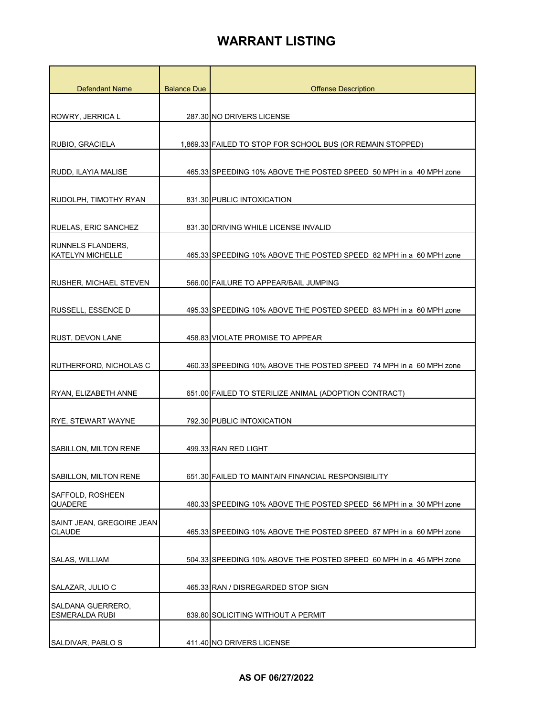| <b>Defendant Name</b>                               | <b>Balance Due</b> | <b>Offense Description</b>                                         |
|-----------------------------------------------------|--------------------|--------------------------------------------------------------------|
|                                                     |                    |                                                                    |
| ROWRY, JERRICA L                                    |                    | 287.30 NO DRIVERS LICENSE                                          |
| RUBIO, GRACIELA                                     |                    | 1,869.33 FAILED TO STOP FOR SCHOOL BUS (OR REMAIN STOPPED)         |
|                                                     |                    |                                                                    |
| RUDD, ILAYIA MALISE                                 |                    | 465.33 SPEEDING 10% ABOVE THE POSTED SPEED 50 MPH in a 40 MPH zone |
| RUDOLPH, TIMOTHY RYAN                               |                    | 831.30 PUBLIC INTOXICATION                                         |
| <b>RUELAS, ERIC SANCHEZ</b>                         |                    | 831.30 DRIVING WHILE LICENSE INVALID                               |
| <b>RUNNELS FLANDERS,</b><br><b>KATELYN MICHELLE</b> |                    |                                                                    |
|                                                     |                    | 465.33 SPEEDING 10% ABOVE THE POSTED SPEED 82 MPH in a 60 MPH zone |
| RUSHER, MICHAEL STEVEN                              |                    | 566.00 FAILURE TO APPEAR/BAIL JUMPING                              |
|                                                     |                    |                                                                    |
| <b>RUSSELL, ESSENCE D</b>                           |                    | 495.33 SPEEDING 10% ABOVE THE POSTED SPEED 83 MPH in a 60 MPH zone |
| RUST, DEVON LANE                                    |                    | 458.83 VIOLATE PROMISE TO APPEAR                                   |
|                                                     |                    |                                                                    |
| RUTHERFORD, NICHOLAS C                              |                    | 460.33 SPEEDING 10% ABOVE THE POSTED SPEED 74 MPH in a 60 MPH zone |
| RYAN, ELIZABETH ANNE                                |                    | 651.00 FAILED TO STERILIZE ANIMAL (ADOPTION CONTRACT)              |
| RYE, STEWART WAYNE                                  |                    | 792.30 PUBLIC INTOXICATION                                         |
|                                                     |                    |                                                                    |
| <b>SABILLON, MILTON RENE</b>                        |                    | 499.33 RAN RED LIGHT                                               |
| SABILLON, MILTON RENE                               |                    | 651.30 FAILED TO MAINTAIN FINANCIAL RESPONSIBILITY                 |
|                                                     |                    |                                                                    |
| SAFFOLD, ROSHEEN<br><b>QUADERE</b>                  |                    | 480.33 SPEEDING 10% ABOVE THE POSTED SPEED 56 MPH in a 30 MPH zone |
| SAINT JEAN, GREGOIRE JEAN<br><b>CLAUDE</b>          |                    | 465.33 SPEEDING 10% ABOVE THE POSTED SPEED 87 MPH in a 60 MPH zone |
|                                                     |                    |                                                                    |
| SALAS, WILLIAM                                      |                    | 504.33 SPEEDING 10% ABOVE THE POSTED SPEED 60 MPH in a 45 MPH zone |
| SALAZAR, JULIO C                                    |                    | 465.33 RAN / DISREGARDED STOP SIGN                                 |
| SALDANA GUERRERO,                                   |                    |                                                                    |
| <b>ESMERALDA RUBI</b>                               |                    | 839.80 SOLICITING WITHOUT A PERMIT                                 |
|                                                     |                    |                                                                    |
| SALDIVAR, PABLO S                                   |                    | 411.40 NO DRIVERS LICENSE                                          |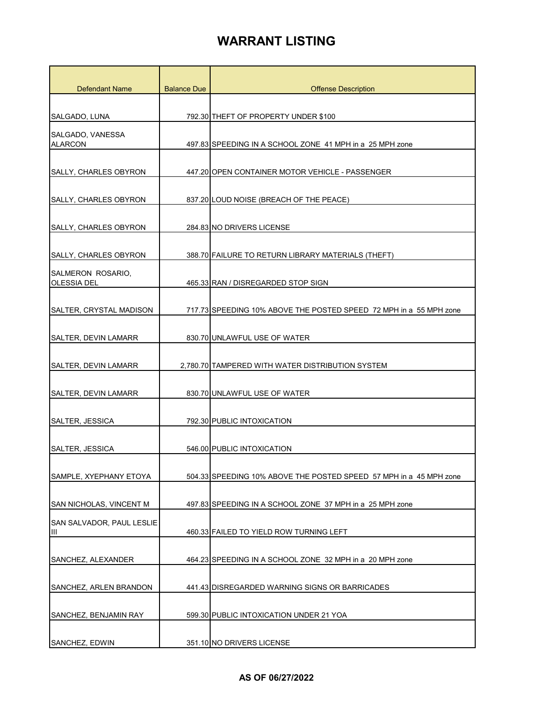| <b>Defendant Name</b>                   | <b>Balance Due</b> | <b>Offense Description</b>                                         |
|-----------------------------------------|--------------------|--------------------------------------------------------------------|
|                                         |                    |                                                                    |
| SALGADO, LUNA                           |                    | 792.30 THEFT OF PROPERTY UNDER \$100                               |
| SALGADO, VANESSA                        |                    |                                                                    |
| <b>ALARCON</b>                          |                    | 497.83 SPEEDING IN A SCHOOL ZONE 41 MPH in a 25 MPH zone           |
| SALLY, CHARLES OBYRON                   |                    | 447.20 OPEN CONTAINER MOTOR VEHICLE - PASSENGER                    |
| SALLY, CHARLES OBYRON                   |                    | 837.20 LOUD NOISE (BREACH OF THE PEACE)                            |
| SALLY, CHARLES OBYRON                   |                    | 284.83 NO DRIVERS LICENSE                                          |
| SALLY, CHARLES OBYRON                   |                    | 388.70 FAILURE TO RETURN LIBRARY MATERIALS (THEFT)                 |
| SALMERON ROSARIO,<br><b>OLESSIA DEL</b> |                    | 465.33 RAN / DISREGARDED STOP SIGN                                 |
| <b>SALTER, CRYSTAL MADISON</b>          |                    | 717.73 SPEEDING 10% ABOVE THE POSTED SPEED 72 MPH in a 55 MPH zone |
| SALTER, DEVIN LAMARR                    |                    | 830.70 UNLAWFUL USE OF WATER                                       |
| <b>SALTER, DEVIN LAMARR</b>             |                    | 2,780.70 TAMPERED WITH WATER DISTRIBUTION SYSTEM                   |
| <b>SALTER, DEVIN LAMARR</b>             |                    | 830.70 UNLAWFUL USE OF WATER                                       |
| SALTER, JESSICA                         |                    | 792.30 PUBLIC INTOXICATION                                         |
| SALTER, JESSICA                         |                    | 546.00 PUBLIC INTOXICATION                                         |
| SAMPLE, XYEPHANY ETOYA                  |                    | 504.33 SPEEDING 10% ABOVE THE POSTED SPEED 57 MPH in a 45 MPH zone |
| SAN NICHOLAS, VINCENT M                 |                    | 497.83 SPEEDING IN A SCHOOL ZONE 37 MPH in a 25 MPH zone           |
| <b>SAN SALVADOR, PAUL LESLIE</b><br>Ш   |                    | 460.33 FAILED TO YIELD ROW TURNING LEFT                            |
| SANCHEZ, ALEXANDER                      |                    | 464.23 SPEEDING IN A SCHOOL ZONE 32 MPH in a 20 MPH zone           |
| SANCHEZ, ARLEN BRANDON                  |                    | 441.43 DISREGARDED WARNING SIGNS OR BARRICADES                     |
| SANCHEZ, BENJAMIN RAY                   |                    | 599.30 PUBLIC INTOXICATION UNDER 21 YOA                            |
| SANCHEZ, EDWIN                          |                    | 351.10 NO DRIVERS LICENSE                                          |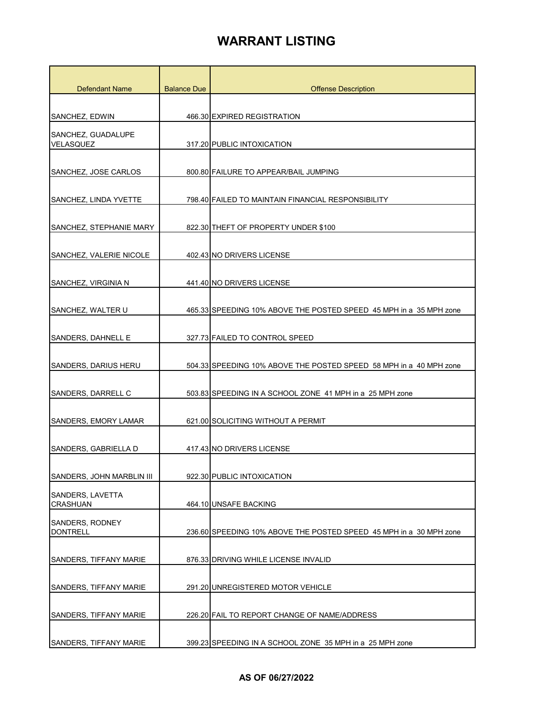| <b>Defendant Name</b>         | <b>Balance Due</b> | <b>Offense Description</b>                                         |
|-------------------------------|--------------------|--------------------------------------------------------------------|
|                               |                    |                                                                    |
| SANCHEZ, EDWIN                |                    | 466.30 EXPIRED REGISTRATION                                        |
| SANCHEZ, GUADALUPE            |                    |                                                                    |
| <b>VELASQUEZ</b>              |                    | 317.20 PUBLIC INTOXICATION                                         |
|                               |                    |                                                                    |
| SANCHEZ, JOSE CARLOS          |                    | 800.80 FAILURE TO APPEAR/BAIL JUMPING                              |
| SANCHEZ, LINDA YVETTE         |                    | 798.40 FAILED TO MAINTAIN FINANCIAL RESPONSIBILITY                 |
|                               |                    |                                                                    |
| SANCHEZ, STEPHANIE MARY       |                    | 822.30 THEFT OF PROPERTY UNDER \$100                               |
|                               |                    |                                                                    |
| SANCHEZ, VALERIE NICOLE       |                    | 402.43 NO DRIVERS LICENSE                                          |
| SANCHEZ, VIRGINIA N           |                    | 441.40 NO DRIVERS LICENSE                                          |
|                               |                    |                                                                    |
| SANCHEZ, WALTER U             |                    | 465.33 SPEEDING 10% ABOVE THE POSTED SPEED 45 MPH in a 35 MPH zone |
|                               |                    |                                                                    |
| SANDERS, DAHNELL E            |                    | 327.73 FAILED TO CONTROL SPEED                                     |
| SANDERS, DARIUS HERU          |                    | 504.33 SPEEDING 10% ABOVE THE POSTED SPEED 58 MPH in a 40 MPH zone |
|                               |                    |                                                                    |
| SANDERS, DARRELL C            |                    | 503.83 SPEEDING IN A SCHOOL ZONE 41 MPH in a 25 MPH zone           |
|                               |                    |                                                                    |
| <b>SANDERS, EMORY LAMAR</b>   |                    | 621.00 SOLICITING WITHOUT A PERMIT                                 |
| SANDERS, GABRIELLA D          |                    | 417.43 NO DRIVERS LICENSE                                          |
|                               |                    |                                                                    |
| SANDERS, JOHN MARBLIN III     |                    | 922.30 PUBLIC INTOXICATION                                         |
| SANDERS, LAVETTA              |                    |                                                                    |
| <b>CRASHUAN</b>               |                    | 464.10 UNSAFE BACKING                                              |
| SANDERS, RODNEY               |                    |                                                                    |
| <b>DONTRELL</b>               |                    | 236.60 SPEEDING 10% ABOVE THE POSTED SPEED 45 MPH in a 30 MPH zone |
| SANDERS, TIFFANY MARIE        |                    | 876.33 DRIVING WHILE LICENSE INVALID                               |
|                               |                    |                                                                    |
| SANDERS, TIFFANY MARIE        |                    | 291.20 UNREGISTERED MOTOR VEHICLE                                  |
|                               |                    |                                                                    |
| SANDERS, TIFFANY MARIE        |                    | 226.20 FAIL TO REPORT CHANGE OF NAME/ADDRESS                       |
| <b>SANDERS, TIFFANY MARIE</b> |                    | 399.23 SPEEDING IN A SCHOOL ZONE 35 MPH in a 25 MPH zone           |
|                               |                    |                                                                    |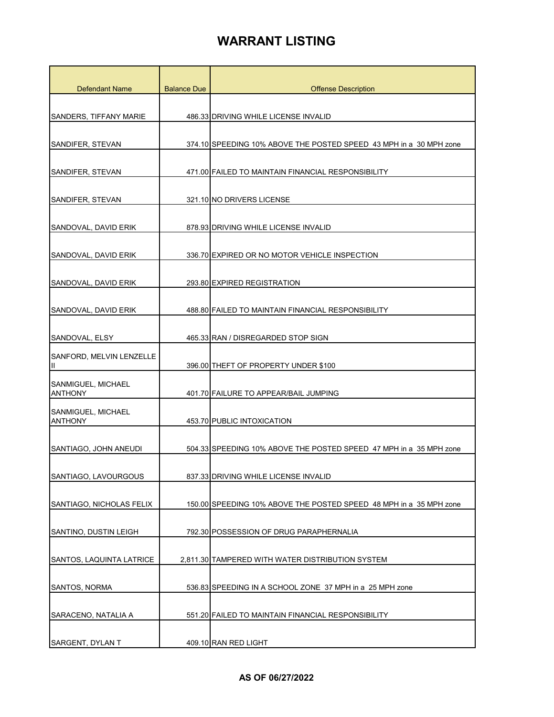| <b>Defendant Name</b>                | <b>Balance Due</b> | <b>Offense Description</b>                                         |
|--------------------------------------|--------------------|--------------------------------------------------------------------|
|                                      |                    |                                                                    |
| SANDERS, TIFFANY MARIE               |                    | 486.33 DRIVING WHILE LICENSE INVALID                               |
|                                      |                    |                                                                    |
| SANDIFER, STEVAN                     |                    | 374.10 SPEEDING 10% ABOVE THE POSTED SPEED 43 MPH in a 30 MPH zone |
| SANDIFER, STEVAN                     |                    | 471.00 FAILED TO MAINTAIN FINANCIAL RESPONSIBILITY                 |
|                                      |                    |                                                                    |
| SANDIFER, STEVAN                     |                    | 321.10 NO DRIVERS LICENSE                                          |
| SANDOVAL, DAVID ERIK                 |                    | 878.93 DRIVING WHILE LICENSE INVALID                               |
| SANDOVAL, DAVID ERIK                 |                    | 336.70 EXPIRED OR NO MOTOR VEHICLE INSPECTION                      |
|                                      |                    |                                                                    |
| SANDOVAL, DAVID ERIK                 |                    | 293.80 EXPIRED REGISTRATION                                        |
|                                      |                    |                                                                    |
| SANDOVAL, DAVID ERIK                 |                    | 488.80 FAILED TO MAINTAIN FINANCIAL RESPONSIBILITY                 |
| SANDOVAL, ELSY                       |                    | 465.33 RAN / DISREGARDED STOP SIGN                                 |
| SANFORD, MELVIN LENZELLE             |                    |                                                                    |
| Ш                                    |                    | 396.00 THEFT OF PROPERTY UNDER \$100                               |
| SANMIGUEL, MICHAEL<br><b>ANTHONY</b> |                    | 401.70 FAILURE TO APPEAR/BAIL JUMPING                              |
| <b>SANMIGUEL, MICHAEL</b>            |                    |                                                                    |
| <b>ANTHONY</b>                       |                    | 453.70 PUBLIC INTOXICATION                                         |
| SANTIAGO, JOHN ANEUDI                |                    | 504.33 SPEEDING 10% ABOVE THE POSTED SPEED 47 MPH in a 35 MPH zone |
|                                      |                    |                                                                    |
| SANTIAGO, LAVOURGOUS                 |                    | 837.33 DRIVING WHILE LICENSE INVALID                               |
| SANTIAGO, NICHOLAS FELIX             |                    | 150.00 SPEEDING 10% ABOVE THE POSTED SPEED 48 MPH in a 35 MPH zone |
|                                      |                    |                                                                    |
| SANTINO, DUSTIN LEIGH                |                    | 792.30 POSSESSION OF DRUG PARAPHERNALIA                            |
| SANTOS, LAQUINTA LATRICE             |                    | 2,811.30 TAMPERED WITH WATER DISTRIBUTION SYSTEM                   |
|                                      |                    |                                                                    |
| <b>SANTOS, NORMA</b>                 |                    | 536.83 SPEEDING IN A SCHOOL ZONE 37 MPH in a 25 MPH zone           |
| SARACENO, NATALIA A                  |                    | 551.20 FAILED TO MAINTAIN FINANCIAL RESPONSIBILITY                 |
|                                      |                    |                                                                    |
| SARGENT, DYLAN T                     |                    | 409.10 RAN RED LIGHT                                               |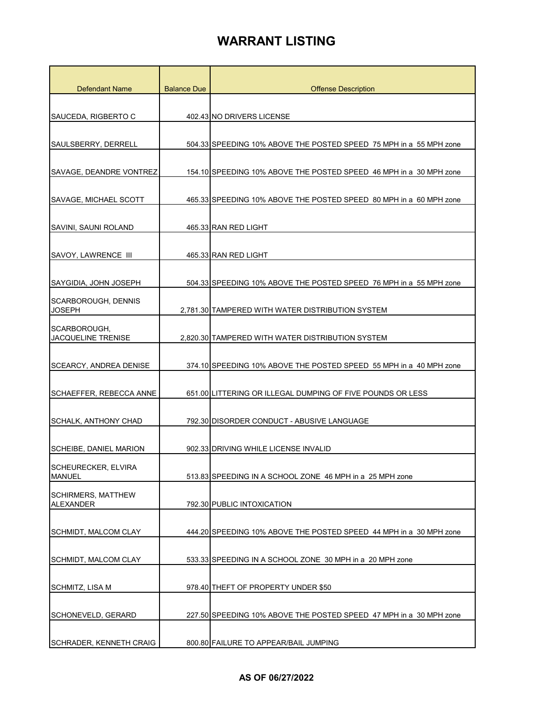| <b>Defendant Name</b>                       | <b>Balance Due</b> | <b>Offense Description</b>                                         |
|---------------------------------------------|--------------------|--------------------------------------------------------------------|
| SAUCEDA, RIGBERTO C                         |                    | 402.43 NO DRIVERS LICENSE                                          |
|                                             |                    |                                                                    |
| SAULSBERRY, DERRELL                         |                    | 504.33 SPEEDING 10% ABOVE THE POSTED SPEED 75 MPH in a 55 MPH zone |
|                                             |                    |                                                                    |
| SAVAGE, DEANDRE VONTREZ                     |                    | 154.10 SPEEDING 10% ABOVE THE POSTED SPEED 46 MPH in a 30 MPH zone |
|                                             |                    |                                                                    |
| <b>SAVAGE, MICHAEL SCOTT</b>                |                    | 465.33 SPEEDING 10% ABOVE THE POSTED SPEED 80 MPH in a 60 MPH zone |
| SAVINI, SAUNI ROLAND                        |                    | 465.33 RAN RED LIGHT                                               |
|                                             |                    |                                                                    |
| SAVOY, LAWRENCE III                         |                    | 465.33 RAN RED LIGHT                                               |
|                                             |                    |                                                                    |
| SAYGIDIA, JOHN JOSEPH                       |                    | 504.33 SPEEDING 10% ABOVE THE POSTED SPEED 76 MPH in a 55 MPH zone |
| SCARBOROUGH, DENNIS                         |                    |                                                                    |
| <b>JOSEPH</b>                               |                    | 2,781.30 TAMPERED WITH WATER DISTRIBUTION SYSTEM                   |
| SCARBOROUGH,<br><b>JACQUELINE TRENISE</b>   |                    |                                                                    |
|                                             |                    | 2,820.30 TAMPERED WITH WATER DISTRIBUTION SYSTEM                   |
| SCEARCY, ANDREA DENISE                      |                    | 374.10 SPEEDING 10% ABOVE THE POSTED SPEED 55 MPH in a 40 MPH zone |
|                                             |                    |                                                                    |
| <b>SCHAEFFER, REBECCA ANNE</b>              |                    | 651.00 LITTERING OR ILLEGAL DUMPING OF FIVE POUNDS OR LESS         |
|                                             |                    |                                                                    |
| ISCHALK. ANTHONY CHAD                       |                    | 792.30 DISORDER CONDUCT - ABUSIVE LANGUAGE                         |
| <b>SCHEIBE, DANIEL MARION</b>               |                    | 902.33 DRIVING WHILE LICENSE INVALID                               |
|                                             |                    |                                                                    |
| <b>SCHEURECKER, ELVIRA</b><br><b>MANUEL</b> |                    | 513.83 SPEEDING IN A SCHOOL ZONE 46 MPH in a 25 MPH zone           |
| <b>SCHIRMERS, MATTHEW</b>                   |                    |                                                                    |
| <b>ALEXANDER</b>                            |                    | 792.30 PUBLIC INTOXICATION                                         |
|                                             |                    |                                                                    |
| <b>SCHMIDT, MALCOM CLAY</b>                 |                    | 444.20 SPEEDING 10% ABOVE THE POSTED SPEED 44 MPH in a 30 MPH zone |
| <b>SCHMIDT, MALCOM CLAY</b>                 |                    | 533.33 SPEEDING IN A SCHOOL ZONE 30 MPH in a 20 MPH zone           |
|                                             |                    |                                                                    |
| <b>SCHMITZ, LISA M</b>                      |                    | 978.40 THEFT OF PROPERTY UNDER \$50                                |
|                                             |                    |                                                                    |
| SCHONEVELD, GERARD                          |                    | 227.50 SPEEDING 10% ABOVE THE POSTED SPEED 47 MPH in a 30 MPH zone |
|                                             |                    |                                                                    |
| SCHRADER, KENNETH CRAIG                     |                    | 800.80 FAILURE TO APPEAR/BAIL JUMPING                              |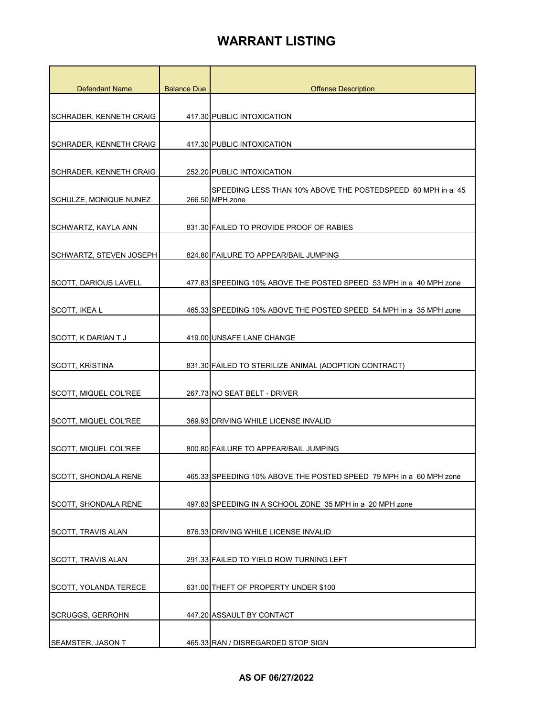| <b>Defendant Name</b>          | <b>Balance Due</b> | <b>Offense Description</b>                                                     |
|--------------------------------|--------------------|--------------------------------------------------------------------------------|
|                                |                    |                                                                                |
| <b>SCHRADER, KENNETH CRAIG</b> |                    | 417.30 PUBLIC INTOXICATION                                                     |
|                                |                    |                                                                                |
| SCHRADER, KENNETH CRAIG        |                    | 417.30 PUBLIC INTOXICATION                                                     |
| <b>SCHRADER, KENNETH CRAIG</b> |                    | 252.20 PUBLIC INTOXICATION                                                     |
| SCHULZE, MONIQUE NUNEZ         |                    | SPEEDING LESS THAN 10% ABOVE THE POSTEDSPEED 60 MPH in a 45<br>266.50 MPH zone |
| SCHWARTZ, KAYLA ANN            |                    | 831.30 FAILED TO PROVIDE PROOF OF RABIES                                       |
| <b>SCHWARTZ, STEVEN JOSEPH</b> |                    | 824.80 FAILURE TO APPEAR/BAIL JUMPING                                          |
| <b>SCOTT, DARIOUS LAVELL</b>   |                    | 477.83 SPEEDING 10% ABOVE THE POSTED SPEED 53 MPH in a 40 MPH zone             |
| SCOTT, IKEA L                  |                    | 465.33 SPEEDING 10% ABOVE THE POSTED SPEED 54 MPH in a 35 MPH zone             |
| SCOTT, K DARIAN T J            |                    | 419.00 UNSAFE LANE CHANGE                                                      |
| <b>SCOTT, KRISTINA</b>         |                    | 831.30 FAILED TO STERILIZE ANIMAL (ADOPTION CONTRACT)                          |
| <b>SCOTT, MIQUEL COL'REE</b>   |                    | 267.73 NO SEAT BELT - DRIVER                                                   |
| SCOTT, MIQUEL COL'REE          |                    | 369.93 DRIVING WHILE LICENSE INVALID                                           |
| SCOTT, MIQUEL COL'REE          |                    | 800.80 FAILURE TO APPEAR/BAIL JUMPING                                          |
| SCOTT, SHONDALA RENE           |                    | 465.33 SPEEDING 10% ABOVE THE POSTED SPEED 79 MPH in a 60 MPH zone             |
| SCOTT, SHONDALA RENE           |                    | 497.83 SPEEDING IN A SCHOOL ZONE 35 MPH in a 20 MPH zone                       |
| <b>SCOTT, TRAVIS ALAN</b>      |                    | 876.33 DRIVING WHILE LICENSE INVALID                                           |
| SCOTT, TRAVIS ALAN             |                    | 291.33 FAILED TO YIELD ROW TURNING LEFT                                        |
| SCOTT, YOLANDA TERECE          |                    | 631.00 THEFT OF PROPERTY UNDER \$100                                           |
| <b>SCRUGGS, GERROHN</b>        |                    | 447.20 ASSAULT BY CONTACT                                                      |
| SEAMSTER, JASON T              |                    | 465.33 RAN / DISREGARDED STOP SIGN                                             |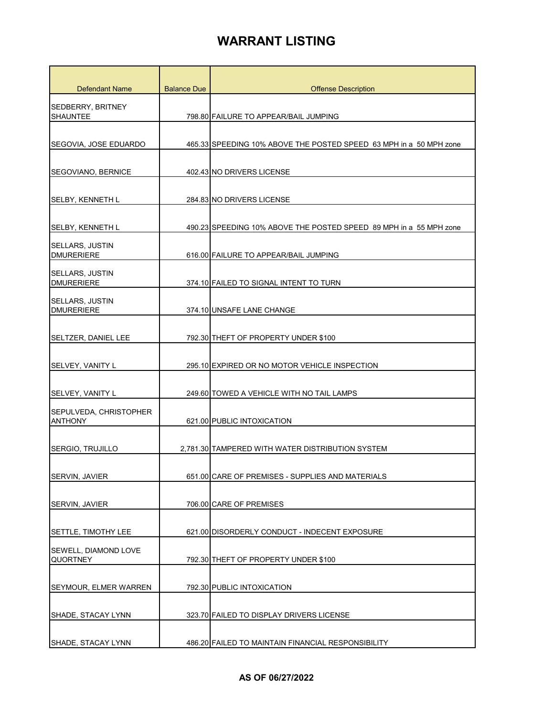| <b>Defendant Name</b>                    | <b>Balance Due</b> | <b>Offense Description</b>                                         |
|------------------------------------------|--------------------|--------------------------------------------------------------------|
| SEDBERRY, BRITNEY<br><b>SHAUNTEE</b>     |                    | 798.80 FAILURE TO APPEAR/BAIL JUMPING                              |
| SEGOVIA, JOSE EDUARDO                    |                    | 465.33 SPEEDING 10% ABOVE THE POSTED SPEED 63 MPH in a 50 MPH zone |
| <b>SEGOVIANO, BERNICE</b>                |                    | 402.43 NO DRIVERS LICENSE                                          |
| <b>SELBY, KENNETH L</b>                  |                    | 284.83 NO DRIVERS LICENSE                                          |
| <b>SELBY, KENNETH L</b>                  |                    | 490.23 SPEEDING 10% ABOVE THE POSTED SPEED 89 MPH in a 55 MPH zone |
| SELLARS, JUSTIN<br><b>DMURERIERE</b>     |                    | 616.00 FAILURE TO APPEAR/BAIL JUMPING                              |
| SELLARS, JUSTIN<br><b>DMURERIERE</b>     |                    | 374.10 FAILED TO SIGNAL INTENT TO TURN                             |
| SELLARS, JUSTIN<br><b>DMURERIERE</b>     |                    | 374.10 UNSAFE LANE CHANGE                                          |
| SELTZER, DANIEL LEE                      |                    | 792.30 THEFT OF PROPERTY UNDER \$100                               |
| SELVEY, VANITY L                         |                    | 295.10 EXPIRED OR NO MOTOR VEHICLE INSPECTION                      |
| SELVEY, VANITY L                         |                    | 249.60 TOWED A VEHICLE WITH NO TAIL LAMPS                          |
| SEPULVEDA, CHRISTOPHER<br><b>ANTHONY</b> |                    | 621.00 PUBLIC INTOXICATION                                         |
| SERGIO, TRUJILLO                         |                    | 2,781.30 TAMPERED WITH WATER DISTRIBUTION SYSTEM                   |
| SERVIN, JAVIER                           |                    | 651.00 CARE OF PREMISES - SUPPLIES AND MATERIALS                   |
| SERVIN, JAVIER                           |                    | 706.00 CARE OF PREMISES                                            |
| SETTLE, TIMOTHY LEE                      |                    | 621.00 DISORDERLY CONDUCT - INDECENT EXPOSURE                      |
| SEWELL, DIAMOND LOVE<br><b>QUORTNEY</b>  |                    | 792.30 THEFT OF PROPERTY UNDER \$100                               |
| <b>SEYMOUR, ELMER WARREN</b>             |                    | 792.30 PUBLIC INTOXICATION                                         |
| SHADE, STACAY LYNN                       |                    | 323.70 FAILED TO DISPLAY DRIVERS LICENSE                           |
| SHADE, STACAY LYNN                       |                    | 486.20 FAILED TO MAINTAIN FINANCIAL RESPONSIBILITY                 |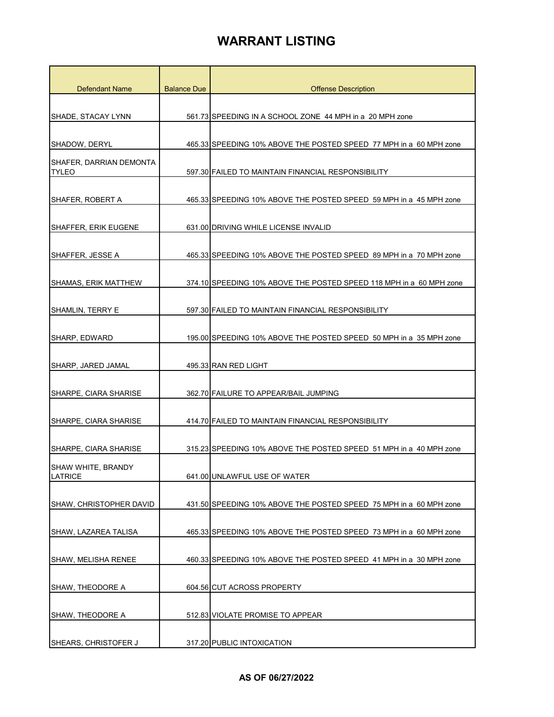| <b>Defendant Name</b>                   | <b>Balance Due</b> | <b>Offense Description</b>                                          |
|-----------------------------------------|--------------------|---------------------------------------------------------------------|
|                                         |                    |                                                                     |
| SHADE, STACAY LYNN                      |                    | 561.73 SPEEDING IN A SCHOOL ZONE 44 MPH in a 20 MPH zone            |
| SHADOW, DERYL                           |                    | 465.33 SPEEDING 10% ABOVE THE POSTED SPEED 77 MPH in a 60 MPH zone  |
| SHAFER, DARRIAN DEMONTA<br><b>TYLEO</b> |                    | 597.30 FAILED TO MAINTAIN FINANCIAL RESPONSIBILITY                  |
| SHAFER, ROBERT A                        |                    | 465.33 SPEEDING 10% ABOVE THE POSTED SPEED 59 MPH in a 45 MPH zone  |
| <b>SHAFFER, ERIK EUGENE</b>             |                    | 631.00 DRIVING WHILE LICENSE INVALID                                |
| SHAFFER, JESSE A                        |                    | 465.33 SPEEDING 10% ABOVE THE POSTED SPEED 89 MPH in a 70 MPH zone  |
| SHAMAS, ERIK MATTHEW                    |                    | 374.10 SPEEDING 10% ABOVE THE POSTED SPEED 118 MPH in a 60 MPH zone |
| SHAMLIN, TERRY E                        |                    | 597.30 FAILED TO MAINTAIN FINANCIAL RESPONSIBILITY                  |
| SHARP, EDWARD                           |                    | 195.00 SPEEDING 10% ABOVE THE POSTED SPEED 50 MPH in a 35 MPH zone  |
| SHARP, JARED JAMAL                      |                    | 495.33 RAN RED LIGHT                                                |
| SHARPE, CIARA SHARISE                   |                    | 362.70 FAILURE TO APPEAR/BAIL JUMPING                               |
| SHARPE, CIARA SHARISE                   |                    | 414.70 FAILED TO MAINTAIN FINANCIAL RESPONSIBILITY                  |
| SHARPE, CIARA SHARISE                   |                    | 315.23 SPEEDING 10% ABOVE THE POSTED SPEED 51 MPH in a 40 MPH zone  |
| SHAW WHITE, BRANDY<br><b>LATRICE</b>    |                    | 641.00 UNLAWFUL USE OF WATER                                        |
| SHAW, CHRISTOPHER DAVID                 |                    | 431.50 SPEEDING 10% ABOVE THE POSTED SPEED 75 MPH in a 60 MPH zone  |
| <b>SHAW. LAZAREA TALISA</b>             |                    | 465.33 SPEEDING 10% ABOVE THE POSTED SPEED 73 MPH in a 60 MPH zone  |
| <b>SHAW, MELISHA RENEE</b>              |                    | 460.33 SPEEDING 10% ABOVE THE POSTED SPEED 41 MPH in a 30 MPH zone  |
| SHAW, THEODORE A                        |                    | 604.56 CUT ACROSS PROPERTY                                          |
| SHAW, THEODORE A                        |                    | 512.83 VIOLATE PROMISE TO APPEAR                                    |
| SHEARS, CHRISTOFER J                    |                    | 317.20 PUBLIC INTOXICATION                                          |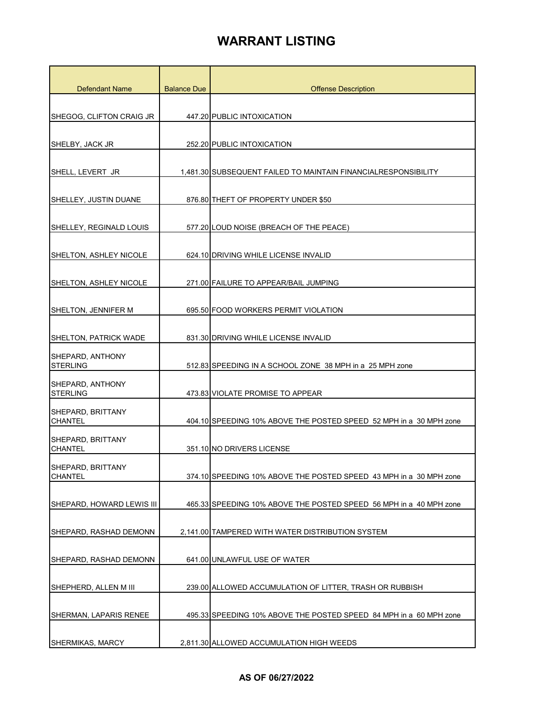| <b>Defendant Name</b>               | <b>Balance Due</b> | <b>Offense Description</b>                                         |
|-------------------------------------|--------------------|--------------------------------------------------------------------|
|                                     |                    |                                                                    |
| SHEGOG, CLIFTON CRAIG JR            |                    | 447.20 PUBLIC INTOXICATION                                         |
|                                     |                    |                                                                    |
| SHELBY, JACK JR                     |                    | 252.20 PUBLIC INTOXICATION                                         |
| SHELL, LEVERT JR                    |                    | 1,481.30 SUBSEQUENT FAILED TO MAINTAIN FINANCIALRESPONSIBILITY     |
| SHELLEY, JUSTIN DUANE               |                    | 876.80 THEFT OF PROPERTY UNDER \$50                                |
| SHELLEY, REGINALD LOUIS             |                    | 577.20 LOUD NOISE (BREACH OF THE PEACE)                            |
| SHELTON, ASHLEY NICOLE              |                    | 624.10 DRIVING WHILE LICENSE INVALID                               |
| SHELTON, ASHLEY NICOLE              |                    | 271.00 FAILURE TO APPEAR/BAIL JUMPING                              |
| SHELTON, JENNIFER M                 |                    | 695.50 FOOD WORKERS PERMIT VIOLATION                               |
| <b>SHELTON, PATRICK WADE</b>        |                    | 831.30 DRIVING WHILE LICENSE INVALID                               |
| SHEPARD, ANTHONY<br><b>STERLING</b> |                    | 512.83 SPEEDING IN A SCHOOL ZONE 38 MPH in a 25 MPH zone           |
| SHEPARD, ANTHONY<br><b>STERLING</b> |                    | 473.83 VIOLATE PROMISE TO APPEAR                                   |
| SHEPARD, BRITTANY<br><b>CHANTEL</b> |                    | 404.10 SPEEDING 10% ABOVE THE POSTED SPEED 52 MPH in a 30 MPH zone |
| SHEPARD, BRITTANY<br><b>CHANTEL</b> |                    | 351.10 NO DRIVERS LICENSE                                          |
| SHEPARD, BRITTANY<br>CHANTEL        |                    | 374.10 SPEEDING 10% ABOVE THE POSTED SPEED 43 MPH in a 30 MPH zone |
| SHEPARD, HOWARD LEWIS III           |                    | 465.33 SPEEDING 10% ABOVE THE POSTED SPEED 56 MPH in a 40 MPH zone |
| SHEPARD, RASHAD DEMONN              |                    | 2,141.00 TAMPERED WITH WATER DISTRIBUTION SYSTEM                   |
| SHEPARD, RASHAD DEMONN              |                    | 641.00 UNLAWFUL USE OF WATER                                       |
| SHEPHERD, ALLEN M III               |                    | 239.00 ALLOWED ACCUMULATION OF LITTER, TRASH OR RUBBISH            |
| SHERMAN, LAPARIS RENEE              |                    | 495.33 SPEEDING 10% ABOVE THE POSTED SPEED 84 MPH in a 60 MPH zone |
| SHERMIKAS, MARCY                    |                    | 2,811.30 ALLOWED ACCUMULATION HIGH WEEDS                           |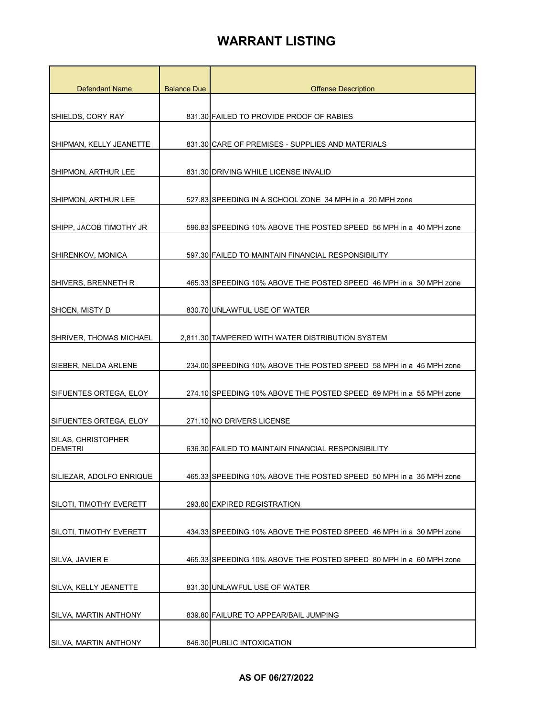| <b>Defendant Name</b>                       | <b>Balance Due</b> | <b>Offense Description</b>                                         |
|---------------------------------------------|--------------------|--------------------------------------------------------------------|
|                                             |                    |                                                                    |
| SHIELDS, CORY RAY                           |                    | 831.30 FAILED TO PROVIDE PROOF OF RABIES                           |
| SHIPMAN, KELLY JEANETTE                     |                    | 831.30 CARE OF PREMISES - SUPPLIES AND MATERIALS                   |
|                                             |                    |                                                                    |
| <b>SHIPMON, ARTHUR LEE</b>                  |                    | 831.30 DRIVING WHILE LICENSE INVALID                               |
| SHIPMON, ARTHUR LEE                         |                    | 527.83 SPEEDING IN A SCHOOL ZONE 34 MPH in a 20 MPH zone           |
| SHIPP, JACOB TIMOTHY JR                     |                    | 596.83 SPEEDING 10% ABOVE THE POSTED SPEED 56 MPH in a 40 MPH zone |
| SHIRENKOV, MONICA                           |                    | 597.30 FAILED TO MAINTAIN FINANCIAL RESPONSIBILITY                 |
| SHIVERS, BRENNETH R                         |                    | 465.33 SPEEDING 10% ABOVE THE POSTED SPEED 46 MPH in a 30 MPH zone |
| SHOEN, MISTY D                              |                    | 830.70 UNLAWFUL USE OF WATER                                       |
| SHRIVER, THOMAS MICHAEL                     |                    | 2,811.30 TAMPERED WITH WATER DISTRIBUTION SYSTEM                   |
| SIEBER, NELDA ARLENE                        |                    | 234.00 SPEEDING 10% ABOVE THE POSTED SPEED 58 MPH in a 45 MPH zone |
| SIFUENTES ORTEGA, ELOY                      |                    | 274.10 SPEEDING 10% ABOVE THE POSTED SPEED 69 MPH in a 55 MPH zone |
| SIFUENTES ORTEGA, ELOY                      |                    | 271.10 NO DRIVERS LICENSE                                          |
| <b>SILAS, CHRISTOPHER</b><br><b>DEMETRI</b> |                    | 636.30 FAILED TO MAINTAIN FINANCIAL RESPONSIBILITY                 |
| SILIEZAR, ADOLFO ENRIQUE                    |                    | 465.33 SPEEDING 10% ABOVE THE POSTED SPEED 50 MPH in a 35 MPH zone |
| SILOTI, TIMOTHY EVERETT                     |                    | 293.80 EXPIRED REGISTRATION                                        |
| <b>SILOTI. TIMOTHY EVERETT</b>              |                    | 434.33 SPEEDING 10% ABOVE THE POSTED SPEED 46 MPH in a 30 MPH zone |
| SILVA, JAVIER E                             |                    | 465.33 SPEEDING 10% ABOVE THE POSTED SPEED 80 MPH in a 60 MPH zone |
| SILVA, KELLY JEANETTE                       |                    | 831.30 UNLAWFUL USE OF WATER                                       |
| SILVA, MARTIN ANTHONY                       |                    | 839.80 FAILURE TO APPEAR/BAIL JUMPING                              |
| SILVA, MARTIN ANTHONY                       |                    | 846.30 PUBLIC INTOXICATION                                         |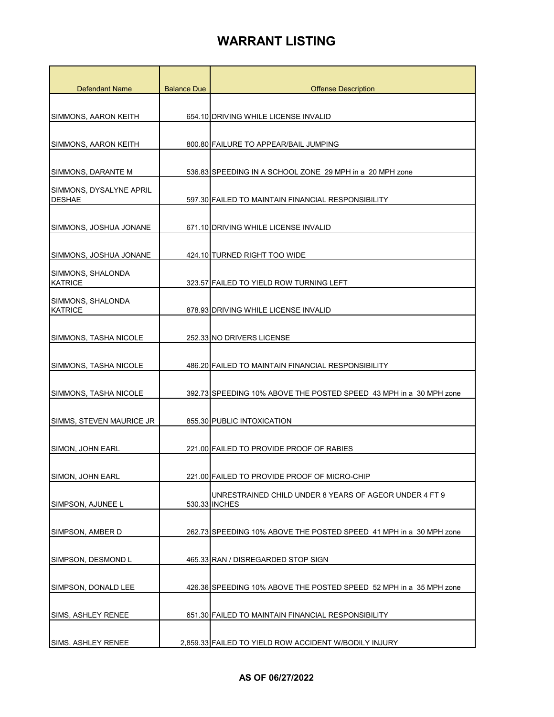| <b>Defendant Name</b>                    | <b>Balance Due</b> | <b>Offense Description</b>                                              |
|------------------------------------------|--------------------|-------------------------------------------------------------------------|
|                                          |                    |                                                                         |
| SIMMONS, AARON KEITH                     |                    | 654.10 DRIVING WHILE LICENSE INVALID                                    |
|                                          |                    |                                                                         |
| SIMMONS, AARON KEITH                     |                    | 800.80 FAILURE TO APPEAR/BAIL JUMPING                                   |
| SIMMONS, DARANTE M                       |                    | 536.83 SPEEDING IN A SCHOOL ZONE 29 MPH in a 20 MPH zone                |
| SIMMONS, DYSALYNE APRIL<br><b>DESHAE</b> |                    | 597.30 FAILED TO MAINTAIN FINANCIAL RESPONSIBILITY                      |
| SIMMONS, JOSHUA JONANE                   |                    | 671.10 DRIVING WHILE LICENSE INVALID                                    |
|                                          |                    |                                                                         |
| SIMMONS, JOSHUA JONANE                   |                    | 424.10 TURNED RIGHT TOO WIDE                                            |
| SIMMONS, SHALONDA<br><b>KATRICE</b>      |                    | 323.57 FAILED TO YIELD ROW TURNING LEFT                                 |
| SIMMONS, SHALONDA<br><b>KATRICE</b>      |                    | 878.93 DRIVING WHILE LICENSE INVALID                                    |
| SIMMONS, TASHA NICOLE                    |                    | 252.33 NO DRIVERS LICENSE                                               |
| SIMMONS, TASHA NICOLE                    |                    | 486.20 FAILED TO MAINTAIN FINANCIAL RESPONSIBILITY                      |
| SIMMONS, TASHA NICOLE                    |                    | 392.73 SPEEDING 10% ABOVE THE POSTED SPEED 43 MPH in a 30 MPH zone      |
| SIMMS, STEVEN MAURICE JR                 |                    | 855.30 PUBLIC INTOXICATION                                              |
| SIMON, JOHN EARL                         |                    | 221.00 FAILED TO PROVIDE PROOF OF RABIES                                |
| SIMON, JOHN EARL                         |                    | 221.00 FAILED TO PROVIDE PROOF OF MICRO-CHIP                            |
| SIMPSON, AJUNEE L                        |                    | UNRESTRAINED CHILD UNDER 8 YEARS OF AGEOR UNDER 4 FT 9<br>530.33 INCHES |
| SIMPSON, AMBER D                         |                    | 262.73 SPEEDING 10% ABOVE THE POSTED SPEED 41 MPH in a 30 MPH zone      |
| SIMPSON, DESMOND L                       |                    | 465.33 RAN / DISREGARDED STOP SIGN                                      |
| SIMPSON, DONALD LEE                      |                    | 426.36 SPEEDING 10% ABOVE THE POSTED SPEED 52 MPH in a 35 MPH zone      |
| SIMS, ASHLEY RENEE                       |                    | 651.30 FAILED TO MAINTAIN FINANCIAL RESPONSIBILITY                      |
| SIMS, ASHLEY RENEE                       |                    | 2,859.33 FAILED TO YIELD ROW ACCIDENT W/BODILY INJURY                   |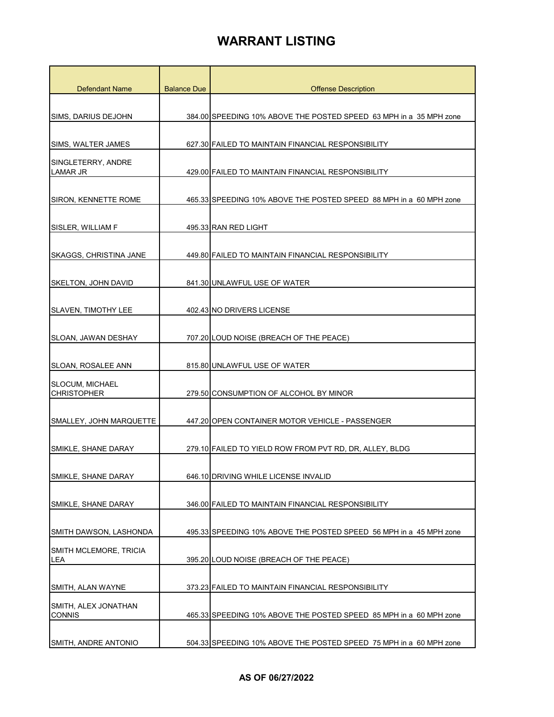| <b>Defendant Name</b>                        | <b>Balance Due</b> | <b>Offense Description</b>                                         |
|----------------------------------------------|--------------------|--------------------------------------------------------------------|
|                                              |                    |                                                                    |
| SIMS, DARIUS DEJOHN                          |                    | 384.00 SPEEDING 10% ABOVE THE POSTED SPEED 63 MPH in a 35 MPH zone |
|                                              |                    |                                                                    |
| SIMS, WALTER JAMES                           |                    | 627.30 FAILED TO MAINTAIN FINANCIAL RESPONSIBILITY                 |
| SINGLETERRY, ANDRE                           |                    |                                                                    |
| LAMAR JR                                     |                    | 429.00 FAILED TO MAINTAIN FINANCIAL RESPONSIBILITY                 |
|                                              |                    |                                                                    |
| SIRON, KENNETTE ROME                         |                    | 465.33 SPEEDING 10% ABOVE THE POSTED SPEED 88 MPH in a 60 MPH zone |
|                                              |                    |                                                                    |
| SISLER, WILLIAM F                            |                    | 495.33 RAN RED LIGHT                                               |
| SKAGGS, CHRISTINA JANE                       |                    | 449.80 FAILED TO MAINTAIN FINANCIAL RESPONSIBILITY                 |
|                                              |                    |                                                                    |
| SKELTON, JOHN DAVID                          |                    | 841.30 UNLAWFUL USE OF WATER                                       |
|                                              |                    |                                                                    |
| <b>SLAVEN, TIMOTHY LEE</b>                   |                    | 402.43 NO DRIVERS LICENSE                                          |
|                                              |                    |                                                                    |
| SLOAN, JAWAN DESHAY                          |                    | 707.20 LOUD NOISE (BREACH OF THE PEACE)                            |
|                                              |                    |                                                                    |
| SLOAN, ROSALEE ANN                           |                    | 815.80 UNLAWFUL USE OF WATER                                       |
| <b>SLOCUM, MICHAEL</b><br><b>CHRISTOPHER</b> |                    | 279.50 CONSUMPTION OF ALCOHOL BY MINOR                             |
|                                              |                    |                                                                    |
| SMALLEY, JOHN MARQUETTE                      |                    | 447.20 OPEN CONTAINER MOTOR VEHICLE - PASSENGER                    |
|                                              |                    |                                                                    |
| ISMIKLE. SHANE DARAY                         |                    | 279.10 FAILED TO YIELD ROW FROM PVT RD, DR, ALLEY, BLDG            |
|                                              |                    |                                                                    |
| SMIKLE, SHANE DARAY                          |                    | 646.10 DRIVING WHILE LICENSE INVALID                               |
|                                              |                    |                                                                    |
| SMIKLE, SHANE DARAY                          |                    | 346.00 FAILED TO MAINTAIN FINANCIAL RESPONSIBILITY                 |
| SMITH DAWSON, LASHONDA                       |                    | 495.33 SPEEDING 10% ABOVE THE POSTED SPEED 56 MPH in a 45 MPH zone |
|                                              |                    |                                                                    |
| SMITH MCLEMORE, TRICIA<br>LEA                |                    | 395.20 LOUD NOISE (BREACH OF THE PEACE)                            |
|                                              |                    |                                                                    |
| SMITH, ALAN WAYNE                            |                    | 373.23 FAILED TO MAINTAIN FINANCIAL RESPONSIBILITY                 |
| SMITH, ALEX JONATHAN                         |                    |                                                                    |
| <b>CONNIS</b>                                |                    | 465.33 SPEEDING 10% ABOVE THE POSTED SPEED 85 MPH in a 60 MPH zone |
|                                              |                    |                                                                    |
| SMITH, ANDRE ANTONIO                         |                    | 504.33 SPEEDING 10% ABOVE THE POSTED SPEED 75 MPH in a 60 MPH zone |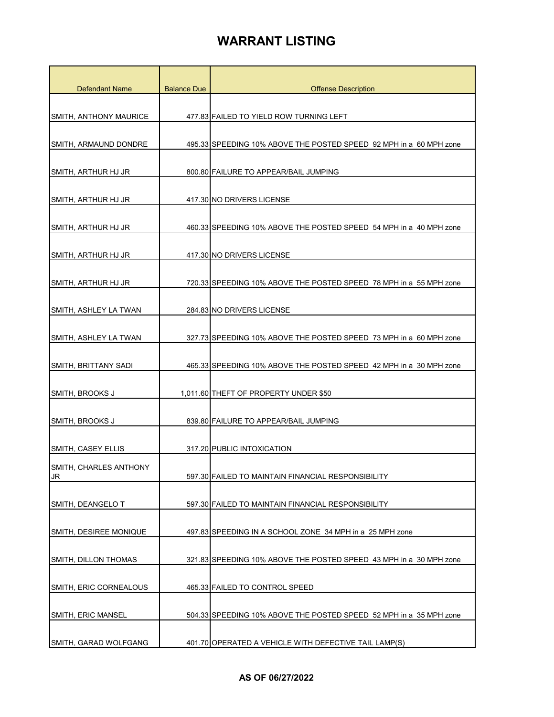| <b>Defendant Name</b>               | <b>Balance Due</b> | <b>Offense Description</b>                                         |
|-------------------------------------|--------------------|--------------------------------------------------------------------|
|                                     |                    |                                                                    |
| SMITH, ANTHONY MAURICE              |                    | 477.83 FAILED TO YIELD ROW TURNING LEFT                            |
| SMITH, ARMAUND DONDRE               |                    | 495.33 SPEEDING 10% ABOVE THE POSTED SPEED 92 MPH in a 60 MPH zone |
| SMITH, ARTHUR HJ JR                 |                    | 800.80 FAILURE TO APPEAR/BAIL JUMPING                              |
| SMITH, ARTHUR HJ JR                 |                    | 417.30 NO DRIVERS LICENSE                                          |
| SMITH, ARTHUR HJ JR                 |                    | 460.33 SPEEDING 10% ABOVE THE POSTED SPEED 54 MPH in a 40 MPH zone |
| SMITH, ARTHUR HJ JR                 |                    | 417.30 NO DRIVERS LICENSE                                          |
| SMITH, ARTHUR HJ JR                 |                    | 720.33 SPEEDING 10% ABOVE THE POSTED SPEED 78 MPH in a 55 MPH zone |
| SMITH, ASHLEY LA TWAN               |                    | 284.83 NO DRIVERS LICENSE                                          |
| SMITH, ASHLEY LA TWAN               |                    | 327.73 SPEEDING 10% ABOVE THE POSTED SPEED 73 MPH in a 60 MPH zone |
| SMITH, BRITTANY SADI                |                    | 465.33 SPEEDING 10% ABOVE THE POSTED SPEED 42 MPH in a 30 MPH zone |
| SMITH, BROOKS J                     |                    | 1,011.60 THEFT OF PROPERTY UNDER \$50                              |
| SMITH, BROOKS J                     |                    | 839.80 FAILURE TO APPEAR/BAIL JUMPING                              |
| <b>SMITH, CASEY ELLIS</b>           |                    | 317.20 PUBLIC INTOXICATION                                         |
| SMITH, CHARLES ANTHONY<br><b>JR</b> |                    | 597.30 FAILED TO MAINTAIN FINANCIAL RESPONSIBILITY                 |
| SMITH, DEANGELO T                   |                    | 597.30 FAILED TO MAINTAIN FINANCIAL RESPONSIBILITY                 |
| SMITH, DESIREE MONIQUE              |                    | 497.83 SPEEDING IN A SCHOOL ZONE 34 MPH in a 25 MPH zone           |
| SMITH, DILLON THOMAS                |                    | 321.83 SPEEDING 10% ABOVE THE POSTED SPEED 43 MPH in a 30 MPH zone |
| SMITH, ERIC CORNEALOUS              |                    | 465.33 FAILED TO CONTROL SPEED                                     |
| SMITH, ERIC MANSEL                  |                    | 504.33 SPEEDING 10% ABOVE THE POSTED SPEED 52 MPH in a 35 MPH zone |
| SMITH, GARAD WOLFGANG               |                    | 401.70 OPERATED A VEHICLE WITH DEFECTIVE TAIL LAMP(S)              |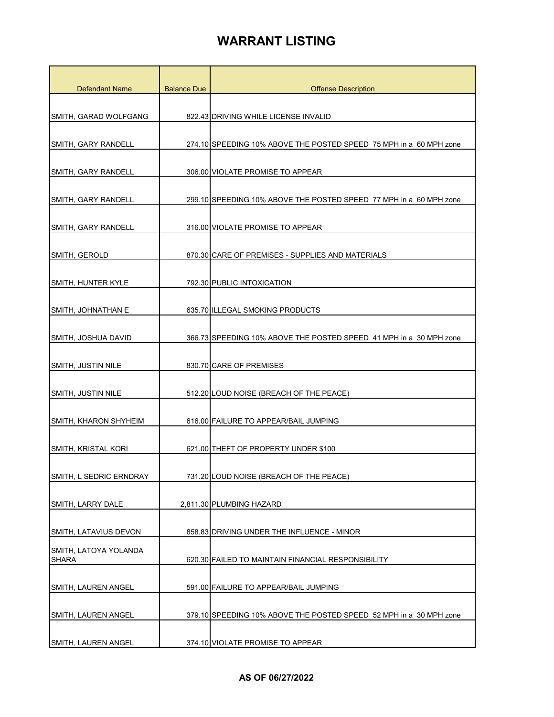| <b>Defendant Name</b>                 | <b>Balance Due</b> | <b>Offense Description</b>                                         |
|---------------------------------------|--------------------|--------------------------------------------------------------------|
|                                       |                    |                                                                    |
| SMITH, GARAD WOLFGANG                 |                    | 822.43 DRIVING WHILE LICENSE INVALID                               |
| SMITH, GARY RANDELL                   |                    | 274.10 SPEEDING 10% ABOVE THE POSTED SPEED 75 MPH in a 60 MPH zone |
|                                       |                    |                                                                    |
| SMITH, GARY RANDELL                   |                    | 306.00 VIOLATE PROMISE TO APPEAR                                   |
| SMITH, GARY RANDELL                   |                    | 299.10 SPEEDING 10% ABOVE THE POSTED SPEED 77 MPH in a 60 MPH zone |
| SMITH, GARY RANDELL                   |                    | 316.00 VIOLATE PROMISE TO APPEAR                                   |
| SMITH, GEROLD                         |                    | 870.30 CARE OF PREMISES - SUPPLIES AND MATERIALS                   |
| SMITH, HUNTER KYLE                    |                    | 792.30 PUBLIC INTOXICATION                                         |
| SMITH, JOHNATHAN E                    |                    | 635.70 ILLEGAL SMOKING PRODUCTS                                    |
| SMITH, JOSHUA DAVID                   |                    | 366.73 SPEEDING 10% ABOVE THE POSTED SPEED 41 MPH in a 30 MPH zone |
| SMITH, JUSTIN NILE                    |                    | 830.70 CARE OF PREMISES                                            |
| SMITH, JUSTIN NILE                    |                    | 512.20 LOUD NOISE (BREACH OF THE PEACE)                            |
| SMITH, KHARON SHYHEIM                 |                    | 616.00 FAILURE TO APPEAR/BAIL JUMPING                              |
| SMITH, KRISTAL KORI                   |                    | 621.00 THEFT OF PROPERTY UNDER \$100                               |
| SMITH, L SEDRIC ERNDRAY               |                    | 731.20 LOUD NOISE (BREACH OF THE PEACE)                            |
| SMITH, LARRY DALE                     |                    | 2,811.30 PLUMBING HAZARD                                           |
| SMITH, LATAVIUS DEVON                 |                    | 858.83 DRIVING UNDER THE INFLUENCE - MINOR                         |
| SMITH, LATOYA YOLANDA<br><b>SHARA</b> |                    | 620.30 FAILED TO MAINTAIN FINANCIAL RESPONSIBILITY                 |
| SMITH, LAUREN ANGEL                   |                    | 591.00 FAILURE TO APPEAR/BAIL JUMPING                              |
| SMITH, LAUREN ANGEL                   |                    | 379.10 SPEEDING 10% ABOVE THE POSTED SPEED 52 MPH in a 30 MPH zone |
| SMITH, LAUREN ANGEL                   |                    | 374.10 VIOLATE PROMISE TO APPEAR                                   |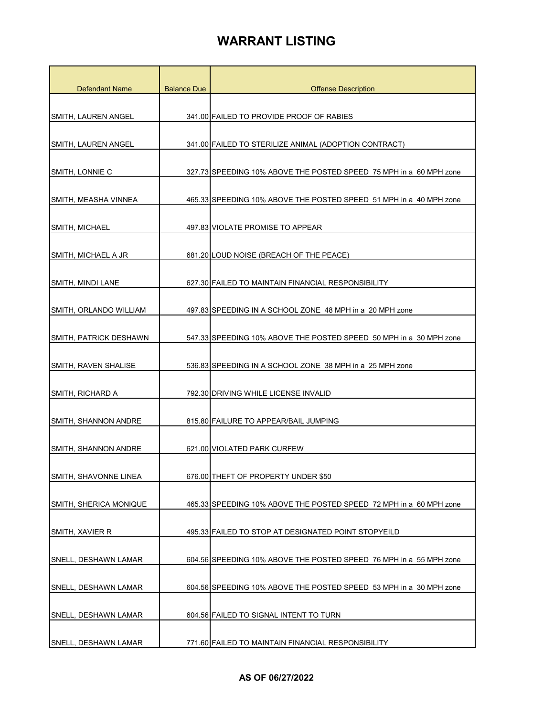| <b>Defendant Name</b>         | <b>Balance Due</b> | <b>Offense Description</b>                                         |
|-------------------------------|--------------------|--------------------------------------------------------------------|
|                               |                    |                                                                    |
| SMITH, LAUREN ANGEL           |                    | 341.00 FAILED TO PROVIDE PROOF OF RABIES                           |
| SMITH, LAUREN ANGEL           |                    | 341.00 FAILED TO STERILIZE ANIMAL (ADOPTION CONTRACT)              |
|                               |                    |                                                                    |
| SMITH, LONNIE C               |                    | 327.73 SPEEDING 10% ABOVE THE POSTED SPEED 75 MPH in a 60 MPH zone |
| SMITH, MEASHA VINNEA          |                    | 465.33 SPEEDING 10% ABOVE THE POSTED SPEED 51 MPH in a 40 MPH zone |
| SMITH, MICHAEL                |                    | 497.83 VIOLATE PROMISE TO APPEAR                                   |
| SMITH, MICHAEL A JR           |                    | 681.20 LOUD NOISE (BREACH OF THE PEACE)                            |
| SMITH, MINDI LANE             |                    | 627.30 FAILED TO MAINTAIN FINANCIAL RESPONSIBILITY                 |
| SMITH, ORLANDO WILLIAM        |                    | 497.83 SPEEDING IN A SCHOOL ZONE 48 MPH in a 20 MPH zone           |
| SMITH, PATRICK DESHAWN        |                    | 547.33 SPEEDING 10% ABOVE THE POSTED SPEED 50 MPH in a 30 MPH zone |
|                               |                    |                                                                    |
| SMITH, RAVEN SHALISE          |                    | 536.83 SPEEDING IN A SCHOOL ZONE 38 MPH in a 25 MPH zone           |
| SMITH, RICHARD A              |                    | 792.30 DRIVING WHILE LICENSE INVALID                               |
| SMITH, SHANNON ANDRE          |                    | 815.80 FAILURE TO APPEAR/BAIL JUMPING                              |
| SMITH, SHANNON ANDRE          |                    | 621.00 VIOLATED PARK CURFEW                                        |
| SMITH, SHAVONNE LINEA         |                    | 676.00 THEFT OF PROPERTY UNDER \$50                                |
| <b>SMITH, SHERICA MONIQUE</b> |                    | 465.33 SPEEDING 10% ABOVE THE POSTED SPEED 72 MPH in a 60 MPH zone |
| SMITH, XAVIER R               |                    | 495.33 FAILED TO STOP AT DESIGNATED POINT STOPYEILD                |
|                               |                    |                                                                    |
| SNELL, DESHAWN LAMAR          |                    | 604.56 SPEEDING 10% ABOVE THE POSTED SPEED 76 MPH in a 55 MPH zone |
| SNELL, DESHAWN LAMAR          |                    | 604.56 SPEEDING 10% ABOVE THE POSTED SPEED 53 MPH in a 30 MPH zone |
| SNELL, DESHAWN LAMAR          |                    | 604.56 FAILED TO SIGNAL INTENT TO TURN                             |
| SNELL, DESHAWN LAMAR          |                    | 771.60 FAILED TO MAINTAIN FINANCIAL RESPONSIBILITY                 |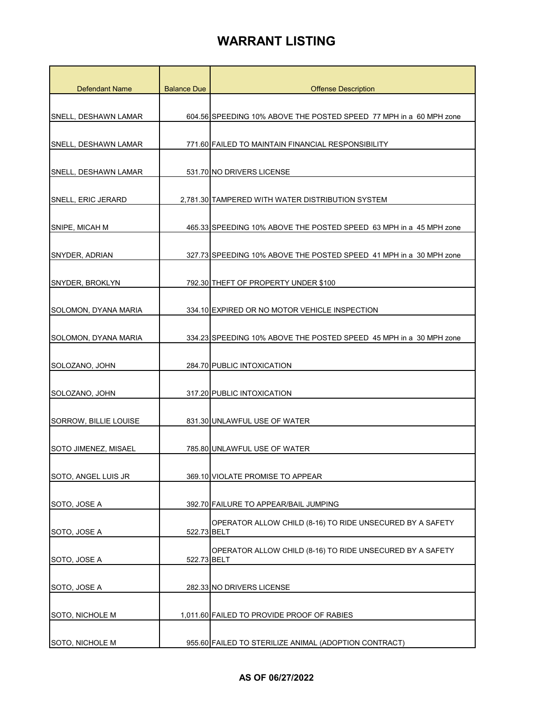| <b>Defendant Name</b>     | <b>Balance Due</b> | <b>Offense Description</b>                                         |
|---------------------------|--------------------|--------------------------------------------------------------------|
|                           |                    |                                                                    |
| SNELL, DESHAWN LAMAR      |                    | 604.56 SPEEDING 10% ABOVE THE POSTED SPEED 77 MPH in a 60 MPH zone |
|                           |                    |                                                                    |
| SNELL, DESHAWN LAMAR      |                    | 771.60 FAILED TO MAINTAIN FINANCIAL RESPONSIBILITY                 |
| SNELL, DESHAWN LAMAR      |                    | 531.70 NO DRIVERS LICENSE                                          |
|                           |                    |                                                                    |
| <b>SNELL, ERIC JERARD</b> |                    | 2,781.30 TAMPERED WITH WATER DISTRIBUTION SYSTEM                   |
|                           |                    |                                                                    |
| SNIPE, MICAH M            |                    | 465.33 SPEEDING 10% ABOVE THE POSTED SPEED 63 MPH in a 45 MPH zone |
|                           |                    |                                                                    |
| SNYDER, ADRIAN            |                    | 327.73 SPEEDING 10% ABOVE THE POSTED SPEED 41 MPH in a 30 MPH zone |
| <b>SNYDER, BROKLYN</b>    |                    | 792.30 THEFT OF PROPERTY UNDER \$100                               |
|                           |                    |                                                                    |
| SOLOMON, DYANA MARIA      |                    | 334.10 EXPIRED OR NO MOTOR VEHICLE INSPECTION                      |
|                           |                    |                                                                    |
| SOLOMON, DYANA MARIA      |                    | 334.23 SPEEDING 10% ABOVE THE POSTED SPEED 45 MPH in a 30 MPH zone |
| SOLOZANO, JOHN            |                    | 284.70 PUBLIC INTOXICATION                                         |
|                           |                    |                                                                    |
| SOLOZANO, JOHN            |                    | 317.20 PUBLIC INTOXICATION                                         |
|                           |                    |                                                                    |
| SORROW, BILLIE LOUISE     |                    | 831.30 UNLAWFUL USE OF WATER                                       |
| SOTO JIMENEZ, MISAEL      |                    | 785.80 UNLAWFUL USE OF WATER                                       |
|                           |                    |                                                                    |
| SOTO, ANGEL LUIS JR       |                    | 369.10 VIOLATE PROMISE TO APPEAR                                   |
|                           |                    |                                                                    |
| SOTO, JOSE A              |                    | 392.70 FAILURE TO APPEAR/BAIL JUMPING                              |
| SOTO, JOSE A              | 522.73 BELT        | OPERATOR ALLOW CHILD (8-16) TO RIDE UNSECURED BY A SAFETY          |
|                           |                    | OPERATOR ALLOW CHILD (8-16) TO RIDE UNSECURED BY A SAFETY          |
| SOTO, JOSE A              | 522.73 BELT        |                                                                    |
|                           |                    |                                                                    |
| SOTO, JOSE A              |                    | 282.33 NO DRIVERS LICENSE                                          |
| SOTO, NICHOLE M           |                    | 1,011.60 FAILED TO PROVIDE PROOF OF RABIES                         |
|                           |                    |                                                                    |
| SOTO, NICHOLE M           |                    | 955.60 FAILED TO STERILIZE ANIMAL (ADOPTION CONTRACT)              |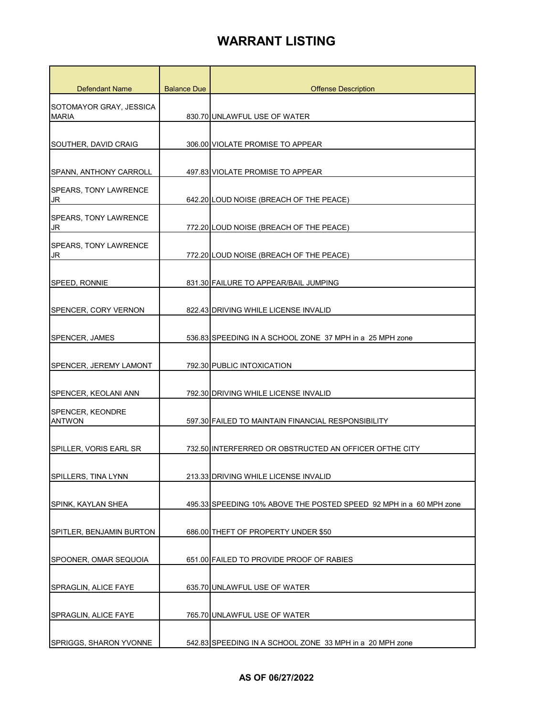| Defendant Name                          | <b>Balance Due</b> | <b>Offense Description</b>                                         |
|-----------------------------------------|--------------------|--------------------------------------------------------------------|
| SOTOMAYOR GRAY, JESSICA<br><b>MARIA</b> |                    | 830.70 UNLAWFUL USE OF WATER                                       |
| SOUTHER, DAVID CRAIG                    |                    | 306.00 VIOLATE PROMISE TO APPEAR                                   |
| <b>SPANN, ANTHONY CARROLL</b>           |                    | 497.83 VIOLATE PROMISE TO APPEAR                                   |
| SPEARS, TONY LAWRENCE<br>JR             |                    | 642.20 LOUD NOISE (BREACH OF THE PEACE)                            |
| <b>SPEARS, TONY LAWRENCE</b><br>JR      |                    | 772.20 LOUD NOISE (BREACH OF THE PEACE)                            |
| SPEARS, TONY LAWRENCE<br>JR             |                    | 772.20 LOUD NOISE (BREACH OF THE PEACE)                            |
| SPEED, RONNIE                           |                    | 831.30 FAILURE TO APPEAR/BAIL JUMPING                              |
| SPENCER, CORY VERNON                    |                    | 822.43 DRIVING WHILE LICENSE INVALID                               |
| SPENCER, JAMES                          |                    | 536.83 SPEEDING IN A SCHOOL ZONE 37 MPH in a 25 MPH zone           |
| SPENCER, JEREMY LAMONT                  |                    | 792.30 PUBLIC INTOXICATION                                         |
| SPENCER, KEOLANI ANN                    |                    | 792.30 DRIVING WHILE LICENSE INVALID                               |
| SPENCER, KEONDRE<br><b>ANTWON</b>       |                    | 597.30 FAILED TO MAINTAIN FINANCIAL RESPONSIBILITY                 |
| SPILLER, VORIS EARL SR                  |                    | 732.50 INTERFERRED OR OBSTRUCTED AN OFFICER OFTHE CITY             |
| SPILLERS, TINA LYNN                     |                    | 213.33 DRIVING WHILE LICENSE INVALID                               |
| SPINK, KAYLAN SHEA                      |                    | 495.33 SPEEDING 10% ABOVE THE POSTED SPEED 92 MPH in a 60 MPH zone |
| SPITLER, BENJAMIN BURTON                |                    | 686.00 THEFT OF PROPERTY UNDER \$50                                |
| SPOONER, OMAR SEQUOIA                   |                    | 651.00 FAILED TO PROVIDE PROOF OF RABIES                           |
| SPRAGLIN, ALICE FAYE                    |                    | 635.70 UNLAWFUL USE OF WATER                                       |
| SPRAGLIN, ALICE FAYE                    |                    | 765.70 UNLAWFUL USE OF WATER                                       |
| SPRIGGS, SHARON YVONNE                  |                    | 542.83 SPEEDING IN A SCHOOL ZONE 33 MPH in a 20 MPH zone           |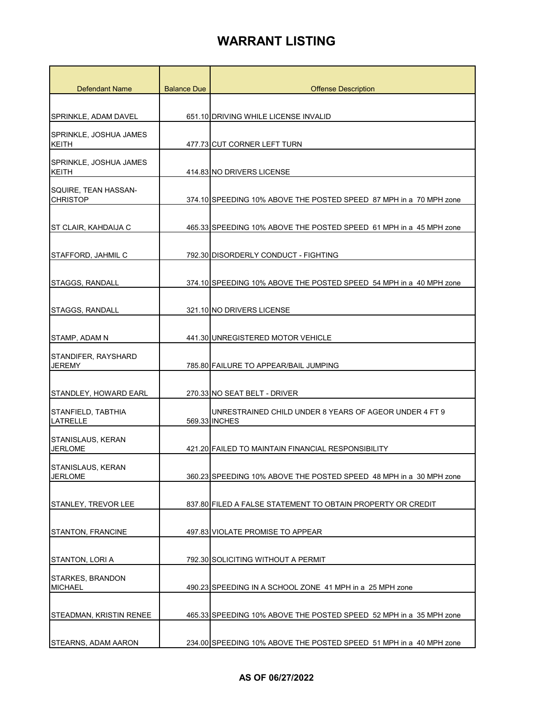| <b>Defendant Name</b>                          | <b>Balance Due</b> | <b>Offense Description</b>                                              |
|------------------------------------------------|--------------------|-------------------------------------------------------------------------|
|                                                |                    |                                                                         |
| SPRINKLE, ADAM DAVEL                           |                    | 651.10 DRIVING WHILE LICENSE INVALID                                    |
| SPRINKLE, JOSHUA JAMES<br>KEITH                |                    | 477.73 CUT CORNER LEFT TURN                                             |
| SPRINKLE, JOSHUA JAMES<br><b>KEITH</b>         |                    | 414,83 NO DRIVERS LICENSE                                               |
| <b>SQUIRE. TEAN HASSAN-</b><br><b>CHRISTOP</b> |                    | 374.10 SPEEDING 10% ABOVE THE POSTED SPEED 87 MPH in a 70 MPH zone      |
| ST CLAIR, KAHDAIJA C                           |                    | 465.33 SPEEDING 10% ABOVE THE POSTED SPEED 61 MPH in a 45 MPH zone      |
| STAFFORD, JAHMIL C                             |                    | 792.30 DISORDERLY CONDUCT - FIGHTING                                    |
| STAGGS, RANDALL                                |                    | 374.10 SPEEDING 10% ABOVE THE POSTED SPEED 54 MPH in a 40 MPH zone      |
| STAGGS, RANDALL                                |                    | 321.10 NO DRIVERS LICENSE                                               |
| STAMP, ADAM N                                  |                    | 441.30 UNREGISTERED MOTOR VEHICLE                                       |
| STANDIFER, RAYSHARD<br><b>JEREMY</b>           |                    | 785.80 FAILURE TO APPEAR/BAIL JUMPING                                   |
| STANDLEY, HOWARD EARL                          |                    | 270.33 NO SEAT BELT - DRIVER                                            |
| STANFIELD, TABTHIA<br>LATRELLE                 |                    | UNRESTRAINED CHILD UNDER 8 YEARS OF AGEOR UNDER 4 FT 9<br>569.33 INCHES |
| STANISLAUS, KERAN<br><b>JERLOME</b>            |                    | 421.20 FAILED TO MAINTAIN FINANCIAL RESPONSIBILITY                      |
| STANISLAUS, KERAN<br><b>JERLOME</b>            |                    | 360.23 SPEEDING 10% ABOVE THE POSTED SPEED 48 MPH in a 30 MPH zone      |
| STANLEY, TREVOR LEE                            |                    | 837.80 FILED A FALSE STATEMENT TO OBTAIN PROPERTY OR CREDIT             |
| <b>STANTON, FRANCINE</b>                       |                    | 497.83 VIOLATE PROMISE TO APPEAR                                        |
| STANTON, LORI A                                |                    | 792.30 SOLICITING WITHOUT A PERMIT                                      |
| STARKES, BRANDON<br><b>MICHAEL</b>             |                    | 490.23 SPEEDING IN A SCHOOL ZONE 41 MPH in a 25 MPH zone                |
| STEADMAN, KRISTIN RENEE                        |                    | 465.33 SPEEDING 10% ABOVE THE POSTED SPEED 52 MPH in a 35 MPH zone      |
| STEARNS, ADAM AARON                            |                    | 234.00 SPEEDING 10% ABOVE THE POSTED SPEED 51 MPH in a 40 MPH zone      |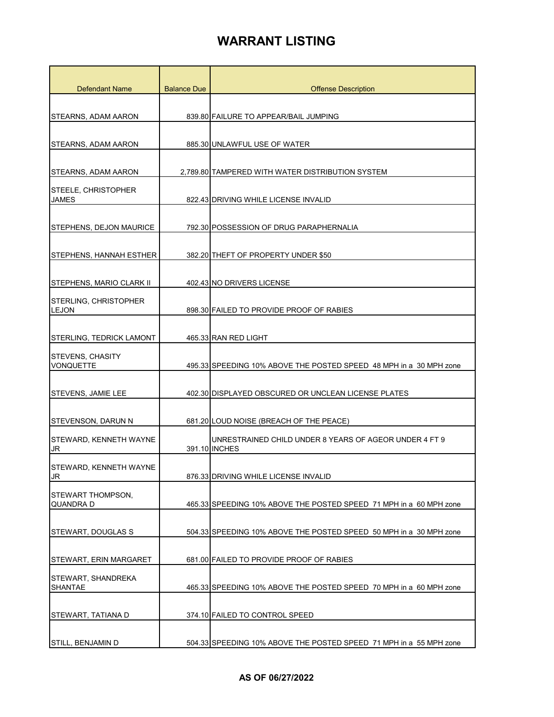| Defendant Name                       | <b>Balance Due</b> | <b>Offense Description</b>                                         |
|--------------------------------------|--------------------|--------------------------------------------------------------------|
|                                      |                    |                                                                    |
| STEARNS, ADAM AARON                  |                    | 839.80 FAILURE TO APPEAR/BAIL JUMPING                              |
|                                      |                    |                                                                    |
| STEARNS, ADAM AARON                  |                    | 885.30 UNLAWFUL USE OF WATER                                       |
| STEARNS, ADAM AARON                  |                    | 2.789.80 TAMPERED WITH WATER DISTRIBUTION SYSTEM                   |
|                                      |                    |                                                                    |
| STEELE, CHRISTOPHER<br><b>JAMES</b>  |                    | 822.43 DRIVING WHILE LICENSE INVALID                               |
|                                      |                    |                                                                    |
| STEPHENS, DEJON MAURICE              |                    | 792.30 POSSESSION OF DRUG PARAPHERNALIA                            |
|                                      |                    |                                                                    |
| <b>STEPHENS, HANNAH ESTHER</b>       |                    | 382.20 THEFT OF PROPERTY UNDER \$50                                |
| STEPHENS, MARIO CLARK II             |                    | 402.43 NO DRIVERS LICENSE                                          |
| STERLING, CHRISTOPHER                |                    |                                                                    |
| LEJON                                |                    | 898.30 FAILED TO PROVIDE PROOF OF RABIES                           |
|                                      |                    |                                                                    |
| STERLING, TEDRICK LAMONT             |                    | 465.33 RAN RED LIGHT                                               |
| STEVENS, CHASITY<br><b>VONQUETTE</b> |                    | 495.33 SPEEDING 10% ABOVE THE POSTED SPEED 48 MPH in a 30 MPH zone |
|                                      |                    |                                                                    |
| STEVENS, JAMIE LEE                   |                    | 402.30 DISPLAYED OBSCURED OR UNCLEAN LICENSE PLATES                |
|                                      |                    |                                                                    |
| STEVENSON, DARUN N                   |                    | 681.20 LOUD NOISE (BREACH OF THE PEACE)                            |
| STEWARD, KENNETH WAYNE               |                    | UNRESTRAINED CHILD UNDER 8 YEARS OF AGEOR UNDER 4 FT 9             |
| <b>JR</b>                            |                    | 391.10 INCHES                                                      |
| <b>STEWARD, KENNETH WAYNE</b><br>IJR |                    | 876.33 DRIVING WHILE LICENSE INVALID                               |
| STEWART THOMPSON,                    |                    |                                                                    |
| IQUANDRA D                           |                    | 465.33 SPEEDING 10% ABOVE THE POSTED SPEED 71 MPH in a 60 MPH zone |
|                                      |                    |                                                                    |
| STEWART, DOUGLAS S                   |                    | 504.33 SPEEDING 10% ABOVE THE POSTED SPEED 50 MPH in a 30 MPH zone |
| STEWART, ERIN MARGARET               |                    | 681.00 FAILED TO PROVIDE PROOF OF RABIES                           |
| STEWART, SHANDREKA                   |                    |                                                                    |
| <b>SHANTAE</b>                       |                    | 465.33 SPEEDING 10% ABOVE THE POSTED SPEED 70 MPH in a 60 MPH zone |
|                                      |                    |                                                                    |
| STEWART, TATIANA D                   |                    | 374.10 FAILED TO CONTROL SPEED                                     |
| STILL, BENJAMIN D                    |                    | 504.33 SPEEDING 10% ABOVE THE POSTED SPEED 71 MPH in a 55 MPH zone |
|                                      |                    |                                                                    |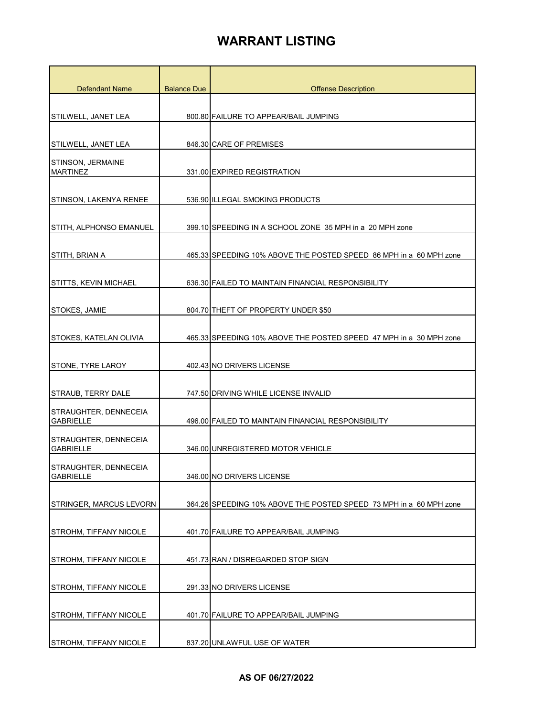| <b>Defendant Name</b>                     | <b>Balance Due</b> | <b>Offense Description</b>                                         |
|-------------------------------------------|--------------------|--------------------------------------------------------------------|
|                                           |                    |                                                                    |
| STILWELL, JANET LEA                       |                    | 800.80 FAILURE TO APPEAR/BAIL JUMPING                              |
| STILWELL, JANET LEA                       |                    | 846.30 CARE OF PREMISES                                            |
| STINSON, JERMAINE                         |                    |                                                                    |
| <b>MARTINEZ</b>                           |                    | 331.00 EXPIRED REGISTRATION                                        |
| STINSON, LAKENYA RENEE                    |                    | 536.90 ILLEGAL SMOKING PRODUCTS                                    |
| STITH, ALPHONSO EMANUEL                   |                    | 399.10 SPEEDING IN A SCHOOL ZONE 35 MPH in a 20 MPH zone           |
| ISTITH, BRIAN A                           |                    | 465.33 SPEEDING 10% ABOVE THE POSTED SPEED 86 MPH in a 60 MPH zone |
| <b>STITTS, KEVIN MICHAEL</b>              |                    | 636.30 FAILED TO MAINTAIN FINANCIAL RESPONSIBILITY                 |
| STOKES, JAMIE                             |                    | 804.70 THEFT OF PROPERTY UNDER \$50                                |
| STOKES, KATELAN OLIVIA                    |                    | 465.33 SPEEDING 10% ABOVE THE POSTED SPEED 47 MPH in a 30 MPH zone |
| STONE, TYRE LAROY                         |                    | 402.43 NO DRIVERS LICENSE                                          |
| STRAUB, TERRY DALE                        |                    | 747.50 DRIVING WHILE LICENSE INVALID                               |
| STRAUGHTER, DENNECEIA<br><b>GABRIELLE</b> |                    | 496.00 FAILED TO MAINTAIN FINANCIAL RESPONSIBILITY                 |
| STRAUGHTER, DENNECEIA<br><b>GABRIELLE</b> |                    | 346.00 UNREGISTERED MOTOR VEHICLE                                  |
| STRAUGHTER, DENNECEIA<br><b>GABRIELLE</b> |                    | 346.00 NO DRIVERS LICENSE                                          |
| STRINGER, MARCUS LEVORN                   |                    | 364.26 SPEEDING 10% ABOVE THE POSTED SPEED 73 MPH in a 60 MPH zone |
| STROHM, TIFFANY NICOLE                    |                    | 401.70 FAILURE TO APPEAR/BAIL JUMPING                              |
| STROHM, TIFFANY NICOLE                    |                    | 451.73 RAN / DISREGARDED STOP SIGN                                 |
| STROHM, TIFFANY NICOLE                    |                    | 291.33 NO DRIVERS LICENSE                                          |
| STROHM, TIFFANY NICOLE                    |                    | 401.70 FAILURE TO APPEAR/BAIL JUMPING                              |
| STROHM, TIFFANY NICOLE                    |                    | 837.20 UNLAWFUL USE OF WATER                                       |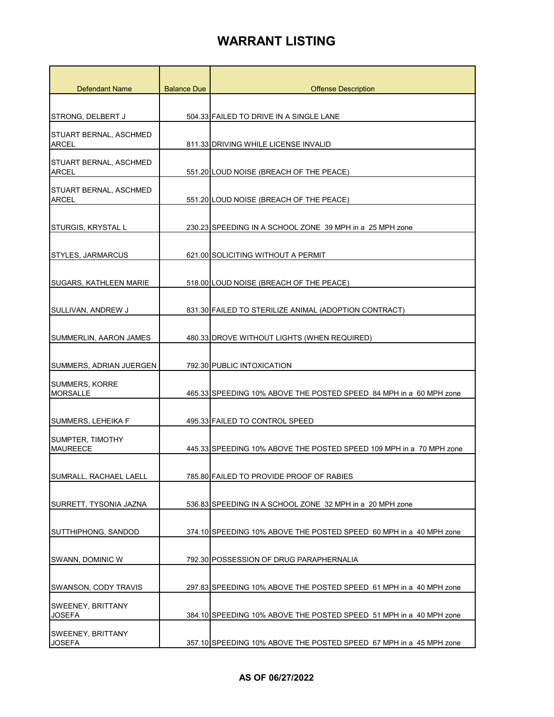| <b>Defendant Name</b>                         | <b>Balance Due</b> | <b>Offense Description</b>                                          |
|-----------------------------------------------|--------------------|---------------------------------------------------------------------|
|                                               |                    |                                                                     |
| STRONG, DELBERT J                             |                    | 504.33 FAILED TO DRIVE IN A SINGLE LANE                             |
| STUART BERNAL, ASCHMED<br><b>ARCEL</b>        |                    | 811.33 DRIVING WHILE LICENSE INVALID                                |
| STUART BERNAL, ASCHMED<br><b>ARCEL</b>        |                    | 551.20 LOUD NOISE (BREACH OF THE PEACE)                             |
| <b>STUART BERNAL, ASCHMED</b><br><b>ARCEL</b> |                    | 551.20 LOUD NOISE (BREACH OF THE PEACE)                             |
| STURGIS, KRYSTAL L                            |                    | 230.23 SPEEDING IN A SCHOOL ZONE 39 MPH in a 25 MPH zone            |
| <b>STYLES, JARMARCUS</b>                      |                    | 621.00 SOLICITING WITHOUT A PERMIT                                  |
| SUGARS, KATHLEEN MARIE                        |                    | 518.00 LOUD NOISE (BREACH OF THE PEACE)                             |
| SULLIVAN, ANDREW J                            |                    | 831.30 FAILED TO STERILIZE ANIMAL (ADOPTION CONTRACT)               |
| SUMMERLIN, AARON JAMES                        |                    | 480.33 DROVE WITHOUT LIGHTS (WHEN REQUIRED)                         |
| SUMMERS, ADRIAN JUERGEN                       |                    | 792.30 PUBLIC INTOXICATION                                          |
| SUMMERS, KORRE<br><b>MORSALLE</b>             |                    | 465.33 SPEEDING 10% ABOVE THE POSTED SPEED 84 MPH in a 60 MPH zone  |
| SUMMERS, LEHEIKA F                            |                    | 495.33 FAILED TO CONTROL SPEED                                      |
| <b>SUMPTER, TIMOTHY</b><br><b>MAUREECE</b>    |                    | 445.33 SPEEDING 10% ABOVE THE POSTED SPEED 109 MPH in a 70 MPH zone |
| SUMRALL, RACHAEL LAELL                        |                    | 785.80 FAILED TO PROVIDE PROOF OF RABIES                            |
| SURRETT, TYSONIA JAZNA                        |                    | 536.83 SPEEDING IN A SCHOOL ZONE 32 MPH in a 20 MPH zone            |
| SUTTHIPHONG, SANDOD                           |                    | 374.10 SPEEDING 10% ABOVE THE POSTED SPEED 60 MPH in a 40 MPH zone  |
| SWANN, DOMINIC W                              |                    | 792.30 POSSESSION OF DRUG PARAPHERNALIA                             |
| SWANSON, CODY TRAVIS                          |                    | 297.83 SPEEDING 10% ABOVE THE POSTED SPEED 61 MPH in a 40 MPH zone  |
| <b>SWEENEY, BRITTANY</b><br>JOSEFA            |                    | 384.10 SPEEDING 10% ABOVE THE POSTED SPEED 51 MPH in a 40 MPH zone  |
| <b>SWEENEY, BRITTANY</b><br><b>JOSEFA</b>     |                    | 357.10 SPEEDING 10% ABOVE THE POSTED SPEED 67 MPH in a 45 MPH zone  |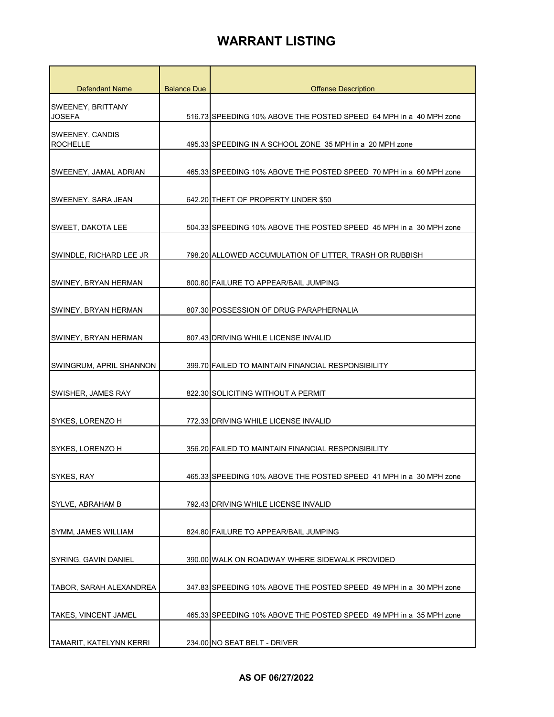| Defendant Name                     | <b>Balance Due</b> | <b>Offense Description</b>                                         |
|------------------------------------|--------------------|--------------------------------------------------------------------|
|                                    |                    |                                                                    |
| SWEENEY, BRITTANY<br><b>JOSEFA</b> |                    | 516.73 SPEEDING 10% ABOVE THE POSTED SPEED 64 MPH in a 40 MPH zone |
| <b>SWEENEY, CANDIS</b>             |                    |                                                                    |
| <b>ROCHELLE</b>                    |                    | 495.33 SPEEDING IN A SCHOOL ZONE 35 MPH in a 20 MPH zone           |
| SWEENEY, JAMAL ADRIAN              |                    | 465.33 SPEEDING 10% ABOVE THE POSTED SPEED 70 MPH in a 60 MPH zone |
| SWEENEY, SARA JEAN                 |                    | 642.20 THEFT OF PROPERTY UNDER \$50                                |
| SWEET, DAKOTA LEE                  |                    | 504.33 SPEEDING 10% ABOVE THE POSTED SPEED 45 MPH in a 30 MPH zone |
| SWINDLE, RICHARD LEE JR            |                    | 798.20 ALLOWED ACCUMULATION OF LITTER, TRASH OR RUBBISH            |
|                                    |                    |                                                                    |
| SWINEY, BRYAN HERMAN               |                    | 800.80 FAILURE TO APPEAR/BAIL JUMPING                              |
| SWINEY, BRYAN HERMAN               |                    | 807.30 POSSESSION OF DRUG PARAPHERNALIA                            |
|                                    |                    |                                                                    |
| SWINEY, BRYAN HERMAN               |                    | 807.43 DRIVING WHILE LICENSE INVALID                               |
| SWINGRUM, APRIL SHANNON            |                    | 399.70 FAILED TO MAINTAIN FINANCIAL RESPONSIBILITY                 |
| SWISHER, JAMES RAY                 |                    | 822.30 SOLICITING WITHOUT A PERMIT                                 |
| SYKES, LORENZO H                   |                    | 772.33 DRIVING WHILE LICENSE INVALID                               |
| SYKES, LORENZO H                   |                    | 356.20 FAILED TO MAINTAIN FINANCIAL RESPONSIBILITY                 |
| SYKES, RAY                         |                    | 465.33 SPEEDING 10% ABOVE THE POSTED SPEED 41 MPH in a 30 MPH zone |
|                                    |                    |                                                                    |
| SYLVE, ABRAHAM B                   |                    | 792.43 DRIVING WHILE LICENSE INVALID                               |
| <b>SYMM, JAMES WILLIAM</b>         |                    | 824.80 FAILURE TO APPEAR/BAIL JUMPING                              |
|                                    |                    |                                                                    |
| SYRING, GAVIN DANIEL               |                    | 390.00 WALK ON ROADWAY WHERE SIDEWALK PROVIDED                     |
| TABOR, SARAH ALEXANDREA            |                    | 347.83 SPEEDING 10% ABOVE THE POSTED SPEED 49 MPH in a 30 MPH zone |
| TAKES, VINCENT JAMEL               |                    | 465.33 SPEEDING 10% ABOVE THE POSTED SPEED 49 MPH in a 35 MPH zone |
| TAMARIT, KATELYNN KERRI            |                    | 234.00 NO SEAT BELT - DRIVER                                       |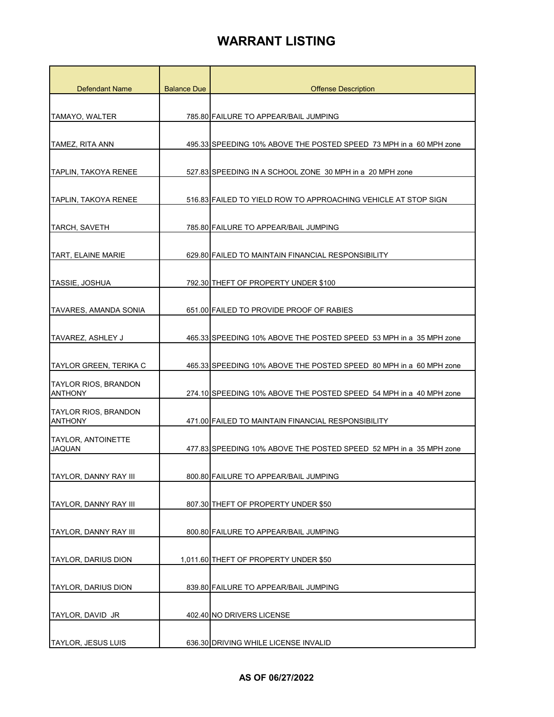| <b>Defendant Name</b>                         | <b>Balance Due</b> | <b>Offense Description</b>                                         |
|-----------------------------------------------|--------------------|--------------------------------------------------------------------|
|                                               |                    |                                                                    |
| TAMAYO, WALTER                                |                    | 785.80 FAILURE TO APPEAR/BAIL JUMPING                              |
| TAMEZ, RITA ANN                               |                    | 495.33 SPEEDING 10% ABOVE THE POSTED SPEED 73 MPH in a 60 MPH zone |
| TAPLIN, TAKOYA RENEE                          |                    | 527.83 SPEEDING IN A SCHOOL ZONE 30 MPH in a 20 MPH zone           |
|                                               |                    |                                                                    |
| TAPLIN, TAKOYA RENEE                          |                    | 516.83 FAILED TO YIELD ROW TO APPROACHING VEHICLE AT STOP SIGN     |
| TARCH, SAVETH                                 |                    | 785.80 FAILURE TO APPEAR/BAIL JUMPING                              |
| TART, ELAINE MARIE                            |                    | 629.80 FAILED TO MAINTAIN FINANCIAL RESPONSIBILITY                 |
| TASSIE, JOSHUA                                |                    | 792.30 THEFT OF PROPERTY UNDER \$100                               |
|                                               |                    |                                                                    |
| TAVARES, AMANDA SONIA                         |                    | 651.00 FAILED TO PROVIDE PROOF OF RABIES                           |
| TAVAREZ, ASHLEY J                             |                    | 465.33 SPEEDING 10% ABOVE THE POSTED SPEED 53 MPH in a 35 MPH zone |
| TAYLOR GREEN, TERIKA C                        |                    | 465.33 SPEEDING 10% ABOVE THE POSTED SPEED 80 MPH in a 60 MPH zone |
| <b>TAYLOR RIOS, BRANDON</b><br><b>ANTHONY</b> |                    | 274.10 SPEEDING 10% ABOVE THE POSTED SPEED 54 MPH in a 40 MPH zone |
| <b>TAYLOR RIOS, BRANDON</b><br><b>ANTHONY</b> |                    | 471.00 FAILED TO MAINTAIN FINANCIAL RESPONSIBILITY                 |
| TAYLOR, ANTOINETTE<br><b>JAQUAN</b>           |                    | 477.83 SPEEDING 10% ABOVE THE POSTED SPEED 52 MPH in a 35 MPH zone |
| TAYLOR, DANNY RAY III                         |                    | 800.80 FAILURE TO APPEAR/BAIL JUMPING                              |
| TAYLOR, DANNY RAY III                         |                    | 807.30 THEFT OF PROPERTY UNDER \$50                                |
| TAYLOR, DANNY RAY III                         |                    | 800.80 FAILURE TO APPEAR/BAIL JUMPING                              |
|                                               |                    |                                                                    |
| TAYLOR, DARIUS DION                           |                    | 1,011.60 THEFT OF PROPERTY UNDER \$50                              |
| <b>TAYLOR, DARIUS DION</b>                    |                    | 839.80 FAILURE TO APPEAR/BAIL JUMPING                              |
| TAYLOR, DAVID JR                              |                    | 402.40 NO DRIVERS LICENSE                                          |
| TAYLOR, JESUS LUIS                            |                    | 636.30 DRIVING WHILE LICENSE INVALID                               |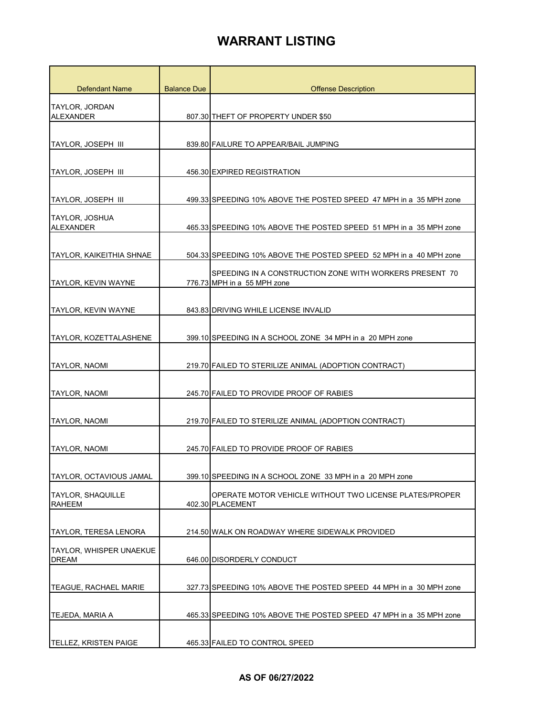| <b>Defendant Name</b>                   | <b>Balance Due</b> | <b>Offense Description</b>                                                             |
|-----------------------------------------|--------------------|----------------------------------------------------------------------------------------|
| TAYLOR, JORDAN<br><b>ALEXANDER</b>      |                    | 807.30 THEFT OF PROPERTY UNDER \$50                                                    |
|                                         |                    |                                                                                        |
| TAYLOR, JOSEPH III                      |                    | 839.80 FAILURE TO APPEAR/BAIL JUMPING                                                  |
|                                         |                    |                                                                                        |
| TAYLOR, JOSEPH III                      |                    | 456.30 EXPIRED REGISTRATION                                                            |
|                                         |                    |                                                                                        |
| <b>TAYLOR, JOSEPH III</b>               |                    | 499.33 SPEEDING 10% ABOVE THE POSTED SPEED 47 MPH in a 35 MPH zone                     |
| <b>TAYLOR, JOSHUA</b>                   |                    |                                                                                        |
| <b>ALEXANDER</b>                        |                    | 465.33 SPEEDING 10% ABOVE THE POSTED SPEED 51 MPH in a 35 MPH zone                     |
|                                         |                    | 504.33 SPEEDING 10% ABOVE THE POSTED SPEED 52 MPH in a 40 MPH zone                     |
| TAYLOR, KAIKEITHIA SHNAE                |                    |                                                                                        |
| <b>TAYLOR, KEVIN WAYNE</b>              |                    | SPEEDING IN A CONSTRUCTION ZONE WITH WORKERS PRESENT 70<br>776.73 MPH in a 55 MPH zone |
|                                         |                    |                                                                                        |
| TAYLOR, KEVIN WAYNE                     |                    | 843.83 DRIVING WHILE LICENSE INVALID                                                   |
|                                         |                    |                                                                                        |
| TAYLOR, KOZETTALASHENE                  |                    | 399.10 SPEEDING IN A SCHOOL ZONE 34 MPH in a 20 MPH zone                               |
|                                         |                    |                                                                                        |
| <b>TAYLOR, NAOMI</b>                    |                    | 219.70 FAILED TO STERILIZE ANIMAL (ADOPTION CONTRACT)                                  |
| TAYLOR, NAOMI                           |                    | 245.70 FAILED TO PROVIDE PROOF OF RABIES                                               |
|                                         |                    |                                                                                        |
| <b>TAYLOR, NAOMI</b>                    |                    | 219.70 FAILED TO STERILIZE ANIMAL (ADOPTION CONTRACT)                                  |
|                                         |                    |                                                                                        |
| <b>TAYLOR, NAOMI</b>                    |                    | 245.70 FAILED TO PROVIDE PROOF OF RABIES                                               |
|                                         |                    |                                                                                        |
| TAYLOR, OCTAVIOUS JAMAL                 |                    | 399.10 SPEEDING IN A SCHOOL ZONE 33 MPH in a 20 MPH zone                               |
| <b>TAYLOR, SHAQUILLE</b>                |                    | OPERATE MOTOR VEHICLE WITHOUT TWO LICENSE PLATES/PROPER                                |
| <b>RAHEEM</b>                           |                    | 402.30 PLACEMENT                                                                       |
| TAYLOR, TERESA LENORA                   |                    | 214.50 WALK ON ROADWAY WHERE SIDEWALK PROVIDED                                         |
|                                         |                    |                                                                                        |
| TAYLOR, WHISPER UNAEKUE<br><b>DREAM</b> |                    | 646.00 DISORDERLY CONDUCT                                                              |
|                                         |                    |                                                                                        |
| TEAGUE, RACHAEL MARIE                   |                    | 327.73 SPEEDING 10% ABOVE THE POSTED SPEED 44 MPH in a 30 MPH zone                     |
|                                         |                    |                                                                                        |
| TEJEDA, MARIA A                         |                    | 465.33 SPEEDING 10% ABOVE THE POSTED SPEED 47 MPH in a 35 MPH zone                     |
|                                         |                    |                                                                                        |
| <b>TELLEZ, KRISTEN PAIGE</b>            |                    | 465.33 FAILED TO CONTROL SPEED                                                         |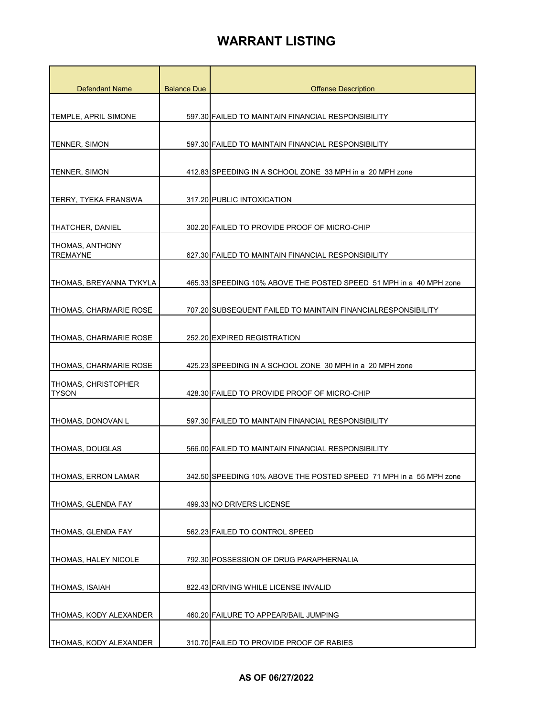| <b>Defendant Name</b>               | <b>Balance Due</b> | <b>Offense Description</b>                                         |
|-------------------------------------|--------------------|--------------------------------------------------------------------|
|                                     |                    |                                                                    |
| TEMPLE, APRIL SIMONE                |                    | 597.30 FAILED TO MAINTAIN FINANCIAL RESPONSIBILITY                 |
| <b>TENNER, SIMON</b>                |                    | 597.30 FAILED TO MAINTAIN FINANCIAL RESPONSIBILITY                 |
|                                     |                    |                                                                    |
| <b>TENNER, SIMON</b>                |                    | 412.83 SPEEDING IN A SCHOOL ZONE 33 MPH in a 20 MPH zone           |
| TERRY, TYEKA FRANSWA                |                    | 317.20 PUBLIC INTOXICATION                                         |
| <b>THATCHER, DANIEL</b>             |                    | 302.20 FAILED TO PROVIDE PROOF OF MICRO-CHIP                       |
| THOMAS, ANTHONY<br><b>TREMAYNE</b>  |                    | 627.30 FAILED TO MAINTAIN FINANCIAL RESPONSIBILITY                 |
| THOMAS, BREYANNA TYKYLA             |                    | 465.33 SPEEDING 10% ABOVE THE POSTED SPEED 51 MPH in a 40 MPH zone |
| THOMAS, CHARMARIE ROSE              |                    | 707.20 SUBSEQUENT FAILED TO MAINTAIN FINANCIALRESPONSIBILITY       |
| THOMAS, CHARMARIE ROSE              |                    | 252.20 EXPIRED REGISTRATION                                        |
| THOMAS, CHARMARIE ROSE              |                    | 425.23 SPEEDING IN A SCHOOL ZONE 30 MPH in a 20 MPH zone           |
| THOMAS, CHRISTOPHER<br><b>TYSON</b> |                    | 428.30 FAILED TO PROVIDE PROOF OF MICRO-CHIP                       |
| THOMAS, DONOVAN L                   |                    | 597.30 FAILED TO MAINTAIN FINANCIAL RESPONSIBILITY                 |
| THOMAS, DOUGLAS                     |                    | 566.00 FAILED TO MAINTAIN FINANCIAL RESPONSIBILITY                 |
| THOMAS, ERRON LAMAR                 |                    | 342.50 SPEEDING 10% ABOVE THE POSTED SPEED 71 MPH in a 55 MPH zone |
| THOMAS, GLENDA FAY                  |                    | 499.33 NO DRIVERS LICENSE                                          |
| THOMAS, GLENDA FAY                  |                    | 562.23 FAILED TO CONTROL SPEED                                     |
| THOMAS, HALEY NICOLE                |                    | 792.30 POSSESSION OF DRUG PARAPHERNALIA                            |
| THOMAS, ISAIAH                      |                    | 822.43 DRIVING WHILE LICENSE INVALID                               |
| THOMAS, KODY ALEXANDER              |                    | 460.20 FAILURE TO APPEAR/BAIL JUMPING                              |
| THOMAS, KODY ALEXANDER              |                    | 310.70 FAILED TO PROVIDE PROOF OF RABIES                           |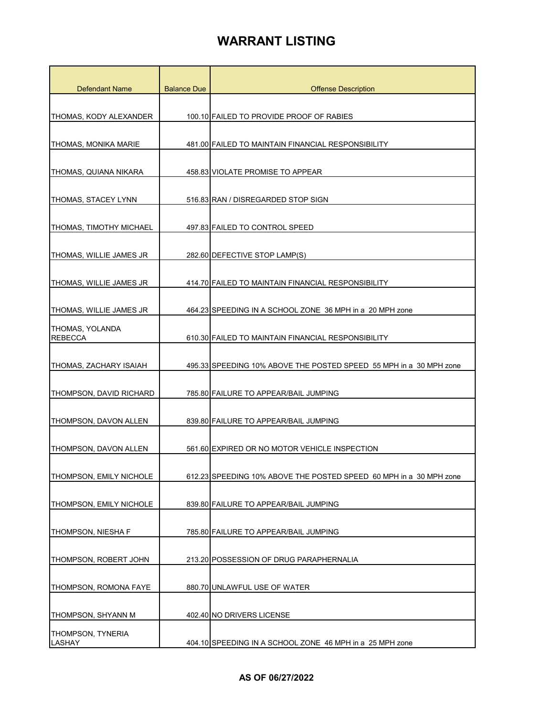| <b>Defendant Name</b>             | <b>Balance Due</b> | <b>Offense Description</b>                                         |
|-----------------------------------|--------------------|--------------------------------------------------------------------|
|                                   |                    |                                                                    |
| THOMAS, KODY ALEXANDER            |                    | 100.10 FAILED TO PROVIDE PROOF OF RABIES                           |
| THOMAS, MONIKA MARIE              |                    | 481.00 FAILED TO MAINTAIN FINANCIAL RESPONSIBILITY                 |
| THOMAS, QUIANA NIKARA             |                    | 458.83 VIOLATE PROMISE TO APPEAR                                   |
| THOMAS, STACEY LYNN               |                    | 516.83 RAN / DISREGARDED STOP SIGN                                 |
| THOMAS, TIMOTHY MICHAEL           |                    | 497.83 FAILED TO CONTROL SPEED                                     |
| THOMAS, WILLIE JAMES JR           |                    | 282.60 DEFECTIVE STOP LAMP(S)                                      |
| THOMAS, WILLIE JAMES JR           |                    | 414.70 FAILED TO MAINTAIN FINANCIAL RESPONSIBILITY                 |
| THOMAS, WILLIE JAMES JR           |                    | 464.23 SPEEDING IN A SCHOOL ZONE 36 MPH in a 20 MPH zone           |
| THOMAS, YOLANDA<br><b>REBECCA</b> |                    | 610.30 FAILED TO MAINTAIN FINANCIAL RESPONSIBILITY                 |
| THOMAS, ZACHARY ISAIAH            |                    | 495.33 SPEEDING 10% ABOVE THE POSTED SPEED 55 MPH in a 30 MPH zone |
| THOMPSON, DAVID RICHARD           |                    | 785.80 FAILURE TO APPEAR/BAIL JUMPING                              |
| THOMPSON, DAVON ALLEN             |                    | 839.80 FAILURE TO APPEAR/BAIL JUMPING                              |
| THOMPSON, DAVON ALLEN             |                    | 561.60 EXPIRED OR NO MOTOR VEHICLE INSPECTION                      |
| THOMPSON, EMILY NICHOLE           |                    | 612.23 SPEEDING 10% ABOVE THE POSTED SPEED 60 MPH in a 30 MPH zone |
| THOMPSON, EMILY NICHOLE           |                    | 839.80 FAILURE TO APPEAR/BAIL JUMPING                              |
| <b>THOMPSON, NIESHA F</b>         |                    | 785.80 FAILURE TO APPEAR/BAIL JUMPING                              |
| THOMPSON, ROBERT JOHN             |                    | 213.20 POSSESSION OF DRUG PARAPHERNALIA                            |
| THOMPSON, ROMONA FAYE             |                    | 880.70 UNLAWFUL USE OF WATER                                       |
| THOMPSON, SHYANN M                |                    | 402.40 NO DRIVERS LICENSE                                          |
| THOMPSON, TYNERIA<br>LASHAY       |                    | 404.10 SPEEDING IN A SCHOOL ZONE 46 MPH in a 25 MPH zone           |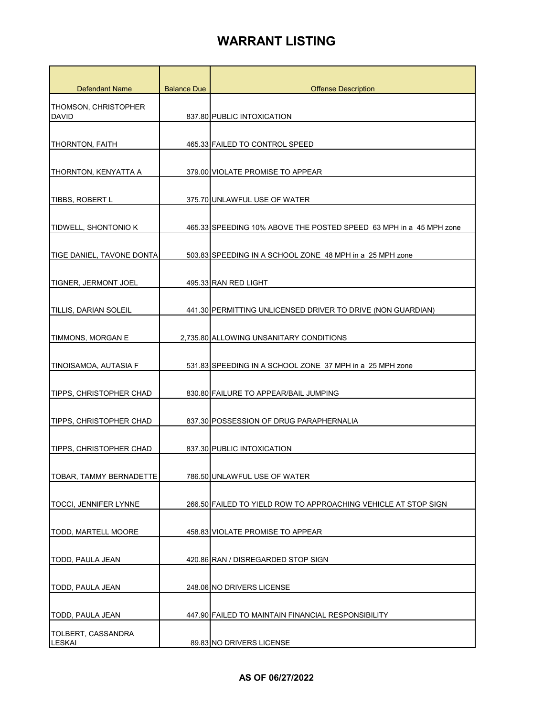| <b>Defendant Name</b>                | <b>Balance Due</b> | <b>Offense Description</b>                                         |
|--------------------------------------|--------------------|--------------------------------------------------------------------|
| THOMSON, CHRISTOPHER<br><b>DAVID</b> |                    | 837.80 PUBLIC INTOXICATION                                         |
|                                      |                    |                                                                    |
| THORNTON, FAITH                      |                    | 465.33 FAILED TO CONTROL SPEED                                     |
| THORNTON, KENYATTA A                 |                    | 379.00 VIOLATE PROMISE TO APPEAR                                   |
| TIBBS, ROBERT L                      |                    | 375.70 UNLAWFUL USE OF WATER                                       |
| TIDWELL, SHONTONIO K                 |                    | 465.33 SPEEDING 10% ABOVE THE POSTED SPEED 63 MPH in a 45 MPH zone |
| TIGE DANIEL, TAVONE DONTA            |                    | 503.83 SPEEDING IN A SCHOOL ZONE 48 MPH in a 25 MPH zone           |
| TIGNER, JERMONT JOEL                 |                    | 495.33 RAN RED LIGHT                                               |
| <b>TILLIS, DARIAN SOLEIL</b>         |                    | 441.30 PERMITTING UNLICENSED DRIVER TO DRIVE (NON GUARDIAN)        |
| TIMMONS, MORGAN E                    |                    | 2,735.80 ALLOWING UNSANITARY CONDITIONS                            |
| TINOISAMOA, AUTASIA F                |                    | 531.83 SPEEDING IN A SCHOOL ZONE 37 MPH in a 25 MPH zone           |
| TIPPS, CHRISTOPHER CHAD              |                    | 830.80 FAILURE TO APPEAR/BAIL JUMPING                              |
| TIPPS, CHRISTOPHER CHAD              |                    | 837.30 POSSESSION OF DRUG PARAPHERNALIA                            |
| ITIPPS. CHRISTOPHER CHAD             |                    | 837.30 PUBLIC INTOXICATION                                         |
| TOBAR, TAMMY BERNADETTE              |                    | 786.50 UNLAWFUL USE OF WATER                                       |
| <b>TOCCI, JENNIFER LYNNE</b>         |                    | 266.50 FAILED TO YIELD ROW TO APPROACHING VEHICLE AT STOP SIGN     |
| TODD, MARTELL MOORE                  |                    | 458.83 VIOLATE PROMISE TO APPEAR                                   |
| TODD, PAULA JEAN                     |                    | 420.86 RAN / DISREGARDED STOP SIGN                                 |
| TODD, PAULA JEAN                     |                    | 248.06 NO DRIVERS LICENSE                                          |
| TODD, PAULA JEAN                     |                    | 447.90 FAILED TO MAINTAIN FINANCIAL RESPONSIBILITY                 |
| TOLBERT, CASSANDRA<br>LESKAI         |                    | 89.83 NO DRIVERS LICENSE                                           |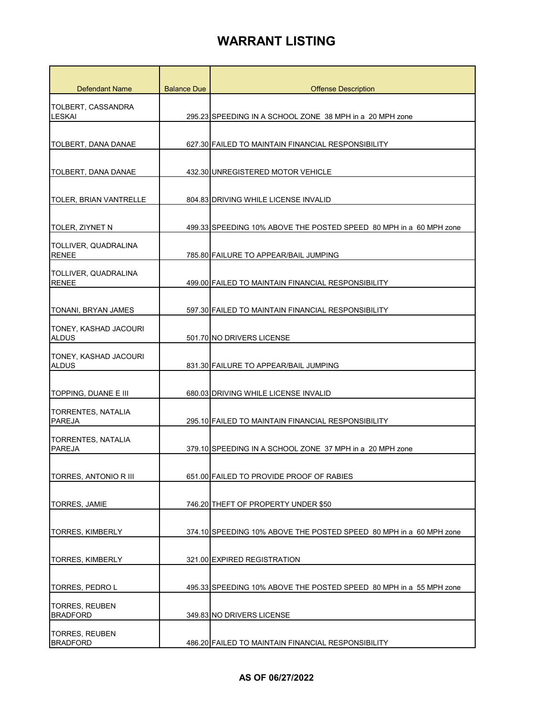| <b>Defendant Name</b>                      | <b>Balance Due</b> | <b>Offense Description</b>                                         |
|--------------------------------------------|--------------------|--------------------------------------------------------------------|
| TOLBERT, CASSANDRA<br>LESKAI               |                    | 295.23 SPEEDING IN A SCHOOL ZONE 38 MPH in a 20 MPH zone           |
| TOLBERT, DANA DANAE                        |                    | 627.30 FAILED TO MAINTAIN FINANCIAL RESPONSIBILITY                 |
| TOLBERT, DANA DANAE                        |                    | 432.30 UNREGISTERED MOTOR VEHICLE                                  |
| <b>TOLER, BRIAN VANTRELLE</b>              |                    | 804.83 DRIVING WHILE LICENSE INVALID                               |
| TOLER, ZIYNET N                            |                    | 499.33 SPEEDING 10% ABOVE THE POSTED SPEED 80 MPH in a 60 MPH zone |
| TOLLIVER, QUADRALINA<br><b>RENEE</b>       |                    | 785.80 FAILURE TO APPEAR/BAIL JUMPING                              |
| TOLLIVER, QUADRALINA<br><b>RENEE</b>       |                    | 499.00 FAILED TO MAINTAIN FINANCIAL RESPONSIBILITY                 |
| TONANI, BRYAN JAMES                        |                    | 597.30 FAILED TO MAINTAIN FINANCIAL RESPONSIBILITY                 |
| TONEY, KASHAD JACOURI<br>ALDUS             |                    | 501.70 NO DRIVERS LICENSE                                          |
| TONEY, KASHAD JACOURI<br><b>ALDUS</b>      |                    | 831.30 FAILURE TO APPEAR/BAIL JUMPING                              |
| TOPPING, DUANE E III                       |                    | 680.03 DRIVING WHILE LICENSE INVALID                               |
| <b>TORRENTES, NATALIA</b><br><b>PAREJA</b> |                    | 295.10 FAILED TO MAINTAIN FINANCIAL RESPONSIBILITY                 |
| TORRENTES, NATALIA<br><b>PAREJA</b>        |                    | 379.10 SPEEDING IN A SCHOOL ZONE 37 MPH in a 20 MPH zone           |
| TORRES, ANTONIO R III                      |                    | 651.00 FAILED TO PROVIDE PROOF OF RABIES                           |
| TORRES, JAMIE                              |                    | 746.20 THEFT OF PROPERTY UNDER \$50                                |
| <b>TORRES, KIMBERLY</b>                    |                    | 374.10 SPEEDING 10% ABOVE THE POSTED SPEED 80 MPH in a 60 MPH zone |
| <b>TORRES, KIMBERLY</b>                    |                    | 321.00 EXPIRED REGISTRATION                                        |
| TORRES, PEDRO L                            |                    | 495.33 SPEEDING 10% ABOVE THE POSTED SPEED 80 MPH in a 55 MPH zone |
| <b>TORRES, REUBEN</b><br><b>BRADFORD</b>   |                    | 349.83 NO DRIVERS LICENSE                                          |
| <b>TORRES, REUBEN</b><br><b>BRADFORD</b>   |                    | 486.20 FAILED TO MAINTAIN FINANCIAL RESPONSIBILITY                 |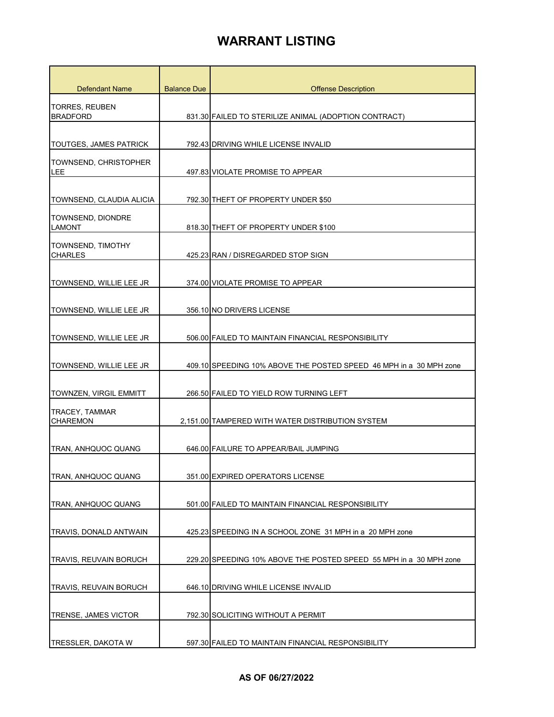| <b>Defendant Name</b>                    | <b>Balance Due</b> | <b>Offense Description</b>                                         |
|------------------------------------------|--------------------|--------------------------------------------------------------------|
| TORRES, REUBEN<br><b>BRADFORD</b>        |                    | 831.30 FAILED TO STERILIZE ANIMAL (ADOPTION CONTRACT)              |
| <b>TOUTGES, JAMES PATRICK</b>            |                    | 792.43 DRIVING WHILE LICENSE INVALID                               |
| TOWNSEND, CHRISTOPHER<br>LEE             |                    | 497.83 VIOLATE PROMISE TO APPEAR                                   |
| TOWNSEND, CLAUDIA ALICIA                 |                    | 792.30 THEFT OF PROPERTY UNDER \$50                                |
| TOWNSEND, DIONDRE<br><b>LAMONT</b>       |                    | 818.30 THEFT OF PROPERTY UNDER \$100                               |
| TOWNSEND, TIMOTHY<br><b>CHARLES</b>      |                    | 425.23 RAN / DISREGARDED STOP SIGN                                 |
| TOWNSEND, WILLIE LEE JR                  |                    | 374.00 VIOLATE PROMISE TO APPEAR                                   |
| TOWNSEND, WILLIE LEE JR                  |                    | 356.10 NO DRIVERS LICENSE                                          |
| TOWNSEND, WILLIE LEE JR                  |                    | 506.00 FAILED TO MAINTAIN FINANCIAL RESPONSIBILITY                 |
| TOWNSEND, WILLIE LEE JR                  |                    | 409.10 SPEEDING 10% ABOVE THE POSTED SPEED 46 MPH in a 30 MPH zone |
| <b>TOWNZEN, VIRGIL EMMITT</b>            |                    | 266.50 FAILED TO YIELD ROW TURNING LEFT                            |
| <b>TRACEY, TAMMAR</b><br><b>CHAREMON</b> |                    | 2,151.00 TAMPERED WITH WATER DISTRIBUTION SYSTEM                   |
| <b>TRAN, ANHQUOC QUANG</b>               |                    | 646.00 FAILURE TO APPEAR/BAIL JUMPING                              |
| TRAN, ANHQUOC QUANG                      |                    | 351.00 EXPIRED OPERATORS LICENSE                                   |
| TRAN, ANHQUOC QUANG                      |                    | 501.00 FAILED TO MAINTAIN FINANCIAL RESPONSIBILITY                 |
| <b>TRAVIS, DONALD ANTWAIN</b>            |                    | 425.23 SPEEDING IN A SCHOOL ZONE 31 MPH in a 20 MPH zone           |
| TRAVIS, REUVAIN BORUCH                   |                    | 229.20 SPEEDING 10% ABOVE THE POSTED SPEED 55 MPH in a 30 MPH zone |
| <b>TRAVIS, REUVAIN BORUCH</b>            |                    | 646.10 DRIVING WHILE LICENSE INVALID                               |
| TRENSE, JAMES VICTOR                     |                    | 792.30 SOLICITING WITHOUT A PERMIT                                 |
| <b>TRESSLER, DAKOTA W</b>                |                    | 597.30 FAILED TO MAINTAIN FINANCIAL RESPONSIBILITY                 |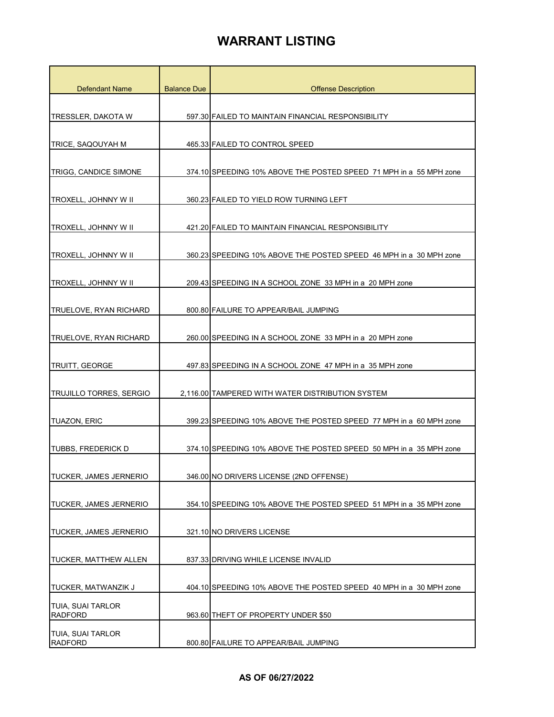| <b>Defendant Name</b>                      | <b>Balance Due</b> | <b>Offense Description</b>                                         |
|--------------------------------------------|--------------------|--------------------------------------------------------------------|
|                                            |                    |                                                                    |
| TRESSLER, DAKOTA W                         |                    | 597.30 FAILED TO MAINTAIN FINANCIAL RESPONSIBILITY                 |
| TRICE, SAQOUYAH M                          |                    | 465.33 FAILED TO CONTROL SPEED                                     |
|                                            |                    |                                                                    |
| TRIGG, CANDICE SIMONE                      |                    | 374.10 SPEEDING 10% ABOVE THE POSTED SPEED 71 MPH in a 55 MPH zone |
| TROXELL, JOHNNY W II                       |                    | 360.23 FAILED TO YIELD ROW TURNING LEFT                            |
| TROXELL, JOHNNY W II                       |                    | 421.20 FAILED TO MAINTAIN FINANCIAL RESPONSIBILITY                 |
| TROXELL, JOHNNY W II                       |                    | 360.23 SPEEDING 10% ABOVE THE POSTED SPEED 46 MPH in a 30 MPH zone |
| TROXELL, JOHNNY W II                       |                    | 209.43 SPEEDING IN A SCHOOL ZONE 33 MPH in a 20 MPH zone           |
| TRUELOVE, RYAN RICHARD                     |                    | 800.80 FAILURE TO APPEAR/BAIL JUMPING                              |
| TRUELOVE, RYAN RICHARD                     |                    | 260.00 SPEEDING IN A SCHOOL ZONE 33 MPH in a 20 MPH zone           |
| TRUITT, GEORGE                             |                    | 497.83 SPEEDING IN A SCHOOL ZONE 47 MPH in a 35 MPH zone           |
| <b>TRUJILLO TORRES, SERGIO</b>             |                    | 2,116.00 TAMPERED WITH WATER DISTRIBUTION SYSTEM                   |
| <b>TUAZON, ERIC</b>                        |                    | 399.23 SPEEDING 10% ABOVE THE POSTED SPEED 77 MPH in a 60 MPH zone |
| TUBBS, FREDERICK D                         |                    | 374.10 SPEEDING 10% ABOVE THE POSTED SPEED 50 MPH in a 35 MPH zone |
| TUCKER, JAMES JERNERIO                     |                    | 346.00 NO DRIVERS LICENSE (2ND OFFENSE)                            |
| TUCKER, JAMES JERNERIO                     |                    | 354.10 SPEEDING 10% ABOVE THE POSTED SPEED 51 MPH in a 35 MPH zone |
| <b>TUCKER, JAMES JERNERIO</b>              |                    | 321.10 NO DRIVERS LICENSE                                          |
| <b>TUCKER, MATTHEW ALLEN</b>               |                    | 837.33 DRIVING WHILE LICENSE INVALID                               |
| TUCKER, MATWANZIK J                        |                    | 404.10 SPEEDING 10% ABOVE THE POSTED SPEED 40 MPH in a 30 MPH zone |
| <b>TUIA, SUAI TARLOR</b><br><b>RADFORD</b> |                    | 963.60 THEFT OF PROPERTY UNDER \$50                                |
| <b>TUIA, SUAI TARLOR</b><br><b>RADFORD</b> |                    | 800.80 FAILURE TO APPEAR/BAIL JUMPING                              |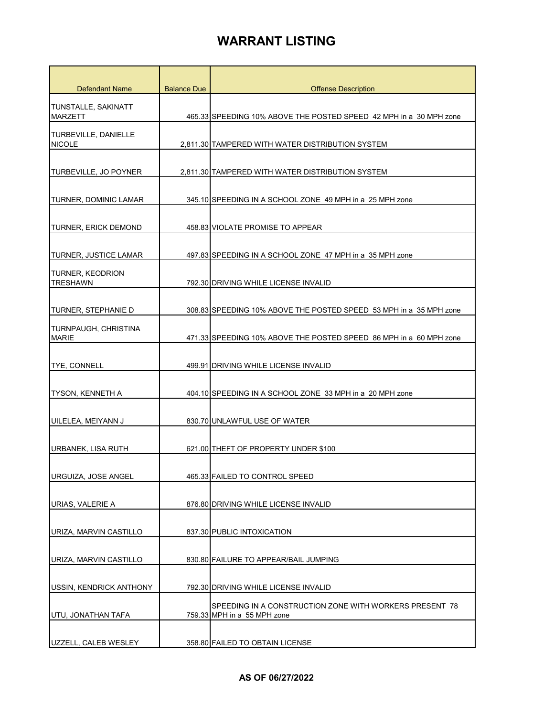| Defendant Name                              | <b>Balance Due</b> | <b>Offense Description</b>                                                             |
|---------------------------------------------|--------------------|----------------------------------------------------------------------------------------|
| TUNSTALLE, SAKINATT<br><b>MARZETT</b>       |                    | 465.33 SPEEDING 10% ABOVE THE POSTED SPEED 42 MPH in a 30 MPH zone                     |
| TURBEVILLE, DANIELLE<br><b>NICOLE</b>       |                    | 2,811.30 TAMPERED WITH WATER DISTRIBUTION SYSTEM                                       |
|                                             |                    |                                                                                        |
| TURBEVILLE, JO POYNER                       |                    | 2,811.30 TAMPERED WITH WATER DISTRIBUTION SYSTEM                                       |
| TURNER, DOMINIC LAMAR                       |                    | 345.10 SPEEDING IN A SCHOOL ZONE 49 MPH in a 25 MPH zone                               |
| <b>TURNER, ERICK DEMOND</b>                 |                    | 458.83 VIOLATE PROMISE TO APPEAR                                                       |
| TURNER, JUSTICE LAMAR                       |                    | 497.83 SPEEDING IN A SCHOOL ZONE 47 MPH in a 35 MPH zone                               |
| <b>TURNER, KEODRION</b><br><b>TRESHAWN</b>  |                    | 792.30 DRIVING WHILE LICENSE INVALID                                                   |
| <b>TURNER, STEPHANIE D</b>                  |                    | 308.83 SPEEDING 10% ABOVE THE POSTED SPEED 53 MPH in a 35 MPH zone                     |
| <b>TURNPAUGH, CHRISTINA</b><br><b>MARIE</b> |                    | 471.33 SPEEDING 10% ABOVE THE POSTED SPEED 86 MPH in a 60 MPH zone                     |
| TYE, CONNELL                                |                    | 499.91 DRIVING WHILE LICENSE INVALID                                                   |
| <b>TYSON, KENNETH A</b>                     |                    | 404.10 SPEEDING IN A SCHOOL ZONE 33 MPH in a 20 MPH zone                               |
| UILELEA, MEIYANN J                          |                    | 830.70 UNLAWFUL USE OF WATER                                                           |
| URBANEK, LISA RUTH                          |                    | 621.00 THEFT OF PROPERTY UNDER \$100                                                   |
| URGUIZA, JOSE ANGEL                         |                    | 465.33 FAILED TO CONTROL SPEED                                                         |
| URIAS, VALERIE A                            |                    | 876.80 DRIVING WHILE LICENSE INVALID                                                   |
| URIZA, MARVIN CASTILLO                      |                    | 837.30 PUBLIC INTOXICATION                                                             |
| URIZA, MARVIN CASTILLO                      |                    | 830.80 FAILURE TO APPEAR/BAIL JUMPING                                                  |
| <b>USSIN, KENDRICK ANTHONY</b>              |                    | 792.30 DRIVING WHILE LICENSE INVALID                                                   |
| UTU, JONATHAN TAFA                          |                    | SPEEDING IN A CONSTRUCTION ZONE WITH WORKERS PRESENT 78<br>759.33 MPH in a 55 MPH zone |
| UZZELL, CALEB WESLEY                        |                    | 358.80 FAILED TO OBTAIN LICENSE                                                        |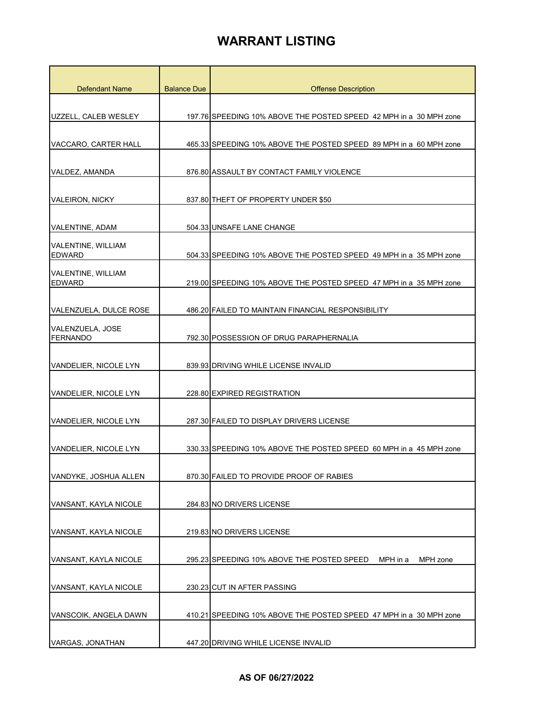| <b>Defendant Name</b>               | <b>Balance Due</b> | <b>Offense Description</b>                                         |
|-------------------------------------|--------------------|--------------------------------------------------------------------|
|                                     |                    |                                                                    |
| UZZELL, CALEB WESLEY                |                    | 197.76 SPEEDING 10% ABOVE THE POSTED SPEED 42 MPH in a 30 MPH zone |
| VACCARO, CARTER HALL                |                    | 465.33 SPEEDING 10% ABOVE THE POSTED SPEED 89 MPH in a 60 MPH zone |
|                                     |                    |                                                                    |
| VALDEZ, AMANDA                      |                    | 876.80 ASSAULT BY CONTACT FAMILY VIOLENCE                          |
| <b>VALEIRON, NICKY</b>              |                    | 837.80 THEFT OF PROPERTY UNDER \$50                                |
| VALENTINE, ADAM                     |                    | 504.33 UNSAFE LANE CHANGE                                          |
| VALENTINE, WILLIAM<br><b>EDWARD</b> |                    | 504.33 SPEEDING 10% ABOVE THE POSTED SPEED 49 MPH in a 35 MPH zone |
| VALENTINE, WILLIAM<br><b>EDWARD</b> |                    | 219.00 SPEEDING 10% ABOVE THE POSTED SPEED 47 MPH in a 35 MPH zone |
| VALENZUELA, DULCE ROSE              |                    | 486.20 FAILED TO MAINTAIN FINANCIAL RESPONSIBILITY                 |
| VALENZUELA, JOSE<br><b>FERNANDO</b> |                    | 792.30 POSSESSION OF DRUG PARAPHERNALIA                            |
| VANDELIER, NICOLE LYN               |                    | 839.93 DRIVING WHILE LICENSE INVALID                               |
| VANDELIER, NICOLE LYN               |                    | 228.80 EXPIRED REGISTRATION                                        |
| VANDELIER, NICOLE LYN               |                    | 287.30 FAILED TO DISPLAY DRIVERS LICENSE                           |
| <b>VANDELIER, NICOLE LYN</b>        |                    | 330.33 SPEEDING 10% ABOVE THE POSTED SPEED 60 MPH in a 45 MPH zone |
| VANDYKE, JOSHUA ALLEN               |                    | 870.30 FAILED TO PROVIDE PROOF OF RABIES                           |
| VANSANT, KAYLA NICOLE               |                    | 284.83 NO DRIVERS LICENSE                                          |
| VANSANT, KAYLA NICOLE               |                    | 219.83 NO DRIVERS LICENSE                                          |
| VANSANT, KAYLA NICOLE               |                    | 295.23 SPEEDING 10% ABOVE THE POSTED SPEED<br>MPH zone<br>MPH in a |
| VANSANT, KAYLA NICOLE               |                    | 230.23 CUT IN AFTER PASSING                                        |
| VANSCOIK, ANGELA DAWN               |                    | 410.21 SPEEDING 10% ABOVE THE POSTED SPEED 47 MPH in a 30 MPH zone |
| VARGAS, JONATHAN                    |                    | 447.20 DRIVING WHILE LICENSE INVALID                               |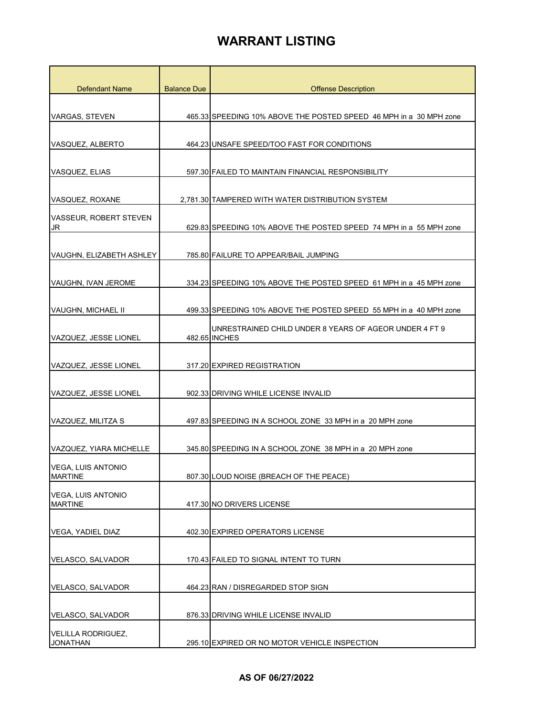| <b>Defendant Name</b>                       | <b>Balance Due</b> | <b>Offense Description</b>                                         |
|---------------------------------------------|--------------------|--------------------------------------------------------------------|
|                                             |                    |                                                                    |
| <b>VARGAS, STEVEN</b>                       |                    | 465.33 SPEEDING 10% ABOVE THE POSTED SPEED 46 MPH in a 30 MPH zone |
|                                             |                    |                                                                    |
| VASQUEZ, ALBERTO                            |                    | 464.23 UNSAFE SPEED/TOO FAST FOR CONDITIONS                        |
| VASQUEZ, ELIAS                              |                    | 597.30 FAILED TO MAINTAIN FINANCIAL RESPONSIBILITY                 |
|                                             |                    |                                                                    |
| VASQUEZ, ROXANE                             |                    | 2,781.30 TAMPERED WITH WATER DISTRIBUTION SYSTEM                   |
| VASSEUR, ROBERT STEVEN<br>JR                |                    | 629.83 SPEEDING 10% ABOVE THE POSTED SPEED 74 MPH in a 55 MPH zone |
|                                             |                    |                                                                    |
| VAUGHN, ELIZABETH ASHLEY                    |                    | 785.80 FAILURE TO APPEAR/BAIL JUMPING                              |
|                                             |                    |                                                                    |
| VAUGHN, IVAN JEROME                         |                    | 334.23 SPEEDING 10% ABOVE THE POSTED SPEED 61 MPH in a 45 MPH zone |
| <b>VAUGHN, MICHAEL II</b>                   |                    | 499.33 SPEEDING 10% ABOVE THE POSTED SPEED 55 MPH in a 40 MPH zone |
|                                             |                    | UNRESTRAINED CHILD UNDER 8 YEARS OF AGEOR UNDER 4 FT 9             |
| VAZQUEZ, JESSE LIONEL                       |                    | 482.65 INCHES                                                      |
|                                             |                    |                                                                    |
| VAZQUEZ, JESSE LIONEL                       |                    | 317.20 EXPIRED REGISTRATION                                        |
| VAZQUEZ, JESSE LIONEL                       |                    | 902.33 DRIVING WHILE LICENSE INVALID                               |
|                                             |                    |                                                                    |
| VAZQUEZ, MILITZA S                          |                    | 497.83 SPEEDING IN A SCHOOL ZONE 33 MPH in a 20 MPH zone           |
| VAZQUEZ, YIARA MICHELLE                     |                    | 345.80 SPEEDING IN A SCHOOL ZONE 38 MPH in a 20 MPH zone           |
|                                             |                    |                                                                    |
| <b>VEGA, LUIS ANTONIO</b><br><b>MARTINE</b> |                    | 807.30 LOUD NOISE (BREACH OF THE PEACE)                            |
| <b>VEGA, LUIS ANTONIO</b>                   |                    |                                                                    |
| <b>MARTINE</b>                              |                    | 417.30 NO DRIVERS LICENSE                                          |
| VEGA, YADIEL DIAZ                           |                    | 402.30 EXPIRED OPERATORS LICENSE                                   |
|                                             |                    |                                                                    |
| VELASCO, SALVADOR                           |                    | 170.43 FAILED TO SIGNAL INTENT TO TURN                             |
|                                             |                    |                                                                    |
| <b>VELASCO, SALVADOR</b>                    |                    | 464.23 RAN / DISREGARDED STOP SIGN                                 |
| VELASCO, SALVADOR                           |                    | 876.33 DRIVING WHILE LICENSE INVALID                               |
| VELILLA RODRIGUEZ,                          |                    |                                                                    |
| <b>JONATHAN</b>                             |                    | 295.10 EXPIRED OR NO MOTOR VEHICLE INSPECTION                      |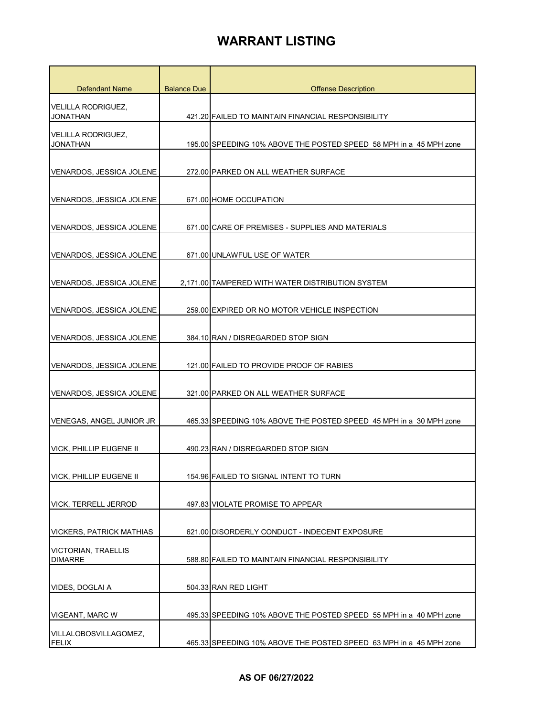| Defendant Name                               | <b>Balance Due</b> | <b>Offense Description</b>                                         |
|----------------------------------------------|--------------------|--------------------------------------------------------------------|
| VELILLA RODRIGUEZ,<br><b>JONATHAN</b>        |                    | 421.20 FAILED TO MAINTAIN FINANCIAL RESPONSIBILITY                 |
| VELILLA RODRIGUEZ,<br><b>JONATHAN</b>        |                    | 195.00 SPEEDING 10% ABOVE THE POSTED SPEED 58 MPH in a 45 MPH zone |
| VENARDOS, JESSICA JOLENE                     |                    | 272.00 PARKED ON ALL WEATHER SURFACE                               |
| VENARDOS, JESSICA JOLENE                     |                    | 671.00 HOME OCCUPATION                                             |
| VENARDOS, JESSICA JOLENE                     |                    | 671.00 CARE OF PREMISES - SUPPLIES AND MATERIALS                   |
| <b>VENARDOS, JESSICA JOLENE</b>              |                    | 671.00 UNLAWFUL USE OF WATER                                       |
| VENARDOS, JESSICA JOLENE                     |                    | 2,171.00 TAMPERED WITH WATER DISTRIBUTION SYSTEM                   |
| VENARDOS, JESSICA JOLENE                     |                    | 259.00 EXPIRED OR NO MOTOR VEHICLE INSPECTION                      |
| VENARDOS, JESSICA JOLENE                     |                    | 384.10 RAN / DISREGARDED STOP SIGN                                 |
| VENARDOS, JESSICA JOLENE                     |                    | 121.00 FAILED TO PROVIDE PROOF OF RABIES                           |
| VENARDOS, JESSICA JOLENE                     |                    | 321.00 PARKED ON ALL WEATHER SURFACE                               |
| VENEGAS, ANGEL JUNIOR JR                     |                    | 465.33 SPEEDING 10% ABOVE THE POSTED SPEED 45 MPH in a 30 MPH zone |
| VICK, PHILLIP EUGENE II                      |                    | 490.23 RAN / DISREGARDED STOP SIGN                                 |
| <b>VICK, PHILLIP EUGENE II</b>               |                    | 154.96 FAILED TO SIGNAL INTENT TO TURN                             |
| <b>VICK, TERRELL JERROD</b>                  |                    | 497.83 VIOLATE PROMISE TO APPEAR                                   |
| <b>VICKERS, PATRICK MATHIAS</b>              |                    | 621.00 DISORDERLY CONDUCT - INDECENT EXPOSURE                      |
| <b>VICTORIAN, TRAELLIS</b><br><b>DIMARRE</b> |                    | 588.80 FAILED TO MAINTAIN FINANCIAL RESPONSIBILITY                 |
| VIDES, DOGLAI A                              |                    | 504.33 RAN RED LIGHT                                               |
| <b>VIGEANT, MARC W</b>                       |                    | 495.33 SPEEDING 10% ABOVE THE POSTED SPEED 55 MPH in a 40 MPH zone |
| VILLALOBOSVILLAGOMEZ,<br><b>FELIX</b>        |                    | 465.33 SPEEDING 10% ABOVE THE POSTED SPEED 63 MPH in a 45 MPH zone |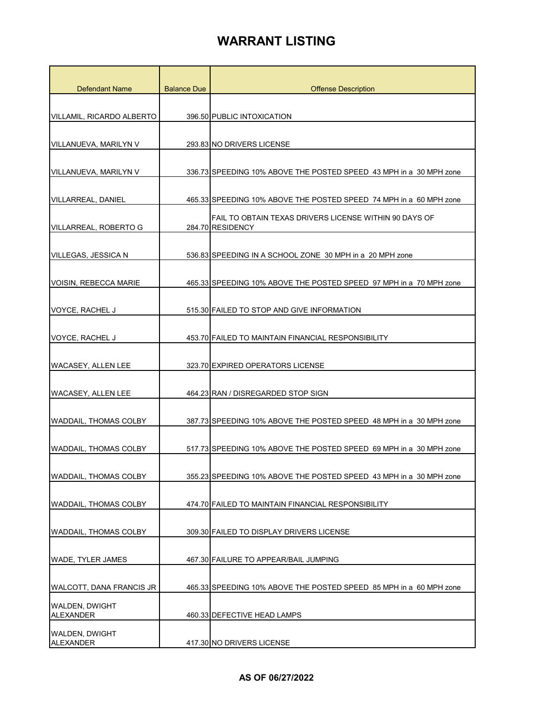| <b>Defendant Name</b>              | <b>Balance Due</b> | <b>Offense Description</b>                                                 |
|------------------------------------|--------------------|----------------------------------------------------------------------------|
|                                    |                    |                                                                            |
| VILLAMIL, RICARDO ALBERTO          |                    | 396.50 PUBLIC INTOXICATION                                                 |
| VILLANUEVA, MARILYN V              |                    | 293.83 NO DRIVERS LICENSE                                                  |
|                                    |                    |                                                                            |
| VILLANUEVA, MARILYN V              |                    | 336.73 SPEEDING 10% ABOVE THE POSTED SPEED 43 MPH in a 30 MPH zone         |
| VILLARREAL, DANIEL                 |                    | 465.33 SPEEDING 10% ABOVE THE POSTED SPEED 74 MPH in a 60 MPH zone         |
| VILLARREAL, ROBERTO G              |                    | FAIL TO OBTAIN TEXAS DRIVERS LICENSE WITHIN 90 DAYS OF<br>284.70 RESIDENCY |
| <b>VILLEGAS, JESSICA N</b>         |                    | 536.83 SPEEDING IN A SCHOOL ZONE 30 MPH in a 20 MPH zone                   |
| VOISIN, REBECCA MARIE              |                    | 465.33 SPEEDING 10% ABOVE THE POSTED SPEED 97 MPH in a 70 MPH zone         |
| <b>VOYCE, RACHEL J</b>             |                    | 515.30 FAILED TO STOP AND GIVE INFORMATION                                 |
| VOYCE, RACHEL J                    |                    | 453.70 FAILED TO MAINTAIN FINANCIAL RESPONSIBILITY                         |
| <b>WACASEY, ALLEN LEE</b>          |                    | 323.70 EXPIRED OPERATORS LICENSE                                           |
| <b>WACASEY, ALLEN LEE</b>          |                    | 464.23 RAN / DISREGARDED STOP SIGN                                         |
| WADDAIL. THOMAS COLBY              |                    | 387.73 SPEEDING 10% ABOVE THE POSTED SPEED 48 MPH in a 30 MPH zone         |
| WADDAIL, THOMAS COLBY              |                    | 517.73 SPEEDING 10% ABOVE THE POSTED SPEED 69 MPH in a 30 MPH zone         |
| WADDAIL, THOMAS COLBY              |                    | 355.23 SPEEDING 10% ABOVE THE POSTED SPEED 43 MPH in a 30 MPH zone         |
| <b>WADDAIL, THOMAS COLBY</b>       |                    | 474.70 FAILED TO MAINTAIN FINANCIAL RESPONSIBILITY                         |
| WADDAIL, THOMAS COLBY              |                    | 309.30 FAILED TO DISPLAY DRIVERS LICENSE                                   |
| <b>WADE, TYLER JAMES</b>           |                    | 467.30 FAILURE TO APPEAR/BAIL JUMPING                                      |
| WALCOTT, DANA FRANCIS JR           |                    | 465.33 SPEEDING 10% ABOVE THE POSTED SPEED 85 MPH in a 60 MPH zone         |
| WALDEN, DWIGHT<br><b>ALEXANDER</b> |                    | 460.33 DEFECTIVE HEAD LAMPS                                                |
| WALDEN, DWIGHT<br><b>ALEXANDER</b> |                    | 417.30 NO DRIVERS LICENSE                                                  |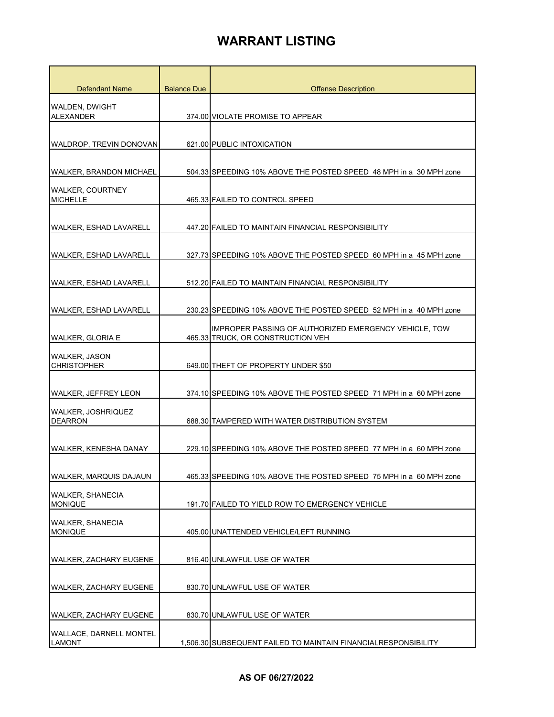| <b>Defendant Name</b>                           | <b>Balance Due</b> | <b>Offense Description</b>                                                                 |
|-------------------------------------------------|--------------------|--------------------------------------------------------------------------------------------|
| WALDEN, DWIGHT<br><b>ALEXANDER</b>              |                    | 374.00 VIOLATE PROMISE TO APPEAR                                                           |
| WALDROP, TREVIN DONOVAN                         |                    | 621.00 PUBLIC INTOXICATION                                                                 |
| <b>WALKER, BRANDON MICHAEL</b>                  |                    | 504.33 SPEEDING 10% ABOVE THE POSTED SPEED 48 MPH in a 30 MPH zone                         |
| <b>WALKER, COURTNEY</b><br><b>MICHELLE</b>      |                    | 465.33 FAILED TO CONTROL SPEED                                                             |
| <b>WALKER, ESHAD LAVARELL</b>                   |                    | 447.20 FAILED TO MAINTAIN FINANCIAL RESPONSIBILITY                                         |
| WALKER, ESHAD LAVARELL                          |                    | 327.73 SPEEDING 10% ABOVE THE POSTED SPEED 60 MPH in a 45 MPH zone                         |
| WALKER, ESHAD LAVARELL                          |                    | 512.20 FAILED TO MAINTAIN FINANCIAL RESPONSIBILITY                                         |
| WALKER, ESHAD LAVARELL                          |                    | 230.23 SPEEDING 10% ABOVE THE POSTED SPEED 52 MPH in a 40 MPH zone                         |
| <b>WALKER, GLORIA E</b>                         |                    | IMPROPER PASSING OF AUTHORIZED EMERGENCY VEHICLE, TOW<br>465.33 TRUCK, OR CONSTRUCTION VEH |
| <b>WALKER, JASON</b><br><b>CHRISTOPHER</b>      |                    | 649.00 THEFT OF PROPERTY UNDER \$50                                                        |
| <b>WALKER, JEFFREY LEON</b>                     |                    | 374.10 SPEEDING 10% ABOVE THE POSTED SPEED 71 MPH in a 60 MPH zone                         |
| <b>WALKER, JOSHRIQUEZ</b><br><b>DEARRON</b>     |                    | 688.30 TAMPERED WITH WATER DISTRIBUTION SYSTEM                                             |
| WALKER, KENESHA DANAY                           |                    | 229.10 SPEEDING 10% ABOVE THE POSTED SPEED 77 MPH in a 60 MPH zone                         |
| WALKER, MARQUIS DAJAUN                          |                    | 465.33 SPEEDING 10% ABOVE THE POSTED SPEED 75 MPH in a  60 MPH zone                        |
| <b>WALKER, SHANECIA</b><br><b>MONIQUE</b>       |                    | 191.70 FAILED TO YIELD ROW TO EMERGENCY VEHICLE                                            |
| <b>WALKER, SHANECIA</b><br><b>MONIQUE</b>       |                    | 405.00 UNATTENDED VEHICLE/LEFT RUNNING                                                     |
| <b>WALKER, ZACHARY EUGENE</b>                   |                    | 816.40 UNLAWFUL USE OF WATER                                                               |
| <b>WALKER, ZACHARY EUGENE</b>                   |                    | 830.70 UNLAWFUL USE OF WATER                                                               |
| <b>WALKER, ZACHARY EUGENE</b>                   |                    | 830.70 UNLAWFUL USE OF WATER                                                               |
| <b>WALLACE, DARNELL MONTEL</b><br><b>LAMONT</b> |                    | 1,506.30 SUBSEQUENT FAILED TO MAINTAIN FINANCIALRESPONSIBILITY                             |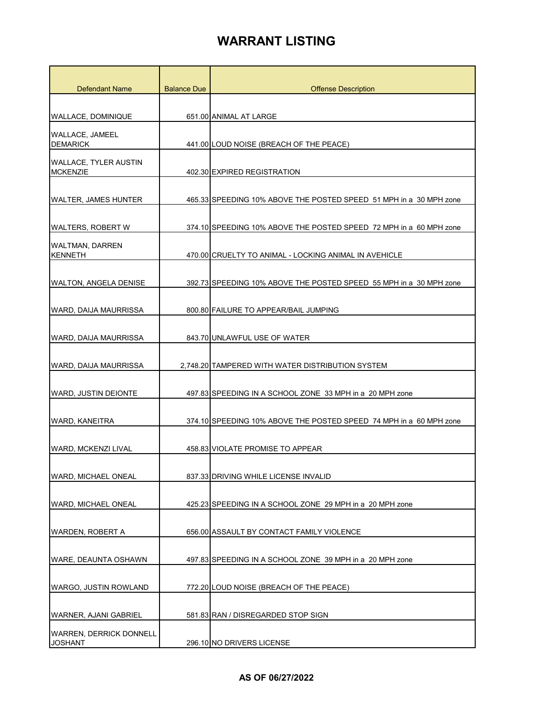| <b>Defendant Name</b>                            | <b>Balance Due</b> | <b>Offense Description</b>                                         |
|--------------------------------------------------|--------------------|--------------------------------------------------------------------|
|                                                  |                    |                                                                    |
| <b>WALLACE, DOMINIQUE</b>                        |                    | 651.00 ANIMAL AT LARGE                                             |
| WALLACE, JAMEEL<br><b>DEMARICK</b>               |                    | 441.00 LOUD NOISE (BREACH OF THE PEACE)                            |
| <b>WALLACE, TYLER AUSTIN</b><br><b>MCKENZIE</b>  |                    | 402.30 EXPIRED REGISTRATION                                        |
| <b>WALTER, JAMES HUNTER</b>                      |                    | 465.33 SPEEDING 10% ABOVE THE POSTED SPEED 51 MPH in a 30 MPH zone |
| <b>WALTERS, ROBERT W</b>                         |                    | 374.10 SPEEDING 10% ABOVE THE POSTED SPEED 72 MPH in a 60 MPH zone |
| <b>WALTMAN, DARREN</b><br><b>KENNETH</b>         |                    | 470.00 CRUELTY TO ANIMAL - LOCKING ANIMAL IN AVEHICLE              |
| <b>WALTON, ANGELA DENISE</b>                     |                    | 392.73 SPEEDING 10% ABOVE THE POSTED SPEED 55 MPH in a 30 MPH zone |
| WARD, DAIJA MAURRISSA                            |                    | 800.80 FAILURE TO APPEAR/BAIL JUMPING                              |
| WARD, DAIJA MAURRISSA                            |                    | 843.70 UNLAWFUL USE OF WATER                                       |
| WARD, DAIJA MAURRISSA                            |                    | 2.748.20 TAMPERED WITH WATER DISTRIBUTION SYSTEM                   |
| <b>WARD, JUSTIN DEIONTE</b>                      |                    | 497.83 SPEEDING IN A SCHOOL ZONE 33 MPH in a 20 MPH zone           |
| <b>WARD, KANEITRA</b>                            |                    | 374.10 SPEEDING 10% ABOVE THE POSTED SPEED 74 MPH in a 60 MPH zone |
| <b>WARD, MCKENZI LIVAL</b>                       |                    | 458.83 VIOLATE PROMISE TO APPEAR                                   |
| WARD, MICHAEL ONEAL                              |                    | 837.33 DRIVING WHILE LICENSE INVALID                               |
| WARD, MICHAEL ONEAL                              |                    | 425.23 SPEEDING IN A SCHOOL ZONE 29 MPH in a 20 MPH zone           |
| <b>WARDEN, ROBERT A</b>                          |                    | 656.00 ASSAULT BY CONTACT FAMILY VIOLENCE                          |
| WARE, DEAUNTA OSHAWN                             |                    | 497.83 SPEEDING IN A SCHOOL ZONE 39 MPH in a 20 MPH zone           |
| WARGO, JUSTIN ROWLAND                            |                    | 772.20 LOUD NOISE (BREACH OF THE PEACE)                            |
| WARNER, AJANI GABRIEL                            |                    | 581.83 RAN / DISREGARDED STOP SIGN                                 |
| <b>WARREN, DERRICK DONNELL</b><br><b>JOSHANT</b> |                    | 296.10 NO DRIVERS LICENSE                                          |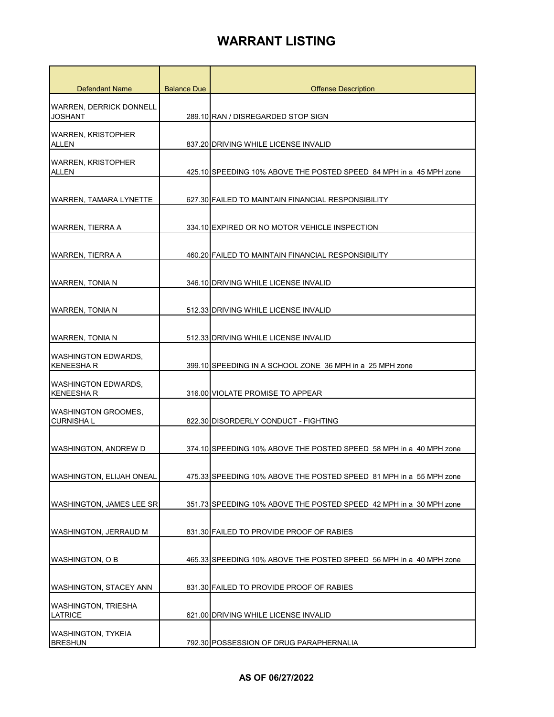| Defendant Name                                   | <b>Balance Due</b> | <b>Offense Description</b>                                         |
|--------------------------------------------------|--------------------|--------------------------------------------------------------------|
| <b>WARREN, DERRICK DONNELL</b><br><b>JOSHANT</b> |                    | 289.10 RAN / DISREGARDED STOP SIGN                                 |
| <b>WARREN, KRISTOPHER</b><br>ALLEN               |                    | 837.20 DRIVING WHILE LICENSE INVALID                               |
| <b>WARREN, KRISTOPHER</b><br>ALLEN               |                    | 425.10 SPEEDING 10% ABOVE THE POSTED SPEED 84 MPH in a 45 MPH zone |
| WARREN, TAMARA LYNETTE                           |                    | 627.30 FAILED TO MAINTAIN FINANCIAL RESPONSIBILITY                 |
| WARREN, TIERRA A                                 |                    | 334.10 EXPIRED OR NO MOTOR VEHICLE INSPECTION                      |
| <b>WARREN, TIERRA A</b>                          |                    | 460.20 FAILED TO MAINTAIN FINANCIAL RESPONSIBILITY                 |
| <b>WARREN, TONIA N</b>                           |                    | 346.10 DRIVING WHILE LICENSE INVALID                               |
| <b>WARREN, TONIA N</b>                           |                    | 512.33 DRIVING WHILE LICENSE INVALID                               |
| <b>WARREN, TONIA N</b>                           |                    | 512.33 DRIVING WHILE LICENSE INVALID                               |
| WASHINGTON EDWARDS,<br><b>KENEESHA R</b>         |                    | 399.10 SPEEDING IN A SCHOOL ZONE 36 MPH in a 25 MPH zone           |
| WASHINGTON EDWARDS,<br><b>KENEESHAR</b>          |                    | 316.00 VIOLATE PROMISE TO APPEAR                                   |
| <b>WASHINGTON GROOMES,</b><br><b>CURNISHA L</b>  |                    | 822.30 DISORDERLY CONDUCT - FIGHTING                               |
| <b>WASHINGTON, ANDREW D</b>                      |                    | 374.10 SPEEDING 10% ABOVE THE POSTED SPEED 58 MPH in a 40 MPH zone |
| WASHINGTON, ELIJAH ONEAL                         |                    | 475.33 SPEEDING 10% ABOVE THE POSTED SPEED 81 MPH in a 55 MPH zone |
| <b>WASHINGTON, JAMES LEE SR</b>                  |                    | 351.73 SPEEDING 10% ABOVE THE POSTED SPEED 42 MPH in a 30 MPH zone |
| <b>WASHINGTON, JERRAUD M</b>                     |                    | 831.30 FAILED TO PROVIDE PROOF OF RABIES                           |
| WASHINGTON, O B                                  |                    | 465.33 SPEEDING 10% ABOVE THE POSTED SPEED 56 MPH in a 40 MPH zone |
| <b>WASHINGTON, STACEY ANN</b>                    |                    | 831.30 FAILED TO PROVIDE PROOF OF RABIES                           |
| <b>WASHINGTON, TRIESHA</b><br>LATRICE            |                    | 621.00 DRIVING WHILE LICENSE INVALID                               |
| <b>WASHINGTON, TYKEIA</b><br><b>BRESHUN</b>      |                    | 792.30 POSSESSION OF DRUG PARAPHERNALIA                            |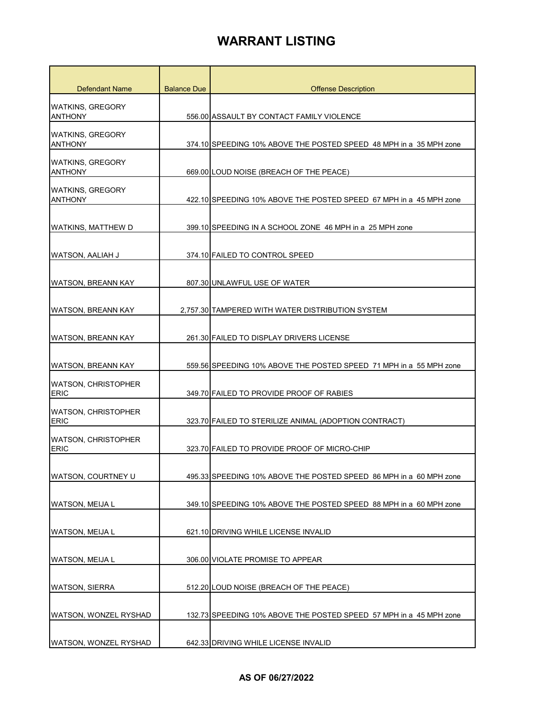| Defendant Name                            | <b>Balance Due</b> | <b>Offense Description</b>                                          |
|-------------------------------------------|--------------------|---------------------------------------------------------------------|
| <b>WATKINS, GREGORY</b><br><b>ANTHONY</b> |                    | 556.00 ASSAULT BY CONTACT FAMILY VIOLENCE                           |
| <b>WATKINS, GREGORY</b><br><b>ANTHONY</b> |                    | 374.10 SPEEDING 10% ABOVE THE POSTED SPEED 48 MPH in a 35 MPH zone  |
| <b>WATKINS, GREGORY</b><br><b>ANTHONY</b> |                    | 669.00 LOUD NOISE (BREACH OF THE PEACE)                             |
| <b>WATKINS, GREGORY</b><br><b>ANTHONY</b> |                    | 422.10 SPEEDING 10% ABOVE THE POSTED SPEED 67 MPH in a 45 MPH zone  |
| WATKINS, MATTHEW D                        |                    | 399.10 SPEEDING IN A SCHOOL ZONE 46 MPH in a 25 MPH zone            |
| WATSON, AALIAH J                          |                    | 374.10 FAILED TO CONTROL SPEED                                      |
| WATSON, BREANN KAY                        |                    | 807.30 UNLAWFUL USE OF WATER                                        |
| <b>WATSON, BREANN KAY</b>                 |                    | 2.757.30 TAMPERED WITH WATER DISTRIBUTION SYSTEM                    |
| WATSON, BREANN KAY                        |                    | 261.30 FAILED TO DISPLAY DRIVERS LICENSE                            |
| <b>WATSON, BREANN KAY</b>                 |                    | 559.56 SPEEDING 10% ABOVE THE POSTED SPEED 71 MPH in a 55 MPH zone  |
| <b>WATSON, CHRISTOPHER</b><br><b>ERIC</b> |                    | 349.70 FAILED TO PROVIDE PROOF OF RABIES                            |
| <b>WATSON, CHRISTOPHER</b><br><b>ERIC</b> |                    | 323.70 FAILED TO STERILIZE ANIMAL (ADOPTION CONTRACT)               |
| <b>WATSON, CHRISTOPHER</b><br><b>ERIC</b> |                    | 323.70 FAILED TO PROVIDE PROOF OF MICRO-CHIP                        |
| WATSON, COURTNEY U                        |                    | 495.33 SPEEDING 10% ABOVE THE POSTED SPEED 86 MPH in a  60 MPH zone |
| WATSON, MEIJA L                           |                    | 349.10 SPEEDING 10% ABOVE THE POSTED SPEED 88 MPH in a 60 MPH zone  |
| WATSON, MEIJA L                           |                    | 621.10 DRIVING WHILE LICENSE INVALID                                |
| WATSON, MEIJA L                           |                    | 306.00 VIOLATE PROMISE TO APPEAR                                    |
| <b>WATSON, SIERRA</b>                     |                    | 512.20 LOUD NOISE (BREACH OF THE PEACE)                             |
| WATSON, WONZEL RYSHAD                     |                    | 132.73 SPEEDING 10% ABOVE THE POSTED SPEED 57 MPH in a 45 MPH zone  |
| WATSON, WONZEL RYSHAD                     |                    | 642.33 DRIVING WHILE LICENSE INVALID                                |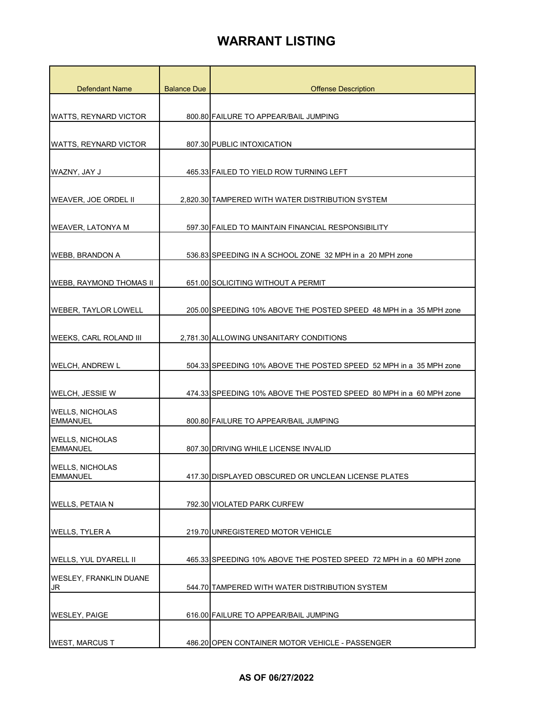| <b>Defendant Name</b>                     | <b>Balance Due</b> | <b>Offense Description</b>                                         |
|-------------------------------------------|--------------------|--------------------------------------------------------------------|
|                                           |                    |                                                                    |
| WATTS, REYNARD VICTOR                     |                    | 800.80 FAILURE TO APPEAR/BAIL JUMPING                              |
| <b>WATTS, REYNARD VICTOR</b>              |                    | 807.30 PUBLIC INTOXICATION                                         |
|                                           |                    |                                                                    |
| WAZNY, JAY J                              |                    | 465.33 FAILED TO YIELD ROW TURNING LEFT                            |
| WEAVER, JOE ORDEL II                      |                    | 2,820.30 TAMPERED WITH WATER DISTRIBUTION SYSTEM                   |
| WEAVER, LATONYA M                         |                    | 597.30 FAILED TO MAINTAIN FINANCIAL RESPONSIBILITY                 |
| <b>WEBB, BRANDON A</b>                    |                    | 536.83 SPEEDING IN A SCHOOL ZONE 32 MPH in a 20 MPH zone           |
| <b>IWEBB. RAYMOND THOMAS II</b>           |                    | 651.00 SOLICITING WITHOUT A PERMIT                                 |
| <b>WEBER, TAYLOR LOWELL</b>               |                    | 205.00 SPEEDING 10% ABOVE THE POSTED SPEED 48 MPH in a 35 MPH zone |
| WEEKS, CARL ROLAND III                    |                    | 2,781.30 ALLOWING UNSANITARY CONDITIONS                            |
| <b>WELCH, ANDREW L</b>                    |                    | 504.33 SPEEDING 10% ABOVE THE POSTED SPEED 52 MPH in a 35 MPH zone |
| WELCH, JESSIE W                           |                    | 474.33 SPEEDING 10% ABOVE THE POSTED SPEED 80 MPH in a 60 MPH zone |
| <b>WELLS, NICHOLAS</b><br><b>EMMANUEL</b> |                    | 800.80 FAILURE TO APPEAR/BAIL JUMPING                              |
| <b>WELLS, NICHOLAS</b><br><b>EMMANUEL</b> |                    | 807.30 DRIVING WHILE LICENSE INVALID                               |
| <b>WELLS, NICHOLAS</b><br><b>EMMANUEL</b> |                    | 417.30 DISPLAYED OBSCURED OR UNCLEAN LICENSE PLATES                |
| <b>WELLS, PETAIA N</b>                    |                    | 792.30 VIOLATED PARK CURFEW                                        |
| <b>WELLS, TYLER A</b>                     |                    | 219.70 UNREGISTERED MOTOR VEHICLE                                  |
| WELLS, YUL DYARELL II                     |                    | 465.33 SPEEDING 10% ABOVE THE POSTED SPEED 72 MPH in a 60 MPH zone |
| <b>WESLEY, FRANKLIN DUANE</b><br>JR       |                    | 544.70 TAMPERED WITH WATER DISTRIBUTION SYSTEM                     |
| <b>WESLEY, PAIGE</b>                      |                    | 616.00 FAILURE TO APPEAR/BAIL JUMPING                              |
| <b>WEST, MARCUS T</b>                     |                    | 486.20 OPEN CONTAINER MOTOR VEHICLE - PASSENGER                    |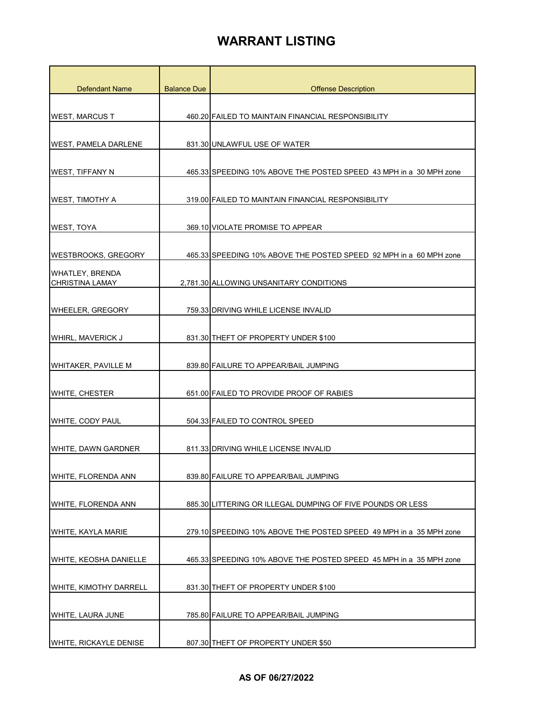| <b>Defendant Name</b><br><b>Balance Due</b><br><b>Offense Description</b><br><b>WEST, MARCUS T</b><br>460.20 FAILED TO MAINTAIN FINANCIAL RESPONSIBILITY |  |
|----------------------------------------------------------------------------------------------------------------------------------------------------------|--|
|                                                                                                                                                          |  |
|                                                                                                                                                          |  |
|                                                                                                                                                          |  |
| <b>WEST, PAMELA DARLENE</b><br>831.30 UNLAWFUL USE OF WATER                                                                                              |  |
| 465.33 SPEEDING 10% ABOVE THE POSTED SPEED 43 MPH in a 30 MPH zone<br><b>WEST, TIFFANY N</b>                                                             |  |
|                                                                                                                                                          |  |
| <b>WEST, TIMOTHY A</b><br>319.00 FAILED TO MAINTAIN FINANCIAL RESPONSIBILITY                                                                             |  |
|                                                                                                                                                          |  |
| 369.10 VIOLATE PROMISE TO APPEAR<br>WEST, TOYA                                                                                                           |  |
| 465.33 SPEEDING 10% ABOVE THE POSTED SPEED 92 MPH in a 60 MPH zone<br><b>WESTBROOKS, GREGORY</b>                                                         |  |
| <b>WHATLEY, BRENDA</b>                                                                                                                                   |  |
| <b>CHRISTINA LAMAY</b><br>2,781.30 ALLOWING UNSANITARY CONDITIONS                                                                                        |  |
|                                                                                                                                                          |  |
| <b>WHEELER, GREGORY</b><br>759.33 DRIVING WHILE LICENSE INVALID                                                                                          |  |
| WHIRL, MAVERICK J<br>831.30 THEFT OF PROPERTY UNDER \$100                                                                                                |  |
|                                                                                                                                                          |  |
| <b>WHITAKER, PAVILLE M</b><br>839.80 FAILURE TO APPEAR/BAIL JUMPING                                                                                      |  |
|                                                                                                                                                          |  |
| 651.00 FAILED TO PROVIDE PROOF OF RABIES<br><b>WHITE, CHESTER</b>                                                                                        |  |
| WHITE, CODY PAUL<br>504.33 FAILED TO CONTROL SPEED                                                                                                       |  |
|                                                                                                                                                          |  |
| <b>WHITE, DAWN GARDNER</b><br>811.33 DRIVING WHILE LICENSE INVALID                                                                                       |  |
| WHITE, FLORENDA ANN                                                                                                                                      |  |
| 839.80 FAILURE TO APPEAR/BAIL JUMPING                                                                                                                    |  |
| 885.30 LITTERING OR ILLEGAL DUMPING OF FIVE POUNDS OR LESS<br><b>WHITE, FLORENDA ANN</b>                                                                 |  |
|                                                                                                                                                          |  |
| 279.10 SPEEDING 10% ABOVE THE POSTED SPEED 49 MPH in a 35 MPH zone<br>WHITE, KAYLA MARIE                                                                 |  |
| WHITE, KEOSHA DANIELLE<br>465.33 SPEEDING 10% ABOVE THE POSTED SPEED 45 MPH in a 35 MPH zone                                                             |  |
|                                                                                                                                                          |  |
| <b>WHITE, KIMOTHY DARRELL</b><br>831.30 THEFT OF PROPERTY UNDER \$100                                                                                    |  |
|                                                                                                                                                          |  |
| WHITE, LAURA JUNE<br>785.80 FAILURE TO APPEAR/BAIL JUMPING                                                                                               |  |
| WHITE, RICKAYLE DENISE<br>807.30 THEFT OF PROPERTY UNDER \$50                                                                                            |  |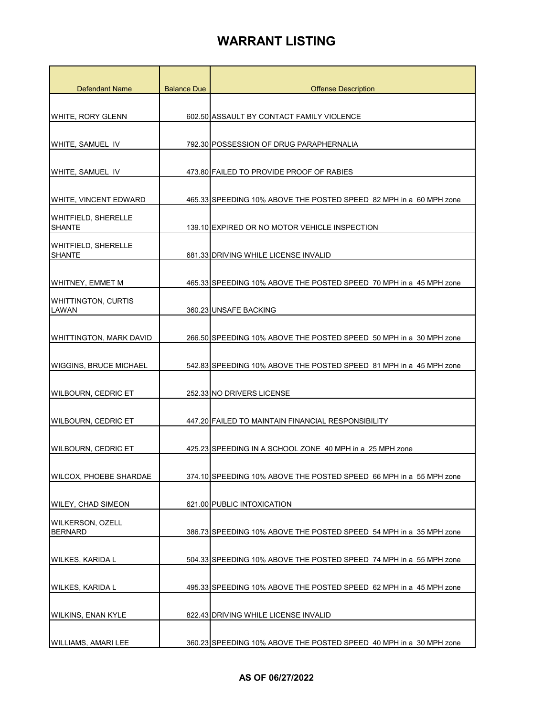| <b>Defendant Name</b>                     | <b>Balance Due</b> | <b>Offense Description</b>                                         |
|-------------------------------------------|--------------------|--------------------------------------------------------------------|
|                                           |                    |                                                                    |
| WHITE, RORY GLENN                         |                    | 602.50 ASSAULT BY CONTACT FAMILY VIOLENCE                          |
| WHITE, SAMUEL IV                          |                    | 792.30 POSSESSION OF DRUG PARAPHERNALIA                            |
|                                           |                    |                                                                    |
| WHITE, SAMUEL IV                          |                    | 473.80 FAILED TO PROVIDE PROOF OF RABIES                           |
| WHITE, VINCENT EDWARD                     |                    | 465.33 SPEEDING 10% ABOVE THE POSTED SPEED 82 MPH in a 60 MPH zone |
| WHITFIELD, SHERELLE<br><b>SHANTE</b>      |                    | 139.10 EXPIRED OR NO MOTOR VEHICLE INSPECTION                      |
| WHITFIELD, SHERELLE<br><b>SHANTE</b>      |                    | 681.33 DRIVING WHILE LICENSE INVALID                               |
| WHITNEY, EMMET M                          |                    | 465.33 SPEEDING 10% ABOVE THE POSTED SPEED 70 MPH in a 45 MPH zone |
| <b>WHITTINGTON, CURTIS</b><br>LAWAN       |                    | 360.23 UNSAFE BACKING                                              |
| <b>WHITTINGTON, MARK DAVID</b>            |                    | 266.50 SPEEDING 10% ABOVE THE POSTED SPEED 50 MPH in a 30 MPH zone |
| <b>WIGGINS, BRUCE MICHAEL</b>             |                    | 542.83 SPEEDING 10% ABOVE THE POSTED SPEED 81 MPH in a 45 MPH zone |
| WILBOURN, CEDRIC ET                       |                    | 252.33 NO DRIVERS LICENSE                                          |
| <b>WILBOURN, CEDRIC ET</b>                |                    | 447.20 FAILED TO MAINTAIN FINANCIAL RESPONSIBILITY                 |
| <b>WILBOURN, CEDRIC ET</b>                |                    | 425.23 SPEEDING IN A SCHOOL ZONE 40 MPH in a 25 MPH zone           |
| <b>WILCOX, PHOEBE SHARDAE</b>             |                    | 374.10 SPEEDING 10% ABOVE THE POSTED SPEED 66 MPH in a 55 MPH zone |
| <b>WILEY, CHAD SIMEON</b>                 |                    | 621.00 PUBLIC INTOXICATION                                         |
| <b>WILKERSON, OZELL</b><br><b>BERNARD</b> |                    | 386.73 SPEEDING 10% ABOVE THE POSTED SPEED 54 MPH in a 35 MPH zone |
| <b>WILKES, KARIDA L</b>                   |                    | 504.33 SPEEDING 10% ABOVE THE POSTED SPEED 74 MPH in a 55 MPH zone |
| <b>WILKES, KARIDA L</b>                   |                    | 495.33 SPEEDING 10% ABOVE THE POSTED SPEED 62 MPH in a 45 MPH zone |
| <b>WILKINS, ENAN KYLE</b>                 |                    | 822.43 DRIVING WHILE LICENSE INVALID                               |
| WILLIAMS, AMARI LEE                       |                    | 360.23 SPEEDING 10% ABOVE THE POSTED SPEED 40 MPH in a 30 MPH zone |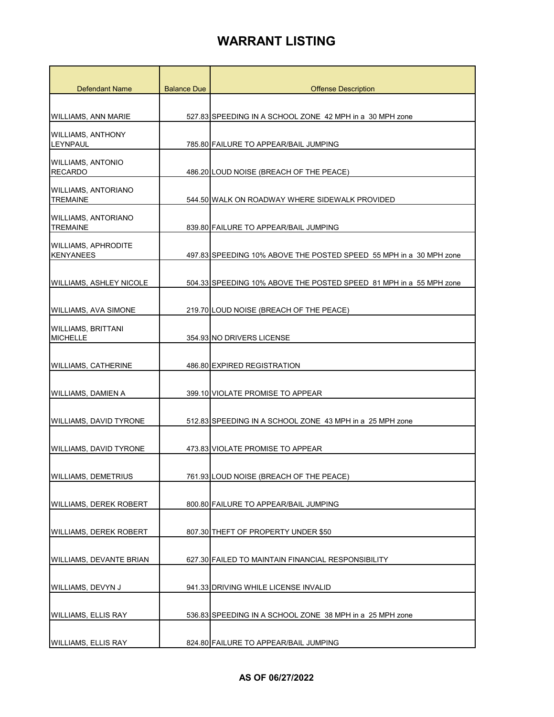| <b>Defendant Name</b>                          | <b>Balance Due</b> | <b>Offense Description</b>                                         |
|------------------------------------------------|--------------------|--------------------------------------------------------------------|
|                                                |                    |                                                                    |
| <b>WILLIAMS, ANN MARIE</b>                     |                    | 527.83 SPEEDING IN A SCHOOL ZONE 42 MPH in a 30 MPH zone           |
| <b>WILLIAMS, ANTHONY</b><br>LEYNPAUL           |                    | 785.80 FAILURE TO APPEAR/BAIL JUMPING                              |
| <b>WILLIAMS, ANTONIO</b><br><b>RECARDO</b>     |                    | 486.20 LOUD NOISE (BREACH OF THE PEACE)                            |
| WILLIAMS, ANTORIANO<br><b>TREMAINE</b>         |                    | 544.50 WALK ON ROADWAY WHERE SIDEWALK PROVIDED                     |
| <b>WILLIAMS, ANTORIANO</b><br><b>TREMAINE</b>  |                    | 839.80 FAILURE TO APPEAR/BAIL JUMPING                              |
| <b>WILLIAMS, APHRODITE</b><br><b>KENYANEES</b> |                    | 497.83 SPEEDING 10% ABOVE THE POSTED SPEED 55 MPH in a 30 MPH zone |
| <b>WILLIAMS, ASHLEY NICOLE</b>                 |                    | 504.33 SPEEDING 10% ABOVE THE POSTED SPEED 81 MPH in a 55 MPH zone |
| <b>WILLIAMS, AVA SIMONE</b>                    |                    | 219.70 LOUD NOISE (BREACH OF THE PEACE)                            |
| <b>WILLIAMS, BRITTANI</b><br><b>MICHELLE</b>   |                    | 354.93 NO DRIVERS LICENSE                                          |
| <b>WILLIAMS, CATHERINE</b>                     |                    | 486.80 EXPIRED REGISTRATION                                        |
| WILLIAMS, DAMIEN A                             |                    | 399.10 VIOLATE PROMISE TO APPEAR                                   |
| <b>WILLIAMS, DAVID TYRONE</b>                  |                    | 512.83 SPEEDING IN A SCHOOL ZONE 43 MPH in a 25 MPH zone           |
| <b>WILLIAMS, DAVID TYRONE</b>                  |                    | 473.83 VIOLATE PROMISE TO APPEAR                                   |
| WILLIAMS, DEMETRIUS                            |                    | 761.93 LOUD NOISE (BREACH OF THE PEACE)                            |
| <b>WILLIAMS, DEREK ROBERT</b>                  |                    | 800.80 FAILURE TO APPEAR/BAIL JUMPING                              |
| <b>WILLIAMS, DEREK ROBERT</b>                  |                    | 807.30 THEFT OF PROPERTY UNDER \$50                                |
| <b>WILLIAMS, DEVANTE BRIAN</b>                 |                    | 627.30 FAILED TO MAINTAIN FINANCIAL RESPONSIBILITY                 |
| WILLIAMS, DEVYN J                              |                    | 941.33 DRIVING WHILE LICENSE INVALID                               |
| <b>WILLIAMS, ELLIS RAY</b>                     |                    | 536.83 SPEEDING IN A SCHOOL ZONE 38 MPH in a 25 MPH zone           |
| <b>WILLIAMS, ELLIS RAY</b>                     |                    | 824.80 FAILURE TO APPEAR/BAIL JUMPING                              |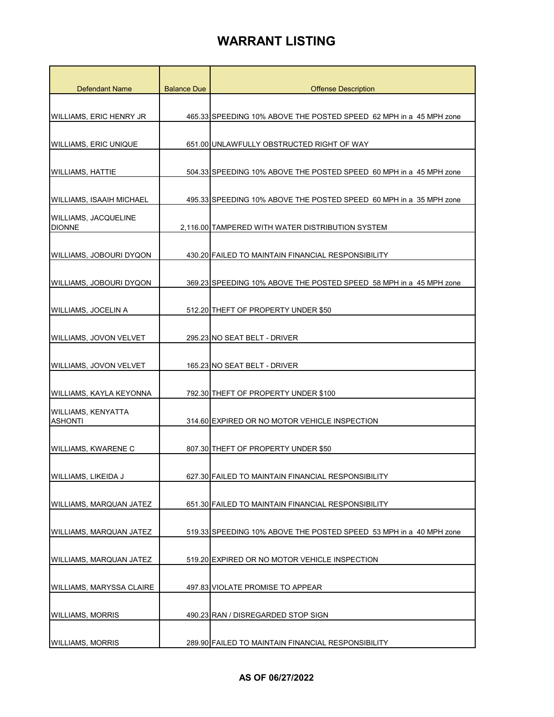| <b>Defendant Name</b>                        | <b>Balance Due</b> | <b>Offense Description</b>                                         |
|----------------------------------------------|--------------------|--------------------------------------------------------------------|
|                                              |                    |                                                                    |
| WILLIAMS, ERIC HENRY JR                      |                    | 465.33 SPEEDING 10% ABOVE THE POSTED SPEED 62 MPH in a 45 MPH zone |
|                                              |                    |                                                                    |
| <b>WILLIAMS, ERIC UNIQUE</b>                 |                    | 651.00 UNLAWFULLY OBSTRUCTED RIGHT OF WAY                          |
|                                              |                    |                                                                    |
| <b>WILLIAMS, HATTIE</b>                      |                    | 504.33 SPEEDING 10% ABOVE THE POSTED SPEED 60 MPH in a 45 MPH zone |
| <b>WILLIAMS, ISAAIH MICHAEL</b>              |                    | 495.33 SPEEDING 10% ABOVE THE POSTED SPEED 60 MPH in a 35 MPH zone |
|                                              |                    |                                                                    |
| <b>WILLIAMS, JACQUELINE</b><br><b>DIONNE</b> |                    | 2,116.00 TAMPERED WITH WATER DISTRIBUTION SYSTEM                   |
|                                              |                    |                                                                    |
| WILLIAMS, JOBOURI DYQON                      |                    | 430.20 FAILED TO MAINTAIN FINANCIAL RESPONSIBILITY                 |
|                                              |                    |                                                                    |
| WILLIAMS, JOBOURI DYQON                      |                    | 369.23 SPEEDING 10% ABOVE THE POSTED SPEED 58 MPH in a 45 MPH zone |
|                                              |                    |                                                                    |
| <b>WILLIAMS, JOCELIN A</b>                   |                    | 512.20 THEFT OF PROPERTY UNDER \$50                                |
| WILLIAMS, JOVON VELVET                       |                    | 295.23 NO SEAT BELT - DRIVER                                       |
|                                              |                    |                                                                    |
| WILLIAMS, JOVON VELVET                       |                    | 165.23 NO SEAT BELT - DRIVER                                       |
|                                              |                    |                                                                    |
| WILLIAMS, KAYLA KEYONNA                      |                    | 792.30 THEFT OF PROPERTY UNDER \$100                               |
| WILLIAMS, KENYATTA                           |                    |                                                                    |
| <b>ASHONTI</b>                               |                    | 314.60 EXPIRED OR NO MOTOR VEHICLE INSPECTION                      |
| WILLIAMS, KWARENE C                          |                    | 807.30 THEFT OF PROPERTY UNDER \$50                                |
|                                              |                    |                                                                    |
| WILLIAMS, LIKEIDA J                          |                    | 627.30 FAILED TO MAINTAIN FINANCIAL RESPONSIBILITY                 |
|                                              |                    |                                                                    |
| WILLIAMS, MARQUAN JATEZ                      |                    | 651.30 FAILED TO MAINTAIN FINANCIAL RESPONSIBILITY                 |
|                                              |                    |                                                                    |
| WILLIAMS, MARQUAN JATEZ                      |                    | 519.33 SPEEDING 10% ABOVE THE POSTED SPEED 53 MPH in a 40 MPH zone |
|                                              |                    |                                                                    |
| WILLIAMS, MARQUAN JATEZ                      |                    | 519.20 EXPIRED OR NO MOTOR VEHICLE INSPECTION                      |
| <b>WILLIAMS, MARYSSA CLAIRE</b>              |                    | 497.83 VIOLATE PROMISE TO APPEAR                                   |
|                                              |                    |                                                                    |
| <b>WILLIAMS, MORRIS</b>                      |                    | 490.23 RAN / DISREGARDED STOP SIGN                                 |
|                                              |                    |                                                                    |
| <b>WILLIAMS, MORRIS</b>                      |                    | 289.90 FAILED TO MAINTAIN FINANCIAL RESPONSIBILITY                 |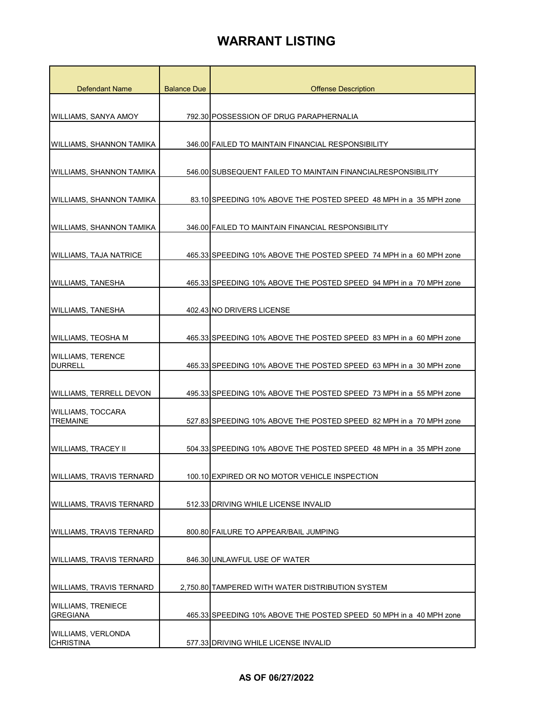| <b>Defendant Name</b>                      | <b>Balance Due</b> | <b>Offense Description</b>                                         |
|--------------------------------------------|--------------------|--------------------------------------------------------------------|
|                                            |                    |                                                                    |
| WILLIAMS, SANYA AMOY                       |                    | 792.30 POSSESSION OF DRUG PARAPHERNALIA                            |
|                                            |                    |                                                                    |
| WILLIAMS, SHANNON TAMIKA                   |                    | 346.00 FAILED TO MAINTAIN FINANCIAL RESPONSIBILITY                 |
|                                            |                    |                                                                    |
| WILLIAMS, SHANNON TAMIKA                   |                    | 546.00 SUBSEQUENT FAILED TO MAINTAIN FINANCIALRESPONSIBILITY       |
|                                            |                    |                                                                    |
| <b>WILLIAMS, SHANNON TAMIKA</b>            |                    | 83.10 SPEEDING 10% ABOVE THE POSTED SPEED 48 MPH in a 35 MPH zone  |
| WILLIAMS, SHANNON TAMIKA                   |                    | 346.00 FAILED TO MAINTAIN FINANCIAL RESPONSIBILITY                 |
|                                            |                    |                                                                    |
| <b>WILLIAMS, TAJA NATRICE</b>              |                    | 465.33 SPEEDING 10% ABOVE THE POSTED SPEED 74 MPH in a 60 MPH zone |
|                                            |                    |                                                                    |
| WILLIAMS. TANESHA                          |                    | 465.33 SPEEDING 10% ABOVE THE POSTED SPEED 94 MPH in a 70 MPH zone |
|                                            |                    |                                                                    |
| <b>WILLIAMS, TANESHA</b>                   |                    | 402.43 NO DRIVERS LICENSE                                          |
| WILLIAMS, TEOSHA M                         |                    | 465.33 SPEEDING 10% ABOVE THE POSTED SPEED 83 MPH in a 60 MPH zone |
|                                            |                    |                                                                    |
| <b>WILLIAMS, TERENCE</b><br><b>DURRELL</b> |                    | 465.33 SPEEDING 10% ABOVE THE POSTED SPEED 63 MPH in a 30 MPH zone |
|                                            |                    |                                                                    |
| WILLIAMS, TERRELL DEVON                    |                    | 495.33 SPEEDING 10% ABOVE THE POSTED SPEED 73 MPH in a 55 MPH zone |
| <b>WILLIAMS, TOCCARA</b>                   |                    |                                                                    |
| <b>TREMAINE</b>                            |                    | 527.83 SPEEDING 10% ABOVE THE POSTED SPEED 82 MPH in a 70 MPH zone |
| WILLIAMS, TRACEY II                        |                    | 504.33 SPEEDING 10% ABOVE THE POSTED SPEED 48 MPH in a 35 MPH zone |
|                                            |                    |                                                                    |
| <b>WILLIAMS, TRAVIS TERNARD</b>            |                    | 100.10 EXPIRED OR NO MOTOR VEHICLE INSPECTION                      |
|                                            |                    |                                                                    |
| WILLIAMS, TRAVIS TERNARD                   |                    | 512.33 DRIVING WHILE LICENSE INVALID                               |
|                                            |                    |                                                                    |
| WILLIAMS, TRAVIS TERNARD                   |                    | 800.80 FAILURE TO APPEAR/BAIL JUMPING                              |
| WILLIAMS, TRAVIS TERNARD                   |                    | 846.30 UNLAWFUL USE OF WATER                                       |
|                                            |                    |                                                                    |
| <b>WILLIAMS, TRAVIS TERNARD</b>            |                    | 2,750.80 TAMPERED WITH WATER DISTRIBUTION SYSTEM                   |
| <b>WILLIAMS, TRENIECE</b>                  |                    |                                                                    |
| <b>GREGIANA</b>                            |                    | 465.33 SPEEDING 10% ABOVE THE POSTED SPEED 50 MPH in a 40 MPH zone |
| WILLIAMS, VERLONDA                         |                    |                                                                    |
| <b>CHRISTINA</b>                           |                    | 577.33 DRIVING WHILE LICENSE INVALID                               |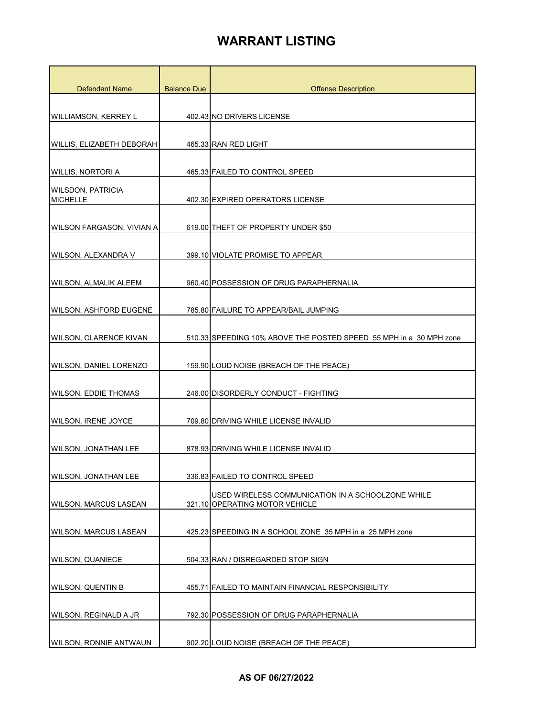| <b>Defendant Name</b>                       | <b>Balance Due</b> | <b>Offense Description</b>                                                          |
|---------------------------------------------|--------------------|-------------------------------------------------------------------------------------|
|                                             |                    |                                                                                     |
| WILLIAMSON, KERREY L                        |                    | 402.43 NO DRIVERS LICENSE                                                           |
|                                             |                    |                                                                                     |
| WILLIS, ELIZABETH DEBORAH                   |                    | 465.33 RAN RED LIGHT                                                                |
| WILLIS, NORTORI A                           |                    | 465.33 FAILED TO CONTROL SPEED                                                      |
| <b>WILSDON, PATRICIA</b><br><b>MICHELLE</b> |                    | 402.30 EXPIRED OPERATORS LICENSE                                                    |
| WILSON FARGASON, VIVIAN A                   |                    | 619.00 THEFT OF PROPERTY UNDER \$50                                                 |
| WILSON, ALEXANDRA V                         |                    | 399.10 VIOLATE PROMISE TO APPEAR                                                    |
| <b>WILSON, ALMALIK ALEEM</b>                |                    | 960.40 POSSESSION OF DRUG PARAPHERNALIA                                             |
| WILSON, ASHFORD EUGENE                      |                    | 785.80 FAILURE TO APPEAR/BAIL JUMPING                                               |
| WILSON, CLARENCE KIVAN                      |                    | 510.33 SPEEDING 10% ABOVE THE POSTED SPEED 55 MPH in a 30 MPH zone                  |
| WILSON, DANIEL LORENZO                      |                    | 159.90 LOUD NOISE (BREACH OF THE PEACE)                                             |
| <b>WILSON, EDDIE THOMAS</b>                 |                    | 246.00 DISORDERLY CONDUCT - FIGHTING                                                |
| <b>WILSON, IRENE JOYCE</b>                  |                    | 709.80 DRIVING WHILE LICENSE INVALID                                                |
| <b>WILSON, JONATHAN LEE</b>                 |                    | 878.93 DRIVING WHILE LICENSE INVALID                                                |
| WILSON, JONATHAN LEE                        |                    | 336.83 FAILED TO CONTROL SPEED                                                      |
| <b>WILSON, MARCUS LASEAN</b>                |                    | USED WIRELESS COMMUNICATION IN A SCHOOLZONE WHILE<br>321.10 OPERATING MOTOR VEHICLE |
| <b>WILSON, MARCUS LASEAN</b>                |                    | 425.23 SPEEDING IN A SCHOOL ZONE 35 MPH in a 25 MPH zone                            |
| <b>WILSON, QUANIECE</b>                     |                    | 504.33 RAN / DISREGARDED STOP SIGN                                                  |
| <b>WILSON, QUENTIN B</b>                    |                    | 455.71 FAILED TO MAINTAIN FINANCIAL RESPONSIBILITY                                  |
| WILSON, REGINALD A JR                       |                    | 792.30 POSSESSION OF DRUG PARAPHERNALIA                                             |
| <b>WILSON, RONNIE ANTWAUN</b>               |                    | 902.20 LOUD NOISE (BREACH OF THE PEACE)                                             |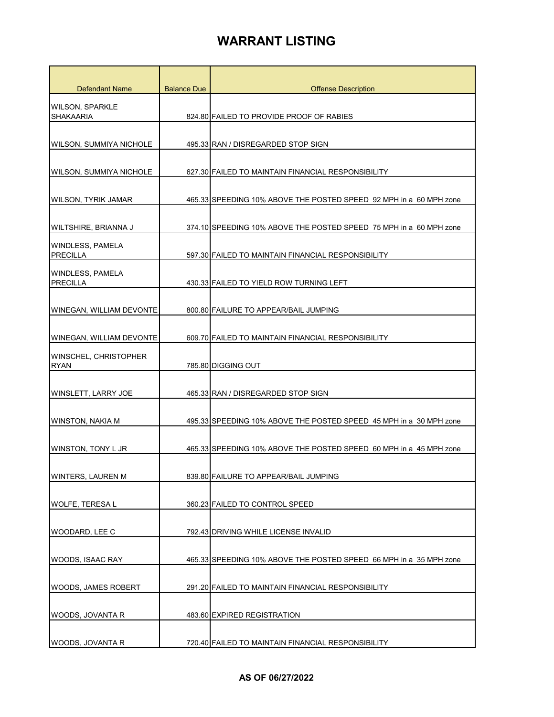| Defendant Name                             | <b>Balance Due</b> | <b>Offense Description</b>                                         |
|--------------------------------------------|--------------------|--------------------------------------------------------------------|
| <b>WILSON, SPARKLE</b><br><b>SHAKAARIA</b> |                    | 824.80 FAILED TO PROVIDE PROOF OF RABIES                           |
|                                            |                    |                                                                    |
| WILSON, SUMMIYA NICHOLE                    |                    | 495.33 RAN / DISREGARDED STOP SIGN                                 |
| WILSON, SUMMIYA NICHOLE                    |                    | 627.30 FAILED TO MAINTAIN FINANCIAL RESPONSIBILITY                 |
| WILSON, TYRIK JAMAR                        |                    | 465.33 SPEEDING 10% ABOVE THE POSTED SPEED 92 MPH in a 60 MPH zone |
| WILTSHIRE, BRIANNA J                       |                    | 374.10 SPEEDING 10% ABOVE THE POSTED SPEED 75 MPH in a 60 MPH zone |
| WINDLESS, PAMELA<br><b>PRECILLA</b>        |                    | 597.30 FAILED TO MAINTAIN FINANCIAL RESPONSIBILITY                 |
| <b>WINDLESS, PAMELA</b><br><b>PRECILLA</b> |                    | 430.33 FAILED TO YIELD ROW TURNING LEFT                            |
| WINEGAN, WILLIAM DEVONTE                   |                    | 800.80 FAILURE TO APPEAR/BAIL JUMPING                              |
| WINEGAN, WILLIAM DEVONTE                   |                    | 609.70 FAILED TO MAINTAIN FINANCIAL RESPONSIBILITY                 |
| WINSCHEL, CHRISTOPHER<br><b>RYAN</b>       |                    | 785.80 DIGGING OUT                                                 |
| WINSLETT, LARRY JOE                        |                    | 465.33 RAN / DISREGARDED STOP SIGN                                 |
| WINSTON, NAKIA M                           |                    | 495.33 SPEEDING 10% ABOVE THE POSTED SPEED 45 MPH in a 30 MPH zone |
| WINSTON, TONY L JR                         |                    | 465.33 SPEEDING 10% ABOVE THE POSTED SPEED 60 MPH in a 45 MPH zone |
| <b>WINTERS, LAUREN M</b>                   |                    | 839.80 FAILURE TO APPEAR/BAIL JUMPING                              |
| <b>WOLFE, TERESA L</b>                     |                    | 360.23 FAILED TO CONTROL SPEED                                     |
| WOODARD, LEE C                             |                    | 792.43 DRIVING WHILE LICENSE INVALID                               |
| <b>WOODS, ISAAC RAY</b>                    |                    | 465.33 SPEEDING 10% ABOVE THE POSTED SPEED 66 MPH in a 35 MPH zone |
| <b>WOODS, JAMES ROBERT</b>                 |                    | 291.20 FAILED TO MAINTAIN FINANCIAL RESPONSIBILITY                 |
| WOODS, JOVANTA R                           |                    | 483.60 EXPIRED REGISTRATION                                        |
| WOODS, JOVANTA R                           |                    | 720.40 FAILED TO MAINTAIN FINANCIAL RESPONSIBILITY                 |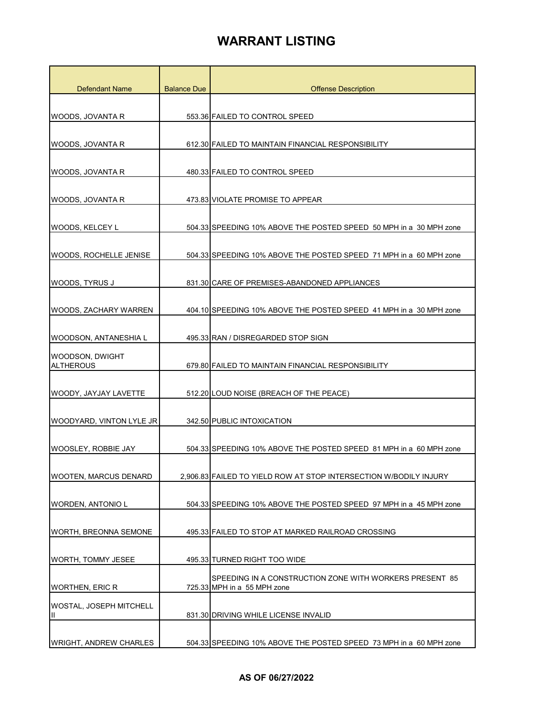| <b>Defendant Name</b>               | <b>Balance Due</b> | <b>Offense Description</b>                                                             |
|-------------------------------------|--------------------|----------------------------------------------------------------------------------------|
|                                     |                    |                                                                                        |
| WOODS, JOVANTA R                    |                    | 553.36 FAILED TO CONTROL SPEED                                                         |
|                                     |                    |                                                                                        |
| WOODS, JOVANTA R                    |                    | 612.30 FAILED TO MAINTAIN FINANCIAL RESPONSIBILITY                                     |
| WOODS, JOVANTA R                    |                    | 480.33 FAILED TO CONTROL SPEED                                                         |
| WOODS, JOVANTA R                    |                    | 473.83 VIOLATE PROMISE TO APPEAR                                                       |
| <b>WOODS, KELCEY L</b>              |                    | 504.33 SPEEDING 10% ABOVE THE POSTED SPEED 50 MPH in a 30 MPH zone                     |
| <b>WOODS, ROCHELLE JENISE</b>       |                    | 504.33 SPEEDING 10% ABOVE THE POSTED SPEED 71 MPH in a 60 MPH zone                     |
| WOODS, TYRUS J                      |                    | 831.30 CARE OF PREMISES-ABANDONED APPLIANCES                                           |
| WOODS, ZACHARY WARREN               |                    | 404.10 SPEEDING 10% ABOVE THE POSTED SPEED 41 MPH in a 30 MPH zone                     |
| WOODSON, ANTANESHIA L               |                    | 495.33 RAN / DISREGARDED STOP SIGN                                                     |
| WOODSON, DWIGHT<br><b>ALTHEROUS</b> |                    | 679.80 FAILED TO MAINTAIN FINANCIAL RESPONSIBILITY                                     |
| WOODY, JAYJAY LAVETTE               |                    | 512.20 LOUD NOISE (BREACH OF THE PEACE)                                                |
| WOODYARD, VINTON LYLE JR            |                    | 342.50 PUBLIC INTOXICATION                                                             |
| WOOSLEY, ROBBIE JAY                 |                    | 504.33 SPEEDING 10% ABOVE THE POSTED SPEED 81 MPH in a 60 MPH zone                     |
| <b>WOOTEN, MARCUS DENARD</b>        |                    | 2,906.83 FAILED TO YIELD ROW AT STOP INTERSECTION W/BODILY INJURY                      |
| <b>WORDEN, ANTONIO L</b>            |                    | 504.33 SPEEDING 10% ABOVE THE POSTED SPEED 97 MPH in a 45 MPH zone                     |
| <b>WORTH, BREONNA SEMONE</b>        |                    | 495.33 FAILED TO STOP AT MARKED RAILROAD CROSSING                                      |
| <b>WORTH, TOMMY JESEE</b>           |                    | 495.33 TURNED RIGHT TOO WIDE                                                           |
| <b>WORTHEN, ERIC R</b>              |                    | SPEEDING IN A CONSTRUCTION ZONE WITH WORKERS PRESENT 85<br>725.33 MPH in a 55 MPH zone |
| WOSTAL, JOSEPH MITCHELL<br>Ш        |                    | 831.30 DRIVING WHILE LICENSE INVALID                                                   |
| <b>WRIGHT, ANDREW CHARLES</b>       |                    | 504.33 SPEEDING 10% ABOVE THE POSTED SPEED 73 MPH in a 60 MPH zone                     |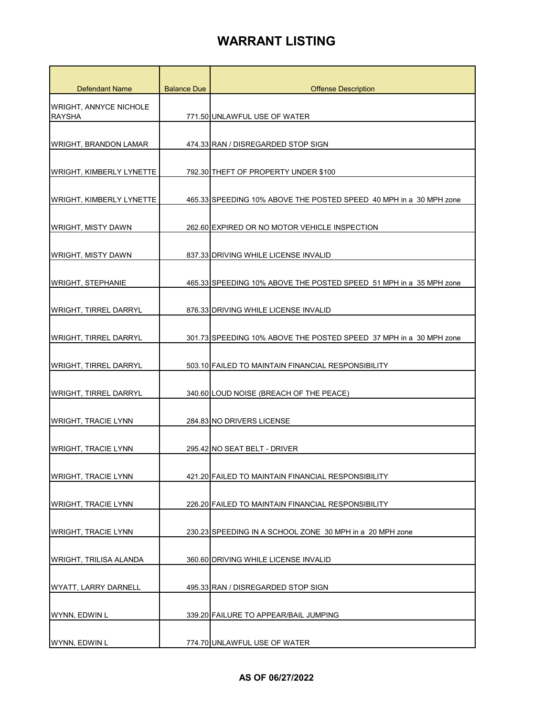| Defendant Name                                 | <b>Balance Due</b> | <b>Offense Description</b>                                         |
|------------------------------------------------|--------------------|--------------------------------------------------------------------|
| <b>WRIGHT, ANNYCE NICHOLE</b><br><b>RAYSHA</b> |                    | 771.50 UNLAWFUL USE OF WATER                                       |
| WRIGHT, BRANDON LAMAR                          |                    | 474.33 RAN / DISREGARDED STOP SIGN                                 |
| <b>WRIGHT, KIMBERLY LYNETTE</b>                |                    | 792.30 THEFT OF PROPERTY UNDER \$100                               |
| <b>WRIGHT, KIMBERLY LYNETTE</b>                |                    | 465.33 SPEEDING 10% ABOVE THE POSTED SPEED 40 MPH in a 30 MPH zone |
| <b>WRIGHT, MISTY DAWN</b>                      |                    | 262.60 EXPIRED OR NO MOTOR VEHICLE INSPECTION                      |
| <b>WRIGHT, MISTY DAWN</b>                      |                    | 837.33 DRIVING WHILE LICENSE INVALID                               |
| <b>WRIGHT, STEPHANIE</b>                       |                    | 465.33 SPEEDING 10% ABOVE THE POSTED SPEED 51 MPH in a 35 MPH zone |
| <b>WRIGHT, TIRREL DARRYL</b>                   |                    | 876.33 DRIVING WHILE LICENSE INVALID                               |
| WRIGHT, TIRREL DARRYL                          |                    | 301.73 SPEEDING 10% ABOVE THE POSTED SPEED 37 MPH in a 30 MPH zone |
| <b>WRIGHT, TIRREL DARRYL</b>                   |                    | 503.10 FAILED TO MAINTAIN FINANCIAL RESPONSIBILITY                 |
| <b>WRIGHT, TIRREL DARRYL</b>                   |                    | 340.60 LOUD NOISE (BREACH OF THE PEACE)                            |
| <b>WRIGHT, TRACIE LYNN</b>                     |                    | 284.83 NO DRIVERS LICENSE                                          |
| <b>WRIGHT, TRACIE LYNN</b>                     |                    | 295.42 NO SEAT BELT - DRIVER                                       |
| <b>WRIGHT, TRACIE LYNN</b>                     |                    | 421.20 FAILED TO MAINTAIN FINANCIAL RESPONSIBILITY                 |
| <b>WRIGHT, TRACIE LYNN</b>                     |                    | 226.20 FAILED TO MAINTAIN FINANCIAL RESPONSIBILITY                 |
| <b>WRIGHT, TRACIE LYNN</b>                     |                    | 230.23 SPEEDING IN A SCHOOL ZONE 30 MPH in a 20 MPH zone           |
| WRIGHT, TRILISA ALANDA                         |                    | 360.60 DRIVING WHILE LICENSE INVALID                               |
| WYATT, LARRY DARNELL                           |                    | 495.33 RAN / DISREGARDED STOP SIGN                                 |
| WYNN, EDWIN L                                  |                    | 339.20 FAILURE TO APPEAR/BAIL JUMPING                              |
| WYNN, EDWIN L                                  |                    | 774.70 UNLAWFUL USE OF WATER                                       |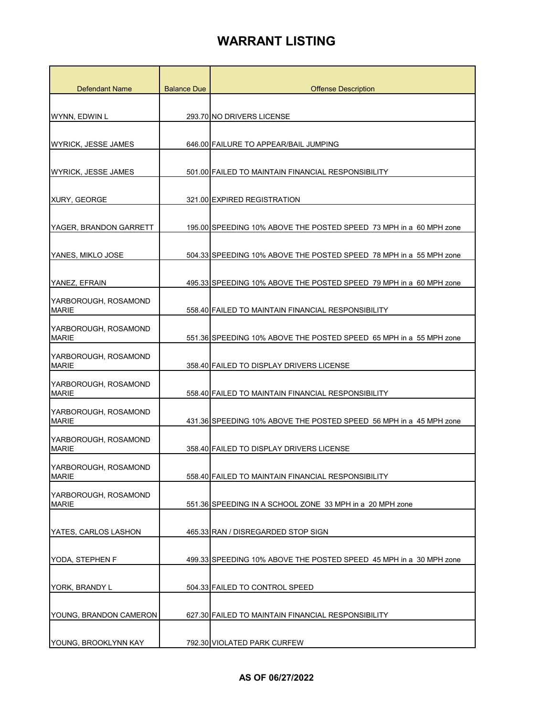| <b>Defendant Name</b>                | <b>Balance Due</b> | <b>Offense Description</b>                                         |
|--------------------------------------|--------------------|--------------------------------------------------------------------|
|                                      |                    |                                                                    |
| WYNN, EDWIN L                        |                    | 293.70 NO DRIVERS LICENSE                                          |
|                                      |                    |                                                                    |
| WYRICK, JESSE JAMES                  |                    | 646.00 FAILURE TO APPEAR/BAIL JUMPING                              |
|                                      |                    |                                                                    |
| <b>WYRICK, JESSE JAMES</b>           |                    | 501.00 FAILED TO MAINTAIN FINANCIAL RESPONSIBILITY                 |
| XURY, GEORGE                         |                    | 321.00 EXPIRED REGISTRATION                                        |
| YAGER, BRANDON GARRETT               |                    | 195.00 SPEEDING 10% ABOVE THE POSTED SPEED 73 MPH in a 60 MPH zone |
| YANES, MIKLO JOSE                    |                    | 504.33 SPEEDING 10% ABOVE THE POSTED SPEED 78 MPH in a 55 MPH zone |
| YANEZ, EFRAIN                        |                    | 495.33 SPEEDING 10% ABOVE THE POSTED SPEED 79 MPH in a 60 MPH zone |
| YARBOROUGH, ROSAMOND<br><b>MARIE</b> |                    | 558.40 FAILED TO MAINTAIN FINANCIAL RESPONSIBILITY                 |
| YARBOROUGH, ROSAMOND<br><b>MARIE</b> |                    | 551.36 SPEEDING 10% ABOVE THE POSTED SPEED 65 MPH in a 55 MPH zone |
| YARBOROUGH, ROSAMOND<br><b>MARIE</b> |                    | 358.40 FAILED TO DISPLAY DRIVERS LICENSE                           |
| YARBOROUGH, ROSAMOND<br><b>MARIE</b> |                    | 558.40 FAILED TO MAINTAIN FINANCIAL RESPONSIBILITY                 |
| YARBOROUGH, ROSAMOND<br><b>MARIE</b> |                    | 431.36 SPEEDING 10% ABOVE THE POSTED SPEED 56 MPH in a 45 MPH zone |
| YARBOROUGH, ROSAMOND<br><b>MARIE</b> |                    | 358.40 FAILED TO DISPLAY DRIVERS LICENSE                           |
| YARBOROUGH, ROSAMOND<br><b>MARIE</b> |                    | 558.40 FAILED TO MAINTAIN FINANCIAL RESPONSIBILITY                 |
| YARBOROUGH, ROSAMOND<br><b>MARIE</b> |                    | 551.36 SPEEDING IN A SCHOOL ZONE 33 MPH in a 20 MPH zone           |
| YATES, CARLOS LASHON                 |                    | 465.33 RAN / DISREGARDED STOP SIGN                                 |
| YODA, STEPHEN F                      |                    | 499.33 SPEEDING 10% ABOVE THE POSTED SPEED 45 MPH in a 30 MPH zone |
| YORK, BRANDY L                       |                    | 504.33 FAILED TO CONTROL SPEED                                     |
| YOUNG, BRANDON CAMERON               |                    | 627.30 FAILED TO MAINTAIN FINANCIAL RESPONSIBILITY                 |
| YOUNG, BROOKLYNN KAY                 |                    | 792.30 VIOLATED PARK CURFEW                                        |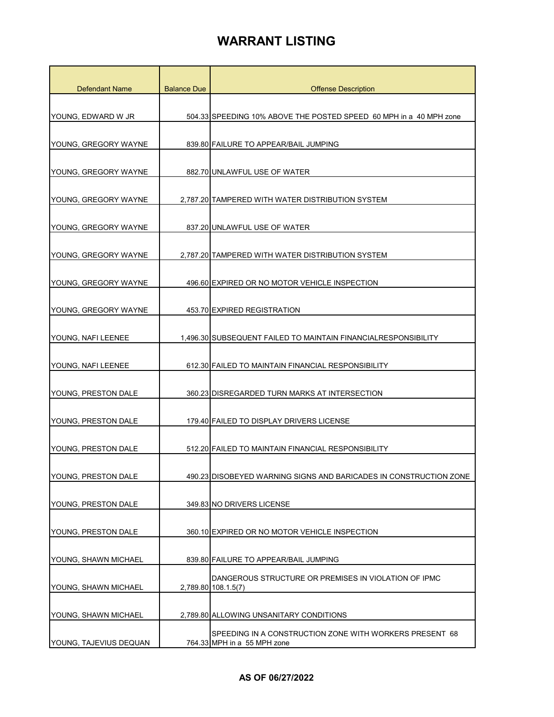| <b>Defendant Name</b>  | <b>Balance Due</b> | <b>Offense Description</b>                                                             |
|------------------------|--------------------|----------------------------------------------------------------------------------------|
|                        |                    |                                                                                        |
| YOUNG, EDWARD W JR     |                    | 504.33 SPEEDING 10% ABOVE THE POSTED SPEED 60 MPH in a 40 MPH zone                     |
|                        |                    |                                                                                        |
| YOUNG, GREGORY WAYNE   |                    | 839.80 FAILURE TO APPEAR/BAIL JUMPING                                                  |
|                        |                    |                                                                                        |
| YOUNG, GREGORY WAYNE   |                    | 882.70 UNLAWFUL USE OF WATER                                                           |
|                        |                    |                                                                                        |
| YOUNG, GREGORY WAYNE   |                    | 2.787.20 TAMPERED WITH WATER DISTRIBUTION SYSTEM                                       |
|                        |                    | 837.20 UNLAWFUL USE OF WATER                                                           |
| YOUNG, GREGORY WAYNE   |                    |                                                                                        |
| YOUNG, GREGORY WAYNE   |                    | 2.787.20 TAMPERED WITH WATER DISTRIBUTION SYSTEM                                       |
|                        |                    |                                                                                        |
| YOUNG, GREGORY WAYNE   |                    | 496.60 EXPIRED OR NO MOTOR VEHICLE INSPECTION                                          |
|                        |                    |                                                                                        |
| YOUNG, GREGORY WAYNE   |                    | 453.70 EXPIRED REGISTRATION                                                            |
|                        |                    |                                                                                        |
| YOUNG, NAFI LEENEE     |                    | 1,496.30 SUBSEQUENT FAILED TO MAINTAIN FINANCIALRESPONSIBILITY                         |
| YOUNG, NAFI LEENEE     |                    | 612.30 FAILED TO MAINTAIN FINANCIAL RESPONSIBILITY                                     |
|                        |                    |                                                                                        |
| YOUNG, PRESTON DALE    |                    | 360.23 DISREGARDED TURN MARKS AT INTERSECTION                                          |
|                        |                    |                                                                                        |
| YOUNG, PRESTON DALE    |                    | 179.40 FAILED TO DISPLAY DRIVERS LICENSE                                               |
|                        |                    |                                                                                        |
| YOUNG. PRESTON DALE    |                    | 512.20 FAILED TO MAINTAIN FINANCIAL RESPONSIBILITY                                     |
|                        |                    |                                                                                        |
| YOUNG, PRESTON DALE    |                    | 490.23 DISOBEYED WARNING SIGNS AND BARICADES IN CONSTRUCTION ZONE                      |
| YOUNG, PRESTON DALE    |                    | 349.83 NO DRIVERS LICENSE                                                              |
|                        |                    |                                                                                        |
| YOUNG, PRESTON DALE    |                    | 360.10 EXPIRED OR NO MOTOR VEHICLE INSPECTION                                          |
|                        |                    |                                                                                        |
| YOUNG, SHAWN MICHAEL   |                    | 839.80 FAILURE TO APPEAR/BAIL JUMPING                                                  |
|                        |                    | DANGEROUS STRUCTURE OR PREMISES IN VIOLATION OF IPMC                                   |
| YOUNG, SHAWN MICHAEL   |                    | 2,789.80 108.1.5(7)                                                                    |
|                        |                    |                                                                                        |
| YOUNG, SHAWN MICHAEL   |                    | 2,789.80 ALLOWING UNSANITARY CONDITIONS                                                |
| YOUNG, TAJEVIUS DEQUAN |                    | SPEEDING IN A CONSTRUCTION ZONE WITH WORKERS PRESENT 68<br>764.33 MPH in a 55 MPH zone |
|                        |                    |                                                                                        |